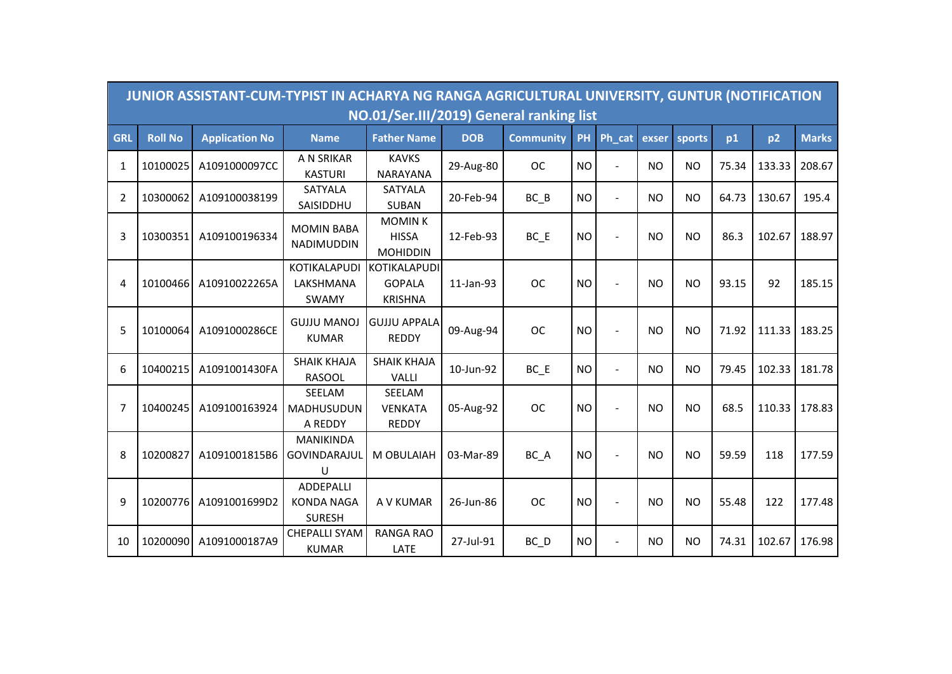|            |                | JUNIOR ASSISTANT-CUM-TYPIST IN ACHARYA NG RANGA AGRICULTURAL UNIVERSITY, GUNTUR (NOTIFICATION |                                                  | NO.01/Ser.III/2019) General ranking list         |            |                  |           |                |                |           |       |        |              |
|------------|----------------|-----------------------------------------------------------------------------------------------|--------------------------------------------------|--------------------------------------------------|------------|------------------|-----------|----------------|----------------|-----------|-------|--------|--------------|
| <b>GRL</b> | <b>Roll No</b> | <b>Application No</b>                                                                         | <b>Name</b>                                      | <b>Father Name</b>                               | <b>DOB</b> | <b>Community</b> | PH        | Ph_cat         | exser          | sports    | p1    | p2     | <b>Marks</b> |
| 1          | 10100025       | A1091000097CC                                                                                 | A N SRIKAR<br><b>KASTURI</b>                     | <b>KAVKS</b><br><b>NARAYANA</b>                  | 29-Aug-80  | <b>OC</b>        | <b>NO</b> | $\blacksquare$ | <b>NO</b>      | <b>NO</b> | 75.34 | 133.33 | 208.67       |
| 2          | 10300062       | A109100038199                                                                                 | <b>SATYALA</b><br>SAISIDDHU                      | <b>SATYALA</b><br><b>SUBAN</b>                   | 20-Feb-94  | $BC$ $B$         | <b>NO</b> | $\blacksquare$ | <b>NO</b>      | <b>NO</b> | 64.73 | 130.67 | 195.4        |
| 3          | 10300351       | A109100196334                                                                                 | <b>MOMIN BABA</b><br>NADIMUDDIN                  | <b>MOMINK</b><br><b>HISSA</b><br><b>MOHIDDIN</b> | 12-Feb-93  | BC E             | <b>NO</b> |                | N <sub>O</sub> | <b>NO</b> | 86.3  | 102.67 | 188.97       |
| 4          | 10100466       | A10910022265A                                                                                 | <b>KOTIKALAPUDI</b><br>LAKSHMANA<br><b>SWAMY</b> | KOTIKALAPUDI<br><b>GOPALA</b><br><b>KRISHNA</b>  | 11-Jan-93  | <b>OC</b>        | <b>NO</b> |                | <b>NO</b>      | <b>NO</b> | 93.15 | 92     | 185.15       |
| 5          | 10100064       | A1091000286CE                                                                                 | <b>GUJJU MANOJ</b><br><b>KUMAR</b>               | <b>GUJJU APPALA</b><br><b>REDDY</b>              | 09-Aug-94  | <b>OC</b>        | <b>NO</b> |                | <b>NO</b>      | <b>NO</b> | 71.92 | 111.33 | 183.25       |
| 6          | 10400215       | A1091001430FA                                                                                 | <b>SHAIK KHAJA</b><br><b>RASOOL</b>              | <b>SHAIK KHAJA</b><br><b>VALLI</b>               | 10-Jun-92  | $BC$ $E$         | <b>NO</b> |                | N <sub>O</sub> | <b>NO</b> | 79.45 | 102.33 | 181.78       |
| 7          | 10400245       | A109100163924                                                                                 | SEELAM<br>MADHUSUDUN<br>A REDDY                  | SEELAM<br><b>VENKATA</b><br><b>REDDY</b>         | 05-Aug-92  | <b>OC</b>        | <b>NO</b> |                | <b>NO</b>      | <b>NO</b> | 68.5  | 110.33 | 178.83       |
| 8          | 10200827       | A1091001815B6                                                                                 | <b>MANIKINDA</b><br>GOVINDARAJUL<br>U            | M OBULAIAH                                       | 03-Mar-89  | BC_A             | <b>NO</b> | $\sim$         | <b>NO</b>      | <b>NO</b> | 59.59 | 118    | 177.59       |
| 9          | 10200776       | A1091001699D2                                                                                 | ADDEPALLI<br><b>KONDA NAGA</b><br><b>SURESH</b>  | A V KUMAR                                        | 26-Jun-86  | <b>OC</b>        | <b>NO</b> |                | <b>NO</b>      | <b>NO</b> | 55.48 | 122    | 177.48       |
| 10         | 10200090       | A1091000187A9                                                                                 | <b>CHEPALLI SYAM</b><br><b>KUMAR</b>             | <b>RANGA RAO</b><br>LATE                         | 27-Jul-91  | BC_D             | <b>NO</b> |                | <b>NO</b>      | <b>NO</b> | 74.31 | 102.67 | 176.98       |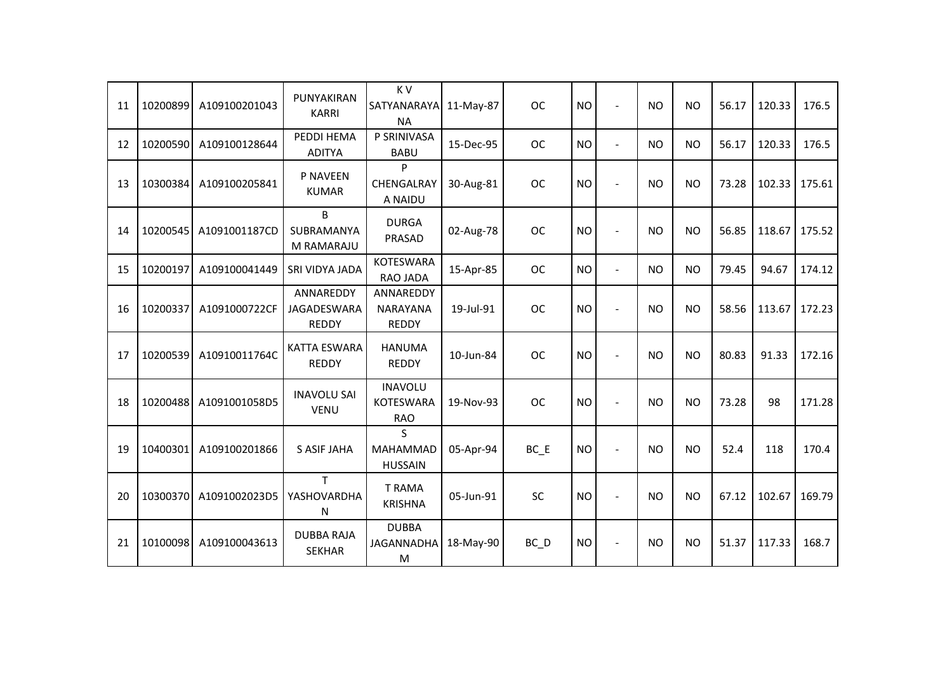| 11 | 10200899 | A109100201043 | PUNYAKIRAN<br><b>KARRI</b>               | K V<br>SATYANARAYA 11-May-87<br><b>NA</b>        |           | <b>OC</b>         | <b>NO</b> | $\overline{\phantom{a}}$ | <b>NO</b> | <b>NO</b> | 56.17 | 120.33 | 176.5  |
|----|----------|---------------|------------------------------------------|--------------------------------------------------|-----------|-------------------|-----------|--------------------------|-----------|-----------|-------|--------|--------|
| 12 | 10200590 | A109100128644 | PEDDI HEMA<br><b>ADITYA</b>              | P SRINIVASA<br><b>BABU</b>                       | 15-Dec-95 | <b>OC</b>         | <b>NO</b> | $\overline{a}$           | <b>NO</b> | <b>NO</b> | 56.17 | 120.33 | 176.5  |
| 13 | 10300384 | A109100205841 | P NAVEEN<br><b>KUMAR</b>                 | P<br>CHENGALRAY<br>A NAIDU                       | 30-Aug-81 | <b>OC</b>         | <b>NO</b> | $\overline{\phantom{a}}$ | <b>NO</b> | <b>NO</b> | 73.28 | 102.33 | 175.61 |
| 14 | 10200545 | A1091001187CD | B<br>SUBRAMANYA<br>M RAMARAJU            | <b>DURGA</b><br>PRASAD                           | 02-Aug-78 | <b>OC</b>         | <b>NO</b> |                          | <b>NO</b> | <b>NO</b> | 56.85 | 118.67 | 175.52 |
| 15 | 10200197 | A109100041449 | SRI VIDYA JADA                           | <b>KOTESWARA</b><br><b>RAO JADA</b>              | 15-Apr-85 | <b>OC</b>         | <b>NO</b> | $\blacksquare$           | <b>NO</b> | <b>NO</b> | 79.45 | 94.67  | 174.12 |
| 16 | 10200337 | A1091000722CF | ANNAREDDY<br>JAGADESWARA<br><b>REDDY</b> | ANNAREDDY<br>NARAYANA<br><b>REDDY</b>            | 19-Jul-91 | <b>OC</b>         | <b>NO</b> |                          | <b>NO</b> | <b>NO</b> | 58.56 | 113.67 | 172.23 |
| 17 | 10200539 | A10910011764C | <b>KATTA ESWARA</b><br><b>REDDY</b>      | <b>HANUMA</b><br><b>REDDY</b>                    | 10-Jun-84 | <b>OC</b>         | <b>NO</b> |                          | <b>NO</b> | <b>NO</b> | 80.83 | 91.33  | 172.16 |
| 18 | 10200488 | A1091001058D5 | <b>INAVOLU SAI</b><br><b>VENU</b>        | <b>INAVOLU</b><br><b>KOTESWARA</b><br><b>RAO</b> | 19-Nov-93 | <b>OC</b>         | <b>NO</b> |                          | <b>NO</b> | <b>NO</b> | 73.28 | 98     | 171.28 |
| 19 | 10400301 | A109100201866 | <b>S ASIF JAHA</b>                       | S<br><b>MAHAMMAD</b><br><b>HUSSAIN</b>           | 05-Apr-94 | $BC$ $E$          | <b>NO</b> |                          | <b>NO</b> | <b>NO</b> | 52.4  | 118    | 170.4  |
| 20 | 10300370 | A1091002023D5 | T.<br>YASHOVARDHA<br>N                   | <b>T RAMA</b><br><b>KRISHNA</b>                  | 05-Jun-91 | SC                | <b>NO</b> |                          | <b>NO</b> | <b>NO</b> | 67.12 | 102.67 | 169.79 |
| 21 | 10100098 | A109100043613 | <b>DUBBA RAJA</b><br><b>SEKHAR</b>       | <b>DUBBA</b><br><b>JAGANNADHA</b><br>M           | 18-May-90 | $BC$ <sub>D</sub> | <b>NO</b> |                          | <b>NO</b> | <b>NO</b> | 51.37 | 117.33 | 168.7  |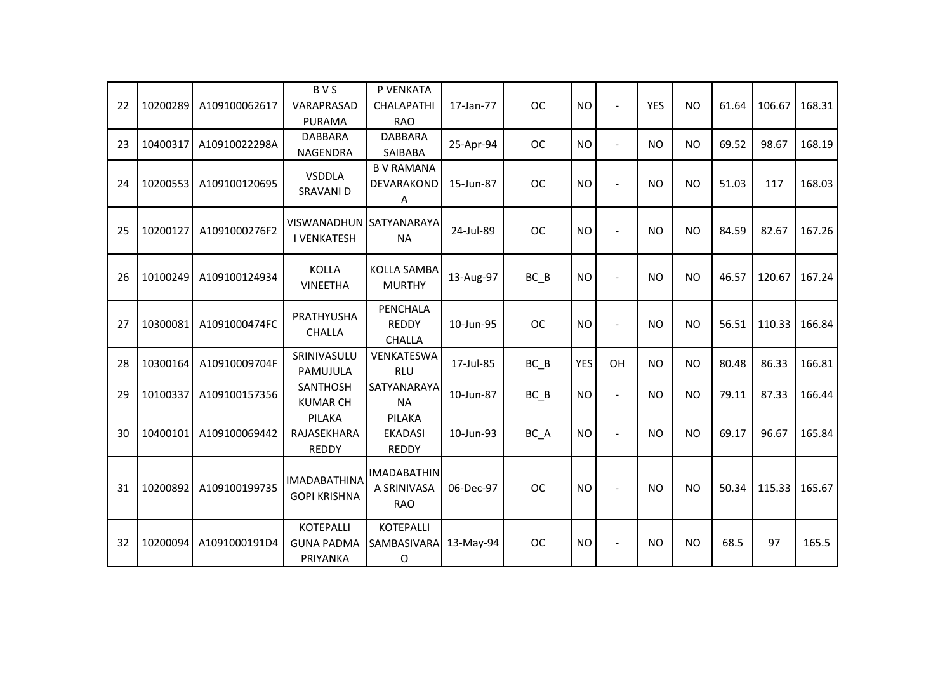| 22 | 10200289 | A109100062617 | <b>BVS</b><br>VARAPRASAD<br><b>PURAMA</b>         | P VENKATA<br><b>CHALAPATHI</b><br><b>RAO</b>    | 17-Jan-77 | <b>OC</b> | <b>NO</b>  | $\overline{\phantom{a}}$ | <b>YES</b> | <b>NO</b> | 61.64 | 106.67 | 168.31 |
|----|----------|---------------|---------------------------------------------------|-------------------------------------------------|-----------|-----------|------------|--------------------------|------------|-----------|-------|--------|--------|
| 23 | 10400317 | A10910022298A | <b>DABBARA</b><br>NAGENDRA                        | <b>DABBARA</b><br>SAIBABA                       | 25-Apr-94 | <b>OC</b> | <b>NO</b>  | $\overline{\phantom{a}}$ | <b>NO</b>  | <b>NO</b> | 69.52 | 98.67  | 168.19 |
| 24 | 10200553 | A109100120695 | <b>VSDDLA</b><br>SRAVANI D                        | <b>BV RAMANA</b><br>DEVARAKOND<br>Α             | 15-Jun-87 | <b>OC</b> | <b>NO</b>  |                          | <b>NO</b>  | <b>NO</b> | 51.03 | 117    | 168.03 |
| 25 | 10200127 | A1091000276F2 | VISWANADHUN SATYANARAYA<br><b>I VENKATESH</b>     | <b>NA</b>                                       | 24-Jul-89 | <b>OC</b> | <b>NO</b>  |                          | <b>NO</b>  | <b>NO</b> | 84.59 | 82.67  | 167.26 |
| 26 | 10100249 | A109100124934 | <b>KOLLA</b><br><b>VINEETHA</b>                   | <b>KOLLA SAMBA</b><br><b>MURTHY</b>             | 13-Aug-97 | BC B      | <b>NO</b>  |                          | <b>NO</b>  | <b>NO</b> | 46.57 | 120.67 | 167.24 |
| 27 | 10300081 | A1091000474FC | PRATHYUSHA<br><b>CHALLA</b>                       | PENCHALA<br><b>REDDY</b><br><b>CHALLA</b>       | 10-Jun-95 | <b>OC</b> | <b>NO</b>  | $\overline{\phantom{a}}$ | <b>NO</b>  | <b>NO</b> | 56.51 | 110.33 | 166.84 |
| 28 | 10300164 | A10910009704F | SRINIVASULU<br>PAMUJULA                           | VENKATESWA<br><b>RLU</b>                        | 17-Jul-85 | BC B      | <b>YES</b> | OH                       | <b>NO</b>  | <b>NO</b> | 80.48 | 86.33  | 166.81 |
| 29 | 10100337 | A109100157356 | <b>SANTHOSH</b><br><b>KUMAR CH</b>                | SATYANARAYA<br><b>NA</b>                        | 10-Jun-87 | $BC$ $B$  | <b>NO</b>  | $\overline{\phantom{a}}$ | <b>NO</b>  | <b>NO</b> | 79.11 | 87.33  | 166.44 |
| 30 | 10400101 | A109100069442 | PILAKA<br>RAJASEKHARA<br><b>REDDY</b>             | PILAKA<br><b>EKADASI</b><br><b>REDDY</b>        | 10-Jun-93 | BC A      | <b>NO</b>  |                          | <b>NO</b>  | <b>NO</b> | 69.17 | 96.67  | 165.84 |
| 31 | 10200892 | A109100199735 | <b>IMADABATHINA</b><br><b>GOPI KRISHNA</b>        | <b>IMADABATHIN</b><br>A SRINIVASA<br><b>RAO</b> | 06-Dec-97 | <b>OC</b> | <b>NO</b>  |                          | <b>NO</b>  | <b>NO</b> | 50.34 | 115.33 | 165.67 |
| 32 | 10200094 | A1091000191D4 | <b>KOTEPALLI</b><br><b>GUNA PADMA</b><br>PRIYANKA | <b>KOTEPALLI</b><br>SAMBASIVARA<br>$\mathsf O$  | 13-May-94 | <b>OC</b> | <b>NO</b>  |                          | <b>NO</b>  | <b>NO</b> | 68.5  | 97     | 165.5  |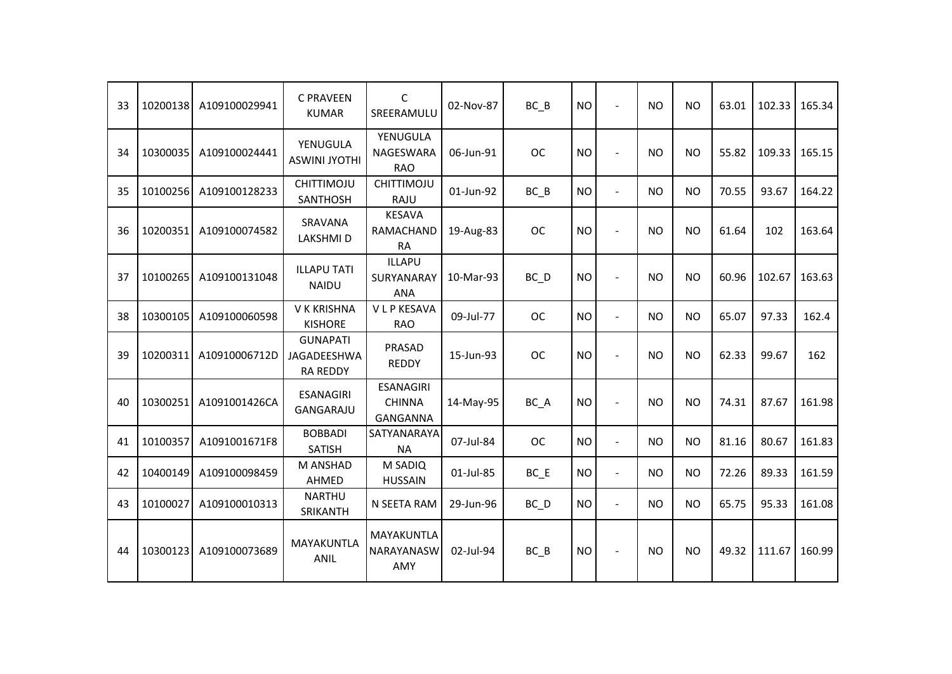| 33 | 10200138 | A109100029941 | <b>C PRAVEEN</b><br><b>KUMAR</b>                  | C<br>SREERAMULU                               | 02-Nov-87 | BC B              | <b>NO</b> | $\blacksquare$           | <b>NO</b> | N <sub>O</sub> | 63.01 | 102.33 | 165.34 |
|----|----------|---------------|---------------------------------------------------|-----------------------------------------------|-----------|-------------------|-----------|--------------------------|-----------|----------------|-------|--------|--------|
| 34 | 10300035 | A109100024441 | YENUGULA<br><b>ASWINI JYOTHI</b>                  | YENUGULA<br><b>NAGESWARA</b><br><b>RAO</b>    | 06-Jun-91 | <b>OC</b>         | <b>NO</b> | $\overline{\phantom{a}}$ | <b>NO</b> | <b>NO</b>      | 55.82 | 109.33 | 165.15 |
| 35 | 10100256 | A109100128233 | CHITTIMOJU<br>SANTHOSH                            | <b>CHITTIMOJU</b><br>RAJU                     | 01-Jun-92 | $BC$ $B$          | <b>NO</b> | $\overline{a}$           | <b>NO</b> | <b>NO</b>      | 70.55 | 93.67  | 164.22 |
| 36 | 10200351 | A109100074582 | SRAVANA<br><b>LAKSHMID</b>                        | <b>KESAVA</b><br>RAMACHAND<br><b>RA</b>       | 19-Aug-83 | <b>OC</b>         | <b>NO</b> | $\overline{\phantom{a}}$ | <b>NO</b> | <b>NO</b>      | 61.64 | 102    | 163.64 |
| 37 | 10100265 | A109100131048 | <b>ILLAPU TATI</b><br><b>NAIDU</b>                | <b>ILLAPU</b><br>SURYANARAY<br><b>ANA</b>     | 10-Mar-93 | $BC$ <sub>D</sub> | <b>NO</b> |                          | <b>NO</b> | <b>NO</b>      | 60.96 | 102.67 | 163.63 |
| 38 | 10300105 | A109100060598 | V K KRISHNA<br><b>KISHORE</b>                     | <b>VLPKESAVA</b><br><b>RAO</b>                | 09-Jul-77 | <b>OC</b>         | <b>NO</b> | $\blacksquare$           | <b>NO</b> | <b>NO</b>      | 65.07 | 97.33  | 162.4  |
| 39 | 10200311 | A10910006712D | <b>GUNAPATI</b><br>JAGADEESHWA<br><b>RA REDDY</b> | PRASAD<br><b>REDDY</b>                        | 15-Jun-93 | <b>OC</b>         | <b>NO</b> |                          | <b>NO</b> | <b>NO</b>      | 62.33 | 99.67  | 162    |
| 40 | 10300251 | A1091001426CA | <b>ESANAGIRI</b><br>GANGARAJU                     | <b>ESANAGIRI</b><br><b>CHINNA</b><br>GANGANNA | 14-May-95 | BC A              | <b>NO</b> |                          | <b>NO</b> | <b>NO</b>      | 74.31 | 87.67  | 161.98 |
| 41 | 10100357 | A1091001671F8 | <b>BOBBADI</b><br><b>SATISH</b>                   | SATYANARAYA<br><b>NA</b>                      | 07-Jul-84 | <b>OC</b>         | <b>NO</b> | $\blacksquare$           | <b>NO</b> | <b>NO</b>      | 81.16 | 80.67  | 161.83 |
| 42 | 10400149 | A109100098459 | M ANSHAD<br>AHMED                                 | M SADIQ<br><b>HUSSAIN</b>                     | 01-Jul-85 | $BC$ $E$          | <b>NO</b> | $\blacksquare$           | <b>NO</b> | <b>NO</b>      | 72.26 | 89.33  | 161.59 |
| 43 | 10100027 | A109100010313 | <b>NARTHU</b><br>SRIKANTH                         | N SEETA RAM                                   | 29-Jun-96 | $BC$ <sub>D</sub> | <b>NO</b> | $\overline{\phantom{a}}$ | <b>NO</b> | <b>NO</b>      | 65.75 | 95.33  | 161.08 |
| 44 | 10300123 | A109100073689 | MAYAKUNTLA<br>ANIL                                | MAYAKUNTLA<br>NARAYANASW<br>AMY               | 02-Jul-94 | BC B              | <b>NO</b> | $\blacksquare$           | <b>NO</b> | <b>NO</b>      | 49.32 | 111.67 | 160.99 |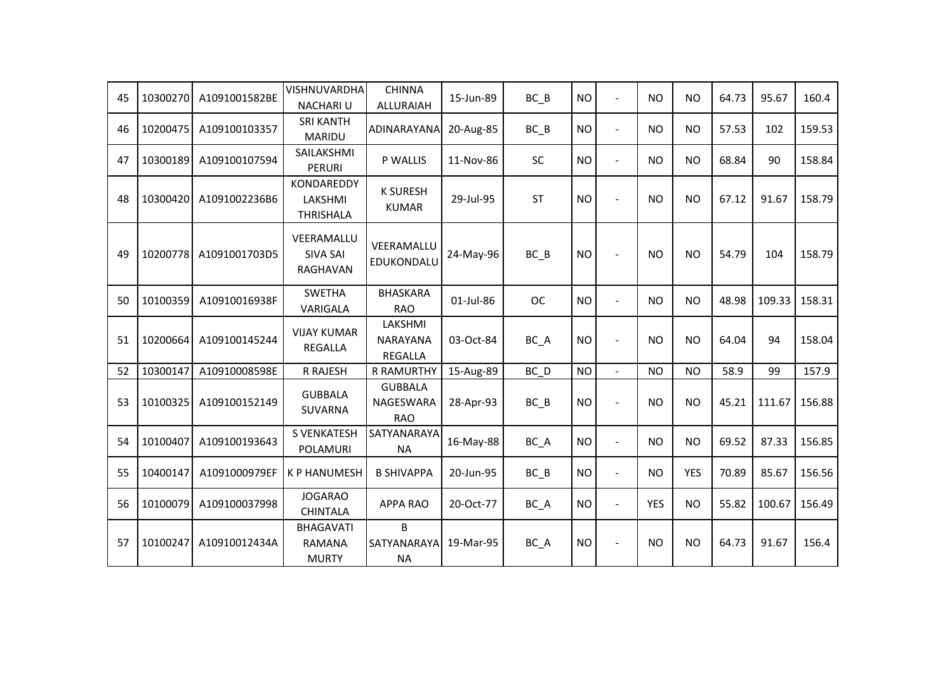| 45 | 10300270 | A1091001582BE | VISHNUVARDHA<br><b>NACHARIU</b>                   | <b>CHINNA</b><br><b>ALLURAIAH</b>         | 15-Jun-89 | $BC$ $B$  | <b>NO</b> | $\overline{a}$ | <b>NO</b>  | <b>NO</b>      | 64.73 | 95.67  | 160.4  |
|----|----------|---------------|---------------------------------------------------|-------------------------------------------|-----------|-----------|-----------|----------------|------------|----------------|-------|--------|--------|
| 46 | 10200475 | A109100103357 | <b>SRI KANTH</b><br><b>MARIDU</b>                 | ADINARAYANA                               | 20-Aug-85 | $BC$ $B$  | <b>NO</b> | $\overline{a}$ | <b>NO</b>  | <b>NO</b>      | 57.53 | 102    | 159.53 |
| 47 | 10300189 | A109100107594 | SAILAKSHMI<br><b>PERURI</b>                       | P WALLIS                                  | 11-Nov-86 | SC        | <b>NO</b> | $\blacksquare$ | <b>NO</b>  | <b>NO</b>      | 68.84 | 90     | 158.84 |
| 48 | 10300420 | A1091002236B6 | KONDAREDDY<br>LAKSHMI<br><b>THRISHALA</b>         | <b>K SURESH</b><br><b>KUMAR</b>           | 29-Jul-95 | <b>ST</b> | <b>NO</b> | $\sim$         | <b>NO</b>  | <b>NO</b>      | 67.12 | 91.67  | 158.79 |
| 49 | 10200778 | A1091001703D5 | VEERAMALLU<br><b>SIVA SAI</b><br>RAGHAVAN         | VEERAMALLU<br>EDUKONDALU                  | 24-May-96 | $BC$ $B$  | <b>NO</b> | $\sim$         | <b>NO</b>  | <b>NO</b>      | 54.79 | 104    | 158.79 |
| 50 | 10100359 | A10910016938F | <b>SWETHA</b><br>VARIGALA                         | <b>BHASKARA</b><br><b>RAO</b>             | 01-Jul-86 | <b>OC</b> | <b>NO</b> | $\sim$         | <b>NO</b>  | N <sub>O</sub> | 48.98 | 109.33 | 158.31 |
| 51 | 10200664 | A109100145244 | <b>VIJAY KUMAR</b><br><b>REGALLA</b>              | LAKSHMI<br>NARAYANA<br><b>REGALLA</b>     | 03-Oct-84 | BC_A      | <b>NO</b> | $\blacksquare$ | <b>NO</b>  | <b>NO</b>      | 64.04 | 94     | 158.04 |
| 52 | 10300147 | A10910008598E | R RAJESH                                          | <b>R RAMURTHY</b>                         | 15-Aug-89 | BC D      | <b>NO</b> | $\blacksquare$ | <b>NO</b>  | <b>NO</b>      | 58.9  | 99     | 157.9  |
| 53 | 10100325 | A109100152149 | <b>GUBBALA</b><br><b>SUVARNA</b>                  | <b>GUBBALA</b><br>NAGESWARA<br><b>RAO</b> | 28-Apr-93 | $BC$ $B$  | <b>NO</b> | $\sim$         | <b>NO</b>  | <b>NO</b>      | 45.21 | 111.67 | 156.88 |
| 54 | 10100407 | A109100193643 | <b>S VENKATESH</b><br>POLAMURI                    | SATYANARAYA<br><b>NA</b>                  | 16-May-88 | BC_A      | <b>NO</b> | $\blacksquare$ | <b>NO</b>  | <b>NO</b>      | 69.52 | 87.33  | 156.85 |
| 55 | 10400147 | A1091000979EF | <b>K P HANUMESH</b>                               | <b>B SHIVAPPA</b>                         | 20-Jun-95 | $BC$ $B$  | <b>NO</b> | $\blacksquare$ | <b>NO</b>  | <b>YES</b>     | 70.89 | 85.67  | 156.56 |
| 56 | 10100079 | A109100037998 | <b>JOGARAO</b><br><b>CHINTALA</b>                 | <b>APPA RAO</b>                           | 20-Oct-77 | BC_A      | <b>NO</b> | $\blacksquare$ | <b>YES</b> | <b>NO</b>      | 55.82 | 100.67 | 156.49 |
| 57 | 10100247 | A10910012434A | <b>BHAGAVATI</b><br><b>RAMANA</b><br><b>MURTY</b> | B<br>SATYANARAYA<br><b>NA</b>             | 19-Mar-95 | BC_A      | <b>NO</b> |                | <b>NO</b>  | <b>NO</b>      | 64.73 | 91.67  | 156.4  |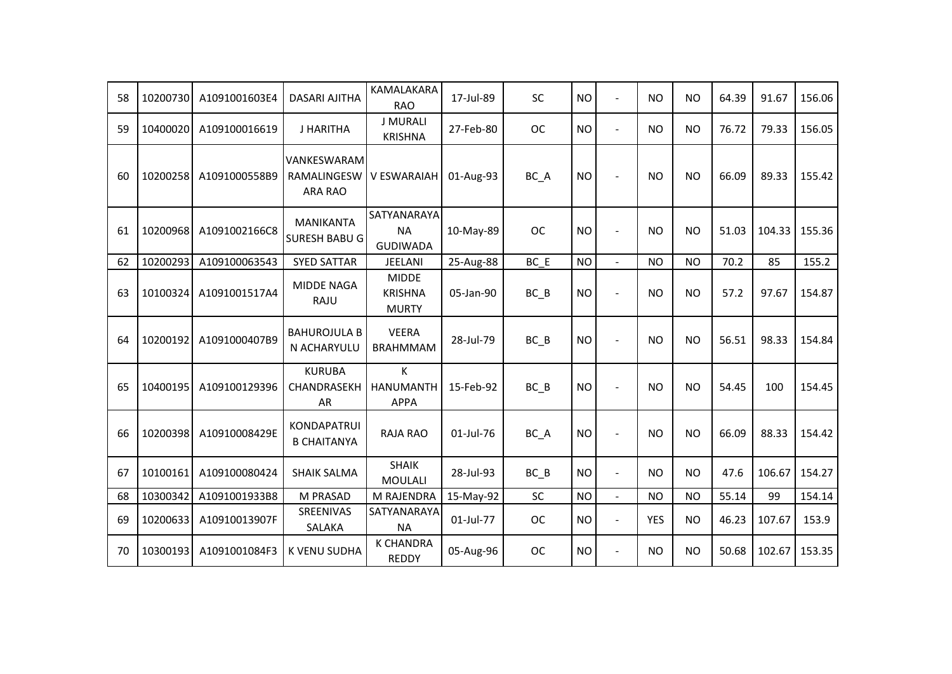| 58 | 10200730 | A1091001603E4 | <b>DASARI AJITHA</b>                         | KAMALAKARA<br><b>RAO</b>                       | 17-Jul-89 | <b>SC</b> | <b>NO</b> | $\sim$         | NO         | <b>NO</b> | 64.39 | 91.67  | 156.06 |
|----|----------|---------------|----------------------------------------------|------------------------------------------------|-----------|-----------|-----------|----------------|------------|-----------|-------|--------|--------|
| 59 | 10400020 | A109100016619 | J HARITHA                                    | <b>J MURALI</b><br><b>KRISHNA</b>              | 27-Feb-80 | <b>OC</b> | <b>NO</b> | $\overline{a}$ | NO         | <b>NO</b> | 76.72 | 79.33  | 156.05 |
| 60 | 10200258 | A1091000558B9 | VANKESWARAM<br>RAMALINGESW<br><b>ARA RAO</b> | V ESWARAIAH                                    | 01-Aug-93 | BC_A      | <b>NO</b> | $\sim$         | <b>NO</b>  | <b>NO</b> | 66.09 | 89.33  | 155.42 |
| 61 | 10200968 | A1091002166C8 | MANIKANTA<br><b>SURESH BABU G</b>            | SATYANARAYA<br><b>NA</b><br><b>GUDIWADA</b>    | 10-May-89 | <b>OC</b> | <b>NO</b> |                | NO.        | <b>NO</b> | 51.03 | 104.33 | 155.36 |
| 62 | 10200293 | A109100063543 | <b>SYED SATTAR</b>                           | JEELANI                                        | 25-Aug-88 | BC E      | <b>NO</b> | $\overline{a}$ | <b>NO</b>  | <b>NO</b> | 70.2  | 85     | 155.2  |
| 63 | 10100324 | A1091001517A4 | <b>MIDDE NAGA</b><br>RAJU                    | <b>MIDDE</b><br><b>KRISHNA</b><br><b>MURTY</b> | 05-Jan-90 | $BC$ $B$  | <b>NO</b> | $\blacksquare$ | <b>NO</b>  | <b>NO</b> | 57.2  | 97.67  | 154.87 |
| 64 | 10200192 | A1091000407B9 | <b>BAHUROJULA B</b><br>N ACHARYULU           | <b>VEERA</b><br><b>BRAHMMAM</b>                | 28-Jul-79 | $BC$ $B$  | <b>NO</b> |                | NO         | <b>NO</b> | 56.51 | 98.33  | 154.84 |
| 65 | 10400195 | A109100129396 | <b>KURUBA</b><br>CHANDRASEKH<br>AR           | K<br><b>HANUMANTH</b><br><b>APPA</b>           | 15-Feb-92 | $BC$ $B$  | <b>NO</b> |                | <b>NO</b>  | <b>NO</b> | 54.45 | 100    | 154.45 |
| 66 | 10200398 | A10910008429E | KONDAPATRUI<br><b>B CHAITANYA</b>            | <b>RAJA RAO</b>                                | 01-Jul-76 | BC_A      | <b>NO</b> |                | <b>NO</b>  | <b>NO</b> | 66.09 | 88.33  | 154.42 |
| 67 | 10100161 | A109100080424 | <b>SHAIK SALMA</b>                           | <b>SHAIK</b><br><b>MOULALI</b>                 | 28-Jul-93 | $BC$ $B$  | <b>NO</b> | $\blacksquare$ | NO         | <b>NO</b> | 47.6  | 106.67 | 154.27 |
| 68 | 10300342 | A1091001933B8 | M PRASAD                                     | M RAJENDRA                                     | 15-May-92 | SC        | <b>NO</b> | $\blacksquare$ | <b>NO</b>  | <b>NO</b> | 55.14 | 99     | 154.14 |
| 69 | 10200633 | A10910013907F | SREENIVAS<br>SALAKA                          | SATYANARAYA<br><b>NA</b>                       | 01-Jul-77 | <b>OC</b> | <b>NO</b> | $\blacksquare$ | <b>YES</b> | <b>NO</b> | 46.23 | 107.67 | 153.9  |
| 70 | 10300193 | A1091001084F3 | <b>K VENU SUDHA</b>                          | <b>K CHANDRA</b><br><b>REDDY</b>               | 05-Aug-96 | <b>OC</b> | <b>NO</b> | $\overline{a}$ | NO         | <b>NO</b> | 50.68 | 102.67 | 153.35 |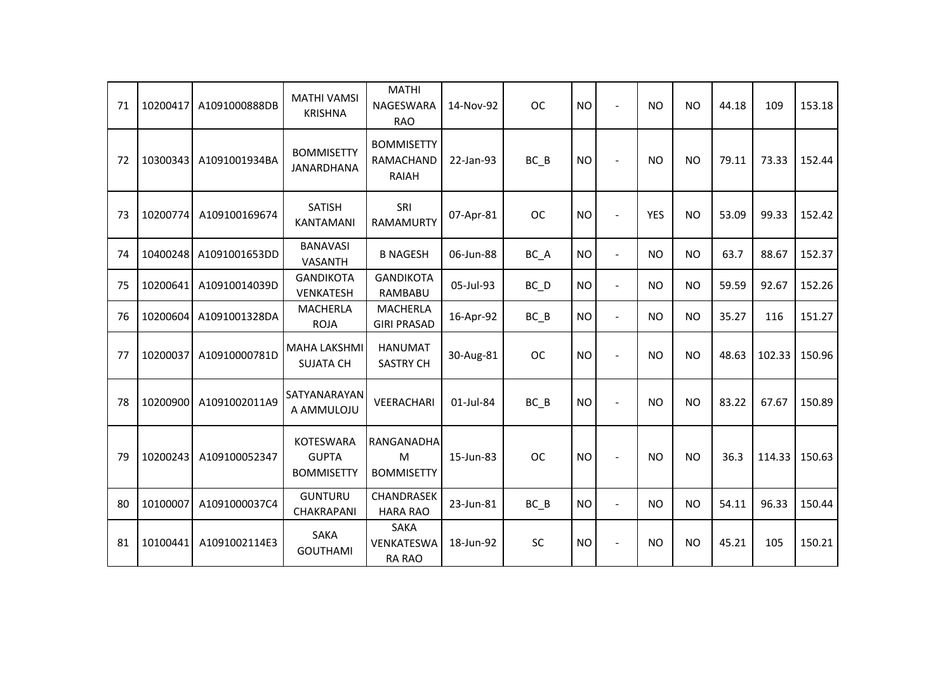| 71 | 10200417 | A1091000888DB | <b>MATHI VAMSI</b><br><b>KRISHNA</b>                  | <b>MATHI</b><br><b>NAGESWARA</b><br><b>RAO</b> | 14-Nov-92 | <b>OC</b> | <b>NO</b> | $\overline{\phantom{a}}$ | <b>NO</b>  | <b>NO</b> | 44.18 | 109    | 153.18 |
|----|----------|---------------|-------------------------------------------------------|------------------------------------------------|-----------|-----------|-----------|--------------------------|------------|-----------|-------|--------|--------|
| 72 | 10300343 | A1091001934BA | <b>BOMMISETTY</b><br>JANARDHANA                       | <b>BOMMISETTY</b><br>RAMACHAND<br><b>RAIAH</b> | 22-Jan-93 | $BC$ $B$  | <b>NO</b> | $\sim$                   | NO.        | <b>NO</b> | 79.11 | 73.33  | 152.44 |
| 73 | 10200774 | A109100169674 | <b>SATISH</b><br><b>KANTAMANI</b>                     | SRI<br><b>RAMAMURTY</b>                        | 07-Apr-81 | <b>OC</b> | <b>NO</b> |                          | <b>YES</b> | <b>NO</b> | 53.09 | 99.33  | 152.42 |
| 74 | 10400248 | A1091001653DD | <b>BANAVASI</b><br><b>VASANTH</b>                     | <b>B NAGESH</b>                                | 06-Jun-88 | BC_A      | <b>NO</b> | $\overline{\phantom{a}}$ | <b>NO</b>  | <b>NO</b> | 63.7  | 88.67  | 152.37 |
| 75 | 10200641 | A10910014039D | <b>GANDIKOTA</b><br>VENKATESH                         | <b>GANDIKOTA</b><br>RAMBABU                    | 05-Jul-93 | BC D      | <b>NO</b> | $\overline{\phantom{a}}$ | <b>NO</b>  | <b>NO</b> | 59.59 | 92.67  | 152.26 |
| 76 | 10200604 | A1091001328DA | <b>MACHERLA</b><br><b>ROJA</b>                        | <b>MACHERLA</b><br><b>GIRI PRASAD</b>          | 16-Apr-92 | $BC$ $B$  | <b>NO</b> | $\overline{\phantom{a}}$ | <b>NO</b>  | <b>NO</b> | 35.27 | 116    | 151.27 |
| 77 | 10200037 | A10910000781D | <b>MAHA LAKSHMI</b><br><b>SUJATA CH</b>               | <b>HANUMAT</b><br><b>SASTRY CH</b>             | 30-Aug-81 | <b>OC</b> | <b>NO</b> |                          | <b>NO</b>  | <b>NO</b> | 48.63 | 102.33 | 150.96 |
| 78 | 10200900 | A1091002011A9 | SATYANARAYAN<br>A AMMULOJU                            | <b>VEERACHARI</b>                              | 01-Jul-84 | BC B      | <b>NO</b> |                          | <b>NO</b>  | <b>NO</b> | 83.22 | 67.67  | 150.89 |
| 79 | 10200243 | A109100052347 | <b>KOTESWARA</b><br><b>GUPTA</b><br><b>BOMMISETTY</b> | RANGANADHA<br>M<br><b>BOMMISETTY</b>           | 15-Jun-83 | <b>OC</b> | <b>NO</b> |                          | <b>NO</b>  | <b>NO</b> | 36.3  | 114.33 | 150.63 |
| 80 | 10100007 | A1091000037C4 | <b>GUNTURU</b><br>CHAKRAPANI                          | CHANDRASEK<br><b>HARA RAO</b>                  | 23-Jun-81 | $BC$ $B$  | <b>NO</b> | $\overline{\phantom{a}}$ | <b>NO</b>  | <b>NO</b> | 54.11 | 96.33  | 150.44 |
| 81 | 10100441 | A1091002114E3 | <b>SAKA</b><br><b>GOUTHAMI</b>                        | <b>SAKA</b><br>VENKATESWA<br><b>RA RAO</b>     | 18-Jun-92 | SC        | <b>NO</b> | $\overline{\phantom{a}}$ | <b>NO</b>  | <b>NO</b> | 45.21 | 105    | 150.21 |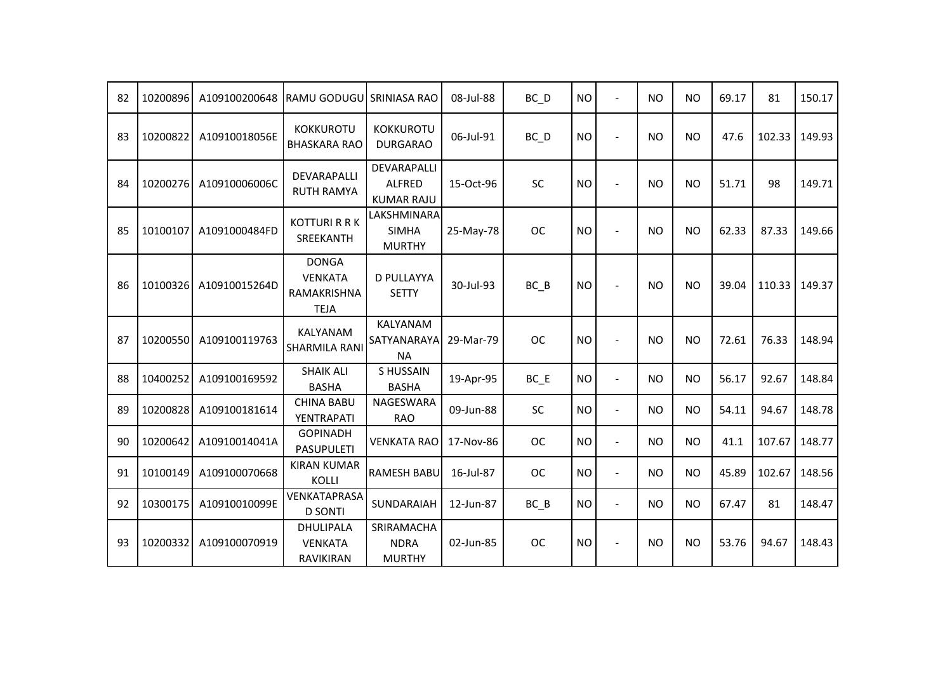| 82 | 10200896 | A109100200648 | RAMU GODUGU SRINIASA RAO                                     |                                                   | 08-Jul-88 | $BC$ $D$  | <b>NO</b> | $\overline{\phantom{a}}$ | <b>NO</b> | <b>NO</b> | 69.17 | 81     | 150.17 |
|----|----------|---------------|--------------------------------------------------------------|---------------------------------------------------|-----------|-----------|-----------|--------------------------|-----------|-----------|-------|--------|--------|
| 83 | 10200822 | A10910018056E | <b>KOKKUROTU</b><br><b>BHASKARA RAO</b>                      | <b>KOKKUROTU</b><br><b>DURGARAO</b>               | 06-Jul-91 | $BC$ $D$  | <b>NO</b> | $\blacksquare$           | <b>NO</b> | <b>NO</b> | 47.6  | 102.33 | 149.93 |
| 84 | 10200276 | A10910006006C | DEVARAPALLI<br><b>RUTH RAMYA</b>                             | DEVARAPALLI<br><b>ALFRED</b><br><b>KUMAR RAJU</b> | 15-Oct-96 | <b>SC</b> | <b>NO</b> | ÷.                       | <b>NO</b> | <b>NO</b> | 51.71 | 98     | 149.71 |
| 85 | 10100107 | A1091000484FD | <b>KOTTURI R R K</b><br>SREEKANTH                            | LAKSHMINARA<br><b>SIMHA</b><br><b>MURTHY</b>      | 25-May-78 | <b>OC</b> | <b>NO</b> |                          | <b>NO</b> | <b>NO</b> | 62.33 | 87.33  | 149.66 |
| 86 | 10100326 | A10910015264D | <b>DONGA</b><br><b>VENKATA</b><br>RAMAKRISHNA<br><b>TEJA</b> | <b>D PULLAYYA</b><br><b>SETTY</b>                 | 30-Jul-93 | BC B      | <b>NO</b> | $\blacksquare$           | <b>NO</b> | <b>NO</b> | 39.04 | 110.33 | 149.37 |
| 87 | 10200550 | A109100119763 | KALYANAM<br>SHARMILA RANI                                    | KALYANAM<br>SATYANARAYA<br><b>NA</b>              | 29-Mar-79 | <b>OC</b> | <b>NO</b> |                          | <b>NO</b> | <b>NO</b> | 72.61 | 76.33  | 148.94 |
| 88 | 10400252 | A109100169592 | <b>SHAIK ALI</b><br><b>BASHA</b>                             | <b>SHUSSAIN</b><br><b>BASHA</b>                   | 19-Apr-95 | $BC$ $E$  | <b>NO</b> | $\overline{\phantom{a}}$ | <b>NO</b> | <b>NO</b> | 56.17 | 92.67  | 148.84 |
| 89 | 10200828 | A109100181614 | <b>CHINA BABU</b><br>YENTRAPATI                              | NAGESWARA<br><b>RAO</b>                           | 09-Jun-88 | <b>SC</b> | <b>NO</b> | $\blacksquare$           | <b>NO</b> | <b>NO</b> | 54.11 | 94.67  | 148.78 |
| 90 | 10200642 | A10910014041A | <b>GOPINADH</b><br><b>PASUPULETI</b>                         | <b>VENKATA RAO</b>                                | 17-Nov-86 | <b>OC</b> | <b>NO</b> | $\blacksquare$           | <b>NO</b> | <b>NO</b> | 41.1  | 107.67 | 148.77 |
| 91 | 10100149 | A109100070668 | <b>KIRAN KUMAR</b><br>KOLLI                                  | <b>RAMESH BABU</b>                                | 16-Jul-87 | <b>OC</b> | <b>NO</b> | ÷,                       | <b>NO</b> | <b>NO</b> | 45.89 | 102.67 | 148.56 |
| 92 | 10300175 | A10910010099E | VENKATAPRASA<br><b>D SONTI</b>                               | SUNDARAIAH                                        | 12-Jun-87 | $BC$ $B$  | <b>NO</b> | $\overline{a}$           | <b>NO</b> | <b>NO</b> | 67.47 | 81     | 148.47 |
| 93 | 10200332 | A109100070919 | DHULIPALA<br><b>VENKATA</b><br><b>RAVIKIRAN</b>              | SRIRAMACHA<br><b>NDRA</b><br><b>MURTHY</b>        | 02-Jun-85 | <b>OC</b> | <b>NO</b> |                          | <b>NO</b> | <b>NO</b> | 53.76 | 94.67  | 148.43 |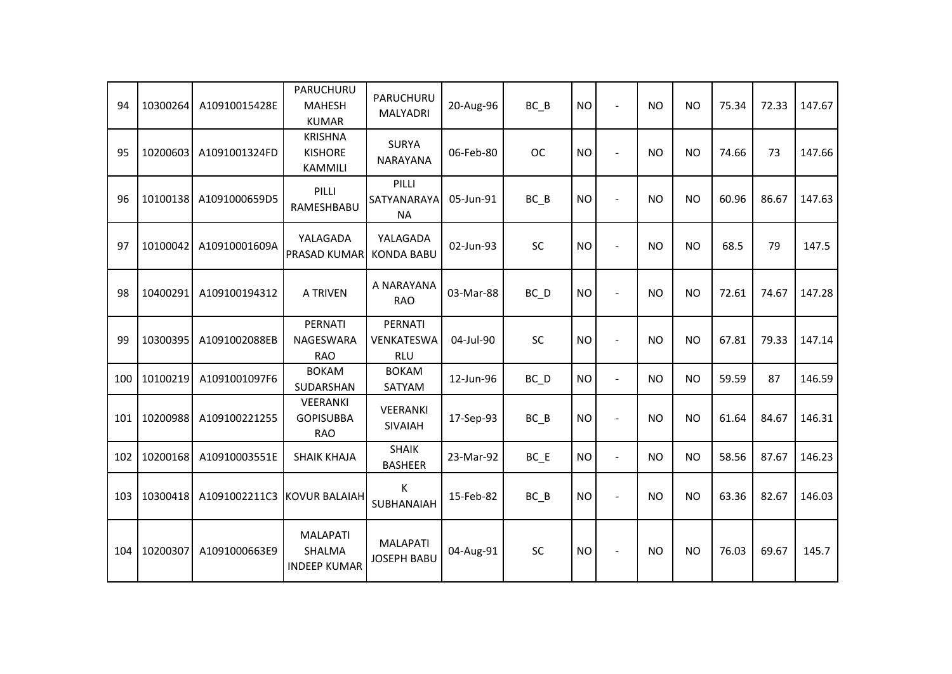| 94  | 10300264 | A10910015428E | PARUCHURU<br><b>MAHESH</b><br><b>KUMAR</b>              | PARUCHURU<br><b>MALYADRI</b>          | 20-Aug-96 | BC B              | <b>NO</b> | $\blacksquare$           | <b>NO</b> | <b>NO</b>      | 75.34 | 72.33 | 147.67 |
|-----|----------|---------------|---------------------------------------------------------|---------------------------------------|-----------|-------------------|-----------|--------------------------|-----------|----------------|-------|-------|--------|
| 95  | 10200603 | A1091001324FD | <b>KRISHNA</b><br><b>KISHORE</b><br><b>KAMMILI</b>      | <b>SURYA</b><br><b>NARAYANA</b>       | 06-Feb-80 | <b>OC</b>         | <b>NO</b> | $\blacksquare$           | <b>NO</b> | <b>NO</b>      | 74.66 | 73    | 147.66 |
| 96  | 10100138 | A1091000659D5 | PILLI<br>RAMESHBABU                                     | PILLI<br>SATYANARAYA<br>ΝA            | 05-Jun-91 | BC B              | <b>NO</b> | $\overline{a}$           | <b>NO</b> | <b>NO</b>      | 60.96 | 86.67 | 147.63 |
| 97  | 10100042 | A10910001609A | YALAGADA<br>PRASAD KUMAR                                | YALAGADA<br><b>KONDA BABU</b>         | 02-Jun-93 | <b>SC</b>         | <b>NO</b> | $\overline{\phantom{a}}$ | <b>NO</b> | <b>NO</b>      | 68.5  | 79    | 147.5  |
| 98  | 10400291 | A109100194312 | A TRIVEN                                                | A NARAYANA<br><b>RAO</b>              | 03-Mar-88 | BC_D              | <b>NO</b> | $\blacksquare$           | <b>NO</b> | <b>NO</b>      | 72.61 | 74.67 | 147.28 |
| 99  | 10300395 | A1091002088EB | PERNATI<br>NAGESWARA<br><b>RAO</b>                      | PERNATI<br>VENKATESWA<br><b>RLU</b>   | 04-Jul-90 | <b>SC</b>         | <b>NO</b> | $\overline{a}$           | <b>NO</b> | <b>NO</b>      | 67.81 | 79.33 | 147.14 |
| 100 | 10100219 | A1091001097F6 | <b>BOKAM</b><br>SUDARSHAN                               | <b>BOKAM</b><br>SATYAM                | 12-Jun-96 | $BC$ <sub>D</sub> | <b>NO</b> | $\blacksquare$           | <b>NO</b> | <b>NO</b>      | 59.59 | 87    | 146.59 |
| 101 | 10200988 | A109100221255 | VEERANKI<br><b>GOPISUBBA</b><br><b>RAO</b>              | VEERANKI<br>SIVAIAH                   | 17-Sep-93 | BC B              | <b>NO</b> | ÷,                       | <b>NO</b> | <b>NO</b>      | 61.64 | 84.67 | 146.31 |
| 102 | 10200168 | A10910003551E | <b>SHAIK KHAJA</b>                                      | <b>SHAIK</b><br><b>BASHEER</b>        | 23-Mar-92 | $BC$ $E$          | <b>NO</b> | $\ddot{\phantom{1}}$     | <b>NO</b> | <b>NO</b>      | 58.56 | 87.67 | 146.23 |
| 103 | 10300418 | A1091002211C3 | <b>IKOVUR BALAIAH</b>                                   | К<br>SUBHANAIAH                       | 15-Feb-82 | $BC$ $B$          | <b>NO</b> | $\overline{\phantom{a}}$ | <b>NO</b> | N <sub>O</sub> | 63.36 | 82.67 | 146.03 |
| 104 | 10200307 | A1091000663E9 | <b>MALAPATI</b><br><b>SHALMA</b><br><b>INDEEP KUMAR</b> | <b>MALAPATI</b><br><b>JOSEPH BABU</b> | 04-Aug-91 | <b>SC</b>         | <b>NO</b> | $\overline{\phantom{a}}$ | <b>NO</b> | <b>NO</b>      | 76.03 | 69.67 | 145.7  |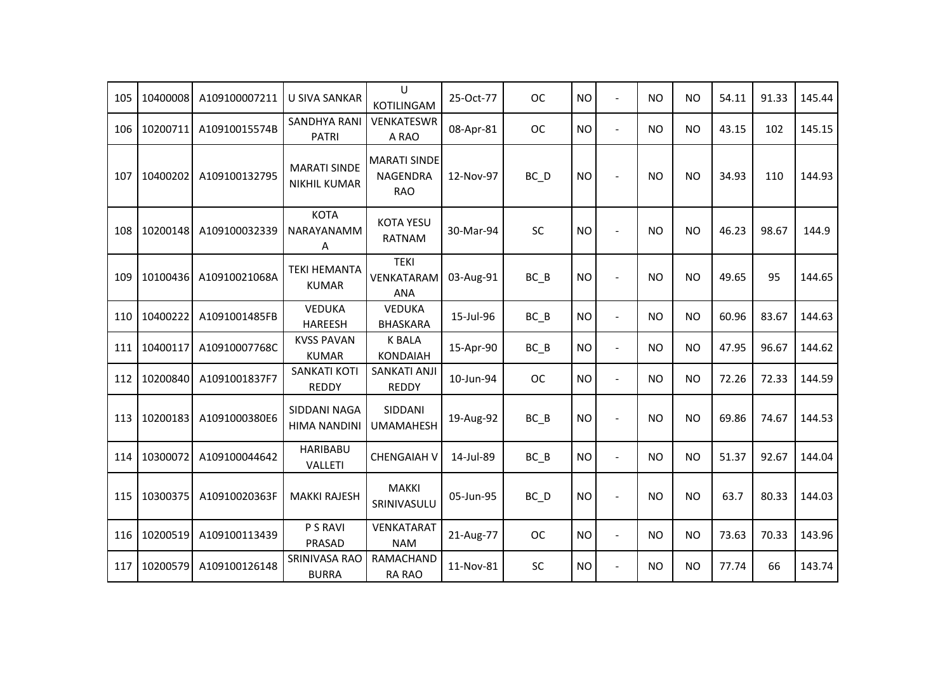| 105 | 10400008 | A109100007211 | <b>U SIVA SANKAR</b>                       | U<br>KOTILINGAM                                      | 25-Oct-77 | <b>OC</b> | <b>NO</b> | $\overline{a}$ | NO        | <b>NO</b> | 54.11 | 91.33 | 145.44 |
|-----|----------|---------------|--------------------------------------------|------------------------------------------------------|-----------|-----------|-----------|----------------|-----------|-----------|-------|-------|--------|
| 106 | 10200711 | A10910015574B | <b>SANDHYA RANI</b><br><b>PATRI</b>        | <b>VENKATESWR</b><br>A RAO                           | 08-Apr-81 | <b>OC</b> | <b>NO</b> | $\blacksquare$ | NO        | <b>NO</b> | 43.15 | 102   | 145.15 |
| 107 | 10400202 | A109100132795 | <b>MARATI SINDE</b><br><b>NIKHIL KUMAR</b> | <b>MARATI SINDE</b><br><b>NAGENDRA</b><br><b>RAO</b> | 12-Nov-97 | BC D      | <b>NO</b> | $\sim$         | <b>NO</b> | <b>NO</b> | 34.93 | 110   | 144.93 |
| 108 | 10200148 | A109100032339 | <b>KOTA</b><br>NARAYANAMM<br>Α             | <b>KOTA YESU</b><br><b>RATNAM</b>                    | 30-Mar-94 | SC        | <b>NO</b> |                | <b>NO</b> | <b>NO</b> | 46.23 | 98.67 | 144.9  |
| 109 | 10100436 | A10910021068A | <b>TEKI HEMANTA</b><br><b>KUMAR</b>        | <b>TEKI</b><br>VENKATARAM<br><b>ANA</b>              | 03-Aug-91 | $BC$ $B$  | <b>NO</b> |                | <b>NO</b> | <b>NO</b> | 49.65 | 95    | 144.65 |
| 110 | 10400222 | A1091001485FB | <b>VEDUKA</b><br><b>HAREESH</b>            | <b>VEDUKA</b><br><b>BHASKARA</b>                     | 15-Jul-96 | $BC$ $B$  | <b>NO</b> | $\blacksquare$ | NO        | <b>NO</b> | 60.96 | 83.67 | 144.63 |
| 111 | 10400117 | A10910007768C | <b>KVSS PAVAN</b><br><b>KUMAR</b>          | <b>K BALA</b><br><b>KONDAIAH</b>                     | 15-Apr-90 | $BC$ $B$  | <b>NO</b> | $\blacksquare$ | NO        | <b>NO</b> | 47.95 | 96.67 | 144.62 |
| 112 | 10200840 | A1091001837F7 | <b>SANKATI KOTI</b><br><b>REDDY</b>        | <b>SANKATI ANJI</b><br><b>REDDY</b>                  | 10-Jun-94 | <b>OC</b> | <b>NO</b> | $\overline{a}$ | <b>NO</b> | <b>NO</b> | 72.26 | 72.33 | 144.59 |
| 113 | 10200183 | A1091000380E6 | SIDDANI NAGA<br><b>HIMA NANDINI</b>        | SIDDANI<br><b>UMAMAHESH</b>                          | 19-Aug-92 | $BC$ $B$  | <b>NO</b> |                | <b>NO</b> | <b>NO</b> | 69.86 | 74.67 | 144.53 |
| 114 | 10300072 | A109100044642 | <b>HARIBABU</b><br>VALLETI                 | <b>CHENGAIAH V</b>                                   | 14-Jul-89 | $BC$ $B$  | <b>NO</b> | $\blacksquare$ | NO        | <b>NO</b> | 51.37 | 92.67 | 144.04 |
| 115 | 10300375 | A10910020363F | <b>MAKKI RAJESH</b>                        | <b>MAKKI</b><br>SRINIVASULU                          | 05-Jun-95 | BC_D      | <b>NO</b> |                | <b>NO</b> | <b>NO</b> | 63.7  | 80.33 | 144.03 |
| 116 | 10200519 | A109100113439 | P S RAVI<br>PRASAD                         | VENKATARAT<br><b>NAM</b>                             | 21-Aug-77 | <b>OC</b> | <b>NO</b> | $\blacksquare$ | <b>NO</b> | <b>NO</b> | 73.63 | 70.33 | 143.96 |
| 117 | 10200579 | A109100126148 | <b>SRINIVASA RAO</b><br><b>BURRA</b>       | <b>RAMACHAND</b><br>RA RAO                           | 11-Nov-81 | SC        | <b>NO</b> | $\blacksquare$ | <b>NO</b> | <b>NO</b> | 77.74 | 66    | 143.74 |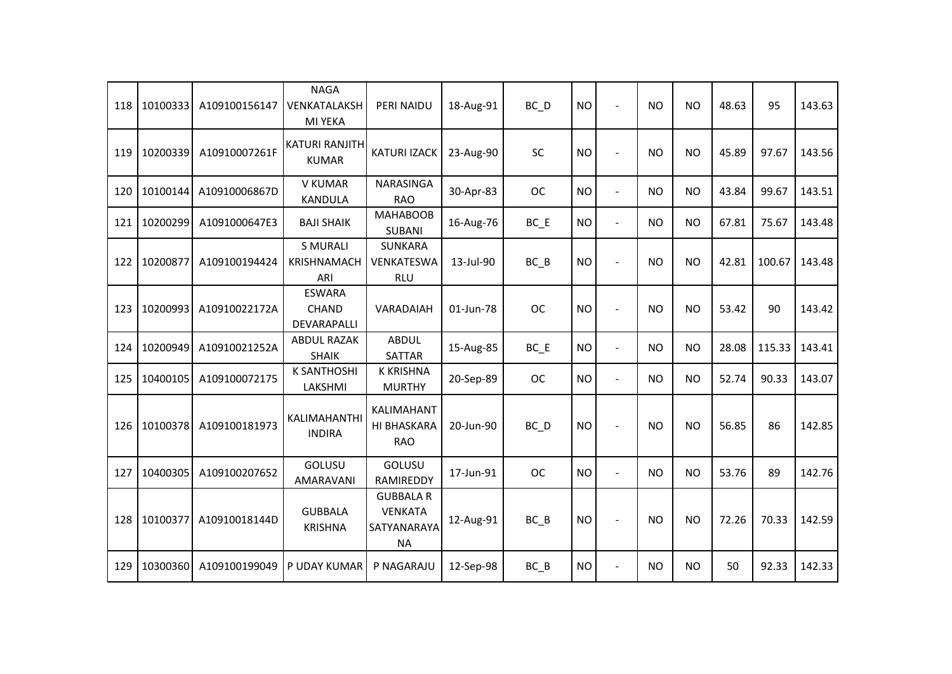| 118 | 10100333 | A109100156147 | <b>NAGA</b><br>VENKATALAKSH<br>MI YEKA       | PERI NAIDU                                              | 18-Aug-91 | $BC$ <sub>D</sub> | <b>NO</b> | $\overline{\phantom{a}}$ | <b>NO</b> | <b>NO</b> | 48.63 | 95     | 143.63 |
|-----|----------|---------------|----------------------------------------------|---------------------------------------------------------|-----------|-------------------|-----------|--------------------------|-----------|-----------|-------|--------|--------|
| 119 | 10200339 | A10910007261F | <b>KATURI RANJITH</b><br><b>KUMAR</b>        | <b>KATURI IZACK</b>                                     | 23-Aug-90 | <b>SC</b>         | <b>NO</b> |                          | <b>NO</b> | <b>NO</b> | 45.89 | 97.67  | 143.56 |
| 120 | 10100144 | A10910006867D | V KUMAR<br><b>KANDULA</b>                    | NARASINGA<br><b>RAO</b>                                 | 30-Apr-83 | <b>OC</b>         | <b>NO</b> | $\blacksquare$           | NO.       | <b>NO</b> | 43.84 | 99.67  | 143.51 |
| 121 | 10200299 | A1091000647E3 | <b>BAJI SHAIK</b>                            | <b>MAHABOOB</b><br><b>SUBANI</b>                        | 16-Aug-76 | $BC$ $E$          | <b>NO</b> | $\overline{\phantom{a}}$ | <b>NO</b> | <b>NO</b> | 67.81 | 75.67  | 143.48 |
| 122 | 10200877 | A109100194424 | <b>S MURALI</b><br><b>KRISHNAMACH</b><br>ARI | <b>SUNKARA</b><br>VENKATESWA<br><b>RLU</b>              | 13-Jul-90 | $BC$ $B$          | <b>NO</b> |                          | <b>NO</b> | <b>NO</b> | 42.81 | 100.67 | 143.48 |
| 123 | 10200993 | A10910022172A | <b>ESWARA</b><br><b>CHAND</b><br>DEVARAPALLI | VARADAIAH                                               | 01-Jun-78 | <b>OC</b>         | <b>NO</b> |                          | <b>NO</b> | <b>NO</b> | 53.42 | 90     | 143.42 |
| 124 | 10200949 | A10910021252A | <b>ABDUL RAZAK</b><br><b>SHAIK</b>           | <b>ABDUL</b><br><b>SATTAR</b>                           | 15-Aug-85 | BC E              | <b>NO</b> | $\overline{a}$           | <b>NO</b> | <b>NO</b> | 28.08 | 115.33 | 143.41 |
| 125 | 10400105 | A109100072175 | <b>K SANTHOSHI</b><br>LAKSHMI                | <b>K KRISHNA</b><br><b>MURTHY</b>                       | 20-Sep-89 | <b>OC</b>         | <b>NO</b> | $\overline{\phantom{a}}$ | <b>NO</b> | <b>NO</b> | 52.74 | 90.33  | 143.07 |
| 126 | 10100378 | A109100181973 | KALIMAHANTHI<br><b>INDIRA</b>                | <b>KALIMAHANT</b><br>HI BHASKARA<br><b>RAO</b>          | 20-Jun-90 | BC_D              | <b>NO</b> |                          | <b>NO</b> | <b>NO</b> | 56.85 | 86     | 142.85 |
| 127 | 10400305 | A109100207652 | GOLUSU<br>AMARAVANI                          | GOLUSU<br>RAMIREDDY                                     | 17-Jun-91 | <b>OC</b>         | <b>NO</b> | $\blacksquare$           | <b>NO</b> | <b>NO</b> | 53.76 | 89     | 142.76 |
| 128 | 10100377 | A10910018144D | <b>GUBBALA</b><br><b>KRISHNA</b>             | <b>GUBBALA R</b><br><b>VENKATA</b><br>SATYANARAYA<br>ΝA | 12-Aug-91 | $BC$ $B$          | <b>NO</b> |                          | <b>NO</b> | <b>NO</b> | 72.26 | 70.33  | 142.59 |
| 129 | 10300360 | A109100199049 | P UDAY KUMAR                                 | P NAGARAJU                                              | 12-Sep-98 | $BC$ $B$          | <b>NO</b> |                          | <b>NO</b> | <b>NO</b> | 50    | 92.33  | 142.33 |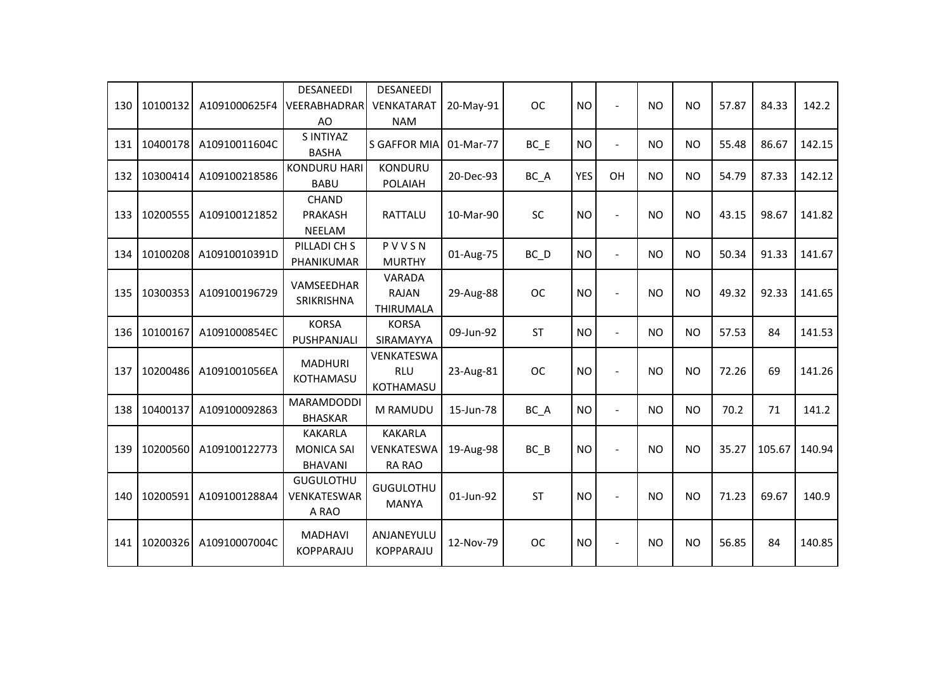| 130 | 10100132 | A1091000625F4 | DESANEEDI<br><b>VEERABHADRAR</b><br>AO                | DESANEEDI<br><b>VENKATARAT</b><br><b>NAM</b> | 20-May-91 | <b>OC</b> | <b>NO</b>  |                          | <b>NO</b> | <b>NO</b> | 57.87 | 84.33  | 142.2  |
|-----|----------|---------------|-------------------------------------------------------|----------------------------------------------|-----------|-----------|------------|--------------------------|-----------|-----------|-------|--------|--------|
| 131 | 10400178 | A10910011604C | S INTIYAZ<br><b>BASHA</b>                             | <b>S GAFFOR MIA</b>                          | 01-Mar-77 | $BC$ $E$  | <b>NO</b>  | $\overline{\phantom{a}}$ | <b>NO</b> | <b>NO</b> | 55.48 | 86.67  | 142.15 |
| 132 | 10300414 | A109100218586 | <b>KONDURU HARI</b><br><b>BABU</b>                    | <b>KONDURU</b><br><b>POLAIAH</b>             | 20-Dec-93 | BC_A      | <b>YES</b> | OH                       | <b>NO</b> | <b>NO</b> | 54.79 | 87.33  | 142.12 |
| 133 | 10200555 | A109100121852 | <b>CHAND</b><br>PRAKASH<br>NEELAM                     | RATTALU                                      | 10-Mar-90 | <b>SC</b> | <b>NO</b>  |                          | <b>NO</b> | <b>NO</b> | 43.15 | 98.67  | 141.82 |
| 134 | 10100208 | A10910010391D | PILLADI CH S<br>PHANIKUMAR                            | PVVSN<br><b>MURTHY</b>                       | 01-Aug-75 | $BC$ $D$  | <b>NO</b>  | $\overline{\phantom{a}}$ | <b>NO</b> | <b>NO</b> | 50.34 | 91.33  | 141.67 |
| 135 | 10300353 | A109100196729 | VAMSEEDHAR<br>SRIKRISHNA                              | VARADA<br><b>RAJAN</b><br><b>THIRUMALA</b>   | 29-Aug-88 | <b>OC</b> | <b>NO</b>  |                          | <b>NO</b> | <b>NO</b> | 49.32 | 92.33  | 141.65 |
| 136 | 10100167 | A1091000854EC | <b>KORSA</b><br>PUSHPANJALI                           | <b>KORSA</b><br>SIRAMAYYA                    | 09-Jun-92 | <b>ST</b> | <b>NO</b>  | $\overline{a}$           | <b>NO</b> | <b>NO</b> | 57.53 | 84     | 141.53 |
| 137 | 10200486 | A1091001056EA | <b>MADHURI</b><br>KOTHAMASU                           | VENKATESWA<br><b>RLU</b><br>KOTHAMASU        | 23-Aug-81 | <b>OC</b> | <b>NO</b>  |                          | <b>NO</b> | <b>NO</b> | 72.26 | 69     | 141.26 |
| 138 | 10400137 | A109100092863 | <b>MARAMDODDI</b><br><b>BHASKAR</b>                   | M RAMUDU                                     | 15-Jun-78 | BC_A      | <b>NO</b>  | $\overline{\phantom{a}}$ | <b>NO</b> | <b>NO</b> | 70.2  | 71     | 141.2  |
| 139 | 10200560 | A109100122773 | <b>KAKARLA</b><br><b>MONICA SAI</b><br><b>BHAVANI</b> | <b>KAKARLA</b><br>VENKATESWA<br>RA RAO       | 19-Aug-98 | $BC$ $B$  | <b>NO</b>  |                          | <b>NO</b> | <b>NO</b> | 35.27 | 105.67 | 140.94 |
| 140 | 10200591 | A1091001288A4 | <b>GUGULOTHU</b><br>VENKATESWAR<br>A RAO              | <b>GUGULOTHU</b><br><b>MANYA</b>             | 01-Jun-92 | <b>ST</b> | <b>NO</b>  |                          | <b>NO</b> | <b>NO</b> | 71.23 | 69.67  | 140.9  |
| 141 | 10200326 | A10910007004C | <b>MADHAVI</b><br><b>KOPPARAJU</b>                    | ANJANEYULU<br><b>KOPPARAJU</b>               | 12-Nov-79 | <b>OC</b> | <b>NO</b>  |                          | <b>NO</b> | <b>NO</b> | 56.85 | 84     | 140.85 |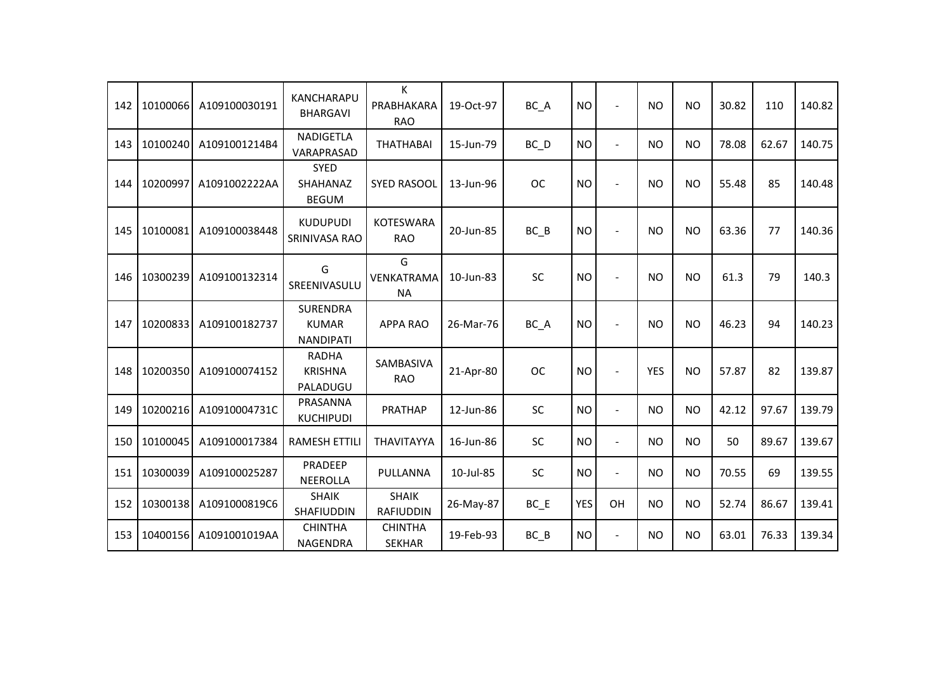| 142 | 10100066 | A109100030191 | <b>KANCHARAPU</b><br><b>BHARGAVI</b>                | K<br>PRABHAKARA<br><b>RAO</b>    | 19-Oct-97 | BC_A      | <b>NO</b>  |                          | <b>NO</b>  | <b>NO</b> | 30.82 | 110   | 140.82 |
|-----|----------|---------------|-----------------------------------------------------|----------------------------------|-----------|-----------|------------|--------------------------|------------|-----------|-------|-------|--------|
| 143 | 10100240 | A1091001214B4 | NADIGETLA<br>VARAPRASAD                             | <b>THATHABAI</b>                 | 15-Jun-79 | $BC$ $D$  | <b>NO</b>  | $\overline{\phantom{a}}$ | <b>NO</b>  | <b>NO</b> | 78.08 | 62.67 | 140.75 |
| 144 | 10200997 | A1091002222AA | <b>SYED</b><br>SHAHANAZ<br><b>BEGUM</b>             | <b>SYED RASOOL</b>               | 13-Jun-96 | <b>OC</b> | <b>NO</b>  |                          | <b>NO</b>  | <b>NO</b> | 55.48 | 85    | 140.48 |
| 145 | 10100081 | A109100038448 | <b>KUDUPUDI</b><br>SRINIVASA RAO                    | <b>KOTESWARA</b><br><b>RAO</b>   | 20-Jun-85 | $BC$ $B$  | <b>NO</b>  |                          | <b>NO</b>  | <b>NO</b> | 63.36 | 77    | 140.36 |
| 146 | 10300239 | A109100132314 | G<br>SREENIVASULU                                   | G<br>VENKATRAMA<br><b>NA</b>     | 10-Jun-83 | SC        | <b>NO</b>  |                          | <b>NO</b>  | <b>NO</b> | 61.3  | 79    | 140.3  |
| 147 | 10200833 | A109100182737 | <b>SURENDRA</b><br><b>KUMAR</b><br><b>NANDIPATI</b> | <b>APPA RAO</b>                  | 26-Mar-76 | BC_A      | <b>NO</b>  |                          | <b>NO</b>  | <b>NO</b> | 46.23 | 94    | 140.23 |
| 148 | 10200350 | A109100074152 | <b>RADHA</b><br><b>KRISHNA</b><br>PALADUGU          | SAMBASIVA<br><b>RAO</b>          | 21-Apr-80 | <b>OC</b> | <b>NO</b>  |                          | <b>YES</b> | <b>NO</b> | 57.87 | 82    | 139.87 |
| 149 | 10200216 | A10910004731C | PRASANNA<br><b>KUCHIPUDI</b>                        | <b>PRATHAP</b>                   | 12-Jun-86 | SC        | <b>NO</b>  | $\blacksquare$           | <b>NO</b>  | <b>NO</b> | 42.12 | 97.67 | 139.79 |
| 150 | 10100045 | A109100017384 | <b>RAMESH ETTILI</b>                                | THAVITAYYA                       | 16-Jun-86 | SC        | <b>NO</b>  | $\overline{\phantom{a}}$ | <b>NO</b>  | <b>NO</b> | 50    | 89.67 | 139.67 |
| 151 | 10300039 | A109100025287 | PRADEEP<br><b>NEEROLLA</b>                          | PULLANNA                         | 10-Jul-85 | SC        | <b>NO</b>  | $\blacksquare$           | <b>NO</b>  | <b>NO</b> | 70.55 | 69    | 139.55 |
| 152 | 10300138 | A1091000819C6 | <b>SHAIK</b><br><b>SHAFIUDDIN</b>                   | <b>SHAIK</b><br><b>RAFIUDDIN</b> | 26-May-87 | $BC$ $E$  | <b>YES</b> | OH                       | <b>NO</b>  | <b>NO</b> | 52.74 | 86.67 | 139.41 |
| 153 | 10400156 | A1091001019AA | <b>CHINTHA</b><br><b>NAGENDRA</b>                   | <b>CHINTHA</b><br><b>SEKHAR</b>  | 19-Feb-93 | $BC$ $B$  | <b>NO</b>  | $\blacksquare$           | <b>NO</b>  | <b>NO</b> | 63.01 | 76.33 | 139.34 |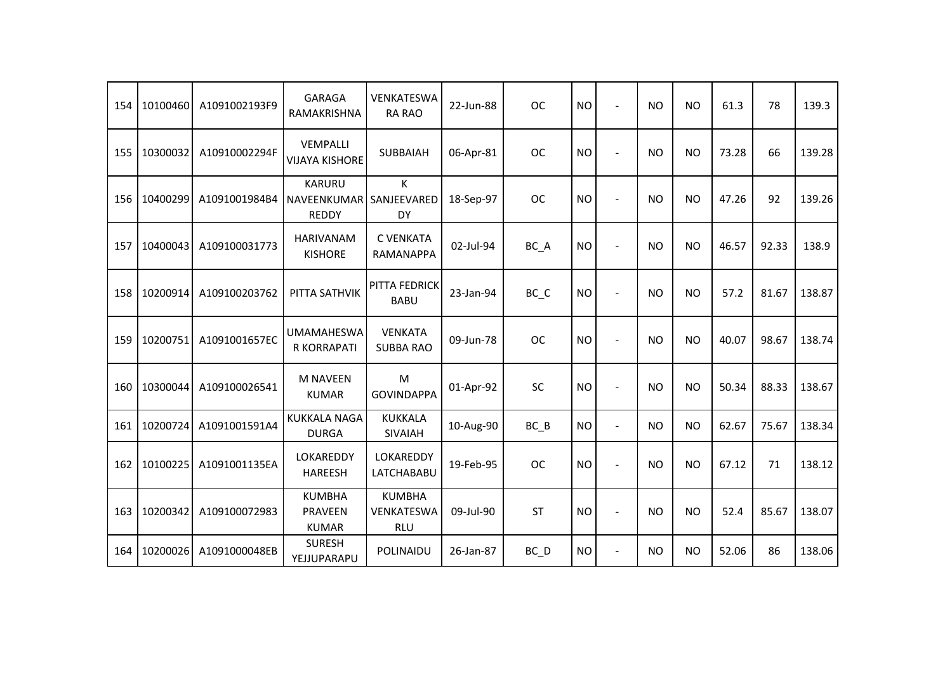| 154 | 10100460 | A1091002193F9 | <b>GARAGA</b><br>RAMAKRISHNA                 | <b>VENKATESWA</b><br><b>RA RAO</b>        | 22-Jun-88 | <b>OC</b> | <b>NO</b> | $\overline{\phantom{a}}$ | <b>NO</b> | <b>NO</b> | 61.3  | 78    | 139.3  |
|-----|----------|---------------|----------------------------------------------|-------------------------------------------|-----------|-----------|-----------|--------------------------|-----------|-----------|-------|-------|--------|
| 155 | 10300032 | A10910002294F | <b>VEMPALLI</b><br><b>VIJAYA KISHORE</b>     | <b>SUBBAIAH</b>                           | 06-Apr-81 | <b>OC</b> | <b>NO</b> |                          | <b>NO</b> | <b>NO</b> | 73.28 | 66    | 139.28 |
| 156 | 10400299 | A1091001984B4 | <b>KARURU</b><br>NAVEENKUMAR<br><b>REDDY</b> | K<br>SANJEEVARED<br>DY                    | 18-Sep-97 | <b>OC</b> | <b>NO</b> |                          | <b>NO</b> | <b>NO</b> | 47.26 | 92    | 139.26 |
| 157 | 10400043 | A109100031773 | HARIVANAM<br><b>KISHORE</b>                  | <b>C VENKATA</b><br>RAMANAPPA             | 02-Jul-94 | BC_A      | <b>NO</b> | $\overline{\phantom{a}}$ | <b>NO</b> | <b>NO</b> | 46.57 | 92.33 | 138.9  |
| 158 | 10200914 | A109100203762 | PITTA SATHVIK                                | PITTA FEDRICK<br><b>BABU</b>              | 23-Jan-94 | BC_C      | <b>NO</b> |                          | <b>NO</b> | <b>NO</b> | 57.2  | 81.67 | 138.87 |
| 159 | 10200751 | A1091001657EC | <b>UMAMAHESWA</b><br>R KORRAPATI             | <b>VENKATA</b><br><b>SUBBA RAO</b>        | 09-Jun-78 | <b>OC</b> | <b>NO</b> |                          | <b>NO</b> | <b>NO</b> | 40.07 | 98.67 | 138.74 |
| 160 | 10300044 | A109100026541 | <b>M NAVEEN</b><br><b>KUMAR</b>              | M<br><b>GOVINDAPPA</b>                    | 01-Apr-92 | SC        | <b>NO</b> | $\blacksquare$           | <b>NO</b> | <b>NO</b> | 50.34 | 88.33 | 138.67 |
| 161 | 10200724 | A1091001591A4 | <b>KUKKALA NAGA</b><br><b>DURGA</b>          | <b>KUKKALA</b><br><b>SIVAIAH</b>          | 10-Aug-90 | $BC$ $B$  | <b>NO</b> | $\blacksquare$           | <b>NO</b> | <b>NO</b> | 62.67 | 75.67 | 138.34 |
| 162 | 10100225 | A1091001135EA | LOKAREDDY<br><b>HAREESH</b>                  | LOKAREDDY<br>LATCHABABU                   | 19-Feb-95 | <b>OC</b> | <b>NO</b> |                          | <b>NO</b> | <b>NO</b> | 67.12 | 71    | 138.12 |
| 163 | 10200342 | A109100072983 | <b>KUMBHA</b><br>PRAVEEN<br><b>KUMAR</b>     | <b>KUMBHA</b><br>VENKATESWA<br><b>RLU</b> | 09-Jul-90 | <b>ST</b> | <b>NO</b> | $\blacksquare$           | <b>NO</b> | <b>NO</b> | 52.4  | 85.67 | 138.07 |
| 164 | 10200026 | A1091000048EB | <b>SURESH</b><br>YEJJUPARAPU                 | POLINAIDU                                 | 26-Jan-87 | BC_D      | <b>NO</b> | $\blacksquare$           | <b>NO</b> | <b>NO</b> | 52.06 | 86    | 138.06 |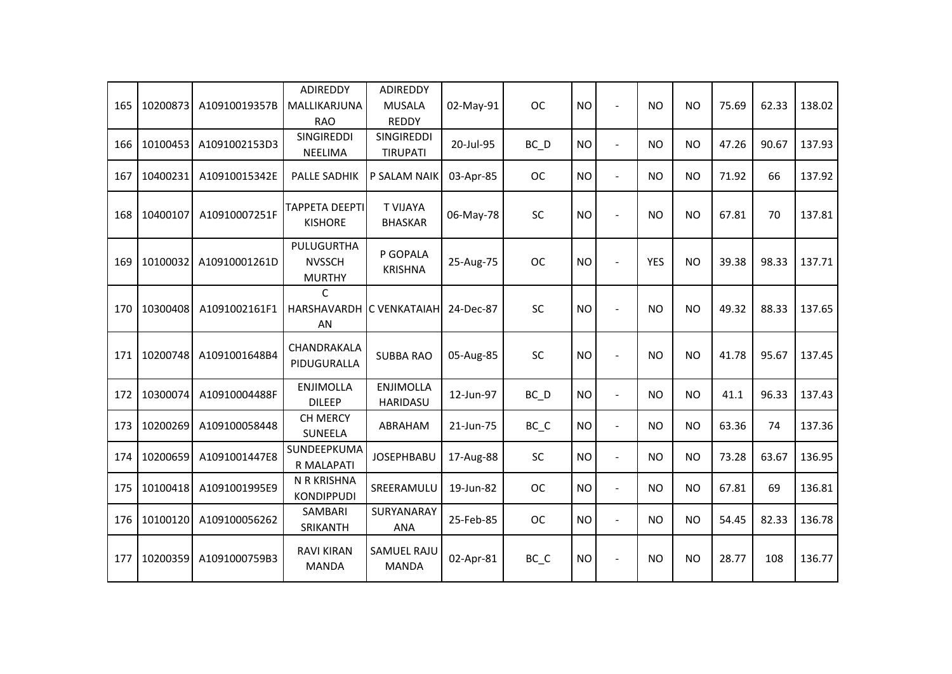| 165 | 10200873 | A10910019357B | <b>ADIREDDY</b><br>MALLIKARJUNA<br><b>RAO</b> | ADIREDDY<br><b>MUSALA</b><br><b>REDDY</b> | 02-May-91 | <b>OC</b>                      | <b>NO</b> |                | <b>NO</b>  | <b>NO</b> | 75.69 | 62.33 | 138.02 |
|-----|----------|---------------|-----------------------------------------------|-------------------------------------------|-----------|--------------------------------|-----------|----------------|------------|-----------|-------|-------|--------|
| 166 | 10100453 | A1091002153D3 | SINGIREDDI<br><b>NEELIMA</b>                  | SINGIREDDI<br><b>TIRUPATI</b>             | 20-Jul-95 | $BC$ <sub>D</sub>              | <b>NO</b> | $\blacksquare$ | <b>NO</b>  | <b>NO</b> | 47.26 | 90.67 | 137.93 |
| 167 | 10400231 | A10910015342E | <b>PALLE SADHIK</b>                           | P SALAM NAIK                              | 03-Apr-85 | <b>OC</b>                      | <b>NO</b> | $\overline{a}$ | <b>NO</b>  | <b>NO</b> | 71.92 | 66    | 137.92 |
| 168 | 10400107 | A10910007251F | <b>TAPPETA DEEPTI</b><br><b>KISHORE</b>       | <b>T VIJAYA</b><br><b>BHASKAR</b>         | 06-May-78 | SC                             | <b>NO</b> |                | <b>NO</b>  | <b>NO</b> | 67.81 | 70    | 137.81 |
| 169 | 10100032 | A10910001261D | PULUGURTHA<br><b>NVSSCH</b><br><b>MURTHY</b>  | P GOPALA<br><b>KRISHNA</b>                | 25-Aug-75 | <b>OC</b>                      | <b>NO</b> |                | <b>YES</b> | <b>NO</b> | 39.38 | 98.33 | 137.71 |
| 170 | 10300408 | A1091002161F1 | C<br>HARSHAVARDH IC VENKATAIAH<br>AN          |                                           | 24-Dec-87 | SC                             | <b>NO</b> |                | <b>NO</b>  | <b>NO</b> | 49.32 | 88.33 | 137.65 |
| 171 | 10200748 | A1091001648B4 | CHANDRAKALA<br>PIDUGURALLA                    | <b>SUBBA RAO</b>                          | 05-Aug-85 | <b>SC</b>                      | <b>NO</b> |                | <b>NO</b>  | <b>NO</b> | 41.78 | 95.67 | 137.45 |
| 172 | 10300074 | A10910004488F | <b>ENJIMOLLA</b><br><b>DILEEP</b>             | <b>ENJIMOLLA</b><br>HARIDASU              | 12-Jun-97 | BC D                           | <b>NO</b> | $\overline{a}$ | <b>NO</b>  | <b>NO</b> | 41.1  | 96.33 | 137.43 |
| 173 | 10200269 | A109100058448 | <b>CH MERCY</b><br><b>SUNEELA</b>             | ABRAHAM                                   | 21-Jun-75 | BC_C                           | <b>NO</b> | $\blacksquare$ | <b>NO</b>  | <b>NO</b> | 63.36 | 74    | 137.36 |
| 174 | 10200659 | A1091001447E8 | SUNDEEPKUMA<br>R MALAPATI                     | <b>JOSEPHBABU</b>                         | 17-Aug-88 | <b>SC</b>                      | <b>NO</b> | $\blacksquare$ | <b>NO</b>  | <b>NO</b> | 73.28 | 63.67 | 136.95 |
| 175 | 10100418 | A1091001995E9 | N R KRISHNA<br><b>KONDIPPUDI</b>              | SREERAMULU                                | 19-Jun-82 | <b>OC</b>                      | <b>NO</b> | $\overline{a}$ | <b>NO</b>  | <b>NO</b> | 67.81 | 69    | 136.81 |
| 176 | 10100120 | A109100056262 | SAMBARI<br>SRIKANTH                           | SURYANARAY<br><b>ANA</b>                  | 25-Feb-85 | <b>OC</b>                      | <b>NO</b> | $\blacksquare$ | <b>NO</b>  | <b>NO</b> | 54.45 | 82.33 | 136.78 |
| 177 | 10200359 | A1091000759B3 | <b>RAVI KIRAN</b><br><b>MANDA</b>             | <b>SAMUEL RAJU</b><br><b>MANDA</b>        | 02-Apr-81 | $BC$ <sub><math>C</math></sub> | <b>NO</b> |                | <b>NO</b>  | <b>NO</b> | 28.77 | 108   | 136.77 |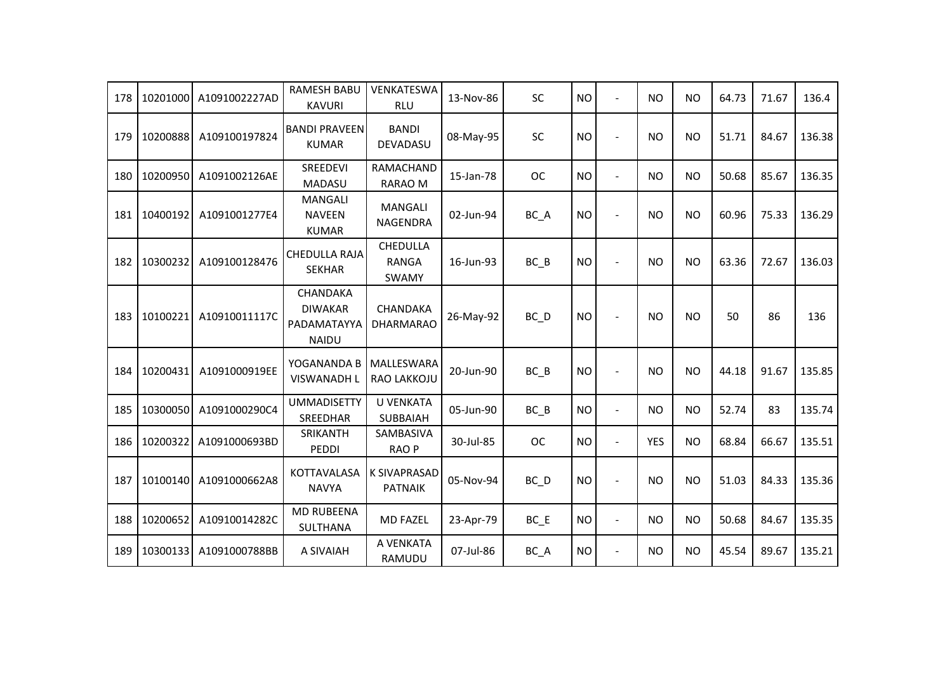| 178 | 10201000 | A1091002227AD | <b>RAMESH BABU</b><br><b>KAVURI</b>                              | VENKATESWA<br><b>RLU</b>              | 13-Nov-86 | <b>SC</b>         | <b>NO</b> | $\overline{\phantom{a}}$ | <b>NO</b>  | <b>NO</b> | 64.73 | 71.67 | 136.4  |
|-----|----------|---------------|------------------------------------------------------------------|---------------------------------------|-----------|-------------------|-----------|--------------------------|------------|-----------|-------|-------|--------|
| 179 | 10200888 | A109100197824 | <b>BANDI PRAVEEN</b><br><b>KUMAR</b>                             | <b>BANDI</b><br>DEVADASU              | 08-May-95 | <b>SC</b>         | <b>NO</b> |                          | <b>NO</b>  | <b>NO</b> | 51.71 | 84.67 | 136.38 |
| 180 | 10200950 | A1091002126AE | SREEDEVI<br>MADASU                                               | RAMACHAND<br>RARAO M                  | 15-Jan-78 | <b>OC</b>         | <b>NO</b> | $\blacksquare$           | <b>NO</b>  | <b>NO</b> | 50.68 | 85.67 | 136.35 |
| 181 | 10400192 | A1091001277E4 | <b>MANGALI</b><br><b>NAVEEN</b><br><b>KUMAR</b>                  | <b>MANGALI</b><br><b>NAGENDRA</b>     | 02-Jun-94 | BC_A              | <b>NO</b> |                          | <b>NO</b>  | <b>NO</b> | 60.96 | 75.33 | 136.29 |
| 182 | 10300232 | A109100128476 | <b>CHEDULLA RAJA</b><br><b>SEKHAR</b>                            | CHEDULLA<br><b>RANGA</b><br>SWAMY     | 16-Jun-93 | BC B              | <b>NO</b> |                          | <b>NO</b>  | <b>NO</b> | 63.36 | 72.67 | 136.03 |
| 183 | 10100221 | A10910011117C | <b>CHANDAKA</b><br><b>DIWAKAR</b><br>PADAMATAYYA<br><b>NAIDU</b> | CHANDAKA<br><b>DHARMARAO</b>          | 26-May-92 | BC D              | <b>NO</b> |                          | <b>NO</b>  | <b>NO</b> | 50    | 86    | 136    |
| 184 | 10200431 | A1091000919EE | YOGANANDA B<br><b>VISWANADH L</b>                                | MALLESWARA<br>RAO LAKKOJU             | 20-Jun-90 | $BC$ $B$          | <b>NO</b> |                          | <b>NO</b>  | <b>NO</b> | 44.18 | 91.67 | 135.85 |
| 185 | 10300050 | A1091000290C4 | <b>UMMADISETTY</b><br>SREEDHAR                                   | U VENKATA<br><b>SUBBAIAH</b>          | 05-Jun-90 | $BC$ $B$          | <b>NO</b> | $\blacksquare$           | <b>NO</b>  | <b>NO</b> | 52.74 | 83    | 135.74 |
| 186 | 10200322 | A1091000693BD | SRIKANTH<br>PEDDI                                                | SAMBASIVA<br><b>RAOP</b>              | 30-Jul-85 | <b>OC</b>         | <b>NO</b> | $\blacksquare$           | <b>YES</b> | <b>NO</b> | 68.84 | 66.67 | 135.51 |
| 187 | 10100140 | A1091000662A8 | KOTTAVALASA<br><b>NAVYA</b>                                      | <b>K SIVAPRASAD</b><br><b>PATNAIK</b> | 05-Nov-94 | $BC$ <sub>D</sub> | <b>NO</b> |                          | <b>NO</b>  | <b>NO</b> | 51.03 | 84.33 | 135.36 |
| 188 | 10200652 | A10910014282C | <b>MD RUBEENA</b><br>SULTHANA                                    | <b>MD FAZEL</b>                       | 23-Apr-79 | $BC$ $E$          | <b>NO</b> | $\blacksquare$           | <b>NO</b>  | <b>NO</b> | 50.68 | 84.67 | 135.35 |
| 189 | 10300133 | A1091000788BB | A SIVAIAH                                                        | A VENKATA<br>RAMUDU                   | 07-Jul-86 | BC_A              | <b>NO</b> | $\blacksquare$           | <b>NO</b>  | NO.       | 45.54 | 89.67 | 135.21 |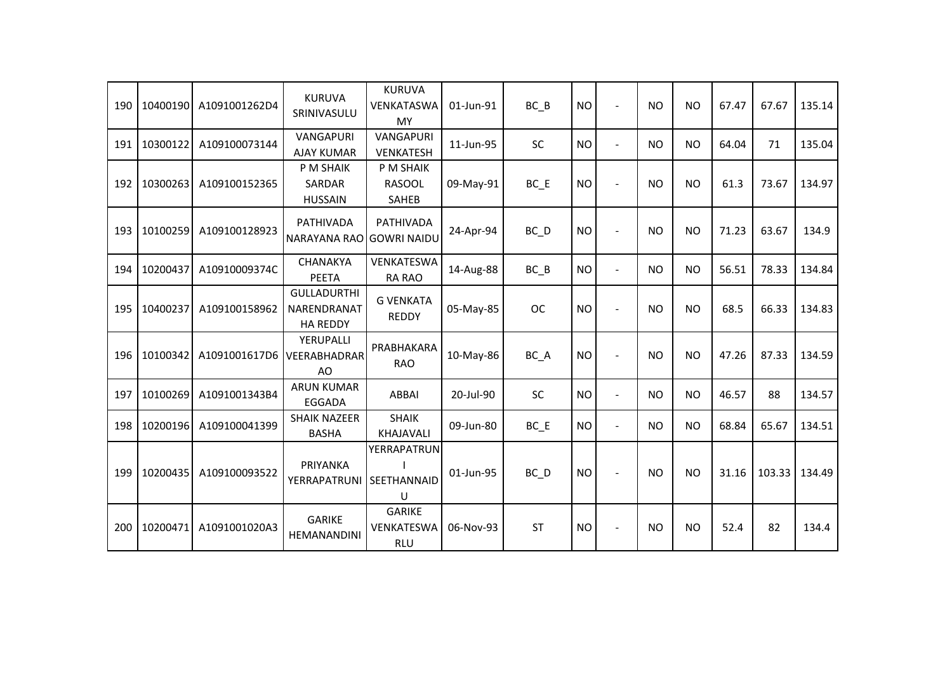| 190 | 10400190 | A1091001262D4 | <b>KURUVA</b><br>SRINIVASULU                         | <b>KURUVA</b><br>VENKATASWA<br><b>MY</b>   | 01-Jun-91 | BC B              | <b>NO</b> |                | <b>NO</b> | <b>NO</b> | 67.47 | 67.67  | 135.14 |
|-----|----------|---------------|------------------------------------------------------|--------------------------------------------|-----------|-------------------|-----------|----------------|-----------|-----------|-------|--------|--------|
| 191 | 10300122 | A109100073144 | <b>VANGAPURI</b><br><b>AJAY KUMAR</b>                | <b>VANGAPURI</b><br><b>VENKATESH</b>       | 11-Jun-95 | <b>SC</b>         | <b>NO</b> |                | <b>NO</b> | <b>NO</b> | 64.04 | 71     | 135.04 |
| 192 | 10300263 | A109100152365 | P M SHAIK<br>SARDAR<br><b>HUSSAIN</b>                | P M SHAIK<br><b>RASOOL</b><br><b>SAHEB</b> | 09-May-91 | BC E              | <b>NO</b> |                | <b>NO</b> | <b>NO</b> | 61.3  | 73.67  | 134.97 |
| 193 | 10100259 | A109100128923 | <b>PATHIVADA</b><br><b>NARAYANA RAO</b>              | <b>PATHIVADA</b><br><b>GOWRI NAIDU</b>     | 24-Apr-94 | $BC$ <sub>D</sub> | <b>NO</b> |                | <b>NO</b> | <b>NO</b> | 71.23 | 63.67  | 134.9  |
| 194 | 10200437 | A10910009374C | <b>CHANAKYA</b><br><b>PEETA</b>                      | VENKATESWA<br><b>RA RAO</b>                | 14-Aug-88 | $BC$ $B$          | <b>NO</b> |                | <b>NO</b> | <b>NO</b> | 56.51 | 78.33  | 134.84 |
| 195 | 10400237 | A109100158962 | <b>GULLADURTHI</b><br>NARENDRANAT<br><b>HA REDDY</b> | <b>G VENKATA</b><br><b>REDDY</b>           | 05-May-85 | <b>OC</b>         | <b>NO</b> |                | <b>NO</b> | <b>NO</b> | 68.5  | 66.33  | 134.83 |
| 196 | 10100342 | A1091001617D6 | YERUPALLI<br>VEERABHADRAR<br>AO                      | PRABHAKARA<br><b>RAO</b>                   | 10-May-86 | BC_A              | <b>NO</b> |                | <b>NO</b> | <b>NO</b> | 47.26 | 87.33  | 134.59 |
| 197 | 10100269 | A1091001343B4 | <b>ARUN KUMAR</b><br><b>EGGADA</b>                   | <b>ABBAI</b>                               | 20-Jul-90 | <b>SC</b>         | <b>NO</b> | $\blacksquare$ | <b>NO</b> | <b>NO</b> | 46.57 | 88     | 134.57 |
| 198 | 10200196 | A109100041399 | <b>SHAIK NAZEER</b><br><b>BASHA</b>                  | <b>SHAIK</b><br><b>KHAJAVALI</b>           | 09-Jun-80 | $BC$ $E$          | <b>NO</b> | $\blacksquare$ | <b>NO</b> | <b>NO</b> | 68.84 | 65.67  | 134.51 |
| 199 | 10200435 | A109100093522 | PRIYANKA<br><b>YERRAPATRUNI</b>                      | YERRAPATRUN<br>SEETHANNAID<br>U            | 01-Jun-95 | $BC$ <sub>D</sub> | <b>NO</b> | $\blacksquare$ | <b>NO</b> | <b>NO</b> | 31.16 | 103.33 | 134.49 |
| 200 | 10200471 | A1091001020A3 | <b>GARIKE</b><br>HEMANANDINI                         | <b>GARIKE</b><br>VENKATESWA<br><b>RLU</b>  | 06-Nov-93 | <b>ST</b>         | <b>NO</b> |                | <b>NO</b> | <b>NO</b> | 52.4  | 82     | 134.4  |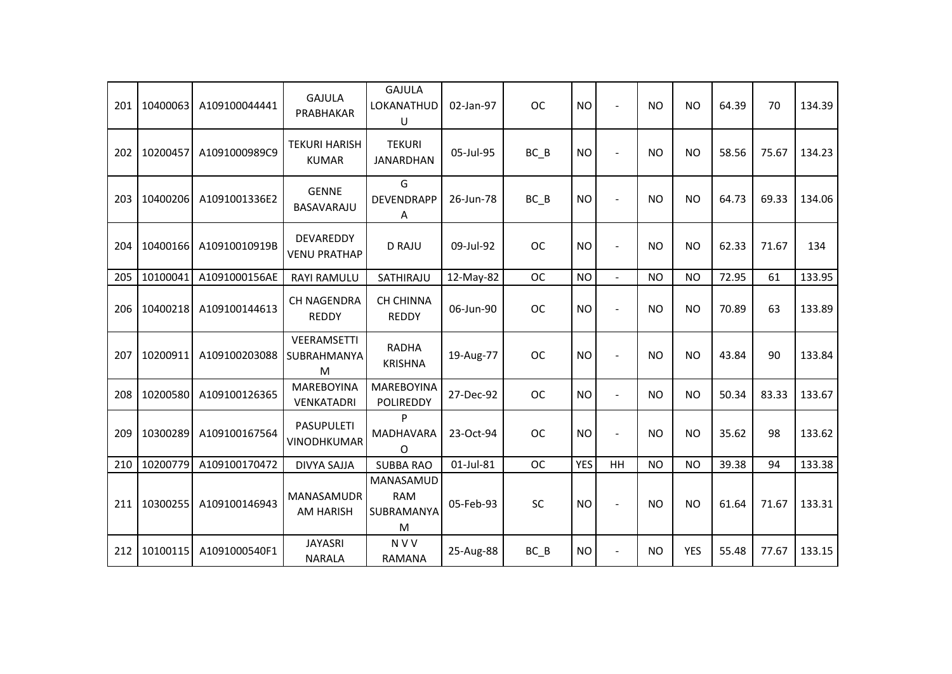| 201 | 10400063 | A109100044441 | <b>GAJULA</b><br>PRABHAKAR           | <b>GAJULA</b><br>LOKANATHUD<br>U           | 02-Jan-97 | <b>OC</b> | <b>NO</b>  | $\overline{a}$ | <b>NO</b> | <b>NO</b>  | 64.39 | 70    | 134.39 |
|-----|----------|---------------|--------------------------------------|--------------------------------------------|-----------|-----------|------------|----------------|-----------|------------|-------|-------|--------|
| 202 | 10200457 | A1091000989C9 | <b>TEKURI HARISH</b><br><b>KUMAR</b> | <b>TEKURI</b><br><b>JANARDHAN</b>          | 05-Jul-95 | $BC$ $B$  | <b>NO</b>  |                | <b>NO</b> | <b>NO</b>  | 58.56 | 75.67 | 134.23 |
| 203 | 10400206 | A1091001336E2 | <b>GENNE</b><br>BASAVARAJU           | G<br><b>DEVENDRAPP</b><br>Α                | 26-Jun-78 | BC B      | <b>NO</b>  |                | <b>NO</b> | <b>NO</b>  | 64.73 | 69.33 | 134.06 |
| 204 | 10400166 | A10910010919B | DEVAREDDY<br><b>VENU PRATHAP</b>     | <b>D RAJU</b>                              | 09-Jul-92 | <b>OC</b> | <b>NO</b>  | $\sim$         | <b>NO</b> | <b>NO</b>  | 62.33 | 71.67 | 134    |
| 205 | 10100041 | A1091000156AE | <b>RAYI RAMULU</b>                   | SATHIRAJU                                  | 12-May-82 | <b>OC</b> | <b>NO</b>  | $\overline{a}$ | <b>NO</b> | <b>NO</b>  | 72.95 | 61    | 133.95 |
| 206 | 10400218 | A109100144613 | <b>CH NAGENDRA</b><br><b>REDDY</b>   | <b>CH CHINNA</b><br><b>REDDY</b>           | 06-Jun-90 | <b>OC</b> | <b>NO</b>  |                | <b>NO</b> | <b>NO</b>  | 70.89 | 63    | 133.89 |
| 207 | 10200911 | A109100203088 | VEERAMSETTI<br>SUBRAHMANYA<br>M      | <b>RADHA</b><br><b>KRISHNA</b>             | 19-Aug-77 | <b>OC</b> | <b>NO</b>  |                | <b>NO</b> | <b>NO</b>  | 43.84 | 90    | 133.84 |
| 208 | 10200580 | A109100126365 | <b>MAREBOYINA</b><br>VENKATADRI      | <b>MAREBOYINA</b><br><b>POLIREDDY</b>      | 27-Dec-92 | <b>OC</b> | <b>NO</b>  | $\overline{a}$ | <b>NO</b> | <b>NO</b>  | 50.34 | 83.33 | 133.67 |
| 209 | 10300289 | A109100167564 | <b>PASUPULETI</b><br>VINODHKUMAR     | P<br><b>MADHAVARA</b><br>$\Omega$          | 23-Oct-94 | <b>OC</b> | <b>NO</b>  | $\blacksquare$ | <b>NO</b> | <b>NO</b>  | 35.62 | 98    | 133.62 |
| 210 | 10200779 | A109100170472 | <b>DIVYA SAJJA</b>                   | <b>SUBBA RAO</b>                           | 01-Jul-81 | <b>OC</b> | <b>YES</b> | HH             | <b>NO</b> | <b>NO</b>  | 39.38 | 94    | 133.38 |
| 211 | 10300255 | A109100146943 | MANASAMUDR<br><b>AM HARISH</b>       | MANASAMUD<br><b>RAM</b><br>SUBRAMANYA<br>M | 05-Feb-93 | SC        | <b>NO</b>  |                | <b>NO</b> | <b>NO</b>  | 61.64 | 71.67 | 133.31 |
| 212 | 10100115 | A1091000540F1 | <b>JAYASRI</b><br><b>NARALA</b>      | <b>NVV</b><br><b>RAMANA</b>                | 25-Aug-88 | $BC$ $B$  | <b>NO</b>  | $\blacksquare$ | <b>NO</b> | <b>YES</b> | 55.48 | 77.67 | 133.15 |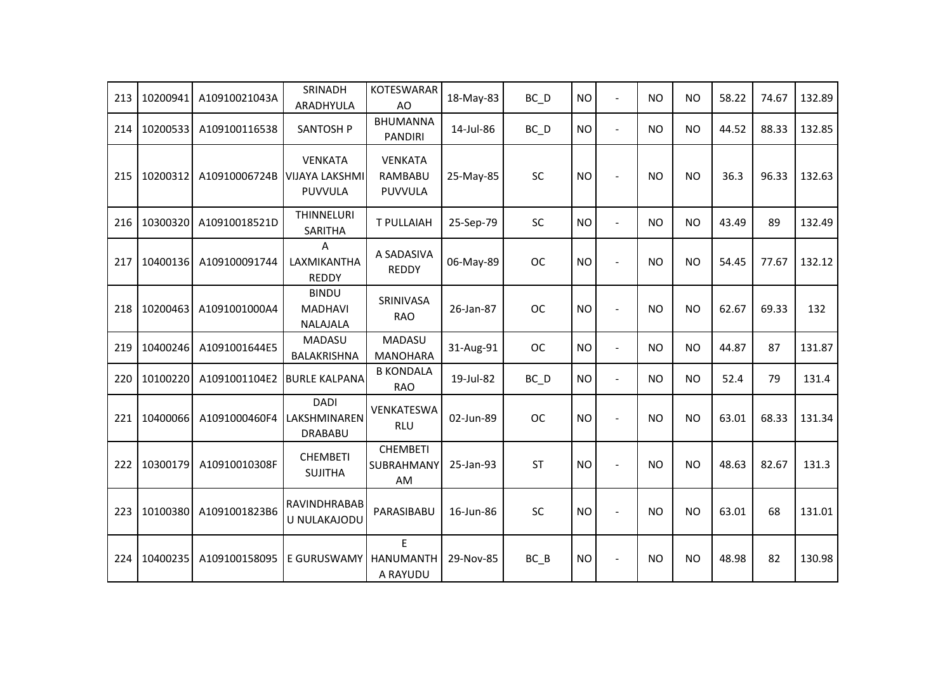| 213 | 10200941 | A10910021043A | SRINADH<br>ARADHYULA                               | <b>KOTESWARAR</b><br>AO                     | 18-May-83 | $BC$ $D$  | <b>NO</b> | $\overline{a}$ | <b>NO</b> | <b>NO</b> | 58.22 | 74.67 | 132.89 |
|-----|----------|---------------|----------------------------------------------------|---------------------------------------------|-----------|-----------|-----------|----------------|-----------|-----------|-------|-------|--------|
| 214 | 10200533 | A109100116538 | <b>SANTOSH P</b>                                   | <b>BHUMANNA</b><br><b>PANDIRI</b>           | 14-Jul-86 | $BC$ $D$  | <b>NO</b> | $\blacksquare$ | <b>NO</b> | <b>NO</b> | 44.52 | 88.33 | 132.85 |
| 215 | 10200312 | A10910006724B | <b>VENKATA</b><br><b>VIJAYA LAKSHMI</b><br>PUVVULA | <b>VENKATA</b><br>RAMBABU<br><b>PUVVULA</b> | 25-May-85 | SC        | <b>NO</b> | $\sim$         | <b>NO</b> | <b>NO</b> | 36.3  | 96.33 | 132.63 |
| 216 | 10300320 | A10910018521D | THINNELURI<br>SARITHA                              | T PULLAIAH                                  | 25-Sep-79 | SC        | <b>NO</b> | $\blacksquare$ | <b>NO</b> | <b>NO</b> | 43.49 | 89    | 132.49 |
| 217 | 10400136 | A109100091744 | A<br>LAXMIKANTHA<br><b>REDDY</b>                   | A SADASIVA<br><b>REDDY</b>                  | 06-May-89 | <b>OC</b> | <b>NO</b> |                | <b>NO</b> | <b>NO</b> | 54.45 | 77.67 | 132.12 |
| 218 | 10200463 | A1091001000A4 | <b>BINDU</b><br><b>MADHAVI</b><br><b>NALAJALA</b>  | SRINIVASA<br><b>RAO</b>                     | 26-Jan-87 | <b>OC</b> | <b>NO</b> |                | <b>NO</b> | <b>NO</b> | 62.67 | 69.33 | 132    |
| 219 | 10400246 | A1091001644E5 | <b>MADASU</b><br>BALAKRISHNA                       | MADASU<br><b>MANOHARA</b>                   | 31-Aug-91 | <b>OC</b> | <b>NO</b> | $\blacksquare$ | <b>NO</b> | <b>NO</b> | 44.87 | 87    | 131.87 |
| 220 | 10100220 | A1091001104E2 | <b>BURLE KALPANA</b>                               | <b>B KONDALA</b><br><b>RAO</b>              | 19-Jul-82 | $BC$ $D$  | <b>NO</b> | $\blacksquare$ | <b>NO</b> | <b>NO</b> | 52.4  | 79    | 131.4  |
| 221 | 10400066 | A1091000460F4 | <b>DADI</b><br>LAKSHMINAREN<br><b>DRABABU</b>      | VENKATESWA<br><b>RLU</b>                    | 02-Jun-89 | <b>OC</b> | <b>NO</b> | $\sim$         | NO.       | <b>NO</b> | 63.01 | 68.33 | 131.34 |
| 222 | 10300179 | A10910010308F | <b>CHEMBETI</b><br><b>SUJITHA</b>                  | <b>CHEMBETI</b><br>SUBRAHMANY<br>AM         | 25-Jan-93 | <b>ST</b> | <b>NO</b> | $\sim$         | <b>NO</b> | <b>NO</b> | 48.63 | 82.67 | 131.3  |
| 223 | 10100380 | A1091001823B6 | RAVINDHRABAB<br>U NULAKAJODU                       | PARASIBABU                                  | 16-Jun-86 | SC        | <b>NO</b> | $\blacksquare$ | <b>NO</b> | <b>NO</b> | 63.01 | 68    | 131.01 |
| 224 | 10400235 | A109100158095 | E GURUSWAMY                                        | E<br><b>HANUMANTH</b><br>A RAYUDU           | 29-Nov-85 | BC B      | <b>NO</b> |                | <b>NO</b> | <b>NO</b> | 48.98 | 82    | 130.98 |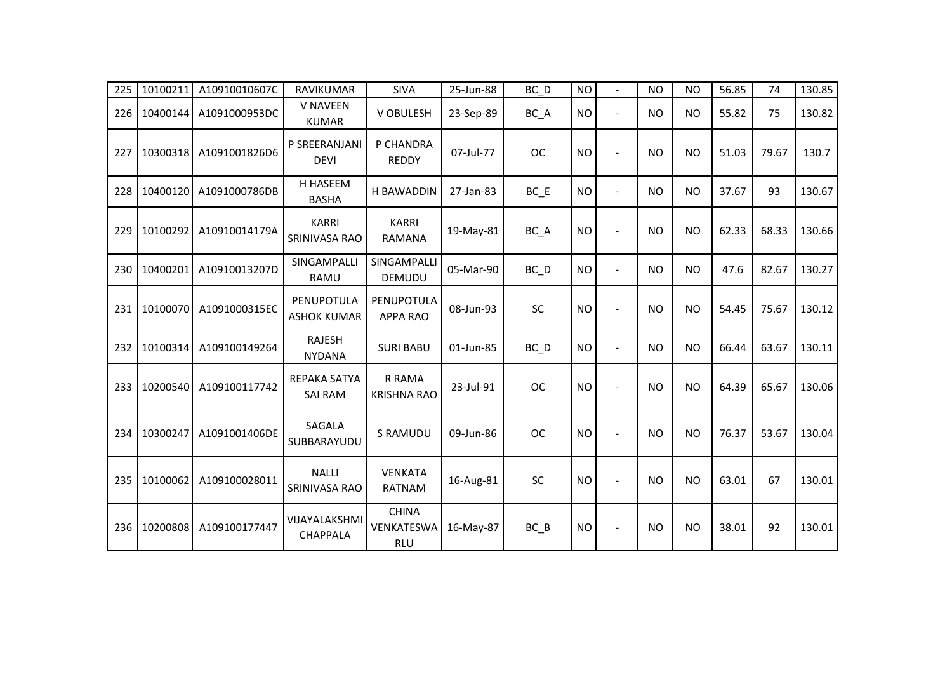| 225 | 10100211 | A10910010607C | <b>RAVIKUMAR</b>                      | <b>SIVA</b>                              | 25-Jun-88 | BC_D      | <b>NO</b> | $\overline{\phantom{a}}$ | <b>NO</b> | <b>NO</b> | 56.85 | 74    | 130.85 |
|-----|----------|---------------|---------------------------------------|------------------------------------------|-----------|-----------|-----------|--------------------------|-----------|-----------|-------|-------|--------|
| 226 | 10400144 | A1091000953DC | <b>V NAVEEN</b><br><b>KUMAR</b>       | V OBULESH                                | 23-Sep-89 | BC_A      | <b>NO</b> | $\mathbf{r}$             | NO.       | <b>NO</b> | 55.82 | 75    | 130.82 |
| 227 | 10300318 | A1091001826D6 | P SREERANJANI<br><b>DEVI</b>          | P CHANDRA<br><b>REDDY</b>                | 07-Jul-77 | <b>OC</b> | <b>NO</b> | $\blacksquare$           | <b>NO</b> | <b>NO</b> | 51.03 | 79.67 | 130.7  |
| 228 | 10400120 | A1091000786DB | H HASEEM<br><b>BASHA</b>              | <b>H BAWADDIN</b>                        | 27-Jan-83 | $BC$ $E$  | <b>NO</b> | $\blacksquare$           | <b>NO</b> | <b>NO</b> | 37.67 | 93    | 130.67 |
| 229 | 10100292 | A10910014179A | <b>KARRI</b><br>SRINIVASA RAO         | <b>KARRI</b><br><b>RAMANA</b>            | 19-May-81 | BC A      | <b>NO</b> |                          | <b>NO</b> | <b>NO</b> | 62.33 | 68.33 | 130.66 |
| 230 | 10400201 | A10910013207D | SINGAMPALLI<br>RAMU                   | SINGAMPALLI<br><b>DEMUDU</b>             | 05-Mar-90 | $BC$ $D$  | <b>NO</b> | $\overline{a}$           | <b>NO</b> | <b>NO</b> | 47.6  | 82.67 | 130.27 |
| 231 | 10100070 | A1091000315EC | PENUPOTULA<br><b>ASHOK KUMAR</b>      | PENUPOTULA<br><b>APPA RAO</b>            | 08-Jun-93 | SC        | <b>NO</b> | $\sim$                   | <b>NO</b> | <b>NO</b> | 54.45 | 75.67 | 130.12 |
| 232 | 10100314 | A109100149264 | <b>RAJESH</b><br><b>NYDANA</b>        | <b>SURI BABU</b>                         | 01-Jun-85 | BC_D      | <b>NO</b> | $\blacksquare$           | <b>NO</b> | <b>NO</b> | 66.44 | 63.67 | 130.11 |
| 233 | 10200540 | A109100117742 | <b>REPAKA SATYA</b><br><b>SAI RAM</b> | R RAMA<br><b>KRISHNA RAO</b>             | 23-Jul-91 | <b>OC</b> | <b>NO</b> |                          | <b>NO</b> | <b>NO</b> | 64.39 | 65.67 | 130.06 |
| 234 | 10300247 | A1091001406DE | SAGALA<br>SUBBARAYUDU                 | S RAMUDU                                 | 09-Jun-86 | <b>OC</b> | <b>NO</b> | $\sim$                   | NO.       | <b>NO</b> | 76.37 | 53.67 | 130.04 |
| 235 | 10100062 | A109100028011 | <b>NALLI</b><br>SRINIVASA RAO         | <b>VENKATA</b><br><b>RATNAM</b>          | 16-Aug-81 | <b>SC</b> | <b>NO</b> |                          | <b>NO</b> | <b>NO</b> | 63.01 | 67    | 130.01 |
| 236 | 10200808 | A109100177447 | VIJAYALAKSHMI<br><b>CHAPPALA</b>      | <b>CHINA</b><br>VENKATESWA<br><b>RLU</b> | 16-May-87 | $BC$ $B$  | <b>NO</b> |                          | NO.       | <b>NO</b> | 38.01 | 92    | 130.01 |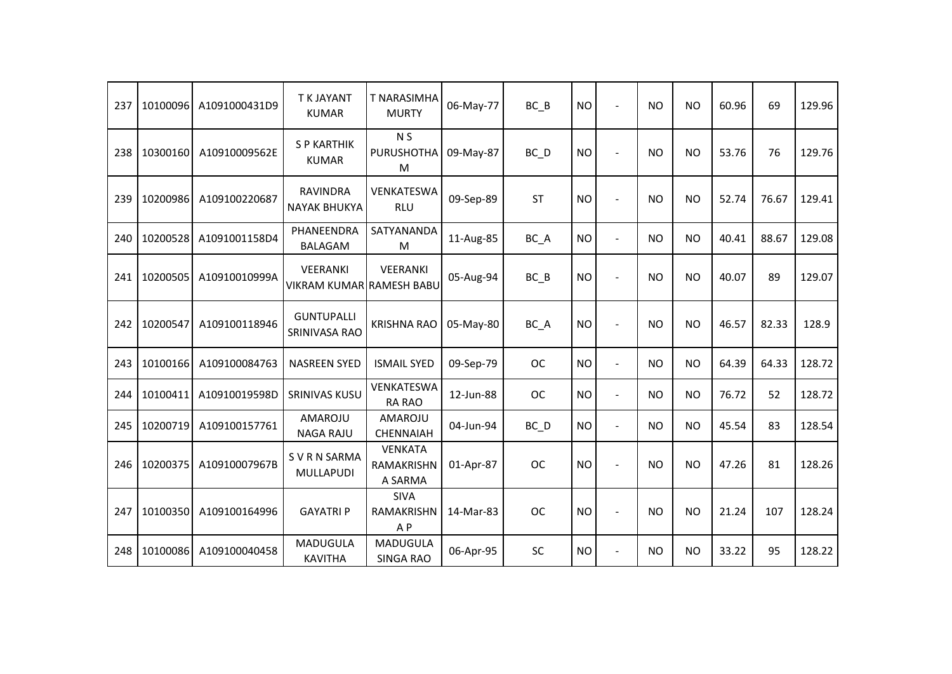| 237 | 10100096 | A1091000431D9 | <b>T K JAYANT</b><br><b>KUMAR</b>           | <b>T NARASIMHA</b><br><b>MURTY</b>                 | 06-May-77 | BC B              | <b>NO</b> | $\overline{a}$           | <b>NO</b> | <b>NO</b> | 60.96 | 69    | 129.96 |
|-----|----------|---------------|---------------------------------------------|----------------------------------------------------|-----------|-------------------|-----------|--------------------------|-----------|-----------|-------|-------|--------|
| 238 | 10300160 | A10910009562E | <b>S P KARTHIK</b><br><b>KUMAR</b>          | N <sub>S</sub><br><b>PURUSHOTHA</b><br>M           | 09-May-87 | $BC$ <sub>D</sub> | <b>NO</b> |                          | <b>NO</b> | <b>NO</b> | 53.76 | 76    | 129.76 |
| 239 | 10200986 | A109100220687 | <b>RAVINDRA</b><br><b>NAYAK BHUKYA</b>      | VENKATESWA<br><b>RLU</b>                           | 09-Sep-89 | <b>ST</b>         | <b>NO</b> |                          | <b>NO</b> | <b>NO</b> | 52.74 | 76.67 | 129.41 |
| 240 | 10200528 | A1091001158D4 | PHANEENDRA<br><b>BALAGAM</b>                | SATYANANDA<br>M                                    | 11-Aug-85 | BC_A              | <b>NO</b> | $\overline{\phantom{a}}$ | <b>NO</b> | <b>NO</b> | 40.41 | 88.67 | 129.08 |
| 241 | 10200505 | A10910010999A | VEERANKI<br><b>VIKRAM KUMAR RAMESH BABU</b> | VEERANKI                                           | 05-Aug-94 | $BC$ $B$          | <b>NO</b> |                          | <b>NO</b> | <b>NO</b> | 40.07 | 89    | 129.07 |
| 242 | 10200547 | A109100118946 | <b>GUNTUPALLI</b><br>SRINIVASA RAO          | <b>KRISHNA RAO</b>                                 | 05-May-80 | $BC_A$            | <b>NO</b> |                          | <b>NO</b> | <b>NO</b> | 46.57 | 82.33 | 128.9  |
| 243 | 10100166 | A109100084763 | <b>NASREEN SYED</b>                         | <b>ISMAIL SYED</b>                                 | 09-Sep-79 | <b>OC</b>         | <b>NO</b> | $\overline{\phantom{a}}$ | <b>NO</b> | <b>NO</b> | 64.39 | 64.33 | 128.72 |
| 244 | 10100411 | A10910019598D | <b>SRINIVAS KUSU</b>                        | <b>VENKATESWA</b><br>RA RAO                        | 12-Jun-88 | <b>OC</b>         | <b>NO</b> | $\overline{\phantom{a}}$ | <b>NO</b> | <b>NO</b> | 76.72 | 52    | 128.72 |
| 245 | 10200719 | A109100157761 | AMAROJU<br><b>NAGA RAJU</b>                 | AMAROJU<br><b>CHENNAIAH</b>                        | 04-Jun-94 | $BC$ <sub>D</sub> | <b>NO</b> | $\overline{\phantom{a}}$ | <b>NO</b> | <b>NO</b> | 45.54 | 83    | 128.54 |
| 246 | 10200375 | A10910007967B | S V R N SARMA<br>MULLAPUDI                  | <b>VENKATA</b><br>RAMAKRISHN<br>A SARMA            | 01-Apr-87 | <b>OC</b>         | <b>NO</b> |                          | <b>NO</b> | <b>NO</b> | 47.26 | 81    | 128.26 |
| 247 | 10100350 | A109100164996 | <b>GAYATRI P</b>                            | <b>SIVA</b><br><b>RAMAKRISHN</b><br>A <sub>P</sub> | 14-Mar-83 | <b>OC</b>         | <b>NO</b> | $\blacksquare$           | <b>NO</b> | <b>NO</b> | 21.24 | 107   | 128.24 |
| 248 | 10100086 | A109100040458 | <b>MADUGULA</b><br><b>KAVITHA</b>           | MADUGULA<br><b>SINGA RAO</b>                       | 06-Apr-95 | SC                | <b>NO</b> | $\blacksquare$           | <b>NO</b> | <b>NO</b> | 33.22 | 95    | 128.22 |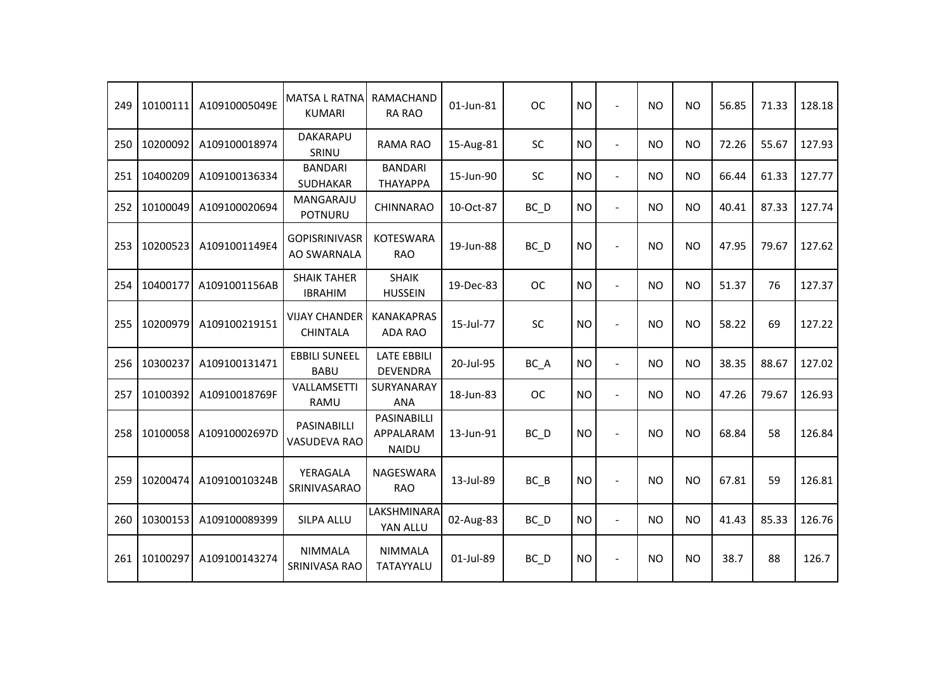| 249 | 10100111 | A10910005049E | <b>MATSA L RATNA</b><br><b>KUMARI</b>   | RAMACHAND<br><b>RA RAO</b>               | 01-Jun-81 | <b>OC</b>         | <b>NO</b> | $\blacksquare$ | <b>NO</b> | <b>NO</b> | 56.85 | 71.33 | 128.18 |
|-----|----------|---------------|-----------------------------------------|------------------------------------------|-----------|-------------------|-----------|----------------|-----------|-----------|-------|-------|--------|
| 250 | 10200092 | A109100018974 | DAKARAPU<br>SRINU                       | RAMA RAO                                 | 15-Aug-81 | SC                | <b>NO</b> | $\overline{a}$ | <b>NO</b> | <b>NO</b> | 72.26 | 55.67 | 127.93 |
| 251 | 10400209 | A109100136334 | <b>BANDARI</b><br>SUDHAKAR              | <b>BANDARI</b><br>ΤΗΑΥΑΡΡΑ               | 15-Jun-90 | <b>SC</b>         | <b>NO</b> | $\blacksquare$ | <b>NO</b> | <b>NO</b> | 66.44 | 61.33 | 127.77 |
| 252 | 10100049 | A109100020694 | MANGARAJU<br><b>POTNURU</b>             | <b>CHINNARAO</b>                         | 10-Oct-87 | $BC$ <sub>D</sub> | <b>NO</b> | $\blacksquare$ | <b>NO</b> | <b>NO</b> | 40.41 | 87.33 | 127.74 |
| 253 | 10200523 | A1091001149E4 | <b>GOPISRINIVASR</b><br>AO SWARNALA     | <b>KOTESWARA</b><br><b>RAO</b>           | 19-Jun-88 | $BC$ $D$          | <b>NO</b> | $\blacksquare$ | <b>NO</b> | <b>NO</b> | 47.95 | 79.67 | 127.62 |
| 254 | 10400177 | A1091001156AB | <b>SHAIK TAHER</b><br><b>IBRAHIM</b>    | <b>SHAIK</b><br><b>HUSSEIN</b>           | 19-Dec-83 | <b>OC</b>         | <b>NO</b> | $\overline{a}$ | <b>NO</b> | <b>NO</b> | 51.37 | 76    | 127.37 |
| 255 | 10200979 | A109100219151 | <b>VIJAY CHANDER</b><br><b>CHINTALA</b> | <b>KANAKAPRAS</b><br>ADA RAO             | 15-Jul-77 | SC                | <b>NO</b> | $\sim$         | <b>NO</b> | <b>NO</b> | 58.22 | 69    | 127.22 |
| 256 | 10300237 | A109100131471 | <b>EBBILI SUNEEL</b><br><b>BABU</b>     | <b>LATE EBBILI</b><br><b>DEVENDRA</b>    | 20-Jul-95 | BC_A              | <b>NO</b> | $\blacksquare$ | <b>NO</b> | <b>NO</b> | 38.35 | 88.67 | 127.02 |
| 257 | 10100392 | A10910018769F | VALLAMSETTI<br>RAMU                     | SURYANARAY<br><b>ANA</b>                 | 18-Jun-83 | <b>OC</b>         | <b>NO</b> | $\blacksquare$ | <b>NO</b> | <b>NO</b> | 47.26 | 79.67 | 126.93 |
| 258 | 10100058 | A10910002697D | PASINABILLI<br>VASUDEVA RAO             | PASINABILLI<br>APPALARAM<br><b>NAIDU</b> | 13-Jun-91 | $BC$ $D$          | <b>NO</b> | $\blacksquare$ | <b>NO</b> | <b>NO</b> | 68.84 | 58    | 126.84 |
| 259 | 10200474 | A10910010324B | YERAGALA<br>SRINIVASARAO                | NAGESWARA<br><b>RAO</b>                  | 13-Jul-89 | $BC$ $B$          | <b>NO</b> | $\blacksquare$ | <b>NO</b> | <b>NO</b> | 67.81 | 59    | 126.81 |
| 260 | 10300153 | A109100089399 | <b>SILPA ALLU</b>                       | LAKSHMINARA<br>YAN ALLU                  | 02-Aug-83 | BC D              | <b>NO</b> | $\overline{a}$ | <b>NO</b> | <b>NO</b> | 41.43 | 85.33 | 126.76 |
| 261 | 10100297 | A109100143274 | <b>NIMMALA</b><br>SRINIVASA RAO         | <b>NIMMALA</b><br>TATAYYALU              | 01-Jul-89 | $BC$ <sub>D</sub> | <b>NO</b> |                | <b>NO</b> | <b>NO</b> | 38.7  | 88    | 126.7  |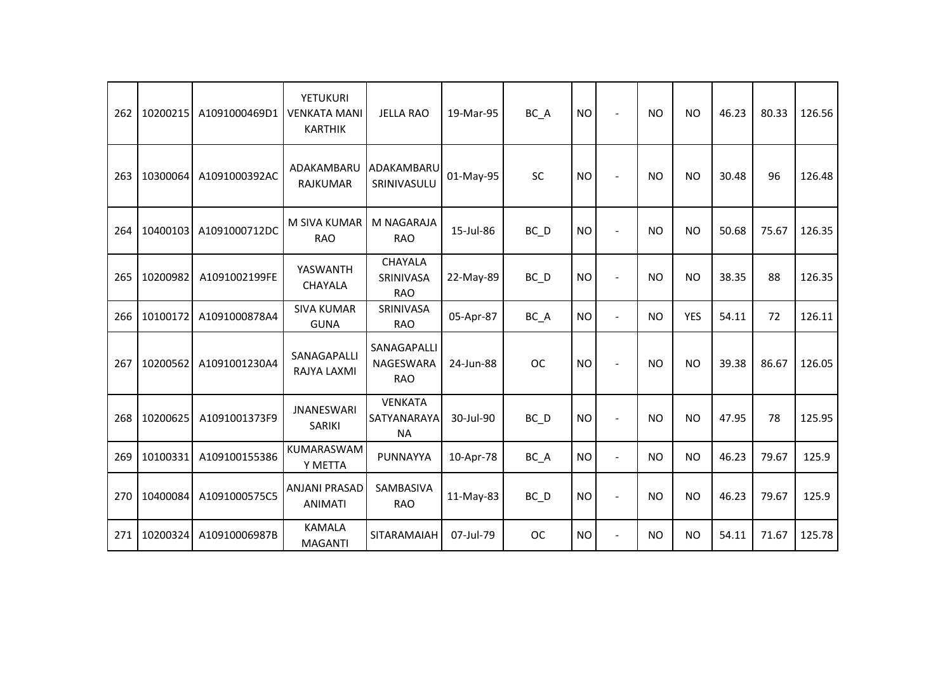| 262 | 10200215 | A1091000469D1 | YETUKURI<br><b>VENKATA MANI</b><br><b>KARTHIK</b> | <b>JELLA RAO</b>                           | 19-Mar-95 | BC_A              | <b>NO</b> | $\blacksquare$ | <b>NO</b> | <b>NO</b>  | 46.23 | 80.33 | 126.56 |
|-----|----------|---------------|---------------------------------------------------|--------------------------------------------|-----------|-------------------|-----------|----------------|-----------|------------|-------|-------|--------|
| 263 | 10300064 | A1091000392AC | ADAKAMBARU<br><b>RAJKUMAR</b>                     | ADAKAMBARU<br>SRINIVASULU                  | 01-May-95 | <b>SC</b>         | <b>NO</b> |                | <b>NO</b> | <b>NO</b>  | 30.48 | 96    | 126.48 |
| 264 | 10400103 | A1091000712DC | M SIVA KUMAR<br><b>RAO</b>                        | M NAGARAJA<br><b>RAO</b>                   | 15-Jul-86 | BC D              | <b>NO</b> |                | <b>NO</b> | <b>NO</b>  | 50.68 | 75.67 | 126.35 |
| 265 | 10200982 | A1091002199FE | YASWANTH<br>CHAYALA                               | <b>CHAYALA</b><br>SRINIVASA<br><b>RAO</b>  | 22-May-89 | $BC$ <sub>D</sub> | <b>NO</b> |                | <b>NO</b> | <b>NO</b>  | 38.35 | 88    | 126.35 |
| 266 | 10100172 | A1091000878A4 | <b>SIVA KUMAR</b><br><b>GUNA</b>                  | SRINIVASA<br><b>RAO</b>                    | 05-Apr-87 | BC_A              | <b>NO</b> | $\blacksquare$ | <b>NO</b> | <b>YES</b> | 54.11 | 72    | 126.11 |
| 267 | 10200562 | A1091001230A4 | SANAGAPALLI<br>RAJYA LAXMI                        | SANAGAPALLI<br>NAGESWARA<br><b>RAO</b>     | 24-Jun-88 | <b>OC</b>         | <b>NO</b> |                | <b>NO</b> | <b>NO</b>  | 39.38 | 86.67 | 126.05 |
| 268 | 10200625 | A1091001373F9 | <b>JNANESWARI</b><br>SARIKI                       | <b>VENKATA</b><br>SATYANARAYA<br><b>NA</b> | 30-Jul-90 | $BC$ <sub>D</sub> | <b>NO</b> | $\blacksquare$ | <b>NO</b> | <b>NO</b>  | 47.95 | 78    | 125.95 |
| 269 | 10100331 | A109100155386 | KUMARASWAM<br>Y METTA                             | <b>PUNNAYYA</b>                            | 10-Apr-78 | BC_A              | <b>NO</b> | $\overline{a}$ | <b>NO</b> | <b>NO</b>  | 46.23 | 79.67 | 125.9  |
| 270 | 10400084 | A1091000575C5 | <b>ANJANI PRASAD</b><br><b>ANIMATI</b>            | <b>SAMBASIVA</b><br><b>RAO</b>             | 11-May-83 | $BC$ <sub>D</sub> | <b>NO</b> |                | <b>NO</b> | <b>NO</b>  | 46.23 | 79.67 | 125.9  |
| 271 | 10200324 | A10910006987B | <b>KAMALA</b><br><b>MAGANTI</b>                   | SITARAMAIAH                                | 07-Jul-79 | <b>OC</b>         | <b>NO</b> | $\blacksquare$ | <b>NO</b> | <b>NO</b>  | 54.11 | 71.67 | 125.78 |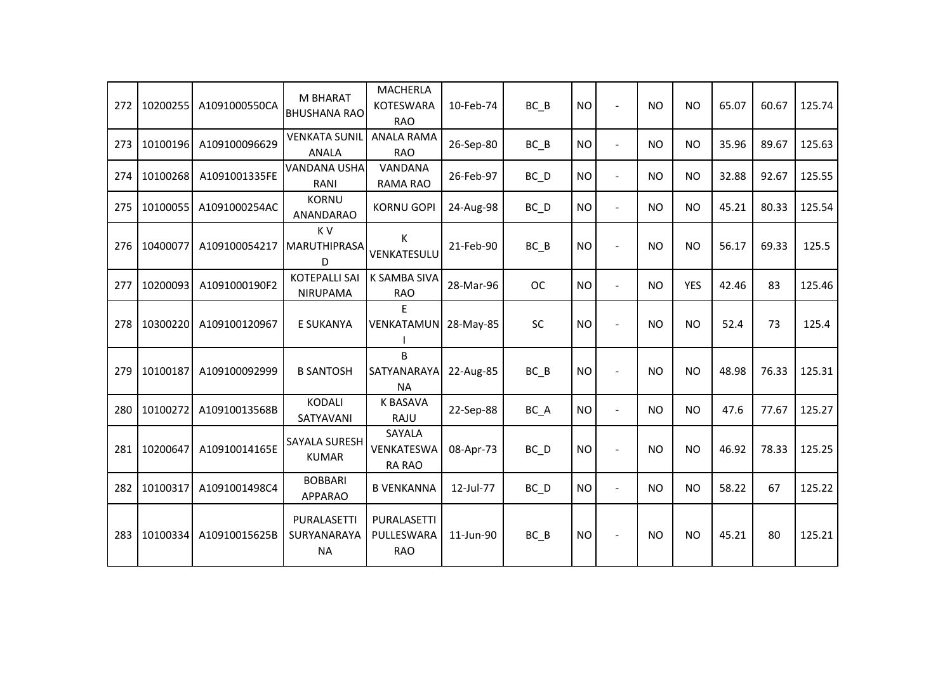| 272 | 10200255 | A1091000550CA | <b>M BHARAT</b><br><b>BHUSHANA RAO</b>  | <b>MACHERLA</b><br><b>KOTESWARA</b><br><b>RAO</b> | 10-Feb-74 | BC B              | <b>NO</b> |                          | <b>NO</b> | <b>NO</b>      | 65.07 | 60.67 | 125.74 |
|-----|----------|---------------|-----------------------------------------|---------------------------------------------------|-----------|-------------------|-----------|--------------------------|-----------|----------------|-------|-------|--------|
| 273 | 10100196 | A109100096629 | <b>VENKATA SUNIL</b><br><b>ANALA</b>    | <b>ANALA RAMA</b><br><b>RAO</b>                   | 26-Sep-80 | $BC$ $B$          | <b>NO</b> | $\overline{\phantom{a}}$ | <b>NO</b> | <b>NO</b>      | 35.96 | 89.67 | 125.63 |
| 274 | 10100268 | A1091001335FE | <b>VANDANA USHA</b><br>RANI             | VANDANA<br>RAMA RAO                               | 26-Feb-97 | BC D              | <b>NO</b> | $\overline{a}$           | <b>NO</b> | <b>NO</b>      | 32.88 | 92.67 | 125.55 |
| 275 | 10100055 | A1091000254AC | <b>KORNU</b><br>ANANDARAO               | <b>KORNU GOPI</b>                                 | 24-Aug-98 | $BC$ <sub>D</sub> | <b>NO</b> | $\blacksquare$           | <b>NO</b> | <b>NO</b>      | 45.21 | 80.33 | 125.54 |
| 276 | 10400077 | A109100054217 | K V<br>MARUTHIPRASA<br>D                | K<br>VENKATESULU                                  | 21-Feb-90 | $BC$ $B$          | <b>NO</b> | $\blacksquare$           | <b>NO</b> | <b>NO</b>      | 56.17 | 69.33 | 125.5  |
| 277 | 10200093 | A1091000190F2 | <b>KOTEPALLI SAI</b><br>NIRUPAMA        | K SAMBA SIVA<br><b>RAO</b>                        | 28-Mar-96 | <b>OC</b>         | <b>NO</b> | $\blacksquare$           | <b>NO</b> | <b>YES</b>     | 42.46 | 83    | 125.46 |
| 278 | 10300220 | A109100120967 | E SUKANYA                               | E<br>VENKATAMUN                                   | 28-May-85 | <b>SC</b>         | <b>NO</b> | $\sim$                   | <b>NO</b> | N <sub>O</sub> | 52.4  | 73    | 125.4  |
| 279 | 10100187 | A109100092999 | <b>B SANTOSH</b>                        | B<br>SATYANARAYA<br><b>NA</b>                     | 22-Aug-85 | $BC$ $B$          | <b>NO</b> |                          | <b>NO</b> | <b>NO</b>      | 48.98 | 76.33 | 125.31 |
| 280 | 10100272 | A10910013568B | <b>KODALI</b><br>SATYAVANI              | <b>K BASAVA</b><br>RAJU                           | 22-Sep-88 | BC_A              | <b>NO</b> | $\overline{a}$           | <b>NO</b> | <b>NO</b>      | 47.6  | 77.67 | 125.27 |
| 281 | 10200647 | A10910014165E | SAYALA SURESH<br><b>KUMAR</b>           | SAYALA<br>VENKATESWA<br><b>RA RAO</b>             | 08-Apr-73 | $BC$ <sub>D</sub> | <b>NO</b> |                          | <b>NO</b> | <b>NO</b>      | 46.92 | 78.33 | 125.25 |
| 282 | 10100317 | A1091001498C4 | <b>BOBBARI</b><br><b>APPARAO</b>        | <b>B VENKANNA</b>                                 | 12-Jul-77 | $BC$ <sub>D</sub> | <b>NO</b> | $\blacksquare$           | <b>NO</b> | <b>NO</b>      | 58.22 | 67    | 125.22 |
| 283 | 10100334 | A10910015625B | PURALASETTI<br>SURYANARAYA<br><b>NA</b> | PURALASETTI<br>PULLESWARA<br><b>RAO</b>           | 11-Jun-90 | $BC$ $B$          | <b>NO</b> |                          | <b>NO</b> | <b>NO</b>      | 45.21 | 80    | 125.21 |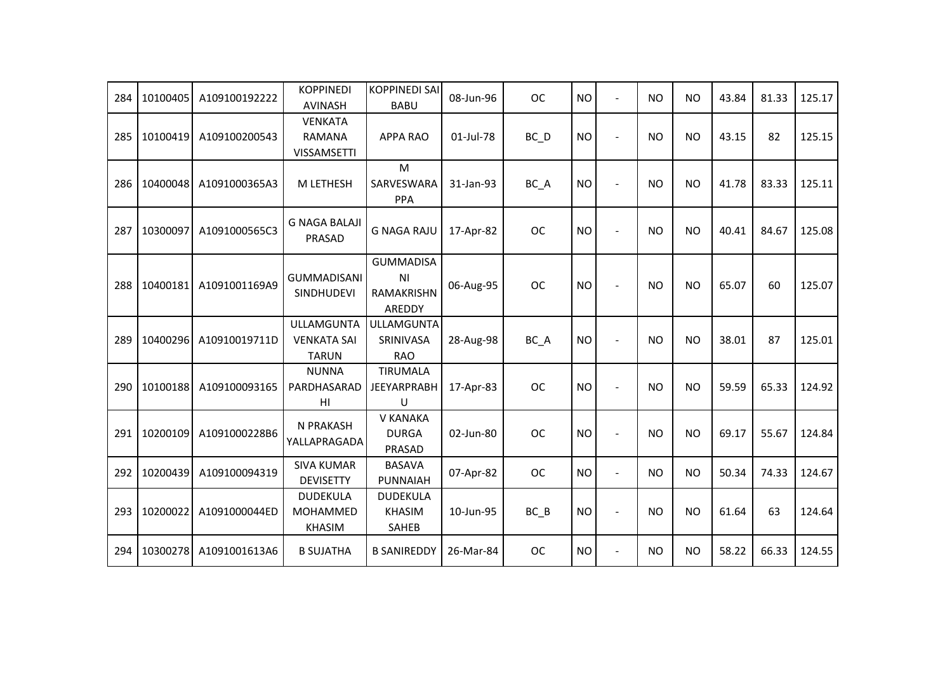| 284 | 10100405 | A109100192222 | <b>KOPPINEDI</b><br><b>AVINASH</b>                      | <b>KOPPINEDI SAI</b><br><b>BABU</b>                   | 08-Jun-96 | <b>OC</b> | <b>NO</b> | $\sim$         | <b>NO</b> | <b>NO</b> | 43.84 | 81.33 | 125.17 |
|-----|----------|---------------|---------------------------------------------------------|-------------------------------------------------------|-----------|-----------|-----------|----------------|-----------|-----------|-------|-------|--------|
| 285 | 10100419 | A109100200543 | <b>VENKATA</b><br>RAMANA<br><b>VISSAMSETTI</b>          | <b>APPA RAO</b>                                       | 01-Jul-78 | $BC$ $D$  | <b>NO</b> | $\blacksquare$ | NO.       | <b>NO</b> | 43.15 | 82    | 125.15 |
| 286 | 10400048 | A1091000365A3 | M LETHESH                                               | M<br>SARVESWARA<br>PPA                                | 31-Jan-93 | BC_A      | <b>NO</b> |                | NO.       | <b>NO</b> | 41.78 | 83.33 | 125.11 |
| 287 | 10300097 | A1091000565C3 | <b>G NAGA BALAJI</b><br>PRASAD                          | <b>G NAGA RAJU</b>                                    | 17-Apr-82 | <b>OC</b> | <b>NO</b> |                | <b>NO</b> | <b>NO</b> | 40.41 | 84.67 | 125.08 |
| 288 | 10400181 | A1091001169A9 | <b>GUMMADISANI</b><br><b>SINDHUDEVI</b>                 | <b>GUMMADISA</b><br>ΝI<br><b>RAMAKRISHN</b><br>AREDDY | 06-Aug-95 | <b>OC</b> | <b>NO</b> |                | <b>NO</b> | <b>NO</b> | 65.07 | 60    | 125.07 |
| 289 | 10400296 | A10910019711D | <b>ULLAMGUNTA</b><br><b>VENKATA SAI</b><br><b>TARUN</b> | <b>ULLAMGUNTA</b><br>SRINIVASA<br><b>RAO</b>          | 28-Aug-98 | $BC_A$    | <b>NO</b> |                | <b>NO</b> | <b>NO</b> | 38.01 | 87    | 125.01 |
| 290 | 10100188 | A109100093165 | <b>NUNNA</b><br>PARDHASARAD<br>HI                       | <b>TIRUMALA</b><br><b>JEEYARPRABH</b><br>$\cup$       | 17-Apr-83 | <b>OC</b> | <b>NO</b> |                | <b>NO</b> | <b>NO</b> | 59.59 | 65.33 | 124.92 |
| 291 | 10200109 | A1091000228B6 | N PRAKASH<br>YALLAPRAGADA                               | V KANAKA<br><b>DURGA</b><br>PRASAD                    | 02-Jun-80 | <b>OC</b> | <b>NO</b> | $\sim$         | <b>NO</b> | <b>NO</b> | 69.17 | 55.67 | 124.84 |
| 292 | 10200439 | A109100094319 | <b>SIVA KUMAR</b><br><b>DEVISETTY</b>                   | <b>BASAVA</b><br>PUNNAIAH                             | 07-Apr-82 | <b>OC</b> | <b>NO</b> | $\overline{a}$ | <b>NO</b> | <b>NO</b> | 50.34 | 74.33 | 124.67 |
| 293 | 10200022 | A1091000044ED | <b>DUDEKULA</b><br><b>MOHAMMED</b><br><b>KHASIM</b>     | <b>DUDEKULA</b><br><b>KHASIM</b><br>SAHEB             | 10-Jun-95 | $BC$ $B$  | <b>NO</b> | $\blacksquare$ | <b>NO</b> | <b>NO</b> | 61.64 | 63    | 124.64 |
| 294 | 10300278 | A1091001613A6 | <b>B SUJATHA</b>                                        | <b>B SANIREDDY</b>                                    | 26-Mar-84 | <b>OC</b> | <b>NO</b> | $\blacksquare$ | NO.       | <b>NO</b> | 58.22 | 66.33 | 124.55 |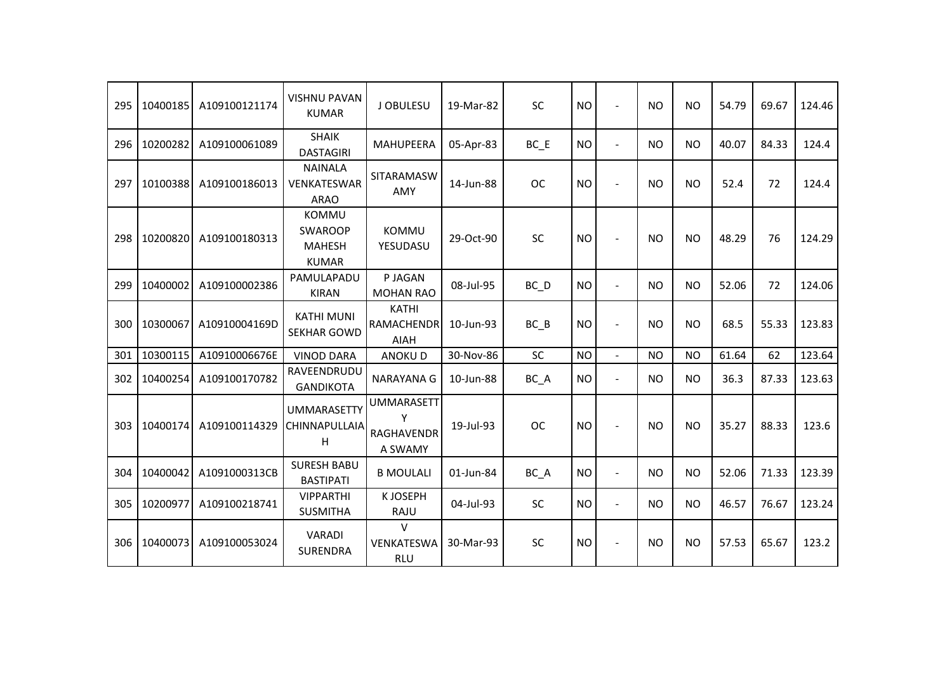| 295 | 10400185 | A109100121174 | <b>VISHNU PAVAN</b><br><b>KUMAR</b>                             | J OBULESU                                              | 19-Mar-82 | <b>SC</b> | <b>NO</b> | $\sim$         | <b>NO</b> | <b>NO</b> | 54.79 | 69.67 | 124.46 |
|-----|----------|---------------|-----------------------------------------------------------------|--------------------------------------------------------|-----------|-----------|-----------|----------------|-----------|-----------|-------|-------|--------|
| 296 | 10200282 | A109100061089 | <b>SHAIK</b><br><b>DASTAGIRI</b>                                | <b>MAHUPEERA</b>                                       | 05-Apr-83 | BC E      | <b>NO</b> | $\blacksquare$ | <b>NO</b> | <b>NO</b> | 40.07 | 84.33 | 124.4  |
| 297 | 10100388 | A109100186013 | <b>NAINALA</b><br>VENKATESWAR<br><b>ARAO</b>                    | <b>SITARAMASW</b><br><b>AMY</b>                        | 14-Jun-88 | <b>OC</b> | <b>NO</b> | $\sim$         | <b>NO</b> | <b>NO</b> | 52.4  | 72    | 124.4  |
| 298 | 10200820 | A109100180313 | <b>KOMMU</b><br><b>SWAROOP</b><br><b>MAHESH</b><br><b>KUMAR</b> | <b>KOMMU</b><br>YESUDASU                               | 29-Oct-90 | SC        | <b>NO</b> | $\overline{a}$ | <b>NO</b> | <b>NO</b> | 48.29 | 76    | 124.29 |
| 299 | 10400002 | A109100002386 | PAMULAPADU<br><b>KIRAN</b>                                      | P JAGAN<br><b>MOHAN RAO</b>                            | 08-Jul-95 | BC D      | <b>NO</b> | $\blacksquare$ | <b>NO</b> | <b>NO</b> | 52.06 | 72    | 124.06 |
| 300 | 10300067 | A10910004169D | <b>KATHI MUNI</b><br><b>SEKHAR GOWD</b>                         | <b>KATHI</b><br><b>RAMACHENDR</b><br><b>AIAH</b>       | 10-Jun-93 | BC B      | <b>NO</b> | $\blacksquare$ | <b>NO</b> | <b>NO</b> | 68.5  | 55.33 | 123.83 |
| 301 | 10300115 | A10910006676E | <b>VINOD DARA</b>                                               | <b>ANOKUD</b>                                          | 30-Nov-86 | SC        | <b>NO</b> | $\blacksquare$ | <b>NO</b> | <b>NO</b> | 61.64 | 62    | 123.64 |
| 302 | 10400254 | A109100170782 | RAVEENDRUDU<br><b>GANDIKOTA</b>                                 | NARAYANA G                                             | 10-Jun-88 | BC_A      | <b>NO</b> | $\blacksquare$ | NO.       | <b>NO</b> | 36.3  | 87.33 | 123.63 |
| 303 | 10400174 | A109100114329 | <b>UMMARASETTY</b><br>CHINNAPULLAIA<br>H                        | <b>UMMARASETT</b><br>Y<br><b>RAGHAVENDR</b><br>A SWAMY | 19-Jul-93 | <b>OC</b> | <b>NO</b> | ÷,             | <b>NO</b> | <b>NO</b> | 35.27 | 88.33 | 123.6  |
| 304 | 10400042 | A1091000313CB | <b>SURESH BABU</b><br><b>BASTIPATI</b>                          | <b>B MOULALI</b>                                       | 01-Jun-84 | BC_A      | <b>NO</b> | $\blacksquare$ | <b>NO</b> | <b>NO</b> | 52.06 | 71.33 | 123.39 |
| 305 | 10200977 | A109100218741 | <b>VIPPARTHI</b><br><b>SUSMITHA</b>                             | K JOSEPH<br>RAJU                                       | 04-Jul-93 | <b>SC</b> | <b>NO</b> | $\blacksquare$ | <b>NO</b> | <b>NO</b> | 46.57 | 76.67 | 123.24 |
| 306 | 10400073 | A109100053024 | VARADI<br><b>SURENDRA</b>                                       | $\vee$<br>VENKATESWA<br><b>RLU</b>                     | 30-Mar-93 | SC        | <b>NO</b> | $\sim$         | <b>NO</b> | <b>NO</b> | 57.53 | 65.67 | 123.2  |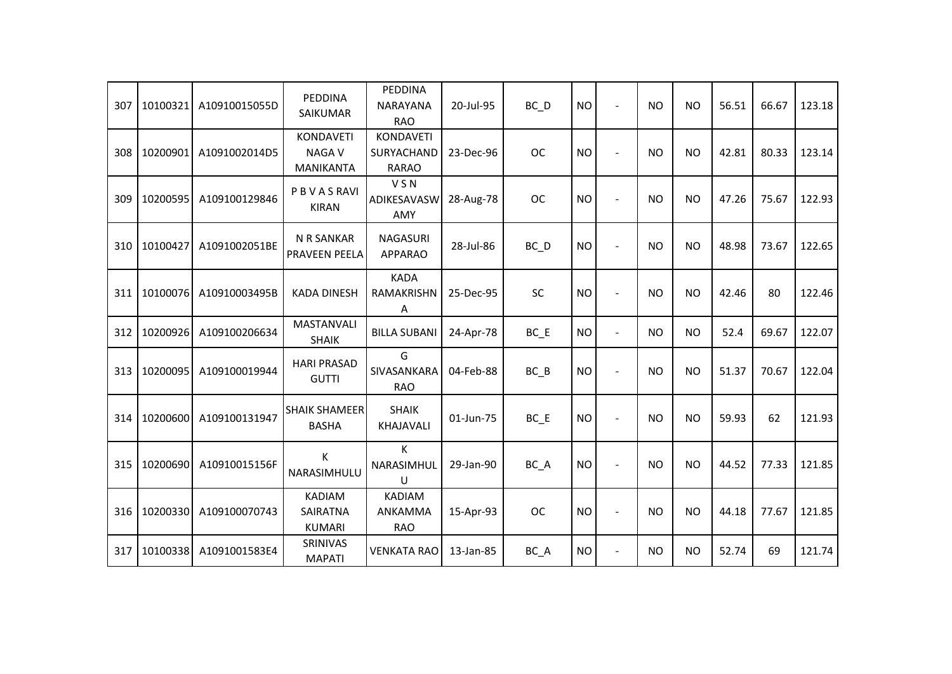| 307 | 10100321 | A10910015055D | PEDDINA<br>SAIKUMAR                                  | PEDDINA<br><b>NARAYANA</b><br><b>RAO</b> | 20-Jul-95 | BC D      | <b>NO</b> | $\overline{\phantom{a}}$ | <b>NO</b> | <b>NO</b> | 56.51 | 66.67 | 123.18 |
|-----|----------|---------------|------------------------------------------------------|------------------------------------------|-----------|-----------|-----------|--------------------------|-----------|-----------|-------|-------|--------|
| 308 | 10200901 | A1091002014D5 | <b>KONDAVETI</b><br><b>NAGAV</b><br><b>MANIKANTA</b> | KONDAVETI<br>SURYACHAND<br><b>RARAO</b>  | 23-Dec-96 | <b>OC</b> | <b>NO</b> | $\sim$                   | <b>NO</b> | <b>NO</b> | 42.81 | 80.33 | 123.14 |
| 309 | 10200595 | A109100129846 | PBVASRAVI<br><b>KIRAN</b>                            | <b>VSN</b><br>ADIKESAVASW<br>AMY         | 28-Aug-78 | <b>OC</b> | <b>NO</b> |                          | <b>NO</b> | <b>NO</b> | 47.26 | 75.67 | 122.93 |
| 310 | 10100427 | A1091002051BE | N R SANKAR<br>PRAVEEN PEELA                          | <b>NAGASURI</b><br><b>APPARAO</b>        | 28-Jul-86 | BC_D      | <b>NO</b> |                          | <b>NO</b> | <b>NO</b> | 48.98 | 73.67 | 122.65 |
| 311 | 10100076 | A10910003495B | <b>KADA DINESH</b>                                   | <b>KADA</b><br>RAMAKRISHN<br>A           | 25-Dec-95 | <b>SC</b> | <b>NO</b> |                          | <b>NO</b> | <b>NO</b> | 42.46 | 80    | 122.46 |
| 312 | 10200926 | A109100206634 | <b>MASTANVALI</b><br><b>SHAIK</b>                    | <b>BILLA SUBANI</b>                      | 24-Apr-78 | $BC$ $E$  | <b>NO</b> | $\blacksquare$           | <b>NO</b> | <b>NO</b> | 52.4  | 69.67 | 122.07 |
| 313 | 10200095 | A109100019944 | <b>HARI PRASAD</b><br><b>GUTTI</b>                   | G<br>SIVASANKARA<br><b>RAO</b>           | 04-Feb-88 | $BC$ $B$  | <b>NO</b> | $\overline{\phantom{a}}$ | <b>NO</b> | <b>NO</b> | 51.37 | 70.67 | 122.04 |
| 314 | 10200600 | A109100131947 | <b>SHAIK SHAMEER</b><br><b>BASHA</b>                 | <b>SHAIK</b><br>KHAJAVALI                | 01-Jun-75 | $BC$ $E$  | <b>NO</b> |                          | <b>NO</b> | <b>NO</b> | 59.93 | 62    | 121.93 |
| 315 | 10200690 | A10910015156F | К<br>NARASIMHULU                                     | K<br>NARASIMHUL<br>U                     | 29-Jan-90 | BC_A      | <b>NO</b> |                          | <b>NO</b> | <b>NO</b> | 44.52 | 77.33 | 121.85 |
| 316 | 10200330 | A109100070743 | <b>KADIAM</b><br><b>SAIRATNA</b><br><b>KUMARI</b>    | <b>KADIAM</b><br>ANKAMMA<br><b>RAO</b>   | 15-Apr-93 | <b>OC</b> | <b>NO</b> | $\overline{\phantom{a}}$ | <b>NO</b> | <b>NO</b> | 44.18 | 77.67 | 121.85 |
| 317 | 10100338 | A1091001583E4 | SRINIVAS<br><b>MAPATI</b>                            | <b>VENKATA RAO</b>                       | 13-Jan-85 | BC_A      | <b>NO</b> | $\blacksquare$           | <b>NO</b> | <b>NO</b> | 52.74 | 69    | 121.74 |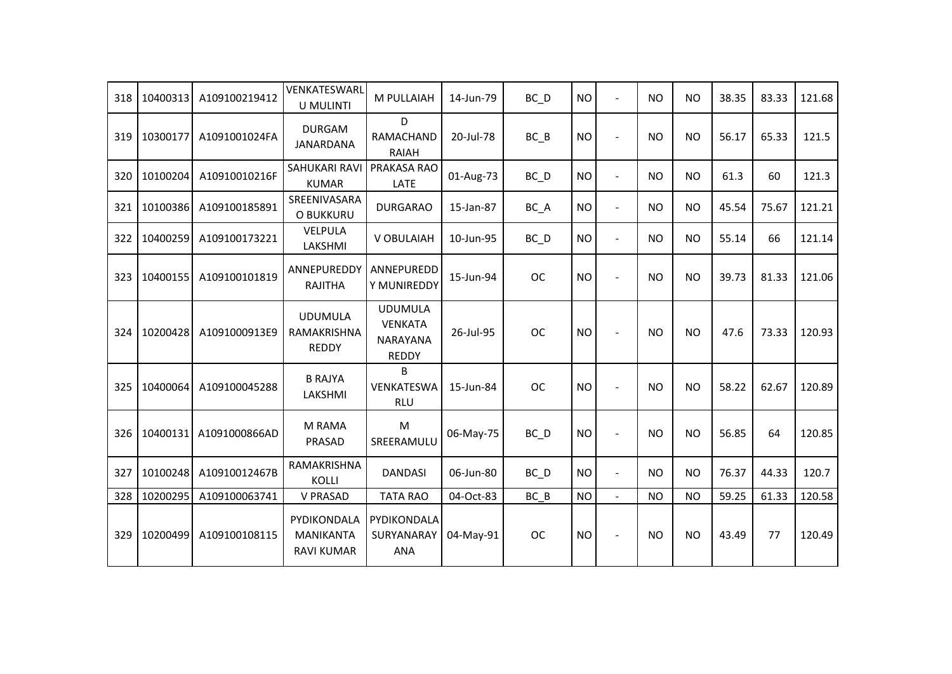| 318 | 10400313 | A109100219412 | VENKATESWARL<br>U MULINTI                     | M PULLAIAH                                                   | 14-Jun-79 | BC D              | <b>NO</b> | $\overline{\phantom{a}}$ | <b>NO</b> | <b>NO</b> | 38.35 | 83.33 | 121.68 |
|-----|----------|---------------|-----------------------------------------------|--------------------------------------------------------------|-----------|-------------------|-----------|--------------------------|-----------|-----------|-------|-------|--------|
| 319 | 10300177 | A1091001024FA | <b>DURGAM</b><br><b>JANARDANA</b>             | D<br>RAMACHAND<br><b>RAIAH</b>                               | 20-Jul-78 | $BC$ $B$          | <b>NO</b> |                          | <b>NO</b> | <b>NO</b> | 56.17 | 65.33 | 121.5  |
| 320 | 10100204 | A10910010216F | <b>SAHUKARI RAVI</b><br><b>KUMAR</b>          | PRAKASA RAO<br><b>LATE</b>                                   | 01-Aug-73 | BC D              | <b>NO</b> | $\blacksquare$           | <b>NO</b> | <b>NO</b> | 61.3  | 60    | 121.3  |
| 321 | 10100386 | A109100185891 | SREENIVASARA<br>O BUKKURU                     | <b>DURGARAO</b>                                              | 15-Jan-87 | BC_A              | <b>NO</b> | $\blacksquare$           | <b>NO</b> | <b>NO</b> | 45.54 | 75.67 | 121.21 |
| 322 | 10400259 | A109100173221 | VELPULA<br>LAKSHMI                            | V OBULAIAH                                                   | 10-Jun-95 | $BC$ <sub>D</sub> | <b>NO</b> | $\overline{a}$           | <b>NO</b> | <b>NO</b> | 55.14 | 66    | 121.14 |
| 323 | 10400155 | A109100101819 | ANNEPUREDDY<br><b>RAJITHA</b>                 | ANNEPUREDD<br>Y MUNIREDDY                                    | 15-Jun-94 | <b>OC</b>         | <b>NO</b> |                          | <b>NO</b> | <b>NO</b> | 39.73 | 81.33 | 121.06 |
| 324 | 10200428 | A1091000913E9 | <b>UDUMULA</b><br>RAMAKRISHNA<br><b>REDDY</b> | <b>UDUMULA</b><br><b>VENKATA</b><br>NARAYANA<br><b>REDDY</b> | 26-Jul-95 | <b>OC</b>         | <b>NO</b> |                          | <b>NO</b> | <b>NO</b> | 47.6  | 73.33 | 120.93 |
| 325 | 10400064 | A109100045288 | <b>B RAJYA</b><br>LAKSHMI                     | <sub>B</sub><br>VENKATESWA<br><b>RLU</b>                     | 15-Jun-84 | <b>OC</b>         | <b>NO</b> |                          | <b>NO</b> | <b>NO</b> | 58.22 | 62.67 | 120.89 |
| 326 | 10400131 | A1091000866AD | M RAMA<br>PRASAD                              | M<br>SREERAMULU                                              | 06-May-75 | BC_D              | <b>NO</b> |                          | <b>NO</b> | <b>NO</b> | 56.85 | 64    | 120.85 |
| 327 | 10100248 | A10910012467B | RAMAKRISHNA<br>KOLLI                          | <b>DANDASI</b>                                               | 06-Jun-80 | BC_D              | <b>NO</b> | $\blacksquare$           | <b>NO</b> | <b>NO</b> | 76.37 | 44.33 | 120.7  |
| 328 | 10200295 | A109100063741 | <b>V PRASAD</b>                               | <b>TATA RAO</b>                                              | 04-Oct-83 | BC B              | <b>NO</b> | $\blacksquare$           | <b>NO</b> | <b>NO</b> | 59.25 | 61.33 | 120.58 |
| 329 | 10200499 | A109100108115 | PYDIKONDALA<br>MANIKANTA<br><b>RAVI KUMAR</b> | PYDIKONDALA<br>SURYANARAY<br><b>ANA</b>                      | 04-May-91 | <b>OC</b>         | <b>NO</b> |                          | <b>NO</b> | <b>NO</b> | 43.49 | 77    | 120.49 |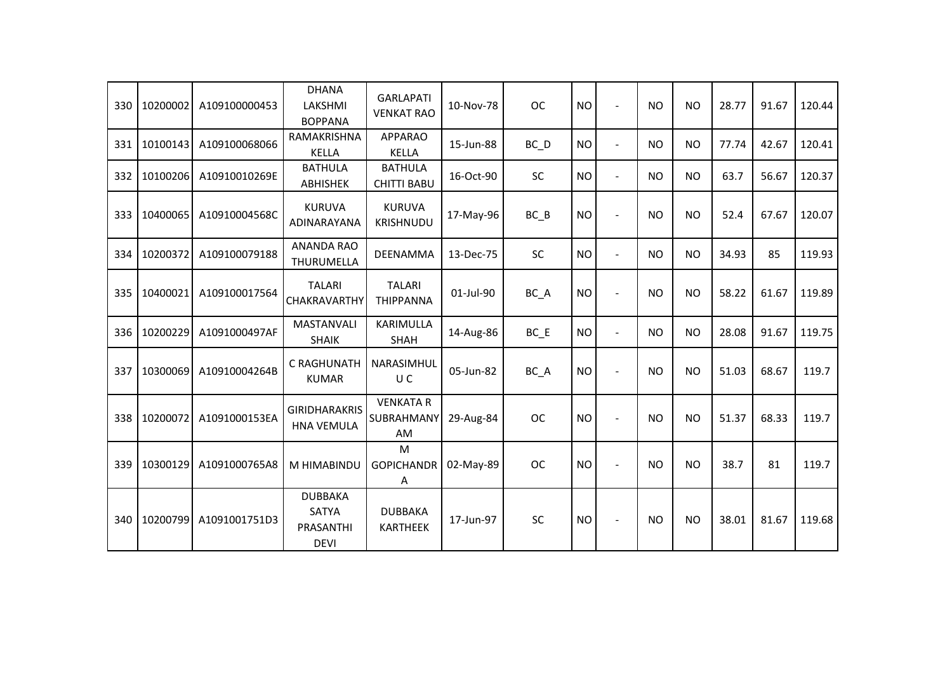| 330 | 10200002 | A109100000453 | <b>DHANA</b><br>LAKSHMI<br><b>BOPPANA</b>                  | <b>GARLAPATI</b><br><b>VENKAT RAO</b>       | 10-Nov-78 | <b>OC</b> | <b>NO</b> | $\overline{a}$ | <b>NO</b> | <b>NO</b> | 28.77 | 91.67 | 120.44 |
|-----|----------|---------------|------------------------------------------------------------|---------------------------------------------|-----------|-----------|-----------|----------------|-----------|-----------|-------|-------|--------|
| 331 | 10100143 | A109100068066 | RAMAKRISHNA<br><b>KELLA</b>                                | <b>APPARAO</b><br><b>KELLA</b>              | 15-Jun-88 | BC D      | <b>NO</b> | $\blacksquare$ | <b>NO</b> | <b>NO</b> | 77.74 | 42.67 | 120.41 |
| 332 | 10100206 | A10910010269E | <b>BATHULA</b><br><b>ABHISHEK</b>                          | <b>BATHULA</b><br><b>CHITTI BABU</b>        | 16-Oct-90 | <b>SC</b> | <b>NO</b> | $\blacksquare$ | <b>NO</b> | <b>NO</b> | 63.7  | 56.67 | 120.37 |
| 333 | 10400065 | A10910004568C | <b>KURUVA</b><br>ADINARAYANA                               | <b>KURUVA</b><br><b>KRISHNUDU</b>           | 17-May-96 | $BC$ $B$  | <b>NO</b> | $\blacksquare$ | <b>NO</b> | <b>NO</b> | 52.4  | 67.67 | 120.07 |
| 334 | 10200372 | A109100079188 | <b>ANANDA RAO</b><br>THURUMELLA                            | <b>DEENAMMA</b>                             | 13-Dec-75 | <b>SC</b> | <b>NO</b> | $\blacksquare$ | <b>NO</b> | <b>NO</b> | 34.93 | 85    | 119.93 |
| 335 | 10400021 | A109100017564 | <b>TALARI</b><br><b>CHAKRAVARTHY</b>                       | <b>TALARI</b><br><b>THIPPANNA</b>           | 01-Jul-90 | BC A      | <b>NO</b> | $\sim$         | <b>NO</b> | <b>NO</b> | 58.22 | 61.67 | 119.89 |
| 336 | 10200229 | A1091000497AF | <b>MASTANVALI</b><br><b>SHAIK</b>                          | KARIMULLA<br><b>SHAH</b>                    | 14-Aug-86 | $BC$ $E$  | <b>NO</b> | $\overline{a}$ | <b>NO</b> | <b>NO</b> | 28.08 | 91.67 | 119.75 |
| 337 | 10300069 | A10910004264B | C RAGHUNATH<br><b>KUMAR</b>                                | NARASIMHUL<br>U C                           | 05-Jun-82 | BC_A      | <b>NO</b> | $\sim$         | <b>NO</b> | <b>NO</b> | 51.03 | 68.67 | 119.7  |
| 338 | 10200072 | A1091000153EA | <b>GIRIDHARAKRIS</b><br><b>HNA VEMULA</b>                  | <b>VENKATA R</b><br>SUBRAHMANY<br><b>AM</b> | 29-Aug-84 | <b>OC</b> | <b>NO</b> |                | <b>NO</b> | <b>NO</b> | 51.37 | 68.33 | 119.7  |
| 339 | 10300129 | A1091000765A8 | M HIMABINDU                                                | M<br><b>GOPICHANDR</b><br>Α                 | 02-May-89 | <b>OC</b> | <b>NO</b> |                | <b>NO</b> | <b>NO</b> | 38.7  | 81    | 119.7  |
| 340 | 10200799 | A1091001751D3 | <b>DUBBAKA</b><br><b>SATYA</b><br>PRASANTHI<br><b>DEVI</b> | <b>DUBBAKA</b><br><b>KARTHEEK</b>           | 17-Jun-97 | SC        | <b>NO</b> |                | <b>NO</b> | <b>NO</b> | 38.01 | 81.67 | 119.68 |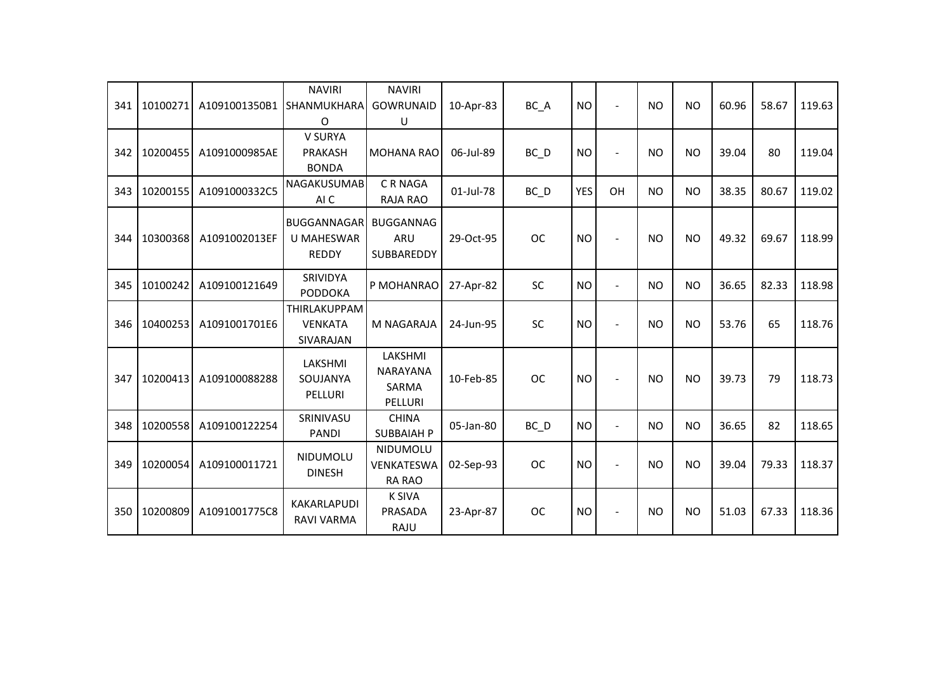| 341 | 10100271 | A1091001350B1 | <b>NAVIRI</b><br><b>SHANMUKHARA</b><br>O                | <b>NAVIRI</b><br><b>GOWRUNAID</b><br>U         | 10-Apr-83 | BC_A              | <b>NO</b> |                          | <b>NO</b> | <b>NO</b>      | 60.96 | 58.67 | 119.63 |
|-----|----------|---------------|---------------------------------------------------------|------------------------------------------------|-----------|-------------------|-----------|--------------------------|-----------|----------------|-------|-------|--------|
| 342 | 10200455 | A1091000985AE | V SURYA<br><b>PRAKASH</b><br><b>BONDA</b>               | <b>MOHANA RAO</b>                              | 06-Jul-89 | $BC$ <sub>D</sub> | <b>NO</b> | $\blacksquare$           | <b>NO</b> | <b>NO</b>      | 39.04 | 80    | 119.04 |
| 343 | 10200155 | A1091000332C5 | <b>NAGAKUSUMAB</b><br>AI C                              | <b>CRNAGA</b><br><b>RAJA RAO</b>               | 01-Jul-78 | $BC$ $D$          | YES       | OH                       | <b>NO</b> | <b>NO</b>      | 38.35 | 80.67 | 119.02 |
| 344 | 10300368 | A1091002013EF | <b>BUGGANNAGAR</b><br><b>U MAHESWAR</b><br><b>REDDY</b> | <b>BUGGANNAG</b><br>ARU<br>SUBBAREDDY          | 29-Oct-95 | <b>OC</b>         | <b>NO</b> |                          | <b>NO</b> | N <sub>O</sub> | 49.32 | 69.67 | 118.99 |
| 345 | 10100242 | A109100121649 | <b>SRIVIDYA</b><br><b>PODDOKA</b>                       | P MOHANRAO                                     | 27-Apr-82 | <b>SC</b>         | <b>NO</b> | $\blacksquare$           | <b>NO</b> | <b>NO</b>      | 36.65 | 82.33 | 118.98 |
| 346 | 10400253 | A1091001701E6 | THIRLAKUPPAM<br><b>VENKATA</b><br><b>SIVARAJAN</b>      | M NAGARAJA                                     | 24-Jun-95 | SC                | <b>NO</b> |                          | <b>NO</b> | <b>NO</b>      | 53.76 | 65    | 118.76 |
| 347 | 10200413 | A109100088288 | LAKSHMI<br>SOUJANYA<br>PELLURI                          | LAKSHMI<br><b>NARAYANA</b><br>SARMA<br>PELLURI | 10-Feb-85 | <b>OC</b>         | <b>NO</b> |                          | <b>NO</b> | <b>NO</b>      | 39.73 | 79    | 118.73 |
| 348 | 10200558 | A109100122254 | SRINIVASU<br><b>PANDI</b>                               | <b>CHINA</b><br><b>SUBBAIAH P</b>              | 05-Jan-80 | $BC$ <sub>D</sub> | <b>NO</b> | $\overline{\phantom{a}}$ | <b>NO</b> | <b>NO</b>      | 36.65 | 82    | 118.65 |
| 349 | 10200054 | A109100011721 | NIDUMOLU<br><b>DINESH</b>                               | NIDUMOLU<br>VENKATESWA<br><b>RA RAO</b>        | 02-Sep-93 | <b>OC</b>         | <b>NO</b> |                          | <b>NO</b> | <b>NO</b>      | 39.04 | 79.33 | 118.37 |
| 350 | 10200809 | A1091001775C8 | KAKARLAPUDI<br>RAVI VARMA                               | <b>K SIVA</b><br>PRASADA<br>RAJU               | 23-Apr-87 | <b>OC</b>         | <b>NO</b> |                          | <b>NO</b> | <b>NO</b>      | 51.03 | 67.33 | 118.36 |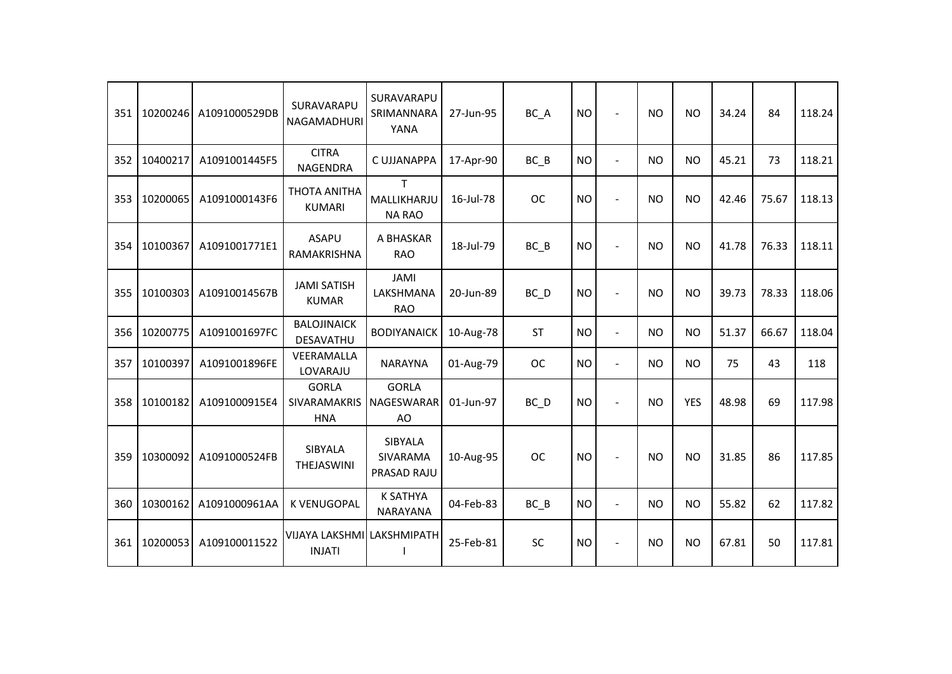| 351 | 10200246 | A1091000529DB | SURAVARAPU<br>NAGAMADHURI                   | SURAVARAPU<br>SRIMANNARA<br>YANA   | 27-Jun-95 | BC_A      | <b>NO</b> | $\blacksquare$           | <b>NO</b> | <b>NO</b>      | 34.24 | 84    | 118.24 |
|-----|----------|---------------|---------------------------------------------|------------------------------------|-----------|-----------|-----------|--------------------------|-----------|----------------|-------|-------|--------|
| 352 | 10400217 | A1091001445F5 | <b>CITRA</b><br>NAGENDRA                    | C UJJANAPPA                        | 17-Apr-90 | $BC$ $B$  | <b>NO</b> | $\overline{a}$           | <b>NO</b> | <b>NO</b>      | 45.21 | 73    | 118.21 |
| 353 | 10200065 | A1091000143F6 | <b>THOTA ANITHA</b><br><b>KUMARI</b>        | T.<br>MALLIKHARJU<br><b>NA RAO</b> | 16-Jul-78 | <b>OC</b> | <b>NO</b> |                          | <b>NO</b> | <b>NO</b>      | 42.46 | 75.67 | 118.13 |
| 354 | 10100367 | A1091001771E1 | <b>ASAPU</b><br>RAMAKRISHNA                 | A BHASKAR<br><b>RAO</b>            | 18-Jul-79 | $BC$ $B$  | <b>NO</b> |                          | <b>NO</b> | <b>NO</b>      | 41.78 | 76.33 | 118.11 |
| 355 | 10100303 | A10910014567B | <b>JAMI SATISH</b><br><b>KUMAR</b>          | JAMI<br>LAKSHMANA<br><b>RAO</b>    | 20-Jun-89 | BC D      | <b>NO</b> |                          | <b>NO</b> | <b>NO</b>      | 39.73 | 78.33 | 118.06 |
| 356 | 10200775 | A1091001697FC | <b>BALOJINAICK</b><br>DESAVATHU             | <b>BODIYANAICK</b>                 | 10-Aug-78 | <b>ST</b> | <b>NO</b> | $\blacksquare$           | <b>NO</b> | <b>NO</b>      | 51.37 | 66.67 | 118.04 |
| 357 | 10100397 | A1091001896FE | VEERAMALLA<br>LOVARAJU                      | <b>NARAYNA</b>                     | 01-Aug-79 | <b>OC</b> | <b>NO</b> | $\blacksquare$           | <b>NO</b> | <b>NO</b>      | 75    | 43    | 118    |
| 358 | 10100182 | A1091000915E4 | <b>GORLA</b><br>SIVARAMAKRIS<br><b>HNA</b>  | <b>GORLA</b><br>NAGESWARAR<br>AO   | 01-Jun-97 | BC D      | <b>NO</b> | $\blacksquare$           | <b>NO</b> | <b>YES</b>     | 48.98 | 69    | 117.98 |
| 359 | 10300092 | A1091000524FB | SIBYALA<br>THEJASWINI                       | SIBYALA<br>SIVARAMA<br>PRASAD RAJU | 10-Aug-95 | <b>OC</b> | <b>NO</b> |                          | <b>NO</b> | <b>NO</b>      | 31.85 | 86    | 117.85 |
| 360 | 10300162 | A1091000961AA | <b>K VENUGOPAL</b>                          | <b>K SATHYA</b><br><b>NARAYANA</b> | 04-Feb-83 | BC B      | <b>NO</b> | $\overline{a}$           | <b>NO</b> | N <sub>O</sub> | 55.82 | 62    | 117.82 |
| 361 | 10200053 | A109100011522 | VIJAYA LAKSHMI LAKSHMIPATH<br><b>INJATI</b> |                                    | 25-Feb-81 | <b>SC</b> | <b>NO</b> | $\overline{\phantom{a}}$ | <b>NO</b> | <b>NO</b>      | 67.81 | 50    | 117.81 |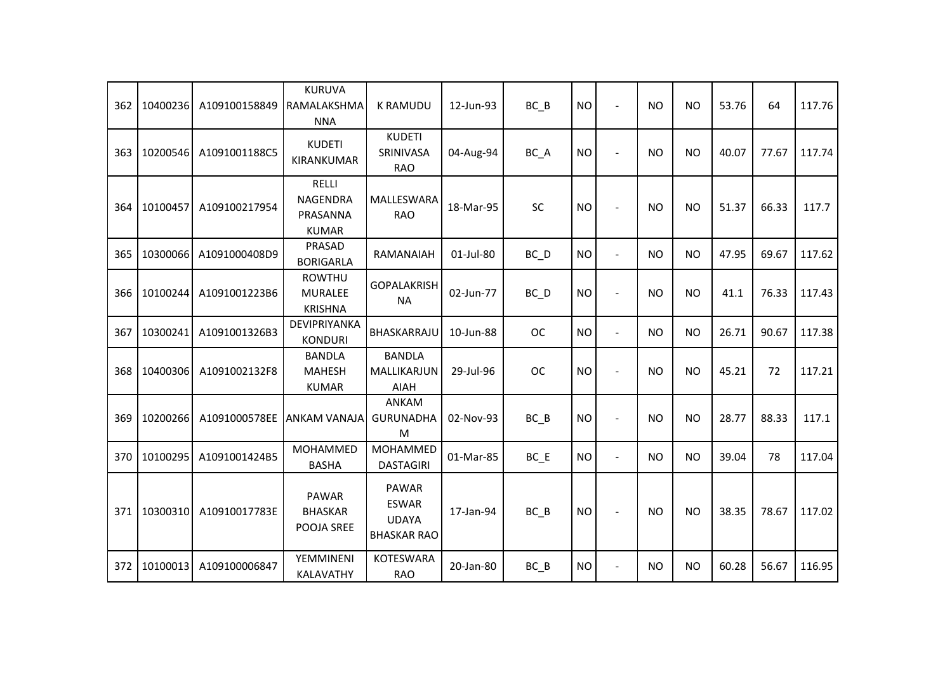| 362 | 10400236 | A109100158849 | <b>KURUVA</b><br>RAMALAKSHMA<br><b>NNA</b>                  | <b>K RAMUDU</b>                                                    | 12-Jun-93 | $BC$ $B$  | <b>NO</b> | $\blacksquare$           | <b>NO</b> | <b>NO</b> | 53.76 | 64    | 117.76 |
|-----|----------|---------------|-------------------------------------------------------------|--------------------------------------------------------------------|-----------|-----------|-----------|--------------------------|-----------|-----------|-------|-------|--------|
| 363 | 10200546 | A1091001188C5 | <b>KUDETI</b><br>KIRANKUMAR                                 | <b>KUDETI</b><br>SRINIVASA<br><b>RAO</b>                           | 04-Aug-94 | BC_A      | <b>NO</b> |                          | <b>NO</b> | <b>NO</b> | 40.07 | 77.67 | 117.74 |
| 364 | 10100457 | A109100217954 | <b>RELLI</b><br><b>NAGENDRA</b><br>PRASANNA<br><b>KUMAR</b> | MALLESWARA<br><b>RAO</b>                                           | 18-Mar-95 | <b>SC</b> | <b>NO</b> |                          | <b>NO</b> | <b>NO</b> | 51.37 | 66.33 | 117.7  |
| 365 | 10300066 | A1091000408D9 | PRASAD<br><b>BORIGARLA</b>                                  | RAMANAIAH                                                          | 01-Jul-80 | BC D      | <b>NO</b> | $\overline{a}$           | <b>NO</b> | <b>NO</b> | 47.95 | 69.67 | 117.62 |
| 366 | 10100244 | A1091001223B6 | <b>ROWTHU</b><br><b>MURALEE</b><br><b>KRISHNA</b>           | <b>GOPALAKRISH</b><br><b>NA</b>                                    | 02-Jun-77 | BC D      | <b>NO</b> | $\blacksquare$           | <b>NO</b> | <b>NO</b> | 41.1  | 76.33 | 117.43 |
| 367 | 10300241 | A1091001326B3 | DEVIPRIYANKA<br><b>KONDURI</b>                              | BHASKARRAJU                                                        | 10-Jun-88 | <b>OC</b> | <b>NO</b> | $\overline{a}$           | <b>NO</b> | <b>NO</b> | 26.71 | 90.67 | 117.38 |
| 368 | 10400306 | A1091002132F8 | <b>BANDLA</b><br><b>MAHESH</b><br><b>KUMAR</b>              | <b>BANDLA</b><br>MALLIKARJUN<br><b>AIAH</b>                        | 29-Jul-96 | <b>OC</b> | <b>NO</b> | $\overline{\phantom{a}}$ | <b>NO</b> | <b>NO</b> | 45.21 | 72    | 117.21 |
| 369 | 10200266 | A1091000578EE | <b>ANKAM VANAJA</b>                                         | <b>ANKAM</b><br><b>GURUNADHA</b><br>M                              | 02-Nov-93 | $BC$ $B$  | <b>NO</b> |                          | <b>NO</b> | <b>NO</b> | 28.77 | 88.33 | 117.1  |
| 370 | 10100295 | A1091001424B5 | MOHAMMED<br><b>BASHA</b>                                    | MOHAMMED<br><b>DASTAGIRI</b>                                       | 01-Mar-85 | $BC$ $E$  | <b>NO</b> | $\blacksquare$           | <b>NO</b> | <b>NO</b> | 39.04 | 78    | 117.04 |
| 371 | 10300310 | A10910017783E | <b>PAWAR</b><br><b>BHASKAR</b><br>POOJA SREE                | <b>PAWAR</b><br><b>ESWAR</b><br><b>UDAYA</b><br><b>BHASKAR RAO</b> | 17-Jan-94 | $BC$ $B$  | <b>NO</b> |                          | <b>NO</b> | <b>NO</b> | 38.35 | 78.67 | 117.02 |
| 372 | 10100013 | A109100006847 | YEMMINENI<br>KALAVATHY                                      | <b>KOTESWARA</b><br><b>RAO</b>                                     | 20-Jan-80 | $BC$ $B$  | <b>NO</b> | $\blacksquare$           | <b>NO</b> | <b>NO</b> | 60.28 | 56.67 | 116.95 |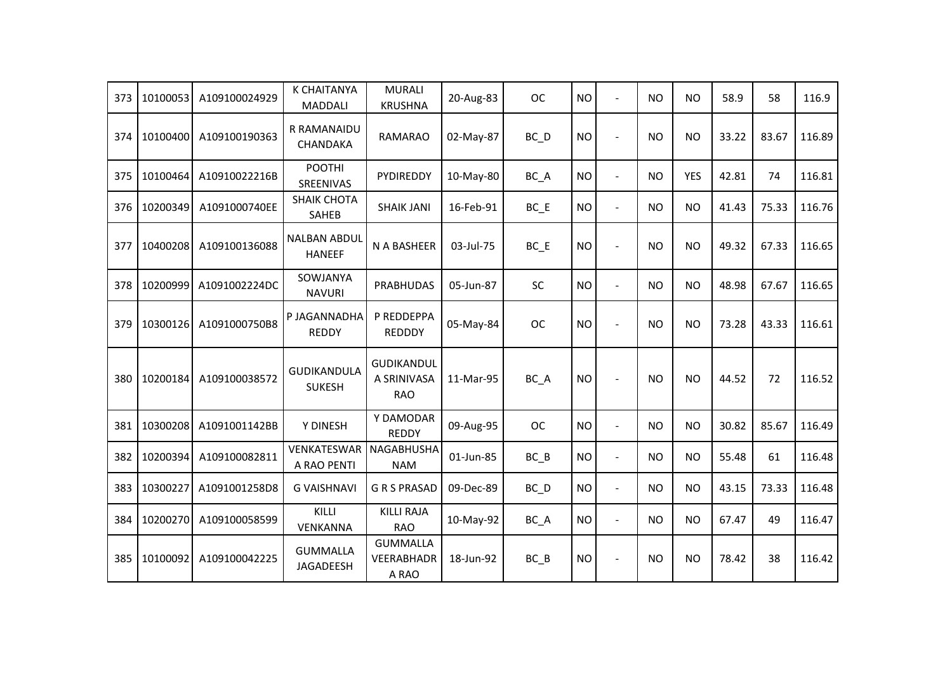| 373 | 10100053 | A109100024929 | <b>K CHAITANYA</b><br><b>MADDALI</b> | <b>MURALI</b><br><b>KRUSHNA</b>                | 20-Aug-83 | <b>OC</b>         | <b>NO</b> | $\overline{a}$ | <b>NO</b>      | <b>NO</b>  | 58.9  | 58    | 116.9  |
|-----|----------|---------------|--------------------------------------|------------------------------------------------|-----------|-------------------|-----------|----------------|----------------|------------|-------|-------|--------|
| 374 | 10100400 | A109100190363 | R RAMANAIDU<br><b>CHANDAKA</b>       | <b>RAMARAO</b>                                 | 02-May-87 | $BC$ <sub>D</sub> | <b>NO</b> | ÷,             | N <sub>O</sub> | <b>NO</b>  | 33.22 | 83.67 | 116.89 |
| 375 | 10100464 | A10910022216B | <b>POOTHI</b><br>SREENIVAS           | PYDIREDDY                                      | 10-May-80 | BC_A              | <b>NO</b> | $\blacksquare$ | <b>NO</b>      | <b>YES</b> | 42.81 | 74    | 116.81 |
| 376 | 10200349 | A1091000740EE | <b>SHAIK CHOTA</b><br>SAHEB          | <b>SHAIK JANI</b>                              | 16-Feb-91 | BC_E              | <b>NO</b> | $\overline{a}$ | <b>NO</b>      | <b>NO</b>  | 41.43 | 75.33 | 116.76 |
| 377 | 10400208 | A109100136088 | <b>NALBAN ABDUL</b><br><b>HANEEF</b> | N A BASHEER                                    | 03-Jul-75 | $BC$ $E$          | <b>NO</b> | $\blacksquare$ | <b>NO</b>      | <b>NO</b>  | 49.32 | 67.33 | 116.65 |
| 378 | 10200999 | A1091002224DC | SOWJANYA<br><b>NAVURI</b>            | <b>PRABHUDAS</b>                               | 05-Jun-87 | <b>SC</b>         | <b>NO</b> | $\overline{a}$ | <b>NO</b>      | <b>NO</b>  | 48.98 | 67.67 | 116.65 |
| 379 | 10300126 | A1091000750B8 | P JAGANNADHA<br><b>REDDY</b>         | P REDDEPPA<br><b>REDDDY</b>                    | 05-May-84 | <b>OC</b>         | <b>NO</b> |                | <b>NO</b>      | <b>NO</b>  | 73.28 | 43.33 | 116.61 |
| 380 | 10200184 | A109100038572 | <b>GUDIKANDULA</b><br><b>SUKESH</b>  | <b>GUDIKANDUL</b><br>A SRINIVASA<br><b>RAO</b> | 11-Mar-95 | BC_A              | <b>NO</b> | $\sim$         | <b>NO</b>      | <b>NO</b>  | 44.52 | 72    | 116.52 |
| 381 | 10300208 | A1091001142BB | Y DINESH                             | Y DAMODAR<br><b>REDDY</b>                      | 09-Aug-95 | ОC                | <b>NO</b> | $\overline{a}$ | <b>NO</b>      | <b>NO</b>  | 30.82 | 85.67 | 116.49 |
| 382 | 10200394 | A109100082811 | VENKATESWAR<br>A RAO PENTI           | NAGABHUSHA<br><b>NAM</b>                       | 01-Jun-85 | $BC$ $B$          | <b>NO</b> | $\blacksquare$ | <b>NO</b>      | <b>NO</b>  | 55.48 | 61    | 116.48 |
| 383 | 10300227 | A1091001258D8 | <b>G VAISHNAVI</b>                   | <b>GRSPRASAD</b>                               | 09-Dec-89 | BC_D              | <b>NO</b> | $\blacksquare$ | <b>NO</b>      | <b>NO</b>  | 43.15 | 73.33 | 116.48 |
| 384 | 10200270 | A109100058599 | KILLI<br>VENKANNA                    | <b>KILLI RAJA</b><br><b>RAO</b>                | 10-May-92 | BC_A              | <b>NO</b> | $\overline{a}$ | <b>NO</b>      | <b>NO</b>  | 67.47 | 49    | 116.47 |
| 385 | 10100092 | A109100042225 | <b>GUMMALLA</b><br>JAGADEESH         | <b>GUMMALLA</b><br><b>VEERABHADR</b><br>A RAO  | 18-Jun-92 | $BC$ $B$          | <b>NO</b> |                | <b>NO</b>      | <b>NO</b>  | 78.42 | 38    | 116.42 |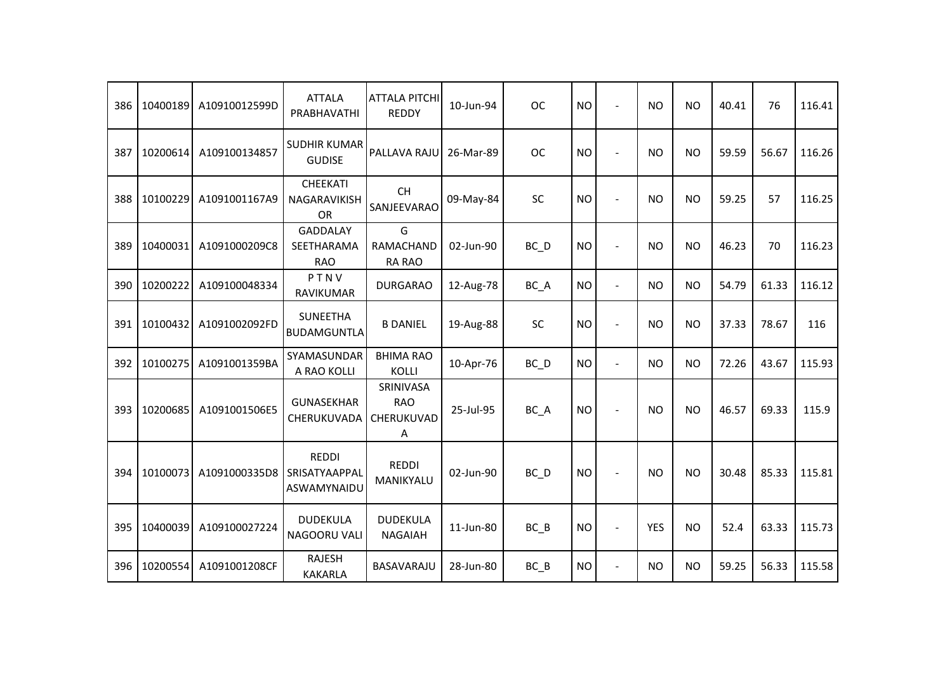| 386 | 10400189 | A10910012599D | <b>ATTALA</b><br>PRABHAVATHI                 | <b>ATTALA PITCHI</b><br><b>REDDY</b>       | 10-Jun-94 | <b>OC</b>         | <b>NO</b> | $\blacksquare$           | <b>NO</b>  | <b>NO</b> | 40.41 | 76    | 116.41 |
|-----|----------|---------------|----------------------------------------------|--------------------------------------------|-----------|-------------------|-----------|--------------------------|------------|-----------|-------|-------|--------|
| 387 | 10200614 | A109100134857 | <b>SUDHIR KUMAR</b><br><b>GUDISE</b>         | PALLAVA RAJU                               | 26-Mar-89 | <b>OC</b>         | <b>NO</b> | $\blacksquare$           | <b>NO</b>  | <b>NO</b> | 59.59 | 56.67 | 116.26 |
| 388 | 10100229 | A1091001167A9 | <b>CHEEKATI</b><br>NAGARAVIKISH<br><b>OR</b> | <b>CH</b><br>SANJEEVARAO                   | 09-May-84 | <b>SC</b>         | <b>NO</b> |                          | <b>NO</b>  | <b>NO</b> | 59.25 | 57    | 116.25 |
| 389 | 10400031 | A1091000209C8 | <b>GADDALAY</b><br>SEETHARAMA<br><b>RAO</b>  | G<br>RAMACHAND<br><b>RA RAO</b>            | 02-Jun-90 | BC_D              | <b>NO</b> | $\blacksquare$           | <b>NO</b>  | <b>NO</b> | 46.23 | 70    | 116.23 |
| 390 | 10200222 | A109100048334 | PTNV<br>RAVIKUMAR                            | <b>DURGARAO</b>                            | 12-Aug-78 | BC_A              | <b>NO</b> | $\blacksquare$           | <b>NO</b>  | <b>NO</b> | 54.79 | 61.33 | 116.12 |
| 391 | 10100432 | A1091002092FD | <b>SUNEETHA</b><br><b>BUDAMGUNTLA</b>        | <b>B DANIEL</b>                            | 19-Aug-88 | SC                | <b>NO</b> |                          | <b>NO</b>  | <b>NO</b> | 37.33 | 78.67 | 116    |
| 392 | 10100275 | A1091001359BA | SYAMASUNDAR<br>A RAO KOLLI                   | <b>BHIMA RAO</b><br><b>KOLLI</b>           | 10-Apr-76 | $BC$ <sub>D</sub> | <b>NO</b> | $\overline{\phantom{a}}$ | <b>NO</b>  | <b>NO</b> | 72.26 | 43.67 | 115.93 |
| 393 | 10200685 | A1091001506E5 | <b>GUNASEKHAR</b><br>CHERUKUVADA             | SRINIVASA<br><b>RAO</b><br>CHERUKUVAD<br>A | 25-Jul-95 | BC_A              | <b>NO</b> |                          | <b>NO</b>  | <b>NO</b> | 46.57 | 69.33 | 115.9  |
| 394 | 10100073 | A1091000335D8 | <b>REDDI</b><br>SRISATYAAPPAL<br>ASWAMYNAIDU | <b>REDDI</b><br>MANIKYALU                  | 02-Jun-90 | BC_D              | <b>NO</b> | $\overline{a}$           | <b>NO</b>  | <b>NO</b> | 30.48 | 85.33 | 115.81 |
| 395 | 10400039 | A109100027224 | <b>DUDEKULA</b><br>NAGOORU VALI              | <b>DUDEKULA</b><br><b>NAGAIAH</b>          | 11-Jun-80 | $BC$ $B$          | <b>NO</b> |                          | <b>YES</b> | <b>NO</b> | 52.4  | 63.33 | 115.73 |
| 396 | 10200554 | A1091001208CF | <b>RAJESH</b><br><b>KAKARLA</b>              | BASAVARAJU                                 | 28-Jun-80 | $BC$ $B$          | <b>NO</b> |                          | <b>NO</b>  | <b>NO</b> | 59.25 | 56.33 | 115.58 |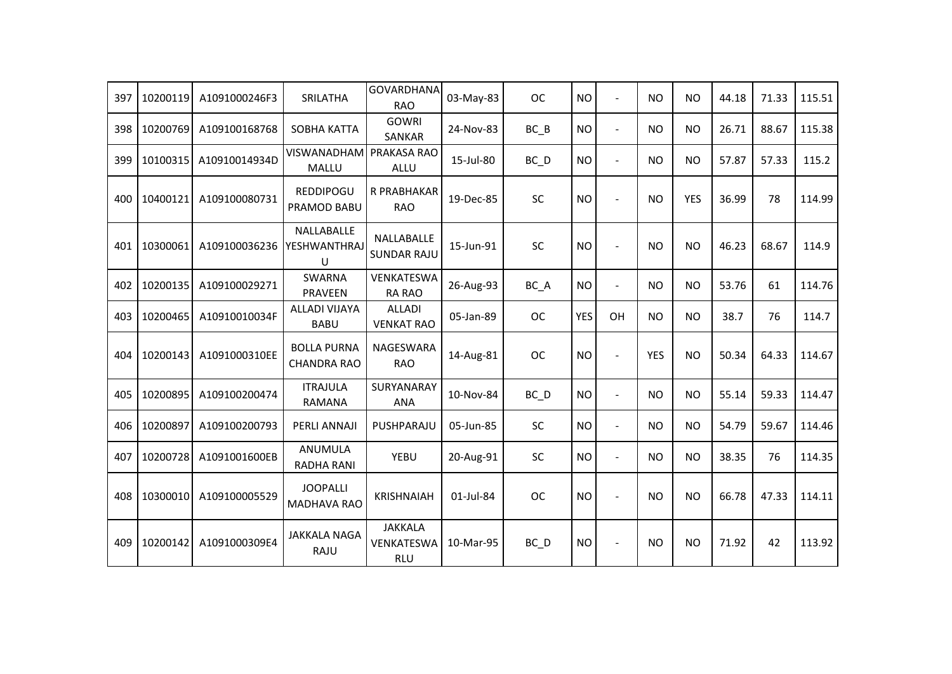| 397 | 10200119 | A1091000246F3 | SRILATHA                                 | <b>GOVARDHANA</b><br><b>RAO</b>            | 03-May-83 | <b>OC</b>         | <b>NO</b>  | $\overline{a}$           | <b>NO</b>  | <b>NO</b>  | 44.18 | 71.33 | 115.51 |
|-----|----------|---------------|------------------------------------------|--------------------------------------------|-----------|-------------------|------------|--------------------------|------------|------------|-------|-------|--------|
| 398 | 10200769 | A109100168768 | SOBHA KATTA                              | <b>GOWRI</b><br><b>SANKAR</b>              | 24-Nov-83 | $BC$ $B$          | <b>NO</b>  | $\sim$                   | <b>NO</b>  | <b>NO</b>  | 26.71 | 88.67 | 115.38 |
| 399 | 10100315 | A10910014934D | <b>VISWANADHAM</b><br>MALLU              | PRAKASA RAO<br>ALLU                        | 15-Jul-80 | $BC$ <sub>D</sub> | <b>NO</b>  | $\blacksquare$           | <b>NO</b>  | <b>NO</b>  | 57.87 | 57.33 | 115.2  |
| 400 | 10400121 | A109100080731 | REDDIPOGU<br>PRAMOD BABU                 | R PRABHAKAR<br><b>RAO</b>                  | 19-Dec-85 | SC                | <b>NO</b>  | $\overline{\phantom{a}}$ | <b>NO</b>  | <b>YES</b> | 36.99 | 78    | 114.99 |
| 401 | 10300061 | A109100036236 | NALLABALLE<br>YESHWANTHRAJ<br>U          | NALLABALLE<br><b>SUNDAR RAJU</b>           | 15-Jun-91 | SC                | <b>NO</b>  | $\overline{a}$           | <b>NO</b>  | <b>NO</b>  | 46.23 | 68.67 | 114.9  |
| 402 | 10200135 | A109100029271 | <b>SWARNA</b><br>PRAVEEN                 | VENKATESWA<br>RA RAO                       | 26-Aug-93 | BC_A              | <b>NO</b>  | $\blacksquare$           | <b>NO</b>  | <b>NO</b>  | 53.76 | 61    | 114.76 |
| 403 | 10200465 | A10910010034F | <b>ALLADI VIJAYA</b><br><b>BABU</b>      | <b>ALLADI</b><br><b>VENKAT RAO</b>         | 05-Jan-89 | <b>OC</b>         | <b>YES</b> | OH                       | <b>NO</b>  | <b>NO</b>  | 38.7  | 76    | 114.7  |
| 404 | 10200143 | A1091000310EE | <b>BOLLA PURNA</b><br><b>CHANDRA RAO</b> | NAGESWARA<br><b>RAO</b>                    | 14-Aug-81 | <b>OC</b>         | <b>NO</b>  |                          | <b>YES</b> | <b>NO</b>  | 50.34 | 64.33 | 114.67 |
| 405 | 10200895 | A109100200474 | <b>ITRAJULA</b><br>RAMANA                | SURYANARAY<br><b>ANA</b>                   | 10-Nov-84 | $BC$ <sub>D</sub> | <b>NO</b>  | $\overline{a}$           | <b>NO</b>  | <b>NO</b>  | 55.14 | 59.33 | 114.47 |
| 406 | 10200897 | A109100200793 | PERLI ANNAJI                             | PUSHPARAJU                                 | 05-Jun-85 | <b>SC</b>         | <b>NO</b>  | $\blacksquare$           | <b>NO</b>  | <b>NO</b>  | 54.79 | 59.67 | 114.46 |
| 407 | 10200728 | A1091001600EB | ANUMULA<br><b>RADHA RANI</b>             | YEBU                                       | 20-Aug-91 | <b>SC</b>         | <b>NO</b>  | $\blacksquare$           | <b>NO</b>  | <b>NO</b>  | 38.35 | 76    | 114.35 |
| 408 | 10300010 | A109100005529 | <b>JOOPALLI</b><br><b>MADHAVA RAO</b>    | <b>KRISHNAIAH</b>                          | 01-Jul-84 | <b>OC</b>         | <b>NO</b>  |                          | <b>NO</b>  | <b>NO</b>  | 66.78 | 47.33 | 114.11 |
| 409 | 10200142 | A1091000309E4 | <b>JAKKALA NAGA</b><br>RAJU              | <b>JAKKALA</b><br>VENKATESWA<br><b>RLU</b> | 10-Mar-95 | BC_D              | <b>NO</b>  | $\overline{a}$           | <b>NO</b>  | <b>NO</b>  | 71.92 | 42    | 113.92 |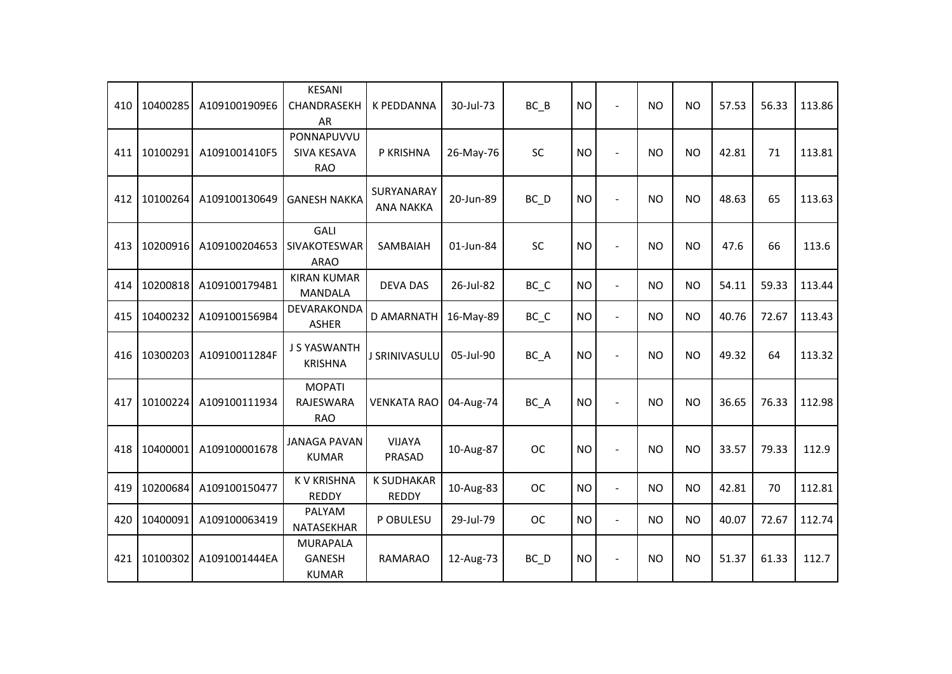| 410 | 10400285 | A1091001909E6 | <b>KESANI</b><br>CHANDRASEKH<br>AR               | K PEDDANNA                        | 30-Jul-73 | $BC$ $B$                       | <b>NO</b> | $\blacksquare$           | <b>NO</b> | <b>NO</b> | 57.53 | 56.33 | 113.86 |
|-----|----------|---------------|--------------------------------------------------|-----------------------------------|-----------|--------------------------------|-----------|--------------------------|-----------|-----------|-------|-------|--------|
| 411 | 10100291 | A1091001410F5 | PONNAPUVVU<br>SIVA KESAVA<br><b>RAO</b>          | P KRISHNA                         | 26-May-76 | <b>SC</b>                      | <b>NO</b> | $\overline{\phantom{a}}$ | NO.       | <b>NO</b> | 42.81 | 71    | 113.81 |
| 412 | 10100264 | A109100130649 | <b>GANESH NAKKA</b>                              | SURYANARAY<br><b>ANA NAKKA</b>    | 20-Jun-89 | $BC$ <sub>D</sub>              | <b>NO</b> | $\blacksquare$           | <b>NO</b> | <b>NO</b> | 48.63 | 65    | 113.63 |
| 413 | 10200916 | A109100204653 | <b>GALI</b><br>SIVAKOTESWAR<br><b>ARAO</b>       | SAMBAIAH                          | 01-Jun-84 | <b>SC</b>                      | <b>NO</b> | $\blacksquare$           | <b>NO</b> | NO.       | 47.6  | 66    | 113.6  |
| 414 | 10200818 | A1091001794B1 | <b>KIRAN KUMAR</b><br><b>MANDALA</b>             | <b>DEVA DAS</b>                   | 26-Jul-82 | BC_C                           | <b>NO</b> | $\blacksquare$           | <b>NO</b> | <b>NO</b> | 54.11 | 59.33 | 113.44 |
| 415 | 10400232 | A1091001569B4 | DEVARAKONDA<br><b>ASHER</b>                      | <b>D AMARNATH</b>                 | 16-May-89 | $BC$ <sub><math>C</math></sub> | <b>NO</b> | $\blacksquare$           | <b>NO</b> | <b>NO</b> | 40.76 | 72.67 | 113.43 |
| 416 | 10300203 | A10910011284F | <b>J S YASWANTH</b><br><b>KRISHNA</b>            | J SRINIVASULU                     | 05-Jul-90 | BC_A                           | <b>NO</b> |                          | <b>NO</b> | <b>NO</b> | 49.32 | 64    | 113.32 |
| 417 | 10100224 | A109100111934 | <b>MOPATI</b><br>RAJESWARA<br><b>RAO</b>         | <b>VENKATA RAO</b>                | 04-Aug-74 | BC_A                           | <b>NO</b> |                          | <b>NO</b> | <b>NO</b> | 36.65 | 76.33 | 112.98 |
| 418 | 10400001 | A109100001678 | <b>JANAGA PAVAN</b><br><b>KUMAR</b>              | <b>VIJAYA</b><br>PRASAD           | 10-Aug-87 | <b>OC</b>                      | <b>NO</b> |                          | <b>NO</b> | <b>NO</b> | 33.57 | 79.33 | 112.9  |
| 419 | 10200684 | A109100150477 | <b>KV KRISHNA</b><br><b>REDDY</b>                | <b>K SUDHAKAR</b><br><b>REDDY</b> | 10-Aug-83 | <b>OC</b>                      | <b>NO</b> | $\blacksquare$           | <b>NO</b> | <b>NO</b> | 42.81 | 70    | 112.81 |
| 420 | 10400091 | A109100063419 | PALYAM<br>NATASEKHAR                             | P OBULESU                         | 29-Jul-79 | <b>OC</b>                      | <b>NO</b> | $\overline{a}$           | <b>NO</b> | <b>NO</b> | 40.07 | 72.67 | 112.74 |
| 421 | 10100302 | A1091001444EA | <b>MURAPALA</b><br><b>GANESH</b><br><b>KUMAR</b> | <b>RAMARAO</b>                    | 12-Aug-73 | $BC$ <sub>D</sub>              | <b>NO</b> |                          | <b>NO</b> | <b>NO</b> | 51.37 | 61.33 | 112.7  |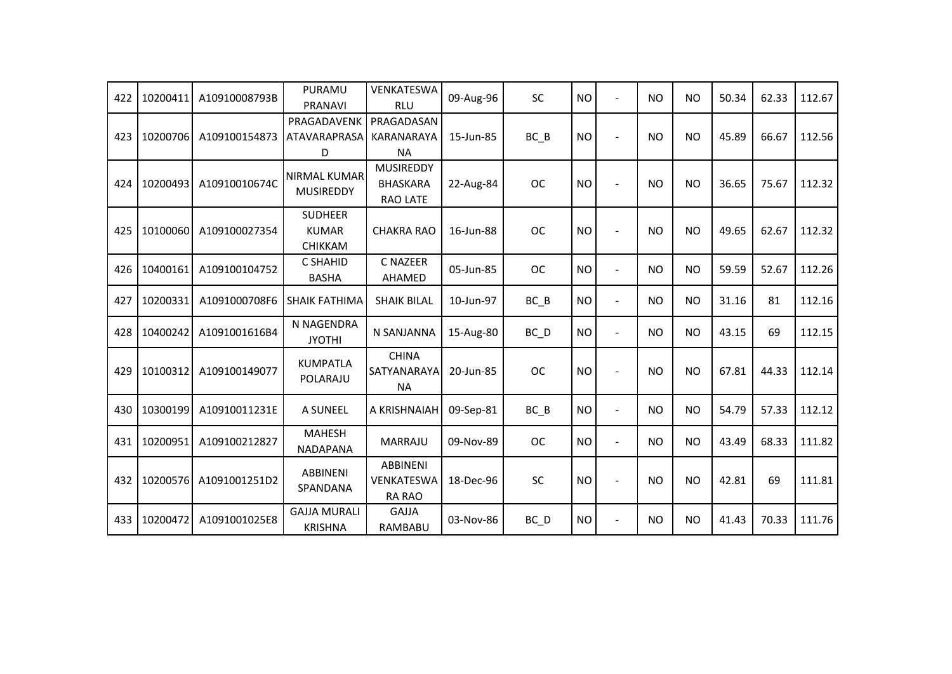| 422 | 10200411 | A10910008793B | PURAMU<br><b>PRANAVI</b>                         | VENKATESWA<br><b>RLU</b>                               | 09-Aug-96 | <b>SC</b> | <b>NO</b> | $\overline{a}$ | <b>NO</b> | <b>NO</b> | 50.34 | 62.33 | 112.67 |
|-----|----------|---------------|--------------------------------------------------|--------------------------------------------------------|-----------|-----------|-----------|----------------|-----------|-----------|-------|-------|--------|
| 423 | 10200706 | A109100154873 | PRAGADAVENK<br>ATAVARAPRASA<br>D                 | PRAGADASAN<br>KARANARAYA<br><b>NA</b>                  | 15-Jun-85 | $BC$ $B$  | <b>NO</b> |                | <b>NO</b> | <b>NO</b> | 45.89 | 66.67 | 112.56 |
| 424 | 10200493 | A10910010674C | <b>NIRMAL KUMAR</b><br><b>MUSIREDDY</b>          | <b>MUSIREDDY</b><br><b>BHASKARA</b><br><b>RAO LATE</b> | 22-Aug-84 | <b>OC</b> | <b>NO</b> |                | <b>NO</b> | <b>NO</b> | 36.65 | 75.67 | 112.32 |
| 425 | 10100060 | A109100027354 | <b>SUDHEER</b><br><b>KUMAR</b><br><b>CHIKKAM</b> | <b>CHAKRA RAO</b>                                      | 16-Jun-88 | <b>OC</b> | <b>NO</b> |                | <b>NO</b> | <b>NO</b> | 49.65 | 62.67 | 112.32 |
| 426 | 10400161 | A109100104752 | C SHAHID<br><b>BASHA</b>                         | <b>C NAZEER</b><br>AHAMED                              | 05-Jun-85 | <b>OC</b> | <b>NO</b> | $\sim$         | <b>NO</b> | <b>NO</b> | 59.59 | 52.67 | 112.26 |
| 427 | 10200331 | A1091000708F6 | <b>SHAIK FATHIMA</b>                             | <b>SHAIK BILAL</b>                                     | 10-Jun-97 | $BC$ $B$  | <b>NO</b> | $\blacksquare$ | <b>NO</b> | <b>NO</b> | 31.16 | 81    | 112.16 |
| 428 | 10400242 | A1091001616B4 | N NAGENDRA<br><b>JYOTHI</b>                      | N SANJANNA                                             | 15-Aug-80 | BC D      | <b>NO</b> | $\blacksquare$ | <b>NO</b> | <b>NO</b> | 43.15 | 69    | 112.15 |
| 429 | 10100312 | A109100149077 | <b>KUMPATLA</b><br>POLARAJU                      | <b>CHINA</b><br>SATYANARAYA<br><b>NA</b>               | 20-Jun-85 | <b>OC</b> | <b>NO</b> |                | <b>NO</b> | <b>NO</b> | 67.81 | 44.33 | 112.14 |
| 430 | 10300199 | A10910011231E | A SUNEEL                                         | A KRISHNAIAH                                           | 09-Sep-81 | $BC$ $B$  | <b>NO</b> | $\blacksquare$ | <b>NO</b> | <b>NO</b> | 54.79 | 57.33 | 112.12 |
| 431 | 10200951 | A109100212827 | <b>MAHESH</b><br><b>NADAPANA</b>                 | <b>MARRAJU</b>                                         | 09-Nov-89 | <b>OC</b> | <b>NO</b> | $\blacksquare$ | <b>NO</b> | <b>NO</b> | 43.49 | 68.33 | 111.82 |
| 432 | 10200576 | A1091001251D2 | <b>ABBINENI</b><br>SPANDANA                      | <b>ABBINENI</b><br>VENKATESWA<br><b>RA RAO</b>         | 18-Dec-96 | SC        | <b>NO</b> |                | <b>NO</b> | <b>NO</b> | 42.81 | 69    | 111.81 |
| 433 | 10200472 | A1091001025E8 | <b>GAJJA MURALI</b><br><b>KRISHNA</b>            | <b>GAJJA</b><br><b>RAMBABU</b>                         | 03-Nov-86 | BC D      | <b>NO</b> | $\blacksquare$ | <b>NO</b> | <b>NO</b> | 41.43 | 70.33 | 111.76 |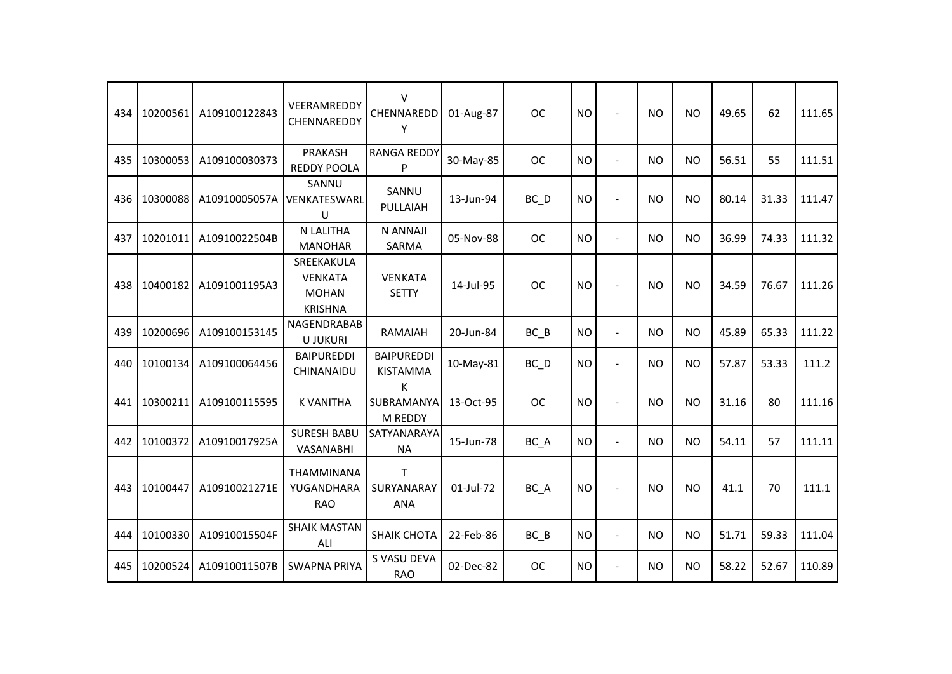| 434 | 10200561 | A109100122843 | VEERAMREDDY<br>CHENNAREDDY                                     | $\vee$<br>CHENNAREDD<br>Y                | 01-Aug-87 | <b>OC</b>         | <b>NO</b> |                          | <b>NO</b> | <b>NO</b> | 49.65 | 62    | 111.65 |
|-----|----------|---------------|----------------------------------------------------------------|------------------------------------------|-----------|-------------------|-----------|--------------------------|-----------|-----------|-------|-------|--------|
| 435 | 10300053 | A109100030373 | PRAKASH<br><b>REDDY POOLA</b>                                  | <b>RANGA REDDY</b><br>P                  | 30-May-85 | <b>OC</b>         | <b>NO</b> | $\overline{a}$           | <b>NO</b> | <b>NO</b> | 56.51 | 55    | 111.51 |
| 436 | 10300088 | A10910005057A | SANNU<br>VENKATESWARL<br>U                                     | SANNU<br>PULLAIAH                        | 13-Jun-94 | BC D              | <b>NO</b> | $\overline{\phantom{a}}$ | <b>NO</b> | <b>NO</b> | 80.14 | 31.33 | 111.47 |
| 437 | 10201011 | A10910022504B | N LALITHA<br><b>MANOHAR</b>                                    | N ANNAJI<br>SARMA                        | 05-Nov-88 | <b>OC</b>         | <b>NO</b> | $\overline{\phantom{a}}$ | <b>NO</b> | <b>NO</b> | 36.99 | 74.33 | 111.32 |
| 438 | 10400182 | A1091001195A3 | SREEKAKULA<br><b>VENKATA</b><br><b>MOHAN</b><br><b>KRISHNA</b> | <b>VENKATA</b><br><b>SETTY</b>           | 14-Jul-95 | <b>OC</b>         | <b>NO</b> |                          | <b>NO</b> | <b>NO</b> | 34.59 | 76.67 | 111.26 |
| 439 | 10200696 | A109100153145 | NAGENDRABAB<br><b>U JUKURI</b>                                 | RAMAIAH                                  | 20-Jun-84 | BC B              | <b>NO</b> | $\overline{\phantom{a}}$ | <b>NO</b> | <b>NO</b> | 45.89 | 65.33 | 111.22 |
| 440 | 10100134 | A109100064456 | <b>BAIPUREDDI</b><br>CHINANAIDU                                | <b>BAIPUREDDI</b><br><b>KISTAMMA</b>     | 10-May-81 | $BC$ <sub>D</sub> | <b>NO</b> | $\overline{a}$           | <b>NO</b> | <b>NO</b> | 57.87 | 53.33 | 111.2  |
| 441 | 10300211 | A109100115595 | <b>K VANITHA</b>                                               | K<br>SUBRAMANYA<br>M REDDY               | 13-Oct-95 | <b>OC</b>         | <b>NO</b> |                          | <b>NO</b> | <b>NO</b> | 31.16 | 80    | 111.16 |
| 442 | 10100372 | A10910017925A | <b>SURESH BABU</b><br>VASANABHI                                | SATYANARAYA<br><b>NA</b>                 | 15-Jun-78 | BC A              | <b>NO</b> | $\overline{\phantom{a}}$ | NO.       | <b>NO</b> | 54.11 | 57    | 111.11 |
| 443 | 10100447 | A10910021271E | <b>THAMMINANA</b><br>YUGANDHARA<br><b>RAO</b>                  | $\mathsf{T}$<br>SURYANARAY<br><b>ANA</b> | 01-Jul-72 | BC_A              | <b>NO</b> |                          | <b>NO</b> | <b>NO</b> | 41.1  | 70    | 111.1  |
| 444 | 10100330 | A10910015504F | <b>SHAIK MASTAN</b><br>ALI                                     | <b>SHAIK CHOTA</b>                       | 22-Feb-86 | BC B              | <b>NO</b> | $\blacksquare$           | <b>NO</b> | <b>NO</b> | 51.71 | 59.33 | 111.04 |
| 445 | 10200524 | A10910011507B | <b>SWAPNA PRIYA</b>                                            | S VASU DEVA<br><b>RAO</b>                | 02-Dec-82 | <b>OC</b>         | <b>NO</b> | $\blacksquare$           | <b>NO</b> | <b>NO</b> | 58.22 | 52.67 | 110.89 |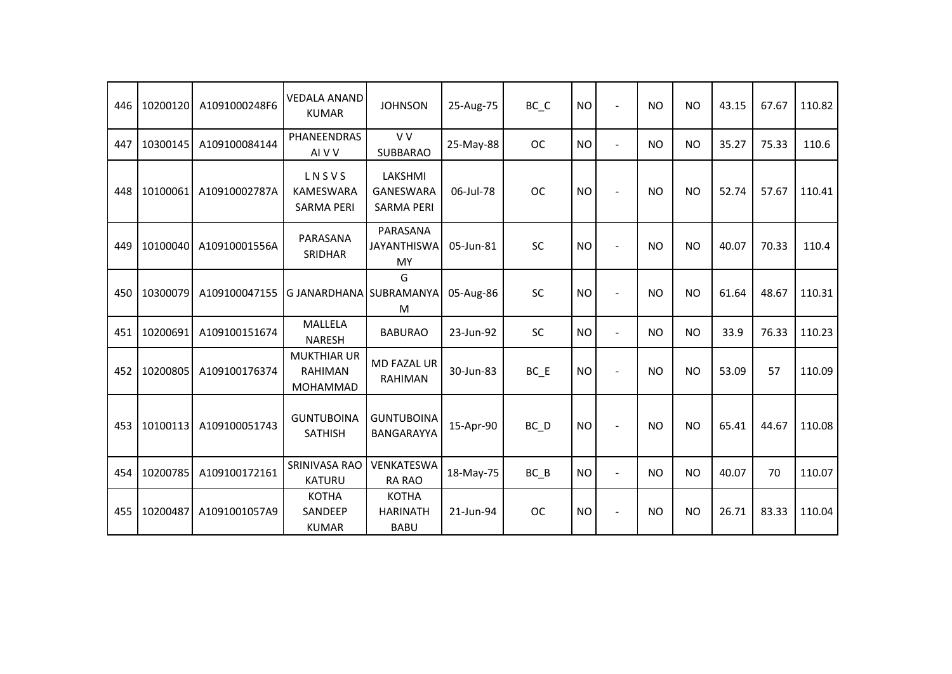| 446 | 10200120 | A1091000248F6 | <b>VEDALA ANAND</b><br><b>KUMAR</b>              | <b>JOHNSON</b>                                   | 25-Aug-75 | BC_C      | <b>NO</b> |                | <b>NO</b> | <b>NO</b> | 43.15 | 67.67 | 110.82 |
|-----|----------|---------------|--------------------------------------------------|--------------------------------------------------|-----------|-----------|-----------|----------------|-----------|-----------|-------|-------|--------|
| 447 | 10300145 | A109100084144 | PHANEENDRAS<br>AI V V                            | V V<br><b>SUBBARAO</b>                           | 25-May-88 | <b>OC</b> | <b>NO</b> | $\blacksquare$ | <b>NO</b> | <b>NO</b> | 35.27 | 75.33 | 110.6  |
| 448 | 10100061 | A10910002787A | LNSVS<br><b>KAMESWARA</b><br><b>SARMA PERI</b>   | LAKSHMI<br><b>GANESWARA</b><br><b>SARMA PERI</b> | 06-Jul-78 | <b>OC</b> | <b>NO</b> |                | <b>NO</b> | <b>NO</b> | 52.74 | 57.67 | 110.41 |
| 449 | 10100040 | A10910001556A | PARASANA<br>SRIDHAR                              | PARASANA<br><b>JAYANTHISWA</b><br>MY             | 05-Jun-81 | <b>SC</b> | <b>NO</b> | $\blacksquare$ | <b>NO</b> | <b>NO</b> | 40.07 | 70.33 | 110.4  |
| 450 | 10300079 | A109100047155 | G JANARDHANA SUBRAMANYA                          | G<br>M                                           | 05-Aug-86 | SC        | <b>NO</b> |                | <b>NO</b> | <b>NO</b> | 61.64 | 48.67 | 110.31 |
| 451 | 10200691 | A109100151674 | MALLELA<br><b>NARESH</b>                         | <b>BABURAO</b>                                   | 23-Jun-92 | SC        | <b>NO</b> | $\overline{a}$ | <b>NO</b> | <b>NO</b> | 33.9  | 76.33 | 110.23 |
| 452 | 10200805 | A109100176374 | <b>MUKTHIAR UR</b><br><b>RAHIMAN</b><br>MOHAMMAD | <b>MD FAZAL UR</b><br><b>RAHIMAN</b>             | 30-Jun-83 | BC E      | <b>NO</b> |                | <b>NO</b> | <b>NO</b> | 53.09 | 57    | 110.09 |
| 453 | 10100113 | A109100051743 | <b>GUNTUBOINA</b><br><b>SATHISH</b>              | <b>GUNTUBOINA</b><br>BANGARAYYA                  | 15-Apr-90 | BC D      | <b>NO</b> |                | <b>NO</b> | <b>NO</b> | 65.41 | 44.67 | 110.08 |
| 454 | 10200785 | A109100172161 | SRINIVASA RAO<br><b>KATURU</b>                   | VENKATESWA<br><b>RA RAO</b>                      | 18-May-75 | $BC$ $B$  | <b>NO</b> | $\blacksquare$ | <b>NO</b> | <b>NO</b> | 40.07 | 70    | 110.07 |
| 455 | 10200487 | A1091001057A9 | <b>KOTHA</b><br>SANDEEP<br><b>KUMAR</b>          | <b>KOTHA</b><br><b>HARINATH</b><br><b>BABU</b>   | 21-Jun-94 | <b>OC</b> | <b>NO</b> |                | <b>NO</b> | <b>NO</b> | 26.71 | 83.33 | 110.04 |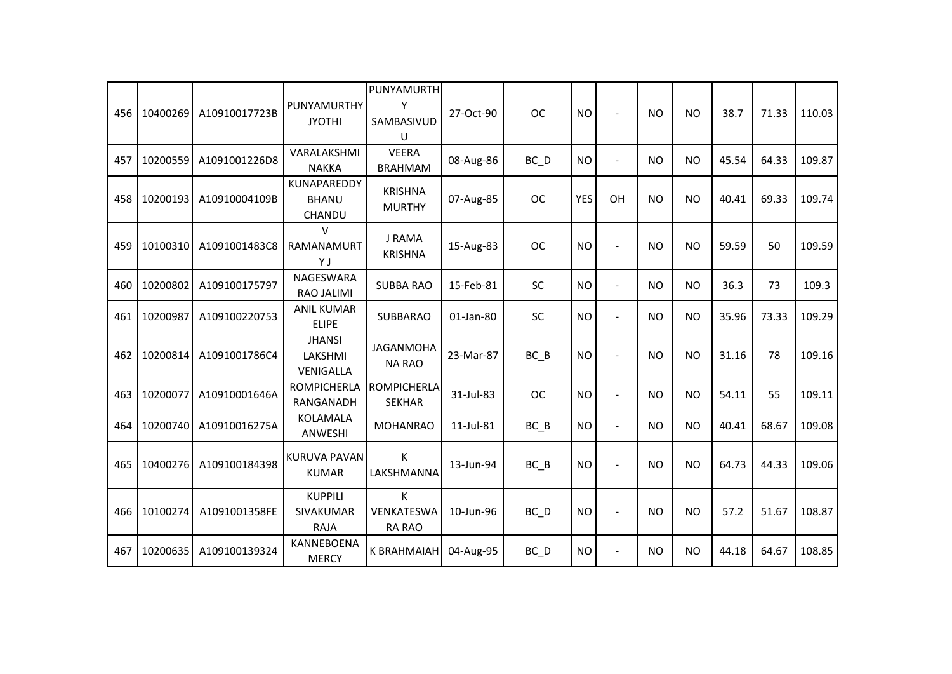| 456 | 10400269 | A10910017723B | PUNYAMURTHY<br><b>JYOTHI</b>               | PUNYAMURTH<br>Υ<br>SAMBASIVUD<br>U  | 27-Oct-90 | <b>OC</b>         | <b>NO</b>  |                | <b>NO</b> | <b>NO</b> | 38.7  | 71.33 | 110.03 |
|-----|----------|---------------|--------------------------------------------|-------------------------------------|-----------|-------------------|------------|----------------|-----------|-----------|-------|-------|--------|
| 457 | 10200559 | A1091001226D8 | VARALAKSHMI<br><b>NAKKA</b>                | <b>VEERA</b><br><b>BRAHMAM</b>      | 08-Aug-86 | BC D              | <b>NO</b>  | $\overline{a}$ | <b>NO</b> | <b>NO</b> | 45.54 | 64.33 | 109.87 |
| 458 | 10200193 | A10910004109B | KUNAPAREDDY<br><b>BHANU</b><br>CHANDU      | <b>KRISHNA</b><br><b>MURTHY</b>     | 07-Aug-85 | <b>OC</b>         | <b>YES</b> | OH             | <b>NO</b> | <b>NO</b> | 40.41 | 69.33 | 109.74 |
| 459 | 10100310 | A1091001483C8 | $\vee$<br>RAMANAMURT<br>YJ                 | J RAMA<br><b>KRISHNA</b>            | 15-Aug-83 | <b>OC</b>         | <b>NO</b>  |                | <b>NO</b> | <b>NO</b> | 59.59 | 50    | 109.59 |
| 460 | 10200802 | A109100175797 | <b>NAGESWARA</b><br><b>RAO JALIMI</b>      | <b>SUBBA RAO</b>                    | 15-Feb-81 | <b>SC</b>         | <b>NO</b>  | $\blacksquare$ | <b>NO</b> | <b>NO</b> | 36.3  | 73    | 109.3  |
| 461 | 10200987 | A109100220753 | <b>ANIL KUMAR</b><br><b>ELIPE</b>          | SUBBARAO                            | 01-Jan-80 | SC                | <b>NO</b>  | $\blacksquare$ | <b>NO</b> | <b>NO</b> | 35.96 | 73.33 | 109.29 |
| 462 | 10200814 | A1091001786C4 | <b>JHANSI</b><br>LAKSHMI<br>VENIGALLA      | <b>JAGANMOHA</b><br><b>NA RAO</b>   | 23-Mar-87 | BC B              | <b>NO</b>  | $\sim$         | <b>NO</b> | <b>NO</b> | 31.16 | 78    | 109.16 |
| 463 | 10200077 | A10910001646A | <b>ROMPICHERLA</b><br>RANGANADH            | <b>ROMPICHERLA</b><br><b>SEKHAR</b> | 31-Jul-83 | <b>OC</b>         | <b>NO</b>  | $\sim$         | <b>NO</b> | <b>NO</b> | 54.11 | 55    | 109.11 |
| 464 | 10200740 | A10910016275A | KOLAMALA<br>ANWESHI                        | <b>MOHANRAO</b>                     | 11-Jul-81 | $BC$ $B$          | <b>NO</b>  | $\overline{a}$ | <b>NO</b> | <b>NO</b> | 40.41 | 68.67 | 109.08 |
| 465 | 10400276 | A109100184398 | <b>KURUVA PAVAN</b><br><b>KUMAR</b>        | К<br>LAKSHMANNA                     | 13-Jun-94 | $BC$ $B$          | <b>NO</b>  |                | <b>NO</b> | <b>NO</b> | 64.73 | 44.33 | 109.06 |
| 466 | 10100274 | A1091001358FE | <b>KUPPILI</b><br>SIVAKUMAR<br><b>RAJA</b> | K<br>VENKATESWA<br><b>RA RAO</b>    | 10-Jun-96 | $BC$ <sub>D</sub> | <b>NO</b>  | $\sim$         | <b>NO</b> | <b>NO</b> | 57.2  | 51.67 | 108.87 |
| 467 | 10200635 | A109100139324 | KANNEBOENA<br><b>MERCY</b>                 | K BRAHMAIAH                         | 04-Aug-95 | $BC$ <sub>D</sub> | <b>NO</b>  | $\blacksquare$ | <b>NO</b> | <b>NO</b> | 44.18 | 64.67 | 108.85 |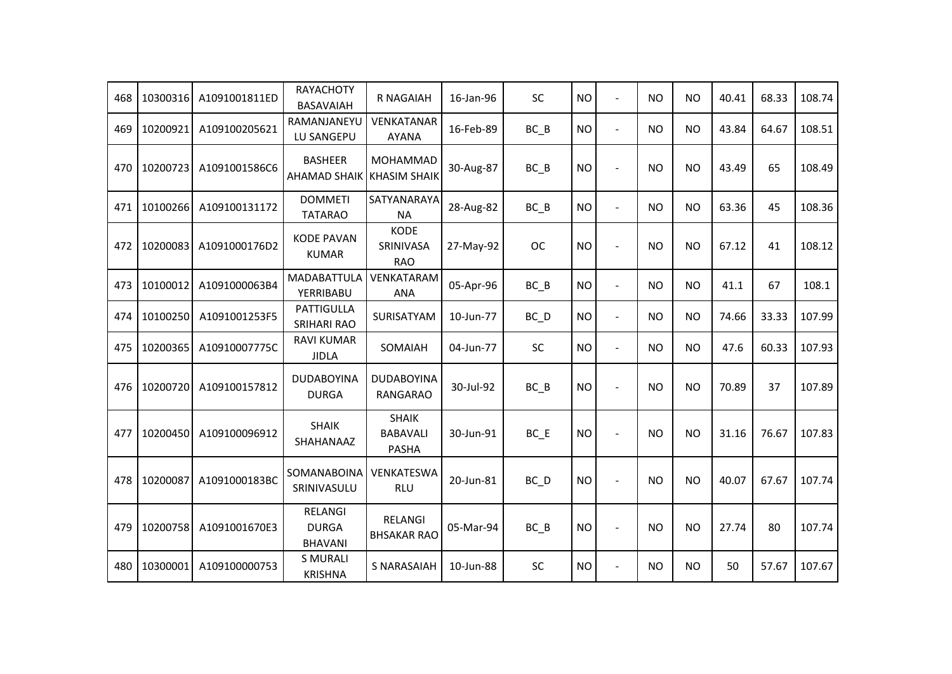| 468 | 10300316 | A1091001811ED | <b>RAYACHOTY</b><br>BASAVAIAH             | R NAGAIAH                                       | 16-Jan-96 | <b>SC</b>         | <b>NO</b> | $\blacksquare$ | <b>NO</b> | <b>NO</b> | 40.41 | 68.33 | 108.74 |
|-----|----------|---------------|-------------------------------------------|-------------------------------------------------|-----------|-------------------|-----------|----------------|-----------|-----------|-------|-------|--------|
| 469 | 10200921 | A109100205621 | RAMANJANEYU<br>LU SANGEPU                 | <b>VENKATANAR</b><br><b>AYANA</b>               | 16-Feb-89 | $BC$ $B$          | <b>NO</b> | $\blacksquare$ | <b>NO</b> | <b>NO</b> | 43.84 | 64.67 | 108.51 |
| 470 | 10200723 | A1091001586C6 | <b>BASHEER</b><br><b>AHAMAD SHAIK</b>     | <b>MOHAMMAD</b><br><b>KHASIM SHAIK</b>          | 30-Aug-87 | $BC$ $B$          | <b>NO</b> |                | <b>NO</b> | <b>NO</b> | 43.49 | 65    | 108.49 |
| 471 | 10100266 | A109100131172 | <b>DOMMETI</b><br><b>TATARAO</b>          | SATYANARAYA<br><b>NA</b>                        | 28-Aug-82 | $BC$ $B$          | <b>NO</b> | $\blacksquare$ | NO.       | <b>NO</b> | 63.36 | 45    | 108.36 |
| 472 | 10200083 | A1091000176D2 | <b>KODE PAVAN</b><br><b>KUMAR</b>         | <b>KODE</b><br>SRINIVASA<br><b>RAO</b>          | 27-May-92 | <b>OC</b>         | <b>NO</b> | $\blacksquare$ | <b>NO</b> | <b>NO</b> | 67.12 | 41    | 108.12 |
| 473 | 10100012 | A1091000063B4 | MADABATTULA<br>YERRIBABU                  | VENKATARAM<br><b>ANA</b>                        | 05-Apr-96 | $BC$ $B$          | <b>NO</b> | $\blacksquare$ | <b>NO</b> | NO        | 41.1  | 67    | 108.1  |
| 474 | 10100250 | A1091001253F5 | PATTIGULLA<br><b>SRIHARI RAO</b>          | SURISATYAM                                      | 10-Jun-77 | $BC$ <sub>D</sub> | <b>NO</b> | $\blacksquare$ | NO.       | <b>NO</b> | 74.66 | 33.33 | 107.99 |
| 475 | 10200365 | A10910007775C | <b>RAVI KUMAR</b><br><b>JIDLA</b>         | SOMAIAH                                         | 04-Jun-77 | SC                | <b>NO</b> | $\blacksquare$ | NO.       | NO        | 47.6  | 60.33 | 107.93 |
| 476 | 10200720 | A109100157812 | <b>DUDABOYINA</b><br><b>DURGA</b>         | <b>DUDABOYINA</b><br><b>RANGARAO</b>            | 30-Jul-92 | BC B              | <b>NO</b> | $\blacksquare$ | <b>NO</b> | <b>NO</b> | 70.89 | 37    | 107.89 |
| 477 | 10200450 | A109100096912 | <b>SHAIK</b><br>SHAHANAAZ                 | <b>SHAIK</b><br><b>BABAVALI</b><br><b>PASHA</b> | 30-Jun-91 | $BC$ $E$          | <b>NO</b> | $\blacksquare$ | <b>NO</b> | <b>NO</b> | 31.16 | 76.67 | 107.83 |
| 478 | 10200087 | A1091000183BC | SOMANABOINA<br>SRINIVASULU                | VENKATESWA<br><b>RLU</b>                        | 20-Jun-81 | BC D              | <b>NO</b> |                | <b>NO</b> | <b>NO</b> | 40.07 | 67.67 | 107.74 |
| 479 | 10200758 | A1091001670E3 | RELANGI<br><b>DURGA</b><br><b>BHAVANI</b> | <b>RELANGI</b><br><b>BHSAKAR RAO</b>            | 05-Mar-94 | $BC$ $B$          | <b>NO</b> | $\blacksquare$ | <b>NO</b> | <b>NO</b> | 27.74 | 80    | 107.74 |
| 480 | 10300001 | A109100000753 | <b>S MURALI</b><br><b>KRISHNA</b>         | <b>S NARASAIAH</b>                              | 10-Jun-88 | SC                | <b>NO</b> | $\blacksquare$ | <b>NO</b> | <b>NO</b> | 50    | 57.67 | 107.67 |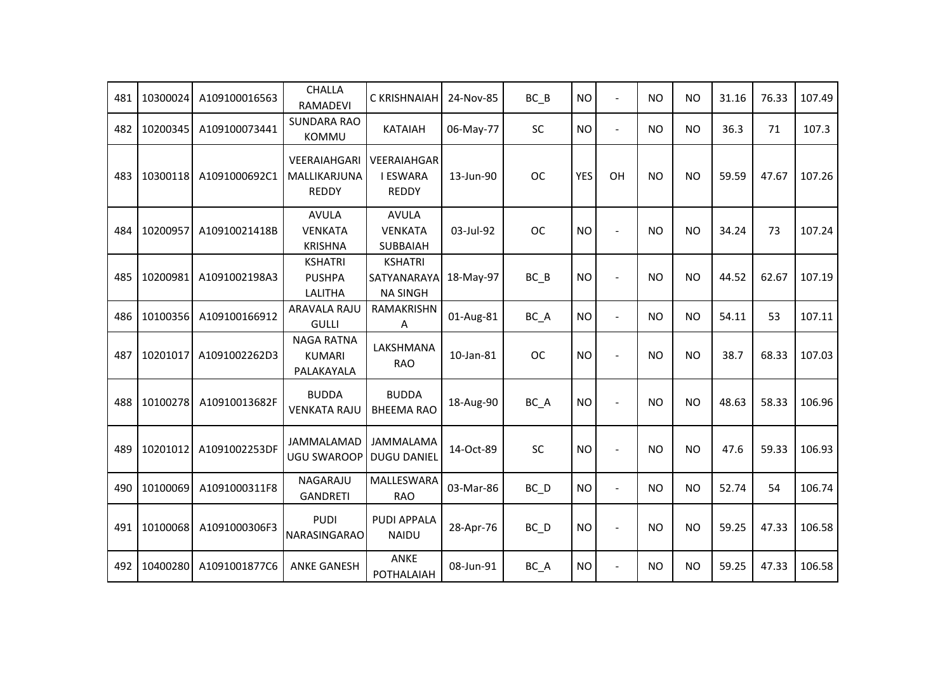| 481 | 10300024 | A109100016563 | <b>CHALLA</b><br><b>RAMADEVI</b>                  | C KRISHNAIAH                                      | 24-Nov-85 | $BC$ $B$          | <b>NO</b>  | $\overline{a}$ | <b>NO</b> | <b>NO</b> | 31.16 | 76.33 | 107.49 |
|-----|----------|---------------|---------------------------------------------------|---------------------------------------------------|-----------|-------------------|------------|----------------|-----------|-----------|-------|-------|--------|
| 482 | 10200345 | A109100073441 | <b>SUNDARA RAO</b><br>KOMMU                       | <b>KATAIAH</b>                                    | 06-May-77 | <b>SC</b>         | <b>NO</b>  | $\sim$         | <b>NO</b> | <b>NO</b> | 36.3  | 71    | 107.3  |
| 483 | 10300118 | A1091000692C1 | VEERAIAHGARI<br>MALLIKARJUNA<br><b>REDDY</b>      | VEERAIAHGAR<br><b>I ESWARA</b><br><b>REDDY</b>    | 13-Jun-90 | <b>OC</b>         | <b>YES</b> | OH             | <b>NO</b> | <b>NO</b> | 59.59 | 47.67 | 107.26 |
| 484 | 10200957 | A10910021418B | <b>AVULA</b><br><b>VENKATA</b><br><b>KRISHNA</b>  | <b>AVULA</b><br><b>VENKATA</b><br><b>SUBBAIAH</b> | 03-Jul-92 | <b>OC</b>         | <b>NO</b>  |                | <b>NO</b> | <b>NO</b> | 34.24 | 73    | 107.24 |
| 485 | 10200981 | A1091002198A3 | <b>KSHATRI</b><br><b>PUSHPA</b><br><b>LALITHA</b> | <b>KSHATRI</b><br>SATYANARAYA<br><b>NA SINGH</b>  | 18-May-97 | $BC$ $B$          | <b>NO</b>  |                | <b>NO</b> | <b>NO</b> | 44.52 | 62.67 | 107.19 |
| 486 | 10100356 | A109100166912 | <b>ARAVALA RAJU</b><br><b>GULLI</b>               | RAMAKRISHN<br>Α                                   | 01-Aug-81 | BC_A              | <b>NO</b>  | $\sim$         | <b>NO</b> | <b>NO</b> | 54.11 | 53    | 107.11 |
| 487 | 10201017 | A1091002262D3 | <b>NAGA RATNA</b><br><b>KUMARI</b><br>PALAKAYALA  | LAKSHMANA<br><b>RAO</b>                           | 10-Jan-81 | <b>OC</b>         | <b>NO</b>  |                | <b>NO</b> | <b>NO</b> | 38.7  | 68.33 | 107.03 |
| 488 | 10100278 | A10910013682F | <b>BUDDA</b><br><b>VENKATA RAJU</b>               | <b>BUDDA</b><br><b>BHEEMA RAO</b>                 | 18-Aug-90 | BC_A              | <b>NO</b>  |                | <b>NO</b> | <b>NO</b> | 48.63 | 58.33 | 106.96 |
| 489 | 10201012 | A1091002253DF | <b>JAMMALAMAD</b><br><b>UGU SWAROOP</b>           | <b>JAMMALAMA</b><br><b>DUGU DANIEL</b>            | 14-Oct-89 | SC                | <b>NO</b>  |                | <b>NO</b> | <b>NO</b> | 47.6  | 59.33 | 106.93 |
| 490 | 10100069 | A1091000311F8 | <b>NAGARAJU</b><br><b>GANDRETI</b>                | MALLESWARA<br><b>RAO</b>                          | 03-Mar-86 | $BC$ $D$          | <b>NO</b>  | $\blacksquare$ | <b>NO</b> | <b>NO</b> | 52.74 | 54    | 106.74 |
| 491 | 10100068 | A1091000306F3 | <b>PUDI</b><br>NARASINGARAO                       | <b>PUDI APPALA</b><br><b>NAIDU</b>                | 28-Apr-76 | $BC$ <sub>D</sub> | <b>NO</b>  | $\sim$         | <b>NO</b> | <b>NO</b> | 59.25 | 47.33 | 106.58 |
| 492 | 10400280 | A1091001877C6 | <b>ANKE GANESH</b>                                | ANKE<br>POTHALAIAH                                | 08-Jun-91 | BC_A              | <b>NO</b>  | $\blacksquare$ | <b>NO</b> | <b>NO</b> | 59.25 | 47.33 | 106.58 |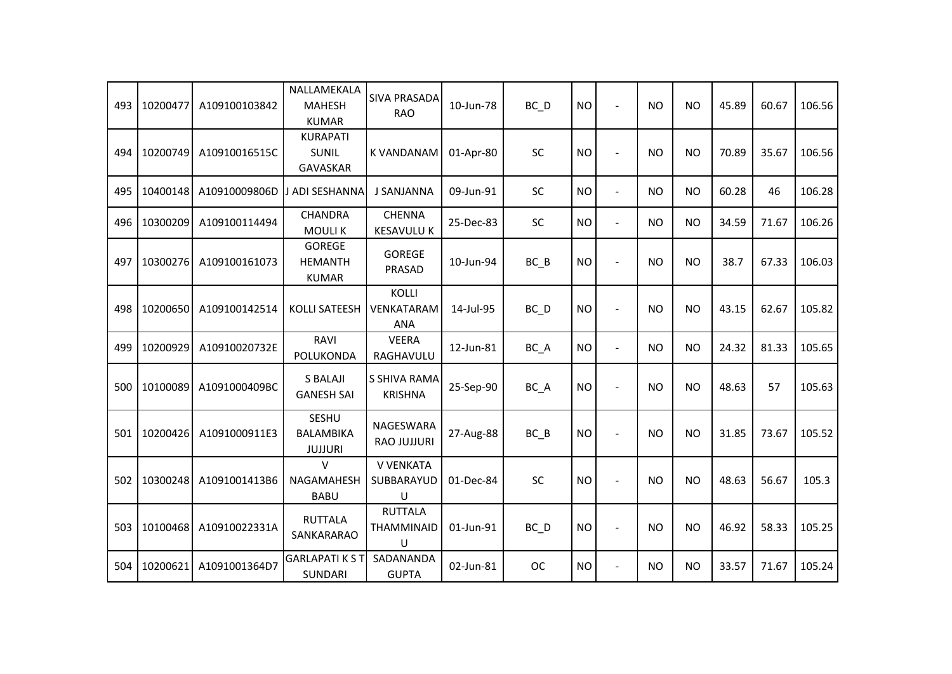| 493 | 10200477 | A109100103842 | NALLAMEKALA<br><b>MAHESH</b><br><b>KUMAR</b>       | <b>SIVA PRASADA</b><br><b>RAO</b>             | 10-Jun-78 | BC_D              | <b>NO</b> |                | <b>NO</b> | <b>NO</b> | 45.89 | 60.67 | 106.56 |
|-----|----------|---------------|----------------------------------------------------|-----------------------------------------------|-----------|-------------------|-----------|----------------|-----------|-----------|-------|-------|--------|
| 494 | 10200749 | A10910016515C | <b>KURAPATI</b><br><b>SUNIL</b><br>GAVASKAR        | <b>K VANDANAM</b>                             | 01-Apr-80 | SC                | <b>NO</b> |                | <b>NO</b> | <b>NO</b> | 70.89 | 35.67 | 106.56 |
| 495 | 10400148 | A10910009806D | J ADI SESHANNA                                     | <b>J SANJANNA</b>                             | 09-Jun-91 | SC                | <b>NO</b> | $\blacksquare$ | <b>NO</b> | <b>NO</b> | 60.28 | 46    | 106.28 |
| 496 | 10300209 | A109100114494 | <b>CHANDRA</b><br><b>MOULIK</b>                    | <b>CHENNA</b><br><b>KESAVULU K</b>            | 25-Dec-83 | SC                | <b>NO</b> | $\overline{a}$ | <b>NO</b> | <b>NO</b> | 34.59 | 71.67 | 106.26 |
| 497 | 10300276 | A109100161073 | <b>GOREGE</b><br><b>HEMANTH</b><br><b>KUMAR</b>    | <b>GOREGE</b><br>PRASAD                       | 10-Jun-94 | $BC$ $B$          | <b>NO</b> |                | <b>NO</b> | <b>NO</b> | 38.7  | 67.33 | 106.03 |
| 498 | 10200650 | A109100142514 | <b>KOLLI SATEESH</b>                               | <b>KOLLI</b><br>VENKATARAM<br><b>ANA</b>      | 14-Jul-95 | $BC$ <sub>D</sub> | <b>NO</b> |                | <b>NO</b> | <b>NO</b> | 43.15 | 62.67 | 105.82 |
| 499 | 10200929 | A10910020732E | RAVI<br>POLUKONDA                                  | <b>VEERA</b><br>RAGHAVULU                     | 12-Jun-81 | BC_A              | <b>NO</b> | $\blacksquare$ | <b>NO</b> | <b>NO</b> | 24.32 | 81.33 | 105.65 |
| 500 | 10100089 | A1091000409BC | <b>S BALAJI</b><br><b>GANESH SAI</b>               | S SHIVA RAMA<br><b>KRISHNA</b>                | 25-Sep-90 | BC_A              | <b>NO</b> |                | <b>NO</b> | <b>NO</b> | 48.63 | 57    | 105.63 |
| 501 | 10200426 | A1091000911E3 | <b>SESHU</b><br><b>BALAMBIKA</b><br><b>JUJJURI</b> | NAGESWARA<br><b>RAO JUJJURI</b>               | 27-Aug-88 | $BC$ $B$          | <b>NO</b> |                | <b>NO</b> | <b>NO</b> | 31.85 | 73.67 | 105.52 |
| 502 | 10300248 | A1091001413B6 | $\vee$<br><b>NAGAMAHESH</b><br><b>BABU</b>         | V VENKATA<br>SUBBARAYUD<br>$\sf U$            | 01-Dec-84 | <b>SC</b>         | <b>NO</b> |                | <b>NO</b> | <b>NO</b> | 48.63 | 56.67 | 105.3  |
| 503 | 10100468 | A10910022331A | <b>RUTTALA</b><br>SANKARARAO                       | <b>RUTTALA</b><br><b>THAMMINAID</b><br>$\cup$ | 01-Jun-91 | $BC$ <sub>D</sub> | <b>NO</b> |                | <b>NO</b> | <b>NO</b> | 46.92 | 58.33 | 105.25 |
| 504 | 10200621 | A1091001364D7 | <b>GARLAPATIKST</b><br><b>SUNDARI</b>              | SADANANDA<br><b>GUPTA</b>                     | 02-Jun-81 | <b>OC</b>         | <b>NO</b> |                | <b>NO</b> | <b>NO</b> | 33.57 | 71.67 | 105.24 |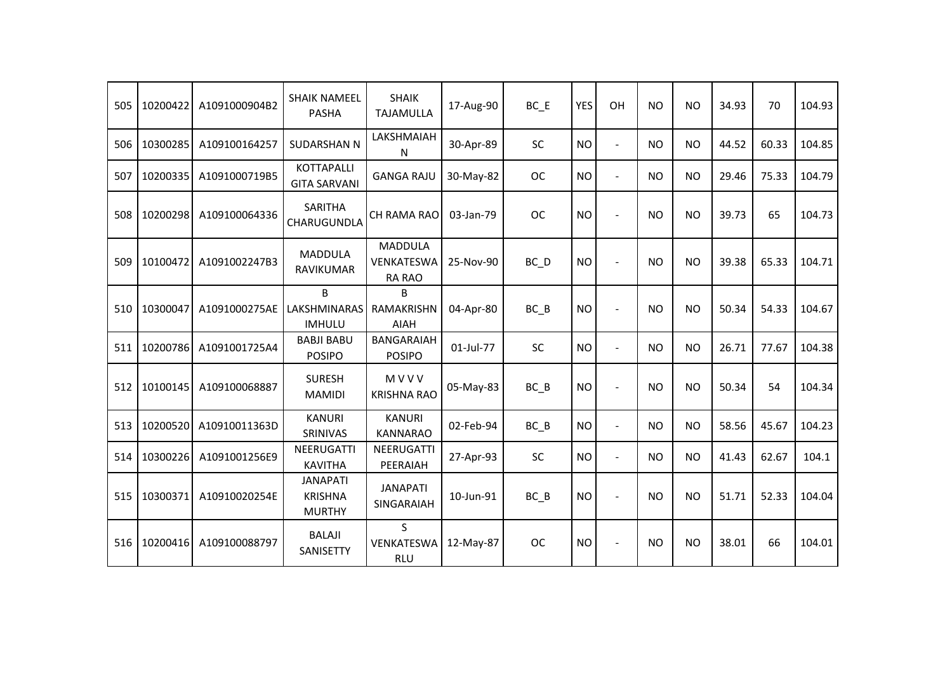| 505 | 10200422 | A1091000904B2 | <b>SHAIK NAMEEL</b><br><b>PASHA</b>                | <b>SHAIK</b><br><b>TAJAMULLA</b>              | 17-Aug-90 | $BC$ $E$  | YES       | OH                       | <b>NO</b> | <b>NO</b> | 34.93 | 70    | 104.93 |
|-----|----------|---------------|----------------------------------------------------|-----------------------------------------------|-----------|-----------|-----------|--------------------------|-----------|-----------|-------|-------|--------|
| 506 | 10300285 | A109100164257 | <b>SUDARSHAN N</b>                                 | LAKSHMAIAH<br>N                               | 30-Apr-89 | <b>SC</b> | <b>NO</b> | $\overline{a}$           | <b>NO</b> | <b>NO</b> | 44.52 | 60.33 | 104.85 |
| 507 | 10200335 | A1091000719B5 | <b>KOTTAPALLI</b><br><b>GITA SARVANI</b>           | <b>GANGA RAJU</b>                             | 30-May-82 | OC.       | <b>NO</b> | $\overline{a}$           | <b>NO</b> | NO        | 29.46 | 75.33 | 104.79 |
| 508 | 10200298 | A109100064336 | <b>SARITHA</b><br>CHARUGUNDLA                      | CH RAMA RAO                                   | 03-Jan-79 | <b>OC</b> | <b>NO</b> |                          | <b>NO</b> | <b>NO</b> | 39.73 | 65    | 104.73 |
| 509 | 10100472 | A1091002247B3 | <b>MADDULA</b><br><b>RAVIKUMAR</b>                 | <b>MADDULA</b><br>VENKATESWA<br><b>RA RAO</b> | 25-Nov-90 | BC D      | <b>NO</b> |                          | <b>NO</b> | <b>NO</b> | 39.38 | 65.33 | 104.71 |
| 510 | 10300047 | A1091000275AE | B<br>LAKSHMINARAS<br><b>IMHULU</b>                 | B<br>RAMAKRISHN<br><b>AIAH</b>                | 04-Apr-80 | $BC$ $B$  | <b>NO</b> | $\sim$                   | <b>NO</b> | <b>NO</b> | 50.34 | 54.33 | 104.67 |
| 511 | 10200786 | A1091001725A4 | <b>BABJI BABU</b><br><b>POSIPO</b>                 | <b>BANGARAIAH</b><br><b>POSIPO</b>            | 01-Jul-77 | SC        | <b>NO</b> | $\overline{\phantom{a}}$ | <b>NO</b> | <b>NO</b> | 26.71 | 77.67 | 104.38 |
| 512 | 10100145 | A109100068887 | <b>SURESH</b><br><b>MAMIDI</b>                     | MVVV<br><b>KRISHNA RAO</b>                    | 05-May-83 | $BC$ $B$  | <b>NO</b> |                          | <b>NO</b> | <b>NO</b> | 50.34 | 54    | 104.34 |
| 513 | 10200520 | A10910011363D | <b>KANURI</b><br>SRINIVAS                          | <b>KANURI</b><br><b>KANNARAO</b>              | 02-Feb-94 | $BC$ $B$  | <b>NO</b> | $\overline{\phantom{a}}$ | <b>NO</b> | <b>NO</b> | 58.56 | 45.67 | 104.23 |
| 514 | 10300226 | A1091001256E9 | <b>NEERUGATTI</b><br><b>KAVITHA</b>                | NEERUGATTI<br>PEERAIAH                        | 27-Apr-93 | <b>SC</b> | <b>NO</b> |                          | <b>NO</b> | <b>NO</b> | 41.43 | 62.67 | 104.1  |
| 515 | 10300371 | A10910020254E | <b>JANAPATI</b><br><b>KRISHNA</b><br><b>MURTHY</b> | <b>JANAPATI</b><br>SINGARAIAH                 | 10-Jun-91 | $BC$ $B$  | <b>NO</b> |                          | <b>NO</b> | <b>NO</b> | 51.71 | 52.33 | 104.04 |
| 516 | 10200416 | A109100088797 | <b>BALAJI</b><br>SANISETTY                         | S.<br>VENKATESWA<br><b>RLU</b>                | 12-May-87 | <b>OC</b> | <b>NO</b> |                          | <b>NO</b> | <b>NO</b> | 38.01 | 66    | 104.01 |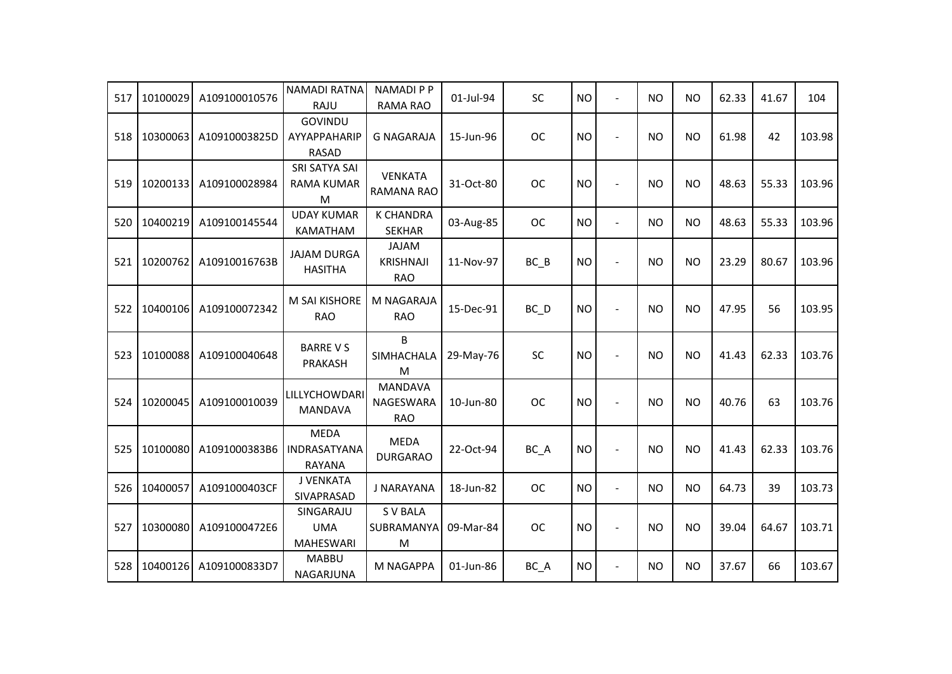| 517 | 10100029 | A109100010576 | <b>NAMADI RATNA</b><br>RAJU                  | <b>NAMADI P P</b><br>RAMA RAO                  | 01-Jul-94 | SC        | <b>NO</b> | $\overline{a}$ | <b>NO</b> | <b>NO</b> | 62.33 | 41.67 | 104    |
|-----|----------|---------------|----------------------------------------------|------------------------------------------------|-----------|-----------|-----------|----------------|-----------|-----------|-------|-------|--------|
| 518 | 10300063 | A10910003825D | GOVINDU<br>AYYAPPAHARIP<br><b>RASAD</b>      | <b>G NAGARAJA</b>                              | 15-Jun-96 | <b>OC</b> | <b>NO</b> | $\blacksquare$ | <b>NO</b> | <b>NO</b> | 61.98 | 42    | 103.98 |
| 519 | 10200133 | A109100028984 | SRI SATYA SAI<br>RAMA KUMAR<br>M             | <b>VENKATA</b><br><b>RAMANA RAO</b>            | 31-Oct-80 | <b>OC</b> | <b>NO</b> |                | <b>NO</b> | <b>NO</b> | 48.63 | 55.33 | 103.96 |
| 520 | 10400219 | A109100145544 | <b>UDAY KUMAR</b><br>KAMATHAM                | <b>K CHANDRA</b><br><b>SEKHAR</b>              | 03-Aug-85 | <b>OC</b> | <b>NO</b> | $\blacksquare$ | <b>NO</b> | <b>NO</b> | 48.63 | 55.33 | 103.96 |
| 521 | 10200762 | A10910016763B | <b>JAJAM DURGA</b><br><b>HASITHA</b>         | <b>JAJAM</b><br><b>KRISHNAJI</b><br><b>RAO</b> | 11-Nov-97 | $BC$ $B$  | <b>NO</b> |                | <b>NO</b> | <b>NO</b> | 23.29 | 80.67 | 103.96 |
| 522 | 10400106 | A109100072342 | M SAI KISHORE<br><b>RAO</b>                  | M NAGARAJA<br><b>RAO</b>                       | 15-Dec-91 | BC_D      | <b>NO</b> |                | NO.       | <b>NO</b> | 47.95 | 56    | 103.95 |
| 523 | 10100088 | A109100040648 | <b>BARRE V S</b><br>PRAKASH                  | B<br>SIMHACHALA<br>M                           | 29-May-76 | <b>SC</b> | <b>NO</b> |                | <b>NO</b> | <b>NO</b> | 41.43 | 62.33 | 103.76 |
| 524 | 10200045 | A109100010039 | LILLYCHOWDARI<br><b>MANDAVA</b>              | <b>MANDAVA</b><br>NAGESWARA<br><b>RAO</b>      | 10-Jun-80 | <b>OC</b> | <b>NO</b> |                | NO.       | <b>NO</b> | 40.76 | 63    | 103.76 |
| 525 | 10100080 | A1091000383B6 | <b>MEDA</b><br>INDRASATYANA<br><b>RAYANA</b> | <b>MEDA</b><br><b>DURGARAO</b>                 | 22-Oct-94 | BC_A      | <b>NO</b> |                | NO.       | <b>NO</b> | 41.43 | 62.33 | 103.76 |
| 526 | 10400057 | A1091000403CF | J VENKATA<br>SIVAPRASAD                      | J NARAYANA                                     | 18-Jun-82 | <b>OC</b> | <b>NO</b> | $\blacksquare$ | <b>NO</b> | <b>NO</b> | 64.73 | 39    | 103.73 |
| 527 | 10300080 | A1091000472E6 | SINGARAJU<br><b>UMA</b><br><b>MAHESWARI</b>  | <b>S V BALA</b><br>SUBRAMANYA<br>M             | 09-Mar-84 | <b>OC</b> | <b>NO</b> | $\blacksquare$ | <b>NO</b> | <b>NO</b> | 39.04 | 64.67 | 103.71 |
| 528 | 10400126 | A1091000833D7 | <b>MABBU</b><br>NAGARJUNA                    | M NAGAPPA                                      | 01-Jun-86 | BC_A      | <b>NO</b> | $\blacksquare$ | NO.       | <b>NO</b> | 37.67 | 66    | 103.67 |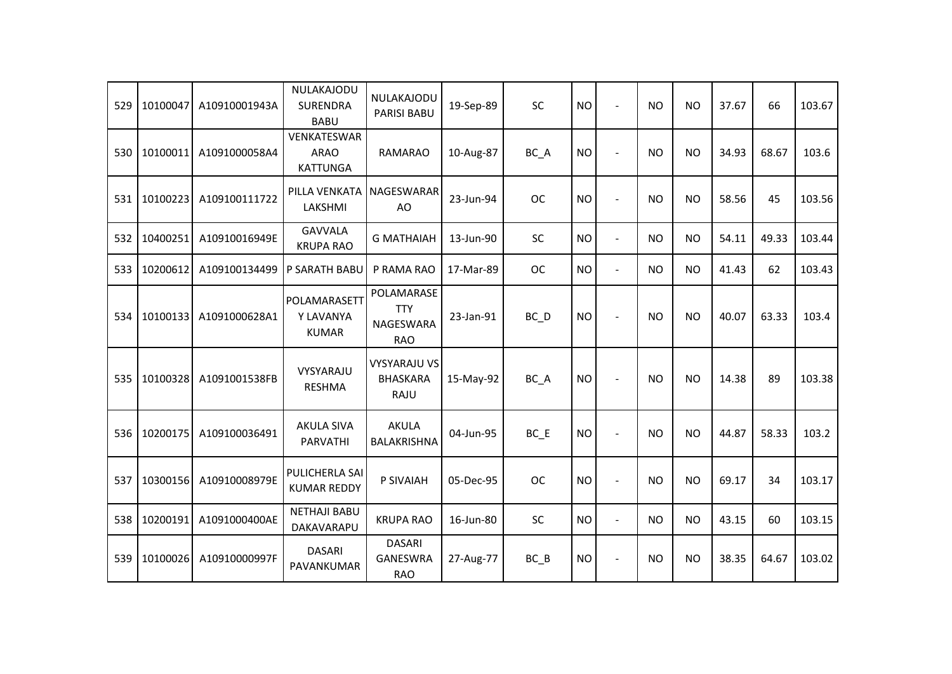| 529 | 10100047 | A10910001943A | NULAKAJODU<br><b>SURENDRA</b><br><b>BABU</b>  | NULAKAJODU<br>PARISI BABU                                  | 19-Sep-89 | <b>SC</b>         | <b>NO</b> | $\blacksquare$           | <b>NO</b> | <b>NO</b> | 37.67 | 66    | 103.67 |
|-----|----------|---------------|-----------------------------------------------|------------------------------------------------------------|-----------|-------------------|-----------|--------------------------|-----------|-----------|-------|-------|--------|
| 530 | 10100011 | A1091000058A4 | VENKATESWAR<br><b>ARAO</b><br><b>KATTUNGA</b> | <b>RAMARAO</b>                                             | 10-Aug-87 | BC_A              | <b>NO</b> | $\overline{\phantom{a}}$ | NO.       | <b>NO</b> | 34.93 | 68.67 | 103.6  |
| 531 | 10100223 | A109100111722 | PILLA VENKATA<br>LAKSHMI                      | NAGESWARAR<br>AO                                           | 23-Jun-94 | <b>OC</b>         | <b>NO</b> | $\blacksquare$           | <b>NO</b> | <b>NO</b> | 58.56 | 45    | 103.56 |
| 532 | 10400251 | A10910016949E | <b>GAVVALA</b><br><b>KRUPA RAO</b>            | <b>G MATHAIAH</b>                                          | 13-Jun-90 | <b>SC</b>         | <b>NO</b> | $\overline{\phantom{a}}$ | <b>NO</b> | <b>NO</b> | 54.11 | 49.33 | 103.44 |
| 533 | 10200612 | A109100134499 | P SARATH BABU                                 | P RAMA RAO                                                 | 17-Mar-89 | <b>OC</b>         | <b>NO</b> | $\blacksquare$           | <b>NO</b> | <b>NO</b> | 41.43 | 62    | 103.43 |
| 534 | 10100133 | A1091000628A1 | POLAMARASETT<br>Y LAVANYA<br><b>KUMAR</b>     | POLAMARASE<br><b>TTY</b><br><b>NAGESWARA</b><br><b>RAO</b> | 23-Jan-91 | $BC$ <sub>D</sub> | <b>NO</b> | $\sim$                   | <b>NO</b> | <b>NO</b> | 40.07 | 63.33 | 103.4  |
| 535 | 10100328 | A1091001538FB | VYSYARAJU<br><b>RESHMA</b>                    | <b>VYSYARAJU VS</b><br><b>BHASKARA</b><br>RAJU             | 15-May-92 | BC_A              | <b>NO</b> | $\blacksquare$           | <b>NO</b> | <b>NO</b> | 14.38 | 89    | 103.38 |
| 536 | 10200175 | A109100036491 | <b>AKULA SIVA</b><br><b>PARVATHI</b>          | <b>AKULA</b><br>BALAKRISHNA                                | 04-Jun-95 | $BC$ $E$          | <b>NO</b> | $\blacksquare$           | <b>NO</b> | <b>NO</b> | 44.87 | 58.33 | 103.2  |
| 537 | 10300156 | A10910008979E | PULICHERLA SAI<br><b>KUMAR REDDY</b>          | P SIVAIAH                                                  | 05-Dec-95 | <b>OC</b>         | <b>NO</b> | $\blacksquare$           | <b>NO</b> | <b>NO</b> | 69.17 | 34    | 103.17 |
| 538 | 10200191 | A1091000400AE | <b>NETHAJI BABU</b><br>DAKAVARAPU             | <b>KRUPA RAO</b>                                           | 16-Jun-80 | <b>SC</b>         | <b>NO</b> | $\blacksquare$           | <b>NO</b> | <b>NO</b> | 43.15 | 60    | 103.15 |
| 539 | 10100026 | A10910000997F | <b>DASARI</b><br>PAVANKUMAR                   | <b>DASARI</b><br><b>GANESWRA</b><br><b>RAO</b>             | 27-Aug-77 | $BC$ $B$          | <b>NO</b> |                          | <b>NO</b> | <b>NO</b> | 38.35 | 64.67 | 103.02 |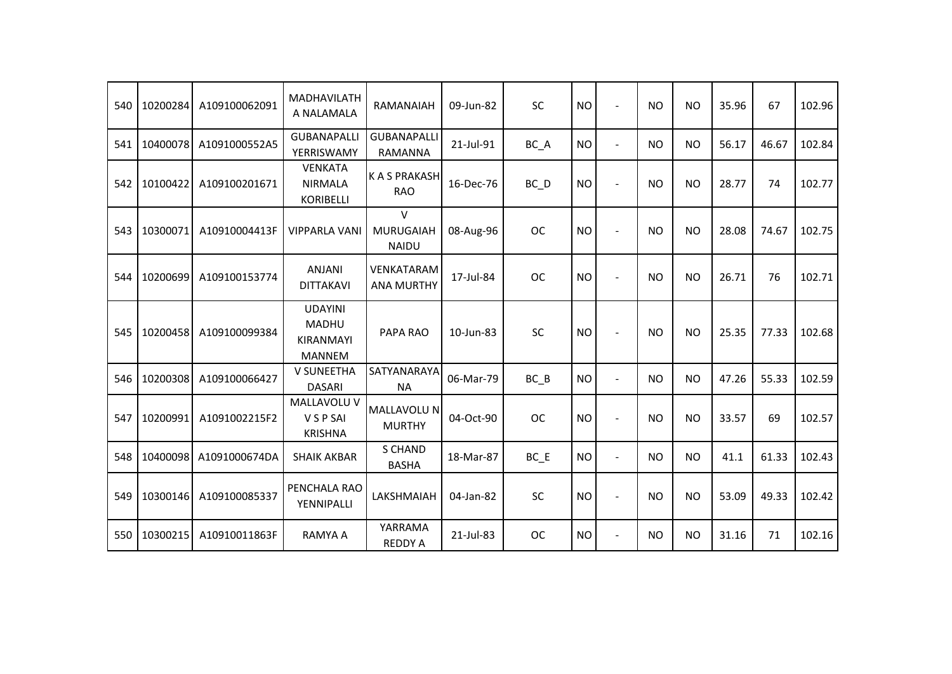| 540 | 10200284 | A109100062091 | <b>MADHAVILATH</b><br>A NALAMALA                                    | RAMANAIAH                                  | 09-Jun-82 | SC                | <b>NO</b> | $\blacksquare$           | <b>NO</b> | <b>NO</b> | 35.96 | 67    | 102.96 |
|-----|----------|---------------|---------------------------------------------------------------------|--------------------------------------------|-----------|-------------------|-----------|--------------------------|-----------|-----------|-------|-------|--------|
| 541 | 10400078 | A1091000552A5 | <b>GUBANAPALLI</b><br>YERRISWAMY                                    | <b>GUBANAPALLI</b><br>RAMANNA              | 21-Jul-91 | BC A              | <b>NO</b> | $\overline{\phantom{a}}$ | <b>NO</b> | <b>NO</b> | 56.17 | 46.67 | 102.84 |
| 542 | 10100422 | A109100201671 | <b>VENKATA</b><br><b>NIRMALA</b><br><b>KORIBELLI</b>                | <b>KASPRAKASH</b><br><b>RAO</b>            | 16-Dec-76 | $BC$ <sub>D</sub> | <b>NO</b> | $\blacksquare$           | <b>NO</b> | <b>NO</b> | 28.77 | 74    | 102.77 |
| 543 | 10300071 | A10910004413F | <b>VIPPARLA VANI</b>                                                | $\vee$<br><b>MURUGAIAH</b><br><b>NAIDU</b> | 08-Aug-96 | <b>OC</b>         | <b>NO</b> |                          | <b>NO</b> | <b>NO</b> | 28.08 | 74.67 | 102.75 |
| 544 | 10200699 | A109100153774 | <b>ANJANI</b><br><b>DITTAKAVI</b>                                   | <b>VENKATARAM</b><br><b>ANA MURTHY</b>     | 17-Jul-84 | <b>OC</b>         | <b>NO</b> | $\blacksquare$           | <b>NO</b> | <b>NO</b> | 26.71 | 76    | 102.71 |
| 545 | 10200458 | A109100099384 | <b>UDAYINI</b><br><b>MADHU</b><br><b>KIRANMAYI</b><br><b>MANNEM</b> | PAPA RAO                                   | 10-Jun-83 | <b>SC</b>         | <b>NO</b> |                          | <b>NO</b> | <b>NO</b> | 25.35 | 77.33 | 102.68 |
| 546 | 10200308 | A109100066427 | <b>V SUNEETHA</b><br><b>DASARI</b>                                  | SATYANARAYA<br><b>NA</b>                   | 06-Mar-79 | BC B              | <b>NO</b> | $\blacksquare$           | <b>NO</b> | <b>NO</b> | 47.26 | 55.33 | 102.59 |
| 547 | 10200991 | A1091002215F2 | MALLAVOLU V<br>V S P SAI<br><b>KRISHNA</b>                          | <b>MALLAVOLU N</b><br><b>MURTHY</b>        | 04-Oct-90 | <b>OC</b>         | <b>NO</b> | $\blacksquare$           | <b>NO</b> | <b>NO</b> | 33.57 | 69    | 102.57 |
| 548 | 10400098 | A1091000674DA | <b>SHAIK AKBAR</b>                                                  | <b>S CHAND</b><br><b>BASHA</b>             | 18-Mar-87 | $BC$ $E$          | <b>NO</b> | $\overline{\phantom{a}}$ | <b>NO</b> | <b>NO</b> | 41.1  | 61.33 | 102.43 |
| 549 | 10300146 | A109100085337 | PENCHALA RAO<br>YENNIPALLI                                          | <b>LAKSHMAIAH</b>                          | 04-Jan-82 | <b>SC</b>         | <b>NO</b> |                          | <b>NO</b> | <b>NO</b> | 53.09 | 49.33 | 102.42 |
| 550 | 10300215 | A10910011863F | <b>RAMYA A</b>                                                      | YARRAMA<br><b>REDDY A</b>                  | 21-Jul-83 | <b>OC</b>         | <b>NO</b> | $\blacksquare$           | <b>NO</b> | <b>NO</b> | 31.16 | 71    | 102.16 |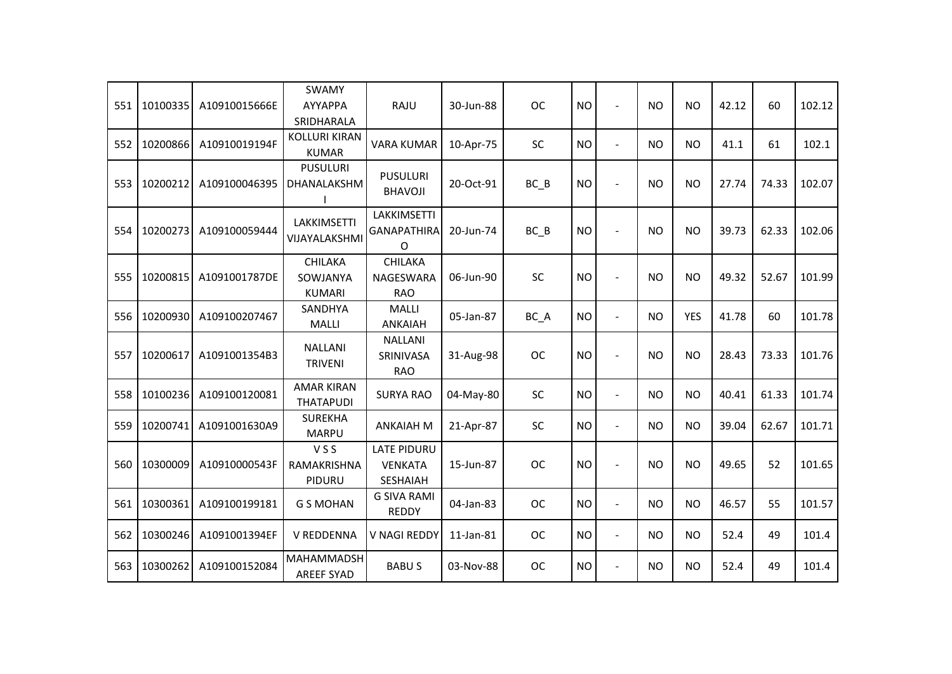| 551 | 10100335 | A10910015666E | <b>SWAMY</b><br>AYYAPPA<br>SRIDHARALA       | RAJU                                                    | 30-Jun-88 | <b>OC</b> | <b>NO</b> | $\blacksquare$ | <b>NO</b> | <b>NO</b>  | 42.12 | 60    | 102.12 |
|-----|----------|---------------|---------------------------------------------|---------------------------------------------------------|-----------|-----------|-----------|----------------|-----------|------------|-------|-------|--------|
| 552 | 10200866 | A10910019194F | <b>KOLLURI KIRAN</b><br><b>KUMAR</b>        | <b>VARA KUMAR</b>                                       | 10-Apr-75 | SC        | <b>NO</b> | $\overline{a}$ | <b>NO</b> | <b>NO</b>  | 41.1  | 61    | 102.1  |
| 553 | 10200212 | A109100046395 | <b>PUSULURI</b><br>DHANALAKSHM              | <b>PUSULURI</b><br><b>BHAVOJI</b>                       | 20-Oct-91 | $BC$ $B$  | <b>NO</b> |                | <b>NO</b> | <b>NO</b>  | 27.74 | 74.33 | 102.07 |
| 554 | 10200273 | A109100059444 | LAKKIMSETTI<br>VIJAYALAKSHMI                | <b>LAKKIMSETTI</b><br><b>GANAPATHIRA</b><br>O           | 20-Jun-74 | $BC$ $B$  | <b>NO</b> |                | <b>NO</b> | <b>NO</b>  | 39.73 | 62.33 | 102.06 |
| 555 | 10200815 | A1091001787DE | <b>CHILAKA</b><br>SOWJANYA<br><b>KUMARI</b> | <b>CHILAKA</b><br>NAGESWARA<br><b>RAO</b>               | 06-Jun-90 | SC        | <b>NO</b> |                | <b>NO</b> | <b>NO</b>  | 49.32 | 52.67 | 101.99 |
| 556 | 10200930 | A109100207467 | SANDHYA<br>MALLI                            | <b>MALLI</b><br><b>ANKAIAH</b>                          | 05-Jan-87 | BC_A      | <b>NO</b> | $\blacksquare$ | <b>NO</b> | <b>YES</b> | 41.78 | 60    | 101.78 |
| 557 | 10200617 | A1091001354B3 | <b>NALLANI</b><br><b>TRIVENI</b>            | <b>NALLANI</b><br>SRINIVASA<br><b>RAO</b>               | 31-Aug-98 | <b>OC</b> | <b>NO</b> |                | <b>NO</b> | <b>NO</b>  | 28.43 | 73.33 | 101.76 |
| 558 | 10100236 | A109100120081 | <b>AMAR KIRAN</b><br><b>THATAPUDI</b>       | <b>SURYA RAO</b>                                        | 04-May-80 | SC        | <b>NO</b> | $\blacksquare$ | <b>NO</b> | <b>NO</b>  | 40.41 | 61.33 | 101.74 |
| 559 | 10200741 | A1091001630A9 | <b>SUREKHA</b><br><b>MARPU</b>              | <b>ANKAIAH M</b>                                        | 21-Apr-87 | SC        | <b>NO</b> | $\overline{a}$ | <b>NO</b> | <b>NO</b>  | 39.04 | 62.67 | 101.71 |
| 560 | 10300009 | A10910000543F | <b>VSS</b><br>RAMAKRISHNA<br>PIDURU         | <b>LATE PIDURU</b><br><b>VENKATA</b><br><b>SESHAIAH</b> | 15-Jun-87 | <b>OC</b> | <b>NO</b> |                | <b>NO</b> | <b>NO</b>  | 49.65 | 52    | 101.65 |
| 561 | 10300361 | A109100199181 | <b>G S MOHAN</b>                            | <b>G SIVA RAMI</b><br><b>REDDY</b>                      | 04-Jan-83 | <b>OC</b> | <b>NO</b> | $\blacksquare$ | <b>NO</b> | <b>NO</b>  | 46.57 | 55    | 101.57 |
| 562 | 10300246 | A1091001394EF | V REDDENNA                                  | V NAGI REDDY                                            | 11-Jan-81 | <b>OC</b> | <b>NO</b> | $\blacksquare$ | <b>NO</b> | <b>NO</b>  | 52.4  | 49    | 101.4  |
| 563 | 10300262 | A109100152084 | MAHAMMADSH<br><b>AREEF SYAD</b>             | <b>BABUS</b>                                            | 03-Nov-88 | <b>OC</b> | <b>NO</b> |                | <b>NO</b> | <b>NO</b>  | 52.4  | 49    | 101.4  |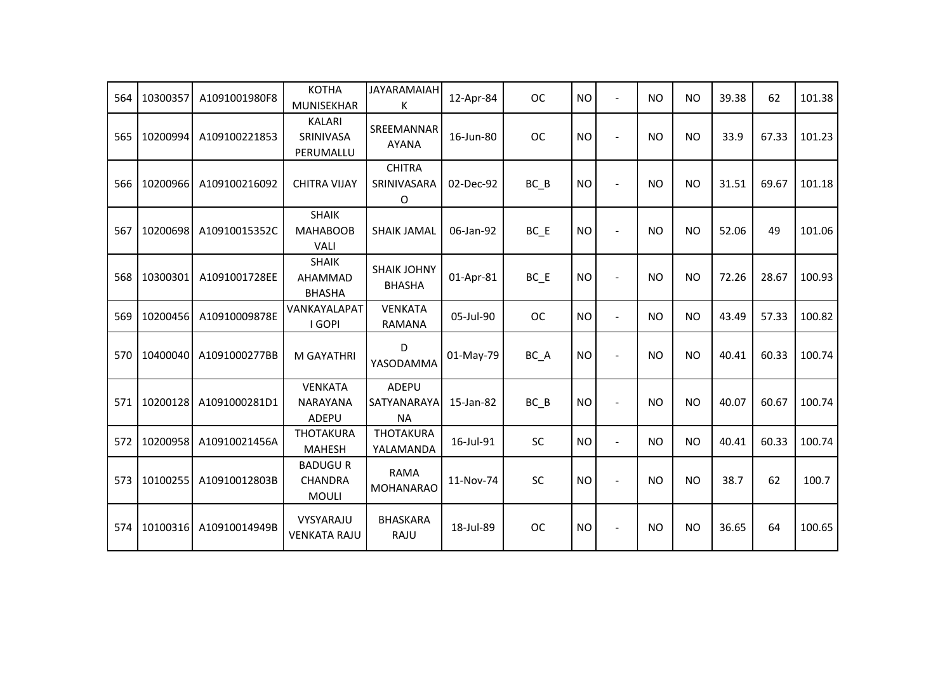| 564 | 10300357 | A1091001980F8 | <b>KOTHA</b><br>MUNISEKHAR                       | <b>JAYARAMAIAH</b><br>К                  | 12-Apr-84 | <b>OC</b> | <b>NO</b> | $\blacksquare$ | <b>NO</b> | <b>NO</b> | 39.38 | 62    | 101.38 |
|-----|----------|---------------|--------------------------------------------------|------------------------------------------|-----------|-----------|-----------|----------------|-----------|-----------|-------|-------|--------|
| 565 | 10200994 | A109100221853 | <b>KALARI</b><br>SRINIVASA<br>PERUMALLU          | SREEMANNAR<br><b>AYANA</b>               | 16-Jun-80 | <b>OC</b> | <b>NO</b> | $\blacksquare$ | <b>NO</b> | <b>NO</b> | 33.9  | 67.33 | 101.23 |
| 566 | 10200966 | A109100216092 | <b>CHITRA VIJAY</b>                              | <b>CHITRA</b><br>SRINIVASARA<br>O        | 02-Dec-92 | $BC$ $B$  | <b>NO</b> |                | <b>NO</b> | <b>NO</b> | 31.51 | 69.67 | 101.18 |
| 567 | 10200698 | A10910015352C | <b>SHAIK</b><br><b>MAHABOOB</b><br><b>VALI</b>   | <b>SHAIK JAMAL</b>                       | 06-Jan-92 | BC E      | <b>NO</b> | $\blacksquare$ | <b>NO</b> | <b>NO</b> | 52.06 | 49    | 101.06 |
| 568 | 10300301 | A1091001728EE | <b>SHAIK</b><br>AHAMMAD<br><b>BHASHA</b>         | <b>SHAIK JOHNY</b><br><b>BHASHA</b>      | 01-Apr-81 | BC E      | <b>NO</b> | $\sim$         | <b>NO</b> | <b>NO</b> | 72.26 | 28.67 | 100.93 |
| 569 | 10200456 | A10910009878E | VANKAYALAPAT<br>I GOPI                           | <b>VENKATA</b><br><b>RAMANA</b>          | 05-Jul-90 | <b>OC</b> | <b>NO</b> | $\blacksquare$ | <b>NO</b> | <b>NO</b> | 43.49 | 57.33 | 100.82 |
| 570 | 10400040 | A1091000277BB | <b>M GAYATHRI</b>                                | D<br>YASODAMMA                           | 01-May-79 | BC A      | <b>NO</b> |                | <b>NO</b> | <b>NO</b> | 40.41 | 60.33 | 100.74 |
| 571 | 10200128 | A1091000281D1 | <b>VENKATA</b><br><b>NARAYANA</b><br>ADEPU       | <b>ADEPU</b><br>SATYANARAYA<br><b>NA</b> | 15-Jan-82 | $BC$ $B$  | <b>NO</b> | $\sim$         | <b>NO</b> | <b>NO</b> | 40.07 | 60.67 | 100.74 |
| 572 | 10200958 | A10910021456A | <b>THOTAKURA</b><br><b>MAHESH</b>                | <b>THOTAKURA</b><br>YALAMANDA            | 16-Jul-91 | SC        | <b>NO</b> | $\blacksquare$ | <b>NO</b> | <b>NO</b> | 40.41 | 60.33 | 100.74 |
| 573 | 10100255 | A10910012803B | <b>BADUGUR</b><br><b>CHANDRA</b><br><b>MOULI</b> | <b>RAMA</b><br><b>MOHANARAO</b>          | 11-Nov-74 | SC        | <b>NO</b> |                | <b>NO</b> | <b>NO</b> | 38.7  | 62    | 100.7  |
| 574 | 10100316 | A10910014949B | VYSYARAJU<br><b>VENKATA RAJU</b>                 | <b>BHASKARA</b><br>RAJU                  | 18-Jul-89 | <b>OC</b> | <b>NO</b> |                | <b>NO</b> | <b>NO</b> | 36.65 | 64    | 100.65 |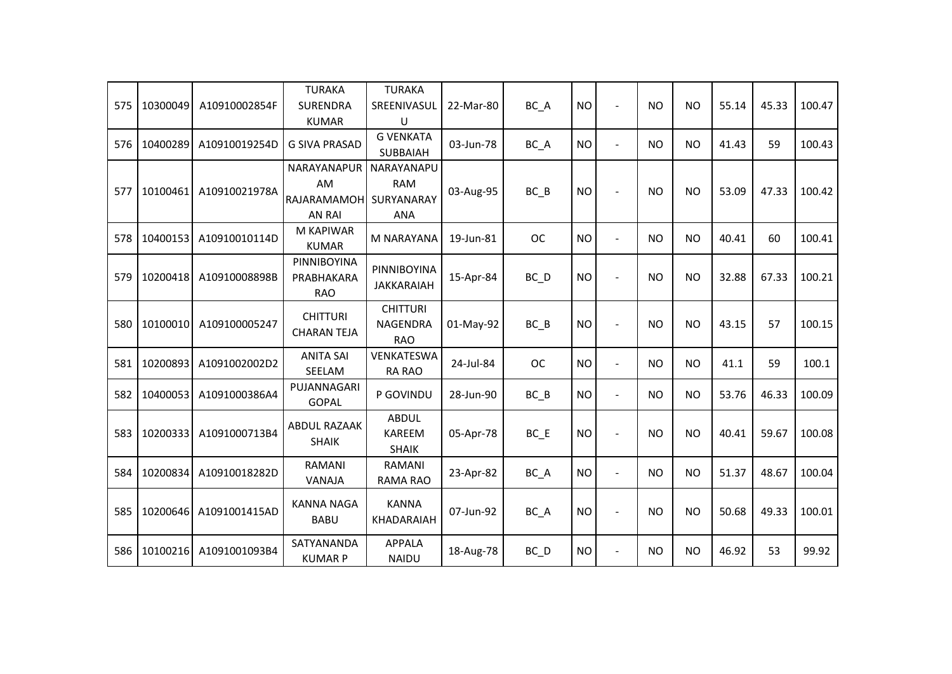| 575 | 10300049 | A10910002854F | <b>TURAKA</b><br><b>SURENDRA</b><br><b>KUMAR</b>  | <b>TURAKA</b><br>SREENIVASUL<br>U                    | 22-Mar-80 | BC A              | <b>NO</b> | $\blacksquare$ | <b>NO</b> | <b>NO</b>      | 55.14 | 45.33 | 100.47 |
|-----|----------|---------------|---------------------------------------------------|------------------------------------------------------|-----------|-------------------|-----------|----------------|-----------|----------------|-------|-------|--------|
| 576 | 10400289 | A10910019254D | <b>G SIVA PRASAD</b>                              | <b>G VENKATA</b><br><b>SUBBAIAH</b>                  | 03-Jun-78 | BC_A              | <b>NO</b> | $\blacksquare$ | <b>NO</b> | N <sub>O</sub> | 41.43 | 59    | 100.43 |
| 577 | 10100461 | A10910021978A | NARAYANAPUR<br>AM<br>RAJARAMAMOH<br><b>AN RAI</b> | NARAYANAPU<br><b>RAM</b><br>SURYANARAY<br><b>ANA</b> | 03-Aug-95 | $BC$ $B$          | <b>NO</b> |                | <b>NO</b> | <b>NO</b>      | 53.09 | 47.33 | 100.42 |
| 578 | 10400153 | A10910010114D | M KAPIWAR<br><b>KUMAR</b>                         | <b>M NARAYANA</b>                                    | 19-Jun-81 | <b>OC</b>         | <b>NO</b> | $\overline{a}$ | <b>NO</b> | <b>NO</b>      | 40.41 | 60    | 100.41 |
| 579 | 10200418 | A10910008898B | PINNIBOYINA<br>PRABHAKARA<br><b>RAO</b>           | PINNIBOYINA<br><b>JAKKARAIAH</b>                     | 15-Apr-84 | $BC$ <sub>D</sub> | <b>NO</b> |                | <b>NO</b> | <b>NO</b>      | 32.88 | 67.33 | 100.21 |
| 580 | 10100010 | A109100005247 | <b>CHITTURI</b><br><b>CHARAN TEJA</b>             | <b>CHITTURI</b><br><b>NAGENDRA</b><br><b>RAO</b>     | 01-May-92 | BC B              | <b>NO</b> | $\blacksquare$ | <b>NO</b> | <b>NO</b>      | 43.15 | 57    | 100.15 |
| 581 | 10200893 | A1091002002D2 | <b>ANITA SAI</b><br>SEELAM                        | VENKATESWA<br><b>RA RAO</b>                          | 24-Jul-84 | <b>OC</b>         | <b>NO</b> | $\blacksquare$ | <b>NO</b> | <b>NO</b>      | 41.1  | 59    | 100.1  |
| 582 | 10400053 | A1091000386A4 | PUJANNAGARI<br><b>GOPAL</b>                       | P GOVINDU                                            | 28-Jun-90 | $BC$ $B$          | <b>NO</b> | $\blacksquare$ | <b>NO</b> | <b>NO</b>      | 53.76 | 46.33 | 100.09 |
| 583 | 10200333 | A1091000713B4 | <b>ABDUL RAZAAK</b><br><b>SHAIK</b>               | <b>ABDUL</b><br><b>KAREEM</b><br><b>SHAIK</b>        | 05-Apr-78 | $BC$ $E$          | <b>NO</b> | $\blacksquare$ | <b>NO</b> | <b>NO</b>      | 40.41 | 59.67 | 100.08 |
| 584 | 10200834 | A10910018282D | <b>RAMANI</b><br>VANAJA                           | RAMANI<br><b>RAMA RAO</b>                            | 23-Apr-82 | BC_A              | <b>NO</b> | $\blacksquare$ | <b>NO</b> | <b>NO</b>      | 51.37 | 48.67 | 100.04 |
| 585 | 10200646 | A1091001415AD | <b>KANNA NAGA</b><br><b>BABU</b>                  | <b>KANNA</b><br>KHADARAIAH                           | 07-Jun-92 | BC_A              | <b>NO</b> | $\blacksquare$ | <b>NO</b> | <b>NO</b>      | 50.68 | 49.33 | 100.01 |
| 586 | 10100216 | A1091001093B4 | SATYANANDA<br><b>KUMAR P</b>                      | <b>APPALA</b><br><b>NAIDU</b>                        | 18-Aug-78 | $BC$ <sub>D</sub> | <b>NO</b> | $\overline{a}$ | <b>NO</b> | <b>NO</b>      | 46.92 | 53    | 99.92  |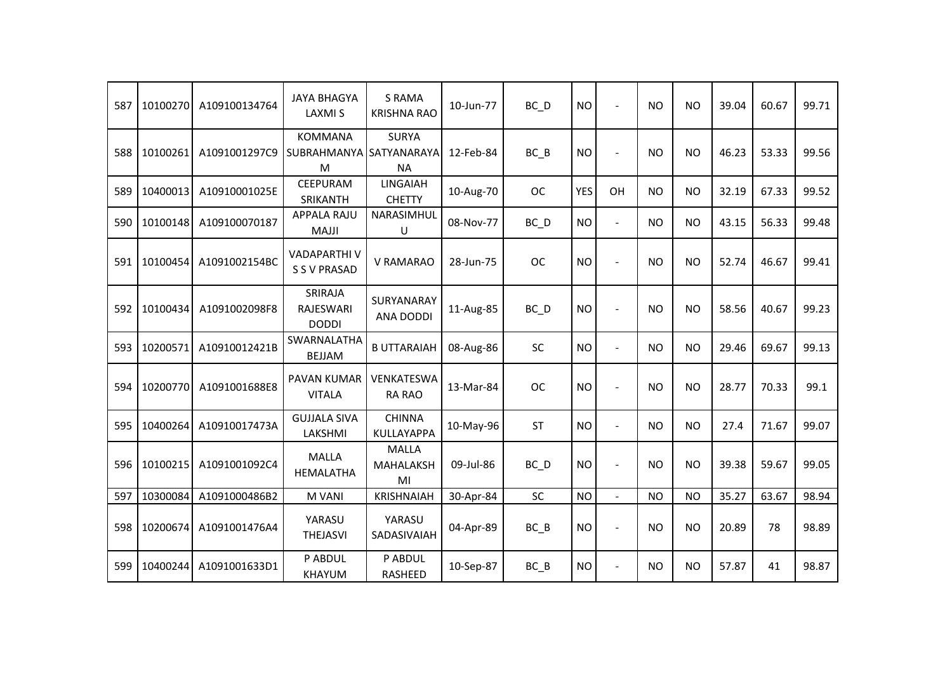| 587 | 10100270 | A109100134764 | <b>JAYA BHAGYA</b><br><b>LAXMIS</b>            | <b>S RAMA</b><br><b>KRISHNA RAO</b>    | 10-Jun-77 | $BC$ <sub>D</sub> | <b>NO</b>  | $\blacksquare$           | <b>NO</b> | <b>NO</b> | 39.04 | 60.67 | 99.71 |
|-----|----------|---------------|------------------------------------------------|----------------------------------------|-----------|-------------------|------------|--------------------------|-----------|-----------|-------|-------|-------|
| 588 | 10100261 | A1091001297C9 | <b>KOMMANA</b><br>SUBRAHMANYA SATYANARAYA<br>M | <b>SURYA</b><br><b>NA</b>              | 12-Feb-84 | $BC$ $B$          | <b>NO</b>  | $\blacksquare$           | <b>NO</b> | <b>NO</b> | 46.23 | 53.33 | 99.56 |
| 589 | 10400013 | A10910001025E | <b>CEEPURAM</b><br>SRIKANTH                    | <b>LINGAIAH</b><br><b>CHETTY</b>       | 10-Aug-70 | <b>OC</b>         | <b>YES</b> | OH                       | <b>NO</b> | <b>NO</b> | 32.19 | 67.33 | 99.52 |
| 590 | 10100148 | A109100070187 | <b>APPALA RAJU</b><br><b>MAJJI</b>             | NARASIMHUL<br>U                        | 08-Nov-77 | $BC$ <sub>D</sub> | <b>NO</b>  | $\blacksquare$           | <b>NO</b> | <b>NO</b> | 43.15 | 56.33 | 99.48 |
| 591 | 10100454 | A1091002154BC | <b>VADAPARTHI V</b><br><b>S S V PRASAD</b>     | V RAMARAO                              | 28-Jun-75 | <b>OC</b>         | <b>NO</b>  |                          | <b>NO</b> | <b>NO</b> | 52.74 | 46.67 | 99.41 |
| 592 | 10100434 | A1091002098F8 | SRIRAJA<br>RAJESWARI<br><b>DODDI</b>           | SURYANARAY<br><b>ANA DODDI</b>         | 11-Aug-85 | BC_D              | <b>NO</b>  |                          | <b>NO</b> | <b>NO</b> | 58.56 | 40.67 | 99.23 |
| 593 | 10200571 | A10910012421B | SWARNALATHA<br><b>BEJJAM</b>                   | <b>B UTTARAIAH</b>                     | 08-Aug-86 | <b>SC</b>         | <b>NO</b>  | $\overline{\phantom{a}}$ | <b>NO</b> | <b>NO</b> | 29.46 | 69.67 | 99.13 |
| 594 | 10200770 | A1091001688E8 | <b>PAVAN KUMAR</b><br><b>VITALA</b>            | <b>VENKATESWA</b><br><b>RA RAO</b>     | 13-Mar-84 | <b>OC</b>         | <b>NO</b>  | $\overline{\phantom{a}}$ | <b>NO</b> | <b>NO</b> | 28.77 | 70.33 | 99.1  |
| 595 | 10400264 | A10910017473A | <b>GUJJALA SIVA</b><br>LAKSHMI                 | <b>CHINNA</b><br><b>KULLAYAPPA</b>     | 10-May-96 | <b>ST</b>         | <b>NO</b>  | $\overline{\phantom{a}}$ | <b>NO</b> | <b>NO</b> | 27.4  | 71.67 | 99.07 |
| 596 | 10100215 | A1091001092C4 | <b>MALLA</b><br><b>HEMALATHA</b>               | <b>MALLA</b><br><b>MAHALAKSH</b><br>MI | 09-Jul-86 | $BC$ <sub>D</sub> | <b>NO</b>  |                          | <b>NO</b> | <b>NO</b> | 39.38 | 59.67 | 99.05 |
| 597 | 10300084 | A1091000486B2 | M VANI                                         | <b>KRISHNAIAH</b>                      | 30-Apr-84 | SC                | <b>NO</b>  | L.                       | <b>NO</b> | <b>NO</b> | 35.27 | 63.67 | 98.94 |
| 598 | 10200674 | A1091001476A4 | YARASU<br><b>THEJASVI</b>                      | YARASU<br>SADASIVAIAH                  | 04-Apr-89 | $BC$ $B$          | <b>NO</b>  | $\blacksquare$           | <b>NO</b> | <b>NO</b> | 20.89 | 78    | 98.89 |
| 599 | 10400244 | A1091001633D1 | P ABDUL<br><b>KHAYUM</b>                       | P ABDUL<br>RASHEED                     | 10-Sep-87 | $BC$ $B$          | <b>NO</b>  | $\blacksquare$           | <b>NO</b> | <b>NO</b> | 57.87 | 41    | 98.87 |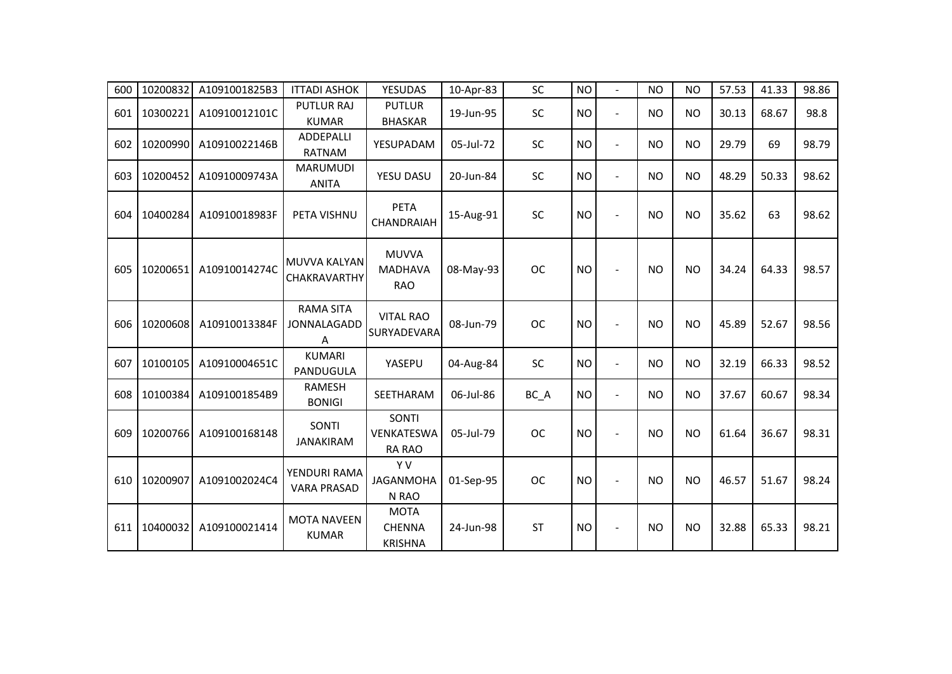| 600 | 10200832 | A1091001825B3 | <b>ITTADI ASHOK</b>                  | <b>YESUDAS</b>                                 | 10-Apr-83 | SC        | <b>NO</b> | $\overline{a}$ | <b>NO</b> | <b>NO</b> | 57.53 | 41.33 | 98.86 |
|-----|----------|---------------|--------------------------------------|------------------------------------------------|-----------|-----------|-----------|----------------|-----------|-----------|-------|-------|-------|
| 601 | 10300221 | A10910012101C | <b>PUTLUR RAJ</b><br><b>KUMAR</b>    | <b>PUTLUR</b><br><b>BHASKAR</b>                | 19-Jun-95 | SC        | <b>NO</b> | $\overline{a}$ | <b>NO</b> | <b>NO</b> | 30.13 | 68.67 | 98.8  |
| 602 | 10200990 | A10910022146B | <b>ADDEPALLI</b><br><b>RATNAM</b>    | YESUPADAM                                      | 05-Jul-72 | <b>SC</b> | <b>NO</b> | $\blacksquare$ | <b>NO</b> | <b>NO</b> | 29.79 | 69    | 98.79 |
| 603 | 10200452 | A10910009743A | <b>MARUMUDI</b><br><b>ANITA</b>      | YESU DASU                                      | 20-Jun-84 | SC        | <b>NO</b> | $\sim$         | <b>NO</b> | <b>NO</b> | 48.29 | 50.33 | 98.62 |
| 604 | 10400284 | A10910018983F | PETA VISHNU                          | <b>PETA</b><br><b>CHANDRAIAH</b>               | 15-Aug-91 | SC        | <b>NO</b> | $\blacksquare$ | <b>NO</b> | <b>NO</b> | 35.62 | 63    | 98.62 |
| 605 | 10200651 | A10910014274C | MUVVA KALYAN<br><b>CHAKRAVARTHY</b>  | <b>MUVVA</b><br><b>MADHAVA</b><br><b>RAO</b>   | 08-May-93 | <b>OC</b> | <b>NO</b> | $\sim$         | <b>NO</b> | <b>NO</b> | 34.24 | 64.33 | 98.57 |
| 606 | 10200608 | A10910013384F | <b>RAMA SITA</b><br>JONNALAGADD<br>Α | <b>VITAL RAO</b><br>SURYADEVARA                | 08-Jun-79 | <b>OC</b> | <b>NO</b> | ÷,             | <b>NO</b> | <b>NO</b> | 45.89 | 52.67 | 98.56 |
| 607 | 10100105 | A10910004651C | <b>KUMARI</b><br>PANDUGULA           | YASEPU                                         | 04-Aug-84 | SC        | <b>NO</b> | $\overline{a}$ | <b>NO</b> | <b>NO</b> | 32.19 | 66.33 | 98.52 |
| 608 | 10100384 | A1091001854B9 | <b>RAMESH</b><br><b>BONIGI</b>       | SEETHARAM                                      | 06-Jul-86 | BC_A      | <b>NO</b> | $\sim$         | <b>NO</b> | <b>NO</b> | 37.67 | 60.67 | 98.34 |
| 609 | 10200766 | A109100168148 | SONTI<br><b>JANAKIRAM</b>            | SONTI<br><b>VENKATESWA</b><br><b>RA RAO</b>    | 05-Jul-79 | <b>OC</b> | <b>NO</b> | $\overline{a}$ | <b>NO</b> | <b>NO</b> | 61.64 | 36.67 | 98.31 |
| 610 | 10200907 | A1091002024C4 | YENDURI RAMA<br><b>VARA PRASAD</b>   | Y V<br><b>JAGANMOHA</b><br>N RAO               | 01-Sep-95 | <b>OC</b> | <b>NO</b> |                | <b>NO</b> | <b>NO</b> | 46.57 | 51.67 | 98.24 |
| 611 | 10400032 | A109100021414 | <b>MOTA NAVEEN</b><br><b>KUMAR</b>   | <b>MOTA</b><br><b>CHENNA</b><br><b>KRISHNA</b> | 24-Jun-98 | <b>ST</b> | <b>NO</b> | $\overline{a}$ | <b>NO</b> | <b>NO</b> | 32.88 | 65.33 | 98.21 |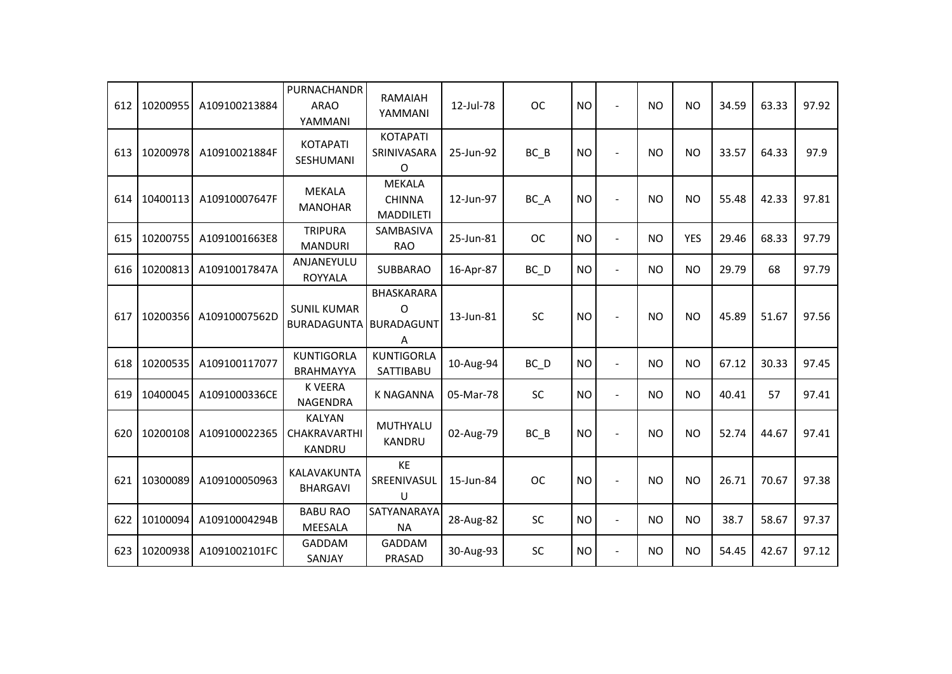| 612 | 10200955 | A109100213884 | PURNACHANDR<br><b>ARAO</b><br>YAMMANI                 | RAMAIAH<br>YAMMANI                                 | 12-Jul-78 | <b>OC</b>         | <b>NO</b> | $\sim$         | <b>NO</b> | <b>NO</b>  | 34.59 | 63.33 | 97.92 |
|-----|----------|---------------|-------------------------------------------------------|----------------------------------------------------|-----------|-------------------|-----------|----------------|-----------|------------|-------|-------|-------|
| 613 | 10200978 | A10910021884F | <b>KOTAPATI</b><br>SESHUMANI                          | <b>KOTAPATI</b><br>SRINIVASARA<br>$\Omega$         | 25-Jun-92 | $BC$ $B$          | <b>NO</b> |                | <b>NO</b> | <b>NO</b>  | 33.57 | 64.33 | 97.9  |
| 614 | 10400113 | A10910007647F | <b>MEKALA</b><br><b>MANOHAR</b>                       | <b>MEKALA</b><br><b>CHINNA</b><br><b>MADDILETI</b> | 12-Jun-97 | BC A              | <b>NO</b> | $\overline{a}$ | <b>NO</b> | <b>NO</b>  | 55.48 | 42.33 | 97.81 |
| 615 | 10200755 | A1091001663E8 | <b>TRIPURA</b><br><b>MANDURI</b>                      | SAMBASIVA<br><b>RAO</b>                            | 25-Jun-81 | <b>OC</b>         | <b>NO</b> | $\overline{a}$ | <b>NO</b> | <b>YES</b> | 29.46 | 68.33 | 97.79 |
| 616 | 10200813 | A10910017847A | ANJANEYULU<br><b>ROYYALA</b>                          | <b>SUBBARAO</b>                                    | 16-Apr-87 | $BC$ <sub>D</sub> | <b>NO</b> | $\blacksquare$ | <b>NO</b> | <b>NO</b>  | 29.79 | 68    | 97.79 |
| 617 | 10200356 | A10910007562D | <b>SUNIL KUMAR</b><br><b>BURADAGUNTA</b>              | BHASKARARA<br>O<br><b>BURADAGUNT</b><br>A          | 13-Jun-81 | SC                | <b>NO</b> |                | <b>NO</b> | <b>NO</b>  | 45.89 | 51.67 | 97.56 |
| 618 | 10200535 | A109100117077 | <b>KUNTIGORLA</b><br><b>BRAHMAYYA</b>                 | <b>KUNTIGORLA</b><br>SATTIBABU                     | 10-Aug-94 | BC D              | <b>NO</b> | $\blacksquare$ | <b>NO</b> | <b>NO</b>  | 67.12 | 30.33 | 97.45 |
| 619 | 10400045 | A1091000336CE | <b>K VEERA</b><br>NAGENDRA                            | <b>K NAGANNA</b>                                   | 05-Mar-78 | <b>SC</b>         | <b>NO</b> | $\overline{a}$ | <b>NO</b> | <b>NO</b>  | 40.41 | 57    | 97.41 |
| 620 | 10200108 | A109100022365 | <b>KALYAN</b><br><b>CHAKRAVARTHI</b><br><b>KANDRU</b> | MUTHYALU<br>KANDRU                                 | 02-Aug-79 | $BC$ $B$          | <b>NO</b> |                | <b>NO</b> | <b>NO</b>  | 52.74 | 44.67 | 97.41 |
| 621 | 10300089 | A109100050963 | KALAVAKUNTA<br><b>BHARGAVI</b>                        | KE<br>SREENIVASUL<br>$\sf U$                       | 15-Jun-84 | <b>OC</b>         | <b>NO</b> | $\sim$         | <b>NO</b> | <b>NO</b>  | 26.71 | 70.67 | 97.38 |
| 622 | 10100094 | A10910004294B | <b>BABU RAO</b><br><b>MEESALA</b>                     | SATYANARAYA<br><b>NA</b>                           | 28-Aug-82 | SC                | <b>NO</b> | $\blacksquare$ | <b>NO</b> | <b>NO</b>  | 38.7  | 58.67 | 97.37 |
| 623 | 10200938 | A1091002101FC | GADDAM<br>SANJAY                                      | <b>GADDAM</b><br>PRASAD                            | 30-Aug-93 | <b>SC</b>         | <b>NO</b> | $\blacksquare$ | <b>NO</b> | <b>NO</b>  | 54.45 | 42.67 | 97.12 |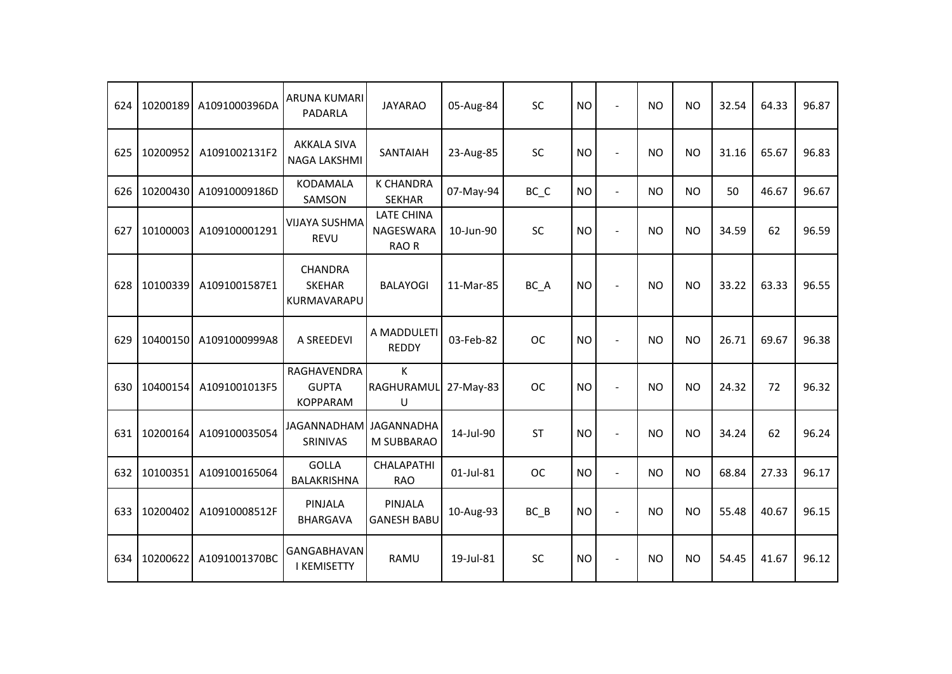| 624 | 10200189 | A1091000396DA | <b>ARUNA KUMARI</b><br>PADARLA                 | <b>JAYARAO</b>                                 | 05-Aug-84 | SC                             | <b>NO</b> | $\blacksquare$ | <b>NO</b> | <b>NO</b> | 32.54 | 64.33 | 96.87 |
|-----|----------|---------------|------------------------------------------------|------------------------------------------------|-----------|--------------------------------|-----------|----------------|-----------|-----------|-------|-------|-------|
| 625 | 10200952 | A1091002131F2 | <b>AKKALA SIVA</b><br><b>NAGA LAKSHMI</b>      | <b>SANTAIAH</b>                                | 23-Aug-85 | SC                             | <b>NO</b> | $\sim$         | <b>NO</b> | <b>NO</b> | 31.16 | 65.67 | 96.83 |
| 626 | 10200430 | A10910009186D | <b>KODAMALA</b><br>SAMSON                      | <b>K CHANDRA</b><br><b>SEKHAR</b>              | 07-May-94 | $BC$ <sub><math>C</math></sub> | <b>NO</b> | $\overline{a}$ | <b>NO</b> | <b>NO</b> | 50    | 46.67 | 96.67 |
| 627 | 10100003 | A109100001291 | <b>VIJAYA SUSHMA</b><br><b>REVU</b>            | <b>LATE CHINA</b><br><b>NAGESWARA</b><br>RAO R | 10-Jun-90 | SC                             | <b>NO</b> | $\overline{a}$ | <b>NO</b> | <b>NO</b> | 34.59 | 62    | 96.59 |
| 628 | 10100339 | A1091001587E1 | <b>CHANDRA</b><br><b>SKEHAR</b><br>KURMAVARAPU | <b>BALAYOGI</b>                                | 11-Mar-85 | BC_A                           | <b>NO</b> | $\blacksquare$ | <b>NO</b> | <b>NO</b> | 33.22 | 63.33 | 96.55 |
| 629 | 10400150 | A1091000999A8 | A SREEDEVI                                     | A MADDULETI<br><b>REDDY</b>                    | 03-Feb-82 | <b>OC</b>                      | <b>NO</b> | $\blacksquare$ | <b>NO</b> | <b>NO</b> | 26.71 | 69.67 | 96.38 |
| 630 | 10400154 | A1091001013F5 | RAGHAVENDRA<br><b>GUPTA</b><br><b>KOPPARAM</b> | K<br>RAGHURAMUL<br>U                           | 27-May-83 | <b>OC</b>                      | <b>NO</b> | $\sim$         | <b>NO</b> | <b>NO</b> | 24.32 | 72    | 96.32 |
| 631 | 10200164 | A109100035054 | JAGANNADHAM JAGANNADHA<br>SRINIVAS             | M SUBBARAO                                     | 14-Jul-90 | <b>ST</b>                      | <b>NO</b> | $\blacksquare$ | <b>NO</b> | <b>NO</b> | 34.24 | 62    | 96.24 |
| 632 | 10100351 | A109100165064 | <b>GOLLA</b><br>BALAKRISHNA                    | <b>CHALAPATHI</b><br><b>RAO</b>                | 01-Jul-81 | <b>OC</b>                      | <b>NO</b> | $\blacksquare$ | <b>NO</b> | <b>NO</b> | 68.84 | 27.33 | 96.17 |
| 633 | 10200402 | A10910008512F | PINJALA<br><b>BHARGAVA</b>                     | PINJALA<br><b>GANESH BABU</b>                  | 10-Aug-93 | $BC$ $B$                       | <b>NO</b> | $\blacksquare$ | <b>NO</b> | <b>NO</b> | 55.48 | 40.67 | 96.15 |
| 634 | 10200622 | A1091001370BC | GANGABHAVAN<br><b>I KEMISETTY</b>              | <b>RAMU</b>                                    | 19-Jul-81 | SC                             | <b>NO</b> |                | <b>NO</b> | <b>NO</b> | 54.45 | 41.67 | 96.12 |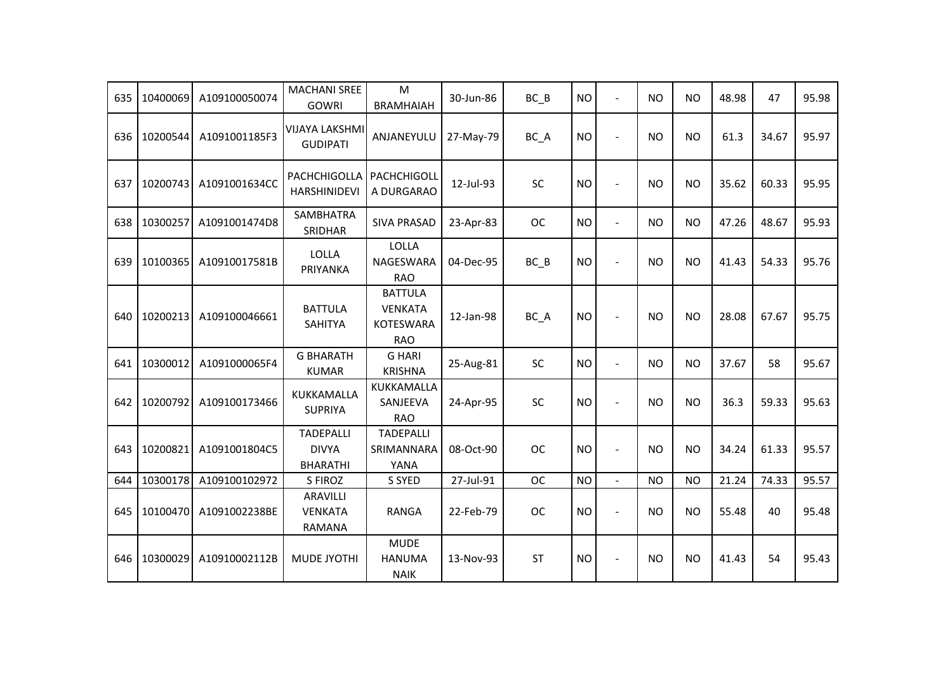| 635 | 10400069 | A109100050074 | <b>MACHANI SREE</b><br><b>GOWRI</b>                 | M<br><b>BRAMHAIAH</b>                                              | 30-Jun-86 | $BC$ $B$  | <b>NO</b> | $\overline{a}$ | <b>NO</b> | <b>NO</b> | 48.98 | 47    | 95.98 |
|-----|----------|---------------|-----------------------------------------------------|--------------------------------------------------------------------|-----------|-----------|-----------|----------------|-----------|-----------|-------|-------|-------|
| 636 | 10200544 | A1091001185F3 | <b>VIJAYA LAKSHMI</b><br><b>GUDIPATI</b>            | ANJANEYULU                                                         | 27-May-79 | BC_A      | <b>NO</b> | ÷,             | <b>NO</b> | <b>NO</b> | 61.3  | 34.67 | 95.97 |
| 637 | 10200743 | A1091001634CC | PACHCHIGOLLA<br><b>HARSHINIDEVI</b>                 | PACHCHIGOLL<br>A DURGARAO                                          | 12-Jul-93 | <b>SC</b> | <b>NO</b> | $\overline{a}$ | <b>NO</b> | <b>NO</b> | 35.62 | 60.33 | 95.95 |
| 638 | 10300257 | A1091001474D8 | <b>SAMBHATRA</b><br>SRIDHAR                         | <b>SIVA PRASAD</b>                                                 | 23-Apr-83 | <b>OC</b> | <b>NO</b> | $\blacksquare$ | <b>NO</b> | <b>NO</b> | 47.26 | 48.67 | 95.93 |
| 639 | 10100365 | A10910017581B | <b>LOLLA</b><br>PRIYANKA                            | <b>LOLLA</b><br>NAGESWARA<br><b>RAO</b>                            | 04-Dec-95 | $BC$ $B$  | <b>NO</b> | $\overline{a}$ | <b>NO</b> | <b>NO</b> | 41.43 | 54.33 | 95.76 |
| 640 | 10200213 | A109100046661 | <b>BATTULA</b><br>SAHITYA                           | <b>BATTULA</b><br><b>VENKATA</b><br><b>KOTESWARA</b><br><b>RAO</b> | 12-Jan-98 | BC_A      | <b>NO</b> | ÷              | <b>NO</b> | <b>NO</b> | 28.08 | 67.67 | 95.75 |
| 641 | 10300012 | A1091000065F4 | <b>G BHARATH</b><br><b>KUMAR</b>                    | <b>G HARI</b><br><b>KRISHNA</b>                                    | 25-Aug-81 | SC        | <b>NO</b> | $\blacksquare$ | <b>NO</b> | <b>NO</b> | 37.67 | 58    | 95.67 |
| 642 | 10200792 | A109100173466 | KUKKAMALLA<br><b>SUPRIYA</b>                        | KUKKAMALLA<br>SANJEEVA<br><b>RAO</b>                               | 24-Apr-95 | SC        | <b>NO</b> | $\blacksquare$ | <b>NO</b> | <b>NO</b> | 36.3  | 59.33 | 95.63 |
| 643 | 10200821 | A1091001804C5 | <b>TADEPALLI</b><br><b>DIVYA</b><br><b>BHARATHI</b> | <b>TADEPALLI</b><br>SRIMANNARA<br>YANA                             | 08-Oct-90 | <b>OC</b> | <b>NO</b> | $\sim$         | <b>NO</b> | <b>NO</b> | 34.24 | 61.33 | 95.57 |
| 644 | 10300178 | A109100102972 | S FIROZ                                             | S SYED                                                             | 27-Jul-91 | <b>OC</b> | <b>NO</b> | $\blacksquare$ | <b>NO</b> | <b>NO</b> | 21.24 | 74.33 | 95.57 |
| 645 | 10100470 | A1091002238BE | <b>ARAVILLI</b><br><b>VENKATA</b><br><b>RAMANA</b>  | <b>RANGA</b>                                                       | 22-Feb-79 | <b>OC</b> | <b>NO</b> | $\overline{a}$ | <b>NO</b> | <b>NO</b> | 55.48 | 40    | 95.48 |
| 646 | 10300029 | A10910002112B | <b>MUDE JYOTHI</b>                                  | <b>MUDE</b><br><b>HANUMA</b><br><b>NAIK</b>                        | 13-Nov-93 | <b>ST</b> | <b>NO</b> |                | <b>NO</b> | <b>NO</b> | 41.43 | 54    | 95.43 |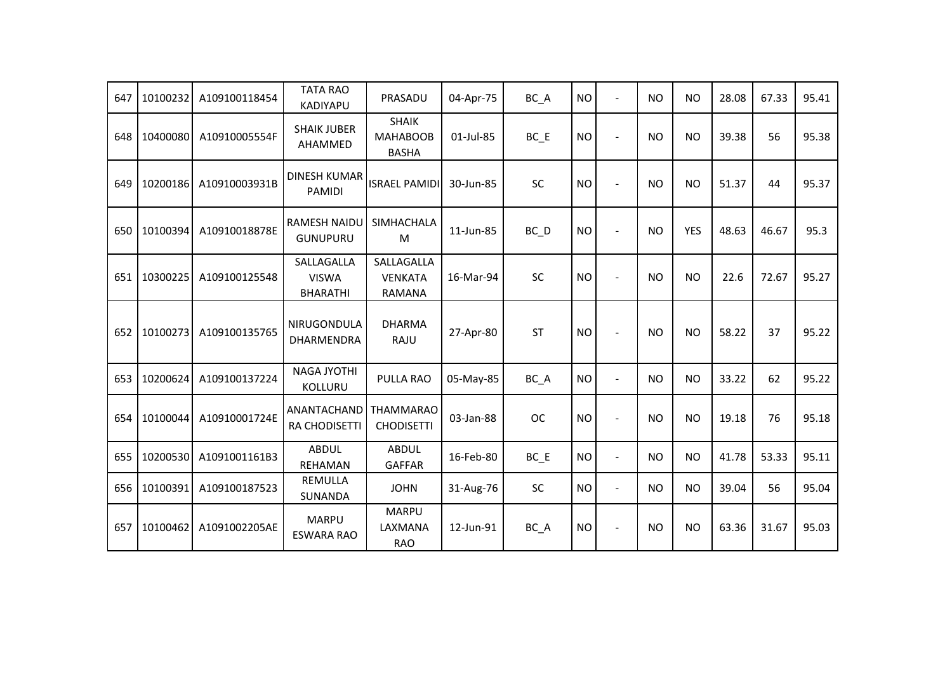| 647 | 10100232 | A109100118454 | <b>TATA RAO</b><br>KADIYAPU                   | PRASADU                                         | 04-Apr-75 | BC_A              | <b>NO</b> | $\overline{a}$           | <b>NO</b> | <b>NO</b>  | 28.08 | 67.33 | 95.41 |
|-----|----------|---------------|-----------------------------------------------|-------------------------------------------------|-----------|-------------------|-----------|--------------------------|-----------|------------|-------|-------|-------|
| 648 | 10400080 | A10910005554F | <b>SHAIK JUBER</b><br>AHAMMED                 | <b>SHAIK</b><br><b>MAHABOOB</b><br><b>BASHA</b> | 01-Jul-85 | $BC$ $E$          | <b>NO</b> | $\overline{a}$           | <b>NO</b> | <b>NO</b>  | 39.38 | 56    | 95.38 |
| 649 | 10200186 | A10910003931B | <b>DINESH KUMAR</b><br>PAMIDI                 | <b>ISRAEL PAMIDI</b>                            | 30-Jun-85 | SC                | <b>NO</b> | $\overline{a}$           | <b>NO</b> | <b>NO</b>  | 51.37 | 44    | 95.37 |
| 650 | 10100394 | A10910018878E | <b>RAMESH NAIDU</b><br><b>GUNUPURU</b>        | <b>SIMHACHALA</b><br>M                          | 11-Jun-85 | $BC$ <sub>D</sub> | <b>NO</b> | $\blacksquare$           | <b>NO</b> | <b>YES</b> | 48.63 | 46.67 | 95.3  |
| 651 | 10300225 | A109100125548 | SALLAGALLA<br><b>VISWA</b><br><b>BHARATHI</b> | SALLAGALLA<br><b>VENKATA</b><br>RAMANA          | 16-Mar-94 | SC                | <b>NO</b> | L,                       | <b>NO</b> | <b>NO</b>  | 22.6  | 72.67 | 95.27 |
| 652 | 10100273 | A109100135765 | NIRUGONDULA<br>DHARMENDRA                     | <b>DHARMA</b><br>RAJU                           | 27-Apr-80 | <b>ST</b>         | <b>NO</b> | $\overline{\phantom{a}}$ | <b>NO</b> | <b>NO</b>  | 58.22 | 37    | 95.22 |
| 653 | 10200624 | A109100137224 | <b>NAGA JYOTHI</b><br>KOLLURU                 | <b>PULLA RAO</b>                                | 05-May-85 | BC_A              | <b>NO</b> | $\blacksquare$           | <b>NO</b> | <b>NO</b>  | 33.22 | 62    | 95.22 |
| 654 | 10100044 | A10910001724E | ANANTACHAND<br><b>RA CHODISETTI</b>           | <b>THAMMARAO</b><br><b>CHODISETTI</b>           | 03-Jan-88 | <b>OC</b>         | <b>NO</b> | $\overline{a}$           | <b>NO</b> | <b>NO</b>  | 19.18 | 76    | 95.18 |
| 655 | 10200530 | A1091001161B3 | <b>ABDUL</b><br>REHAMAN                       | <b>ABDUL</b><br><b>GAFFAR</b>                   | 16-Feb-80 | $BC$ $E$          | <b>NO</b> | $\blacksquare$           | <b>NO</b> | <b>NO</b>  | 41.78 | 53.33 | 95.11 |
| 656 | 10100391 | A109100187523 | <b>REMULLA</b><br>SUNANDA                     | <b>JOHN</b>                                     | 31-Aug-76 | SC                | <b>NO</b> | $\blacksquare$           | <b>NO</b> | <b>NO</b>  | 39.04 | 56    | 95.04 |
| 657 | 10100462 | A1091002205AE | <b>MARPU</b><br><b>ESWARA RAO</b>             | <b>MARPU</b><br>LAXMANA<br><b>RAO</b>           | 12-Jun-91 | BC_A              | <b>NO</b> | $\overline{\phantom{a}}$ | <b>NO</b> | <b>NO</b>  | 63.36 | 31.67 | 95.03 |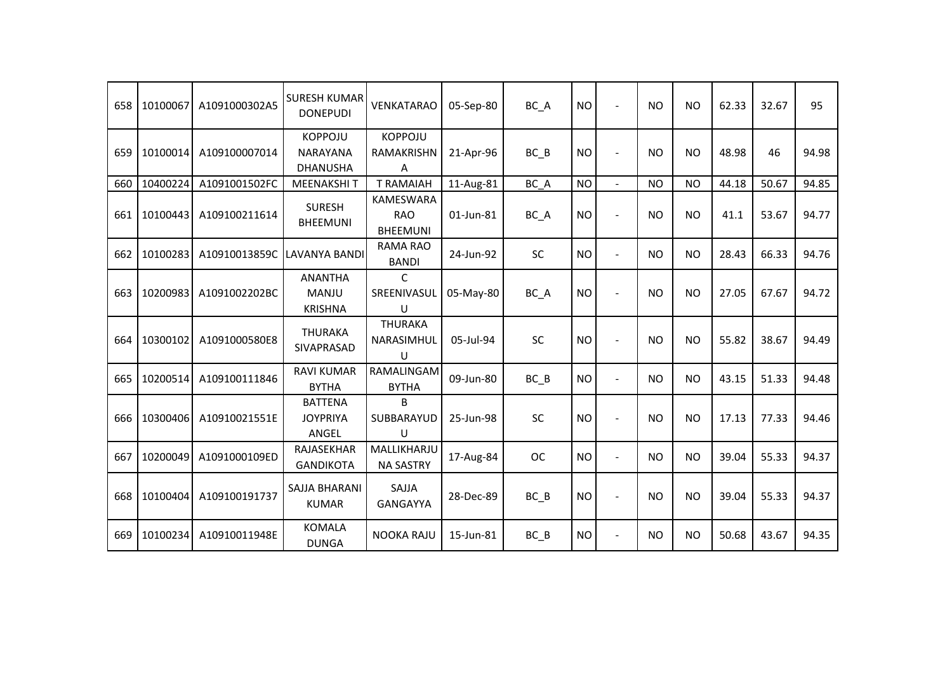| 658 | 10100067 | A1091000302A5 | <b>SURESH KUMAR</b><br><b>DONEPUDI</b>               | <b>VENKATARAO</b>                                 | 05-Sep-80 | BC_A      | <b>NO</b> | $\overline{a}$ | <b>NO</b>      | <b>NO</b> | 62.33 | 32.67 | 95    |
|-----|----------|---------------|------------------------------------------------------|---------------------------------------------------|-----------|-----------|-----------|----------------|----------------|-----------|-------|-------|-------|
| 659 | 10100014 | A109100007014 | <b>KOPPOJU</b><br><b>NARAYANA</b><br><b>DHANUSHA</b> | <b>KOPPOJU</b><br><b>RAMAKRISHN</b><br>A          | 21-Apr-96 | $BC$ $B$  | <b>NO</b> | $\blacksquare$ | <b>NO</b>      | <b>NO</b> | 48.98 | 46    | 94.98 |
| 660 | 10400224 | A1091001502FC | <b>MEENAKSHIT</b>                                    | <b>T RAMAIAH</b>                                  | 11-Aug-81 | BC_A      | <b>NO</b> | $\blacksquare$ | <b>NO</b>      | <b>NO</b> | 44.18 | 50.67 | 94.85 |
| 661 | 10100443 | A109100211614 | <b>SURESH</b><br><b>BHEEMUNI</b>                     | <b>KAMESWARA</b><br><b>RAO</b><br><b>BHEEMUNI</b> | 01-Jun-81 | BC_A      | <b>NO</b> | $\blacksquare$ | <b>NO</b>      | <b>NO</b> | 41.1  | 53.67 | 94.77 |
| 662 | 10100283 | A10910013859C | LAVANYA BANDI                                        | <b>RAMA RAO</b><br><b>BANDI</b>                   | 24-Jun-92 | SC        | <b>NO</b> | $\blacksquare$ | <b>NO</b>      | <b>NO</b> | 28.43 | 66.33 | 94.76 |
| 663 | 10200983 | A1091002202BC | <b>ANANTHA</b><br>MANJU<br><b>KRISHNA</b>            | C<br>SREENIVASUL<br>U                             | 05-May-80 | BC A      | <b>NO</b> |                | <b>NO</b>      | <b>NO</b> | 27.05 | 67.67 | 94.72 |
| 664 | 10300102 | A1091000580E8 | <b>THURAKA</b><br>SIVAPRASAD                         | <b>THURAKA</b><br>NARASIMHUL<br>$\cup$            | 05-Jul-94 | <b>SC</b> | <b>NO</b> |                | N <sub>O</sub> | <b>NO</b> | 55.82 | 38.67 | 94.49 |
| 665 | 10200514 | A109100111846 | <b>RAVI KUMAR</b><br><b>BYTHA</b>                    | RAMALINGAM<br><b>BYTHA</b>                        | 09-Jun-80 | BC B      | <b>NO</b> | $\blacksquare$ | <b>NO</b>      | <b>NO</b> | 43.15 | 51.33 | 94.48 |
| 666 | 10300406 | A10910021551E | <b>BATTENA</b><br><b>JOYPRIYA</b><br>ANGEL           | <sub>R</sub><br>SUBBARAYUD<br>U                   | 25-Jun-98 | <b>SC</b> | <b>NO</b> | $\overline{a}$ | <b>NO</b>      | <b>NO</b> | 17.13 | 77.33 | 94.46 |
| 667 | 10200049 | A1091000109ED | RAJASEKHAR<br><b>GANDIKOTA</b>                       | MALLIKHARJU<br><b>NA SASTRY</b>                   | 17-Aug-84 | <b>OC</b> | <b>NO</b> | $\overline{a}$ | <b>NO</b>      | <b>NO</b> | 39.04 | 55.33 | 94.37 |
| 668 | 10100404 | A109100191737 | SAJJA BHARANI<br><b>KUMAR</b>                        | SAJJA<br>GANGAYYA                                 | 28-Dec-89 | $BC$ $B$  | <b>NO</b> | $\blacksquare$ | <b>NO</b>      | <b>NO</b> | 39.04 | 55.33 | 94.37 |
| 669 | 10100234 | A10910011948E | <b>KOMALA</b><br><b>DUNGA</b>                        | <b>NOOKA RAJU</b>                                 | 15-Jun-81 | $BC$ $B$  | <b>NO</b> | $\blacksquare$ | <b>NO</b>      | <b>NO</b> | 50.68 | 43.67 | 94.35 |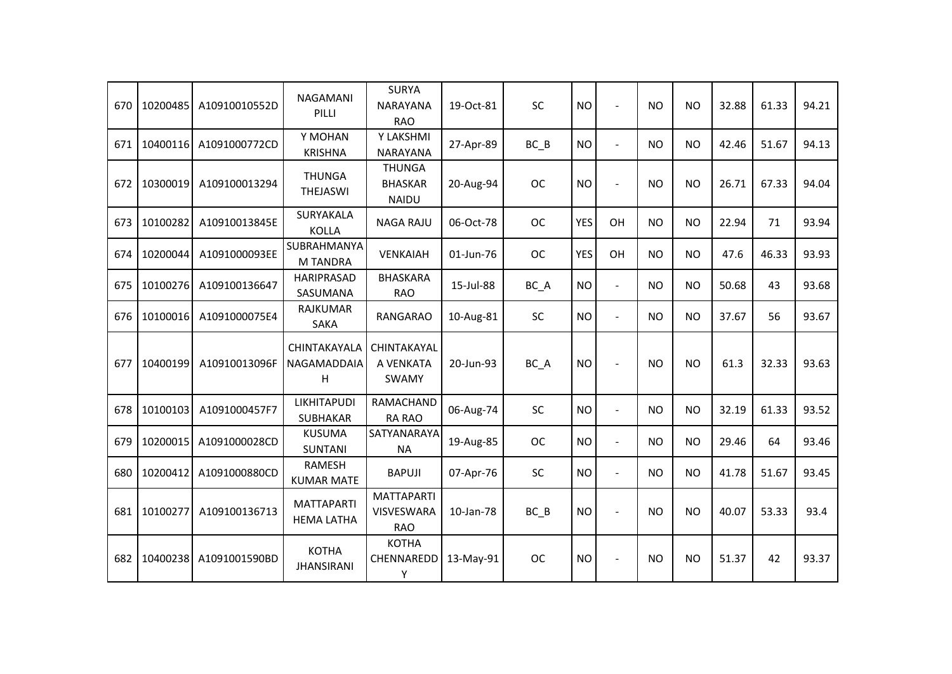| 670 | 10200485 | A10910010552D | <b>NAGAMANI</b><br>PILLI               | <b>SURYA</b><br><b>NARAYANA</b><br><b>RAO</b>        | 19-Oct-81 | SC        | <b>NO</b>  | ÷,             | <b>NO</b> | <b>NO</b> | 32.88 | 61.33 | 94.21 |
|-----|----------|---------------|----------------------------------------|------------------------------------------------------|-----------|-----------|------------|----------------|-----------|-----------|-------|-------|-------|
| 671 | 10400116 | A1091000772CD | Y MOHAN<br><b>KRISHNA</b>              | Y LAKSHMI<br><b>NARAYANA</b>                         | 27-Apr-89 | $BC$ $B$  | <b>NO</b>  | $\blacksquare$ | <b>NO</b> | <b>NO</b> | 42.46 | 51.67 | 94.13 |
| 672 | 10300019 | A109100013294 | <b>THUNGA</b><br>THEJASWI              | <b>THUNGA</b><br><b>BHASKAR</b><br><b>NAIDU</b>      | 20-Aug-94 | <b>OC</b> | <b>NO</b>  | $\blacksquare$ | <b>NO</b> | <b>NO</b> | 26.71 | 67.33 | 94.04 |
| 673 | 10100282 | A10910013845E | SURYAKALA<br><b>KOLLA</b>              | <b>NAGA RAJU</b>                                     | 06-Oct-78 | <b>OC</b> | <b>YES</b> | OH             | <b>NO</b> | <b>NO</b> | 22.94 | 71    | 93.94 |
| 674 | 10200044 | A1091000093EE | SUBRAHMANYA<br><b>M TANDRA</b>         | VENKAIAH                                             | 01-Jun-76 | <b>OC</b> | <b>YES</b> | OH             | <b>NO</b> | <b>NO</b> | 47.6  | 46.33 | 93.93 |
| 675 | 10100276 | A109100136647 | <b>HARIPRASAD</b><br>SASUMANA          | <b>BHASKARA</b><br><b>RAO</b>                        | 15-Jul-88 | BC_A      | <b>NO</b>  | $\blacksquare$ | <b>NO</b> | <b>NO</b> | 50.68 | 43    | 93.68 |
| 676 | 10100016 | A1091000075E4 | <b>RAJKUMAR</b><br>SAKA                | <b>RANGARAO</b>                                      | 10-Aug-81 | <b>SC</b> | <b>NO</b>  | $\blacksquare$ | <b>NO</b> | <b>NO</b> | 37.67 | 56    | 93.67 |
| 677 | 10400199 | A10910013096F | CHINTAKAYALA<br>NAGAMADDAIA<br>H       | CHINTAKAYAL<br>A VENKATA<br>SWAMY                    | 20-Jun-93 | BC_A      | <b>NO</b>  | $\overline{a}$ | <b>NO</b> | <b>NO</b> | 61.3  | 32.33 | 93.63 |
| 678 | 10100103 | A1091000457F7 | <b>LIKHITAPUDI</b><br>SUBHAKAR         | <b>RAMACHAND</b><br><b>RA RAO</b>                    | 06-Aug-74 | SC        | <b>NO</b>  | $\blacksquare$ | <b>NO</b> | <b>NO</b> | 32.19 | 61.33 | 93.52 |
| 679 | 10200015 | A1091000028CD | <b>KUSUMA</b><br><b>SUNTANI</b>        | SATYANARAYA<br><b>NA</b>                             | 19-Aug-85 | <b>OC</b> | <b>NO</b>  | $\blacksquare$ | <b>NO</b> | <b>NO</b> | 29.46 | 64    | 93.46 |
| 680 | 10200412 | A1091000880CD | <b>RAMESH</b><br><b>KUMAR MATE</b>     | <b>BAPUJI</b>                                        | 07-Apr-76 | SC        | <b>NO</b>  | $\blacksquare$ | <b>NO</b> | <b>NO</b> | 41.78 | 51.67 | 93.45 |
| 681 | 10100277 | A109100136713 | <b>MATTAPARTI</b><br><b>HEMA LATHA</b> | <b>MATTAPARTI</b><br><b>VISVESWARA</b><br><b>RAO</b> | 10-Jan-78 | $BC$ $B$  | <b>NO</b>  | $\overline{a}$ | <b>NO</b> | <b>NO</b> | 40.07 | 53.33 | 93.4  |
| 682 | 10400238 | A1091001590BD | <b>KOTHA</b><br><b>JHANSIRANI</b>      | <b>KOTHA</b><br>CHENNAREDD<br>Υ                      | 13-May-91 | <b>OC</b> | <b>NO</b>  | $\overline{a}$ | <b>NO</b> | <b>NO</b> | 51.37 | 42    | 93.37 |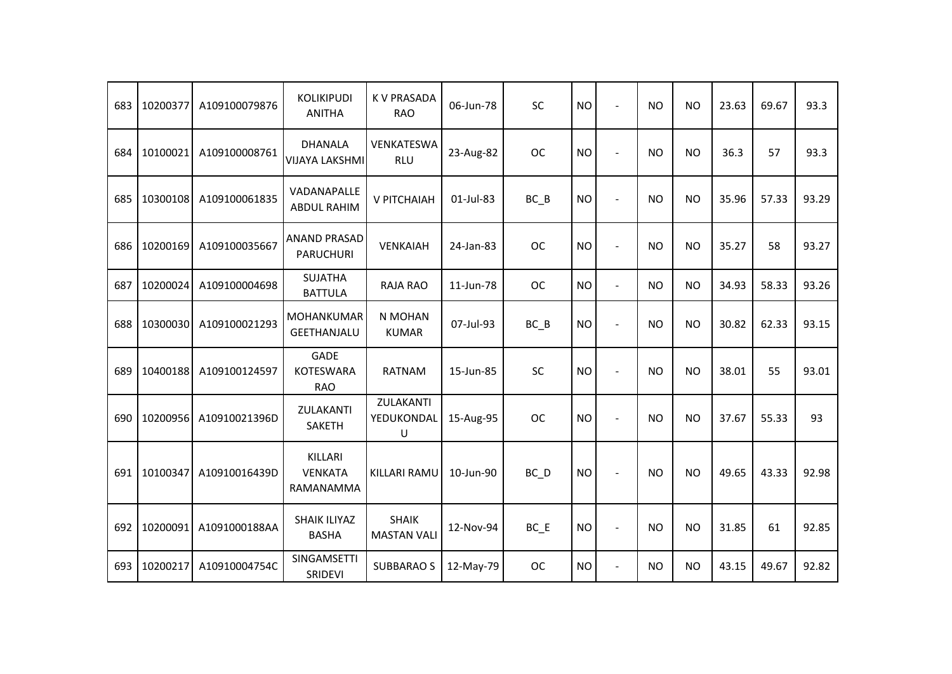| 683 | 10200377 | A109100079876 | <b>KOLIKIPUDI</b><br><b>ANITHA</b>            | <b>K V PRASADA</b><br><b>RAO</b>   | 06-Jun-78 | SC        | <b>NO</b> | $\overline{\phantom{a}}$ | <b>NO</b> | <b>NO</b> | 23.63 | 69.67 | 93.3  |
|-----|----------|---------------|-----------------------------------------------|------------------------------------|-----------|-----------|-----------|--------------------------|-----------|-----------|-------|-------|-------|
| 684 | 10100021 | A109100008761 | <b>DHANALA</b><br><b>VIJAYA LAKSHMI</b>       | VENKATESWA<br><b>RLU</b>           | 23-Aug-82 | <b>OC</b> | <b>NO</b> |                          | <b>NO</b> | <b>NO</b> | 36.3  | 57    | 93.3  |
| 685 | 10300108 | A109100061835 | VADANAPALLE<br><b>ABDUL RAHIM</b>             | V PITCHAIAH                        | 01-Jul-83 | $BC$ $B$  | <b>NO</b> |                          | <b>NO</b> | <b>NO</b> | 35.96 | 57.33 | 93.29 |
| 686 | 10200169 | A109100035667 | <b>ANAND PRASAD</b><br><b>PARUCHURI</b>       | VENKAIAH                           | 24-Jan-83 | <b>OC</b> | <b>NO</b> | $\blacksquare$           | <b>NO</b> | <b>NO</b> | 35.27 | 58    | 93.27 |
| 687 | 10200024 | A109100004698 | <b>SUJATHA</b><br><b>BATTULA</b>              | <b>RAJA RAO</b>                    | 11-Jun-78 | <b>OC</b> | <b>NO</b> | $\overline{a}$           | <b>NO</b> | <b>NO</b> | 34.93 | 58.33 | 93.26 |
| 688 | 10300030 | A109100021293 | MOHANKUMAR<br><b>GEETHANJALU</b>              | N MOHAN<br><b>KUMAR</b>            | 07-Jul-93 | $BC$ $B$  | <b>NO</b> |                          | <b>NO</b> | <b>NO</b> | 30.82 | 62.33 | 93.15 |
| 689 | 10400188 | A109100124597 | <b>GADE</b><br><b>KOTESWARA</b><br><b>RAO</b> | <b>RATNAM</b>                      | 15-Jun-85 | <b>SC</b> | <b>NO</b> |                          | <b>NO</b> | <b>NO</b> | 38.01 | 55    | 93.01 |
| 690 | 10200956 | A10910021396D | ZULAKANTI<br><b>SAKETH</b>                    | ZULAKANTI<br>YEDUKONDAL<br>U       | 15-Aug-95 | <b>OC</b> | <b>NO</b> |                          | <b>NO</b> | <b>NO</b> | 37.67 | 55.33 | 93    |
| 691 | 10100347 | A10910016439D | KILLARI<br><b>VENKATA</b><br>RAMANAMMA        | KILLARI RAMU                       | 10-Jun-90 | BC D      | <b>NO</b> |                          | <b>NO</b> | <b>NO</b> | 49.65 | 43.33 | 92.98 |
| 692 | 10200091 | A1091000188AA | <b>SHAIK ILIYAZ</b><br><b>BASHA</b>           | <b>SHAIK</b><br><b>MASTAN VALI</b> | 12-Nov-94 | $BC$ $E$  | <b>NO</b> | $\overline{\phantom{a}}$ | <b>NO</b> | <b>NO</b> | 31.85 | 61    | 92.85 |
| 693 | 10200217 | A10910004754C | SINGAMSETTI<br>SRIDEVI                        | <b>SUBBARAO S</b>                  | 12-May-79 | <b>OC</b> | <b>NO</b> | $\blacksquare$           | <b>NO</b> | <b>NO</b> | 43.15 | 49.67 | 92.82 |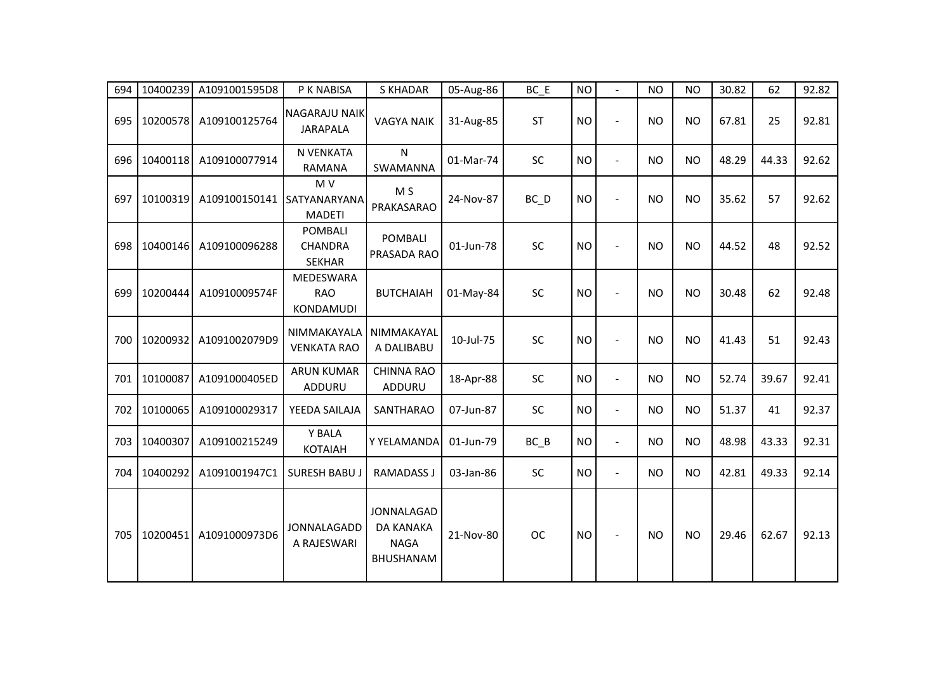| 694 | 10400239 | A1091001595D8 | P K NABISA                                        | <b>S KHADAR</b>                                     | 05-Aug-86 | $BC$ $E$  | <b>NO</b> |                          | <b>NO</b> | <b>NO</b> | 30.82 | 62    | 92.82 |
|-----|----------|---------------|---------------------------------------------------|-----------------------------------------------------|-----------|-----------|-----------|--------------------------|-----------|-----------|-------|-------|-------|
| 695 | 10200578 | A109100125764 | <b>NAGARAJU NAIK</b><br><b>JARAPALA</b>           | <b>VAGYA NAIK</b>                                   | 31-Aug-85 | <b>ST</b> | <b>NO</b> | $\blacksquare$           | <b>NO</b> | <b>NO</b> | 67.81 | 25    | 92.81 |
| 696 | 10400118 | A109100077914 | N VENKATA<br>RAMANA                               | N<br>SWAMANNA                                       | 01-Mar-74 | SC        | <b>NO</b> | $\overline{a}$           | <b>NO</b> | <b>NO</b> | 48.29 | 44.33 | 92.62 |
| 697 | 10100319 | A109100150141 | M V<br>SATYANARYANA<br><b>MADETI</b>              | M <sub>S</sub><br>PRAKASARAO                        | 24-Nov-87 | $BC$ $D$  | <b>NO</b> | $\overline{a}$           | <b>NO</b> | <b>NO</b> | 35.62 | 57    | 92.62 |
| 698 | 10400146 | A109100096288 | <b>POMBALI</b><br><b>CHANDRA</b><br><b>SEKHAR</b> | <b>POMBALI</b><br>PRASADA RAO                       | 01-Jun-78 | SC        | <b>NO</b> | $\overline{a}$           | <b>NO</b> | <b>NO</b> | 44.52 | 48    | 92.52 |
| 699 | 10200444 | A10910009574F | MEDESWARA<br><b>RAO</b><br>KONDAMUDI              | <b>BUTCHAIAH</b>                                    | 01-May-84 | SC        | <b>NO</b> | $\overline{a}$           | <b>NO</b> | <b>NO</b> | 30.48 | 62    | 92.48 |
| 700 | 10200932 | A1091002079D9 | NIMMAKAYALA<br><b>VENKATA RAO</b>                 | NIMMAKAYAL<br>A DALIBABU                            | 10-Jul-75 | SC        | <b>NO</b> | $\overline{a}$           | <b>NO</b> | <b>NO</b> | 41.43 | 51    | 92.43 |
| 701 | 10100087 | A1091000405ED | <b>ARUN KUMAR</b><br>ADDURU                       | <b>CHINNA RAO</b><br>ADDURU                         | 18-Apr-88 | <b>SC</b> | <b>NO</b> | $\blacksquare$           | <b>NO</b> | NO.       | 52.74 | 39.67 | 92.41 |
| 702 | 10100065 | A109100029317 | YEEDA SAILAJA                                     | <b>SANTHARAO</b>                                    | 07-Jun-87 | SC        | <b>NO</b> | $\blacksquare$           | <b>NO</b> | <b>NO</b> | 51.37 | 41    | 92.37 |
| 703 | 10400307 | A109100215249 | Y BALA<br><b>KOTAIAH</b>                          | Y YELAMANDA                                         | 01-Jun-79 | $BC$ $B$  | <b>NO</b> | $\overline{\phantom{a}}$ | <b>NO</b> | <b>NO</b> | 48.98 | 43.33 | 92.31 |
| 704 | 10400292 | A1091001947C1 | <b>SURESH BABUJ</b>                               | <b>RAMADASS J</b>                                   | 03-Jan-86 | SC        | <b>NO</b> | $\blacksquare$           | <b>NO</b> | <b>NO</b> | 42.81 | 49.33 | 92.14 |
| 705 | 10200451 | A1091000973D6 | JONNALAGADD<br>A RAJESWARI                        | JONNALAGAD<br>DA KANAKA<br><b>NAGA</b><br>BHUSHANAM | 21-Nov-80 | <b>OC</b> | <b>NO</b> |                          | <b>NO</b> | <b>NO</b> | 29.46 | 62.67 | 92.13 |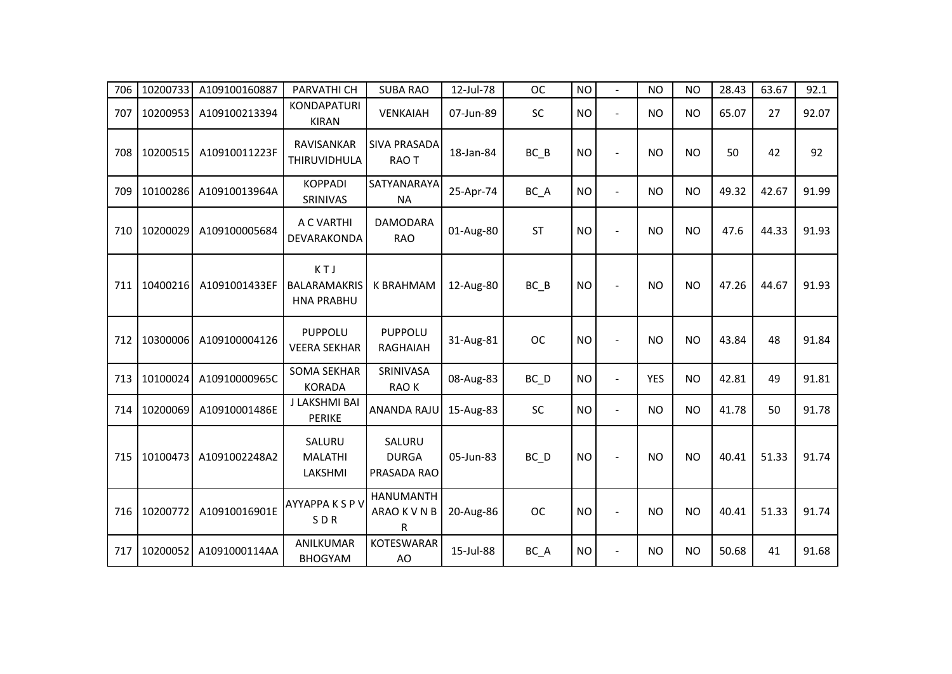| 706 | 10200733 | A109100160887 | PARVATHI CH                                     | <b>SUBA RAO</b>                       | 12-Jul-78 | <b>OC</b>         | <b>NO</b> | $\blacksquare$ | <b>NO</b>  | <b>NO</b> | 28.43 | 63.67 | 92.1  |
|-----|----------|---------------|-------------------------------------------------|---------------------------------------|-----------|-------------------|-----------|----------------|------------|-----------|-------|-------|-------|
| 707 | 10200953 | A109100213394 | <b>KONDAPATURI</b><br><b>KIRAN</b>              | VENKAIAH                              | 07-Jun-89 | SC                | <b>NO</b> | $\blacksquare$ | <b>NO</b>  | <b>NO</b> | 65.07 | 27    | 92.07 |
| 708 | 10200515 | A10910011223F | RAVISANKAR<br>THIRUVIDHULA                      | <b>SIVA PRASADA</b><br>RAO T          | 18-Jan-84 | $BC$ $B$          | <b>NO</b> |                | <b>NO</b>  | <b>NO</b> | 50    | 42    | 92    |
| 709 | 10100286 | A10910013964A | <b>KOPPADI</b><br>SRINIVAS                      | SATYANARAYA<br><b>NA</b>              | 25-Apr-74 | BC_A              | <b>NO</b> | $\blacksquare$ | <b>NO</b>  | <b>NO</b> | 49.32 | 42.67 | 91.99 |
| 710 | 10200029 | A109100005684 | A C VARTHI<br>DEVARAKONDA                       | <b>DAMODARA</b><br><b>RAO</b>         | 01-Aug-80 | <b>ST</b>         | <b>NO</b> | L,             | <b>NO</b>  | <b>NO</b> | 47.6  | 44.33 | 91.93 |
| 711 | 10400216 | A1091001433EF | KTJ<br><b>BALARAMAKRIS</b><br><b>HNA PRABHU</b> | <b>K BRAHMAM</b>                      | 12-Aug-80 | $BC$ $B$          | <b>NO</b> |                | <b>NO</b>  | <b>NO</b> | 47.26 | 44.67 | 91.93 |
| 712 | 10300006 | A109100004126 | PUPPOLU<br><b>VEERA SEKHAR</b>                  | <b>PUPPOLU</b><br><b>RAGHAIAH</b>     | 31-Aug-81 | <b>OC</b>         | <b>NO</b> |                | <b>NO</b>  | <b>NO</b> | 43.84 | 48    | 91.84 |
| 713 | 10100024 | A10910000965C | <b>SOMA SEKHAR</b><br><b>KORADA</b>             | SRINIVASA<br>RAO K                    | 08-Aug-83 | $BC$ <sub>D</sub> | <b>NO</b> | $\overline{a}$ | <b>YES</b> | <b>NO</b> | 42.81 | 49    | 91.81 |
| 714 | 10200069 | A10910001486E | J LAKSHMI BAI<br><b>PERIKE</b>                  | ANANDA RAJU                           | 15-Aug-83 | SC                | <b>NO</b> | $\blacksquare$ | <b>NO</b>  | <b>NO</b> | 41.78 | 50    | 91.78 |
| 715 | 10100473 | A1091002248A2 | SALURU<br><b>MALATHI</b><br>LAKSHMI             | SALURU<br><b>DURGA</b><br>PRASADA RAO | 05-Jun-83 | $BC$ $D$          | <b>NO</b> |                | <b>NO</b>  | <b>NO</b> | 40.41 | 51.33 | 91.74 |
| 716 | 10200772 | A10910016901E | AYYAPPA K S P V<br>SDR                          | <b>HANUMANTH</b><br>ARAO K V N B<br>R | 20-Aug-86 | <b>OC</b>         | <b>NO</b> | $\blacksquare$ | <b>NO</b>  | <b>NO</b> | 40.41 | 51.33 | 91.74 |
| 717 | 10200052 | A1091000114AA | ANILKUMAR<br><b>BHOGYAM</b>                     | <b>KOTESWARAR</b><br>AO               | 15-Jul-88 | BC_A              | <b>NO</b> | $\overline{a}$ | <b>NO</b>  | <b>NO</b> | 50.68 | 41    | 91.68 |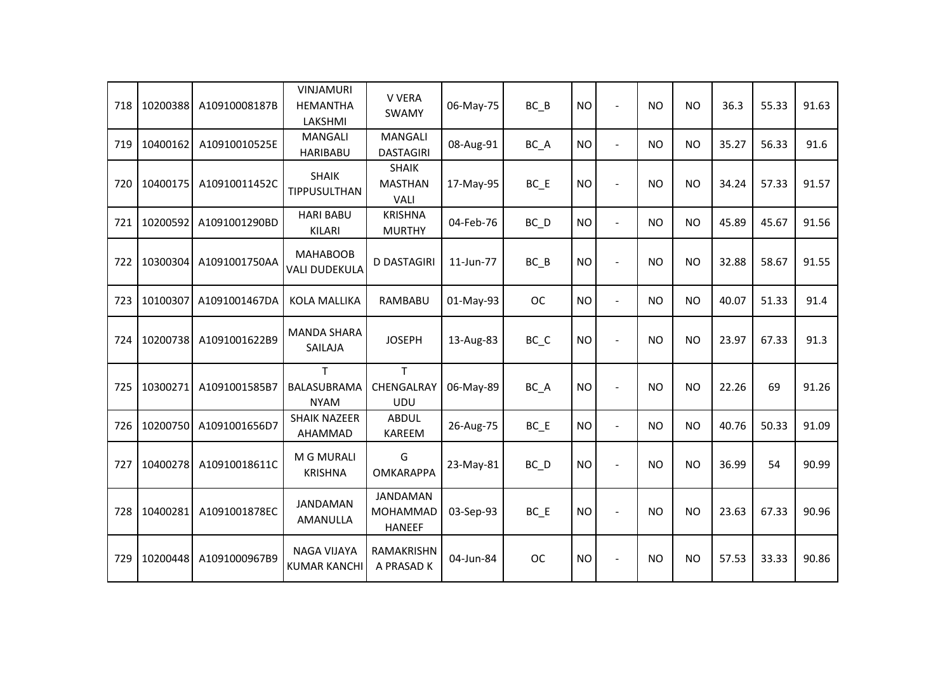| 718 | 10200388 | A10910008187B | <b>VINJAMURI</b><br><b>HEMANTHA</b><br>LAKSHMI | V VERA<br><b>SWAMY</b>                              | 06-May-75 | $BC$ $B$                       | <b>NO</b> | $\blacksquare$ | <b>NO</b> | <b>NO</b> | 36.3  | 55.33 | 91.63 |
|-----|----------|---------------|------------------------------------------------|-----------------------------------------------------|-----------|--------------------------------|-----------|----------------|-----------|-----------|-------|-------|-------|
| 719 | 10400162 | A10910010525E | <b>MANGALI</b><br><b>HARIBABU</b>              | <b>MANGALI</b><br><b>DASTAGIRI</b>                  | 08-Aug-91 | BC_A                           | <b>NO</b> | $\blacksquare$ | <b>NO</b> | <b>NO</b> | 35.27 | 56.33 | 91.6  |
| 720 | 10400175 | A10910011452C | <b>SHAIK</b><br><b>TIPPUSULTHAN</b>            | <b>SHAIK</b><br><b>MASTHAN</b><br><b>VALI</b>       | 17-May-95 | $BC$ $E$                       | <b>NO</b> | ÷,             | <b>NO</b> | <b>NO</b> | 34.24 | 57.33 | 91.57 |
| 721 | 10200592 | A1091001290BD | <b>HARI BABU</b><br>KILARI                     | <b>KRISHNA</b><br><b>MURTHY</b>                     | 04-Feb-76 | $BC$ <sub>D</sub>              | <b>NO</b> | $\blacksquare$ | <b>NO</b> | <b>NO</b> | 45.89 | 45.67 | 91.56 |
| 722 | 10300304 | A1091001750AA | <b>MAHABOOB</b><br><b>VALI DUDEKULA</b>        | <b>D DASTAGIRI</b>                                  | 11-Jun-77 | $BC$ $B$                       | <b>NO</b> | $\blacksquare$ | <b>NO</b> | <b>NO</b> | 32.88 | 58.67 | 91.55 |
| 723 | 10100307 | A1091001467DA | <b>KOLA MALLIKA</b>                            | RAMBABU                                             | 01-May-93 | <b>OC</b>                      | <b>NO</b> | $\blacksquare$ | <b>NO</b> | <b>NO</b> | 40.07 | 51.33 | 91.4  |
| 724 | 10200738 | A1091001622B9 | <b>MANDA SHARA</b><br>SAILAJA                  | <b>JOSEPH</b>                                       | 13-Aug-83 | $BC$ <sub><math>C</math></sub> | <b>NO</b> | $\overline{a}$ | <b>NO</b> | <b>NO</b> | 23.97 | 67.33 | 91.3  |
| 725 | 10300271 | A1091001585B7 | T<br>BALASUBRAMA<br><b>NYAM</b>                | т<br>CHENGALRAY<br><b>UDU</b>                       | 06-May-89 | BC_A                           | <b>NO</b> | $\blacksquare$ | <b>NO</b> | <b>NO</b> | 22.26 | 69    | 91.26 |
| 726 | 10200750 | A1091001656D7 | <b>SHAIK NAZEER</b><br>AHAMMAD                 | <b>ABDUL</b><br>KAREEM                              | 26-Aug-75 | $BC$ $E$                       | <b>NO</b> | $\blacksquare$ | <b>NO</b> | <b>NO</b> | 40.76 | 50.33 | 91.09 |
| 727 | 10400278 | A10910018611C | M G MURALI<br><b>KRISHNA</b>                   | G<br><b>OMKARAPPA</b>                               | 23-May-81 | $BC$ $D$                       | <b>NO</b> |                | <b>NO</b> | <b>NO</b> | 36.99 | 54    | 90.99 |
| 728 | 10400281 | A1091001878EC | <b>JANDAMAN</b><br>AMANULLA                    | <b>JANDAMAN</b><br><b>MOHAMMAD</b><br><b>HANEEF</b> | 03-Sep-93 | $BC$ $E$                       | <b>NO</b> |                | <b>NO</b> | <b>NO</b> | 23.63 | 67.33 | 90.96 |
| 729 | 10200448 | A1091000967B9 | NAGA VIJAYA<br><b>KUMAR KANCHI</b>             | RAMAKRISHN<br>A PRASAD K                            | 04-Jun-84 | <b>OC</b>                      | <b>NO</b> |                | <b>NO</b> | <b>NO</b> | 57.53 | 33.33 | 90.86 |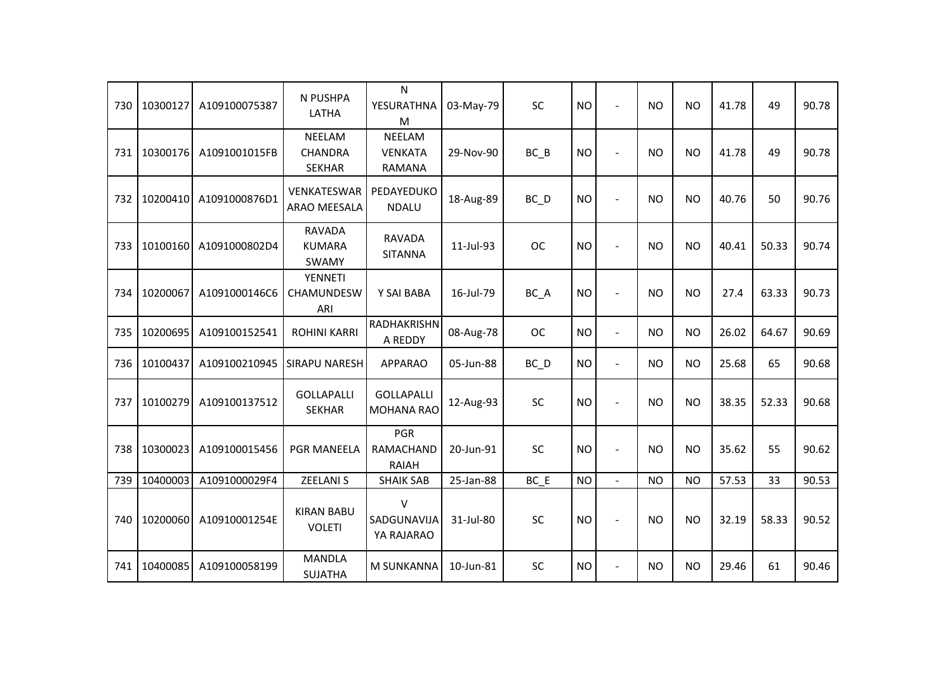| 730 | 10300127 | A109100075387 | N PUSHPA<br>LATHA                         | $\mathsf{N}$<br>YESURATHNA<br>M                  | 03-May-79 | <b>SC</b>         | <b>NO</b> | $\blacksquare$ | <b>NO</b> | <b>NO</b> | 41.78 | 49    | 90.78 |
|-----|----------|---------------|-------------------------------------------|--------------------------------------------------|-----------|-------------------|-----------|----------------|-----------|-----------|-------|-------|-------|
| 731 | 10300176 | A1091001015FB | NEELAM<br><b>CHANDRA</b><br><b>SEKHAR</b> | <b>NEELAM</b><br><b>VENKATA</b><br><b>RAMANA</b> | 29-Nov-90 | BC B              | <b>NO</b> | $\blacksquare$ | <b>NO</b> | <b>NO</b> | 41.78 | 49    | 90.78 |
| 732 | 10200410 | A1091000876D1 | <b>VENKATESWAR</b><br>ARAO MEESALA        | PEDAYEDUKO<br><b>NDALU</b>                       | 18-Aug-89 | BC D              | <b>NO</b> | $\overline{a}$ | <b>NO</b> | <b>NO</b> | 40.76 | 50    | 90.76 |
| 733 | 10100160 | A1091000802D4 | <b>RAVADA</b><br><b>KUMARA</b><br>SWAMY   | <b>RAVADA</b><br><b>SITANNA</b>                  | 11-Jul-93 | <b>OC</b>         | <b>NO</b> | $\blacksquare$ | <b>NO</b> | <b>NO</b> | 40.41 | 50.33 | 90.74 |
| 734 | 10200067 | A1091000146C6 | YENNETI<br><b>CHAMUNDESW</b><br>ARI       | Y SAI BABA                                       | 16-Jul-79 | BC_A              | <b>NO</b> | $\blacksquare$ | <b>NO</b> | <b>NO</b> | 27.4  | 63.33 | 90.73 |
| 735 | 10200695 | A109100152541 | <b>ROHINI KARRI</b>                       | RADHAKRISHN<br>A REDDY                           | 08-Aug-78 | <b>OC</b>         | <b>NO</b> | $\blacksquare$ | <b>NO</b> | <b>NO</b> | 26.02 | 64.67 | 90.69 |
| 736 | 10100437 | A109100210945 | <b>SIRAPU NARESH</b>                      | <b>APPARAO</b>                                   | 05-Jun-88 | $BC$ <sub>D</sub> | <b>NO</b> | $\blacksquare$ | <b>NO</b> | <b>NO</b> | 25.68 | 65    | 90.68 |
| 737 | 10100279 | A109100137512 | <b>GOLLAPALLI</b><br><b>SEKHAR</b>        | <b>GOLLAPALLI</b><br><b>MOHANA RAO</b>           | 12-Aug-93 | SC                | <b>NO</b> | $\blacksquare$ | <b>NO</b> | <b>NO</b> | 38.35 | 52.33 | 90.68 |
| 738 | 10300023 | A109100015456 | <b>PGR MANEELA</b>                        | <b>PGR</b><br><b>RAMACHAND</b><br><b>RAIAH</b>   | 20-Jun-91 | <b>SC</b>         | <b>NO</b> | $\overline{a}$ | <b>NO</b> | <b>NO</b> | 35.62 | 55    | 90.62 |
| 739 | 10400003 | A1091000029F4 | <b>ZEELANIS</b>                           | <b>SHAIK SAB</b>                                 | 25-Jan-88 | BC E              | <b>NO</b> | $\overline{a}$ | <b>NO</b> | <b>NO</b> | 57.53 | 33    | 90.53 |
| 740 | 10200060 | A10910001254E | <b>KIRAN BABU</b><br><b>VOLETI</b>        | $\vee$<br>SADGUNAVIJA<br>YA RAJARAO              | 31-Jul-80 | SC                | <b>NO</b> | $\overline{a}$ | <b>NO</b> | <b>NO</b> | 32.19 | 58.33 | 90.52 |
| 741 | 10400085 | A109100058199 | <b>MANDLA</b><br><b>SUJATHA</b>           | M SUNKANNA                                       | 10-Jun-81 | SC                | <b>NO</b> | $\overline{a}$ | <b>NO</b> | <b>NO</b> | 29.46 | 61    | 90.46 |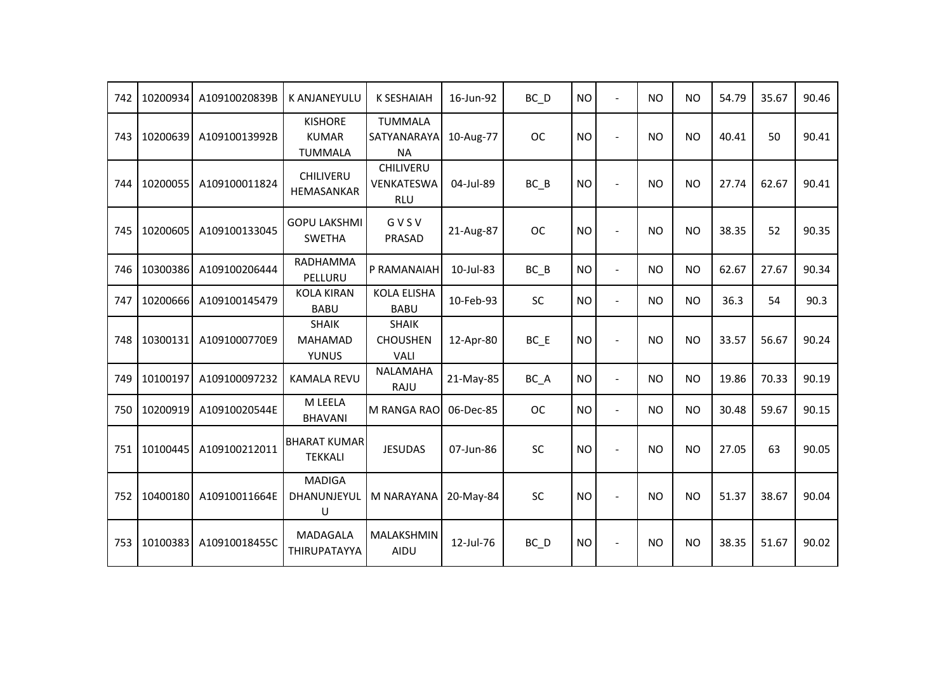| 742 | 10200934 | A10910020839B | <b>K ANJANEYULU</b>                              | <b>K SESHAIAH</b>                              | 16-Jun-92 | $BC$ $D$          | <b>NO</b> | $\sim$         | <b>NO</b> | <b>NO</b> | 54.79 | 35.67 | 90.46 |
|-----|----------|---------------|--------------------------------------------------|------------------------------------------------|-----------|-------------------|-----------|----------------|-----------|-----------|-------|-------|-------|
| 743 | 10200639 | A10910013992B | <b>KISHORE</b><br><b>KUMAR</b><br><b>TUMMALA</b> | <b>TUMMALA</b><br>SATYANARAYA<br><b>NA</b>     | 10-Aug-77 | <b>OC</b>         | <b>NO</b> | $\blacksquare$ | <b>NO</b> | <b>NO</b> | 40.41 | 50    | 90.41 |
| 744 | 10200055 | A109100011824 | <b>CHILIVERU</b><br>HEMASANKAR                   | <b>CHILIVERU</b><br>VENKATESWA<br><b>RLU</b>   | 04-Jul-89 | BC B              | <b>NO</b> | $\overline{a}$ | <b>NO</b> | <b>NO</b> | 27.74 | 62.67 | 90.41 |
| 745 | 10200605 | A109100133045 | <b>GOPU LAKSHMI</b><br><b>SWETHA</b>             | GVSV<br>PRASAD                                 | 21-Aug-87 | <b>OC</b>         | <b>NO</b> | $\overline{a}$ | <b>NO</b> | <b>NO</b> | 38.35 | 52    | 90.35 |
| 746 | 10300386 | A109100206444 | RADHAMMA<br>PELLURU                              | P RAMANAIAH                                    | 10-Jul-83 | $BC$ $B$          | <b>NO</b> | $\blacksquare$ | <b>NO</b> | <b>NO</b> | 62.67 | 27.67 | 90.34 |
| 747 | 10200666 | A109100145479 | <b>KOLA KIRAN</b><br><b>BABU</b>                 | <b>KOLA ELISHA</b><br><b>BABU</b>              | 10-Feb-93 | SC                | <b>NO</b> | $\overline{a}$ | <b>NO</b> | <b>NO</b> | 36.3  | 54    | 90.3  |
| 748 | 10300131 | A1091000770E9 | <b>SHAIK</b><br><b>MAHAMAD</b><br><b>YUNUS</b>   | <b>SHAIK</b><br><b>CHOUSHEN</b><br><b>VALI</b> | 12-Apr-80 | $BC$ $E$          | <b>NO</b> |                | <b>NO</b> | <b>NO</b> | 33.57 | 56.67 | 90.24 |
| 749 | 10100197 | A109100097232 | <b>KAMALA REVU</b>                               | <b>NALAMAHA</b><br>RAJU                        | 21-May-85 | $BC_A$            | <b>NO</b> | $\blacksquare$ | <b>NO</b> | <b>NO</b> | 19.86 | 70.33 | 90.19 |
| 750 | 10200919 | A10910020544E | M LEELA<br><b>BHAVANI</b>                        | M RANGA RAO                                    | 06-Dec-85 | <b>OC</b>         | <b>NO</b> | $\blacksquare$ | <b>NO</b> | <b>NO</b> | 30.48 | 59.67 | 90.15 |
| 751 | 10100445 | A109100212011 | <b>BHARAT KUMAR</b><br><b>TEKKALI</b>            | <b>JESUDAS</b>                                 | 07-Jun-86 | SC                | <b>NO</b> | $\overline{a}$ | <b>NO</b> | <b>NO</b> | 27.05 | 63    | 90.05 |
| 752 | 10400180 | A10910011664E | <b>MADIGA</b><br>DHANUNJEYUL<br>U                | <b>M NARAYANA</b>                              | 20-May-84 | SC                | <b>NO</b> |                | <b>NO</b> | <b>NO</b> | 51.37 | 38.67 | 90.04 |
| 753 | 10100383 | A10910018455C | MADAGALA<br>THIRUPATAYYA                         | MALAKSHMIN<br>AIDU                             | 12-Jul-76 | $BC$ <sub>D</sub> | <b>NO</b> | $\overline{a}$ | <b>NO</b> | <b>NO</b> | 38.35 | 51.67 | 90.02 |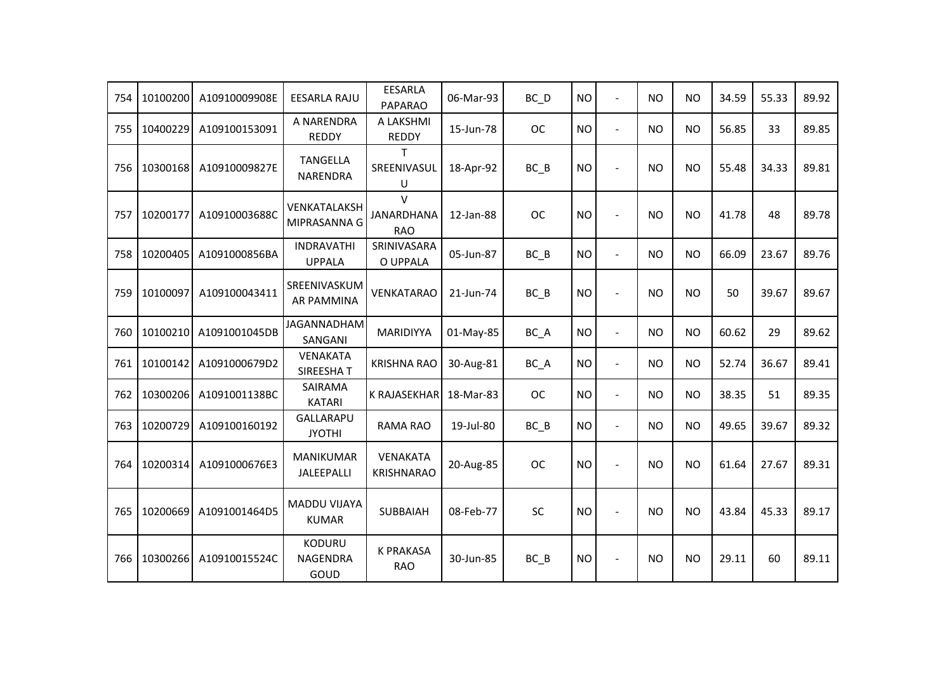| 754 | 10100200 | A10910009908E | <b>EESARLA RAJU</b>                 | <b>EESARLA</b><br><b>PAPARAO</b>                | 06-Mar-93 | BC D      | <b>NO</b> | $\overline{a}$           | <b>NO</b>      | <b>NO</b> | 34.59 | 55.33 | 89.92 |
|-----|----------|---------------|-------------------------------------|-------------------------------------------------|-----------|-----------|-----------|--------------------------|----------------|-----------|-------|-------|-------|
| 755 | 10400229 | A109100153091 | A NARENDRA<br><b>REDDY</b>          | A LAKSHMI<br><b>REDDY</b>                       | 15-Jun-78 | <b>OC</b> | <b>NO</b> | $\blacksquare$           | <b>NO</b>      | <b>NO</b> | 56.85 | 33    | 89.85 |
| 756 | 10300168 | A10910009827E | <b>TANGELLA</b><br>NARENDRA         | T.<br>SREENIVASUL<br>U                          | 18-Apr-92 | $BC$ $B$  | <b>NO</b> | ÷,                       | <b>NO</b>      | <b>NO</b> | 55.48 | 34.33 | 89.81 |
| 757 | 10200177 | A10910003688C | VENKATALAKSH<br>MIPRASANNA G        | $\mathsf{V}$<br><b>JANARDHANA</b><br><b>RAO</b> | 12-Jan-88 | <b>OC</b> | <b>NO</b> | $\sim$                   | <b>NO</b>      | <b>NO</b> | 41.78 | 48    | 89.78 |
| 758 | 10200405 | A1091000856BA | <b>INDRAVATHI</b><br><b>UPPALA</b>  | SRINIVASARA<br>O UPPALA                         | 05-Jun-87 | BC B      | <b>NO</b> | $\blacksquare$           | <b>NO</b>      | <b>NO</b> | 66.09 | 23.67 | 89.76 |
| 759 | 10100097 | A109100043411 | SREENIVASKUM<br><b>AR PAMMINA</b>   | <b>VENKATARAO</b>                               | 21-Jun-74 | $BC$ $B$  | <b>NO</b> | $\blacksquare$           | <b>NO</b>      | <b>NO</b> | 50    | 39.67 | 89.67 |
| 760 | 10100210 | A1091001045DB | JAGANNADHAM<br>SANGANI              | MARIDIYYA                                       | 01-May-85 | BC_A      | <b>NO</b> | $\overline{\phantom{a}}$ | <b>NO</b>      | <b>NO</b> | 60.62 | 29    | 89.62 |
| 761 | 10100142 | A1091000679D2 | VENAKATA<br>SIREESHAT               | <b>KRISHNA RAO</b>                              | 30-Aug-81 | BC_A      | <b>NO</b> | $\blacksquare$           | <b>NO</b>      | <b>NO</b> | 52.74 | 36.67 | 89.41 |
| 762 | 10300206 | A1091001138BC | SAIRAMA<br><b>KATARI</b>            | K RAJASEKHAR                                    | 18-Mar-83 | <b>OC</b> | <b>NO</b> | $\blacksquare$           | <b>NO</b>      | <b>NO</b> | 38.35 | 51    | 89.35 |
| 763 | 10200729 | A109100160192 | <b>GALLARAPU</b><br><b>JYOTHI</b>   | <b>RAMA RAO</b>                                 | 19-Jul-80 | $BC$ $B$  | <b>NO</b> | $\blacksquare$           | <b>NO</b>      | <b>NO</b> | 49.65 | 39.67 | 89.32 |
| 764 | 10200314 | A1091000676E3 | <b>MANIKUMAR</b><br>JALEEPALLI      | VENAKATA<br><b>KRISHNARAO</b>                   | 20-Aug-85 | <b>OC</b> | <b>NO</b> | ÷,                       | N <sub>O</sub> | <b>NO</b> | 61.64 | 27.67 | 89.31 |
| 765 | 10200669 | A1091001464D5 | <b>MADDU VIJAYA</b><br><b>KUMAR</b> | SUBBAIAH                                        | 08-Feb-77 | SC        | <b>NO</b> | ÷,                       | <b>NO</b>      | <b>NO</b> | 43.84 | 45.33 | 89.17 |
| 766 | 10300266 | A10910015524C | KODURU<br><b>NAGENDRA</b><br>GOUD   | <b>K PRAKASA</b><br><b>RAO</b>                  | 30-Jun-85 | $BC$ $B$  | <b>NO</b> | $\blacksquare$           | <b>NO</b>      | <b>NO</b> | 29.11 | 60    | 89.11 |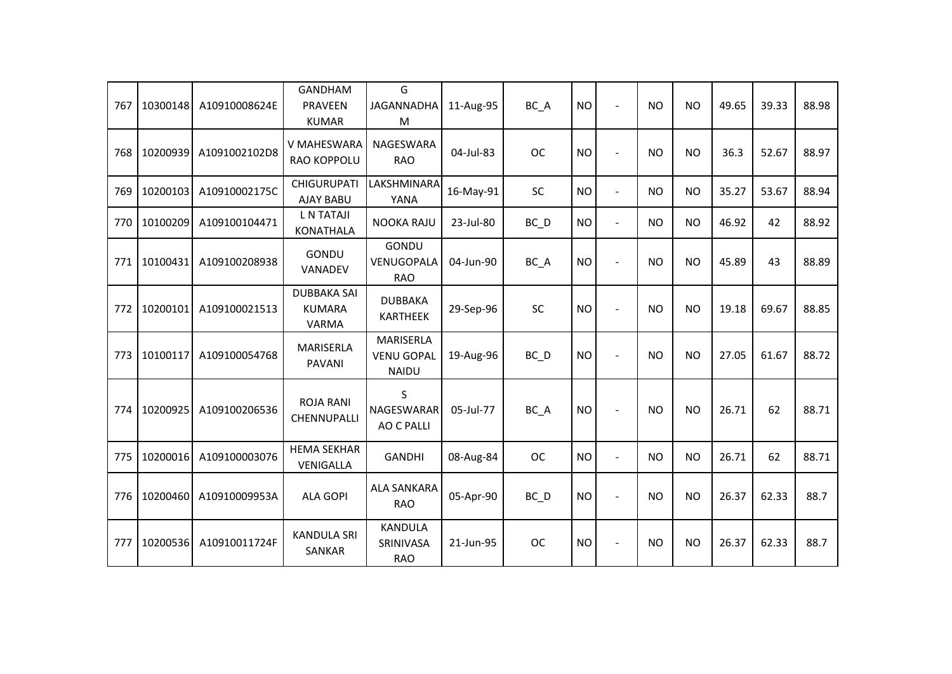| 767 | 10300148 | A10910008624E | <b>GANDHAM</b><br><b>PRAVEEN</b><br><b>KUMAR</b>    | G<br><b>JAGANNADHA</b><br>M                    | 11-Aug-95 | BC A              | <b>NO</b> | $\overline{\phantom{a}}$ | <b>NO</b> | <b>NO</b> | 49.65 | 39.33 | 88.98 |
|-----|----------|---------------|-----------------------------------------------------|------------------------------------------------|-----------|-------------------|-----------|--------------------------|-----------|-----------|-------|-------|-------|
| 768 | 10200939 | A1091002102D8 | V MAHESWARA<br><b>RAO KOPPOLU</b>                   | NAGESWARA<br><b>RAO</b>                        | 04-Jul-83 | <b>OC</b>         | <b>NO</b> |                          | <b>NO</b> | <b>NO</b> | 36.3  | 52.67 | 88.97 |
| 769 | 10200103 | A10910002175C | <b>CHIGURUPATI</b><br><b>AJAY BABU</b>              | LAKSHMINARA<br>YANA                            | 16-May-91 | <b>SC</b>         | <b>NO</b> | $\blacksquare$           | <b>NO</b> | <b>NO</b> | 35.27 | 53.67 | 88.94 |
| 770 | 10100209 | A109100104471 | <b>L N TATAJI</b><br><b>KONATHALA</b>               | <b>NOOKA RAJU</b>                              | 23-Jul-80 | BC D              | <b>NO</b> | $\overline{a}$           | <b>NO</b> | <b>NO</b> | 46.92 | 42    | 88.92 |
| 771 | 10100431 | A109100208938 | <b>GONDU</b><br>VANADEV                             | GONDU<br>VENUGOPALA<br><b>RAO</b>              | 04-Jun-90 | BC A              | <b>NO</b> |                          | <b>NO</b> | <b>NO</b> | 45.89 | 43    | 88.89 |
| 772 | 10200101 | A109100021513 | <b>DUBBAKA SAI</b><br><b>KUMARA</b><br><b>VARMA</b> | <b>DUBBAKA</b><br><b>KARTHEEK</b>              | 29-Sep-96 | SC                | <b>NO</b> |                          | <b>NO</b> | <b>NO</b> | 19.18 | 69.67 | 88.85 |
| 773 | 10100117 | A109100054768 | MARISERLA<br><b>PAVANI</b>                          | MARISERLA<br><b>VENU GOPAL</b><br><b>NAIDU</b> | 19-Aug-96 | $BC$ <sub>D</sub> | <b>NO</b> |                          | <b>NO</b> | <b>NO</b> | 27.05 | 61.67 | 88.72 |
| 774 | 10200925 | A109100206536 | <b>ROJA RANI</b><br>CHENNUPALLI                     | S<br><b>NAGESWARAR</b><br><b>AO C PALLI</b>    | 05-Jul-77 | BC_A              | <b>NO</b> |                          | <b>NO</b> | <b>NO</b> | 26.71 | 62    | 88.71 |
| 775 | 10200016 | A109100003076 | <b>HEMA SEKHAR</b><br>VENIGALLA                     | <b>GANDHI</b>                                  | 08-Aug-84 | <b>OC</b>         | <b>NO</b> | $\overline{a}$           | <b>NO</b> | <b>NO</b> | 26.71 | 62    | 88.71 |
| 776 | 10200460 | A10910009953A | <b>ALA GOPI</b>                                     | <b>ALA SANKARA</b><br><b>RAO</b>               | 05-Apr-90 | $BC$ <sub>D</sub> | <b>NO</b> |                          | <b>NO</b> | <b>NO</b> | 26.37 | 62.33 | 88.7  |
| 777 | 10200536 | A10910011724F | <b>KANDULA SRI</b><br><b>SANKAR</b>                 | <b>KANDULA</b><br>SRINIVASA<br><b>RAO</b>      | 21-Jun-95 | <b>OC</b>         | <b>NO</b> |                          | <b>NO</b> | <b>NO</b> | 26.37 | 62.33 | 88.7  |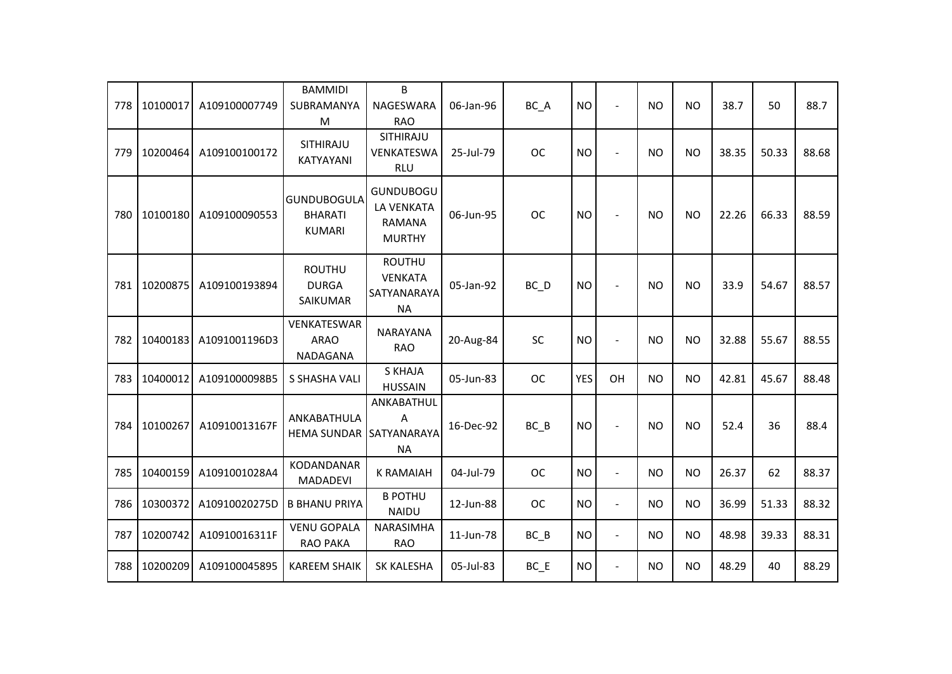| 778 | 10100017 | A109100007749 | <b>BAMMIDI</b><br>SUBRAMANYA<br>M                     | B<br>NAGESWARA<br><b>RAO</b>                                       | 06-Jan-96 | BC_A              | <b>NO</b>  | $\blacksquare$           | <b>NO</b> | <b>NO</b> | 38.7  | 50    | 88.7  |
|-----|----------|---------------|-------------------------------------------------------|--------------------------------------------------------------------|-----------|-------------------|------------|--------------------------|-----------|-----------|-------|-------|-------|
| 779 | 10200464 | A109100100172 | SITHIRAJU<br>KATYAYANI                                | SITHIRAJU<br>VENKATESWA<br><b>RLU</b>                              | 25-Jul-79 | <b>OC</b>         | <b>NO</b>  |                          | <b>NO</b> | <b>NO</b> | 38.35 | 50.33 | 88.68 |
| 780 | 10100180 | A109100090553 | <b>GUNDUBOGULA</b><br><b>BHARATI</b><br><b>KUMARI</b> | <b>GUNDUBOGU</b><br>LA VENKATA<br><b>RAMANA</b><br><b>MURTHY</b>   | 06-Jun-95 | <b>OC</b>         | <b>NO</b>  | $\blacksquare$           | <b>NO</b> | <b>NO</b> | 22.26 | 66.33 | 88.59 |
| 781 | 10200875 | A109100193894 | <b>ROUTHU</b><br><b>DURGA</b><br>SAIKUMAR             | <b>ROUTHU</b><br><b>VENKATA</b><br><b>SATYANARAYA</b><br><b>NA</b> | 05-Jan-92 | $BC$ <sub>D</sub> | <b>NO</b>  | $\blacksquare$           | <b>NO</b> | <b>NO</b> | 33.9  | 54.67 | 88.57 |
| 782 | 10400183 | A1091001196D3 | VENKATESWAR<br><b>ARAO</b><br>NADAGANA                | <b>NARAYANA</b><br><b>RAO</b>                                      | 20-Aug-84 | SC                | <b>NO</b>  | $\sim$                   | <b>NO</b> | <b>NO</b> | 32.88 | 55.67 | 88.55 |
| 783 | 10400012 | A1091000098B5 | S SHASHA VALI                                         | <b>S KHAJA</b><br><b>HUSSAIN</b>                                   | 05-Jun-83 | <b>OC</b>         | <b>YES</b> | OH                       | <b>NO</b> | <b>NO</b> | 42.81 | 45.67 | 88.48 |
| 784 | 10100267 | A10910013167F | ANKABATHULA<br>HEMA SUNDAR SATYANARAYA                | ANKABATHUL<br>A<br><b>NA</b>                                       | 16-Dec-92 | $BC$ $B$          | <b>NO</b>  | $\overline{\phantom{a}}$ | <b>NO</b> | <b>NO</b> | 52.4  | 36    | 88.4  |
| 785 | 10400159 | A1091001028A4 | KODANDANAR<br><b>MADADEVI</b>                         | <b>K RAMAIAH</b>                                                   | 04-Jul-79 | <b>OC</b>         | <b>NO</b>  | $\blacksquare$           | <b>NO</b> | NO.       | 26.37 | 62    | 88.37 |
| 786 | 10300372 | A10910020275D | <b>B BHANU PRIYA</b>                                  | <b>B POTHU</b><br><b>NAIDU</b>                                     | 12-Jun-88 | <b>OC</b>         | <b>NO</b>  | $\blacksquare$           | <b>NO</b> | <b>NO</b> | 36.99 | 51.33 | 88.32 |
| 787 | 10200742 | A10910016311F | <b>VENU GOPALA</b><br><b>RAO PAKA</b>                 | NARASIMHA<br><b>RAO</b>                                            | 11-Jun-78 | $BC$ $B$          | <b>NO</b>  | $\overline{a}$           | <b>NO</b> | <b>NO</b> | 48.98 | 39.33 | 88.31 |
| 788 | 10200209 | A109100045895 | <b>KAREEM SHAIK</b>                                   | <b>SK KALESHA</b>                                                  | 05-Jul-83 | $BC$ $E$          | <b>NO</b>  | $\blacksquare$           | <b>NO</b> | <b>NO</b> | 48.29 | 40    | 88.29 |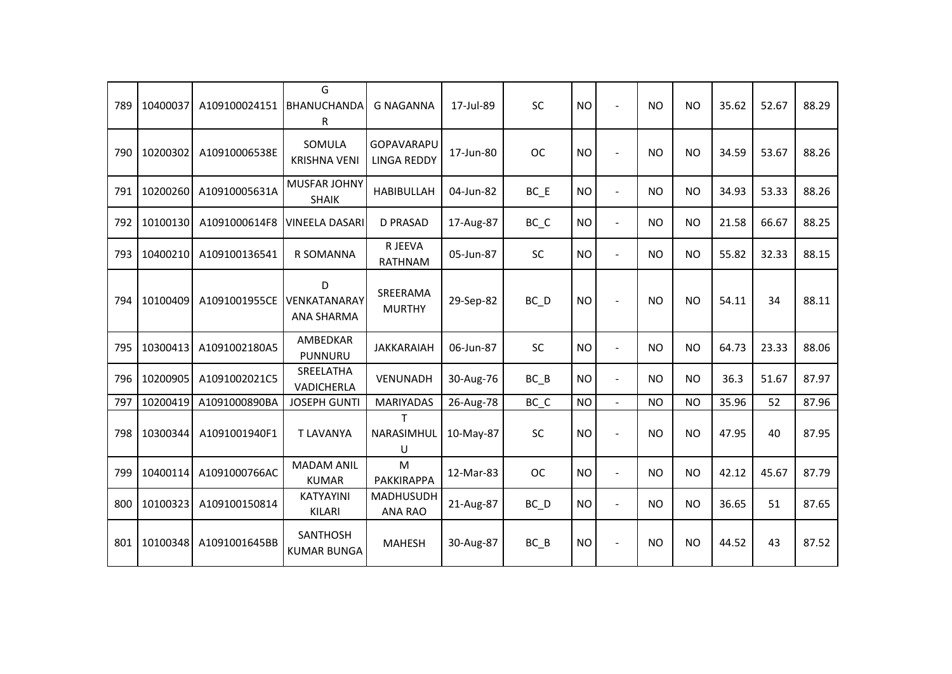| 789 | 10400037 | A109100024151 | G<br>BHANUCHANDA<br>R                  | <b>G NAGANNA</b>                 | 17-Jul-89 | SC                             | <b>NO</b> | $\sim$         | <b>NO</b> | <b>NO</b> | 35.62 | 52.67 | 88.29 |
|-----|----------|---------------|----------------------------------------|----------------------------------|-----------|--------------------------------|-----------|----------------|-----------|-----------|-------|-------|-------|
| 790 | 10200302 | A10910006538E | SOMULA<br><b>KRISHNA VENI</b>          | GOPAVARAPU<br><b>LINGA REDDY</b> | 17-Jun-80 | <b>OC</b>                      | <b>NO</b> | $\sim$         | <b>NO</b> | <b>NO</b> | 34.59 | 53.67 | 88.26 |
| 791 | 10200260 | A10910005631A | MUSFAR JOHNY<br><b>SHAIK</b>           | <b>HABIBULLAH</b>                | 04-Jun-82 | $BC$ $E$                       | <b>NO</b> | $\blacksquare$ | <b>NO</b> | <b>NO</b> | 34.93 | 53.33 | 88.26 |
| 792 | 10100130 | A1091000614F8 | <b>VINEELA DASARI</b>                  | <b>D PRASAD</b>                  | 17-Aug-87 | $BC$ <sub><math>C</math></sub> | <b>NO</b> | $\sim$         | <b>NO</b> | <b>NO</b> | 21.58 | 66.67 | 88.25 |
| 793 | 10400210 | A109100136541 | R SOMANNA                              | R JEEVA<br><b>RATHNAM</b>        | 05-Jun-87 | <b>SC</b>                      | <b>NO</b> | $\blacksquare$ | <b>NO</b> | <b>NO</b> | 55.82 | 32.33 | 88.15 |
| 794 | 10100409 | A1091001955CE | D<br>VENKATANARAY<br><b>ANA SHARMA</b> | SREERAMA<br><b>MURTHY</b>        | 29-Sep-82 | $BC$ $D$                       | <b>NO</b> |                | <b>NO</b> | <b>NO</b> | 54.11 | 34    | 88.11 |
| 795 | 10300413 | A1091002180A5 | AMBEDKAR<br>PUNNURU                    | <b>JAKKARAIAH</b>                | 06-Jun-87 | SC                             | <b>NO</b> | $\overline{a}$ | <b>NO</b> | <b>NO</b> | 64.73 | 23.33 | 88.06 |
| 796 | 10200905 | A1091002021C5 | SREELATHA<br>VADICHERLA                | VENUNADH                         | 30-Aug-76 | $BC$ $B$                       | <b>NO</b> | $\blacksquare$ | <b>NO</b> | <b>NO</b> | 36.3  | 51.67 | 87.97 |
| 797 | 10200419 | A1091000890BA | <b>JOSEPH GUNTI</b>                    | <b>MARIYADAS</b>                 | 26-Aug-78 | BC C                           | <b>NO</b> | $\overline{a}$ | <b>NO</b> | <b>NO</b> | 35.96 | 52    | 87.96 |
| 798 | 10300344 | A1091001940F1 | <b>T LAVANYA</b>                       | T.<br>NARASIMHUL<br>U            | 10-May-87 | SC                             | <b>NO</b> | $\blacksquare$ | <b>NO</b> | <b>NO</b> | 47.95 | 40    | 87.95 |
| 799 | 10400114 | A1091000766AC | <b>MADAM ANIL</b><br><b>KUMAR</b>      | M<br>PAKKIRAPPA                  | 12-Mar-83 | <b>OC</b>                      | <b>NO</b> | $\blacksquare$ | <b>NO</b> | <b>NO</b> | 42.12 | 45.67 | 87.79 |
| 800 | 10100323 | A109100150814 | <b>KATYAYINI</b><br>KILARI             | <b>MADHUSUDH</b><br>ANA RAO      | 21-Aug-87 | $BC$ $D$                       | <b>NO</b> | $\blacksquare$ | <b>NO</b> | <b>NO</b> | 36.65 | 51    | 87.65 |
| 801 | 10100348 | A1091001645BB | <b>SANTHOSH</b><br><b>KUMAR BUNGA</b>  | <b>MAHESH</b>                    | 30-Aug-87 | $BC$ $B$                       | <b>NO</b> |                | <b>NO</b> | <b>NO</b> | 44.52 | 43    | 87.52 |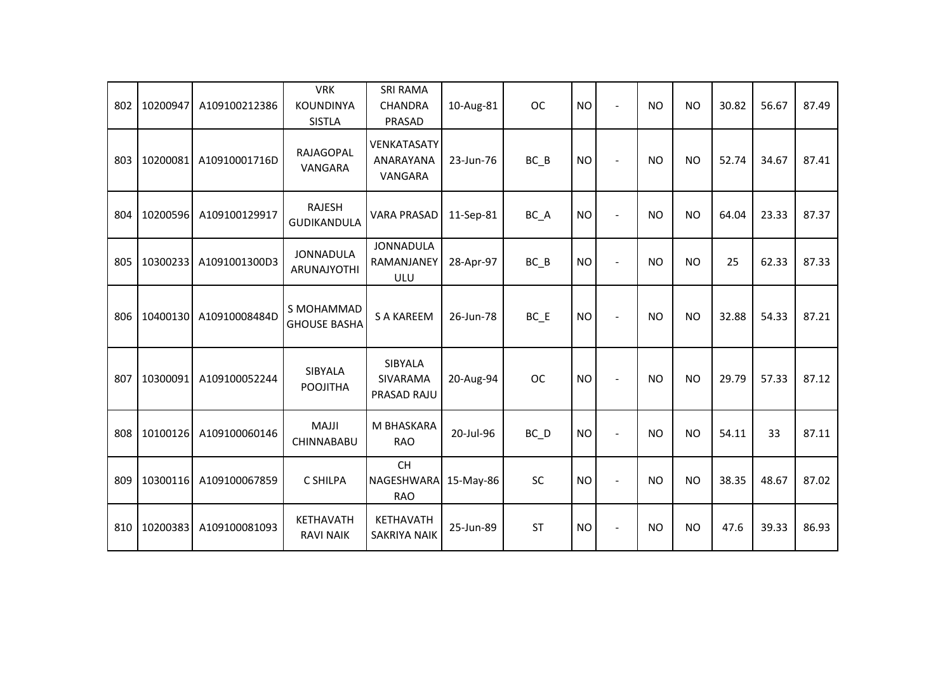| 802 | 10200947 | A109100212386 | <b>VRK</b><br>KOUNDINYA<br><b>SISTLA</b> | <b>SRI RAMA</b><br><b>CHANDRA</b><br>PRASAD | 10-Aug-81 | <b>OC</b>         | <b>NO</b> |                          | <b>NO</b> | <b>NO</b> | 30.82 | 56.67 | 87.49 |
|-----|----------|---------------|------------------------------------------|---------------------------------------------|-----------|-------------------|-----------|--------------------------|-----------|-----------|-------|-------|-------|
| 803 | 10200081 | A10910001716D | <b>RAJAGOPAL</b><br>VANGARA              | <b>VENKATASATY</b><br>ANARAYANA<br>VANGARA  | 23-Jun-76 | $BC$ $B$          | <b>NO</b> | $\overline{\phantom{a}}$ | <b>NO</b> | <b>NO</b> | 52.74 | 34.67 | 87.41 |
| 804 | 10200596 | A109100129917 | <b>RAJESH</b><br><b>GUDIKANDULA</b>      | <b>VARA PRASAD</b>                          | 11-Sep-81 | BC_A              | <b>NO</b> | $\overline{\phantom{a}}$ | <b>NO</b> | <b>NO</b> | 64.04 | 23.33 | 87.37 |
| 805 | 10300233 | A1091001300D3 | <b>JONNADULA</b><br>ARUNAJYOTHI          | <b>JONNADULA</b><br>RAMANJANEY<br>ULU       | 28-Apr-97 | $BC$ $B$          | <b>NO</b> |                          | <b>NO</b> | <b>NO</b> | 25    | 62.33 | 87.33 |
| 806 | 10400130 | A10910008484D | S MOHAMMAD<br><b>GHOUSE BASHA</b>        | <b>S A KAREEM</b>                           | 26-Jun-78 | $BC$ $E$          | <b>NO</b> |                          | <b>NO</b> | <b>NO</b> | 32.88 | 54.33 | 87.21 |
| 807 | 10300091 | A109100052244 | SIBYALA<br><b>POOJITHA</b>               | SIBYALA<br>SIVARAMA<br>PRASAD RAJU          | 20-Aug-94 | <b>OC</b>         | <b>NO</b> |                          | <b>NO</b> | <b>NO</b> | 29.79 | 57.33 | 87.12 |
| 808 | 10100126 | A109100060146 | <b>MAJJI</b><br>CHINNABABU               | M BHASKARA<br><b>RAO</b>                    | 20-Jul-96 | $BC$ <sub>D</sub> | <b>NO</b> | $\blacksquare$           | <b>NO</b> | <b>NO</b> | 54.11 | 33    | 87.11 |
| 809 | 10300116 | A109100067859 | C SHILPA                                 | <b>CH</b><br>NAGESHWARA<br><b>RAO</b>       | 15-May-86 | <b>SC</b>         | <b>NO</b> |                          | <b>NO</b> | <b>NO</b> | 38.35 | 48.67 | 87.02 |
| 810 | 10200383 | A109100081093 | KETHAVATH<br><b>RAVI NAIK</b>            | KETHAVATH<br><b>SAKRIYA NAIK</b>            | 25-Jun-89 | <b>ST</b>         | <b>NO</b> | $\blacksquare$           | <b>NO</b> | <b>NO</b> | 47.6  | 39.33 | 86.93 |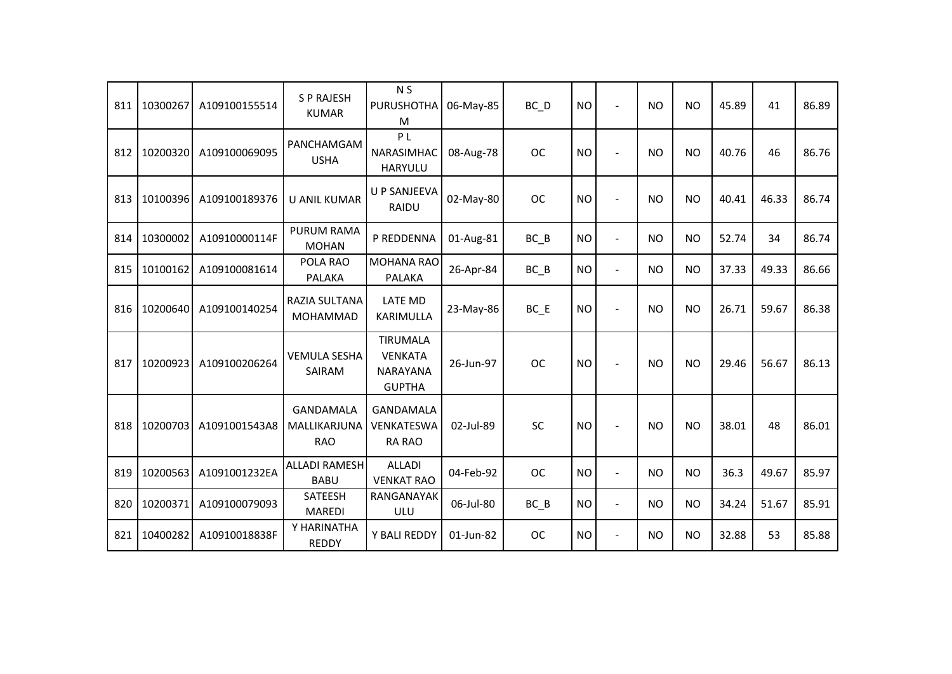| 811 | 10300267 | A109100155514 | <b>SP RAJESH</b><br><b>KUMAR</b>               | N <sub>S</sub><br><b>PURUSHOTHA</b><br>м                       | 06-May-85 | $BC$ <sub>D</sub> | <b>NO</b> |                | <b>NO</b> | <b>NO</b> | 45.89 | 41    | 86.89 |
|-----|----------|---------------|------------------------------------------------|----------------------------------------------------------------|-----------|-------------------|-----------|----------------|-----------|-----------|-------|-------|-------|
| 812 | 10200320 | A109100069095 | PANCHAMGAM<br><b>USHA</b>                      | P <sub>L</sub><br>NARASIMHAC<br><b>HARYULU</b>                 | 08-Aug-78 | <b>OC</b>         | <b>NO</b> | $\sim$         | <b>NO</b> | <b>NO</b> | 40.76 | 46    | 86.76 |
| 813 | 10100396 | A109100189376 | <b>U ANIL KUMAR</b>                            | <b>U P SANJEEVA</b><br>RAIDU                                   | 02-May-80 | <b>OC</b>         | <b>NO</b> |                | <b>NO</b> | <b>NO</b> | 40.41 | 46.33 | 86.74 |
| 814 | 10300002 | A10910000114F | <b>PURUM RAMA</b><br><b>MOHAN</b>              | P REDDENNA                                                     | 01-Aug-81 | $BC$ $B$          | <b>NO</b> | $\blacksquare$ | <b>NO</b> | <b>NO</b> | 52.74 | 34    | 86.74 |
| 815 | 10100162 | A109100081614 | POLA RAO<br><b>PALAKA</b>                      | <b>MOHANA RAO</b><br><b>PALAKA</b>                             | 26-Apr-84 | $BC$ $B$          | <b>NO</b> | $\blacksquare$ | <b>NO</b> | <b>NO</b> | 37.33 | 49.33 | 86.66 |
| 816 | 10200640 | A109100140254 | RAZIA SULTANA<br>MOHAMMAD                      | <b>LATE MD</b><br>KARIMULLA                                    | 23-May-86 | $BC$ $E$          | <b>NO</b> | $\blacksquare$ | <b>NO</b> | <b>NO</b> | 26.71 | 59.67 | 86.38 |
| 817 | 10200923 | A109100206264 | <b>VEMULA SESHA</b><br>SAIRAM                  | <b>TIRUMALA</b><br><b>VENKATA</b><br>NARAYANA<br><b>GUPTHA</b> | 26-Jun-97 | <b>OC</b>         | <b>NO</b> |                | <b>NO</b> | <b>NO</b> | 29.46 | 56.67 | 86.13 |
| 818 | 10200703 | A1091001543A8 | <b>GANDAMALA</b><br>MALLIKARJUNA<br><b>RAO</b> | <b>GANDAMALA</b><br>VENKATESWA<br><b>RA RAO</b>                | 02-Jul-89 | SC                | <b>NO</b> |                | <b>NO</b> | <b>NO</b> | 38.01 | 48    | 86.01 |
| 819 | 10200563 | A1091001232EA | <b>ALLADI RAMESH</b><br><b>BABU</b>            | <b>ALLADI</b><br><b>VENKAT RAO</b>                             | 04-Feb-92 | <b>OC</b>         | <b>NO</b> | $\blacksquare$ | <b>NO</b> | <b>NO</b> | 36.3  | 49.67 | 85.97 |
| 820 | 10200371 | A109100079093 | <b>SATEESH</b><br><b>MAREDI</b>                | RANGANAYAK<br>ULU                                              | 06-Jul-80 | $BC$ $B$          | <b>NO</b> | $\blacksquare$ | <b>NO</b> | <b>NO</b> | 34.24 | 51.67 | 85.91 |
| 821 | 10400282 | A10910018838F | Y HARINATHA<br><b>REDDY</b>                    | Y BALI REDDY                                                   | 01-Jun-82 | <b>OC</b>         | <b>NO</b> | $\blacksquare$ | <b>NO</b> | <b>NO</b> | 32.88 | 53    | 85.88 |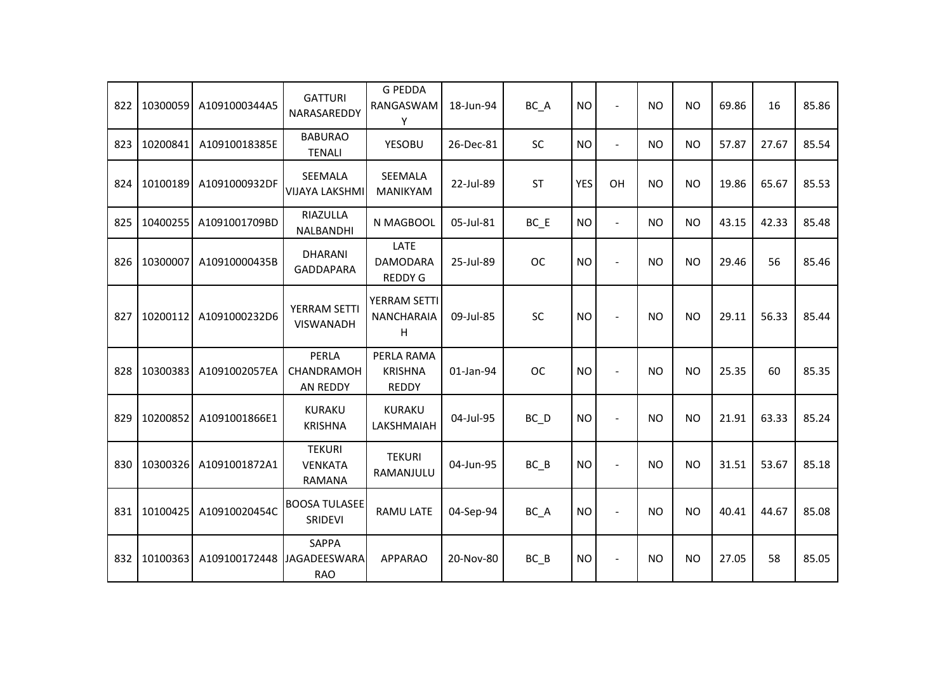| 822 | 10300059 | A1091000344A5              | <b>GATTURI</b><br>NARASAREDDY             | <b>G PEDDA</b><br>RANGASWAM<br>Υ                 | 18-Jun-94 | BC_A              | <b>NO</b>  | $\blacksquare$ | <b>NO</b> | <b>NO</b> | 69.86 | 16    | 85.86 |
|-----|----------|----------------------------|-------------------------------------------|--------------------------------------------------|-----------|-------------------|------------|----------------|-----------|-----------|-------|-------|-------|
| 823 | 10200841 | A10910018385E              | <b>BABURAO</b><br><b>TENALI</b>           | <b>YESOBU</b>                                    | 26-Dec-81 | <b>SC</b>         | <b>NO</b>  | $\blacksquare$ | NO        | <b>NO</b> | 57.87 | 27.67 | 85.54 |
| 824 | 10100189 | A1091000932DF              | SEEMALA<br><b>VIJAYA LAKSHMI</b>          | <b>SEEMALA</b><br><b>MANIKYAM</b>                | 22-Jul-89 | <b>ST</b>         | <b>YES</b> | OH             | <b>NO</b> | <b>NO</b> | 19.86 | 65.67 | 85.53 |
| 825 | 10400255 | A1091001709BD              | RIAZULLA<br>NALBANDHI                     | N MAGBOOL                                        | 05-Jul-81 | $BC$ $E$          | <b>NO</b>  | $\equiv$       | <b>NO</b> | <b>NO</b> | 43.15 | 42.33 | 85.48 |
| 826 | 10300007 | A10910000435B              | <b>DHARANI</b><br><b>GADDAPARA</b>        | <b>LATE</b><br><b>DAMODARA</b><br><b>REDDY G</b> | 25-Jul-89 | <b>OC</b>         | <b>NO</b>  | $\blacksquare$ | NO        | <b>NO</b> | 29.46 | 56    | 85.46 |
| 827 | 10200112 | A1091000232D6              | YERRAM SETTI<br><b>VISWANADH</b>          | YERRAM SETTI<br><b>NANCHARAIA</b><br>H           | 09-Jul-85 | SC                | <b>NO</b>  | $\blacksquare$ | <b>NO</b> | <b>NO</b> | 29.11 | 56.33 | 85.44 |
| 828 | 10300383 | A1091002057EA              | PERLA<br>CHANDRAMOH<br>AN REDDY           | PERLA RAMA<br><b>KRISHNA</b><br><b>REDDY</b>     | 01-Jan-94 | <b>OC</b>         | <b>NO</b>  | $\blacksquare$ | <b>NO</b> | <b>NO</b> | 25.35 | 60    | 85.35 |
| 829 | 10200852 | A1091001866E1              | <b>KURAKU</b><br><b>KRISHNA</b>           | <b>KURAKU</b><br><b>LAKSHMAIAH</b>               | 04-Jul-95 | $BC$ <sub>D</sub> | <b>NO</b>  | $\blacksquare$ | <b>NO</b> | <b>NO</b> | 21.91 | 63.33 | 85.24 |
| 830 | 10300326 | A1091001872A1              | <b>TEKURI</b><br><b>VENKATA</b><br>RAMANA | <b>TEKURI</b><br>RAMANJULU                       | 04-Jun-95 | $BC$ $B$          | <b>NO</b>  | $\overline{a}$ | <b>NO</b> | <b>NO</b> | 31.51 | 53.67 | 85.18 |
| 831 | 10100425 | A10910020454C              | <b>BOOSA TULASEE</b><br>SRIDEVI           | <b>RAMU LATE</b>                                 | 04-Sep-94 | BC_A              | <b>NO</b>  | $\blacksquare$ | <b>NO</b> | <b>NO</b> | 40.41 | 44.67 | 85.08 |
| 832 | 10100363 | A109100172448 JAGADEESWARA | <b>SAPPA</b><br><b>RAO</b>                | <b>APPARAO</b>                                   | 20-Nov-80 | $BC$ $B$          | <b>NO</b>  | $\blacksquare$ | <b>NO</b> | <b>NO</b> | 27.05 | 58    | 85.05 |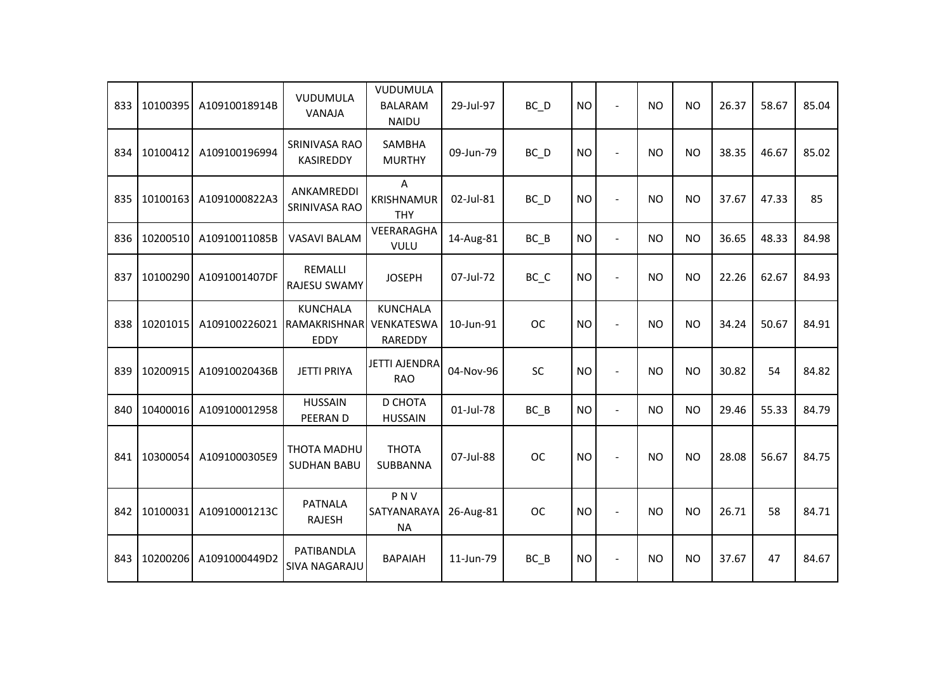| 833 | 10100395 | A10910018914B | VUDUMULA<br>VANAJA                             | VUDUMULA<br><b>BALARAM</b><br><b>NAIDU</b> | 29-Jul-97 | $BC$ <sub>D</sub> | <b>NO</b> | $\blacksquare$ | <b>NO</b> | <b>NO</b> | 26.37 | 58.67 | 85.04 |
|-----|----------|---------------|------------------------------------------------|--------------------------------------------|-----------|-------------------|-----------|----------------|-----------|-----------|-------|-------|-------|
| 834 | 10100412 | A109100196994 | SRINIVASA RAO<br>KASIREDDY                     | <b>SAMBHA</b><br><b>MURTHY</b>             | 09-Jun-79 | $BC$ <sub>D</sub> | <b>NO</b> | $\sim$         | <b>NO</b> | <b>NO</b> | 38.35 | 46.67 | 85.02 |
| 835 | 10100163 | A1091000822A3 | ANKAMREDDI<br>SRINIVASA RAO                    | Α<br>KRISHNAMUR<br><b>THY</b>              | 02-Jul-81 | BC D              | <b>NO</b> | $\blacksquare$ | <b>NO</b> | <b>NO</b> | 37.67 | 47.33 | 85    |
| 836 | 10200510 | A10910011085B | <b>VASAVI BALAM</b>                            | VEERARAGHA<br>VULU                         | 14-Aug-81 | $BC$ $B$          | <b>NO</b> | $\blacksquare$ | <b>NO</b> | <b>NO</b> | 36.65 | 48.33 | 84.98 |
| 837 | 10100290 | A1091001407DF | <b>REMALLI</b><br><b>RAJESU SWAMY</b>          | <b>JOSEPH</b>                              | 07-Jul-72 | BC_C              | <b>NO</b> | $\blacksquare$ | <b>NO</b> | <b>NO</b> | 22.26 | 62.67 | 84.93 |
| 838 | 10201015 | A109100226021 | <b>KUNCHALA</b><br>RAMAKRISHNAR<br><b>EDDY</b> | <b>KUNCHALA</b><br>VENKATESWA<br>RAREDDY   | 10-Jun-91 | <b>OC</b>         | <b>NO</b> |                | <b>NO</b> | <b>NO</b> | 34.24 | 50.67 | 84.91 |
| 839 | 10200915 | A10910020436B | <b>JETTI PRIYA</b>                             | <b>JETTI AJENDRA</b><br><b>RAO</b>         | 04-Nov-96 | <b>SC</b>         | <b>NO</b> | $\overline{a}$ | <b>NO</b> | <b>NO</b> | 30.82 | 54    | 84.82 |
| 840 | 10400016 | A109100012958 | <b>HUSSAIN</b><br>PEERAN D                     | D CHOTA<br><b>HUSSAIN</b>                  | 01-Jul-78 | $BC$ $B$          | <b>NO</b> | $\blacksquare$ | NO        | <b>NO</b> | 29.46 | 55.33 | 84.79 |
| 841 | 10300054 | A1091000305E9 | THOTA MADHU<br><b>SUDHAN BABU</b>              | <b>THOTA</b><br>SUBBANNA                   | 07-Jul-88 | <b>OC</b>         | <b>NO</b> |                | <b>NO</b> | <b>NO</b> | 28.08 | 56.67 | 84.75 |
| 842 | 10100031 | A10910001213C | <b>PATNALA</b><br><b>RAJESH</b>                | PNV<br>SATYANARAYA<br><b>NA</b>            | 26-Aug-81 | <b>OC</b>         | <b>NO</b> |                | <b>NO</b> | <b>NO</b> | 26.71 | 58    | 84.71 |
| 843 | 10200206 | A1091000449D2 | PATIBANDLA<br><b>SIVA NAGARAJU</b>             | <b>BAPAIAH</b>                             | 11-Jun-79 | $BC$ $B$          | <b>NO</b> |                | <b>NO</b> | <b>NO</b> | 37.67 | 47    | 84.67 |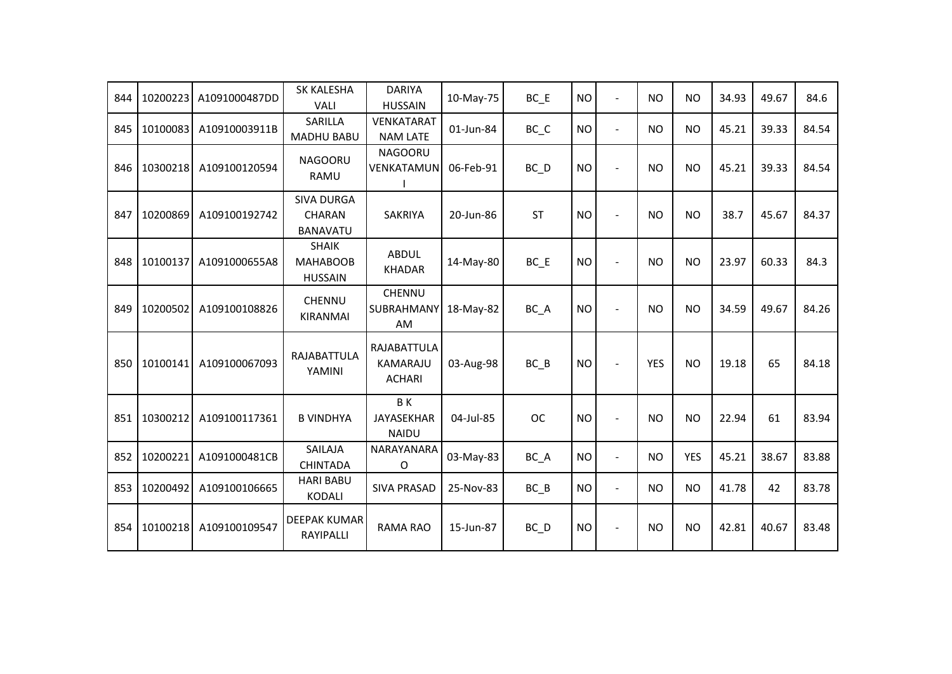| 844 | 10200223 | A1091000487DD | SK KALESHA<br><b>VALI</b>                             | <b>DARIYA</b><br><b>HUSSAIN</b>          | 10-May-75 | $BC$ $E$                       | <b>NO</b> | $\blacksquare$           | NO         | <b>NO</b>  | 34.93 | 49.67 | 84.6  |
|-----|----------|---------------|-------------------------------------------------------|------------------------------------------|-----------|--------------------------------|-----------|--------------------------|------------|------------|-------|-------|-------|
| 845 | 10100083 | A10910003911B | <b>SARILLA</b><br><b>MADHU BABU</b>                   | <b>VENKATARAT</b><br><b>NAM LATE</b>     | 01-Jun-84 | $BC$ <sub><math>C</math></sub> | <b>NO</b> | $\blacksquare$           | NO         | <b>NO</b>  | 45.21 | 39.33 | 84.54 |
| 846 | 10300218 | A109100120594 | <b>NAGOORU</b><br>RAMU                                | <b>NAGOORU</b><br>VENKATAMUN             | 06-Feb-91 | BC D                           | <b>NO</b> | $\overline{a}$           | NO         | <b>NO</b>  | 45.21 | 39.33 | 84.54 |
| 847 | 10200869 | A109100192742 | <b>SIVA DURGA</b><br><b>CHARAN</b><br><b>BANAVATU</b> | <b>SAKRIYA</b>                           | 20-Jun-86 | <b>ST</b>                      | <b>NO</b> | $\overline{a}$           | <b>NO</b>  | <b>NO</b>  | 38.7  | 45.67 | 84.37 |
| 848 | 10100137 | A1091000655A8 | <b>SHAIK</b><br><b>MAHABOOB</b><br><b>HUSSAIN</b>     | <b>ABDUL</b><br><b>KHADAR</b>            | 14-May-80 | $BC$ $E$                       | <b>NO</b> |                          | <b>NO</b>  | <b>NO</b>  | 23.97 | 60.33 | 84.3  |
| 849 | 10200502 | A109100108826 | <b>CHENNU</b><br><b>KIRANMAI</b>                      | CHENNU<br>SUBRAHMANY<br>AM               | 18-May-82 | BC A                           | <b>NO</b> |                          | <b>NO</b>  | <b>NO</b>  | 34.59 | 49.67 | 84.26 |
| 850 | 10100141 | A109100067093 | RAJABATTULA<br>YAMINI                                 | RAJABATTULA<br>KAMARAJU<br><b>ACHARI</b> | 03-Aug-98 | $BC$ $B$                       | <b>NO</b> |                          | <b>YES</b> | <b>NO</b>  | 19.18 | 65    | 84.18 |
| 851 | 10300212 | A109100117361 | <b>B VINDHYA</b>                                      | BK<br><b>JAYASEKHAR</b><br><b>NAIDU</b>  | 04-Jul-85 | <b>OC</b>                      | <b>NO</b> | $\sim$                   | <b>NO</b>  | <b>NO</b>  | 22.94 | 61    | 83.94 |
| 852 | 10200221 | A1091000481CB | SAILAJA<br><b>CHINTADA</b>                            | NARAYANARA<br>O                          | 03-May-83 | BC_A                           | <b>NO</b> | $\overline{a}$           | NO.        | <b>YES</b> | 45.21 | 38.67 | 83.88 |
| 853 | 10200492 | A109100106665 | <b>HARI BABU</b><br><b>KODALI</b>                     | <b>SIVA PRASAD</b>                       | 25-Nov-83 | $BC$ $B$                       | <b>NO</b> | $\blacksquare$           | <b>NO</b>  | <b>NO</b>  | 41.78 | 42    | 83.78 |
| 854 | 10100218 | A109100109547 | <b>DEEPAK KUMAR</b><br>RAYIPALLI                      | <b>RAMA RAO</b>                          | 15-Jun-87 | $BC$ <sub>D</sub>              | <b>NO</b> | $\overline{\phantom{a}}$ | NO.        | <b>NO</b>  | 42.81 | 40.67 | 83.48 |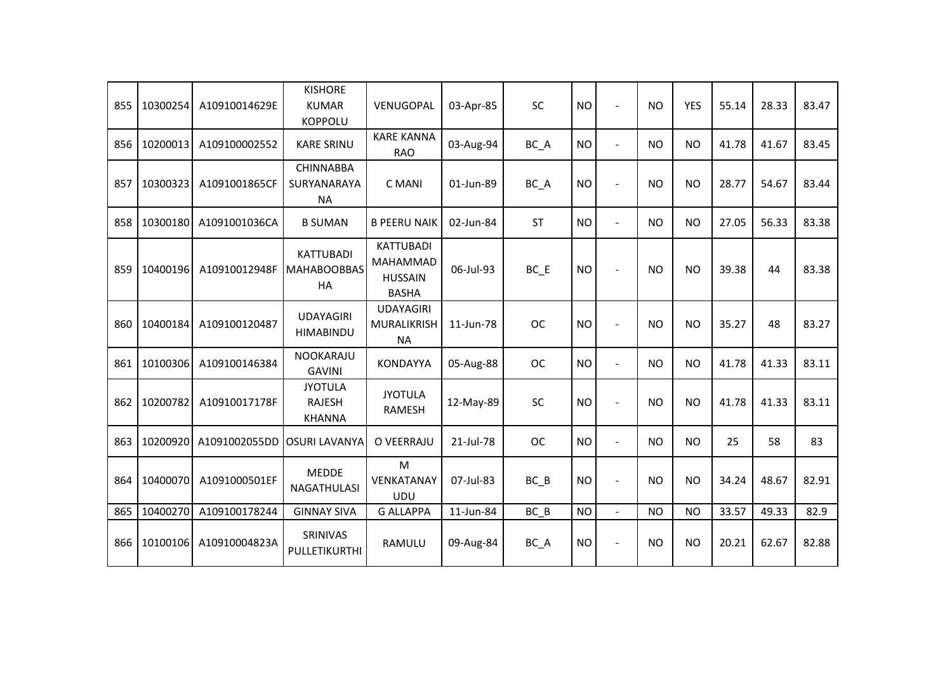| 855 | 10300254 | A10910014629E | <b>KISHORE</b><br><b>KUMAR</b><br><b>KOPPOLU</b> | VENUGOPAL                                                             | 03-Apr-85 | SC        | <b>NO</b> | $\overline{a}$           | <b>NO</b> | <b>YES</b> | 55.14 | 28.33 | 83.47 |
|-----|----------|---------------|--------------------------------------------------|-----------------------------------------------------------------------|-----------|-----------|-----------|--------------------------|-----------|------------|-------|-------|-------|
| 856 | 10200013 | A109100002552 | <b>KARE SRINU</b>                                | <b>KARE KANNA</b><br><b>RAO</b>                                       | 03-Aug-94 | BC A      | <b>NO</b> | $\ddot{\phantom{1}}$     | <b>NO</b> | <b>NO</b>  | 41.78 | 41.67 | 83.45 |
| 857 | 10300323 | A1091001865CF | <b>CHINNABBA</b><br>SURYANARAYA<br><b>NA</b>     | C MANI                                                                | 01-Jun-89 | BC_A      | <b>NO</b> | $\overline{a}$           | <b>NO</b> | <b>NO</b>  | 28.77 | 54.67 | 83.44 |
| 858 | 10300180 | A1091001036CA | <b>B SUMAN</b>                                   | <b>B PEERU NAIK</b>                                                   | 02-Jun-84 | <b>ST</b> | <b>NO</b> | $\overline{a}$           | <b>NO</b> | <b>NO</b>  | 27.05 | 56.33 | 83.38 |
| 859 | 10400196 | A10910012948F | <b>KATTUBADI</b><br><b>MAHABOOBBAS</b><br>HA     | <b>KATTUBADI</b><br><b>MAHAMMAD</b><br><b>HUSSAIN</b><br><b>BASHA</b> | 06-Jul-93 | $BC$ $E$  | <b>NO</b> |                          | <b>NO</b> | <b>NO</b>  | 39.38 | 44    | 83.38 |
| 860 | 10400184 | A109100120487 | <b>UDAYAGIRI</b><br><b>HIMABINDU</b>             | <b>UDAYAGIRI</b><br>MURALIKRISH<br><b>NA</b>                          | 11-Jun-78 | <b>OC</b> | <b>NO</b> | $\sim$                   | <b>NO</b> | <b>NO</b>  | 35.27 | 48    | 83.27 |
| 861 | 10100306 | A109100146384 | <b>NOOKARAJU</b><br><b>GAVINI</b>                | <b>KONDAYYA</b>                                                       | 05-Aug-88 | <b>OC</b> | <b>NO</b> | $\blacksquare$           | <b>NO</b> | <b>NO</b>  | 41.78 | 41.33 | 83.11 |
| 862 | 10200782 | A10910017178F | <b>JYOTULA</b><br><b>RAJESH</b><br><b>KHANNA</b> | <b>JYOTULA</b><br><b>RAMESH</b>                                       | 12-May-89 | <b>SC</b> | <b>NO</b> | $\overline{a}$           | <b>NO</b> | <b>NO</b>  | 41.78 | 41.33 | 83.11 |
| 863 | 10200920 | A1091002055DD | <b>OSURI LAVANYA</b>                             | O VEERRAJU                                                            | 21-Jul-78 | <b>OC</b> | <b>NO</b> | $\overline{a}$           | <b>NO</b> | <b>NO</b>  | 25    | 58    | 83    |
| 864 | 10400070 | A1091000501EF | <b>MEDDE</b><br><b>NAGATHULASI</b>               | M<br>VENKATANAY<br><b>UDU</b>                                         | 07-Jul-83 | BC B      | <b>NO</b> | $\overline{\phantom{a}}$ | <b>NO</b> | <b>NO</b>  | 34.24 | 48.67 | 82.91 |
| 865 | 10400270 | A109100178244 | <b>GINNAY SIVA</b>                               | <b>G ALLAPPA</b>                                                      | 11-Jun-84 | BC B      | <b>NO</b> | $\equiv$                 | <b>NO</b> | <b>NO</b>  | 33.57 | 49.33 | 82.9  |
| 866 | 10100106 | A10910004823A | SRINIVAS<br>PULLETIKURTHI                        | RAMULU                                                                | 09-Aug-84 | BC_A      | <b>NO</b> | $\overline{\phantom{a}}$ | <b>NO</b> | <b>NO</b>  | 20.21 | 62.67 | 82.88 |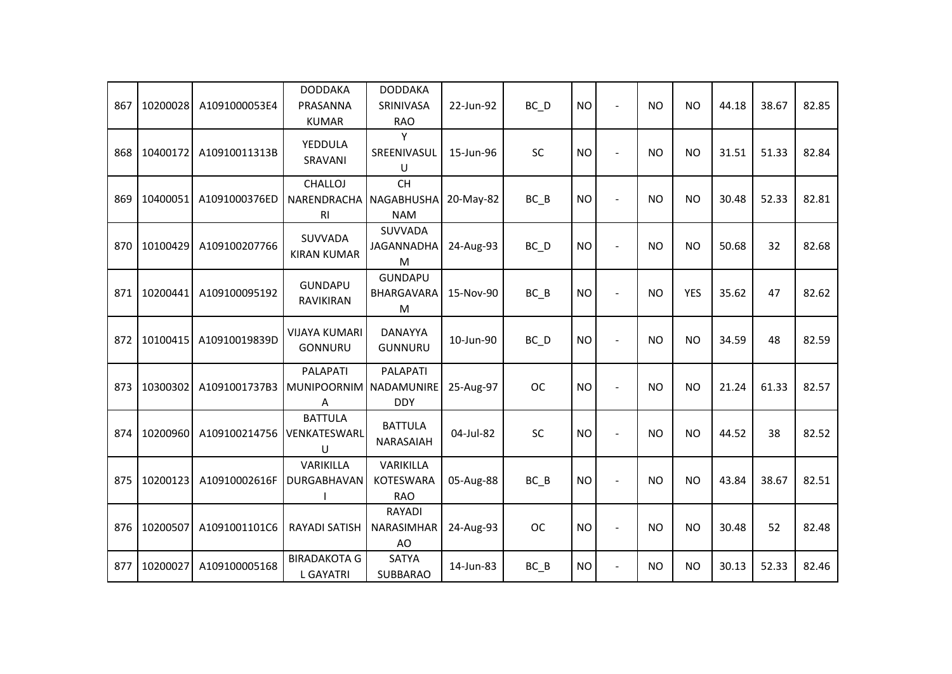| 867 | 10200028 | A1091000053E4 | <b>DODDAKA</b><br>PRASANNA<br><b>KUMAR</b>     | <b>DODDAKA</b><br>SRINIVASA<br><b>RAO</b>          | 22-Jun-92 | $BC$ $D$  | <b>NO</b> | $\overline{a}$           | <b>NO</b> | <b>NO</b>  | 44.18 | 38.67 | 82.85 |
|-----|----------|---------------|------------------------------------------------|----------------------------------------------------|-----------|-----------|-----------|--------------------------|-----------|------------|-------|-------|-------|
| 868 | 10400172 | A10910011313B | YEDDULA<br>SRAVANI                             | Y<br>SREENIVASUL<br>U                              | 15-Jun-96 | SC        | <b>NO</b> | $\overline{a}$           | <b>NO</b> | <b>NO</b>  | 31.51 | 51.33 | 82.84 |
| 869 | 10400051 | A1091000376ED | <b>CHALLOJ</b><br>NARENDRACHA<br><b>RI</b>     | <b>CH</b><br><b>NAGABHUSHA</b><br><b>NAM</b>       | 20-May-82 | BC B      | <b>NO</b> | $\overline{a}$           | <b>NO</b> | <b>NO</b>  | 30.48 | 52.33 | 82.81 |
| 870 | 10100429 | A109100207766 | SUVVADA<br><b>KIRAN KUMAR</b>                  | SUVVADA<br><b>JAGANNADHA</b><br>M                  | 24-Aug-93 | BC D      | <b>NO</b> | $\overline{a}$           | <b>NO</b> | <b>NO</b>  | 50.68 | 32    | 82.68 |
| 871 | 10200441 | A109100095192 | <b>GUNDAPU</b><br>RAVIKIRAN                    | <b>GUNDAPU</b><br>BHARGAVARA<br>M                  | 15-Nov-90 | $BC$ $B$  | <b>NO</b> | $\overline{a}$           | <b>NO</b> | <b>YES</b> | 35.62 | 47    | 82.62 |
| 872 | 10100415 | A10910019839D | <b>VIJAYA KUMARI</b><br>GONNURU                | <b>DANAYYA</b><br><b>GUNNURU</b>                   | 10-Jun-90 | $BC$ $D$  | <b>NO</b> | $\blacksquare$           | <b>NO</b> | <b>NO</b>  | 34.59 | 48    | 82.59 |
| 873 | 10300302 | A1091001737B3 | <b>PALAPATI</b><br>MUNIPOORNIM NADAMUNIRE<br>Α | PALAPATI<br><b>DDY</b>                             | 25-Aug-97 | <b>OC</b> | <b>NO</b> | $\blacksquare$           | <b>NO</b> | <b>NO</b>  | 21.24 | 61.33 | 82.57 |
| 874 | 10200960 | A109100214756 | <b>BATTULA</b><br>VENKATESWARL<br>U            | <b>BATTULA</b><br>NARASAIAH                        | 04-Jul-82 | SC        | <b>NO</b> | $\blacksquare$           | <b>NO</b> | <b>NO</b>  | 44.52 | 38    | 82.52 |
| 875 | 10200123 | A10910002616F | VARIKILLA<br>DURGABHAVAN                       | <b>VARIKILLA</b><br><b>KOTESWARA</b><br><b>RAO</b> | 05-Aug-88 | BC B      | <b>NO</b> | $\overline{\phantom{a}}$ | <b>NO</b> | <b>NO</b>  | 43.84 | 38.67 | 82.51 |
| 876 | 10200507 | A1091001101C6 | <b>RAYADI SATISH</b>                           | <b>RAYADI</b><br><b>NARASIMHAR</b><br>AO           | 24-Aug-93 | <b>OC</b> | <b>NO</b> | $\blacksquare$           | <b>NO</b> | <b>NO</b>  | 30.48 | 52    | 82.48 |
| 877 | 10200027 | A109100005168 | <b>BIRADAKOTA G</b><br><b>L GAYATRI</b>        | <b>SATYA</b><br>SUBBARAO                           | 14-Jun-83 | $BC$ $B$  | <b>NO</b> | $\overline{a}$           | <b>NO</b> | <b>NO</b>  | 30.13 | 52.33 | 82.46 |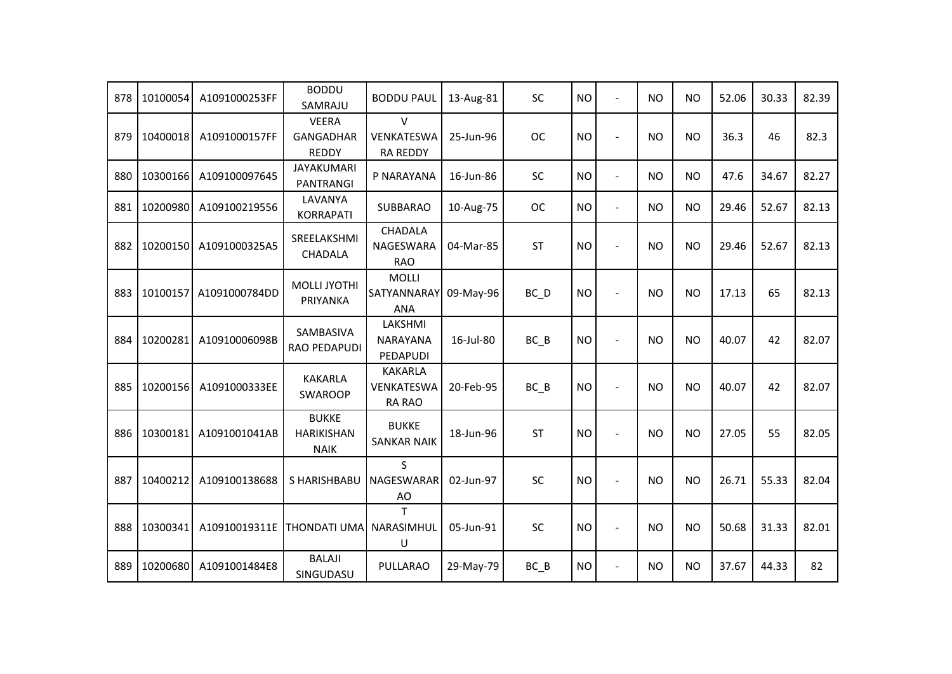| 878 | 10100054 | A1091000253FF | <b>BODDU</b><br>SAMRAJU                          | <b>BODDU PAUL</b>                             | 13-Aug-81 | SC        | <b>NO</b> | $\overline{a}$           | <b>NO</b>      | <b>NO</b> | 52.06 | 30.33 | 82.39 |
|-----|----------|---------------|--------------------------------------------------|-----------------------------------------------|-----------|-----------|-----------|--------------------------|----------------|-----------|-------|-------|-------|
| 879 | 10400018 | A1091000157FF | <b>VEERA</b><br><b>GANGADHAR</b><br><b>REDDY</b> | $\vee$<br>VENKATESWA<br><b>RA REDDY</b>       | 25-Jun-96 | <b>OC</b> | <b>NO</b> | L.                       | N <sub>O</sub> | <b>NO</b> | 36.3  | 46    | 82.3  |
| 880 | 10300166 | A109100097645 | <b>JAYAKUMARI</b><br>PANTRANGI                   | P NARAYANA                                    | 16-Jun-86 | SC        | <b>NO</b> | $\mathbf{r}$             | <b>NO</b>      | <b>NO</b> | 47.6  | 34.67 | 82.27 |
| 881 | 10200980 | A109100219556 | LAVANYA<br><b>KORRAPATI</b>                      | <b>SUBBARAO</b>                               | 10-Aug-75 | <b>OC</b> | <b>NO</b> | $\ddot{\phantom{1}}$     | <b>NO</b>      | <b>NO</b> | 29.46 | 52.67 | 82.13 |
| 882 | 10200150 | A1091000325A5 | SREELAKSHMI<br><b>CHADALA</b>                    | <b>CHADALA</b><br>NAGESWARA<br><b>RAO</b>     | 04-Mar-85 | <b>ST</b> | <b>NO</b> | $\overline{\phantom{a}}$ | N <sub>O</sub> | <b>NO</b> | 29.46 | 52.67 | 82.13 |
| 883 | 10100157 | A1091000784DD | <b>MOLLI JYOTHI</b><br>PRIYANKA                  | <b>MOLLI</b><br>SATYANNARAY<br><b>ANA</b>     | 09-May-96 | BC_D      | <b>NO</b> | $\overline{\phantom{a}}$ | <b>NO</b>      | <b>NO</b> | 17.13 | 65    | 82.13 |
| 884 | 10200281 | A10910006098B | SAMBASIVA<br>RAO PEDAPUDI                        | LAKSHMI<br><b>NARAYANA</b><br>PEDAPUDI        | 16-Jul-80 | $BC$ $B$  | <b>NO</b> | $\blacksquare$           | <b>NO</b>      | <b>NO</b> | 40.07 | 42    | 82.07 |
| 885 | 10200156 | A1091000333EE | <b>KAKARLA</b><br><b>SWAROOP</b>                 | <b>KAKARLA</b><br>VENKATESWA<br><b>RA RAO</b> | 20-Feb-95 | BC B      | <b>NO</b> | $\sim$                   | <b>NO</b>      | <b>NO</b> | 40.07 | 42    | 82.07 |
| 886 | 10300181 | A1091001041AB | <b>BUKKE</b><br><b>HARIKISHAN</b><br><b>NAIK</b> | <b>BUKKE</b><br><b>SANKAR NAIK</b>            | 18-Jun-96 | <b>ST</b> | <b>NO</b> | $\blacksquare$           | <b>NO</b>      | <b>NO</b> | 27.05 | 55    | 82.05 |
| 887 | 10400212 | A109100138688 | S HARISHBABU                                     | S.<br>NAGESWARAR<br>AO                        | 02-Jun-97 | SC        | <b>NO</b> | $\overline{a}$           | <b>NO</b>      | <b>NO</b> | 26.71 | 55.33 | 82.04 |
| 888 | 10300341 | A10910019311E | <b>THONDATI UMA</b>                              | T<br>NARASIMHUL<br>U                          | 05-Jun-91 | SC        | <b>NO</b> | $\blacksquare$           | <b>NO</b>      | NO.       | 50.68 | 31.33 | 82.01 |
| 889 | 10200680 | A1091001484E8 | <b>BALAJI</b><br>SINGUDASU                       | PULLARAO                                      | 29-May-79 | $BC$ $B$  | <b>NO</b> | $\blacksquare$           | <b>NO</b>      | <b>NO</b> | 37.67 | 44.33 | 82    |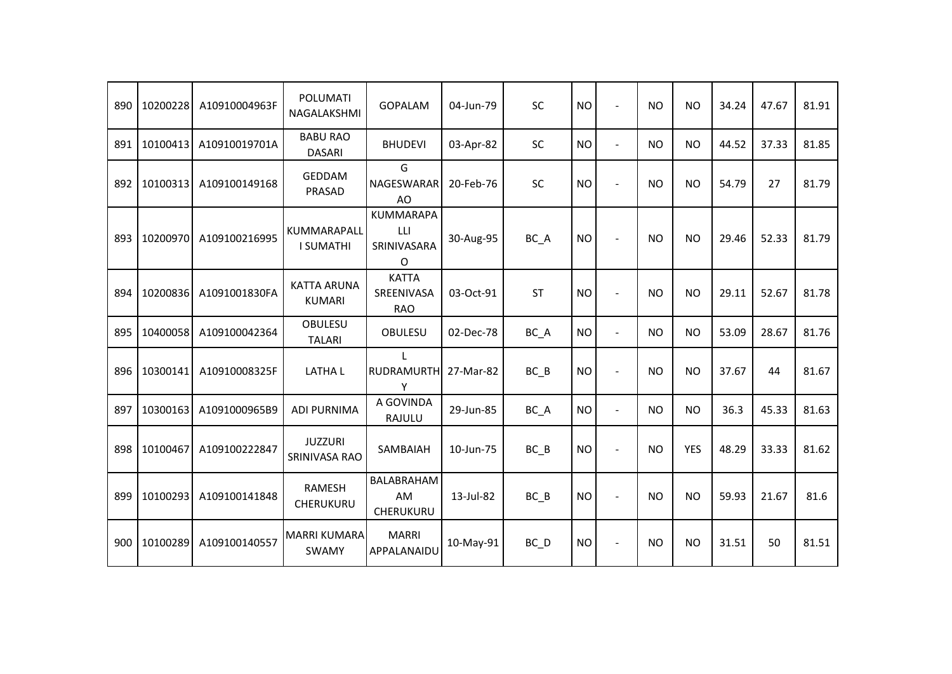| 890 | 10200228 | A10910004963F | <b>POLUMATI</b><br>NAGALAKSHMI      | <b>GOPALAM</b>                                    | 04-Jun-79 | <b>SC</b> | <b>NO</b> | $\overline{a}$           | <b>NO</b>      | <b>NO</b>      | 34.24 | 47.67 | 81.91 |
|-----|----------|---------------|-------------------------------------|---------------------------------------------------|-----------|-----------|-----------|--------------------------|----------------|----------------|-------|-------|-------|
| 891 | 10100413 | A10910019701A | <b>BABU RAO</b><br><b>DASARI</b>    | <b>BHUDEVI</b>                                    | 03-Apr-82 | SC        | <b>NO</b> | $\overline{a}$           | <b>NO</b>      | <b>NO</b>      | 44.52 | 37.33 | 81.85 |
| 892 | 10100313 | A109100149168 | <b>GEDDAM</b><br>PRASAD             | G<br>NAGESWARAR<br>AO                             | 20-Feb-76 | SC        | <b>NO</b> | $\overline{a}$           | <b>NO</b>      | <b>NO</b>      | 54.79 | 27    | 81.79 |
| 893 | 10200970 | A109100216995 | KUMMARAPALL<br><b>I SUMATHI</b>     | <b>KUMMARAPA</b><br>LLI<br>SRINIVASARA<br>$\circ$ | 30-Aug-95 | BC_A      | <b>NO</b> | $\overline{a}$           | N <sub>O</sub> | <b>NO</b>      | 29.46 | 52.33 | 81.79 |
| 894 | 10200836 | A1091001830FA | <b>KATTA ARUNA</b><br><b>KUMARI</b> | <b>KATTA</b><br>SREENIVASA<br><b>RAO</b>          | 03-Oct-91 | <b>ST</b> | <b>NO</b> | $\ddot{\phantom{1}}$     | <b>NO</b>      | <b>NO</b>      | 29.11 | 52.67 | 81.78 |
| 895 | 10400058 | A109100042364 | <b>OBULESU</b><br><b>TALARI</b>     | <b>OBULESU</b>                                    | 02-Dec-78 | BC_A      | <b>NO</b> | $\overline{a}$           | N <sub>O</sub> | <b>NO</b>      | 53.09 | 28.67 | 81.76 |
| 896 | 10300141 | A10910008325F | <b>LATHAL</b>                       | $\mathbf{L}$<br><b>RUDRAMURTH</b><br>Υ            | 27-Mar-82 | $BC$ $B$  | <b>NO</b> | $\ddot{\phantom{1}}$     | <b>NO</b>      | <b>NO</b>      | 37.67 | 44    | 81.67 |
| 897 | 10300163 | A1091000965B9 | <b>ADI PURNIMA</b>                  | A GOVINDA<br>RAJULU                               | 29-Jun-85 | BC_A      | <b>NO</b> | $\blacksquare$           | <b>NO</b>      | <b>NO</b>      | 36.3  | 45.33 | 81.63 |
| 898 | 10100467 | A109100222847 | <b>JUZZURI</b><br>SRINIVASA RAO     | SAMBAIAH                                          | 10-Jun-75 | BC B      | <b>NO</b> | $\blacksquare$           | <b>NO</b>      | <b>YES</b>     | 48.29 | 33.33 | 81.62 |
| 899 | 10100293 | A109100141848 | RAMESH<br>CHERUKURU                 | BALABRAHAM<br>AM<br><b>CHERUKURU</b>              | 13-Jul-82 | $BC$ $B$  | <b>NO</b> | $\overline{\phantom{a}}$ | <b>NO</b>      | <b>NO</b>      | 59.93 | 21.67 | 81.6  |
| 900 | 10100289 | A109100140557 | <b>MARRI KUMARA</b><br><b>SWAMY</b> | <b>MARRI</b><br>APPALANAIDU                       | 10-May-91 | $BC\_D$   | <b>NO</b> | $\overline{a}$           | <b>NO</b>      | N <sub>O</sub> | 31.51 | 50    | 81.51 |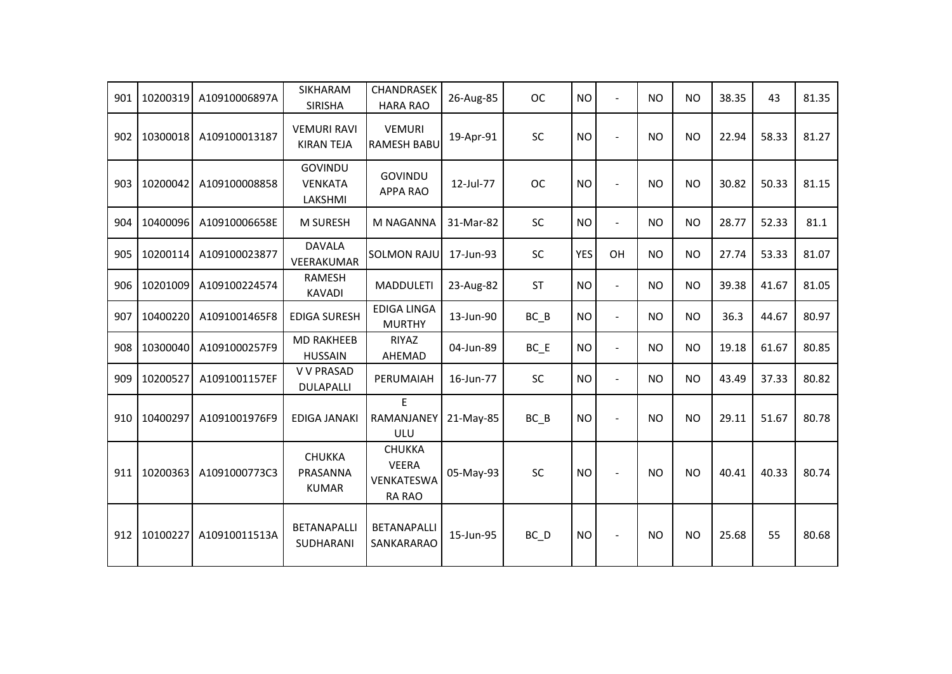| 901 | 10200319 | A10910006897A | <b>SIKHARAM</b><br><b>SIRISHA</b>           | <b>CHANDRASEK</b><br><b>HARA RAO</b>                         | 26-Aug-85 | <b>OC</b> | <b>NO</b>  | $\overline{\phantom{a}}$ | <b>NO</b>      | <b>NO</b> | 38.35 | 43    | 81.35 |
|-----|----------|---------------|---------------------------------------------|--------------------------------------------------------------|-----------|-----------|------------|--------------------------|----------------|-----------|-------|-------|-------|
| 902 | 10300018 | A109100013187 | <b>VEMURI RAVI</b><br><b>KIRAN TEJA</b>     | <b>VEMURI</b><br><b>RAMESH BABU</b>                          | 19-Apr-91 | SC        | <b>NO</b>  | $\overline{a}$           | <b>NO</b>      | <b>NO</b> | 22.94 | 58.33 | 81.27 |
| 903 | 10200042 | A109100008858 | <b>GOVINDU</b><br><b>VENKATA</b><br>LAKSHMI | GOVINDU<br><b>APPA RAO</b>                                   | 12-Jul-77 | <b>OC</b> | <b>NO</b>  | $\overline{\phantom{a}}$ | <b>NO</b>      | NO.       | 30.82 | 50.33 | 81.15 |
| 904 | 10400096 | A10910006658E | M SURESH                                    | M NAGANNA                                                    | 31-Mar-82 | SC        | <b>NO</b>  | $\blacksquare$           | <b>NO</b>      | NO.       | 28.77 | 52.33 | 81.1  |
| 905 | 10200114 | A109100023877 | <b>DAVALA</b><br>VEERAKUMAR                 | <b>SOLMON RAJU</b>                                           | 17-Jun-93 | SC        | <b>YES</b> | OH                       | <b>NO</b>      | <b>NO</b> | 27.74 | 53.33 | 81.07 |
| 906 | 10201009 | A109100224574 | <b>RAMESH</b><br><b>KAVADI</b>              | <b>MADDULETI</b>                                             | 23-Aug-82 | <b>ST</b> | <b>NO</b>  | $\blacksquare$           | <b>NO</b>      | <b>NO</b> | 39.38 | 41.67 | 81.05 |
| 907 | 10400220 | A1091001465F8 | <b>EDIGA SURESH</b>                         | <b>EDIGA LINGA</b><br><b>MURTHY</b>                          | 13-Jun-90 | $BC$ $B$  | <b>NO</b>  | $\overline{\phantom{a}}$ | <b>NO</b>      | <b>NO</b> | 36.3  | 44.67 | 80.97 |
| 908 | 10300040 | A1091000257F9 | <b>MD RAKHEEB</b><br><b>HUSSAIN</b>         | RIYAZ<br>AHEMAD                                              | 04-Jun-89 | $BC$ $E$  | <b>NO</b>  | $\overline{a}$           | <b>NO</b>      | <b>NO</b> | 19.18 | 61.67 | 80.85 |
| 909 | 10200527 | A1091001157EF | <b>V V PRASAD</b><br><b>DULAPALLI</b>       | PERUMAIAH                                                    | 16-Jun-77 | SC        | <b>NO</b>  | $\ddot{\phantom{1}}$     | <b>NO</b>      | NO.       | 43.49 | 37.33 | 80.82 |
| 910 | 10400297 | A1091001976F9 | <b>EDIGA JANAKI</b>                         | E<br>RAMANJANEY<br>ULU                                       | 21-May-85 | $BC$ $B$  | <b>NO</b>  | $\blacksquare$           | N <sub>O</sub> | <b>NO</b> | 29.11 | 51.67 | 80.78 |
| 911 | 10200363 | A1091000773C3 | <b>CHUKKA</b><br>PRASANNA<br><b>KUMAR</b>   | <b>CHUKKA</b><br><b>VEERA</b><br>VENKATESWA<br><b>RA RAO</b> | 05-May-93 | SC        | <b>NO</b>  | $\blacksquare$           | <b>NO</b>      | <b>NO</b> | 40.41 | 40.33 | 80.74 |
| 912 | 10100227 | A10910011513A | <b>BETANAPALLI</b><br>SUDHARANI             | <b>BETANAPALLI</b><br>SANKARARAO                             | 15-Jun-95 | BC D      | NO         | $\overline{a}$           | <b>NO</b>      | <b>NO</b> | 25.68 | 55    | 80.68 |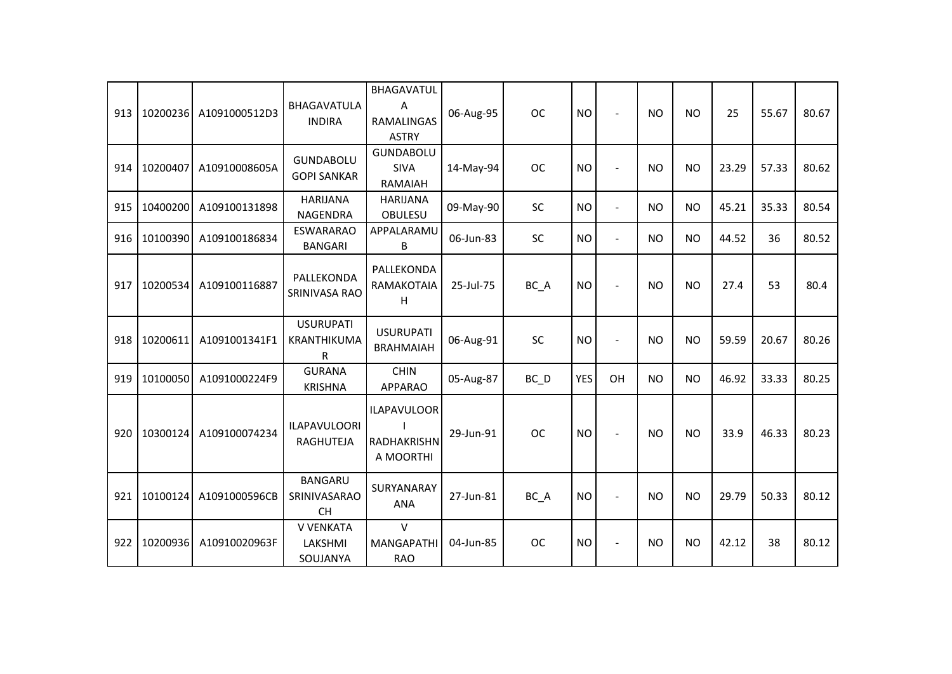| 913 |          | 10200236 A1091000512D3 | BHAGAVATULA<br><b>INDIRA</b>                | BHAGAVATUL<br>A<br>RAMALINGAS<br><b>ASTRY</b>   | 06-Aug-95 | <b>OC</b> | <b>NO</b>  | $\blacksquare$           | <b>NO</b> | <b>NO</b> | 25    | 55.67 | 80.67 |
|-----|----------|------------------------|---------------------------------------------|-------------------------------------------------|-----------|-----------|------------|--------------------------|-----------|-----------|-------|-------|-------|
| 914 | 10200407 | A10910008605A          | <b>GUNDABOLU</b><br><b>GOPI SANKAR</b>      | GUNDABOLU<br><b>SIVA</b><br>RAMAIAH             | 14-May-94 | <b>OC</b> | <b>NO</b>  | $\overline{a}$           | <b>NO</b> | <b>NO</b> | 23.29 | 57.33 | 80.62 |
| 915 | 10400200 | A109100131898          | <b>HARIJANA</b><br><b>NAGENDRA</b>          | <b>HARIJANA</b><br><b>OBULESU</b>               | 09-May-90 | <b>SC</b> | <b>NO</b>  | $\blacksquare$           | <b>NO</b> | <b>NO</b> | 45.21 | 35.33 | 80.54 |
| 916 | 10100390 | A109100186834          | <b>ESWARARAO</b><br><b>BANGARI</b>          | APPALARAMU<br>B                                 | 06-Jun-83 | SC        | <b>NO</b>  | $\blacksquare$           | <b>NO</b> | <b>NO</b> | 44.52 | 36    | 80.52 |
| 917 | 10200534 | A109100116887          | PALLEKONDA<br>SRINIVASA RAO                 | PALLEKONDA<br>RAMAKOTAIA<br>H                   | 25-Jul-75 | BC_A      | <b>NO</b>  | $\blacksquare$           | <b>NO</b> | <b>NO</b> | 27.4  | 53    | 80.4  |
| 918 | 10200611 | A1091001341F1          | <b>USURUPATI</b><br>KRANTHIKUMA<br>R        | <b>USURUPATI</b><br><b>BRAHMAIAH</b>            | 06-Aug-91 | SC        | <b>NO</b>  | $\overline{\phantom{a}}$ | <b>NO</b> | <b>NO</b> | 59.59 | 20.67 | 80.26 |
| 919 | 10100050 | A1091000224F9          | <b>GURANA</b><br><b>KRISHNA</b>             | <b>CHIN</b><br><b>APPARAO</b>                   | 05-Aug-87 | BC D      | <b>YES</b> | OH                       | <b>NO</b> | <b>NO</b> | 46.92 | 33.33 | 80.25 |
| 920 | 10300124 | A109100074234          | <b>ILAPAVULOORI</b><br>RAGHUTEJA            | <b>ILAPAVULOOR</b><br>RADHAKRISHN<br>A MOORTHI  | 29-Jun-91 | <b>OC</b> | <b>NO</b>  | $\overline{\phantom{a}}$ | <b>NO</b> | <b>NO</b> | 33.9  | 46.33 | 80.23 |
| 921 | 10100124 | A1091000596CB          | <b>BANGARU</b><br>SRINIVASARAO<br><b>CH</b> | SURYANARAY<br><b>ANA</b>                        | 27-Jun-81 | BC_A      | <b>NO</b>  |                          | <b>NO</b> | <b>NO</b> | 29.79 | 50.33 | 80.12 |
| 922 | 10200936 | A10910020963F          | <b>V VENKATA</b><br>LAKSHMI<br>SOUJANYA     | $\mathsf{V}$<br><b>MANGAPATHI</b><br><b>RAO</b> | 04-Jun-85 | <b>OC</b> | <b>NO</b>  | $\overline{\phantom{a}}$ | <b>NO</b> | <b>NO</b> | 42.12 | 38    | 80.12 |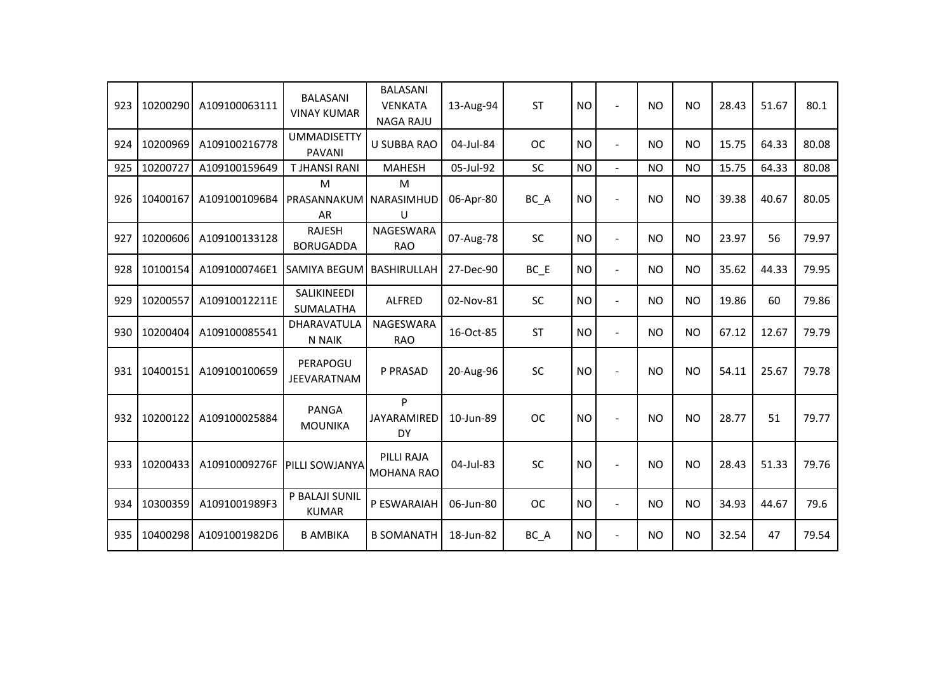| 923 | 10200290 | A109100063111 | <b>BALASANI</b><br><b>VINAY KUMAR</b> | <b>BALASANI</b><br><b>VENKATA</b><br><b>NAGA RAJU</b> | 13-Aug-94 | <b>ST</b> | <b>NO</b> | $\overline{a}$           | <b>NO</b> | <b>NO</b> | 28.43 | 51.67 | 80.1  |
|-----|----------|---------------|---------------------------------------|-------------------------------------------------------|-----------|-----------|-----------|--------------------------|-----------|-----------|-------|-------|-------|
| 924 | 10200969 | A109100216778 | <b>UMMADISETTY</b><br><b>PAVANI</b>   | <b>U SUBBA RAO</b>                                    | 04-Jul-84 | <b>OC</b> | <b>NO</b> | $\overline{\phantom{a}}$ | <b>NO</b> | <b>NO</b> | 15.75 | 64.33 | 80.08 |
| 925 | 10200727 | A109100159649 | <b>TJHANSI RANI</b>                   | <b>MAHESH</b>                                         | 05-Jul-92 | <b>SC</b> | <b>NO</b> | $\blacksquare$           | <b>NO</b> | <b>NO</b> | 15.75 | 64.33 | 80.08 |
| 926 | 10400167 | A1091001096B4 | M<br>PRASANNAKUM NARASIMHUD<br>AR     | M<br>U                                                | 06-Apr-80 | BC_A      | <b>NO</b> |                          | <b>NO</b> | <b>NO</b> | 39.38 | 40.67 | 80.05 |
| 927 | 10200606 | A109100133128 | <b>RAJESH</b><br><b>BORUGADDA</b>     | NAGESWARA<br><b>RAO</b>                               | 07-Aug-78 | SC        | <b>NO</b> | $\overline{\phantom{a}}$ | <b>NO</b> | <b>NO</b> | 23.97 | 56    | 79.97 |
| 928 | 10100154 | A1091000746E1 | SAMIYA BEGUM                          | <b>BASHIRULLAH</b>                                    | 27-Dec-90 | $BC$ $E$  | <b>NO</b> | $\overline{\phantom{a}}$ | <b>NO</b> | <b>NO</b> | 35.62 | 44.33 | 79.95 |
| 929 | 10200557 | A10910012211E | SALIKINEEDI<br>SUMALATHA              | ALFRED                                                | 02-Nov-81 | SC        | <b>NO</b> | $\overline{\phantom{a}}$ | <b>NO</b> | <b>NO</b> | 19.86 | 60    | 79.86 |
| 930 | 10200404 | A109100085541 | DHARAVATULA<br>N NAIK                 | NAGESWARA<br><b>RAO</b>                               | 16-Oct-85 | <b>ST</b> | <b>NO</b> | $\blacksquare$           | <b>NO</b> | <b>NO</b> | 67.12 | 12.67 | 79.79 |
| 931 | 10400151 | A109100100659 | PERAPOGU<br><b>JEEVARATNAM</b>        | P PRASAD                                              | 20-Aug-96 | SC        | <b>NO</b> |                          | <b>NO</b> | <b>NO</b> | 54.11 | 25.67 | 79.78 |
| 932 | 10200122 | A109100025884 | <b>PANGA</b><br><b>MOUNIKA</b>        | P<br>JAYARAMIRED<br>DY                                | 10-Jun-89 | <b>OC</b> | <b>NO</b> |                          | <b>NO</b> | <b>NO</b> | 28.77 | 51    | 79.77 |
| 933 | 10200433 | A10910009276F | <b>PILLI SOWJANYA</b>                 | PILLI RAJA<br><b>MOHANA RAO</b>                       | 04-Jul-83 | <b>SC</b> | <b>NO</b> |                          | <b>NO</b> | <b>NO</b> | 28.43 | 51.33 | 79.76 |
| 934 | 10300359 | A1091001989F3 | P BALAJI SUNIL<br><b>KUMAR</b>        | P ESWARAIAH                                           | 06-Jun-80 | <b>OC</b> | <b>NO</b> | $\blacksquare$           | <b>NO</b> | <b>NO</b> | 34.93 | 44.67 | 79.6  |
| 935 | 10400298 | A1091001982D6 | <b>B AMBIKA</b>                       | <b>B SOMANATH</b>                                     | 18-Jun-82 | BC_A      | <b>NO</b> | $\blacksquare$           | <b>NO</b> | <b>NO</b> | 32.54 | 47    | 79.54 |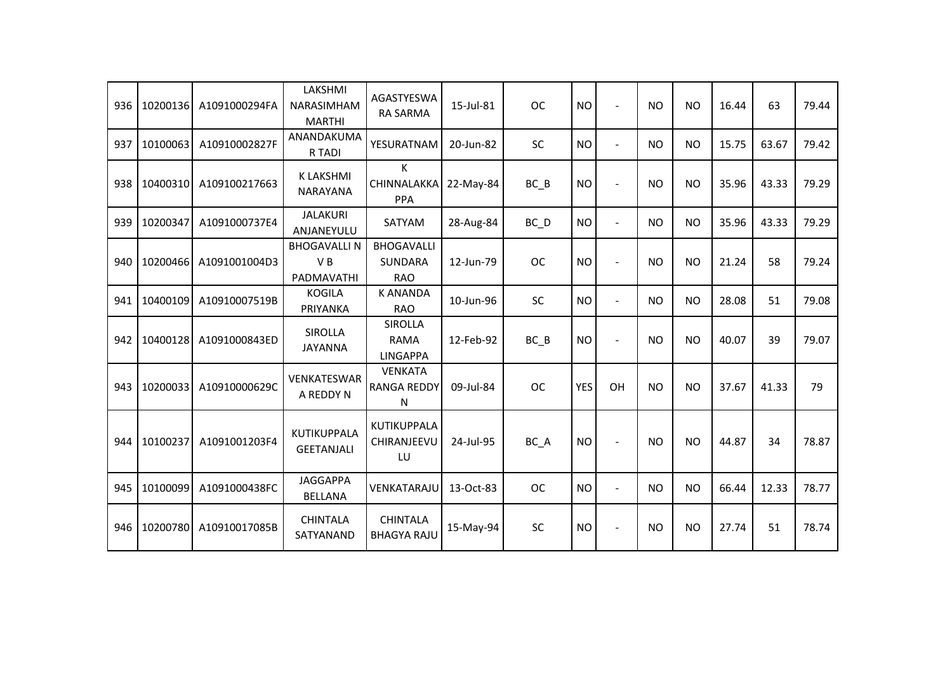| 936 | 10200136 | A1091000294FA | LAKSHMI<br>NARASIMHAM<br><b>MARTHI</b>  | <b>AGASTYESWA</b><br><b>RA SARMA</b>              | 15-Jul-81 | <b>OC</b> | <b>NO</b>  | $\sim$                   | <b>NO</b> | <b>NO</b> | 16.44 | 63    | 79.44 |
|-----|----------|---------------|-----------------------------------------|---------------------------------------------------|-----------|-----------|------------|--------------------------|-----------|-----------|-------|-------|-------|
| 937 | 10100063 | A10910002827F | ANANDAKUMA<br>R TADI                    | YESURATNAM                                        | 20-Jun-82 | SC        | <b>NO</b>  | $\blacksquare$           | <b>NO</b> | <b>NO</b> | 15.75 | 63.67 | 79.42 |
| 938 | 10400310 | A109100217663 | <b>K LAKSHMI</b><br><b>NARAYANA</b>     | K<br>CHINNALAKKA<br><b>PPA</b>                    | 22-May-84 | $BC$ $B$  | <b>NO</b>  | $\overline{\phantom{a}}$ | <b>NO</b> | <b>NO</b> | 35.96 | 43.33 | 79.29 |
| 939 | 10200347 | A1091000737E4 | <b>JALAKURI</b><br>ANJANEYULU           | SATYAM                                            | 28-Aug-84 | $BC$ $D$  | <b>NO</b>  | $\blacksquare$           | <b>NO</b> | <b>NO</b> | 35.96 | 43.33 | 79.29 |
| 940 | 10200466 | A1091001004D3 | <b>BHOGAVALLIN</b><br>VB<br>PADMAVATHI  | <b>BHOGAVALLI</b><br><b>SUNDARA</b><br><b>RAO</b> | 12-Jun-79 | <b>OC</b> | <b>NO</b>  |                          | <b>NO</b> | <b>NO</b> | 21.24 | 58    | 79.24 |
| 941 | 10400109 | A10910007519B | <b>KOGILA</b><br>PRIYANKA               | <b>K ANANDA</b><br><b>RAO</b>                     | 10-Jun-96 | SC        | <b>NO</b>  | $\blacksquare$           | <b>NO</b> | <b>NO</b> | 28.08 | 51    | 79.08 |
| 942 | 10400128 | A1091000843ED | <b>SIROLLA</b><br><b>JAYANNA</b>        | <b>SIROLLA</b><br><b>RAMA</b><br><b>LINGAPPA</b>  | 12-Feb-92 | $BC$ $B$  | <b>NO</b>  | $\overline{\phantom{a}}$ | <b>NO</b> | <b>NO</b> | 40.07 | 39    | 79.07 |
| 943 | 10200033 | A10910000629C | <b>VENKATESWAR</b><br>A REDDY N         | <b>VENKATA</b><br><b>RANGA REDDY</b><br>N         | 09-Jul-84 | <b>OC</b> | <b>YES</b> | OH                       | <b>NO</b> | <b>NO</b> | 37.67 | 41.33 | 79    |
| 944 | 10100237 | A1091001203F4 | <b>KUTIKUPPALA</b><br><b>GEETANJALI</b> | KUTIKUPPALA<br>CHIRANJEEVU<br>LU                  | 24-Jul-95 | BC A      | <b>NO</b>  |                          | <b>NO</b> | <b>NO</b> | 44.87 | 34    | 78.87 |
| 945 | 10100099 | A1091000438FC | <b>JAGGAPPA</b><br><b>BELLANA</b>       | VENKATARAJU                                       | 13-Oct-83 | <b>OC</b> | <b>NO</b>  | $\sim$                   | <b>NO</b> | <b>NO</b> | 66.44 | 12.33 | 78.77 |
| 946 | 10200780 | A10910017085B | <b>CHINTALA</b><br>SATYANAND            | <b>CHINTALA</b><br><b>BHAGYA RAJU</b>             | 15-May-94 | <b>SC</b> | <b>NO</b>  |                          | <b>NO</b> | <b>NO</b> | 27.74 | 51    | 78.74 |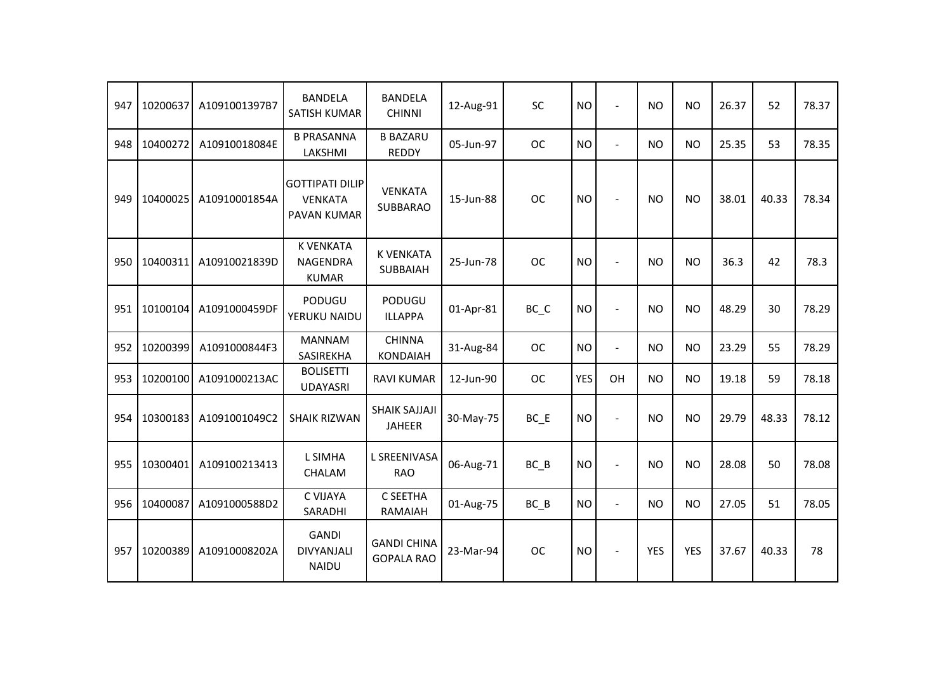| 947 | 10200637 | A1091001397B7 | <b>BANDELA</b><br><b>SATISH KUMAR</b>                   | <b>BANDELA</b><br><b>CHINNI</b>         | 12-Aug-91 | <b>SC</b>                      | <b>NO</b>  | $\blacksquare$       | <b>NO</b>      | <b>NO</b>  | 26.37 | 52    | 78.37 |
|-----|----------|---------------|---------------------------------------------------------|-----------------------------------------|-----------|--------------------------------|------------|----------------------|----------------|------------|-------|-------|-------|
| 948 | 10400272 | A10910018084E | <b>B PRASANNA</b><br>LAKSHMI                            | <b>B BAZARU</b><br><b>REDDY</b>         | 05-Jun-97 | <b>OC</b>                      | <b>NO</b>  | $\mathbf{r}$         | <b>NO</b>      | <b>NO</b>  | 25.35 | 53    | 78.35 |
| 949 | 10400025 | A10910001854A | <b>GOTTIPATI DILIP</b><br><b>VENKATA</b><br>PAVAN KUMAR | <b>VENKATA</b><br>SUBBARAO              | 15-Jun-88 | <b>OC</b>                      | <b>NO</b>  |                      | <b>NO</b>      | <b>NO</b>  | 38.01 | 40.33 | 78.34 |
| 950 | 10400311 | A10910021839D | <b>K VENKATA</b><br><b>NAGENDRA</b><br><b>KUMAR</b>     | <b>K VENKATA</b><br>SUBBAIAH            | 25-Jun-78 | <b>OC</b>                      | <b>NO</b>  | $\overline{a}$       | <b>NO</b>      | <b>NO</b>  | 36.3  | 42    | 78.3  |
| 951 | 10100104 | A1091000459DF | PODUGU<br>YERUKU NAIDU                                  | <b>PODUGU</b><br><b>ILLAPPA</b>         | 01-Apr-81 | $BC$ <sub><math>C</math></sub> | <b>NO</b>  | $\overline{a}$       | N <sub>O</sub> | <b>NO</b>  | 48.29 | 30    | 78.29 |
| 952 | 10200399 | A1091000844F3 | <b>MANNAM</b><br>SASIREKHA                              | <b>CHINNA</b><br><b>KONDAIAH</b>        | 31-Aug-84 | <b>OC</b>                      | <b>NO</b>  | $\blacksquare$       | <b>NO</b>      | <b>NO</b>  | 23.29 | 55    | 78.29 |
| 953 | 10200100 | A1091000213AC | <b>BOLISETTI</b><br><b>UDAYASRI</b>                     | <b>RAVI KUMAR</b>                       | 12-Jun-90 | <b>OC</b>                      | <b>YES</b> | OH                   | <b>NO</b>      | <b>NO</b>  | 19.18 | 59    | 78.18 |
| 954 | 10300183 | A1091001049C2 | <b>SHAIK RIZWAN</b>                                     | SHAIK SAJJAJI<br><b>JAHEER</b>          | 30-May-75 | BC E                           | <b>NO</b>  | $\ddot{\phantom{1}}$ | <b>NO</b>      | <b>NO</b>  | 29.79 | 48.33 | 78.12 |
| 955 | 10300401 | A109100213413 | L SIMHA<br><b>CHALAM</b>                                | L SREENIVASA<br><b>RAO</b>              | 06-Aug-71 | $BC$ $B$                       | <b>NO</b>  | $\blacksquare$       | <b>NO</b>      | <b>NO</b>  | 28.08 | 50    | 78.08 |
| 956 | 10400087 | A1091000588D2 | C VIJAYA<br>SARADHI                                     | C SEETHA<br>RAMAIAH                     | 01-Aug-75 | $BC$ $B$                       | <b>NO</b>  | $\overline{a}$       | <b>NO</b>      | <b>NO</b>  | 27.05 | 51    | 78.05 |
| 957 | 10200389 | A10910008202A | <b>GANDI</b><br><b>DIVYANJALI</b><br><b>NAIDU</b>       | <b>GANDI CHINA</b><br><b>GOPALA RAO</b> | 23-Mar-94 | <b>OC</b>                      | <b>NO</b>  | $\blacksquare$       | <b>YES</b>     | <b>YES</b> | 37.67 | 40.33 | 78    |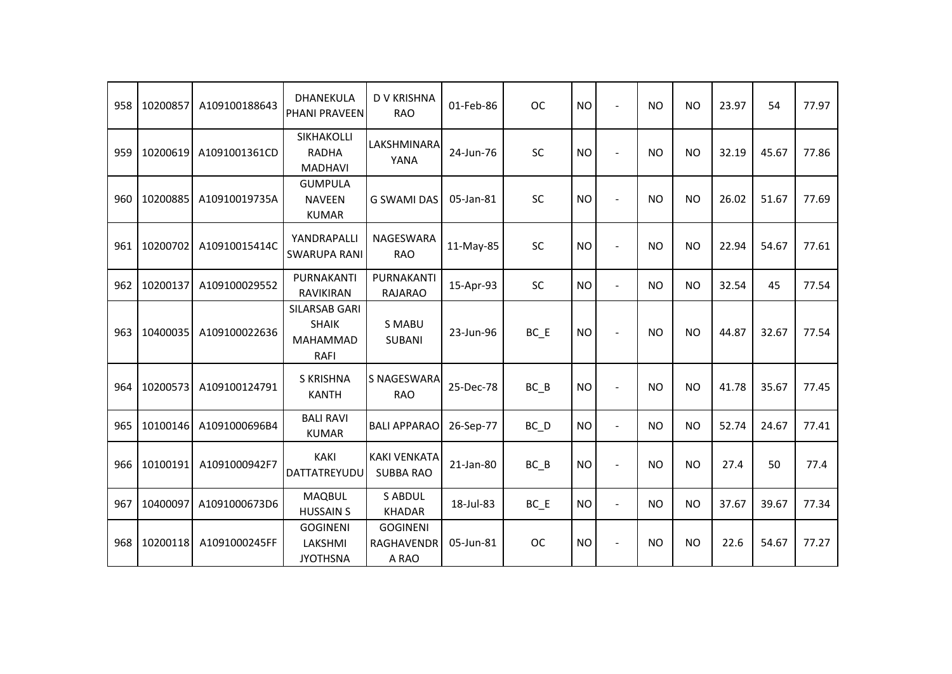| 958 | 10200857 | A109100188643 | DHANEKULA<br><b>PHANI PRAVEEN</b>                        | <b>D V KRISHNA</b><br><b>RAO</b>              | 01-Feb-86 | <b>OC</b>         | <b>NO</b> | $\overline{a}$           | <b>NO</b> | <b>NO</b> | 23.97 | 54    | 77.97 |
|-----|----------|---------------|----------------------------------------------------------|-----------------------------------------------|-----------|-------------------|-----------|--------------------------|-----------|-----------|-------|-------|-------|
| 959 | 10200619 | A1091001361CD | SIKHAKOLLI<br><b>RADHA</b><br><b>MADHAVI</b>             | LAKSHMINARA<br>YANA                           | 24-Jun-76 | SC                | <b>NO</b> |                          | <b>NO</b> | <b>NO</b> | 32.19 | 45.67 | 77.86 |
| 960 | 10200885 | A10910019735A | <b>GUMPULA</b><br><b>NAVEEN</b><br><b>KUMAR</b>          | <b>G SWAMI DAS</b>                            | 05-Jan-81 | <b>SC</b>         | <b>NO</b> |                          | <b>NO</b> | <b>NO</b> | 26.02 | 51.67 | 77.69 |
| 961 | 10200702 | A10910015414C | YANDRAPALLI<br><b>SWARUPA RANI</b>                       | NAGESWARA<br><b>RAO</b>                       | 11-May-85 | <b>SC</b>         | <b>NO</b> | $\overline{\phantom{a}}$ | <b>NO</b> | <b>NO</b> | 22.94 | 54.67 | 77.61 |
| 962 | 10200137 | A109100029552 | PURNAKANTI<br>RAVIKIRAN                                  | PURNAKANTI<br><b>RAJARAO</b>                  | 15-Apr-93 | <b>SC</b>         | <b>NO</b> | $\blacksquare$           | <b>NO</b> | <b>NO</b> | 32.54 | 45    | 77.54 |
| 963 | 10400035 | A109100022636 | SILARSAB GARI<br><b>SHAIK</b><br>MAHAMMAD<br><b>RAFI</b> | <b>S MABU</b><br><b>SUBANI</b>                | 23-Jun-96 | $BC$ $E$          | <b>NO</b> |                          | <b>NO</b> | <b>NO</b> | 44.87 | 32.67 | 77.54 |
| 964 | 10200573 | A109100124791 | <b>S KRISHNA</b><br><b>KANTH</b>                         | <b>S NAGESWARA</b><br><b>RAO</b>              | 25-Dec-78 | $BC$ $B$          | <b>NO</b> | $\blacksquare$           | <b>NO</b> | <b>NO</b> | 41.78 | 35.67 | 77.45 |
| 965 | 10100146 | A1091000696B4 | <b>BALI RAVI</b><br><b>KUMAR</b>                         | <b>BALI APPARAO</b>                           | 26-Sep-77 | $BC$ <sub>D</sub> | <b>NO</b> | $\blacksquare$           | <b>NO</b> | <b>NO</b> | 52.74 | 24.67 | 77.41 |
| 966 | 10100191 | A1091000942F7 | <b>KAKI</b><br>DATTATREYUDU                              | <b>KAKI VENKATA</b><br><b>SUBBA RAO</b>       | 21-Jan-80 | $BC$ $B$          | <b>NO</b> | $\blacksquare$           | <b>NO</b> | <b>NO</b> | 27.4  | 50    | 77.4  |
| 967 | 10400097 | A1091000673D6 | <b>MAQBUL</b><br><b>HUSSAIN S</b>                        | <b>S ABDUL</b><br><b>KHADAR</b>               | 18-Jul-83 | $BC$ $E$          | <b>NO</b> | $\blacksquare$           | <b>NO</b> | <b>NO</b> | 37.67 | 39.67 | 77.34 |
| 968 | 10200118 | A1091000245FF | <b>GOGINENI</b><br>LAKSHMI<br><b>JYOTHSNA</b>            | <b>GOGINENI</b><br><b>RAGHAVENDR</b><br>A RAO | 05-Jun-81 | <b>OC</b>         | <b>NO</b> | $\blacksquare$           | <b>NO</b> | <b>NO</b> | 22.6  | 54.67 | 77.27 |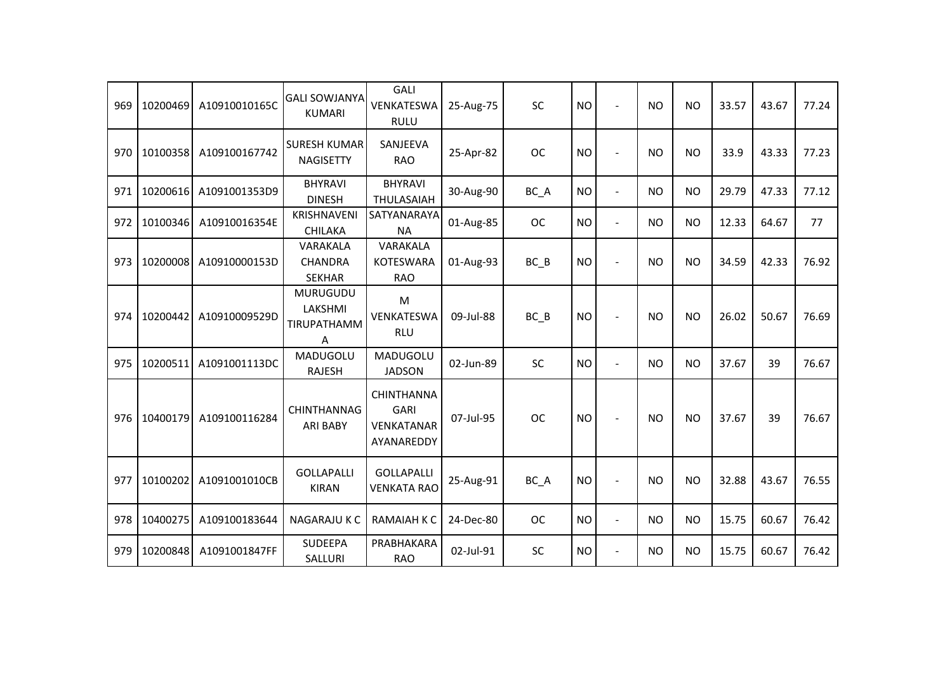| 969 | 10200469 | A10910010165C | <b>GALI SOWJANYA</b><br><b>KUMARI</b>          | <b>GALI</b><br>VENKATESWA<br><b>RULU</b>              | 25-Aug-75 | <b>SC</b> | <b>NO</b> | $\overline{\phantom{a}}$ | <b>NO</b> | <b>NO</b>      | 33.57 | 43.67 | 77.24 |
|-----|----------|---------------|------------------------------------------------|-------------------------------------------------------|-----------|-----------|-----------|--------------------------|-----------|----------------|-------|-------|-------|
| 970 | 10100358 | A109100167742 | <b>SURESH KUMAR</b><br><b>NAGISETTY</b>        | SANJEEVA<br><b>RAO</b>                                | 25-Apr-82 | <b>OC</b> | <b>NO</b> | $\sim$                   | <b>NO</b> | N <sub>O</sub> | 33.9  | 43.33 | 77.23 |
| 971 | 10200616 | A1091001353D9 | <b>BHYRAVI</b><br><b>DINESH</b>                | <b>BHYRAVI</b><br><b>THULASAIAH</b>                   | 30-Aug-90 | BC_A      | <b>NO</b> | $\blacksquare$           | <b>NO</b> | <b>NO</b>      | 29.79 | 47.33 | 77.12 |
| 972 | 10100346 | A10910016354E | <b>KRISHNAVENI</b><br><b>CHILAKA</b>           | SATYANARAYA<br><b>NA</b>                              | 01-Aug-85 | <b>OC</b> | <b>NO</b> | $\blacksquare$           | <b>NO</b> | <b>NO</b>      | 12.33 | 64.67 | 77    |
| 973 | 10200008 | A10910000153D | VARAKALA<br><b>CHANDRA</b><br><b>SEKHAR</b>    | VARAKALA<br><b>KOTESWARA</b><br><b>RAO</b>            | 01-Aug-93 | BC B      | <b>NO</b> |                          | <b>NO</b> | <b>NO</b>      | 34.59 | 42.33 | 76.92 |
| 974 | 10200442 | A10910009529D | <b>MURUGUDU</b><br>LAKSHMI<br>TIRUPATHAMM<br>A | M<br>VENKATESWA<br><b>RLU</b>                         | 09-Jul-88 | BC B      | <b>NO</b> |                          | <b>NO</b> | <b>NO</b>      | 26.02 | 50.67 | 76.69 |
| 975 | 10200511 | A1091001113DC | MADUGOLU<br><b>RAJESH</b>                      | MADUGOLU<br><b>JADSON</b>                             | 02-Jun-89 | <b>SC</b> | <b>NO</b> | $\blacksquare$           | <b>NO</b> | <b>NO</b>      | 37.67 | 39    | 76.67 |
| 976 | 10400179 | A109100116284 | <b>CHINTHANNAG</b><br><b>ARI BABY</b>          | <b>CHINTHANNA</b><br>GARI<br>VENKATANAR<br>AYANAREDDY | 07-Jul-95 | <b>OC</b> | <b>NO</b> |                          | <b>NO</b> | <b>NO</b>      | 37.67 | 39    | 76.67 |
| 977 | 10100202 | A1091001010CB | <b>GOLLAPALLI</b><br><b>KIRAN</b>              | <b>GOLLAPALLI</b><br><b>VENKATA RAO</b>               | 25-Aug-91 | BC_A      | <b>NO</b> |                          | <b>NO</b> | <b>NO</b>      | 32.88 | 43.67 | 76.55 |
| 978 | 10400275 | A109100183644 | <b>NAGARAJU K C</b>                            | <b>RAMAIAH K C</b>                                    | 24-Dec-80 | <b>OC</b> | <b>NO</b> | $\blacksquare$           | <b>NO</b> | <b>NO</b>      | 15.75 | 60.67 | 76.42 |
| 979 | 10200848 | A1091001847FF | <b>SUDEEPA</b><br>SALLURI                      | PRABHAKARA<br><b>RAO</b>                              | 02-Jul-91 | <b>SC</b> | <b>NO</b> | $\blacksquare$           | <b>NO</b> | <b>NO</b>      | 15.75 | 60.67 | 76.42 |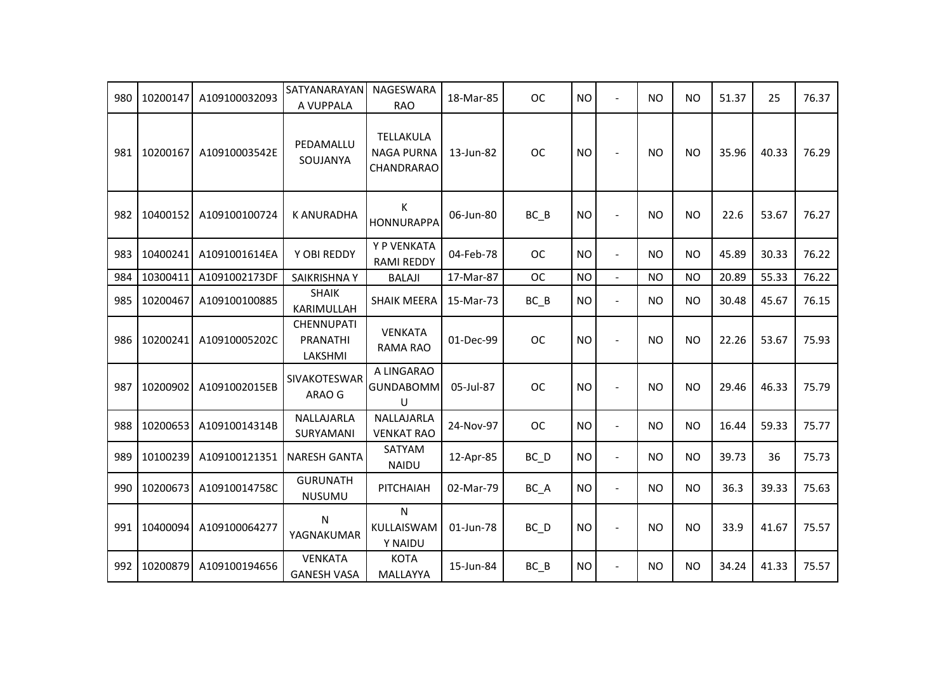| 980 | 10200147 | A109100032093 | SATYANARAYAN<br>A VUPPALA                       | NAGESWARA<br><b>RAO</b>                      | 18-Mar-85 | <b>OC</b> | <b>NO</b> | $\blacksquare$ | <b>NO</b> | <b>NO</b> | 51.37 | 25    | 76.37 |
|-----|----------|---------------|-------------------------------------------------|----------------------------------------------|-----------|-----------|-----------|----------------|-----------|-----------|-------|-------|-------|
| 981 | 10200167 | A10910003542E | PEDAMALLU<br>SOUJANYA                           | TELLAKULA<br><b>NAGA PURNA</b><br>CHANDRARAO | 13-Jun-82 | <b>OC</b> | <b>NO</b> | $\overline{a}$ | <b>NO</b> | <b>NO</b> | 35.96 | 40.33 | 76.29 |
| 982 | 10400152 | A109100100724 | <b>K ANURADHA</b>                               | К<br><b>HONNURAPPA</b>                       | 06-Jun-80 | $BC$ $B$  | <b>NO</b> | $\blacksquare$ | <b>NO</b> | <b>NO</b> | 22.6  | 53.67 | 76.27 |
| 983 | 10400241 | A1091001614EA | Y OBI REDDY                                     | Y P VENKATA<br><b>RAMI REDDY</b>             | 04-Feb-78 | <b>OC</b> | <b>NO</b> | $\blacksquare$ | <b>NO</b> | <b>NO</b> | 45.89 | 30.33 | 76.22 |
| 984 | 10300411 | A1091002173DF | SAIKRISHNA Y                                    | <b>BALAJI</b>                                | 17-Mar-87 | <b>OC</b> | <b>NO</b> | $\overline{a}$ | <b>NO</b> | <b>NO</b> | 20.89 | 55.33 | 76.22 |
| 985 | 10200467 | A109100100885 | <b>SHAIK</b><br>KARIMULLAH                      | <b>SHAIK MEERA</b>                           | 15-Mar-73 | $BC$ $B$  | <b>NO</b> | $\blacksquare$ | <b>NO</b> | <b>NO</b> | 30.48 | 45.67 | 76.15 |
| 986 | 10200241 | A10910005202C | <b>CHENNUPATI</b><br><b>PRANATHI</b><br>LAKSHMI | <b>VENKATA</b><br>RAMA RAO                   | 01-Dec-99 | <b>OC</b> | <b>NO</b> | $\blacksquare$ | <b>NO</b> | <b>NO</b> | 22.26 | 53.67 | 75.93 |
| 987 | 10200902 | A1091002015EB | SIVAKOTESWAR<br>ARAO G                          | A LINGARAO<br><b>GUNDABOMM</b><br>U          | 05-Jul-87 | <b>OC</b> | <b>NO</b> | $\overline{a}$ | <b>NO</b> | <b>NO</b> | 29.46 | 46.33 | 75.79 |
| 988 | 10200653 | A10910014314B | NALLAJARLA<br>SURYAMANI                         | NALLAJARLA<br><b>VENKAT RAO</b>              | 24-Nov-97 | <b>OC</b> | <b>NO</b> | $\blacksquare$ | <b>NO</b> | <b>NO</b> | 16.44 | 59.33 | 75.77 |
| 989 | 10100239 | A109100121351 | <b>NARESH GANTA</b>                             | SATYAM<br><b>NAIDU</b>                       | 12-Apr-85 | $BC$ $D$  | <b>NO</b> | $\blacksquare$ | <b>NO</b> | <b>NO</b> | 39.73 | 36    | 75.73 |
| 990 | 10200673 | A10910014758C | <b>GURUNATH</b><br>NUSUMU                       | PITCHAIAH                                    | 02-Mar-79 | BC_A      | <b>NO</b> | $\blacksquare$ | <b>NO</b> | <b>NO</b> | 36.3  | 39.33 | 75.63 |
| 991 | 10400094 | A109100064277 | N<br>YAGNAKUMAR                                 | N<br>KULLAISWAM<br>Y NAIDU                   | 01-Jun-78 | $BC$ $D$  | <b>NO</b> | $\blacksquare$ | <b>NO</b> | <b>NO</b> | 33.9  | 41.67 | 75.57 |
| 992 | 10200879 | A109100194656 | <b>VENKATA</b><br><b>GANESH VASA</b>            | <b>KOTA</b><br>MALLAYYA                      | 15-Jun-84 | $BC$ $B$  | <b>NO</b> | $\blacksquare$ | <b>NO</b> | <b>NO</b> | 34.24 | 41.33 | 75.57 |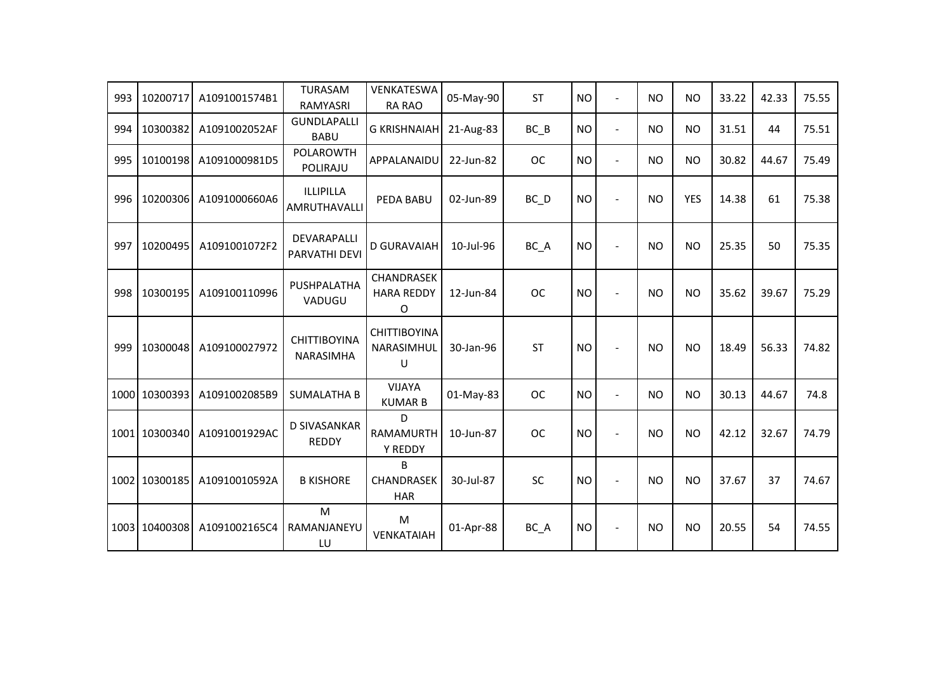| 993 | 10200717      | A1091001574B1 | <b>TURASAM</b><br>RAMYASRI          | VENKATESWA<br>RA RAO                        | 05-May-90 | <b>ST</b> | <b>NO</b> | $\blacksquare$           | <b>NO</b> | <b>NO</b>  | 33.22 | 42.33 | 75.55 |
|-----|---------------|---------------|-------------------------------------|---------------------------------------------|-----------|-----------|-----------|--------------------------|-----------|------------|-------|-------|-------|
| 994 | 10300382      | A1091002052AF | <b>GUNDLAPALLI</b><br><b>BABU</b>   | <b>G KRISHNAIAH</b>                         | 21-Aug-83 | $BC$ $B$  | <b>NO</b> | $\blacksquare$           | <b>NO</b> | <b>NO</b>  | 31.51 | 44    | 75.51 |
| 995 | 10100198      | A1091000981D5 | <b>POLAROWTH</b><br>POLIRAJU        | APPALANAIDU                                 | 22-Jun-82 | <b>OC</b> | <b>NO</b> | $\blacksquare$           | <b>NO</b> | <b>NO</b>  | 30.82 | 44.67 | 75.49 |
| 996 | 10200306      | A1091000660A6 | ILLIPILLA<br>AMRUTHAVALLI           | PEDA BABU                                   | 02-Jun-89 | BC_D      | <b>NO</b> | $\overline{a}$           | <b>NO</b> | <b>YES</b> | 14.38 | 61    | 75.38 |
| 997 | 10200495      | A1091001072F2 | DEVARAPALLI<br>PARVATHI DEVI        | <b>D GURAVAIAH</b>                          | 10-Jul-96 | BC A      | <b>NO</b> | $\blacksquare$           | <b>NO</b> | <b>NO</b>  | 25.35 | 50    | 75.35 |
| 998 | 10300195      | A109100110996 | PUSHPALATHA<br>VADUGU               | <b>CHANDRASEK</b><br><b>HARA REDDY</b><br>O | 12-Jun-84 | <b>OC</b> | <b>NO</b> | $\blacksquare$           | <b>NO</b> | <b>NO</b>  | 35.62 | 39.67 | 75.29 |
| 999 | 10300048      | A109100027972 | <b>CHITTIBOYINA</b><br>NARASIMHA    | <b>CHITTIBOYINA</b><br>NARASIMHUL<br>$\cup$ | 30-Jan-96 | <b>ST</b> | <b>NO</b> | $\blacksquare$           | <b>NO</b> | <b>NO</b>  | 18.49 | 56.33 | 74.82 |
|     | 1000 10300393 | A1091002085B9 | <b>SUMALATHA B</b>                  | <b>VIJAYA</b><br><b>KUMAR B</b>             | 01-May-83 | <b>OC</b> | <b>NO</b> | $\blacksquare$           | <b>NO</b> | <b>NO</b>  | 30.13 | 44.67 | 74.8  |
|     | 1001 10300340 | A1091001929AC | <b>D SIVASANKAR</b><br><b>REDDY</b> | D<br><b>RAMAMURTH</b><br>Y REDDY            | 10-Jun-87 | <b>OC</b> | <b>NO</b> | $\overline{a}$           | <b>NO</b> | <b>NO</b>  | 42.12 | 32.67 | 74.79 |
|     | 1002 10300185 | A10910010592A | <b>B KISHORE</b>                    | B<br>CHANDRASEK<br><b>HAR</b>               | 30-Jul-87 | SC        | <b>NO</b> | $\overline{\phantom{a}}$ | <b>NO</b> | <b>NO</b>  | 37.67 | 37    | 74.67 |
|     | 1003 10400308 | A1091002165C4 | M<br>RAMANJANEYU<br>LU              | M<br>VENKATAIAH                             | 01-Apr-88 | BC_A      | <b>NO</b> | $\overline{a}$           | <b>NO</b> | <b>NO</b>  | 20.55 | 54    | 74.55 |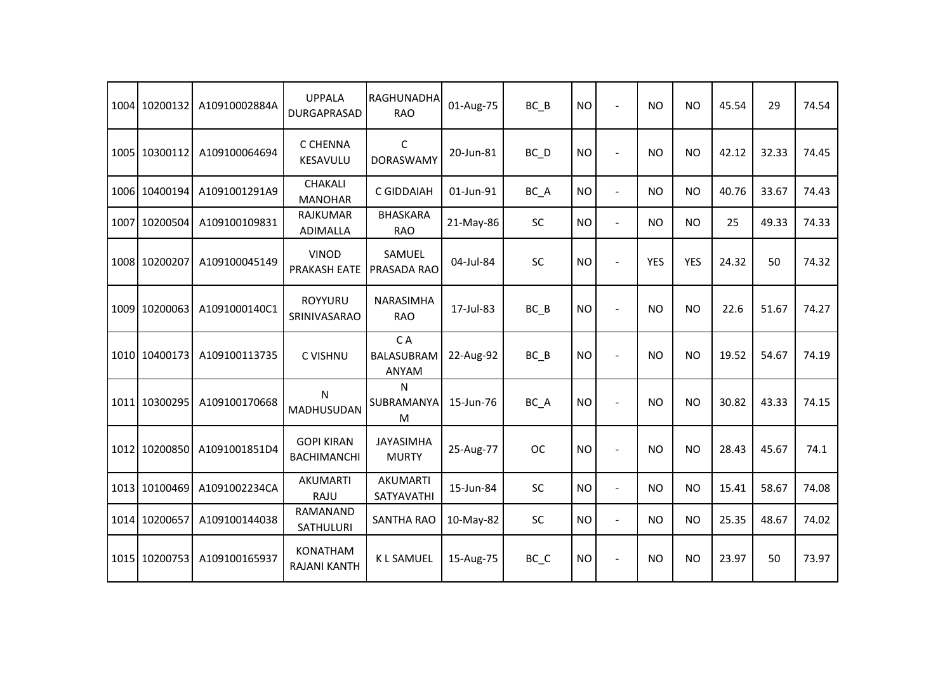|      | 1004 10200132 | A10910002884A | <b>UPPALA</b><br><b>DURGAPRASAD</b>     | RAGHUNADHA<br><b>RAO</b>       | 01-Aug-75 | $BC$ $B$  | <b>NO</b> | $\overline{\phantom{a}}$ | <b>NO</b>      | <b>NO</b>  | 45.54 | 29    | 74.54 |
|------|---------------|---------------|-----------------------------------------|--------------------------------|-----------|-----------|-----------|--------------------------|----------------|------------|-------|-------|-------|
|      | 1005 10300112 | A109100064694 | C CHENNA<br>KESAVULU                    | C<br><b>DORASWAMY</b>          | 20-Jun-81 | BC D      | <b>NO</b> | $\overline{\phantom{a}}$ | <b>NO</b>      | <b>NO</b>  | 42.12 | 32.33 | 74.45 |
|      | 1006 10400194 | A1091001291A9 | <b>CHAKALI</b><br><b>MANOHAR</b>        | C GIDDAIAH                     | 01-Jun-91 | BC_A      | <b>NO</b> | $\blacksquare$           | NO             | <b>NO</b>  | 40.76 | 33.67 | 74.43 |
| 1007 | 10200504      | A109100109831 | <b>RAJKUMAR</b><br>ADIMALLA             | <b>BHASKARA</b><br><b>RAO</b>  | 21-May-86 | SC        | <b>NO</b> | $\blacksquare$           | <b>NO</b>      | <b>NO</b>  | 25    | 49.33 | 74.33 |
|      | 1008 10200207 | A109100045149 | <b>VINOD</b><br><b>PRAKASH EATE</b>     | SAMUEL<br>PRASADA RAO          | 04-Jul-84 | SC        | <b>NO</b> |                          | <b>YES</b>     | <b>YES</b> | 24.32 | 50    | 74.32 |
|      | 1009 10200063 | A1091000140C1 | <b>ROYYURU</b><br>SRINIVASARAO          | <b>NARASIMHA</b><br><b>RAO</b> | 17-Jul-83 | $BC$ $B$  | <b>NO</b> |                          | <b>NO</b>      | <b>NO</b>  | 22.6  | 51.67 | 74.27 |
|      | 1010 10400173 | A109100113735 | C VISHNU                                | CA<br>BALASUBRAM<br>ANYAM      | 22-Aug-92 | $BC$ $B$  | <b>NO</b> |                          | <b>NO</b>      | <b>NO</b>  | 19.52 | 54.67 | 74.19 |
|      | 1011 10300295 | A109100170668 | N<br>MADHUSUDAN                         | N<br>SUBRAMANYA<br>M           | 15-Jun-76 | BC_A      | <b>NO</b> |                          | <b>NO</b>      | <b>NO</b>  | 30.82 | 43.33 | 74.15 |
|      | 1012 10200850 | A1091001851D4 | <b>GOPI KIRAN</b><br><b>BACHIMANCHI</b> | JAYASIMHA<br><b>MURTY</b>      | 25-Aug-77 | <b>OC</b> | <b>NO</b> |                          | <b>NO</b>      | <b>NO</b>  | 28.43 | 45.67 | 74.1  |
|      | 1013 10100469 | A1091002234CA | AKUMARTI<br>RAJU                        | <b>AKUMARTI</b><br>SATYAVATHI  | 15-Jun-84 | <b>SC</b> | <b>NO</b> | $\blacksquare$           | N <sub>O</sub> | <b>NO</b>  | 15.41 | 58.67 | 74.08 |
|      | 1014 10200657 | A109100144038 | RAMANAND<br>SATHULURI                   | <b>SANTHA RAO</b>              | 10-May-82 | <b>SC</b> | <b>NO</b> | $\blacksquare$           | <b>NO</b>      | <b>NO</b>  | 25.35 | 48.67 | 74.02 |
|      | 1015 10200753 | A109100165937 | <b>KONATHAM</b><br><b>RAJANI KANTH</b>  | <b>KLSAMUEL</b>                | 15-Aug-75 | BC_C      | <b>NO</b> | $\overline{\phantom{a}}$ | <b>NO</b>      | <b>NO</b>  | 23.97 | 50    | 73.97 |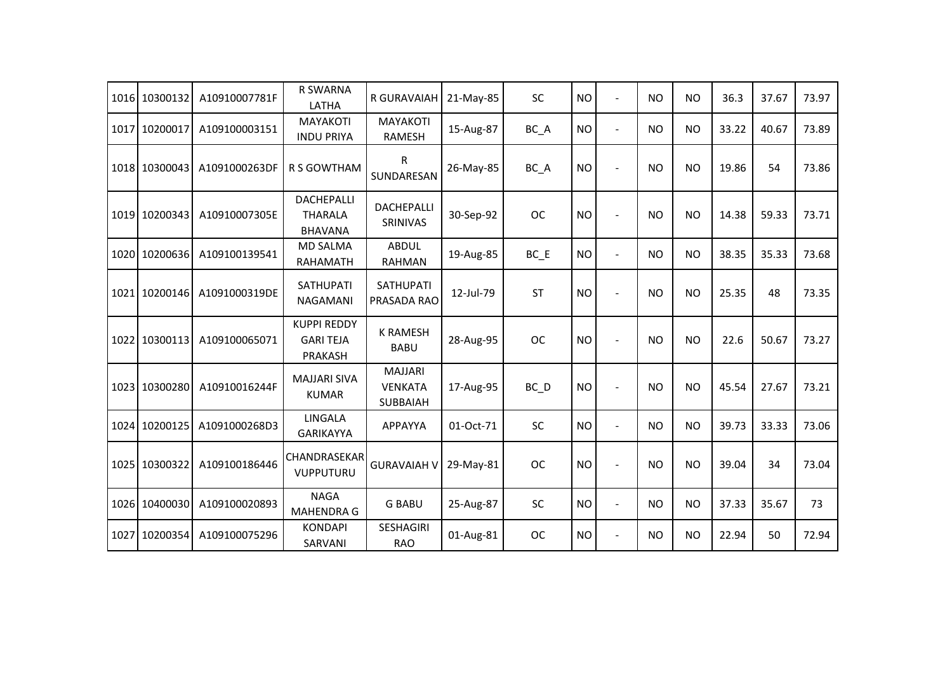|      | 1016 10300132 | A10910007781F | <b>R SWARNA</b><br>LATHA                              | R GURAVAIAH                                  | 21-May-85 | SC        | <b>NO</b> | $\overline{a}$ | N <sub>O</sub> | <b>NO</b> | 36.3  | 37.67 | 73.97 |
|------|---------------|---------------|-------------------------------------------------------|----------------------------------------------|-----------|-----------|-----------|----------------|----------------|-----------|-------|-------|-------|
| 1017 | 10200017      | A109100003151 | <b>MAYAKOTI</b><br><b>INDU PRIYA</b>                  | <b>MAYAKOTI</b><br>RAMESH                    | 15-Aug-87 | BC_A      | <b>NO</b> | $\blacksquare$ | <b>NO</b>      | <b>NO</b> | 33.22 | 40.67 | 73.89 |
|      | 1018 10300043 | A1091000263DF | <b>R S GOWTHAM</b>                                    | R<br>SUNDARESAN                              | 26-May-85 | BC_A      | <b>NO</b> | $\overline{a}$ | <b>NO</b>      | <b>NO</b> | 19.86 | 54    | 73.86 |
|      | 1019 10200343 | A10910007305E | <b>DACHEPALLI</b><br><b>THARALA</b><br><b>BHAVANA</b> | DACHEPALLI<br>SRINIVAS                       | 30-Sep-92 | <b>OC</b> | <b>NO</b> | $\overline{a}$ | <b>NO</b>      | <b>NO</b> | 14.38 | 59.33 | 73.71 |
|      | 1020 10200636 | A109100139541 | <b>MD SALMA</b><br><b>RAHAMATH</b>                    | <b>ABDUL</b><br><b>RAHMAN</b>                | 19-Aug-85 | BC E      | <b>NO</b> | $\blacksquare$ | <b>NO</b>      | <b>NO</b> | 38.35 | 35.33 | 73.68 |
|      | 1021 10200146 | A1091000319DE | <b>SATHUPATI</b><br><b>NAGAMANI</b>                   | <b>SATHUPATI</b><br>PRASADA RAO              | 12-Jul-79 | <b>ST</b> | <b>NO</b> | $\overline{a}$ | <b>NO</b>      | <b>NO</b> | 25.35 | 48    | 73.35 |
|      | 1022 10300113 | A109100065071 | <b>KUPPI REDDY</b><br><b>GARI TEJA</b><br>PRAKASH     | <b>K RAMESH</b><br><b>BABU</b>               | 28-Aug-95 | <b>OC</b> | <b>NO</b> |                | <b>NO</b>      | <b>NO</b> | 22.6  | 50.67 | 73.27 |
|      | 1023 10300280 | A10910016244F | <b>MAJJARI SIVA</b><br><b>KUMAR</b>                   | <b>MAJJARI</b><br><b>VENKATA</b><br>SUBBAIAH | 17-Aug-95 | BC_D      | <b>NO</b> | $\overline{a}$ | <b>NO</b>      | <b>NO</b> | 45.54 | 27.67 | 73.21 |
|      | 1024 10200125 | A1091000268D3 | LINGALA<br><b>GARIKAYYA</b>                           | APPAYYA                                      | 01-Oct-71 | SC        | <b>NO</b> | $\overline{a}$ | <b>NO</b>      | <b>NO</b> | 39.73 | 33.33 | 73.06 |
|      | 1025 10300322 | A109100186446 | CHANDRASEKAR<br>VUPPUTURU                             | <b>GURAVAIAH V</b>                           | 29-May-81 | <b>OC</b> | <b>NO</b> |                | <b>NO</b>      | <b>NO</b> | 39.04 | 34    | 73.04 |
|      | 1026 10400030 | A109100020893 | <b>NAGA</b><br><b>MAHENDRA G</b>                      | <b>G BABU</b>                                | 25-Aug-87 | SC        | <b>NO</b> | $\overline{a}$ | <b>NO</b>      | <b>NO</b> | 37.33 | 35.67 | 73    |
| 1027 | 10200354      | A109100075296 | <b>KONDAPI</b><br>SARVANI                             | <b>SESHAGIRI</b><br><b>RAO</b>               | 01-Aug-81 | <b>OC</b> | <b>NO</b> | $\overline{a}$ | <b>NO</b>      | <b>NO</b> | 22.94 | 50    | 72.94 |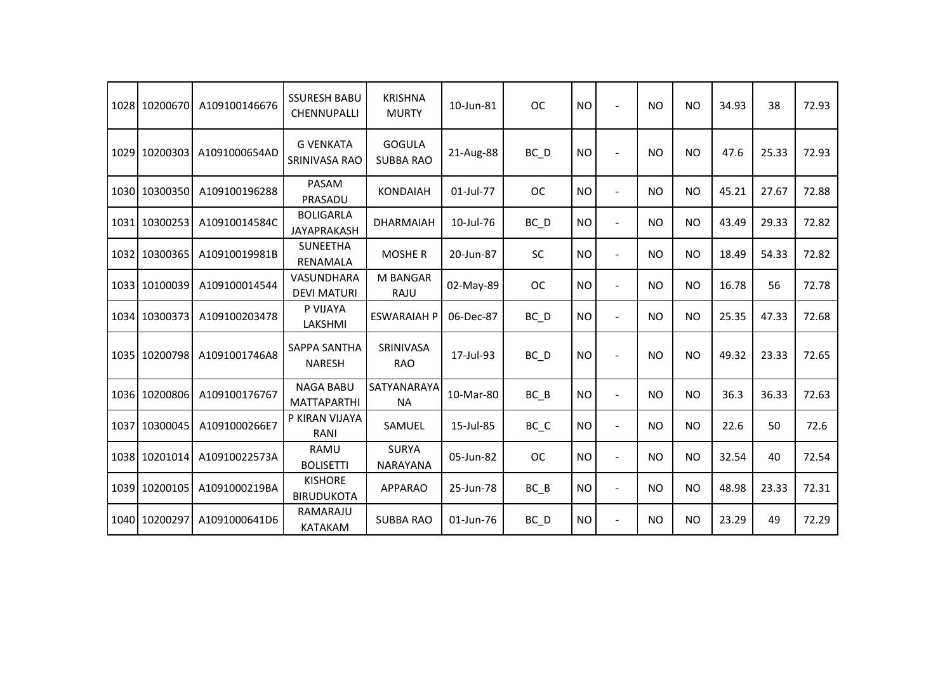|      | 1028 10200670 | A109100146676 | <b>SSURESH BABU</b><br>CHENNUPALLI     | <b>KRISHNA</b><br><b>MURTY</b>    | 10-Jun-81 | <b>OC</b>         | <b>NO</b> |                | <b>NO</b> | <b>NO</b> | 34.93 | 38    | 72.93 |
|------|---------------|---------------|----------------------------------------|-----------------------------------|-----------|-------------------|-----------|----------------|-----------|-----------|-------|-------|-------|
|      | 1029 10200303 | A1091000654AD | <b>G VENKATA</b><br>SRINIVASA RAO      | <b>GOGULA</b><br><b>SUBBA RAO</b> | 21-Aug-88 | $BC$ $D$          | <b>NO</b> |                | NO.       | <b>NO</b> | 47.6  | 25.33 | 72.93 |
|      | 1030 10300350 | A109100196288 | <b>PASAM</b><br>PRASADU                | <b>KONDAIAH</b>                   | 01-Jul-77 | <b>OC</b>         | <b>NO</b> | $\sim$         | NO        | <b>NO</b> | 45.21 | 27.67 | 72.88 |
|      | 1031 10300253 | A10910014584C | <b>BOLIGARLA</b><br><b>JAYAPRAKASH</b> | <b>DHARMAIAH</b>                  | 10-Jul-76 | $BC$ $D$          | <b>NO</b> | $\sim$         | NO        | <b>NO</b> | 43.49 | 29.33 | 72.82 |
| 1032 | 10300365      | A10910019981B | <b>SUNEETHA</b><br>RENAMALA            | <b>MOSHE R</b>                    | 20-Jun-87 | <b>SC</b>         | <b>NO</b> | $\blacksquare$ | NO        | <b>NO</b> | 18.49 | 54.33 | 72.82 |
|      | 1033 10100039 | A109100014544 | VASUNDHARA<br><b>DEVI MATURI</b>       | <b>M BANGAR</b><br>RAJU           | 02-May-89 | <b>OC</b>         | <b>NO</b> | $\blacksquare$ | NO        | <b>NO</b> | 16.78 | 56    | 72.78 |
|      | 1034 10300373 | A109100203478 | P VIJAYA<br>LAKSHMI                    | <b>ESWARAIAH P</b>                | 06-Dec-87 | $BC$ <sub>D</sub> | <b>NO</b> | $\overline{a}$ | NO.       | <b>NO</b> | 25.35 | 47.33 | 72.68 |
|      | 1035 10200798 | A1091001746A8 | SAPPA SANTHA<br><b>NARESH</b>          | SRINIVASA<br><b>RAO</b>           | 17-Jul-93 | $BC$ <sub>D</sub> | <b>NO</b> |                | <b>NO</b> | <b>NO</b> | 49.32 | 23.33 | 72.65 |
|      | 1036 10200806 | A109100176767 | <b>NAGA BABU</b><br><b>MATTAPARTHI</b> | SATYANARAYA<br><b>NA</b>          | 10-Mar-80 | BC B              | <b>NO</b> | $\blacksquare$ | NO        | <b>NO</b> | 36.3  | 36.33 | 72.63 |
|      | 1037 10300045 | A1091000266E7 | P KIRAN VIJAYA<br>RANI                 | SAMUEL                            | 15-Jul-85 | BC_C              | <b>NO</b> | $\sim$         | NO.       | NO.       | 22.6  | 50    | 72.6  |
|      | 1038 10201014 | A10910022573A | <b>RAMU</b><br><b>BOLISETTI</b>        | <b>SURYA</b><br><b>NARAYANA</b>   | 05-Jun-82 | <b>OC</b>         | <b>NO</b> | $\overline{a}$ | <b>NO</b> | <b>NO</b> | 32.54 | 40    | 72.54 |
|      | 1039 10200105 | A1091000219BA | <b>KISHORE</b><br><b>BIRUDUKOTA</b>    | <b>APPARAO</b>                    | 25-Jun-78 | $BC$ $B$          | <b>NO</b> | $\blacksquare$ | NO        | <b>NO</b> | 48.98 | 23.33 | 72.31 |
|      | 1040 10200297 | A1091000641D6 | RAMARAJU<br><b>KATAKAM</b>             | <b>SUBBA RAO</b>                  | 01-Jun-76 | $BC$ <sub>D</sub> | <b>NO</b> | $\sim$         | <b>NO</b> | <b>NO</b> | 23.29 | 49    | 72.29 |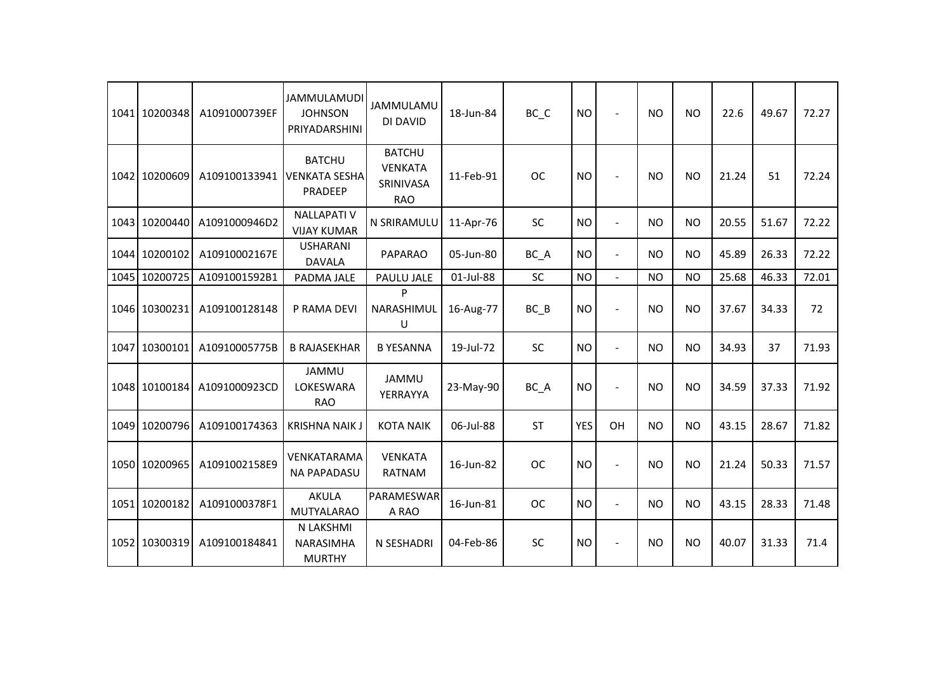|      | 1041 10200348 | A1091000739EF | <b>JAMMULAMUDI</b><br><b>JOHNSON</b><br>PRIYADARSHINI | <b>JAMMULAMU</b><br>DI DAVID                               | 18-Jun-84 | $BC$ <sub><math>C</math></sub> | <b>NO</b>  | $\overline{\phantom{a}}$ | <b>NO</b> | <b>NO</b>      | 22.6  | 49.67 | 72.27 |
|------|---------------|---------------|-------------------------------------------------------|------------------------------------------------------------|-----------|--------------------------------|------------|--------------------------|-----------|----------------|-------|-------|-------|
|      | 1042 10200609 | A109100133941 | <b>BATCHU</b><br><b>VENKATA SESHA</b><br>PRADEEP      | <b>BATCHU</b><br><b>VENKATA</b><br>SRINIVASA<br><b>RAO</b> | 11-Feb-91 | <b>OC</b>                      | <b>NO</b>  | $\overline{a}$           | <b>NO</b> | <b>NO</b>      | 21.24 | 51    | 72.24 |
|      | 1043 10200440 | A1091000946D2 | <b>NALLAPATI V</b><br><b>VIJAY KUMAR</b>              | N SRIRAMULU                                                | 11-Apr-76 | SC                             | <b>NO</b>  | $\blacksquare$           | <b>NO</b> | <b>NO</b>      | 20.55 | 51.67 | 72.22 |
|      | 1044 10200102 | A10910002167E | <b>USHARANI</b><br><b>DAVALA</b>                      | <b>PAPARAO</b>                                             | 05-Jun-80 | BC_A                           | <b>NO</b>  | $\blacksquare$           | <b>NO</b> | <b>NO</b>      | 45.89 | 26.33 | 72.22 |
|      | 1045 10200725 | A1091001592B1 | PADMA JALE                                            | PAULU JALE                                                 | 01-Jul-88 | <b>SC</b>                      | <b>NO</b>  | $\blacksquare$           | <b>NO</b> | <b>NO</b>      | 25.68 | 46.33 | 72.01 |
|      | 1046 10300231 | A109100128148 | P RAMA DEVI                                           | P<br>NARASHIMUL<br>U                                       | 16-Aug-77 | $BC$ $B$                       | <b>NO</b>  | $\overline{a}$           | <b>NO</b> | <b>NO</b>      | 37.67 | 34.33 | 72    |
| 1047 | 10300101      | A10910005775B | <b>B RAJASEKHAR</b>                                   | <b>B YESANNA</b>                                           | 19-Jul-72 | <b>SC</b>                      | <b>NO</b>  | $\overline{a}$           | <b>NO</b> | <b>NO</b>      | 34.93 | 37    | 71.93 |
|      | 1048 10100184 | A1091000923CD | <b>JAMMU</b><br>LOKESWARA<br><b>RAO</b>               | <b>JAMMU</b><br>YERRAYYA                                   | 23-May-90 | BC_A                           | <b>NO</b>  | $\overline{a}$           | <b>NO</b> | N <sub>O</sub> | 34.59 | 37.33 | 71.92 |
|      | 1049 10200796 | A109100174363 | <b>KRISHNA NAIK J</b>                                 | <b>KOTA NAIK</b>                                           | 06-Jul-88 | <b>ST</b>                      | <b>YES</b> | OH                       | <b>NO</b> | <b>NO</b>      | 43.15 | 28.67 | 71.82 |
|      | 1050 10200965 | A1091002158E9 | VENKATARAMA<br><b>NA PAPADASU</b>                     | <b>VENKATA</b><br><b>RATNAM</b>                            | 16-Jun-82 | <b>OC</b>                      | <b>NO</b>  | $\overline{a}$           | <b>NO</b> | <b>NO</b>      | 21.24 | 50.33 | 71.57 |
|      | 1051 10200182 | A1091000378F1 | <b>AKULA</b><br><b>MUTYALARAO</b>                     | PARAMESWAR<br>A RAO                                        | 16-Jun-81 | <b>OC</b>                      | <b>NO</b>  | $\overline{a}$           | <b>NO</b> | <b>NO</b>      | 43.15 | 28.33 | 71.48 |
|      | 1052 10300319 | A109100184841 | N LAKSHMI<br><b>NARASIMHA</b><br><b>MURTHY</b>        | N SESHADRI                                                 | 04-Feb-86 | SC                             | <b>NO</b>  | $\overline{a}$           | <b>NO</b> | <b>NO</b>      | 40.07 | 31.33 | 71.4  |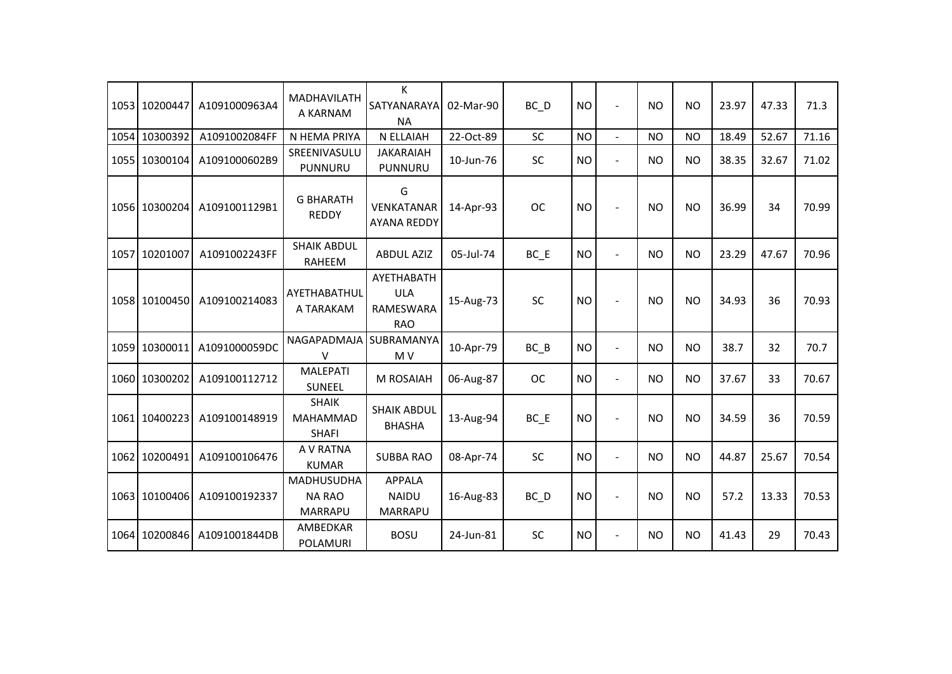|      | 1053 10200447 | A1091000963A4 | <b>MADHAVILATH</b><br>A KARNAM                       | K<br>SATYANARAYA<br><b>NA</b>                              | 02-Mar-90 | $BC$ <sub>D</sub> | <b>NO</b> | $\sim$         | <b>NO</b> | <b>NO</b> | 23.97 | 47.33 | 71.3  |
|------|---------------|---------------|------------------------------------------------------|------------------------------------------------------------|-----------|-------------------|-----------|----------------|-----------|-----------|-------|-------|-------|
|      | 1054 10300392 | A1091002084FF | N HEMA PRIYA                                         | N ELLAIAH                                                  | 22-Oct-89 | <b>SC</b>         | <b>NO</b> | $\mathbf{r}$   | <b>NO</b> | <b>NO</b> | 18.49 | 52.67 | 71.16 |
|      | 1055 10300104 | A1091000602B9 | SREENIVASULU<br>PUNNURU                              | <b>JAKARAIAH</b><br>PUNNURU                                | 10-Jun-76 | SC                | <b>NO</b> | $\blacksquare$ | <b>NO</b> | <b>NO</b> | 38.35 | 32.67 | 71.02 |
|      | 1056 10300204 | A1091001129B1 | <b>G BHARATH</b><br><b>REDDY</b>                     | G<br>VENKATANAR<br><b>AYANA REDDY</b>                      | 14-Apr-93 | <b>OC</b>         | <b>NO</b> |                | <b>NO</b> | <b>NO</b> | 36.99 | 34    | 70.99 |
| 1057 | 10201007      | A1091002243FF | <b>SHAIK ABDUL</b><br>RAHEEM                         | <b>ABDUL AZIZ</b>                                          | 05-Jul-74 | $BC$ $E$          | <b>NO</b> | $\overline{a}$ | <b>NO</b> | NO        | 23.29 | 47.67 | 70.96 |
|      | 1058 10100450 | A109100214083 | AYETHABATHUL<br>A TARAKAM                            | AYETHABATH<br><b>ULA</b><br><b>RAMESWARA</b><br><b>RAO</b> | 15-Aug-73 | SC                | <b>NO</b> |                | <b>NO</b> | <b>NO</b> | 34.93 | 36    | 70.93 |
|      | 1059 10300011 | A1091000059DC | NAGAPADMAJA<br>$\vee$                                | SUBRAMANYA<br>M <sub>V</sub>                               | 10-Apr-79 | $BC$ $B$          | <b>NO</b> | $\blacksquare$ | <b>NO</b> | <b>NO</b> | 38.7  | 32    | 70.7  |
|      | 1060 10300202 | A109100112712 | <b>MALEPATI</b><br>SUNEEL                            | M ROSAIAH                                                  | 06-Aug-87 | <b>OC</b>         | <b>NO</b> | $\blacksquare$ | <b>NO</b> | <b>NO</b> | 37.67 | 33    | 70.67 |
|      | 1061 10400223 | A109100148919 | <b>SHAIK</b><br>MAHAMMAD<br><b>SHAFI</b>             | <b>SHAIK ABDUL</b><br><b>BHASHA</b>                        | 13-Aug-94 | BC E              | <b>NO</b> | $\overline{a}$ | <b>NO</b> | <b>NO</b> | 34.59 | 36    | 70.59 |
|      | 1062 10200491 | A109100106476 | A V RATNA<br><b>KUMAR</b>                            | <b>SUBBA RAO</b>                                           | 08-Apr-74 | <b>SC</b>         | <b>NO</b> | $\overline{a}$ | <b>NO</b> | <b>NO</b> | 44.87 | 25.67 | 70.54 |
|      | 1063 10100406 | A109100192337 | <b>MADHUSUDHA</b><br><b>NA RAO</b><br><b>MARRAPU</b> | <b>APPALA</b><br><b>NAIDU</b><br>MARRAPU                   | 16-Aug-83 | $BC$ <sub>D</sub> | <b>NO</b> | $\overline{a}$ | <b>NO</b> | NO        | 57.2  | 13.33 | 70.53 |
|      | 1064 10200846 | A1091001844DB | AMBEDKAR<br>POLAMURI                                 | <b>BOSU</b>                                                | 24-Jun-81 | SC                | <b>NO</b> | $\blacksquare$ | <b>NO</b> | <b>NO</b> | 41.43 | 29    | 70.43 |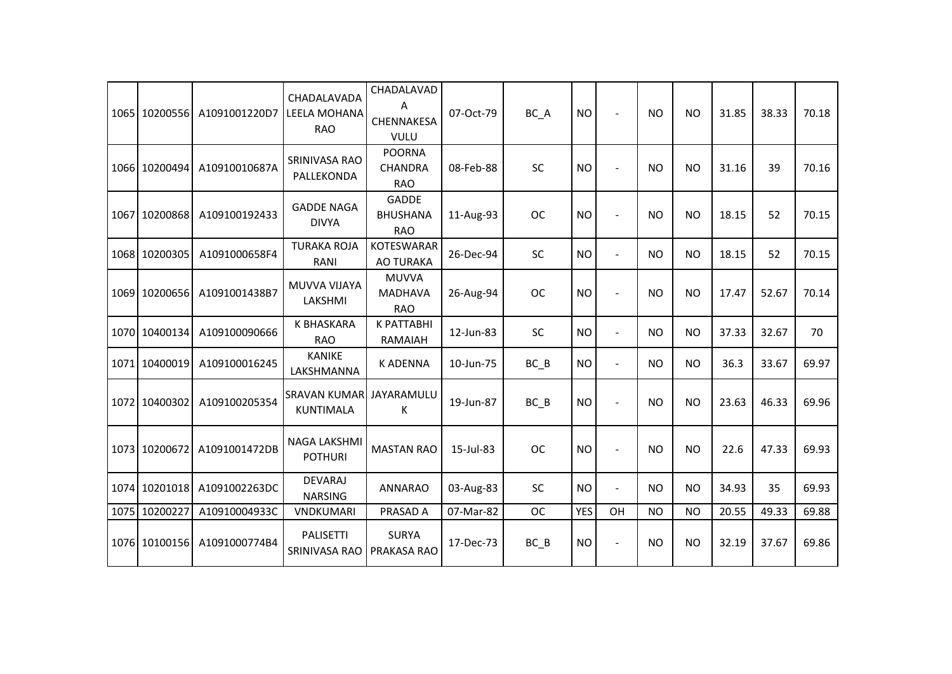|      | 1065 10200556 | A1091001220D7 | CHADALAVADA<br>LEELA MOHANA<br><b>RAO</b> | CHADALAVAD<br>A<br>CHENNAKESA<br><b>VULU</b>  | 07-Oct-79 | BC_A      | <b>NO</b>  | $\sim$               | <b>NO</b> | <b>NO</b> | 31.85 | 38.33 | 70.18 |
|------|---------------|---------------|-------------------------------------------|-----------------------------------------------|-----------|-----------|------------|----------------------|-----------|-----------|-------|-------|-------|
|      | 1066 10200494 | A10910010687A | SRINIVASA RAO<br>PALLEKONDA               | <b>POORNA</b><br><b>CHANDRA</b><br><b>RAO</b> | 08-Feb-88 | SC        | <b>NO</b>  |                      | NO        | <b>NO</b> | 31.16 | 39    | 70.16 |
|      | 1067 10200868 | A109100192433 | <b>GADDE NAGA</b><br><b>DIVYA</b>         | <b>GADDE</b><br><b>BHUSHANA</b><br><b>RAO</b> | 11-Aug-93 | <b>OC</b> | <b>NO</b>  |                      | <b>NO</b> | <b>NO</b> | 18.15 | 52    | 70.15 |
|      | 1068 10200305 | A1091000658F4 | <b>TURAKA ROJA</b><br>RANI                | <b>KOTESWARAR</b><br><b>AO TURAKA</b>         | 26-Dec-94 | SC        | <b>NO</b>  | $\blacksquare$       | NO.       | NO        | 18.15 | 52    | 70.15 |
|      | 1069 10200656 | A1091001438B7 | MUVVA VIJAYA<br>LAKSHMI                   | <b>MUVVA</b><br><b>MADHAVA</b><br><b>RAO</b>  | 26-Aug-94 | <b>OC</b> | <b>NO</b>  |                      | NO        | <b>NO</b> | 17.47 | 52.67 | 70.14 |
|      | 1070 10400134 | A109100090666 | <b>K BHASKARA</b><br><b>RAO</b>           | <b>K PATTABHI</b><br>RAMAIAH                  | 12-Jun-83 | SC        | <b>NO</b>  | $\sim$               | NO        | <b>NO</b> | 37.33 | 32.67 | 70    |
| 1071 | 10400019      | A109100016245 | <b>KANIKE</b><br>LAKSHMANNA               | <b>K ADENNA</b>                               | 10-Jun-75 | BC B      | <b>NO</b>  | $\blacksquare$       | <b>NO</b> | <b>NO</b> | 36.3  | 33.67 | 69.97 |
|      | 1072 10400302 | A109100205354 | <b>SRAVAN KUMAR</b><br><b>KUNTIMALA</b>   | JAYARAMULU<br>К                               | 19-Jun-87 | BC B      | <b>NO</b>  |                      | <b>NO</b> | <b>NO</b> | 23.63 | 46.33 | 69.96 |
|      | 1073 10200672 | A1091001472DB | <b>NAGA LAKSHMI</b><br><b>POTHURI</b>     | <b>MASTAN RAO</b>                             | 15-Jul-83 | <b>OC</b> | <b>NO</b>  |                      | NO        | <b>NO</b> | 22.6  | 47.33 | 69.93 |
|      | 1074 10201018 | A1091002263DC | <b>DEVARAJ</b><br><b>NARSING</b>          | <b>ANNARAO</b>                                | 03-Aug-83 | SC        | <b>NO</b>  | $\ddot{\phantom{1}}$ | NO.       | <b>NO</b> | 34.93 | 35    | 69.93 |
|      | 1075 10200227 | A10910004933C | <b>VNDKUMARI</b>                          | PRASAD A                                      | 07-Mar-82 | <b>OC</b> | <b>YES</b> | OH                   | NO        | <b>NO</b> | 20.55 | 49.33 | 69.88 |
|      | 1076 10100156 | A1091000774B4 | <b>PALISETTI</b><br>SRINIVASA RAO         | <b>SURYA</b><br>PRAKASA RAO                   | 17-Dec-73 | $BC$ $B$  | <b>NO</b>  | $\sim$               | <b>NO</b> | <b>NO</b> | 32.19 | 37.67 | 69.86 |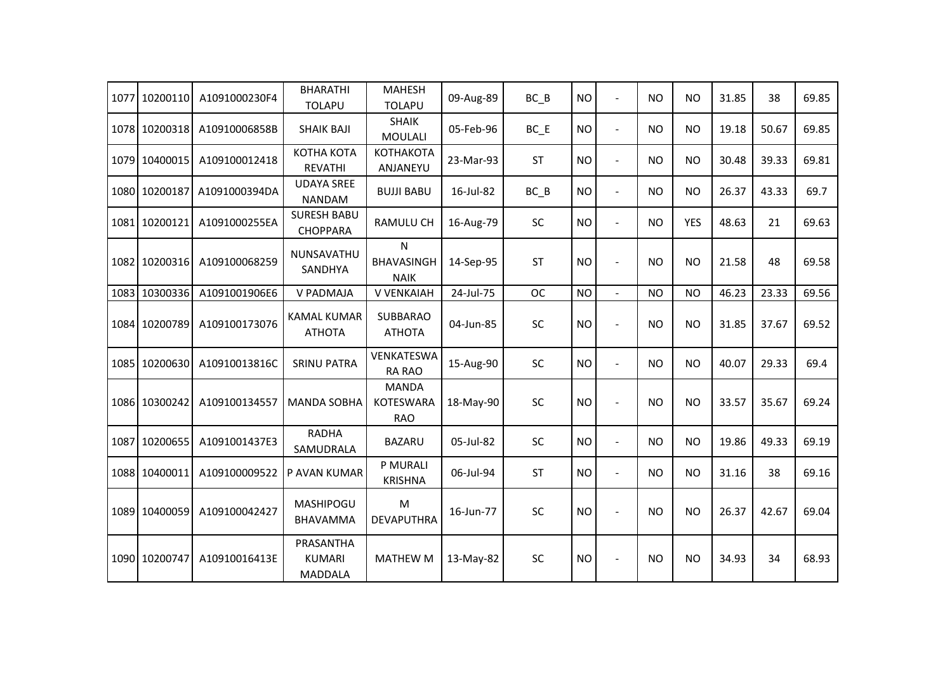| 1077 | 10200110      | A1091000230F4 | <b>BHARATHI</b><br><b>TOLAPU</b>             | <b>MAHESH</b><br><b>TOLAPU</b>                   | 09-Aug-89 | $BC$ $B$  | <b>NO</b> | $\overline{a}$           | <b>NO</b> | <b>NO</b>  | 31.85 | 38    | 69.85 |
|------|---------------|---------------|----------------------------------------------|--------------------------------------------------|-----------|-----------|-----------|--------------------------|-----------|------------|-------|-------|-------|
|      | 1078 10200318 | A10910006858B | <b>SHAIK BAJI</b>                            | <b>SHAIK</b><br><b>MOULALI</b>                   | 05-Feb-96 | $BC$ $E$  | <b>NO</b> | $\overline{a}$           | <b>NO</b> | <b>NO</b>  | 19.18 | 50.67 | 69.85 |
| 1079 | 10400015      | A109100012418 | КОТНА КОТА<br><b>REVATHI</b>                 | <b>КОТНАКОТА</b><br>ANJANEYU                     | 23-Mar-93 | <b>ST</b> | <b>NO</b> | $\overline{a}$           | <b>NO</b> | <b>NO</b>  | 30.48 | 39.33 | 69.81 |
|      | 1080 10200187 | A1091000394DA | <b>UDAYA SREE</b><br><b>NANDAM</b>           | <b>BUJJI BABU</b>                                | 16-Jul-82 | $BC$ $B$  | <b>NO</b> | $\overline{\phantom{a}}$ | <b>NO</b> | <b>NO</b>  | 26.37 | 43.33 | 69.7  |
|      | 1081 10200121 | A1091000255EA | <b>SURESH BABU</b><br><b>CHOPPARA</b>        | RAMULU CH                                        | 16-Aug-79 | SC        | <b>NO</b> | $\blacksquare$           | <b>NO</b> | <b>YES</b> | 48.63 | 21    | 69.63 |
|      | 1082 10200316 | A109100068259 | NUNSAVATHU<br>SANDHYA                        | $\mathsf{N}$<br><b>BHAVASINGH</b><br><b>NAIK</b> | 14-Sep-95 | <b>ST</b> | <b>NO</b> | $\overline{a}$           | <b>NO</b> | <b>NO</b>  | 21.58 | 48    | 69.58 |
|      | 1083 10300336 | A1091001906E6 | V PADMAJA                                    | V VENKAIAH                                       | 24-Jul-75 | <b>OC</b> | <b>NO</b> | $\blacksquare$           | <b>NO</b> | <b>NO</b>  | 46.23 | 23.33 | 69.56 |
|      | 1084 10200789 | A109100173076 | <b>KAMAL KUMAR</b><br><b>ATHOTA</b>          | <b>SUBBARAO</b><br><b>ATHOTA</b>                 | 04-Jun-85 | SC        | <b>NO</b> |                          | <b>NO</b> | <b>NO</b>  | 31.85 | 37.67 | 69.52 |
|      | 1085 10200630 | A10910013816C | <b>SRINU PATRA</b>                           | VENKATESWA<br><b>RA RAO</b>                      | 15-Aug-90 | SC        | <b>NO</b> | $\blacksquare$           | <b>NO</b> | <b>NO</b>  | 40.07 | 29.33 | 69.4  |
|      | 1086 10300242 | A109100134557 | <b>MANDA SOBHA</b>                           | <b>MANDA</b><br><b>KOTESWARA</b><br><b>RAO</b>   | 18-May-90 | <b>SC</b> | <b>NO</b> | $\overline{a}$           | <b>NO</b> | <b>NO</b>  | 33.57 | 35.67 | 69.24 |
| 1087 | 10200655      | A1091001437E3 | <b>RADHA</b><br>SAMUDRALA                    | <b>BAZARU</b>                                    | 05-Jul-82 | SC        | <b>NO</b> | $\overline{a}$           | <b>NO</b> | <b>NO</b>  | 19.86 | 49.33 | 69.19 |
|      | 1088 10400011 | A109100009522 | P AVAN KUMAR                                 | P MURALI<br><b>KRISHNA</b>                       | 06-Jul-94 | <b>ST</b> | <b>NO</b> | $\overline{a}$           | <b>NO</b> | <b>NO</b>  | 31.16 | 38    | 69.16 |
|      | 1089 10400059 | A109100042427 | <b>MASHIPOGU</b><br><b>BHAVAMMA</b>          | M<br><b>DEVAPUTHRA</b>                           | 16-Jun-77 | SC        | <b>NO</b> | L,                       | <b>NO</b> | <b>NO</b>  | 26.37 | 42.67 | 69.04 |
|      | 1090 10200747 | A10910016413E | PRASANTHA<br><b>KUMARI</b><br><b>MADDALA</b> | <b>MATHEW M</b>                                  | 13-May-82 | SC        | <b>NO</b> |                          | <b>NO</b> | <b>NO</b>  | 34.93 | 34    | 68.93 |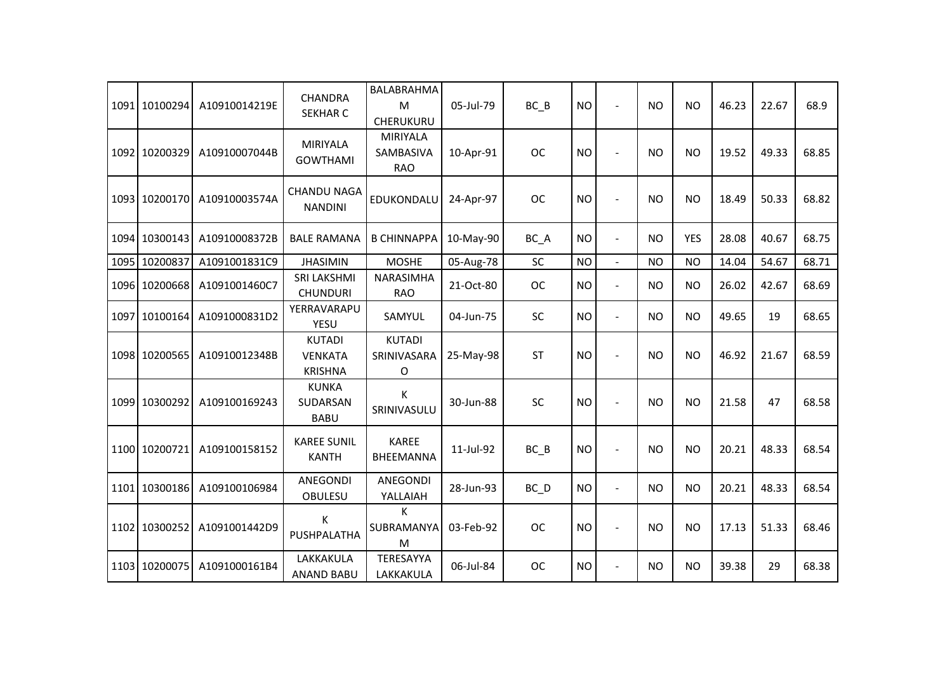|      | 1091 10100294 | A10910014219E | <b>CHANDRA</b><br><b>SEKHAR C</b>                 | BALABRAHMA<br>M<br>CHERUKURU               | 05-Jul-79 | $BC$ $B$  | <b>NO</b> | $\blacksquare$           | <b>NO</b> | <b>NO</b>  | 46.23 | 22.67 | 68.9  |
|------|---------------|---------------|---------------------------------------------------|--------------------------------------------|-----------|-----------|-----------|--------------------------|-----------|------------|-------|-------|-------|
|      | 1092 10200329 | A10910007044B | <b>MIRIYALA</b><br><b>GOWTHAMI</b>                | <b>MIRIYALA</b><br>SAMBASIVA<br><b>RAO</b> | 10-Apr-91 | <b>OC</b> | <b>NO</b> | $\overline{\phantom{a}}$ | <b>NO</b> | <b>NO</b>  | 19.52 | 49.33 | 68.85 |
|      | 1093 10200170 | A10910003574A | <b>CHANDU NAGA</b><br><b>NANDINI</b>              | EDUKONDALU                                 | 24-Apr-97 | <b>OC</b> | <b>NO</b> | $\overline{a}$           | <b>NO</b> | <b>NO</b>  | 18.49 | 50.33 | 68.82 |
|      | 1094 10300143 | A10910008372B | <b>BALE RAMANA</b>                                | <b>B CHINNAPPA</b>                         | 10-May-90 | BC_A      | <b>NO</b> | $\blacksquare$           | <b>NO</b> | <b>YES</b> | 28.08 | 40.67 | 68.75 |
| 1095 | 10200837      | A1091001831C9 | <b>JHASIMIN</b>                                   | <b>MOSHE</b>                               | 05-Aug-78 | <b>SC</b> | <b>NO</b> | $\mathbf{r}$             | <b>NO</b> | <b>NO</b>  | 14.04 | 54.67 | 68.71 |
|      | 1096 10200668 | A1091001460C7 | <b>SRI LAKSHMI</b><br><b>CHUNDURI</b>             | <b>NARASIMHA</b><br><b>RAO</b>             | 21-Oct-80 | <b>OC</b> | <b>NO</b> | $\blacksquare$           | <b>NO</b> | <b>NO</b>  | 26.02 | 42.67 | 68.69 |
|      | 1097 10100164 | A1091000831D2 | YERRAVARAPU<br>YESU                               | SAMYUL                                     | 04-Jun-75 | SC        | <b>NO</b> | $\blacksquare$           | <b>NO</b> | <b>NO</b>  | 49.65 | 19    | 68.65 |
|      | 1098 10200565 | A10910012348B | <b>KUTADI</b><br><b>VENKATA</b><br><b>KRISHNA</b> | <b>KUTADI</b><br>SRINIVASARA<br>O          | 25-May-98 | <b>ST</b> | <b>NO</b> | $\overline{a}$           | <b>NO</b> | <b>NO</b>  | 46.92 | 21.67 | 68.59 |
|      | 1099 10300292 | A109100169243 | <b>KUNKA</b><br><b>SUDARSAN</b><br><b>BABU</b>    | К<br>SRINIVASULU                           | 30-Jun-88 | SC        | <b>NO</b> | $\overline{\phantom{a}}$ | <b>NO</b> | <b>NO</b>  | 21.58 | 47    | 68.58 |
|      | 1100 10200721 | A109100158152 | <b>KAREE SUNIL</b><br><b>KANTH</b>                | <b>KAREE</b><br>BHEEMANNA                  | 11-Jul-92 | $BC$ $B$  | <b>NO</b> | $\blacksquare$           | <b>NO</b> | <b>NO</b>  | 20.21 | 48.33 | 68.54 |
|      | 1101 10300186 | A109100106984 | <b>ANEGONDI</b><br>OBULESU                        | ANEGONDI<br>YALLAIAH                       | 28-Jun-93 | BC_D      | <b>NO</b> | $\blacksquare$           | <b>NO</b> | <b>NO</b>  | 20.21 | 48.33 | 68.54 |
|      | 1102 10300252 | A1091001442D9 | K<br>PUSHPALATHA                                  | К<br>SUBRAMANYA<br>M                       | 03-Feb-92 | <b>OC</b> | <b>NO</b> | $\blacksquare$           | <b>NO</b> | <b>NO</b>  | 17.13 | 51.33 | 68.46 |
|      | 1103 10200075 | A1091000161B4 | LAKKAKULA<br><b>ANAND BABU</b>                    | TERESAYYA<br>LAKKAKULA                     | 06-Jul-84 | <b>OC</b> | <b>NO</b> | $\overline{a}$           | <b>NO</b> | <b>NO</b>  | 39.38 | 29    | 68.38 |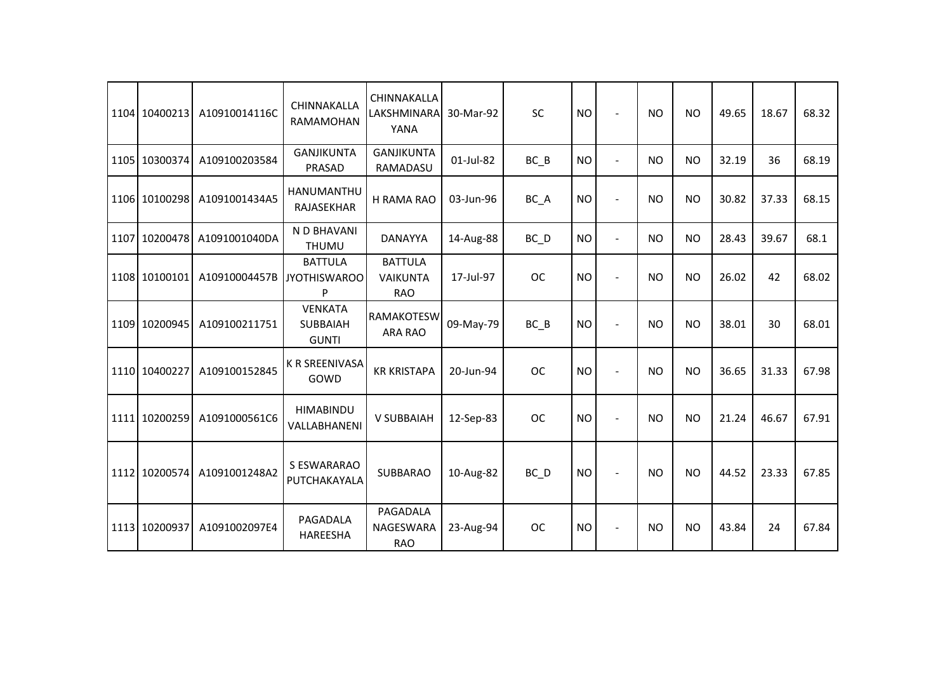| 1104 10400213 | A10910014116C              | CHINNAKALLA<br>RAMAMOHAN                          | CHINNAKALLA<br>LAKSHMINARA<br>YANA              | 30-Mar-92 | SC                | <b>NO</b> | $\overline{a}$ | <b>NO</b> | <b>NO</b> | 49.65 | 18.67 | 68.32 |
|---------------|----------------------------|---------------------------------------------------|-------------------------------------------------|-----------|-------------------|-----------|----------------|-----------|-----------|-------|-------|-------|
| 1105 10300374 | A109100203584              | <b>GANJIKUNTA</b><br>PRASAD                       | <b>GANJIKUNTA</b><br>RAMADASU                   | 01-Jul-82 | $BC$ $B$          | <b>NO</b> | $\blacksquare$ | <b>NO</b> | <b>NO</b> | 32.19 | 36    | 68.19 |
| 1106 10100298 | A1091001434A5              | <b>HANUMANTHU</b><br>RAJASEKHAR                   | H RAMA RAO                                      | 03-Jun-96 | BC_A              | <b>NO</b> |                | <b>NO</b> | <b>NO</b> | 30.82 | 37.33 | 68.15 |
| 1107 10200478 | A1091001040DA              | N D BHAVANI<br><b>THUMU</b>                       | <b>DANAYYA</b>                                  | 14-Aug-88 | $BC$ <sub>D</sub> | <b>NO</b> | $\blacksquare$ | <b>NO</b> | <b>NO</b> | 28.43 | 39.67 | 68.1  |
| 1108 10100101 | A10910004457B JYOTHISWAROO | <b>BATTULA</b><br>P                               | <b>BATTULA</b><br><b>VAIKUNTA</b><br><b>RAO</b> | 17-Jul-97 | <b>OC</b>         | <b>NO</b> | $\sim$         | <b>NO</b> | <b>NO</b> | 26.02 | 42    | 68.02 |
| 1109 10200945 | A109100211751              | <b>VENKATA</b><br><b>SUBBAIAH</b><br><b>GUNTI</b> | RAMAKOTESW<br><b>ARA RAO</b>                    | 09-May-79 | BC B              | <b>NO</b> | $\overline{a}$ | <b>NO</b> | <b>NO</b> | 38.01 | 30    | 68.01 |
| 1110 10400227 | A109100152845              | <b>K R SREENIVASA</b><br>GOWD                     | <b>KR KRISTAPA</b>                              | 20-Jun-94 | <b>OC</b>         | <b>NO</b> |                | <b>NO</b> | <b>NO</b> | 36.65 | 31.33 | 67.98 |
| 1111 10200259 | A1091000561C6              | <b>HIMABINDU</b><br>VALLABHANENI                  | <b>V SUBBAIAH</b>                               | 12-Sep-83 | <b>OC</b>         | <b>NO</b> |                | <b>NO</b> | <b>NO</b> | 21.24 | 46.67 | 67.91 |
| 1112 10200574 | A1091001248A2              | S ESWARARAO<br>PUTCHAKAYALA                       | <b>SUBBARAO</b>                                 | 10-Aug-82 | BC D              | <b>NO</b> | $\sim$         | <b>NO</b> | <b>NO</b> | 44.52 | 23.33 | 67.85 |
| 1113 10200937 | A1091002097E4              | PAGADALA<br>HAREESHA                              | PAGADALA<br>NAGESWARA<br><b>RAO</b>             | 23-Aug-94 | <b>OC</b>         | <b>NO</b> | $\overline{a}$ | <b>NO</b> | <b>NO</b> | 43.84 | 24    | 67.84 |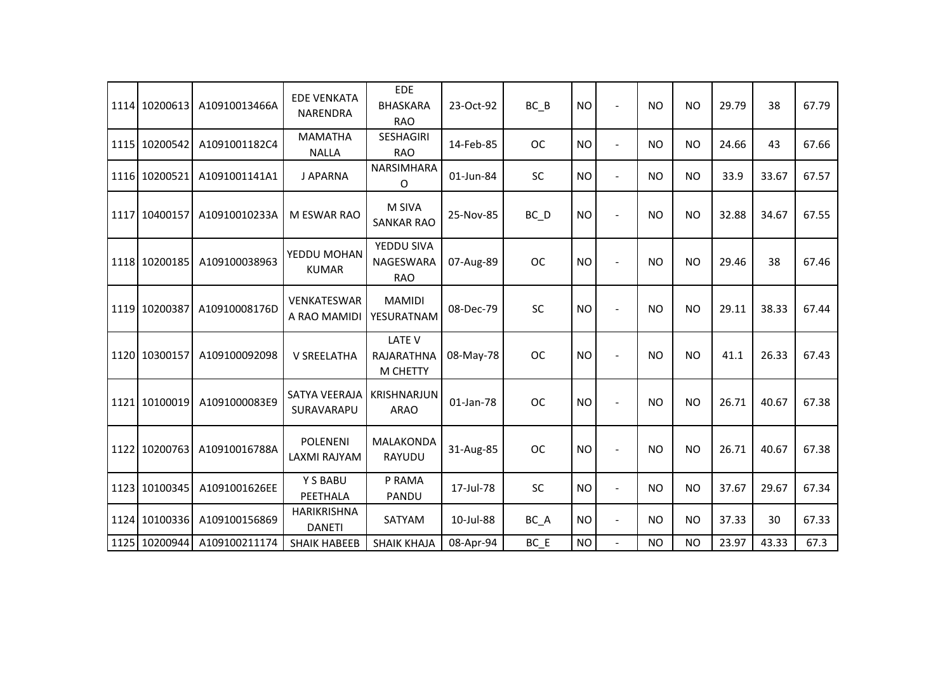| 1114 10200613 | A10910013466A | <b>EDE VENKATA</b><br><b>NARENDRA</b> | <b>EDE</b><br><b>BHASKARA</b><br><b>RAO</b> | 23-Oct-92 | $BC$ $B$  | <b>NO</b> | $\sim$         | <b>NO</b> | <b>NO</b> | 29.79 | 38    | 67.79 |
|---------------|---------------|---------------------------------------|---------------------------------------------|-----------|-----------|-----------|----------------|-----------|-----------|-------|-------|-------|
| 1115 10200542 | A1091001182C4 | <b>MAMATHA</b><br><b>NALLA</b>        | SESHAGIRI<br><b>RAO</b>                     | 14-Feb-85 | <b>OC</b> | <b>NO</b> | $\sim$         | <b>NO</b> | <b>NO</b> | 24.66 | 43    | 67.66 |
| 1116 10200521 | A1091001141A1 | J APARNA                              | NARSIMHARA<br>O                             | 01-Jun-84 | <b>SC</b> | <b>NO</b> | $\sim$         | <b>NO</b> | NO        | 33.9  | 33.67 | 67.57 |
| 1117 10400157 | A10910010233A | <b>M ESWAR RAO</b>                    | M SIVA<br><b>SANKAR RAO</b>                 | 25-Nov-85 | BC D      | <b>NO</b> | $\blacksquare$ | <b>NO</b> | <b>NO</b> | 32.88 | 34.67 | 67.55 |
| 1118 10200185 | A109100038963 | YEDDU MOHAN<br><b>KUMAR</b>           | YEDDU SIVA<br>NAGESWARA<br><b>RAO</b>       | 07-Aug-89 | <b>OC</b> | <b>NO</b> |                | <b>NO</b> | <b>NO</b> | 29.46 | 38    | 67.46 |
| 1119 10200387 | A10910008176D | <b>VENKATESWAR</b><br>A RAO MAMIDI    | <b>MAMIDI</b><br>YESURATNAM                 | 08-Dec-79 | SC        | <b>NO</b> | $\blacksquare$ | <b>NO</b> | <b>NO</b> | 29.11 | 38.33 | 67.44 |
| 1120 10300157 | A109100092098 | V SREELATHA                           | <b>LATE V</b><br>RAJARATHNA<br>M CHETTY     | 08-May-78 | <b>OC</b> | <b>NO</b> |                | <b>NO</b> | <b>NO</b> | 41.1  | 26.33 | 67.43 |
| 1121 10100019 | A1091000083E9 | <b>SATYA VEERAJA</b><br>SURAVARAPU    | <b>KRISHNARJUN</b><br><b>ARAO</b>           | 01-Jan-78 | <b>OC</b> | <b>NO</b> |                | <b>NO</b> | <b>NO</b> | 26.71 | 40.67 | 67.38 |
| 1122 10200763 | A10910016788A | <b>POLENENI</b><br>LAXMI RAJYAM       | <b>MALAKONDA</b><br><b>RAYUDU</b>           | 31-Aug-85 | <b>OC</b> | <b>NO</b> | $\sim$         | <b>NO</b> | <b>NO</b> | 26.71 | 40.67 | 67.38 |
| 1123 10100345 | A1091001626EE | Y S BABU<br>PEETHALA                  | P RAMA<br>PANDU                             | 17-Jul-78 | SC        | <b>NO</b> | $\blacksquare$ | <b>NO</b> | <b>NO</b> | 37.67 | 29.67 | 67.34 |
| 1124 10100336 | A109100156869 | HARIKRISHNA<br><b>DANETI</b>          | SATYAM                                      | 10-Jul-88 | BC_A      | <b>NO</b> | $\blacksquare$ | <b>NO</b> | <b>NO</b> | 37.33 | 30    | 67.33 |
| 1125 10200944 | A109100211174 | <b>SHAIK HABEEB</b>                   | <b>SHAIK KHAJA</b>                          | 08-Apr-94 | BC E      | <b>NO</b> | $\blacksquare$ | <b>NO</b> | <b>NO</b> | 23.97 | 43.33 | 67.3  |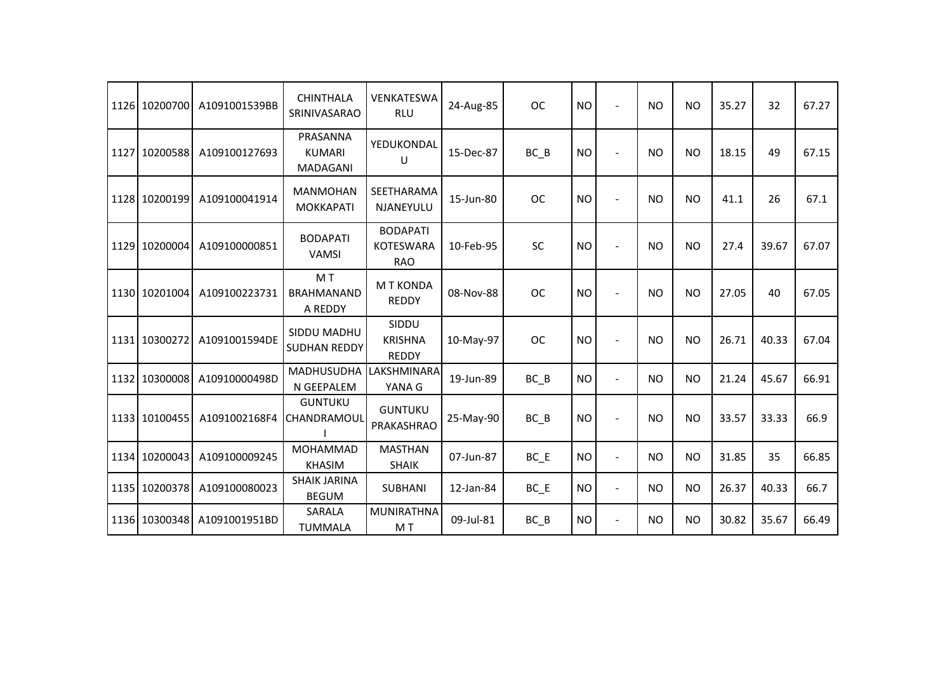| 1126 10200700 | A1091001539BB | <b>CHINTHALA</b><br>SRINIVASARAO          | VENKATESWA<br><b>RLU</b>                          | 24-Aug-85 | <b>OC</b> | <b>NO</b> |                | <b>NO</b>      | <b>NO</b> | 35.27 | 32    | 67.27 |
|---------------|---------------|-------------------------------------------|---------------------------------------------------|-----------|-----------|-----------|----------------|----------------|-----------|-------|-------|-------|
| 1127 10200588 | A109100127693 | PRASANNA<br><b>KUMARI</b><br>MADAGANI     | YEDUKONDAL<br>U                                   | 15-Dec-87 | BC B      | <b>NO</b> | ÷.             | <b>NO</b>      | <b>NO</b> | 18.15 | 49    | 67.15 |
| 1128 10200199 | A109100041914 | <b>MANMOHAN</b><br><b>MOKKAPATI</b>       | SEETHARAMA<br>NJANEYULU                           | 15-Jun-80 | <b>OC</b> | <b>NO</b> | $\blacksquare$ | <b>NO</b>      | <b>NO</b> | 41.1  | 26    | 67.1  |
| 1129 10200004 | A109100000851 | <b>BODAPATI</b><br><b>VAMSI</b>           | <b>BODAPATI</b><br><b>KOTESWARA</b><br><b>RAO</b> | 10-Feb-95 | SC        | <b>NO</b> |                | <b>NO</b>      | <b>NO</b> | 27.4  | 39.67 | 67.07 |
| 1130 10201004 | A109100223731 | M T<br><b>BRAHMANAND</b><br>A REDDY       | <b>MT KONDA</b><br><b>REDDY</b>                   | 08-Nov-88 | <b>OC</b> | <b>NO</b> |                | <b>NO</b>      | <b>NO</b> | 27.05 | 40    | 67.05 |
| 1131 10300272 | A1091001594DE | <b>SIDDU MADHU</b><br><b>SUDHAN REDDY</b> | SIDDU<br><b>KRISHNA</b><br><b>REDDY</b>           | 10-May-97 | <b>OC</b> | <b>NO</b> | $\overline{a}$ | N <sub>O</sub> | <b>NO</b> | 26.71 | 40.33 | 67.04 |
| 1132 10300008 | A10910000498D | MADHUSUDHA<br>N GEEPALEM                  | LAKSHMINARA<br>YANA G                             | 19-Jun-89 | $BC$ $B$  | <b>NO</b> | $\overline{a}$ | <b>NO</b>      | <b>NO</b> | 21.24 | 45.67 | 66.91 |
| 1133 10100455 | A1091002168F4 | <b>GUNTUKU</b><br>CHANDRAMOUL             | <b>GUNTUKU</b><br>PRAKASHRAO                      | 25-May-90 | BC B      | <b>NO</b> | $\blacksquare$ | <b>NO</b>      | <b>NO</b> | 33.57 | 33.33 | 66.9  |
| 1134 10200043 | A109100009245 | MOHAMMAD<br><b>KHASIM</b>                 | <b>MASTHAN</b><br><b>SHAIK</b>                    | 07-Jun-87 | $BC$ $E$  | <b>NO</b> | $\sim$         | <b>NO</b>      | <b>NO</b> | 31.85 | 35    | 66.85 |
| 1135 10200378 | A109100080023 | <b>SHAIK JARINA</b><br><b>BEGUM</b>       | <b>SUBHANI</b>                                    | 12-Jan-84 | $BC$ $E$  | <b>NO</b> | $\blacksquare$ | <b>NO</b>      | <b>NO</b> | 26.37 | 40.33 | 66.7  |
| 1136 10300348 | A1091001951BD | SARALA<br><b>TUMMALA</b>                  | <b>MUNIRATHNA</b><br>M T                          | 09-Jul-81 | $BC$ $B$  | <b>NO</b> | $\blacksquare$ | <b>NO</b>      | <b>NO</b> | 30.82 | 35.67 | 66.49 |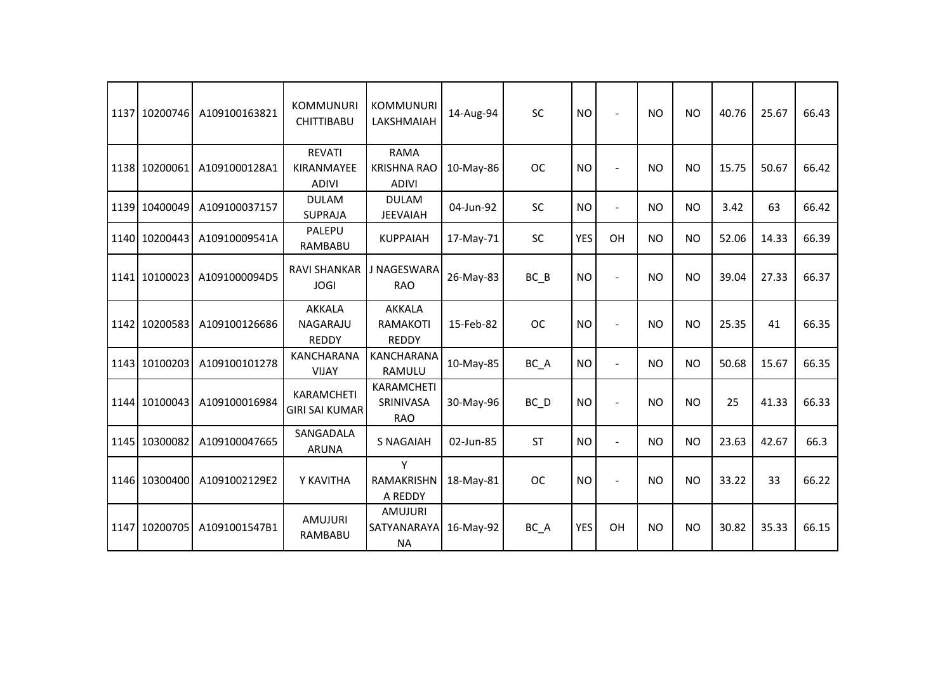| 1137 10200746 | A109100163821 | <b>KOMMUNURI</b><br><b>CHITTIBABU</b>       | <b>KOMMUNURI</b><br>LAKSHMAIAH                    | 14-Aug-94 | <b>SC</b>         | <b>NO</b>  | $\overline{a}$           | <b>NO</b> | <b>NO</b> | 40.76 | 25.67 | 66.43 |
|---------------|---------------|---------------------------------------------|---------------------------------------------------|-----------|-------------------|------------|--------------------------|-----------|-----------|-------|-------|-------|
| 1138 10200061 | A1091000128A1 | <b>REVATI</b><br>KIRANMAYEE<br><b>ADIVI</b> | <b>RAMA</b><br><b>KRISHNA RAO</b><br><b>ADIVI</b> | 10-May-86 | <b>OC</b>         | <b>NO</b>  | $\overline{a}$           | <b>NO</b> | <b>NO</b> | 15.75 | 50.67 | 66.42 |
| 1139 10400049 | A109100037157 | <b>DULAM</b><br><b>SUPRAJA</b>              | <b>DULAM</b><br><b>JEEVAIAH</b>                   | 04-Jun-92 | SC                | <b>NO</b>  | $\blacksquare$           | <b>NO</b> | <b>NO</b> | 3.42  | 63    | 66.42 |
| 1140 10200443 | A10910009541A | PALEPU<br>RAMBABU                           | <b>KUPPAIAH</b>                                   | 17-May-71 | <b>SC</b>         | <b>YES</b> | OH                       | <b>NO</b> | <b>NO</b> | 52.06 | 14.33 | 66.39 |
| 1141 10100023 | A1091000094D5 | <b>RAVI SHANKAR</b><br><b>JOGI</b>          | J NAGESWARA<br><b>RAO</b>                         | 26-May-83 | $BC$ $B$          | <b>NO</b>  | $\overline{a}$           | <b>NO</b> | <b>NO</b> | 39.04 | 27.33 | 66.37 |
| 1142 10200583 | A109100126686 | AKKALA<br>NAGARAJU<br><b>REDDY</b>          | <b>AKKALA</b><br>RAMAKOTI<br><b>REDDY</b>         | 15-Feb-82 | <b>OC</b>         | <b>NO</b>  |                          | <b>NO</b> | <b>NO</b> | 25.35 | 41    | 66.35 |
| 1143 10100203 | A109100101278 | <b>KANCHARANA</b><br><b>VIJAY</b>           | <b>KANCHARANA</b><br><b>RAMULU</b>                | 10-May-85 | BC_A              | <b>NO</b>  | $\blacksquare$           | <b>NO</b> | <b>NO</b> | 50.68 | 15.67 | 66.35 |
| 1144 10100043 | A109100016984 | KARAMCHETI<br><b>GIRI SAI KUMAR</b>         | <b>KARAMCHETI</b><br>SRINIVASA<br><b>RAO</b>      | 30-May-96 | $BC$ <sub>D</sub> | <b>NO</b>  | $\overline{a}$           | <b>NO</b> | <b>NO</b> | 25    | 41.33 | 66.33 |
| 1145 10300082 | A109100047665 | SANGADALA<br><b>ARUNA</b>                   | <b>S NAGAIAH</b>                                  | 02-Jun-85 | <b>ST</b>         | <b>NO</b>  | $\overline{\phantom{a}}$ | <b>NO</b> | <b>NO</b> | 23.63 | 42.67 | 66.3  |
| 1146 10300400 | A1091002129E2 | Y KAVITHA                                   | Y<br><b>RAMAKRISHN</b><br>A REDDY                 | 18-May-81 | <b>OC</b>         | <b>NO</b>  |                          | <b>NO</b> | <b>NO</b> | 33.22 | 33    | 66.22 |
| 1147 10200705 | A1091001547B1 | AMUJURI<br>RAMBABU                          | <b>AMUJURI</b><br>SATYANARAYA<br><b>NA</b>        | 16-May-92 | BC_A              | <b>YES</b> | OH                       | <b>NO</b> | <b>NO</b> | 30.82 | 35.33 | 66.15 |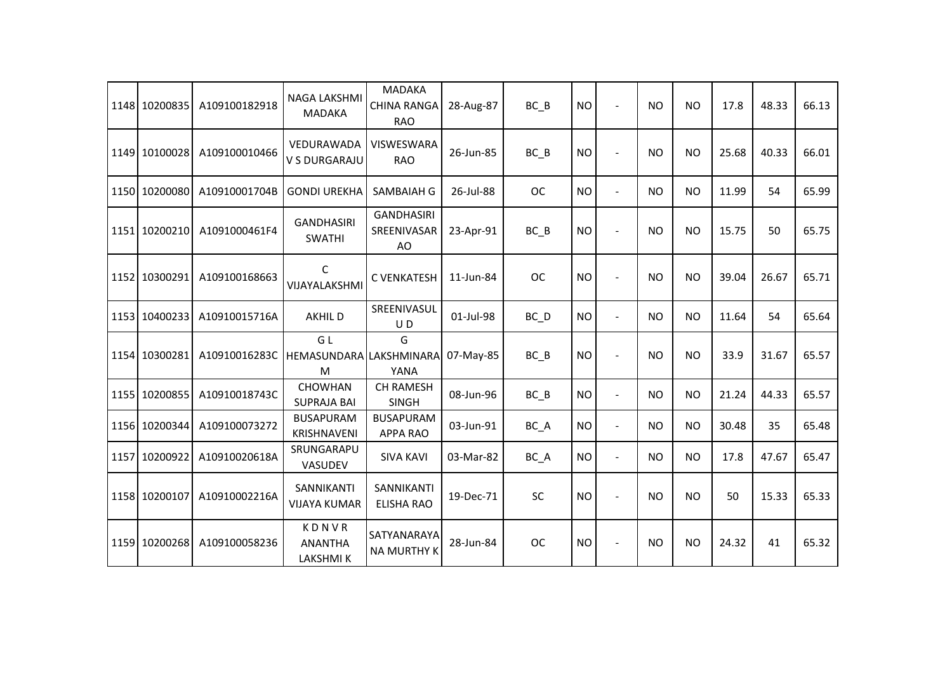| 1148 10200835 | A109100182918 | NAGA LAKSHMI<br><b>MADAKA</b>              | <b>MADAKA</b><br><b>CHINA RANGA</b><br><b>RAO</b> | 28-Aug-87 | BC B      | <b>NO</b> |                | NO        | <b>NO</b> | 17.8  | 48.33 | 66.13 |
|---------------|---------------|--------------------------------------------|---------------------------------------------------|-----------|-----------|-----------|----------------|-----------|-----------|-------|-------|-------|
| 1149 10100028 | A109100010466 | VEDURAWADA<br><b>V S DURGARAJU</b>         | <b>VISWESWARA</b><br><b>RAO</b>                   | 26-Jun-85 | $BC$ $B$  | <b>NO</b> |                | NO.       | <b>NO</b> | 25.68 | 40.33 | 66.01 |
| 1150 10200080 | A10910001704B | <b>GONDI UREKHA</b>                        | SAMBAIAH G                                        | 26-Jul-88 | <b>OC</b> | <b>NO</b> | $\overline{a}$ | <b>NO</b> | <b>NO</b> | 11.99 | 54    | 65.99 |
| 1151 10200210 | A1091000461F4 | <b>GANDHASIRI</b><br><b>SWATHI</b>         | <b>GANDHASIRI</b><br>SREENIVASAR<br>AO            | 23-Apr-91 | $BC$ $B$  | <b>NO</b> |                | <b>NO</b> | <b>NO</b> | 15.75 | 50    | 65.75 |
| 1152 10300291 | A109100168663 | $\mathsf{C}$<br>VIJAYALAKSHMI              | C VENKATESH                                       | 11-Jun-84 | <b>OC</b> | <b>NO</b> |                | <b>NO</b> | <b>NO</b> | 39.04 | 26.67 | 65.71 |
| 1153 10400233 | A10910015716A | <b>AKHILD</b>                              | SREENIVASUL<br>UD                                 | 01-Jul-98 | $BC$ $D$  | <b>NO</b> | $\overline{a}$ | <b>NO</b> | <b>NO</b> | 11.64 | 54    | 65.64 |
| 1154 10300281 | A10910016283C | GL<br>HEMASUNDARA<br>M                     | G<br>LAKSHMINARA<br>YANA                          | 07-May-85 | $BC$ $B$  | <b>NO</b> | $\blacksquare$ | <b>NO</b> | <b>NO</b> | 33.9  | 31.67 | 65.57 |
| 1155 10200855 | A10910018743C | <b>CHOWHAN</b><br><b>SUPRAJA BAI</b>       | <b>CH RAMESH</b><br><b>SINGH</b>                  | 08-Jun-96 | $BC$ $B$  | <b>NO</b> | $\overline{a}$ | <b>NO</b> | <b>NO</b> | 21.24 | 44.33 | 65.57 |
| 1156 10200344 | A109100073272 | <b>BUSAPURAM</b><br>KRISHNAVENI            | <b>BUSAPURAM</b><br><b>APPA RAO</b>               | 03-Jun-91 | BC_A      | <b>NO</b> | $\blacksquare$ | NO        | <b>NO</b> | 30.48 | 35    | 65.48 |
| 1157 10200922 | A10910020618A | SRUNGARAPU<br>VASUDEV                      | <b>SIVA KAVI</b>                                  | 03-Mar-82 | $BC_A$    | <b>NO</b> | $\blacksquare$ | <b>NO</b> | <b>NO</b> | 17.8  | 47.67 | 65.47 |
| 1158 10200107 | A10910002216A | SANNIKANTI<br><b>VIJAYA KUMAR</b>          | SANNIKANTI<br>ELISHA RAO                          | 19-Dec-71 | SC        | <b>NO</b> |                | <b>NO</b> | <b>NO</b> | 50    | 15.33 | 65.33 |
| 1159 10200268 | A109100058236 | KDNVR<br><b>ANANTHA</b><br><b>LAKSHMIK</b> | SATYANARAYA<br><b>NA MURTHY K</b>                 | 28-Jun-84 | <b>OC</b> | <b>NO</b> |                | <b>NO</b> | <b>NO</b> | 24.32 | 41    | 65.32 |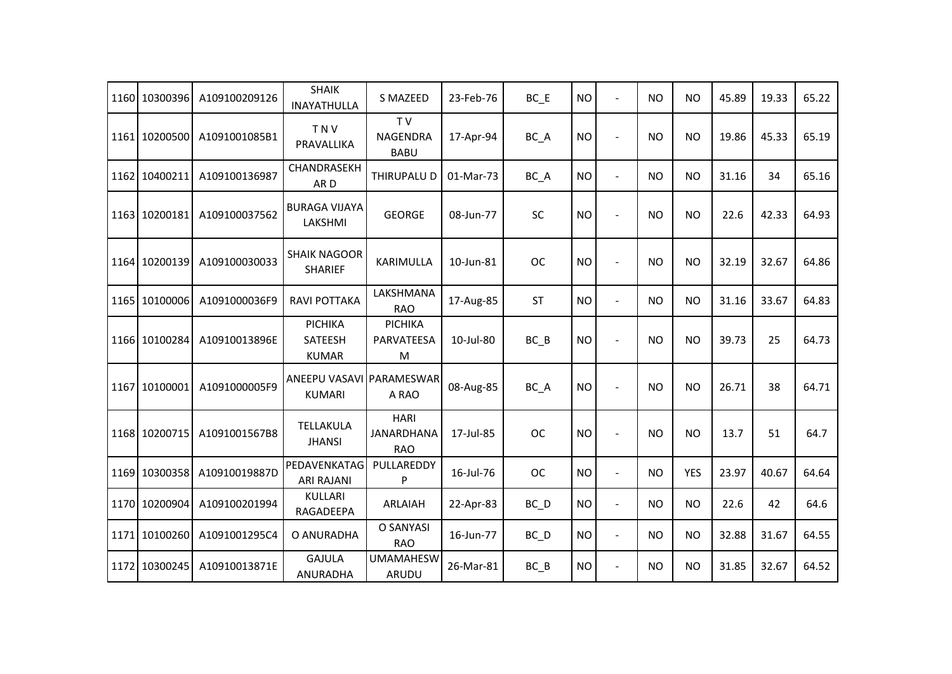| 1160 10300396 | A109100209126 | <b>SHAIK</b><br><b>INAYATHULLA</b>        | S MAZEED                                         | 23-Feb-76 | $BC$ $E$          | <b>NO</b> | $\blacksquare$           | <b>NO</b> | <b>NO</b>  | 45.89 | 19.33 | 65.22 |
|---------------|---------------|-------------------------------------------|--------------------------------------------------|-----------|-------------------|-----------|--------------------------|-----------|------------|-------|-------|-------|
| 1161 10200500 | A1091001085B1 | <b>TNV</b><br>PRAVALLIKA                  | T <sub>V</sub><br><b>NAGENDRA</b><br><b>BABU</b> | 17-Apr-94 | BC_A              | <b>NO</b> | $\overline{\phantom{a}}$ | <b>NO</b> | <b>NO</b>  | 19.86 | 45.33 | 65.19 |
| 1162 10400211 | A109100136987 | CHANDRASEKH<br>AR <sub>D</sub>            | THIRUPALU D                                      | 01-Mar-73 | BC A              | <b>NO</b> | $\blacksquare$           | <b>NO</b> | <b>NO</b>  | 31.16 | 34    | 65.16 |
| 1163 10200181 | A109100037562 | <b>BURAGA VIJAYA</b><br>LAKSHMI           | <b>GEORGE</b>                                    | 08-Jun-77 | <b>SC</b>         | <b>NO</b> | $\overline{\phantom{a}}$ | <b>NO</b> | <b>NO</b>  | 22.6  | 42.33 | 64.93 |
| 1164 10200139 | A109100030033 | <b>SHAIK NAGOOR</b><br><b>SHARIEF</b>     | KARIMULLA                                        | 10-Jun-81 | <b>OC</b>         | <b>NO</b> | $\overline{\phantom{a}}$ | <b>NO</b> | <b>NO</b>  | 32.19 | 32.67 | 64.86 |
| 1165 10100006 | A1091000036F9 | <b>RAVI POTTAKA</b>                       | LAKSHMANA<br><b>RAO</b>                          | 17-Aug-85 | <b>ST</b>         | <b>NO</b> | $\blacksquare$           | <b>NO</b> | NO.        | 31.16 | 33.67 | 64.83 |
| 1166 10100284 | A10910013896E | PICHIKA<br>SATEESH<br><b>KUMAR</b>        | PICHIKA<br>PARVATEESA<br>M                       | 10-Jul-80 | BC B              | <b>NO</b> | $\blacksquare$           | <b>NO</b> | <b>NO</b>  | 39.73 | 25    | 64.73 |
| 1167 10100001 | A1091000005F9 | ANEEPU VASAVI PARAMESWAR<br><b>KUMARI</b> | A RAO                                            | 08-Aug-85 | BC_A              | <b>NO</b> | $\overline{\phantom{a}}$ | <b>NO</b> | <b>NO</b>  | 26.71 | 38    | 64.71 |
| 1168 10200715 | A1091001567B8 | TELLAKULA<br><b>JHANSI</b>                | <b>HARI</b><br><b>JANARDHANA</b><br><b>RAO</b>   | 17-Jul-85 | <b>OC</b>         | <b>NO</b> | $\blacksquare$           | <b>NO</b> | <b>NO</b>  | 13.7  | 51    | 64.7  |
| 1169 10300358 | A10910019887D | PEDAVENKATAG<br><b>ARI RAJANI</b>         | PULLAREDDY<br>P                                  | 16-Jul-76 | <b>OC</b>         | <b>NO</b> | $\blacksquare$           | <b>NO</b> | <b>YES</b> | 23.97 | 40.67 | 64.64 |
| 1170 10200904 | A109100201994 | <b>KULLARI</b><br>RAGADEEPA               | ARLAIAH                                          | 22-Apr-83 | $BC$ <sub>D</sub> | <b>NO</b> | $\blacksquare$           | <b>NO</b> | <b>NO</b>  | 22.6  | 42    | 64.6  |
| 1171 10100260 | A1091001295C4 | O ANURADHA                                | O SANYASI<br><b>RAO</b>                          | 16-Jun-77 | $BC$ <sub>D</sub> | <b>NO</b> | $\overline{\phantom{a}}$ | <b>NO</b> | <b>NO</b>  | 32.88 | 31.67 | 64.55 |
| 1172 10300245 | A10910013871E | <b>GAJULA</b><br>ANURADHA                 | <b>UMAMAHESW</b><br>ARUDU                        | 26-Mar-81 | $BC$ $B$          | <b>NO</b> | $\blacksquare$           | <b>NO</b> | <b>NO</b>  | 31.85 | 32.67 | 64.52 |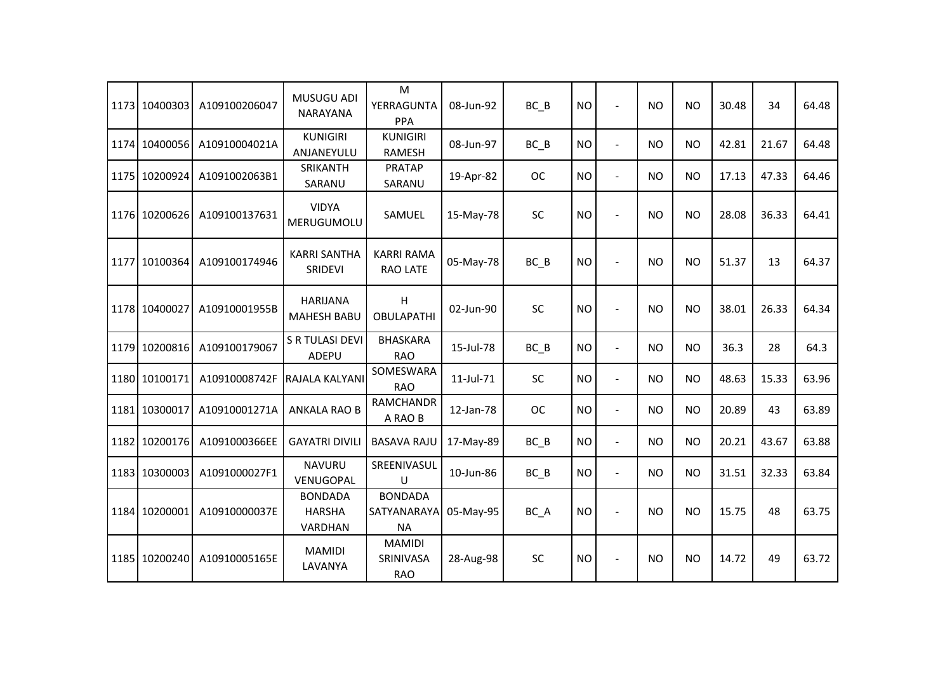|      | 1173 10400303 | A109100206047 | MUSUGU ADI<br><b>NARAYANA</b>              | M<br>YERRAGUNTA<br><b>PPA</b>              | 08-Jun-92 | $BC$ $B$  | <b>NO</b> | $\blacksquare$           | <b>NO</b>      | <b>NO</b> | 30.48 | 34    | 64.48 |
|------|---------------|---------------|--------------------------------------------|--------------------------------------------|-----------|-----------|-----------|--------------------------|----------------|-----------|-------|-------|-------|
|      | 1174 10400056 | A10910004021A | <b>KUNIGIRI</b><br>ANJANEYULU              | <b>KUNIGIRI</b><br><b>RAMESH</b>           | 08-Jun-97 | BC B      | <b>NO</b> | $\blacksquare$           | <b>NO</b>      | <b>NO</b> | 42.81 | 21.67 | 64.48 |
|      | 1175 10200924 | A1091002063B1 | SRIKANTH<br>SARANU                         | <b>PRATAP</b><br>SARANU                    | 19-Apr-82 | <b>OC</b> | <b>NO</b> | $\blacksquare$           | <b>NO</b>      | <b>NO</b> | 17.13 | 47.33 | 64.46 |
|      | 1176 10200626 | A109100137631 | <b>VIDYA</b><br>MERUGUMOLU                 | SAMUEL                                     | 15-May-78 | SC        | <b>NO</b> | $\sim$                   | NO.            | <b>NO</b> | 28.08 | 36.33 | 64.41 |
|      | 1177 10100364 | A109100174946 | <b>KARRI SANTHA</b><br>SRIDEVI             | <b>KARRI RAMA</b><br>RAO LATE              | 05-May-78 | $BC$ $B$  | <b>NO</b> |                          | <b>NO</b>      | <b>NO</b> | 51.37 | 13    | 64.37 |
|      | 1178 10400027 | A10910001955B | <b>HARIJANA</b><br><b>MAHESH BABU</b>      | н<br><b>OBULAPATHI</b>                     | 02-Jun-90 | SC        | <b>NO</b> |                          | NO.            | <b>NO</b> | 38.01 | 26.33 | 64.34 |
|      | 1179 10200816 | A109100179067 | S R TULASI DEVI<br><b>ADEPU</b>            | <b>BHASKARA</b><br><b>RAO</b>              | 15-Jul-78 | BC B      | <b>NO</b> | $\sim$                   | <b>NO</b>      | <b>NO</b> | 36.3  | 28    | 64.3  |
|      | 1180 10100171 | A10910008742F | RAJALA KALYANI                             | SOMESWARA<br><b>RAO</b>                    | 11-Jul-71 | <b>SC</b> | <b>NO</b> | $\blacksquare$           | N <sub>O</sub> | NO.       | 48.63 | 15.33 | 63.96 |
| 1181 | 10300017      | A10910001271A | <b>ANKALA RAO B</b>                        | <b>RAMCHANDR</b><br>A RAO B                | 12-Jan-78 | <b>OC</b> | <b>NO</b> | $\blacksquare$           | <b>NO</b>      | <b>NO</b> | 20.89 | 43    | 63.89 |
|      | 1182 10200176 | A1091000366EE | <b>GAYATRI DIVILI</b>                      | <b>BASAVA RAJU</b>                         | 17-May-89 | $BC$ $B$  | <b>NO</b> | $\blacksquare$           | <b>NO</b>      | <b>NO</b> | 20.21 | 43.67 | 63.88 |
|      | 1183 10300003 | A1091000027F1 | <b>NAVURU</b><br>VENUGOPAL                 | SREENIVASUL<br>U                           | 10-Jun-86 | $BC$ $B$  | <b>NO</b> | $\overline{\phantom{a}}$ | <b>NO</b>      | <b>NO</b> | 31.51 | 32.33 | 63.84 |
|      | 1184 10200001 | A10910000037E | <b>BONDADA</b><br><b>HARSHA</b><br>VARDHAN | <b>BONDADA</b><br>SATYANARAYA<br><b>NA</b> | 05-May-95 | BC A      | <b>NO</b> |                          | NO             | <b>NO</b> | 15.75 | 48    | 63.75 |
|      | 1185 10200240 | A10910005165E | <b>MAMIDI</b><br>LAVANYA                   | <b>MAMIDI</b><br>SRINIVASA<br><b>RAO</b>   | 28-Aug-98 | SC        | <b>NO</b> | $\sim$                   | <b>NO</b>      | <b>NO</b> | 14.72 | 49    | 63.72 |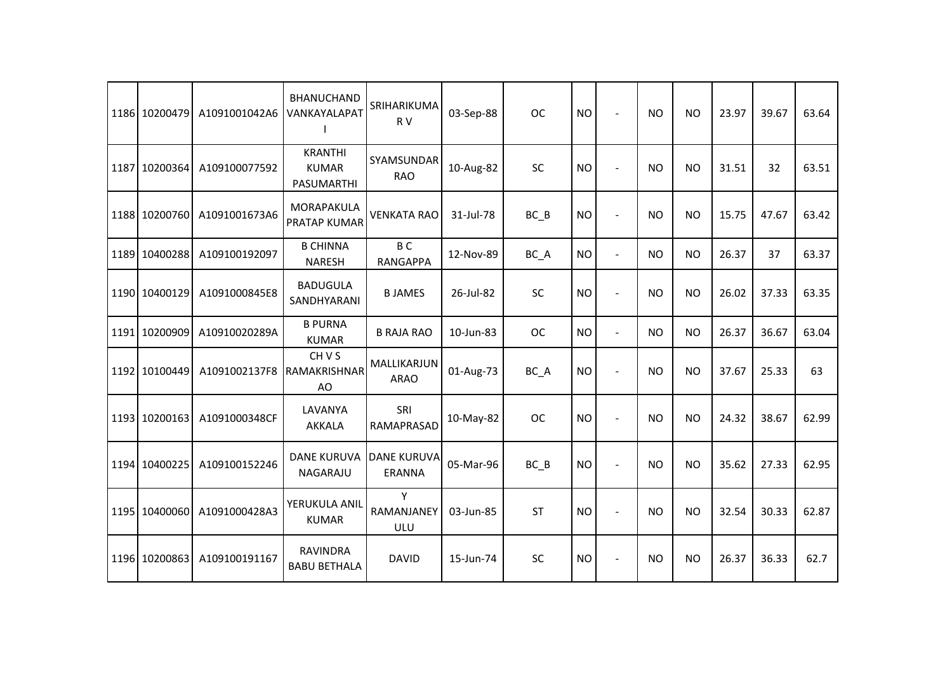| 1186 10200479 | A1091001042A6              | <b>BHANUCHAND</b><br>VANKAYALAPAT            | SRIHARIKUMA<br>R V                  | 03-Sep-88 | <b>OC</b> | <b>NO</b> | $\overline{a}$           | <b>NO</b> | <b>NO</b> | 23.97 | 39.67 | 63.64 |
|---------------|----------------------------|----------------------------------------------|-------------------------------------|-----------|-----------|-----------|--------------------------|-----------|-----------|-------|-------|-------|
| 1187 10200364 | A109100077592              | <b>KRANTHI</b><br><b>KUMAR</b><br>PASUMARTHI | SYAMSUNDAR<br><b>RAO</b>            | 10-Aug-82 | <b>SC</b> | <b>NO</b> | ÷.                       | <b>NO</b> | <b>NO</b> | 31.51 | 32    | 63.51 |
| 1188 10200760 | A1091001673A6              | MORAPAKULA<br>PRATAP KUMAR                   | <b>VENKATA RAO</b>                  | 31-Jul-78 | $BC$ $B$  | <b>NO</b> | $\blacksquare$           | <b>NO</b> | <b>NO</b> | 15.75 | 47.67 | 63.42 |
| 1189 10400288 | A109100192097              | <b>B CHINNA</b><br><b>NARESH</b>             | B <sub>C</sub><br><b>RANGAPPA</b>   | 12-Nov-89 | BC A      | <b>NO</b> | $\blacksquare$           | <b>NO</b> | <b>NO</b> | 26.37 | 37    | 63.37 |
| 1190 10400129 | A1091000845E8              | <b>BADUGULA</b><br>SANDHYARANI               | <b>BJAMES</b>                       | 26-Jul-82 | SC        | <b>NO</b> | $\blacksquare$           | <b>NO</b> | <b>NO</b> | 26.02 | 37.33 | 63.35 |
| 1191 10200909 | A10910020289A              | <b>B PURNA</b><br><b>KUMAR</b>               | <b>B RAJA RAO</b>                   | 10-Jun-83 | <b>OC</b> | <b>NO</b> | $\blacksquare$           | <b>NO</b> | <b>NO</b> | 26.37 | 36.67 | 63.04 |
| 1192 10100449 | A1091002137F8 RAMAKRISHNAR | CH V S<br>AO                                 | MALLIKARJUN<br><b>ARAO</b>          | 01-Aug-73 | BC_A      | <b>NO</b> | $\blacksquare$           | <b>NO</b> | <b>NO</b> | 37.67 | 25.33 | 63    |
| 1193 10200163 | A1091000348CF              | LAVANYA<br><b>AKKALA</b>                     | SRI<br>RAMAPRASAD                   | 10-May-82 | <b>OC</b> | <b>NO</b> | ÷,                       | <b>NO</b> | <b>NO</b> | 24.32 | 38.67 | 62.99 |
| 1194 10400225 | A109100152246              | <b>DANE KURUVA</b><br>NAGARAJU               | <b>DANE KURUVA</b><br><b>ERANNA</b> | 05-Mar-96 | $BC$ $B$  | <b>NO</b> | $\sim$                   | <b>NO</b> | <b>NO</b> | 35.62 | 27.33 | 62.95 |
| 1195 10400060 | A1091000428A3              | YERUKULA ANIL<br><b>KUMAR</b>                | Y<br>RAMANJANEY<br><b>ULU</b>       | 03-Jun-85 | <b>ST</b> | <b>NO</b> | $\overline{\phantom{a}}$ | <b>NO</b> | <b>NO</b> | 32.54 | 30.33 | 62.87 |
| 1196 10200863 | A109100191167              | <b>RAVINDRA</b><br><b>BABU BETHALA</b>       | <b>DAVID</b>                        | 15-Jun-74 | SC        | <b>NO</b> | $\blacksquare$           | <b>NO</b> | <b>NO</b> | 26.37 | 36.33 | 62.7  |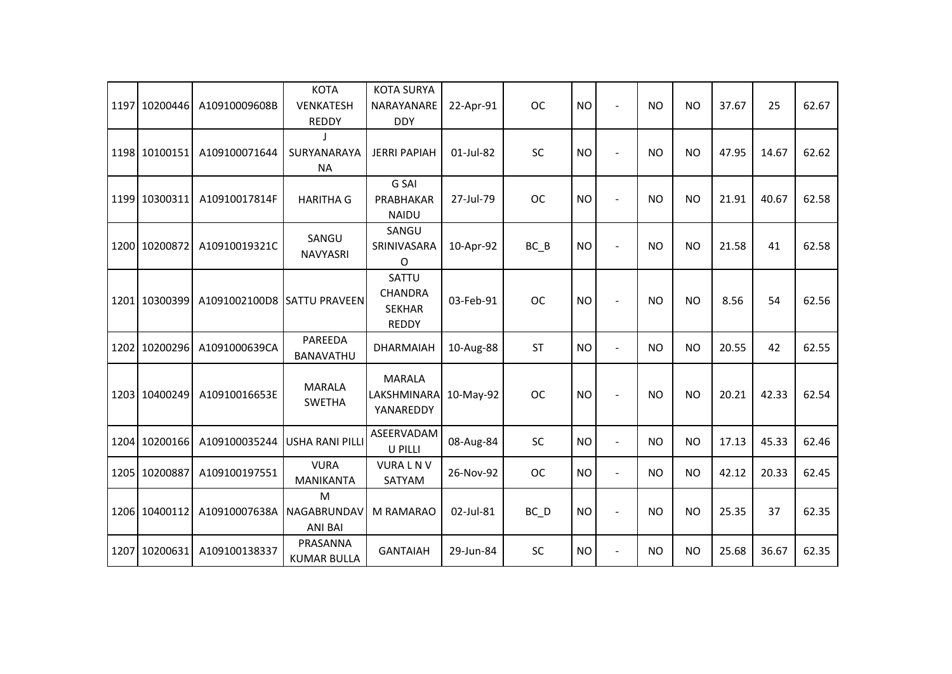|      | 1197 10200446 | A10910009608B               | <b>KOTA</b><br><b>VENKATESH</b><br><b>REDDY</b> | <b>KOTA SURYA</b><br>NARAYANARE<br><b>DDY</b>            | 22-Apr-91 | <b>OC</b> | <b>NO</b> |                          | <b>NO</b> | <b>NO</b> | 37.67 | 25    | 62.67 |
|------|---------------|-----------------------------|-------------------------------------------------|----------------------------------------------------------|-----------|-----------|-----------|--------------------------|-----------|-----------|-------|-------|-------|
|      | 1198 10100151 | A109100071644               | SURYANARAYA<br><b>NA</b>                        | <b>JERRI PAPIAH</b>                                      | 01-Jul-82 | SC        | <b>NO</b> |                          | <b>NO</b> | <b>NO</b> | 47.95 | 14.67 | 62.62 |
|      | 1199 10300311 | A10910017814F               | <b>HARITHA G</b>                                | G SAI<br>PRABHAKAR<br><b>NAIDU</b>                       | 27-Jul-79 | <b>OC</b> | <b>NO</b> |                          | <b>NO</b> | <b>NO</b> | 21.91 | 40.67 | 62.58 |
|      | 1200 10200872 | A10910019321C               | SANGU<br>NAVYASRI                               | SANGU<br>SRINIVASARA<br>0                                | 10-Apr-92 | BC B      | <b>NO</b> | $\blacksquare$           | <b>NO</b> | <b>NO</b> | 21.58 | 41    | 62.58 |
|      | 1201 10300399 | A1091002100D8 SATTU PRAVEEN |                                                 | SATTU<br><b>CHANDRA</b><br><b>SEKHAR</b><br><b>REDDY</b> | 03-Feb-91 | <b>OC</b> | <b>NO</b> |                          | <b>NO</b> | <b>NO</b> | 8.56  | 54    | 62.56 |
|      | 1202 10200296 | A1091000639CA               | PAREEDA<br>BANAVATHU                            | <b>DHARMAIAH</b>                                         | 10-Aug-88 | <b>ST</b> | <b>NO</b> | $\sim$                   | NO        | <b>NO</b> | 20.55 | 42    | 62.55 |
|      | 1203 10400249 | A10910016653E               | <b>MARALA</b><br><b>SWETHA</b>                  | <b>MARALA</b><br>LAKSHMINARA<br>YANAREDDY                | 10-May-92 | <b>OC</b> | <b>NO</b> | $\sim$                   | <b>NO</b> | <b>NO</b> | 20.21 | 42.33 | 62.54 |
|      | 1204 10200166 | A109100035244               | <b>USHA RANI PILLI</b>                          | ASEERVADAM<br>U PILLI                                    | 08-Aug-84 | <b>SC</b> | <b>NO</b> | $\blacksquare$           | <b>NO</b> | <b>NO</b> | 17.13 | 45.33 | 62.46 |
|      | 1205 10200887 | A109100197551               | <b>VURA</b><br>MANIKANTA                        | <b>VURALNV</b><br>SATYAM                                 | 26-Nov-92 | <b>OC</b> | <b>NO</b> | $\overline{\phantom{a}}$ | <b>NO</b> | <b>NO</b> | 42.12 | 20.33 | 62.45 |
|      | 1206 10400112 | A10910007638A               | M<br>NAGABRUNDAV<br><b>ANI BAI</b>              | M RAMARAO                                                | 02-Jul-81 | $BC$ $D$  | <b>NO</b> | $\blacksquare$           | <b>NO</b> | <b>NO</b> | 25.35 | 37    | 62.35 |
| 1207 | 10200631      | A109100138337               | PRASANNA<br><b>KUMAR BULLA</b>                  | <b>GANTAIAH</b>                                          | 29-Jun-84 | <b>SC</b> | <b>NO</b> | $\blacksquare$           | <b>NO</b> | <b>NO</b> | 25.68 | 36.67 | 62.35 |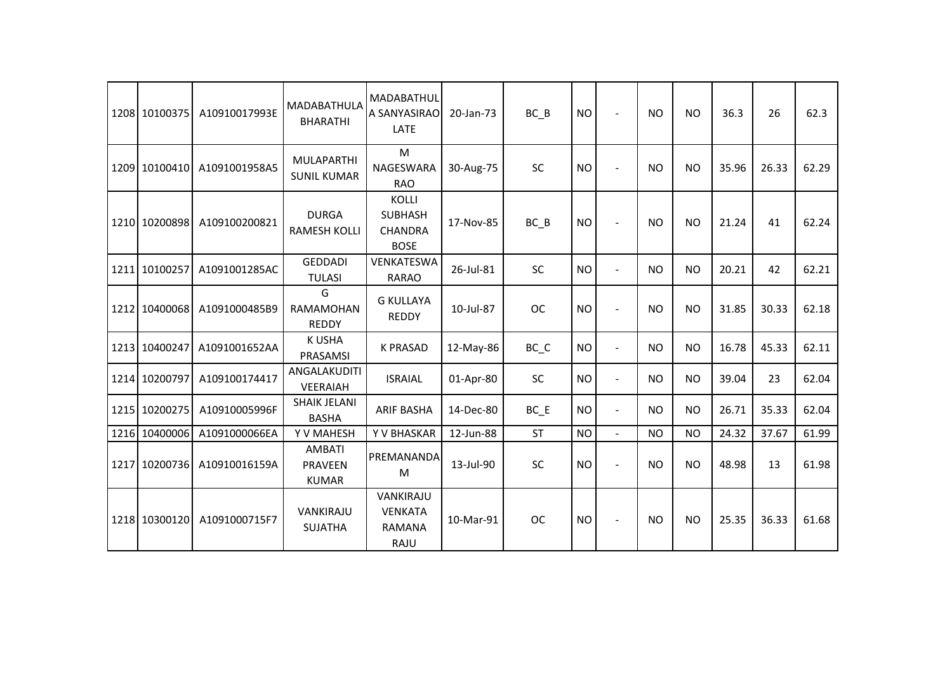|      | 1208 10100375 | A10910017993E | <b>MADABATHULA</b><br><b>BHARATHI</b>           | MADABATHUL<br>A SANYASIRAO<br><b>LATE</b>                       | 20-Jan-73 | $BC$ $B$  | <b>NO</b> | $\overline{\phantom{a}}$ | <b>NO</b> | <b>NO</b> | 36.3  | 26    | 62.3  |
|------|---------------|---------------|-------------------------------------------------|-----------------------------------------------------------------|-----------|-----------|-----------|--------------------------|-----------|-----------|-------|-------|-------|
|      | 1209 10100410 | A1091001958A5 | <b>MULAPARTHI</b><br><b>SUNIL KUMAR</b>         | M<br>NAGESWARA<br><b>RAO</b>                                    | 30-Aug-75 | SC        | <b>NO</b> | $\overline{\phantom{a}}$ | <b>NO</b> | <b>NO</b> | 35.96 | 26.33 | 62.29 |
|      | 1210 10200898 | A109100200821 | <b>DURGA</b><br><b>RAMESH KOLLI</b>             | <b>KOLLI</b><br><b>SUBHASH</b><br><b>CHANDRA</b><br><b>BOSE</b> | 17-Nov-85 | BC B      | <b>NO</b> | $\blacksquare$           | <b>NO</b> | <b>NO</b> | 21.24 | 41    | 62.24 |
|      | 1211 10100257 | A1091001285AC | <b>GEDDADI</b><br><b>TULASI</b>                 | VENKATESWA<br><b>RARAO</b>                                      | 26-Jul-81 | SC        | <b>NO</b> | $\blacksquare$           | <b>NO</b> | <b>NO</b> | 20.21 | 42    | 62.21 |
|      | 1212 10400068 | A1091000485B9 | G<br><b>RAMAMOHAN</b><br><b>REDDY</b>           | <b>G KULLAYA</b><br><b>REDDY</b>                                | 10-Jul-87 | <b>OC</b> | <b>NO</b> | $\overline{\phantom{a}}$ | <b>NO</b> | <b>NO</b> | 31.85 | 30.33 | 62.18 |
|      | 1213 10400247 | A1091001652AA | <b>K USHA</b><br>PRASAMSI                       | <b>K PRASAD</b>                                                 | 12-May-86 | BC C      | <b>NO</b> | $\overline{\phantom{a}}$ | <b>NO</b> | <b>NO</b> | 16.78 | 45.33 | 62.11 |
|      | 1214 10200797 | A109100174417 | ANGALAKUDITI<br><b>VEERAIAH</b>                 | <b>ISRAIAL</b>                                                  | 01-Apr-80 | SC        | <b>NO</b> | $\blacksquare$           | <b>NO</b> | <b>NO</b> | 39.04 | 23    | 62.04 |
|      | 1215 10200275 | A10910005996F | <b>SHAIK JELANI</b><br><b>BASHA</b>             | <b>ARIF BASHA</b>                                               | 14-Dec-80 | $BC$ $E$  | <b>NO</b> | $\blacksquare$           | <b>NO</b> | <b>NO</b> | 26.71 | 35.33 | 62.04 |
| 1216 | 10400006      | A1091000066EA | Y V MAHESH                                      | Y V BHASKAR                                                     | 12-Jun-88 | <b>ST</b> | <b>NO</b> |                          | <b>NO</b> | <b>NO</b> | 24.32 | 37.67 | 61.99 |
|      | 1217 10200736 | A10910016159A | <b>AMBATI</b><br><b>PRAVEEN</b><br><b>KUMAR</b> | PREMANANDA<br>M                                                 | 13-Jul-90 | <b>SC</b> | <b>NO</b> | $\blacksquare$           | <b>NO</b> | <b>NO</b> | 48.98 | 13    | 61.98 |
|      | 1218 10300120 | A1091000715F7 | VANKIRAJU<br><b>SUJATHA</b>                     | VANKIRAJU<br><b>VENKATA</b><br><b>RAMANA</b><br>RAJU            | 10-Mar-91 | <b>OC</b> | <b>NO</b> | $\overline{\phantom{a}}$ | <b>NO</b> | <b>NO</b> | 25.35 | 36.33 | 61.68 |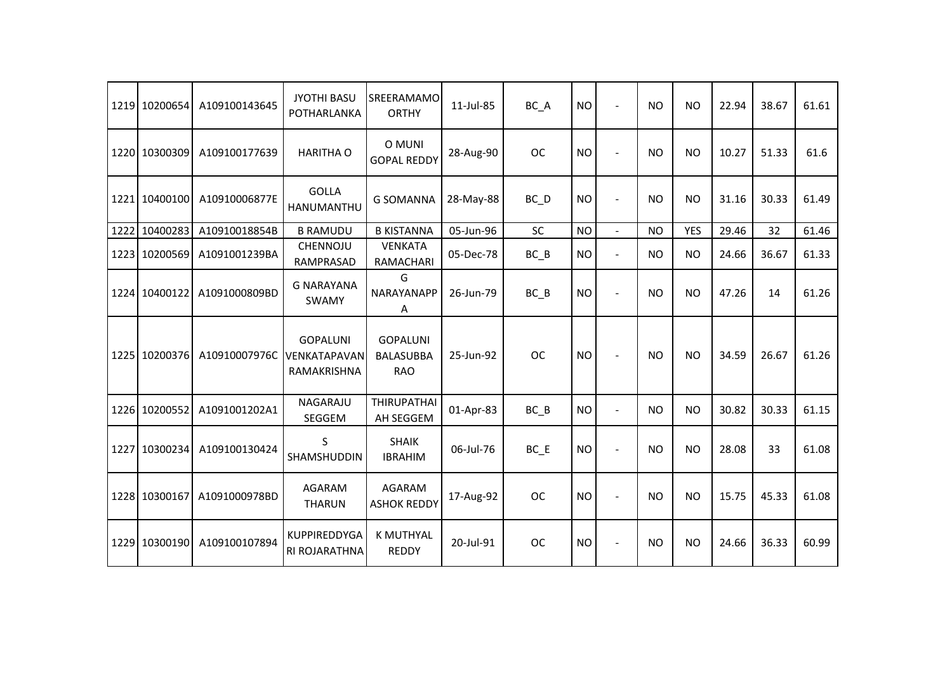|      | 1219 10200654 | A109100143645 | <b>JYOTHI BASU</b><br>POTHARLANKA              | SREERAMAMO<br><b>ORTHY</b>                        | 11-Jul-85 | BC_A              | <b>NO</b> | $\overline{a}$       | <b>NO</b>      | <b>NO</b>  | 22.94 | 38.67 | 61.61 |
|------|---------------|---------------|------------------------------------------------|---------------------------------------------------|-----------|-------------------|-----------|----------------------|----------------|------------|-------|-------|-------|
|      | 1220 10300309 | A109100177639 | <b>HARITHA O</b>                               | O MUNI<br><b>GOPAL REDDY</b>                      | 28-Aug-90 | <b>OC</b>         | <b>NO</b> |                      | N <sub>O</sub> | <b>NO</b>  | 10.27 | 51.33 | 61.6  |
|      | 1221 10400100 | A10910006877E | <b>GOLLA</b><br>HANUMANTHU                     | <b>G SOMANNA</b>                                  | 28-May-88 | $BC$ <sub>D</sub> | <b>NO</b> |                      | <b>NO</b>      | <b>NO</b>  | 31.16 | 30.33 | 61.49 |
| 1222 | 10400283      | A10910018854B | <b>B RAMUDU</b>                                | <b>B KISTANNA</b>                                 | 05-Jun-96 | <b>SC</b>         | <b>NO</b> | $\blacksquare$       | <b>NO</b>      | <b>YES</b> | 29.46 | 32    | 61.46 |
| 1223 | 10200569      | A1091001239BA | <b>CHENNOJU</b><br>RAMPRASAD                   | <b>VENKATA</b><br>RAMACHARI                       | 05-Dec-78 | $BC$ $B$          | <b>NO</b> | $\ddot{\phantom{1}}$ | <b>NO</b>      | <b>NO</b>  | 24.66 | 36.67 | 61.33 |
|      | 1224 10400122 | A1091000809BD | <b>G NARAYANA</b><br>SWAMY                     | G<br>NARAYANAPP<br>Α                              | 26-Jun-79 | $BC$ $B$          | <b>NO</b> |                      | <b>NO</b>      | <b>NO</b>  | 47.26 | 14    | 61.26 |
|      | 1225 10200376 | A10910007976C | <b>GOPALUNI</b><br>VENKATAPAVAN<br>RAMAKRISHNA | <b>GOPALUNI</b><br><b>BALASUBBA</b><br><b>RAO</b> | 25-Jun-92 | <b>OC</b>         | <b>NO</b> |                      | <b>NO</b>      | <b>NO</b>  | 34.59 | 26.67 | 61.26 |
|      | 1226 10200552 | A1091001202A1 | NAGARAJU<br>SEGGEM                             | <b>THIRUPATHAI</b><br>AH SEGGEM                   | 01-Apr-83 | $BC$ $B$          | <b>NO</b> | $\overline{a}$       | <b>NO</b>      | <b>NO</b>  | 30.82 | 30.33 | 61.15 |
|      | 1227 10300234 | A109100130424 | S<br>SHAMSHUDDIN                               | <b>SHAIK</b><br><b>IBRAHIM</b>                    | 06-Jul-76 | $BC$ $E$          | <b>NO</b> |                      | <b>NO</b>      | <b>NO</b>  | 28.08 | 33    | 61.08 |
|      | 1228 10300167 | A1091000978BD | AGARAM<br><b>THARUN</b>                        | AGARAM<br><b>ASHOK REDDY</b>                      | 17-Aug-92 | <b>OC</b>         | <b>NO</b> |                      | <b>NO</b>      | <b>NO</b>  | 15.75 | 45.33 | 61.08 |
|      | 1229 10300190 | A109100107894 | <b>KUPPIREDDYGA</b><br>RI ROJARATHNA           | <b>K MUTHYAL</b><br><b>REDDY</b>                  | 20-Jul-91 | <b>OC</b>         | <b>NO</b> |                      | <b>NO</b>      | <b>NO</b>  | 24.66 | 36.33 | 60.99 |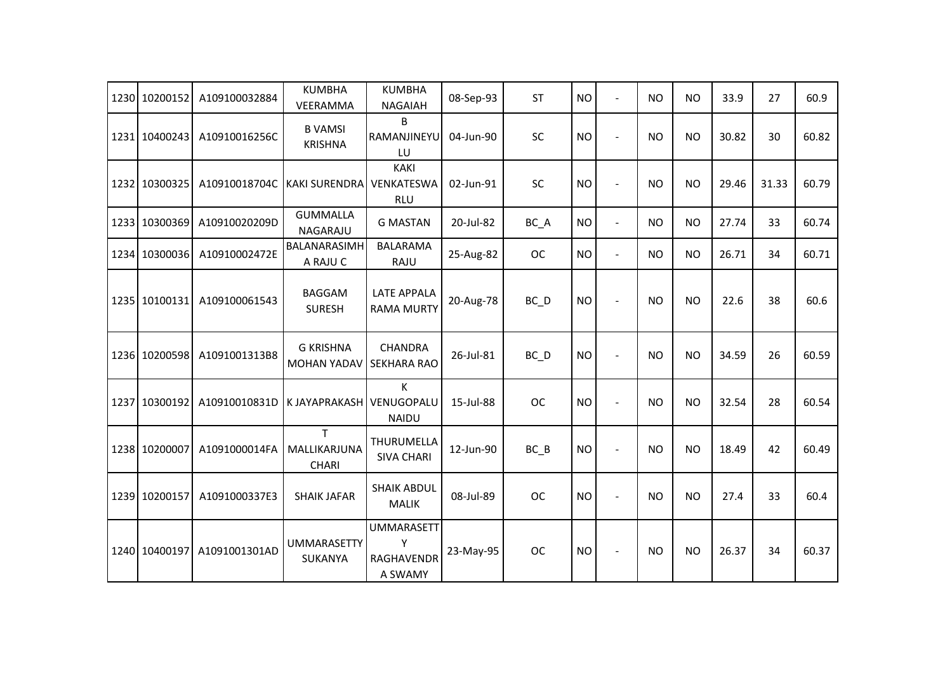| 1230 10200152 | A109100032884 | <b>KUMBHA</b><br>VEERAMMA              | <b>KUMBHA</b><br><b>NAGAIAH</b>                        | 08-Sep-93 | <b>ST</b> | <b>NO</b> | L,                       | <b>NO</b>      | <b>NO</b> | 33.9  | 27    | 60.9  |
|---------------|---------------|----------------------------------------|--------------------------------------------------------|-----------|-----------|-----------|--------------------------|----------------|-----------|-------|-------|-------|
| 1231 10400243 | A10910016256C | <b>B VAMSI</b><br><b>KRISHNA</b>       | B<br>RAMANJINEYU<br>LU                                 | 04-Jun-90 | <b>SC</b> | <b>NO</b> | $\overline{a}$           | <b>NO</b>      | <b>NO</b> | 30.82 | 30    | 60.82 |
| 1232 10300325 | A10910018704C | <b>KAKI SURENDRA</b>                   | <b>KAKI</b><br>VENKATESWA<br><b>RLU</b>                | 02-Jun-91 | <b>SC</b> | <b>NO</b> | $\overline{a}$           | N <sub>O</sub> | <b>NO</b> | 29.46 | 31.33 | 60.79 |
| 1233 10300369 | A10910020209D | <b>GUMMALLA</b><br>NAGARAJU            | <b>G MASTAN</b>                                        | 20-Jul-82 | BC_A      | <b>NO</b> | $\blacksquare$           | <b>NO</b>      | <b>NO</b> | 27.74 | 33    | 60.74 |
| 1234 10300036 | A10910002472E | BALANARASIMH<br>A RAJU C               | <b>BALARAMA</b><br>RAJU                                | 25-Aug-82 | <b>OC</b> | <b>NO</b> | $\blacksquare$           | <b>NO</b>      | <b>NO</b> | 26.71 | 34    | 60.71 |
| 1235 10100131 | A109100061543 | <b>BAGGAM</b><br><b>SURESH</b>         | <b>LATE APPALA</b><br><b>RAMA MURTY</b>                | 20-Aug-78 | BC_D      | <b>NO</b> | $\overline{a}$           | <b>NO</b>      | <b>NO</b> | 22.6  | 38    | 60.6  |
| 1236 10200598 | A1091001313B8 | <b>G KRISHNA</b><br><b>MOHAN YADAV</b> | <b>CHANDRA</b><br><b>SEKHARA RAO</b>                   | 26-Jul-81 | BC_D      | <b>NO</b> | ÷                        | <b>NO</b>      | <b>NO</b> | 34.59 | 26    | 60.59 |
| 1237 10300192 | A10910010831D | K JAYAPRAKASH VENUGOPALU               | K<br><b>NAIDU</b>                                      | 15-Jul-88 | <b>OC</b> | <b>NO</b> |                          | <b>NO</b>      | <b>NO</b> | 32.54 | 28    | 60.54 |
| 1238 10200007 | A1091000014FA | T.<br>MALLIKARJUNA<br><b>CHARI</b>     | THURUMELLA<br><b>SIVA CHARI</b>                        | 12-Jun-90 | $BC$ $B$  | <b>NO</b> | ÷                        | <b>NO</b>      | <b>NO</b> | 18.49 | 42    | 60.49 |
| 1239 10200157 | A1091000337E3 | <b>SHAIK JAFAR</b>                     | <b>SHAIK ABDUL</b><br><b>MALIK</b>                     | 08-Jul-89 | <b>OC</b> | <b>NO</b> |                          | <b>NO</b>      | <b>NO</b> | 27.4  | 33    | 60.4  |
| 1240 10400197 | A1091001301AD | <b>UMMARASETTY</b><br><b>SUKANYA</b>   | <b>UMMARASETT</b><br>Υ<br><b>RAGHAVENDR</b><br>A SWAMY | 23-May-95 | <b>OC</b> | <b>NO</b> | $\overline{\phantom{a}}$ | <b>NO</b>      | <b>NO</b> | 26.37 | 34    | 60.37 |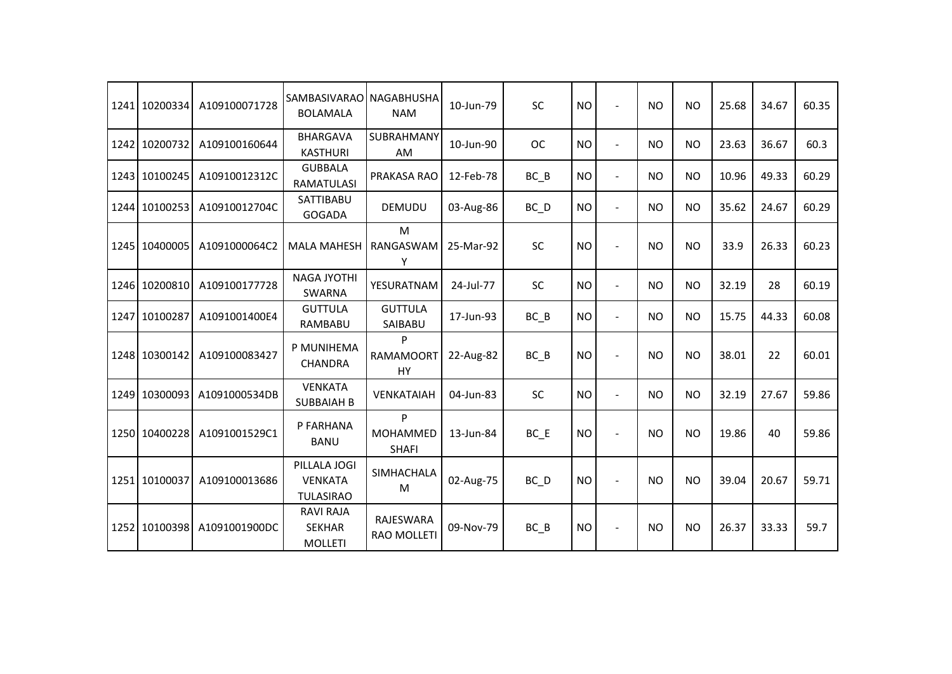|      | 1241 10200334 | A109100071728 | <b>SAMBASIVARAO</b><br><b>BOLAMALA</b>              | NAGABHUSHA<br><b>NAM</b>             | 10-Jun-79 | <b>SC</b>         | <b>NO</b> | $\overline{a}$           | <b>NO</b> | <b>NO</b> | 25.68 | 34.67 | 60.35 |
|------|---------------|---------------|-----------------------------------------------------|--------------------------------------|-----------|-------------------|-----------|--------------------------|-----------|-----------|-------|-------|-------|
|      | 1242 10200732 | A109100160644 | <b>BHARGAVA</b><br><b>KASTHURI</b>                  | SUBRAHMANY<br><b>AM</b>              | 10-Jun-90 | <b>OC</b>         | <b>NO</b> | $\overline{a}$           | <b>NO</b> | <b>NO</b> | 23.63 | 36.67 | 60.3  |
|      | 1243 10100245 | A10910012312C | <b>GUBBALA</b><br><b>RAMATULASI</b>                 | PRAKASA RAO                          | 12-Feb-78 | $BC$ $B$          | <b>NO</b> | $\overline{\phantom{a}}$ | <b>NO</b> | <b>NO</b> | 10.96 | 49.33 | 60.29 |
|      | 1244 10100253 | A10910012704C | SATTIBABU<br><b>GOGADA</b>                          | <b>DEMUDU</b>                        | 03-Aug-86 | $BC$ <sub>D</sub> | <b>NO</b> | $\blacksquare$           | <b>NO</b> | <b>NO</b> | 35.62 | 24.67 | 60.29 |
|      | 1245 10400005 | A1091000064C2 | <b>MALA MAHESH</b>                                  | M<br>RANGASWAM<br>Υ                  | 25-Mar-92 | <b>SC</b>         | <b>NO</b> | ÷,                       | <b>NO</b> | <b>NO</b> | 33.9  | 26.33 | 60.23 |
| 1246 | 10200810      | A109100177728 | <b>NAGA JYOTHI</b><br><b>SWARNA</b>                 | YESURATNAM                           | 24-Jul-77 | SC                | <b>NO</b> | $\blacksquare$           | <b>NO</b> | <b>NO</b> | 32.19 | 28    | 60.19 |
| 1247 | 10100287      | A1091001400E4 | <b>GUTTULA</b><br>RAMBABU                           | <b>GUTTULA</b><br>SAIBABU            | 17-Jun-93 | BC B              | <b>NO</b> | $\overline{\phantom{a}}$ | <b>NO</b> | <b>NO</b> | 15.75 | 44.33 | 60.08 |
|      | 1248 10300142 | A109100083427 | P MUNIHEMA<br><b>CHANDRA</b>                        | Þ<br><b>RAMAMOORT</b><br>HY          | 22-Aug-82 | BC B              | <b>NO</b> | $\overline{a}$           | <b>NO</b> | <b>NO</b> | 38.01 | 22    | 60.01 |
|      | 1249 10300093 | A1091000534DB | <b>VENKATA</b><br><b>SUBBAIAH B</b>                 | VENKATAIAH                           | 04-Jun-83 | SC                | <b>NO</b> | $\overline{a}$           | <b>NO</b> | <b>NO</b> | 32.19 | 27.67 | 59.86 |
|      | 1250 10400228 | A1091001529C1 | P FARHANA<br><b>BANU</b>                            | P<br><b>MOHAMMED</b><br><b>SHAFI</b> | 13-Jun-84 | BC E              | <b>NO</b> |                          | <b>NO</b> | <b>NO</b> | 19.86 | 40    | 59.86 |
|      | 1251 10100037 | A109100013686 | PILLALA JOGI<br><b>VENKATA</b><br><b>TULASIRAO</b>  | <b>SIMHACHALA</b><br>M               | 02-Aug-75 | BC D              | <b>NO</b> |                          | <b>NO</b> | <b>NO</b> | 39.04 | 20.67 | 59.71 |
|      | 1252 10100398 | A1091001900DC | <b>RAVI RAJA</b><br><b>SEKHAR</b><br><b>MOLLETI</b> | RAJESWARA<br><b>RAO MOLLETI</b>      | 09-Nov-79 | $BC$ $B$          | <b>NO</b> | $\overline{a}$           | <b>NO</b> | <b>NO</b> | 26.37 | 33.33 | 59.7  |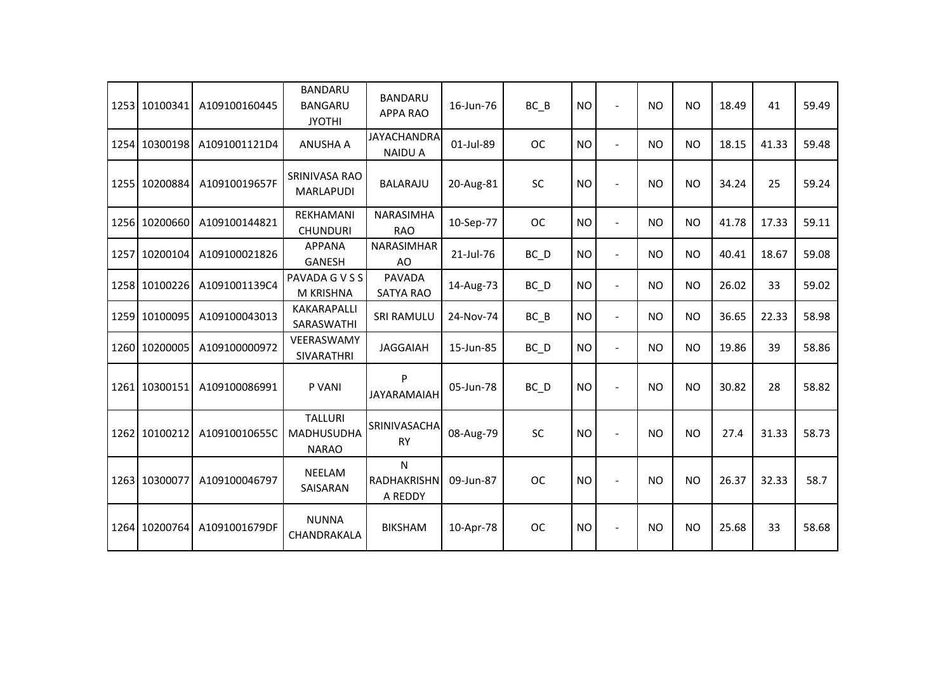|      | 1253 10100341 | A109100160445 | <b>BANDARU</b><br><b>BANGARU</b><br><b>JYOTHI</b>   | <b>BANDARU</b><br><b>APPA RAO</b>    | 16-Jun-76 | BC B              | <b>NO</b> | $\overline{\phantom{a}}$ | <b>NO</b>      | <b>NO</b> | 18.49 | 41    | 59.49 |
|------|---------------|---------------|-----------------------------------------------------|--------------------------------------|-----------|-------------------|-----------|--------------------------|----------------|-----------|-------|-------|-------|
|      | 1254 10300198 | A1091001121D4 | <b>ANUSHA A</b>                                     | <b>JAYACHANDRA</b><br><b>NAIDU A</b> | 01-Jul-89 | <b>OC</b>         | <b>NO</b> | L.                       | <b>NO</b>      | <b>NO</b> | 18.15 | 41.33 | 59.48 |
|      | 1255 10200884 | A10910019657F | SRINIVASA RAO<br>MARLAPUDI                          | <b>BALARAJU</b>                      | 20-Aug-81 | SC                | <b>NO</b> | $\overline{a}$           | <b>NO</b>      | <b>NO</b> | 34.24 | 25    | 59.24 |
|      | 1256 10200660 | A109100144821 | REKHAMANI<br><b>CHUNDURI</b>                        | <b>NARASIMHA</b><br><b>RAO</b>       | 10-Sep-77 | <b>OC</b>         | <b>NO</b> | $\blacksquare$           | <b>NO</b>      | <b>NO</b> | 41.78 | 17.33 | 59.11 |
| 1257 | 10200104      | A109100021826 | <b>APPANA</b><br><b>GANESH</b>                      | <b>NARASIMHAR</b><br>AO              | 21-Jul-76 | BC D              | <b>NO</b> | $\blacksquare$           | <b>NO</b>      | <b>NO</b> | 40.41 | 18.67 | 59.08 |
|      | 1258 10100226 | A1091001139C4 | PAVADA G V S S<br>M KRISHNA                         | <b>PAVADA</b><br><b>SATYA RAO</b>    | 14-Aug-73 | $BC$ <sub>D</sub> | <b>NO</b> | $\blacksquare$           | N <sub>O</sub> | <b>NO</b> | 26.02 | 33    | 59.02 |
|      | 1259 10100095 | A109100043013 | <b>KAKARAPALLI</b><br>SARASWATHI                    | <b>SRI RAMULU</b>                    | 24-Nov-74 | BC B              | <b>NO</b> | $\blacksquare$           | <b>NO</b>      | <b>NO</b> | 36.65 | 22.33 | 58.98 |
| 1260 | 10200005      | A109100000972 | VEERASWAMY<br>SIVARATHRI                            | <b>JAGGAIAH</b>                      | 15-Jun-85 | $BC$ <sub>D</sub> | <b>NO</b> | $\blacksquare$           | <b>NO</b>      | <b>NO</b> | 19.86 | 39    | 58.86 |
|      | 1261 10300151 | A109100086991 | P VANI                                              | P<br><b>JAYARAMAIAH</b>              | 05-Jun-78 | BC_D              | <b>NO</b> | $\overline{a}$           | <b>NO</b>      | <b>NO</b> | 30.82 | 28    | 58.82 |
|      | 1262 10100212 | A10910010655C | <b>TALLURI</b><br><b>MADHUSUDHA</b><br><b>NARAO</b> | SRINIVASACHA<br><b>RY</b>            | 08-Aug-79 | <b>SC</b>         | <b>NO</b> | $\overline{a}$           | <b>NO</b>      | <b>NO</b> | 27.4  | 31.33 | 58.73 |
|      | 1263 10300077 | A109100046797 | <b>NEELAM</b><br>SAISARAN                           | N<br>RADHAKRISHN<br>A REDDY          | 09-Jun-87 | <b>OC</b>         | <b>NO</b> |                          | <b>NO</b>      | <b>NO</b> | 26.37 | 32.33 | 58.7  |
|      | 1264 10200764 | A1091001679DF | <b>NUNNA</b><br>CHANDRAKALA                         | <b>BIKSHAM</b>                       | 10-Apr-78 | <b>OC</b>         | <b>NO</b> | $\overline{\phantom{a}}$ | <b>NO</b>      | <b>NO</b> | 25.68 | 33    | 58.68 |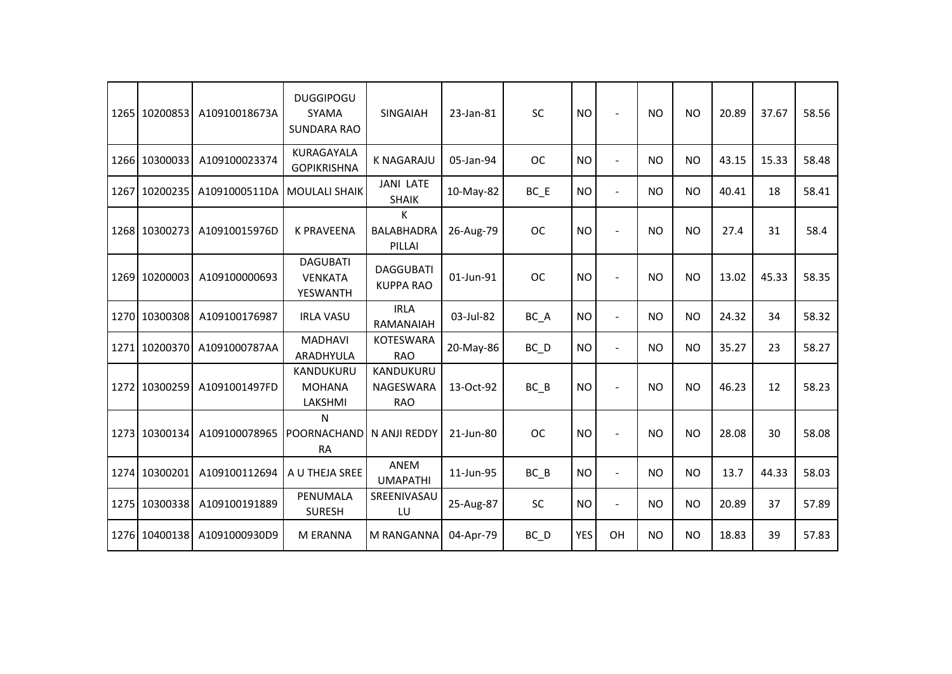|      | 1265 10200853 | A10910018673A | <b>DUGGIPOGU</b><br><b>SYAMA</b><br><b>SUNDARA RAO</b> | <b>SINGAIAH</b>                      | 23-Jan-81 | <b>SC</b>         | <b>NO</b>  |                | <b>NO</b> | N <sub>O</sub> | 20.89 | 37.67 | 58.56 |
|------|---------------|---------------|--------------------------------------------------------|--------------------------------------|-----------|-------------------|------------|----------------|-----------|----------------|-------|-------|-------|
| 1266 | 10300033      | A109100023374 | KURAGAYALA<br><b>GOPIKRISHNA</b>                       | <b>K NAGARAJU</b>                    | 05-Jan-94 | <b>OC</b>         | <b>NO</b>  | $\blacksquare$ | <b>NO</b> | <b>NO</b>      | 43.15 | 15.33 | 58.48 |
| 1267 | 10200235      | A1091000511DA | <b>MOULALI SHAIK</b>                                   | <b>JANI LATE</b><br><b>SHAIK</b>     | 10-May-82 | $BC$ $E$          | <b>NO</b>  | $\blacksquare$ | <b>NO</b> | <b>NO</b>      | 40.41 | 18    | 58.41 |
|      | 1268 10300273 | A10910015976D | <b>K PRAVEENA</b>                                      | к<br><b>BALABHADRA</b><br>PILLAI     | 26-Aug-79 | <b>OC</b>         | <b>NO</b>  |                | <b>NO</b> | <b>NO</b>      | 27.4  | 31    | 58.4  |
|      | 1269 10200003 | A109100000693 | <b>DAGUBATI</b><br><b>VENKATA</b><br><b>YESWANTH</b>   | <b>DAGGUBATI</b><br><b>KUPPA RAO</b> | 01-Jun-91 | <b>OC</b>         | <b>NO</b>  |                | <b>NO</b> | <b>NO</b>      | 13.02 | 45.33 | 58.35 |
|      | 1270 10300308 | A109100176987 | <b>IRLA VASU</b>                                       | <b>IRLA</b><br>RAMANAIAH             | 03-Jul-82 | BC A              | <b>NO</b>  | $\blacksquare$ | <b>NO</b> | <b>NO</b>      | 24.32 | 34    | 58.32 |
| 1271 | 10200370      | A1091000787AA | <b>MADHAVI</b><br>ARADHYULA                            | <b>KOTESWARA</b><br><b>RAO</b>       | 20-May-86 | $BC$ <sub>D</sub> | <b>NO</b>  | $\blacksquare$ | <b>NO</b> | <b>NO</b>      | 35.27 | 23    | 58.27 |
|      | 1272 10300259 | A1091001497FD | KANDUKURU<br><b>MOHANA</b><br>LAKSHMI                  | KANDUKURU<br>NAGESWARA<br><b>RAO</b> | 13-Oct-92 | $BC$ $B$          | <b>NO</b>  | $\overline{a}$ | <b>NO</b> | <b>NO</b>      | 46.23 | 12    | 58.23 |
|      | 1273 10300134 | A109100078965 | N<br>POORNACHAND<br><b>RA</b>                          | N ANJI REDDY                         | 21-Jun-80 | <b>OC</b>         | <b>NO</b>  |                | <b>NO</b> | <b>NO</b>      | 28.08 | 30    | 58.08 |
|      | 1274 10300201 | A109100112694 | A U THEJA SREE                                         | ANEM<br><b>UMAPATHI</b>              | 11-Jun-95 | $BC$ $B$          | <b>NO</b>  | $\overline{a}$ | <b>NO</b> | <b>NO</b>      | 13.7  | 44.33 | 58.03 |
|      | 1275 10300338 | A109100191889 | PENUMALA<br><b>SURESH</b>                              | SREENIVASAU<br>LU                    | 25-Aug-87 | SC                | <b>NO</b>  | $\blacksquare$ | <b>NO</b> | <b>NO</b>      | 20.89 | 37    | 57.89 |
|      | 1276 10400138 | A1091000930D9 | M ERANNA                                               | M RANGANNA                           | 04-Apr-79 | BC_D              | <b>YES</b> | OH             | <b>NO</b> | <b>NO</b>      | 18.83 | 39    | 57.83 |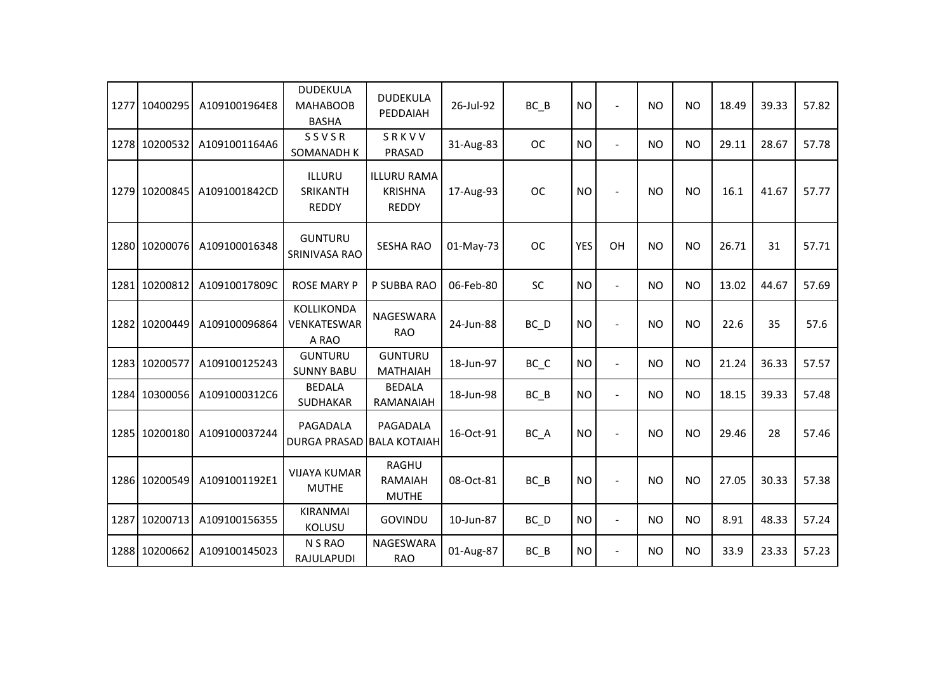| 1277 | 10400295      | A1091001964E8 | <b>DUDEKULA</b><br><b>MAHABOOB</b><br><b>BASHA</b> | <b>DUDEKULA</b><br>PEDDAIAH                          | 26-Jul-92 | BC B              | <b>NO</b>  | $\blacksquare$ | <b>NO</b> | <b>NO</b> | 18.49 | 39.33 | 57.82 |
|------|---------------|---------------|----------------------------------------------------|------------------------------------------------------|-----------|-------------------|------------|----------------|-----------|-----------|-------|-------|-------|
|      | 1278 10200532 | A1091001164A6 | SSVSR<br>SOMANADH K                                | SRKVV<br>PRASAD                                      | 31-Aug-83 | <b>OC</b>         | <b>NO</b>  | $\overline{a}$ | <b>NO</b> | <b>NO</b> | 29.11 | 28.67 | 57.78 |
|      | 1279 10200845 | A1091001842CD | ILLURU<br>SRIKANTH<br><b>REDDY</b>                 | <b>ILLURU RAMA</b><br><b>KRISHNA</b><br><b>REDDY</b> | 17-Aug-93 | <b>OC</b>         | <b>NO</b>  | $\sim$         | <b>NO</b> | <b>NO</b> | 16.1  | 41.67 | 57.77 |
|      | 1280 10200076 | A109100016348 | <b>GUNTURU</b><br>SRINIVASA RAO                    | <b>SESHA RAO</b>                                     | 01-May-73 | <b>OC</b>         | <b>YES</b> | OH             | <b>NO</b> | <b>NO</b> | 26.71 | 31    | 57.71 |
|      | 1281 10200812 | A10910017809C | <b>ROSE MARY P</b>                                 | P SUBBA RAO                                          | 06-Feb-80 | <b>SC</b>         | <b>NO</b>  | $\blacksquare$ | <b>NO</b> | NO        | 13.02 | 44.67 | 57.69 |
|      | 1282 10200449 | A109100096864 | KOLLIKONDA<br>VENKATESWAR<br>A RAO                 | NAGESWARA<br><b>RAO</b>                              | 24-Jun-88 | BC_D              | <b>NO</b>  | $\sim$         | <b>NO</b> | <b>NO</b> | 22.6  | 35    | 57.6  |
|      | 1283 10200577 | A109100125243 | <b>GUNTURU</b><br><b>SUNNY BABU</b>                | <b>GUNTURU</b><br><b>MATHAIAH</b>                    | 18-Jun-97 | BC_C              | <b>NO</b>  | $\blacksquare$ | <b>NO</b> | <b>NO</b> | 21.24 | 36.33 | 57.57 |
|      | 1284 10300056 | A1091000312C6 | <b>BEDALA</b><br>SUDHAKAR                          | <b>BEDALA</b><br>RAMANAIAH                           | 18-Jun-98 | BC B              | <b>NO</b>  | $\overline{a}$ | <b>NO</b> | <b>NO</b> | 18.15 | 39.33 | 57.48 |
|      | 1285 10200180 | A109100037244 | PAGADALA<br><b>DURGA PRASAD</b>                    | PAGADALA<br><b>BALA KOTAIAH</b>                      | 16-Oct-91 | BC A              | <b>NO</b>  | $\overline{a}$ | <b>NO</b> | <b>NO</b> | 29.46 | 28    | 57.46 |
|      | 1286 10200549 | A1091001192E1 | <b>VIJAYA KUMAR</b><br><b>MUTHE</b>                | <b>RAGHU</b><br>RAMAIAH<br><b>MUTHE</b>              | 08-Oct-81 | BC B              | <b>NO</b>  | $\blacksquare$ | <b>NO</b> | <b>NO</b> | 27.05 | 30.33 | 57.38 |
| 1287 | 10200713      | A109100156355 | <b>KIRANMAI</b><br><b>KOLUSU</b>                   | GOVINDU                                              | 10-Jun-87 | $BC$ <sub>D</sub> | <b>NO</b>  | $\blacksquare$ | <b>NO</b> | NO        | 8.91  | 48.33 | 57.24 |
|      | 1288 10200662 | A109100145023 | N S RAO<br>RAJULAPUDI                              | NAGESWARA<br><b>RAO</b>                              | 01-Aug-87 | $BC$ $B$          | <b>NO</b>  | $\overline{a}$ | <b>NO</b> | <b>NO</b> | 33.9  | 23.33 | 57.23 |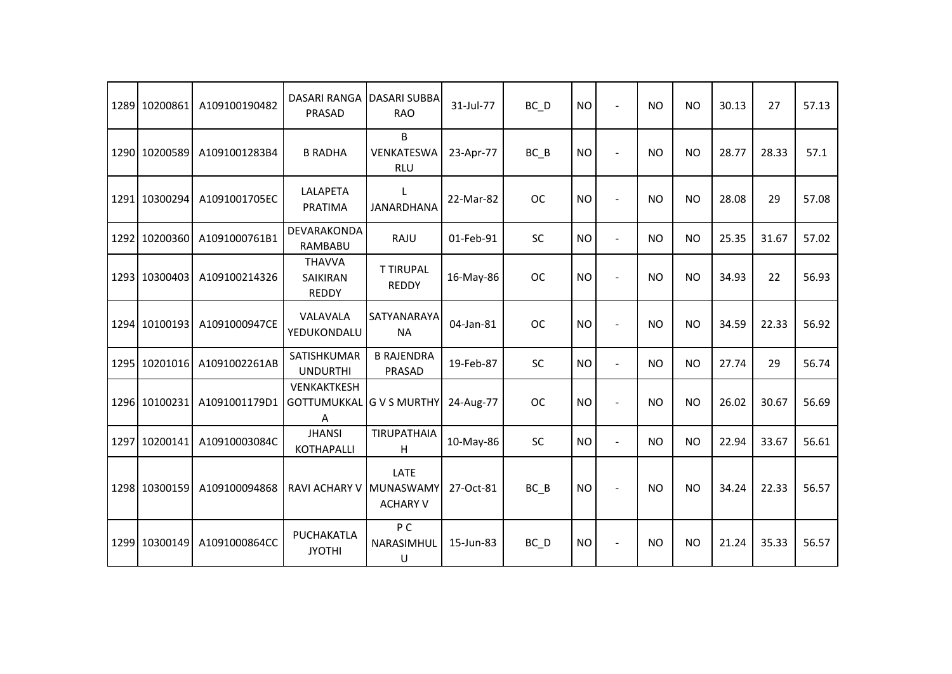|      | 1289 10200861 | A109100190482 | <b>DASARI RANGA</b><br>PRASAD             | <b>DASARI SUBBA</b><br><b>RAO</b>    | 31-Jul-77 | BC_D      | <b>NO</b> | $\overline{a}$ | <b>NO</b> | <b>NO</b> | 30.13 | 27    | 57.13 |
|------|---------------|---------------|-------------------------------------------|--------------------------------------|-----------|-----------|-----------|----------------|-----------|-----------|-------|-------|-------|
|      | 1290 10200589 | A1091001283B4 | <b>B RADHA</b>                            | B<br>VENKATESWA<br><b>RLU</b>        | 23-Apr-77 | $BC$ $B$  | <b>NO</b> |                | <b>NO</b> | <b>NO</b> | 28.77 | 28.33 | 57.1  |
|      | 1291 10300294 | A1091001705EC | LALAPETA<br><b>PRATIMA</b>                | L<br><b>JANARDHANA</b>               | 22-Mar-82 | <b>OC</b> | <b>NO</b> | $\blacksquare$ | <b>NO</b> | <b>NO</b> | 28.08 | 29    | 57.08 |
|      | 1292 10200360 | A1091000761B1 | DEVARAKONDA<br>RAMBABU                    | RAJU                                 | 01-Feb-91 | SC        | <b>NO</b> | $\overline{a}$ | <b>NO</b> | <b>NO</b> | 25.35 | 31.67 | 57.02 |
|      | 1293 10300403 | A109100214326 | <b>THAVVA</b><br>SAIKIRAN<br><b>REDDY</b> | <b>T TIRUPAL</b><br><b>REDDY</b>     | 16-May-86 | <b>OC</b> | <b>NO</b> | $\blacksquare$ | <b>NO</b> | <b>NO</b> | 34.93 | 22    | 56.93 |
|      | 1294 10100193 | A1091000947CE | VALAVALA<br>YEDUKONDALU                   | SATYANARAYA<br><b>NA</b>             | 04-Jan-81 | <b>OC</b> | <b>NO</b> | $\sim$         | <b>NO</b> | <b>NO</b> | 34.59 | 22.33 | 56.92 |
| 1295 | 10201016      | A1091002261AB | SATISHKUMAR<br><b>UNDURTHI</b>            | <b>B RAJENDRA</b><br>PRASAD          | 19-Feb-87 | SC        | <b>NO</b> | $\blacksquare$ | <b>NO</b> | <b>NO</b> | 27.74 | 29    | 56.74 |
|      | 1296 10100231 | A1091001179D1 | VENKAKTKESH<br><b>GOTTUMUKKAL</b><br>Α    | <b>GVS MURTHY</b>                    | 24-Aug-77 | <b>OC</b> | <b>NO</b> | $\blacksquare$ | <b>NO</b> | <b>NO</b> | 26.02 | 30.67 | 56.69 |
| 1297 | 10200141      | A10910003084C | <b>JHANSI</b><br><b>KOTHAPALLI</b>        | <b>TIRUPATHAIA</b><br>H              | 10-May-86 | SC        | <b>NO</b> | $\blacksquare$ | <b>NO</b> | <b>NO</b> | 22.94 | 33.67 | 56.61 |
|      | 1298 10300159 | A109100094868 | <b>RAVI ACHARY V</b>                      | LATE<br>MUNASWAMY<br><b>ACHARY V</b> | 27-Oct-81 | $BC$ $B$  | <b>NO</b> |                | <b>NO</b> | <b>NO</b> | 34.24 | 22.33 | 56.57 |
|      | 1299 10300149 | A1091000864CC | PUCHAKATLA<br><b>JYOTHI</b>               | P C<br>NARASIMHUL<br>$\sf U$         | 15-Jun-83 | BC_D      | <b>NO</b> |                | <b>NO</b> | <b>NO</b> | 21.24 | 35.33 | 56.57 |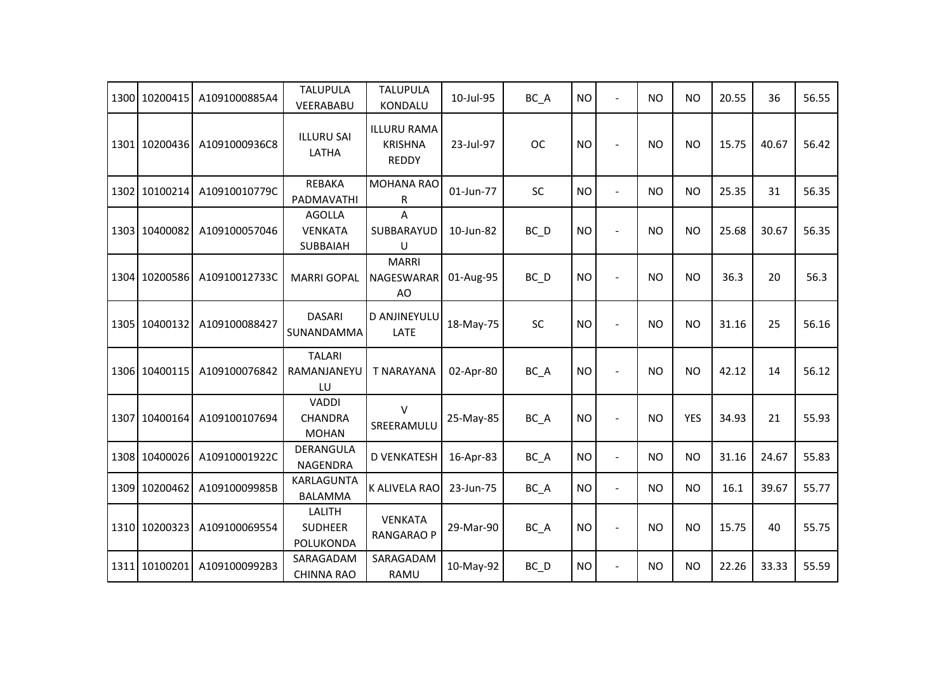|      | 1300 10200415 | A1091000885A4 | <b>TALUPULA</b><br>VEERABABU                   | <b>TALUPULA</b><br>KONDALU                           | 10-Jul-95 | BC_A      | <b>NO</b> | $\overline{a}$           | <b>NO</b> | <b>NO</b>  | 20.55 | 36    | 56.55 |
|------|---------------|---------------|------------------------------------------------|------------------------------------------------------|-----------|-----------|-----------|--------------------------|-----------|------------|-------|-------|-------|
|      | 1301 10200436 | A1091000936C8 | <b>ILLURU SAI</b><br>LATHA                     | <b>ILLURU RAMA</b><br><b>KRISHNA</b><br><b>REDDY</b> | 23-Jul-97 | <b>OC</b> | <b>NO</b> |                          | <b>NO</b> | <b>NO</b>  | 15.75 | 40.67 | 56.42 |
|      | 1302 10100214 | A10910010779C | <b>REBAKA</b><br>PADMAVATHI                    | <b>MOHANA RAO</b><br>R                               | 01-Jun-77 | <b>SC</b> | <b>NO</b> | $\overline{a}$           | <b>NO</b> | <b>NO</b>  | 25.35 | 31    | 56.35 |
|      | 1303 10400082 | A109100057046 | <b>AGOLLA</b><br><b>VENKATA</b><br>SUBBAIAH    | A<br>SUBBARAYUD<br>U                                 | 10-Jun-82 | BC_D      | <b>NO</b> | $\overline{a}$           | <b>NO</b> | <b>NO</b>  | 25.68 | 30.67 | 56.35 |
|      | 1304 10200586 | A10910012733C | <b>MARRI GOPAL</b>                             | <b>MARRI</b><br>NAGESWARAR<br>AO                     | 01-Aug-95 | BC_D      | <b>NO</b> | $\overline{a}$           | <b>NO</b> | <b>NO</b>  | 36.3  | 20    | 56.3  |
| 1305 | 10400132      | A109100088427 | <b>DASARI</b><br>SUNANDAMMA                    | D ANJINEYULU<br><b>LATE</b>                          | 18-May-75 | SC        | <b>NO</b> |                          | <b>NO</b> | <b>NO</b>  | 31.16 | 25    | 56.16 |
|      | 1306 10400115 | A109100076842 | <b>TALARI</b><br>RAMANJANEYU<br>LU             | <b>T NARAYANA</b>                                    | 02-Apr-80 | BC_A      | <b>NO</b> | $\overline{a}$           | <b>NO</b> | <b>NO</b>  | 42.12 | 14    | 56.12 |
|      | 1307 10400164 | A109100107694 | <b>VADDI</b><br><b>CHANDRA</b><br><b>MOHAN</b> | $\vee$<br>SREERAMULU                                 | 25-May-85 | BC_A      | <b>NO</b> |                          | <b>NO</b> | <b>YES</b> | 34.93 | 21    | 55.93 |
|      | 1308 10400026 | A10910001922C | DERANGULA<br>NAGENDRA                          | <b>D VENKATESH</b>                                   | 16-Apr-83 | BC_A      | <b>NO</b> | $\blacksquare$           | <b>NO</b> | <b>NO</b>  | 31.16 | 24.67 | 55.83 |
| 1309 | 10200462      | A10910009985B | KARLAGUNTA<br><b>BALAMMA</b>                   | K ALIVELA RAO                                        | 23-Jun-75 | BC_A      | <b>NO</b> | $\overline{\phantom{a}}$ | <b>NO</b> | <b>NO</b>  | 16.1  | 39.67 | 55.77 |
|      | 1310 10200323 | A109100069554 | LALITH<br><b>SUDHEER</b><br>POLUKONDA          | <b>VENKATA</b><br><b>RANGARAO P</b>                  | 29-Mar-90 | BC_A      | <b>NO</b> | $\blacksquare$           | <b>NO</b> | <b>NO</b>  | 15.75 | 40    | 55.75 |
| 1311 | 10100201      | A1091000992B3 | SARAGADAM<br><b>CHINNA RAO</b>                 | SARAGADAM<br>RAMU                                    | 10-May-92 | BC_D      | <b>NO</b> | $\overline{a}$           | <b>NO</b> | <b>NO</b>  | 22.26 | 33.33 | 55.59 |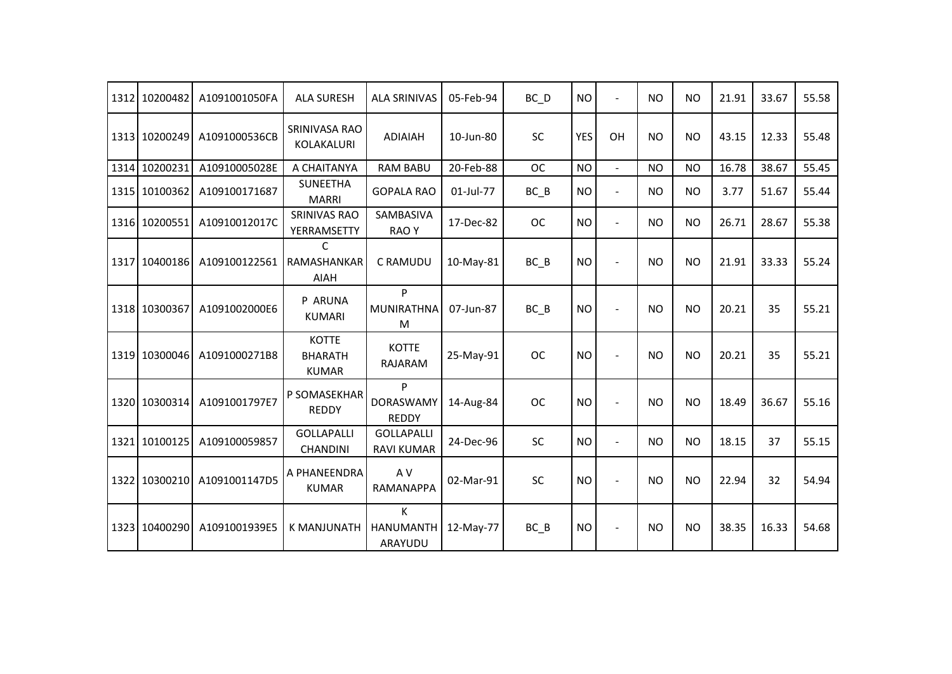| 1312 | 10200482      | A1091001050FA | <b>ALA SURESH</b>                              | <b>ALA SRINIVAS</b>                    | 05-Feb-94 | BC_D      | <b>NO</b>  | $\blacksquare$           | <b>NO</b> | <b>NO</b>      | 21.91 | 33.67 | 55.58 |
|------|---------------|---------------|------------------------------------------------|----------------------------------------|-----------|-----------|------------|--------------------------|-----------|----------------|-------|-------|-------|
|      | 1313 10200249 | A1091000536CB | SRINIVASA RAO<br>KOLAKALURI                    | <b>ADIAIAH</b>                         | 10-Jun-80 | SC        | <b>YES</b> | OH                       | <b>NO</b> | <b>NO</b>      | 43.15 | 12.33 | 55.48 |
|      | 1314 10200231 | A10910005028E | A CHAITANYA                                    | <b>RAM BABU</b>                        | 20-Feb-88 | <b>OC</b> | <b>NO</b>  | $\blacksquare$           | <b>NO</b> | <b>NO</b>      | 16.78 | 38.67 | 55.45 |
|      | 1315 10100362 | A109100171687 | <b>SUNEETHA</b><br><b>MARRI</b>                | <b>GOPALA RAO</b>                      | 01-Jul-77 | $BC$ $B$  | <b>NO</b>  | $\blacksquare$           | <b>NO</b> | <b>NO</b>      | 3.77  | 51.67 | 55.44 |
|      | 1316 10200551 | A10910012017C | <b>SRINIVAS RAO</b><br>YERRAMSETTY             | SAMBASIVA<br><b>RAOY</b>               | 17-Dec-82 | <b>OC</b> | <b>NO</b>  | $\blacksquare$           | <b>NO</b> | <b>NO</b>      | 26.71 | 28.67 | 55.38 |
| 1317 | 10400186      | A109100122561 | C<br>RAMASHANKAR<br>AIAH                       | C RAMUDU                               | 10-May-81 | $BC$ $B$  | <b>NO</b>  | $\overline{a}$           | <b>NO</b> | <b>NO</b>      | 21.91 | 33.33 | 55.24 |
|      | 1318 10300367 | A1091002000E6 | P ARUNA<br><b>KUMARI</b>                       | P<br><b>MUNIRATHNA</b><br>M            | 07-Jun-87 | BC B      | <b>NO</b>  |                          | <b>NO</b> | <b>NO</b>      | 20.21 | 35    | 55.21 |
|      | 1319 10300046 | A1091000271B8 | <b>KOTTE</b><br><b>BHARATH</b><br><b>KUMAR</b> | <b>KOTTE</b><br>RAJARAM                | 25-May-91 | <b>OC</b> | <b>NO</b>  |                          | <b>NO</b> | N <sub>O</sub> | 20.21 | 35    | 55.21 |
|      | 1320 10300314 | A1091001797E7 | P SOMASEKHAR<br><b>REDDY</b>                   | P<br><b>DORASWAMY</b><br><b>REDDY</b>  | 14-Aug-84 | <b>OC</b> | <b>NO</b>  | $\overline{a}$           | <b>NO</b> | <b>NO</b>      | 18.49 | 36.67 | 55.16 |
|      | 1321 10100125 | A109100059857 | <b>GOLLAPALLI</b><br><b>CHANDINI</b>           | <b>GOLLAPALLI</b><br><b>RAVI KUMAR</b> | 24-Dec-96 | <b>SC</b> | <b>NO</b>  | $\overline{\phantom{a}}$ | <b>NO</b> | <b>NO</b>      | 18.15 | 37    | 55.15 |
|      | 1322 10300210 | A1091001147D5 | A PHANEENDRA<br><b>KUMAR</b>                   | A V<br>RAMANAPPA                       | 02-Mar-91 | SC        | <b>NO</b>  |                          | <b>NO</b> | <b>NO</b>      | 22.94 | 32    | 54.94 |
|      | 1323 10400290 | A1091001939E5 | <b>K MANJUNATH</b>                             | K<br><b>HANUMANTH</b><br>ARAYUDU       | 12-May-77 | $BC$ $B$  | <b>NO</b>  | $\overline{\phantom{a}}$ | <b>NO</b> | <b>NO</b>      | 38.35 | 16.33 | 54.68 |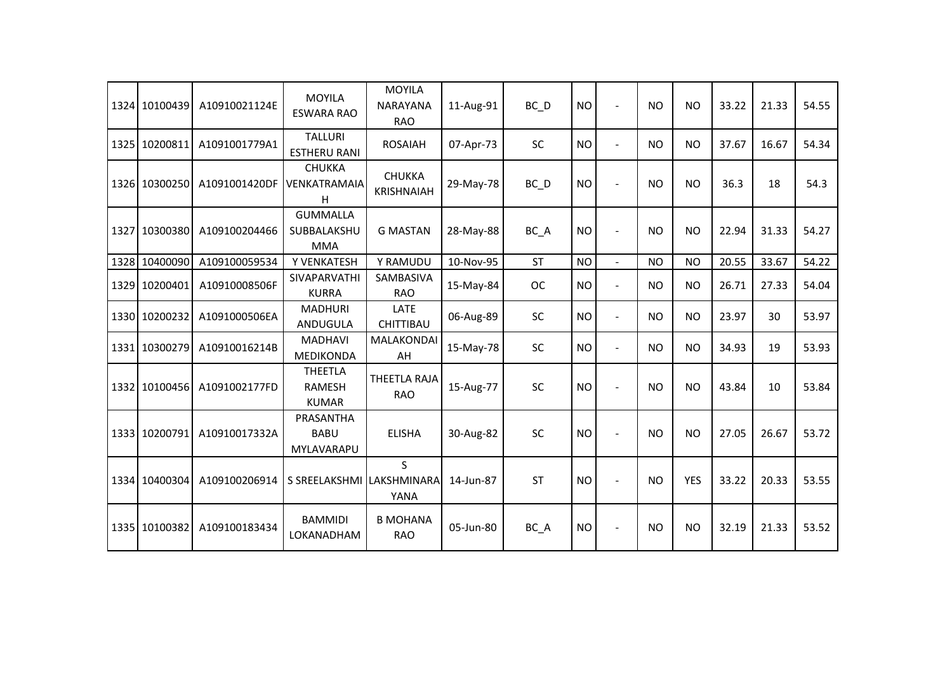|      | 1324 10100439 | A10910021124E | <b>MOYILA</b><br><b>ESWARA RAO</b>              | <b>MOYILA</b><br><b>NARAYANA</b><br><b>RAO</b> | 11-Aug-91 | BC D      | <b>NO</b> | $\overline{\phantom{a}}$ | <b>NO</b> | <b>NO</b>      | 33.22 | 21.33 | 54.55 |
|------|---------------|---------------|-------------------------------------------------|------------------------------------------------|-----------|-----------|-----------|--------------------------|-----------|----------------|-------|-------|-------|
|      | 1325 10200811 | A1091001779A1 | <b>TALLURI</b><br><b>ESTHERU RANI</b>           | <b>ROSAIAH</b>                                 | 07-Apr-73 | <b>SC</b> | <b>NO</b> | L.                       | <b>NO</b> | <b>NO</b>      | 37.67 | 16.67 | 54.34 |
|      | 1326 10300250 | A1091001420DF | <b>CHUKKA</b><br><b>VENKATRAMAIA</b><br>н       | <b>CHUKKA</b><br><b>KRISHNAIAH</b>             | 29-May-78 | BC D      | <b>NO</b> | $\overline{\phantom{a}}$ | <b>NO</b> | N <sub>O</sub> | 36.3  | 18    | 54.3  |
|      | 1327 10300380 | A109100204466 | <b>GUMMALLA</b><br>SUBBALAKSHU<br><b>MMA</b>    | <b>G MASTAN</b>                                | 28-May-88 | BC A      | <b>NO</b> |                          | <b>NO</b> | <b>NO</b>      | 22.94 | 31.33 | 54.27 |
|      | 1328 10400090 | A109100059534 | Y VENKATESH                                     | Y RAMUDU                                       | 10-Nov-95 | <b>ST</b> | <b>NO</b> | $\mathbf{r}$             | <b>NO</b> | <b>NO</b>      | 20.55 | 33.67 | 54.22 |
| 1329 | 10200401      | A10910008506F | <b>SIVAPARVATHI</b><br><b>KURRA</b>             | <b>SAMBASIVA</b><br><b>RAO</b>                 | 15-May-84 | <b>OC</b> | <b>NO</b> | $\blacksquare$           | <b>NO</b> | <b>NO</b>      | 26.71 | 27.33 | 54.04 |
|      | 1330 10200232 | A1091000506EA | <b>MADHURI</b><br>ANDUGULA                      | LATE<br><b>CHITTIBAU</b>                       | 06-Aug-89 | <b>SC</b> | <b>NO</b> | $\overline{\phantom{a}}$ | <b>NO</b> | <b>NO</b>      | 23.97 | 30    | 53.97 |
| 1331 | 10300279      | A10910016214B | <b>MADHAVI</b><br>MEDIKONDA                     | MALAKONDAI<br>AH                               | 15-May-78 | <b>SC</b> | <b>NO</b> | $\overline{\phantom{a}}$ | <b>NO</b> | <b>NO</b>      | 34.93 | 19    | 53.93 |
|      | 1332 10100456 | A1091002177FD | <b>THEETLA</b><br><b>RAMESH</b><br><b>KUMAR</b> | <b>THEETLA RAJA</b><br><b>RAO</b>              | 15-Aug-77 | SC        | <b>NO</b> |                          | <b>NO</b> | <b>NO</b>      | 43.84 | 10    | 53.84 |
|      | 1333 10200791 | A10910017332A | PRASANTHA<br><b>BABU</b><br>MYLAVARAPU          | <b>ELISHA</b>                                  | 30-Aug-82 | <b>SC</b> | <b>NO</b> |                          | <b>NO</b> | <b>NO</b>      | 27.05 | 26.67 | 53.72 |
|      | 1334 10400304 | A109100206914 | S SREELAKSHMI LAKSHMINARA                       | S.<br><b>YANA</b>                              | 14-Jun-87 | <b>ST</b> | <b>NO</b> |                          | <b>NO</b> | <b>YES</b>     | 33.22 | 20.33 | 53.55 |
|      | 1335 10100382 | A109100183434 | <b>BAMMIDI</b><br>LOKANADHAM                    | <b>B MOHANA</b><br><b>RAO</b>                  | 05-Jun-80 | BC_A      | <b>NO</b> | $\overline{\phantom{a}}$ | <b>NO</b> | <b>NO</b>      | 32.19 | 21.33 | 53.52 |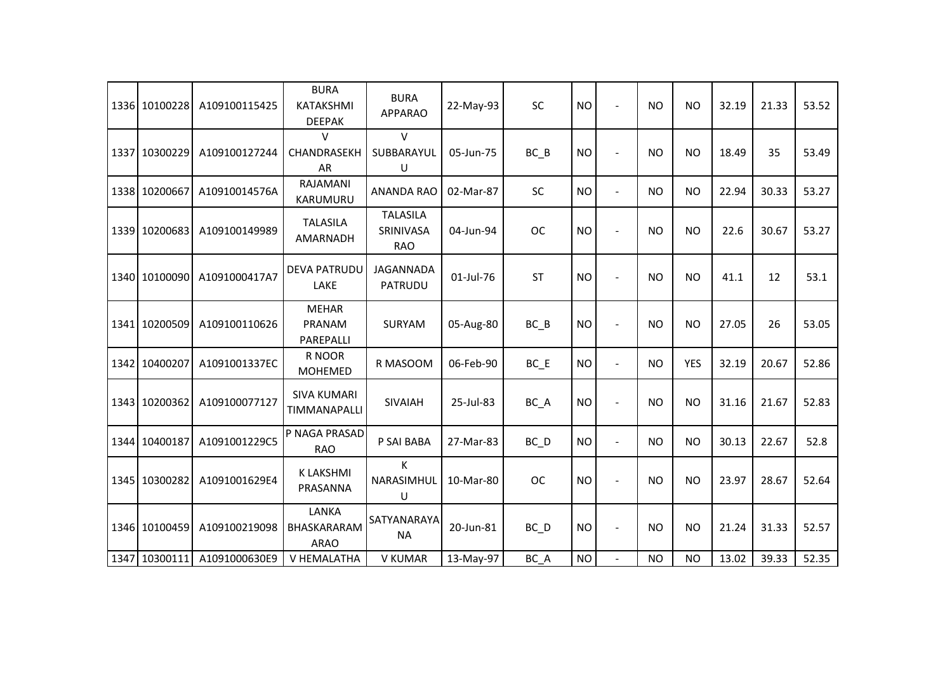| 1336 10100228 | A109100115425 | <b>BURA</b><br>KATAKSHMI<br><b>DEEPAK</b> | <b>BURA</b><br><b>APPARAO</b>              | 22-May-93 | <b>SC</b> | <b>NO</b> |                | <b>NO</b> | <b>NO</b>  | 32.19 | 21.33 | 53.52 |
|---------------|---------------|-------------------------------------------|--------------------------------------------|-----------|-----------|-----------|----------------|-----------|------------|-------|-------|-------|
| 1337 10300229 | A109100127244 | V<br>CHANDRASEKH<br>AR                    | $\vee$<br>SUBBARAYUL<br>U                  | 05-Jun-75 | $BC$ $B$  | <b>NO</b> |                | NO.       | <b>NO</b>  | 18.49 | 35    | 53.49 |
| 1338 10200667 | A10910014576A | RAJAMANI<br>KARUMURU                      | <b>ANANDA RAO</b>                          | 02-Mar-87 | SC        | <b>NO</b> | $\blacksquare$ | <b>NO</b> | <b>NO</b>  | 22.94 | 30.33 | 53.27 |
| 1339 10200683 | A109100149989 | <b>TALASILA</b><br>AMARNADH               | <b>TALASILA</b><br>SRINIVASA<br><b>RAO</b> | 04-Jun-94 | <b>OC</b> | <b>NO</b> |                | <b>NO</b> | <b>NO</b>  | 22.6  | 30.67 | 53.27 |
| 1340 10100090 | A1091000417A7 | <b>DEVA PATRUDU</b><br>LAKE               | JAGANNADA<br>PATRUDU                       | 01-Jul-76 | <b>ST</b> | <b>NO</b> | $\overline{a}$ | NO.       | <b>NO</b>  | 41.1  | 12    | 53.1  |
| 1341 10200509 | A109100110626 | <b>MEHAR</b><br>PRANAM<br>PAREPALLI       | <b>SURYAM</b>                              | 05-Aug-80 | BC B      | <b>NO</b> | $\blacksquare$ | <b>NO</b> | <b>NO</b>  | 27.05 | 26    | 53.05 |
| 1342 10400207 | A1091001337EC | R NOOR<br><b>MOHEMED</b>                  | R MASOOM                                   | 06-Feb-90 | $BC$ $E$  | <b>NO</b> | $\blacksquare$ | <b>NO</b> | <b>YES</b> | 32.19 | 20.67 | 52.86 |
| 1343 10200362 | A109100077127 | <b>SIVA KUMARI</b><br>TIMMANAPALLI        | SIVAIAH                                    | 25-Jul-83 | BC_A      | <b>NO</b> | $\blacksquare$ | <b>NO</b> | <b>NO</b>  | 31.16 | 21.67 | 52.83 |
| 1344 10400187 | A1091001229C5 | P NAGA PRASAD<br><b>RAO</b>               | P SAI BABA                                 | 27-Mar-83 | $BC$ $D$  | <b>NO</b> | $\blacksquare$ | <b>NO</b> | <b>NO</b>  | 30.13 | 22.67 | 52.8  |
| 1345 10300282 | A1091001629E4 | <b>K LAKSHMI</b><br>PRASANNA              | Κ<br>NARASIMHUL<br>U                       | 10-Mar-80 | <b>OC</b> | <b>NO</b> |                | NO.       | <b>NO</b>  | 23.97 | 28.67 | 52.64 |
| 1346 10100459 | A109100219098 | LANKA<br>BHASKARARAM<br><b>ARAO</b>       | SATYANARAYA<br><b>NA</b>                   | 20-Jun-81 | $BC$ $D$  | <b>NO</b> | $\blacksquare$ | <b>NO</b> | <b>NO</b>  | 21.24 | 31.33 | 52.57 |
| 1347 10300111 | A1091000630E9 | V HEMALATHA                               | V KUMAR                                    | 13-May-97 | BC A      | <b>NO</b> |                | <b>NO</b> | <b>NO</b>  | 13.02 | 39.33 | 52.35 |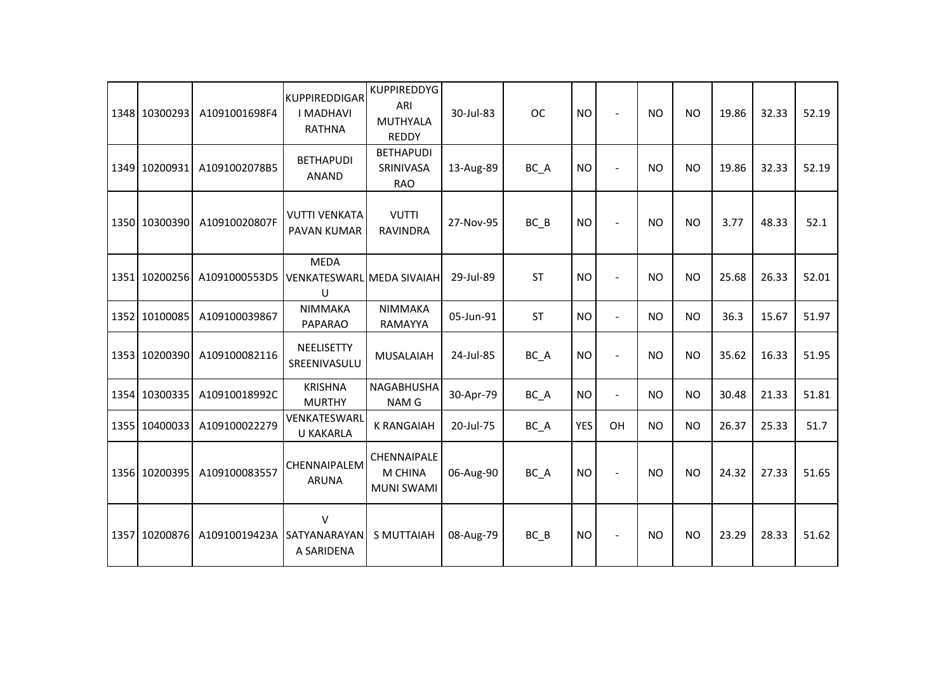| 1348 10300293 | A1091001698F4 | <b>KUPPIREDDIGAR</b><br><b>I MADHAVI</b><br><b>RATHNA</b> | <b>KUPPIREDDYG</b><br>ARI<br>MUTHYALA<br><b>REDDY</b> | 30-Jul-83 | <b>OC</b> | <b>NO</b>  | $\sim$         | <b>NO</b> | <b>NO</b> | 19.86 | 32.33 | 52.19 |
|---------------|---------------|-----------------------------------------------------------|-------------------------------------------------------|-----------|-----------|------------|----------------|-----------|-----------|-------|-------|-------|
| 1349 10200931 | A1091002078B5 | <b>BETHAPUDI</b><br><b>ANAND</b>                          | <b>BETHAPUDI</b><br>SRINIVASA<br><b>RAO</b>           | 13-Aug-89 | BC_A      | <b>NO</b>  | $\sim$         | <b>NO</b> | <b>NO</b> | 19.86 | 32.33 | 52.19 |
| 1350 10300390 | A10910020807F | <b>VUTTI VENKATA</b><br>PAVAN KUMAR                       | <b>VUTTI</b><br><b>RAVINDRA</b>                       | 27-Nov-95 | BC B      | <b>NO</b>  |                | <b>NO</b> | <b>NO</b> | 3.77  | 48.33 | 52.1  |
| 1351 10200256 | A1091000553D5 | <b>MEDA</b><br><b>VENKATESWARL MEDA SIVAIAH</b><br>U      |                                                       | 29-Jul-89 | <b>ST</b> | <b>NO</b>  | $\sim$         | <b>NO</b> | <b>NO</b> | 25.68 | 26.33 | 52.01 |
| 1352 10100085 | A109100039867 | NIMMAKA<br><b>PAPARAO</b>                                 | <b>NIMMAKA</b><br>RAMAYYA                             | 05-Jun-91 | <b>ST</b> | <b>NO</b>  | $\overline{a}$ | <b>NO</b> | <b>NO</b> | 36.3  | 15.67 | 51.97 |
| 1353 10200390 | A109100082116 | NEELISETTY<br>SREENIVASULU                                | <b>MUSALAIAH</b>                                      | 24-Jul-85 | BC_A      | <b>NO</b>  | $\blacksquare$ | <b>NO</b> | <b>NO</b> | 35.62 | 16.33 | 51.95 |
| 1354 10300335 | A10910018992C | <b>KRISHNA</b><br><b>MURTHY</b>                           | NAGABHUSHA<br>NAM G                                   | 30-Apr-79 | BC_A      | <b>NO</b>  | $\blacksquare$ | <b>NO</b> | <b>NO</b> | 30.48 | 21.33 | 51.81 |
| 1355 10400033 | A109100022279 | VENKATESWARL<br><b>U KAKARLA</b>                          | <b>K RANGAIAH</b>                                     | 20-Jul-75 | BC_A      | <b>YES</b> | OH             | <b>NO</b> | <b>NO</b> | 26.37 | 25.33 | 51.7  |
| 1356 10200395 | A109100083557 | CHENNAIPALEM<br><b>ARUNA</b>                              | CHENNAIPALE<br>M CHINA<br><b>MUNI SWAMI</b>           | 06-Aug-90 | BC_A      | <b>NO</b>  | $\blacksquare$ | <b>NO</b> | <b>NO</b> | 24.32 | 27.33 | 51.65 |
| 1357 10200876 | A10910019423A | $\vee$<br>SATYANARAYAN<br>A SARIDENA                      | <b>S MUTTAIAH</b>                                     | 08-Aug-79 | $BC$ $B$  | <b>NO</b>  | $\blacksquare$ | <b>NO</b> | <b>NO</b> | 23.29 | 28.33 | 51.62 |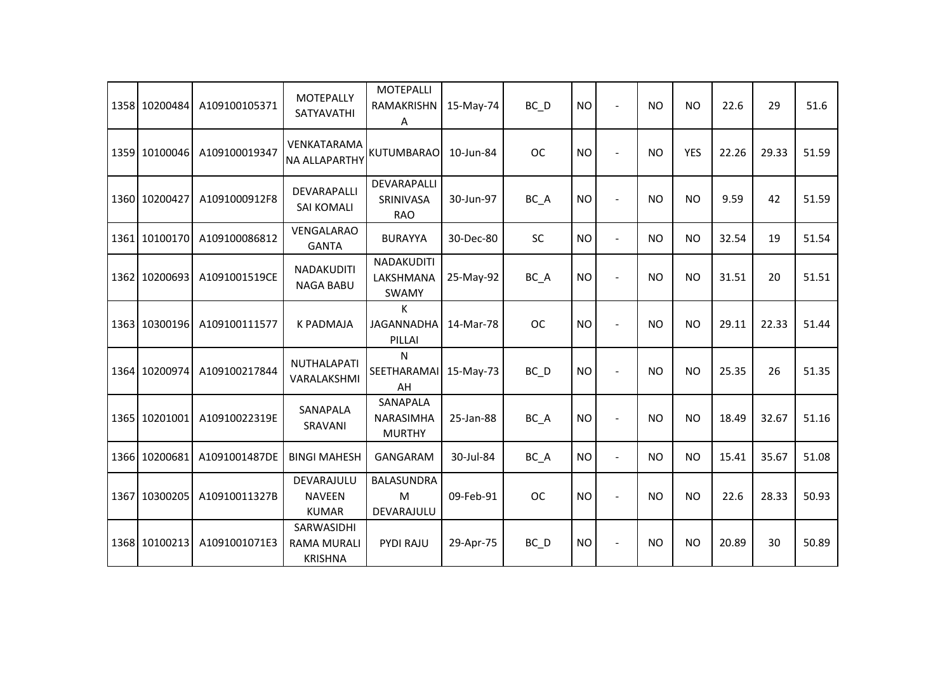| 1358 10200484 | A109100105371 | <b>MOTEPALLY</b><br>SATYAVATHI                     | <b>MOTEPALLI</b><br>RAMAKRISHN<br>Α    | 15-May-74 | $BC$ $D$          | <b>NO</b> |                | <b>NO</b> | <b>NO</b>  | 22.6  | 29    | 51.6  |
|---------------|---------------|----------------------------------------------------|----------------------------------------|-----------|-------------------|-----------|----------------|-----------|------------|-------|-------|-------|
| 1359 10100046 | A109100019347 | <b>VENKATARAMA</b><br><b>NA ALLAPARTHY</b>         | KUTUMBARAO                             | 10-Jun-84 | <b>OC</b>         | <b>NO</b> | $\sim$         | <b>NO</b> | <b>YES</b> | 22.26 | 29.33 | 51.59 |
| 1360 10200427 | A1091000912F8 | DEVARAPALLI<br>SAI KOMALI                          | DEVARAPALLI<br>SRINIVASA<br><b>RAO</b> | 30-Jun-97 | BC A              | <b>NO</b> | $\blacksquare$ | <b>NO</b> | <b>NO</b>  | 9.59  | 42    | 51.59 |
| 1361 10100170 | A109100086812 | VENGALARAO<br><b>GANTA</b>                         | <b>BURAYYA</b>                         | 30-Dec-80 | <b>SC</b>         | <b>NO</b> | $\overline{a}$ | <b>NO</b> | <b>NO</b>  | 32.54 | 19    | 51.54 |
| 1362 10200693 | A1091001519CE | NADAKUDITI<br><b>NAGA BABU</b>                     | NADAKUDITI<br>LAKSHMANA<br>SWAMY       | 25-May-92 | BC_A              | <b>NO</b> | $\blacksquare$ | <b>NO</b> | <b>NO</b>  | 31.51 | 20    | 51.51 |
| 1363 10300196 | A109100111577 | <b>K PADMAJA</b>                                   | К<br><b>JAGANNADHA</b><br>PILLAI       | 14-Mar-78 | <b>OC</b>         | <b>NO</b> | $\blacksquare$ | <b>NO</b> | <b>NO</b>  | 29.11 | 22.33 | 51.44 |
| 1364 10200974 | A109100217844 | <b>NUTHALAPATI</b><br>VARALAKSHMI                  | N<br>SEETHARAMAI<br>AH                 | 15-May-73 | $BC$ <sub>D</sub> | <b>NO</b> |                | <b>NO</b> | <b>NO</b>  | 25.35 | 26    | 51.35 |
| 1365 10201001 | A10910022319E | SANAPALA<br>SRAVANI                                | SANAPALA<br>NARASIMHA<br><b>MURTHY</b> | 25-Jan-88 | BC_A              | <b>NO</b> |                | <b>NO</b> | <b>NO</b>  | 18.49 | 32.67 | 51.16 |
| 1366 10200681 | A1091001487DE | <b>BINGI MAHESH</b>                                | GANGARAM                               | 30-Jul-84 | $BC_A$            | <b>NO</b> | $\blacksquare$ | <b>NO</b> | <b>NO</b>  | 15.41 | 35.67 | 51.08 |
| 1367 10300205 | A10910011327B | DEVARAJULU<br><b>NAVEEN</b><br><b>KUMAR</b>        | <b>BALASUNDRA</b><br>M<br>DEVARAJULU   | 09-Feb-91 | <b>OC</b>         | <b>NO</b> |                | <b>NO</b> | <b>NO</b>  | 22.6  | 28.33 | 50.93 |
| 1368 10100213 | A1091001071E3 | SARWASIDHI<br><b>RAMA MURALI</b><br><b>KRISHNA</b> | PYDI RAJU                              | 29-Apr-75 | $BC$ <sub>D</sub> | <b>NO</b> |                | <b>NO</b> | <b>NO</b>  | 20.89 | 30    | 50.89 |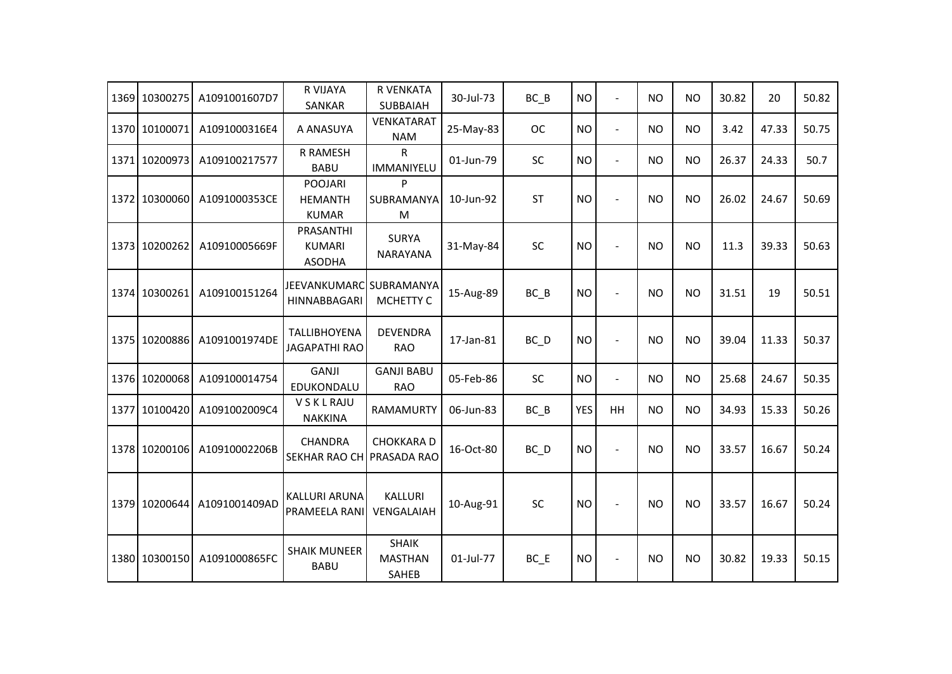|      | 1369 10300275 | A1091001607D7 | R VIJAYA<br><b>SANKAR</b>                        | R VENKATA<br><b>SUBBAIAH</b>            | 30-Jul-73 | $BC$ $B$          | <b>NO</b>  | $\overline{\phantom{a}}$ | <b>NO</b> | <b>NO</b> | 30.82 | 20    | 50.82 |
|------|---------------|---------------|--------------------------------------------------|-----------------------------------------|-----------|-------------------|------------|--------------------------|-----------|-----------|-------|-------|-------|
|      | 1370 10100071 | A1091000316E4 | A ANASUYA                                        | <b>VENKATARAT</b><br><b>NAM</b>         | 25-May-83 | <b>OC</b>         | <b>NO</b>  | $\blacksquare$           | <b>NO</b> | <b>NO</b> | 3.42  | 47.33 | 50.75 |
|      | 1371 10200973 | A109100217577 | R RAMESH<br><b>BABU</b>                          | ${\sf R}$<br>IMMANIYELU                 | 01-Jun-79 | <b>SC</b>         | <b>NO</b>  | $\blacksquare$           | <b>NO</b> | <b>NO</b> | 26.37 | 24.33 | 50.7  |
|      | 1372 10300060 | A1091000353CE | <b>POOJARI</b><br><b>HEMANTH</b><br><b>KUMAR</b> | P<br>SUBRAMANYA<br>M                    | 10-Jun-92 | <b>ST</b>         | <b>NO</b>  | $\overline{a}$           | <b>NO</b> | <b>NO</b> | 26.02 | 24.67 | 50.69 |
|      | 1373 10200262 | A10910005669F | PRASANTHI<br><b>KUMARI</b><br><b>ASODHA</b>      | <b>SURYA</b><br><b>NARAYANA</b>         | 31-May-84 | SC                | <b>NO</b>  | $\overline{a}$           | <b>NO</b> | <b>NO</b> | 11.3  | 39.33 | 50.63 |
|      | 1374 10300261 | A109100151264 | JEEVANKUMARC SUBRAMANYA<br>HINNABBAGARI          | MCHETTY C                               | 15-Aug-89 | BC B              | <b>NO</b>  | $\overline{\phantom{a}}$ | <b>NO</b> | <b>NO</b> | 31.51 | 19    | 50.51 |
|      | 1375 10200886 | A1091001974DE | <b>TALLIBHOYENA</b><br><b>JAGAPATHI RAO</b>      | <b>DEVENDRA</b><br><b>RAO</b>           | 17-Jan-81 | BC D              | <b>NO</b>  | $\overline{a}$           | <b>NO</b> | <b>NO</b> | 39.04 | 11.33 | 50.37 |
|      | 1376 10200068 | A109100014754 | <b>GANJI</b><br>EDUKONDALU                       | <b>GANJI BABU</b><br><b>RAO</b>         | 05-Feb-86 | SC                | <b>NO</b>  | $\blacksquare$           | <b>NO</b> | <b>NO</b> | 25.68 | 24.67 | 50.35 |
| 1377 | 10100420      | A1091002009C4 | <b>VSKLRAJU</b><br><b>NAKKINA</b>                | RAMAMURTY                               | 06-Jun-83 | $BC$ $B$          | <b>YES</b> | HH                       | <b>NO</b> | <b>NO</b> | 34.93 | 15.33 | 50.26 |
|      | 1378 10200106 | A10910002206B | <b>CHANDRA</b><br>SEKHAR RAO CH PRASADA RAO      | <b>CHOKKARAD</b>                        | 16-Oct-80 | $BC$ <sub>D</sub> | <b>NO</b>  | ÷                        | <b>NO</b> | <b>NO</b> | 33.57 | 16.67 | 50.24 |
|      | 1379 10200644 | A1091001409AD | KALLURI ARUNA<br><b>PRAMEELA RANI</b>            | <b>KALLURI</b><br>VENGALAIAH            | 10-Aug-91 | <b>SC</b>         | <b>NO</b>  |                          | <b>NO</b> | <b>NO</b> | 33.57 | 16.67 | 50.24 |
|      | 1380 10300150 | A1091000865FC | <b>SHAIK MUNEER</b><br><b>BABU</b>               | <b>SHAIK</b><br><b>MASTHAN</b><br>SAHEB | 01-Jul-77 | $BC$ $E$          | NO.        | $\overline{a}$           | <b>NO</b> | <b>NO</b> | 30.82 | 19.33 | 50.15 |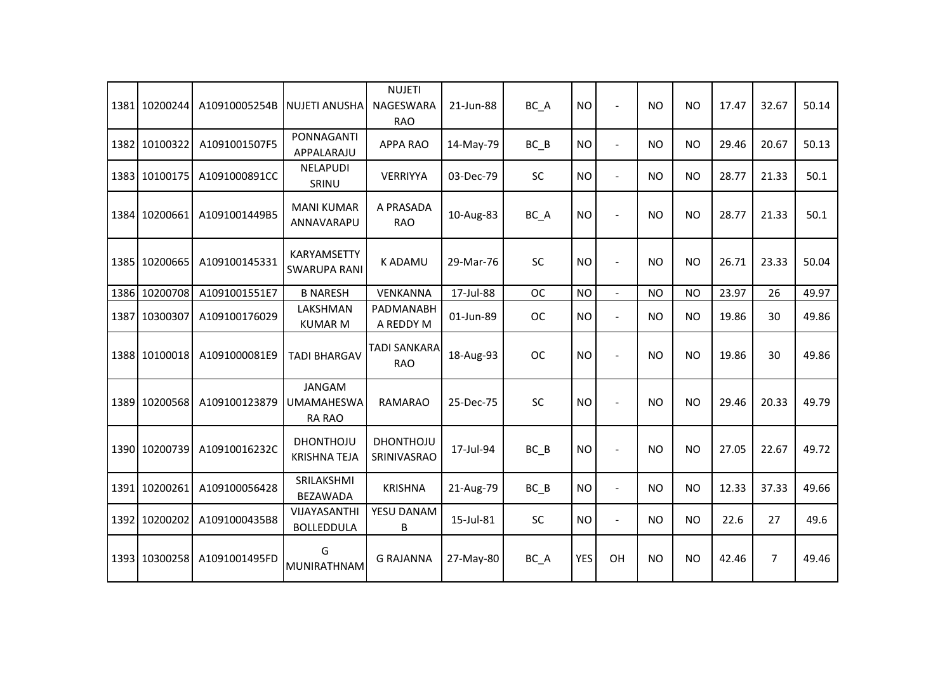| 1381 10200244 | A10910005254B | <b>NUJETI ANUSHA</b>                                | <b>NUJETI</b><br>NAGESWARA<br><b>RAO</b> | 21-Jun-88 | BC_A      | <b>NO</b>  | $\blacksquare$ | <b>NO</b> | <b>NO</b> | 17.47 | 32.67          | 50.14 |
|---------------|---------------|-----------------------------------------------------|------------------------------------------|-----------|-----------|------------|----------------|-----------|-----------|-------|----------------|-------|
| 1382 10100322 | A1091001507F5 | PONNAGANTI<br>APPALARAJU                            | <b>APPA RAO</b>                          | 14-May-79 | $BC$ $B$  | <b>NO</b>  | $\blacksquare$ | <b>NO</b> | <b>NO</b> | 29.46 | 20.67          | 50.13 |
| 1383 10100175 | A1091000891CC | <b>NELAPUDI</b><br>SRINU                            | VERRIYYA                                 | 03-Dec-79 | SC        | <b>NO</b>  | $\overline{a}$ | <b>NO</b> | <b>NO</b> | 28.77 | 21.33          | 50.1  |
| 1384 10200661 | A1091001449B5 | <b>MANI KUMAR</b><br>ANNAVARAPU                     | A PRASADA<br><b>RAO</b>                  | 10-Aug-83 | BC_A      | <b>NO</b>  |                | <b>NO</b> | <b>NO</b> | 28.77 | 21.33          | 50.1  |
| 1385 10200665 | A109100145331 | <b>KARYAMSETTY</b><br><b>SWARUPA RANI</b>           | K ADAMU                                  | 29-Mar-76 | SC        | <b>NO</b>  |                | <b>NO</b> | <b>NO</b> | 26.71 | 23.33          | 50.04 |
| 1386 10200708 | A1091001551E7 | <b>B NARESH</b>                                     | VENKANNA                                 | 17-Jul-88 | <b>OC</b> | <b>NO</b>  | $\mathbf{r}$   | <b>NO</b> | <b>NO</b> | 23.97 | 26             | 49.97 |
| 1387 10300307 | A109100176029 | LAKSHMAN<br><b>KUMAR M</b>                          | PADMANABH<br>A REDDY M                   | 01-Jun-89 | <b>OC</b> | <b>NO</b>  | $\blacksquare$ | <b>NO</b> | <b>NO</b> | 19.86 | 30             | 49.86 |
| 1388 10100018 | A1091000081E9 | <b>TADI BHARGAV</b>                                 | <b>TADI SANKARA</b><br><b>RAO</b>        | 18-Aug-93 | <b>OC</b> | <b>NO</b>  | $\overline{a}$ | <b>NO</b> | <b>NO</b> | 19.86 | 30             | 49.86 |
| 1389 10200568 | A109100123879 | <b>JANGAM</b><br><b>UMAMAHESWA</b><br><b>RA RAO</b> | <b>RAMARAO</b>                           | 25-Dec-75 | SC        | <b>NO</b>  |                | <b>NO</b> | <b>NO</b> | 29.46 | 20.33          | 49.79 |
| 1390 10200739 | A10910016232C | <b>DHONTHOJU</b><br><b>KRISHNA TEJA</b>             | <b>DHONTHOJU</b><br>SRINIVASRAO          | 17-Jul-94 | $BC$ $B$  | <b>NO</b>  |                | <b>NO</b> | <b>NO</b> | 27.05 | 22.67          | 49.72 |
| 1391 10200261 | A109100056428 | SRILAKSHMI<br><b>BEZAWADA</b>                       | <b>KRISHNA</b>                           | 21-Aug-79 | $BC$ $B$  | <b>NO</b>  | $\blacksquare$ | <b>NO</b> | <b>NO</b> | 12.33 | 37.33          | 49.66 |
| 1392 10200202 | A1091000435B8 | VIJAYASANTHI<br><b>BOLLEDDULA</b>                   | YESU DANAM<br>B                          | 15-Jul-81 | SC        | <b>NO</b>  | $\blacksquare$ | <b>NO</b> | <b>NO</b> | 22.6  | 27             | 49.6  |
| 1393 10300258 | A1091001495FD | G<br>MUNIRATHNAM                                    | <b>G RAJANNA</b>                         | 27-May-80 | BC_A      | <b>YES</b> | OH             | <b>NO</b> | <b>NO</b> | 42.46 | $\overline{7}$ | 49.46 |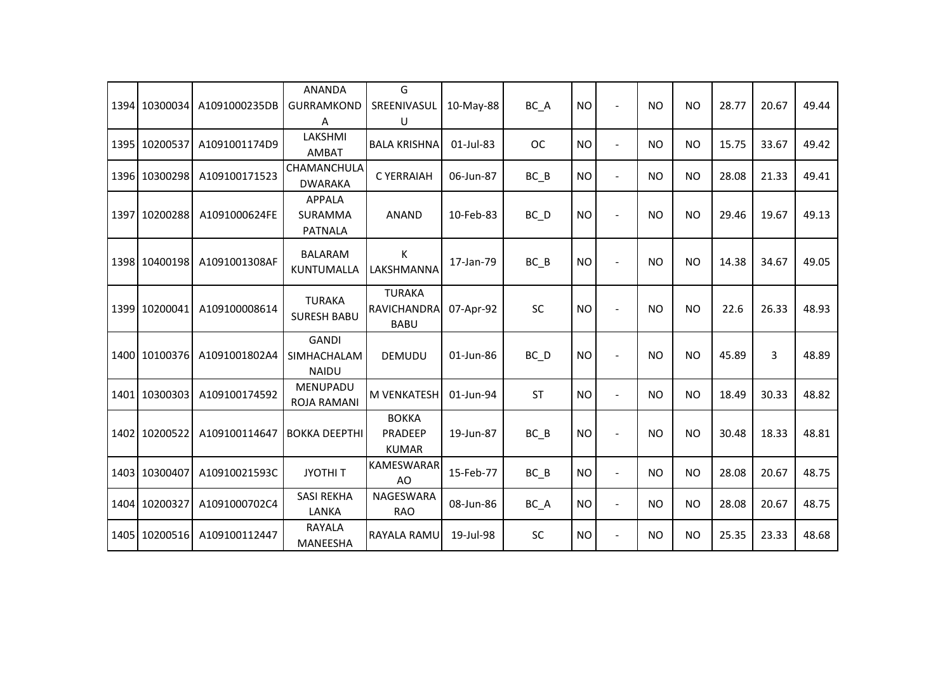| 1394 10300034 | A1091000235DB | <b>ANANDA</b><br><b>GURRAMKOND</b><br>A     | G<br>SREENIVASUL<br>U                              | 10-May-88 | BC_A      | <b>NO</b> | $\sim$                   | <b>NO</b> | <b>NO</b> | 28.77 | 20.67 | 49.44 |
|---------------|---------------|---------------------------------------------|----------------------------------------------------|-----------|-----------|-----------|--------------------------|-----------|-----------|-------|-------|-------|
| 1395 10200537 | A1091001174D9 | LAKSHMI<br><b>AMBAT</b>                     | <b>BALA KRISHNA</b>                                | 01-Jul-83 | <b>OC</b> | <b>NO</b> | $\overline{a}$           | <b>NO</b> | <b>NO</b> | 15.75 | 33.67 | 49.42 |
| 1396 10300298 | A109100171523 | CHAMANCHULA<br><b>DWARAKA</b>               | C YERRAIAH                                         | 06-Jun-87 | $BC$ $B$  | <b>NO</b> | $\blacksquare$           | <b>NO</b> | <b>NO</b> | 28.08 | 21.33 | 49.41 |
| 1397 10200288 | A1091000624FE | <b>APPALA</b><br>SURAMMA<br><b>PATNALA</b>  | <b>ANAND</b>                                       | 10-Feb-83 | BC D      | <b>NO</b> | $\blacksquare$           | <b>NO</b> | <b>NO</b> | 29.46 | 19.67 | 49.13 |
| 1398 10400198 | A1091001308AF | <b>BALARAM</b><br>KUNTUMALLA                | К<br>LAKSHMANNA                                    | 17-Jan-79 | $BC$ $B$  | <b>NO</b> |                          | <b>NO</b> | <b>NO</b> | 14.38 | 34.67 | 49.05 |
| 1399 10200041 | A109100008614 | <b>TURAKA</b><br><b>SURESH BABU</b>         | <b>TURAKA</b><br><b>RAVICHANDRA</b><br><b>BABU</b> | 07-Apr-92 | SC        | <b>NO</b> | $\sim$                   | <b>NO</b> | <b>NO</b> | 22.6  | 26.33 | 48.93 |
| 1400 10100376 | A1091001802A4 | <b>GANDI</b><br>SIMHACHALAM<br><b>NAIDU</b> | <b>DEMUDU</b>                                      | 01-Jun-86 | BC D      | <b>NO</b> |                          | NO.       | <b>NO</b> | 45.89 | 3     | 48.89 |
| 1401 10300303 | A109100174592 | <b>MENUPADU</b><br><b>ROJA RAMANI</b>       | <b>M VENKATESH</b>                                 | 01-Jun-94 | <b>ST</b> | <b>NO</b> | $\overline{a}$           | <b>NO</b> | <b>NO</b> | 18.49 | 30.33 | 48.82 |
| 1402 10200522 | A109100114647 | <b>BOKKA DEEPTHI</b>                        | <b>BOKKA</b><br>PRADEEP<br><b>KUMAR</b>            | 19-Jun-87 | $BC$ $B$  | <b>NO</b> | $\blacksquare$           | <b>NO</b> | <b>NO</b> | 30.48 | 18.33 | 48.81 |
| 1403 10300407 | A10910021593C | <b>JYOTHIT</b>                              | <b>KAMESWARAR</b><br>AO                            | 15-Feb-77 | $BC$ $B$  | <b>NO</b> | $\overline{\phantom{a}}$ | <b>NO</b> | <b>NO</b> | 28.08 | 20.67 | 48.75 |
| 1404 10200327 | A1091000702C4 | <b>SASI REKHA</b><br>LANKA                  | <b>NAGESWARA</b><br><b>RAO</b>                     | 08-Jun-86 | BC_A      | <b>NO</b> | $\blacksquare$           | <b>NO</b> | <b>NO</b> | 28.08 | 20.67 | 48.75 |
| 1405 10200516 | A109100112447 | RAYALA<br>MANEESHA                          | RAYALA RAMU                                        | 19-Jul-98 | SC        | <b>NO</b> | $\blacksquare$           | <b>NO</b> | <b>NO</b> | 25.35 | 23.33 | 48.68 |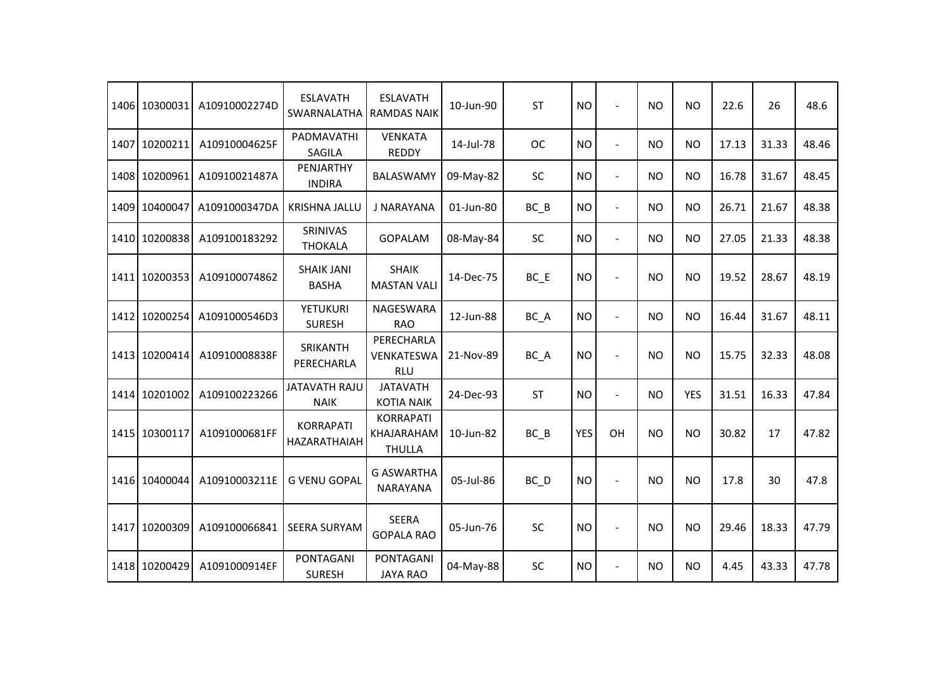| 1406 | 10300031      | A10910002274D | <b>ESLAVATH</b><br>SWARNALATHA      | <b>ESLAVATH</b><br><b>RAMDAS NAIK</b>           | 10-Jun-90 | ST        | <b>NO</b>  | $\overline{\phantom{a}}$ | <b>NO</b> | <b>NO</b>  | 22.6  | 26    | 48.6  |
|------|---------------|---------------|-------------------------------------|-------------------------------------------------|-----------|-----------|------------|--------------------------|-----------|------------|-------|-------|-------|
| 1407 | 10200211      | A10910004625F | PADMAVATHI<br><b>SAGILA</b>         | <b>VENKATA</b><br><b>REDDY</b>                  | 14-Jul-78 | <b>OC</b> | <b>NO</b>  | $\overline{\phantom{a}}$ | <b>NO</b> | <b>NO</b>  | 17.13 | 31.33 | 48.46 |
|      | 1408 10200961 | A10910021487A | PENJARTHY<br><b>INDIRA</b>          | <b>BALASWAMY</b>                                | 09-May-82 | <b>SC</b> | <b>NO</b>  | $\overline{\phantom{a}}$ | <b>NO</b> | <b>NO</b>  | 16.78 | 31.67 | 48.45 |
| 1409 | 10400047      | A1091000347DA | <b>KRISHNA JALLU</b>                | J NARAYANA                                      | 01-Jun-80 | $BC$ $B$  | <b>NO</b>  | $\blacksquare$           | <b>NO</b> | <b>NO</b>  | 26.71 | 21.67 | 48.38 |
|      | 1410 10200838 | A109100183292 | SRINIVAS<br><b>THOKALA</b>          | <b>GOPALAM</b>                                  | 08-May-84 | <b>SC</b> | <b>NO</b>  | $\blacksquare$           | <b>NO</b> | <b>NO</b>  | 27.05 | 21.33 | 48.38 |
|      | 1411 10200353 | A109100074862 | <b>SHAIK JANI</b><br><b>BASHA</b>   | <b>SHAIK</b><br><b>MASTAN VALI</b>              | 14-Dec-75 | $BC$ $E$  | <b>NO</b>  | $\overline{a}$           | <b>NO</b> | <b>NO</b>  | 19.52 | 28.67 | 48.19 |
|      | 1412 10200254 | A1091000546D3 | <b>YETUKURI</b><br><b>SURESH</b>    | <b>NAGESWARA</b><br><b>RAO</b>                  | 12-Jun-88 | BC_A      | <b>NO</b>  | $\blacksquare$           | <b>NO</b> | <b>NO</b>  | 16.44 | 31.67 | 48.11 |
|      | 1413 10200414 | A10910008838F | SRIKANTH<br>PERECHARLA              | PERECHARLA<br>VENKATESWA<br><b>RLU</b>          | 21-Nov-89 | BC_A      | <b>NO</b>  | $\overline{\phantom{a}}$ | <b>NO</b> | <b>NO</b>  | 15.75 | 32.33 | 48.08 |
| 1414 | 10201002      | A109100223266 | <b>JATAVATH RAJU</b><br><b>NAIK</b> | <b>JATAVATH</b><br><b>KOTIA NAIK</b>            | 24-Dec-93 | <b>ST</b> | <b>NO</b>  | $\overline{\phantom{a}}$ | <b>NO</b> | <b>YES</b> | 31.51 | 16.33 | 47.84 |
|      | 1415 10300117 | A1091000681FF | <b>KORRAPATI</b><br>HAZARATHAIAH    | <b>KORRAPATI</b><br>KHAJARAHAM<br><b>THULLA</b> | 10-Jun-82 | $BC$ $B$  | <b>YES</b> | OH                       | <b>NO</b> | <b>NO</b>  | 30.82 | 17    | 47.82 |
|      | 1416 10400044 | A10910003211E | <b>G VENU GOPAL</b>                 | <b>G ASWARTHA</b><br><b>NARAYANA</b>            | 05-Jul-86 | BC_D      | <b>NO</b>  | $\overline{a}$           | <b>NO</b> | <b>NO</b>  | 17.8  | 30    | 47.8  |
| 1417 | 10200309      | A109100066841 | <b>SEERA SURYAM</b>                 | <b>SEERA</b><br><b>GOPALA RAO</b>               | 05-Jun-76 | SC        | <b>NO</b>  | $\overline{a}$           | <b>NO</b> | <b>NO</b>  | 29.46 | 18.33 | 47.79 |
|      | 1418 10200429 | A1091000914EF | <b>PONTAGANI</b><br><b>SURESH</b>   | PONTAGANI<br><b>JAYA RAO</b>                    | 04-May-88 | <b>SC</b> | <b>NO</b>  | $\overline{\phantom{a}}$ | <b>NO</b> | <b>NO</b>  | 4.45  | 43.33 | 47.78 |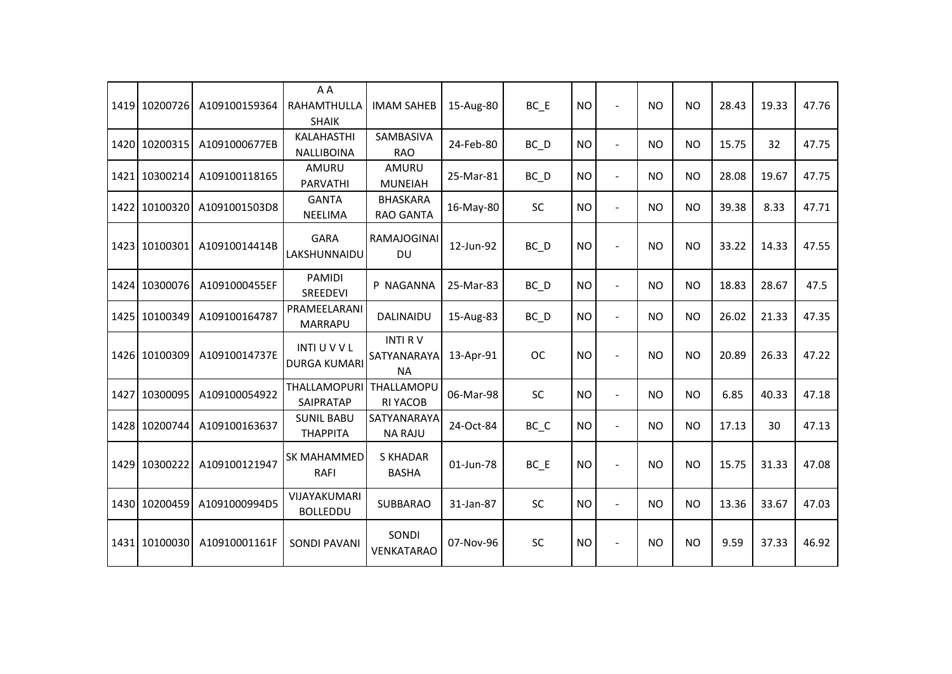|      | 1419 10200726 | A109100159364 | A A<br>RAHAMTHULLA<br><b>SHAIK</b>         | <b>IMAM SAHEB</b>                          | 15-Aug-80 | $BC$ $E$          | <b>NO</b> |                          | <b>NO</b> | <b>NO</b> | 28.43 | 19.33 | 47.76 |
|------|---------------|---------------|--------------------------------------------|--------------------------------------------|-----------|-------------------|-----------|--------------------------|-----------|-----------|-------|-------|-------|
|      | 1420 10200315 | A1091000677EB | <b>KALAHASTHI</b><br><b>NALLIBOINA</b>     | SAMBASIVA<br><b>RAO</b>                    | 24-Feb-80 | $BC$ <sub>D</sub> | <b>NO</b> | $\overline{\phantom{a}}$ | <b>NO</b> | <b>NO</b> | 15.75 | 32    | 47.75 |
| 1421 | 10300214      | A109100118165 | AMURU<br><b>PARVATHI</b>                   | AMURU<br><b>MUNEIAH</b>                    | 25-Mar-81 | $BC$ <sub>D</sub> | <b>NO</b> | $\blacksquare$           | <b>NO</b> | <b>NO</b> | 28.08 | 19.67 | 47.75 |
| 1422 | 10100320      | A1091001503D8 | <b>GANTA</b><br>NEELIMA                    | <b>BHASKARA</b><br><b>RAO GANTA</b>        | 16-May-80 | <b>SC</b>         | <b>NO</b> | $\blacksquare$           | <b>NO</b> | <b>NO</b> | 39.38 | 8.33  | 47.71 |
|      | 1423 10100301 | A10910014414B | <b>GARA</b><br>LAKSHUNNAIDU                | <b>RAMAJOGINAI</b><br>DU.                  | 12-Jun-92 | BC D              | <b>NO</b> | $\overline{a}$           | <b>NO</b> | <b>NO</b> | 33.22 | 14.33 | 47.55 |
|      | 1424 10300076 | A1091000455EF | PAMIDI<br>SREEDEVI                         | P NAGANNA                                  | 25-Mar-83 | $BC$ <sub>D</sub> | <b>NO</b> | $\overline{\phantom{a}}$ | <b>NO</b> | <b>NO</b> | 18.83 | 28.67 | 47.5  |
|      | 1425 10100349 | A109100164787 | PRAMEELARANI<br><b>MARRAPU</b>             | <b>DALINAIDU</b>                           | 15-Aug-83 | $BC$ <sub>D</sub> | <b>NO</b> | $\overline{a}$           | <b>NO</b> | <b>NO</b> | 26.02 | 21.33 | 47.35 |
|      | 1426 10100309 | A10910014737E | <b>INTI U V V L</b><br><b>DURGA KUMARI</b> | <b>INTI RV</b><br>SATYANARAYA<br><b>NA</b> | 13-Apr-91 | <b>OC</b>         | <b>NO</b> | $\overline{a}$           | <b>NO</b> | <b>NO</b> | 20.89 | 26.33 | 47.22 |
| 1427 | 10300095      | A109100054922 | THALLAMOPURI<br>SAIPRATAP                  | THALLAMOPU<br><b>RI YACOB</b>              | 06-Mar-98 | <b>SC</b>         | <b>NO</b> | $\overline{\phantom{a}}$ | <b>NO</b> | <b>NO</b> | 6.85  | 40.33 | 47.18 |
|      | 1428 10200744 | A109100163637 | <b>SUNIL BABU</b><br>ΤΗΑΡΡΙΤΑ              | SATYANARAYA<br><b>NA RAJU</b>              | 24-Oct-84 | BC C              | <b>NO</b> | $\overline{a}$           | <b>NO</b> | <b>NO</b> | 17.13 | 30    | 47.13 |
|      | 1429 10300222 | A109100121947 | SK MAHAMMED<br>RAFI                        | <b>S KHADAR</b><br><b>BASHA</b>            | 01-Jun-78 | BC E              | <b>NO</b> | $\overline{a}$           | <b>NO</b> | <b>NO</b> | 15.75 | 31.33 | 47.08 |
|      | 1430 10200459 | A1091000994D5 | VIJAYAKUMARI<br><b>BOLLEDDU</b>            | <b>SUBBARAO</b>                            | 31-Jan-87 | <b>SC</b>         | <b>NO</b> | $\overline{\phantom{a}}$ | <b>NO</b> | <b>NO</b> | 13.36 | 33.67 | 47.03 |
|      | 1431 10100030 | A10910001161F | <b>SONDI PAVANI</b>                        | SONDI<br><b>VENKATARAO</b>                 | 07-Nov-96 | SC                | <b>NO</b> | $\overline{a}$           | <b>NO</b> | <b>NO</b> | 9.59  | 37.33 | 46.92 |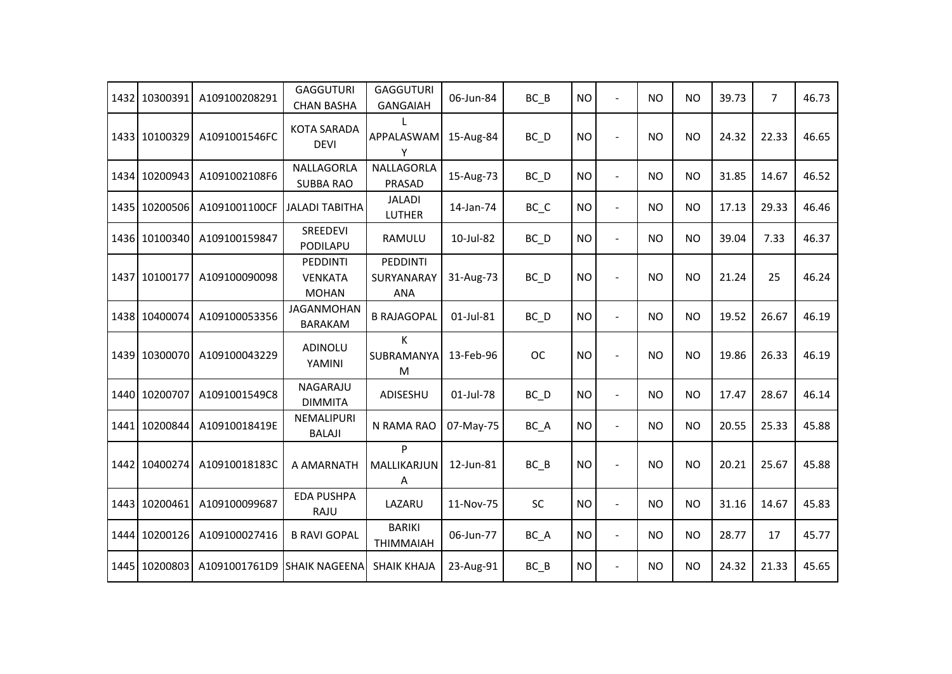| 1432 10300391 | A109100208291 | <b>GAGGUTURI</b><br><b>CHAN BASHA</b>      | <b>GAGGUTURI</b><br><b>GANGAIAH</b> | 06-Jun-84 | $BC$ $B$                       | <b>NO</b> |                          | <b>NO</b> | <b>NO</b> | 39.73 | $\overline{7}$ | 46.73 |
|---------------|---------------|--------------------------------------------|-------------------------------------|-----------|--------------------------------|-----------|--------------------------|-----------|-----------|-------|----------------|-------|
| 1433 10100329 | A1091001546FC | <b>KOTA SARADA</b><br><b>DEVI</b>          | APPALASWAM<br>Υ                     | 15-Aug-84 | BC_D                           | <b>NO</b> |                          | <b>NO</b> | <b>NO</b> | 24.32 | 22.33          | 46.65 |
| 1434 10200943 | A1091002108F6 | NALLAGORLA<br><b>SUBBA RAO</b>             | NALLAGORLA<br>PRASAD                | 15-Aug-73 | $BC$ <sub>D</sub>              | <b>NO</b> | $\blacksquare$           | <b>NO</b> | <b>NO</b> | 31.85 | 14.67          | 46.52 |
| 1435 10200506 | A1091001100CF | JALADI TABITHA                             | <b>JALADI</b><br>LUTHER             | 14-Jan-74 | $BC$ <sub><math>C</math></sub> | <b>NO</b> | $\overline{a}$           | <b>NO</b> | <b>NO</b> | 17.13 | 29.33          | 46.46 |
| 1436 10100340 | A109100159847 | SREEDEVI<br>PODILAPU                       | RAMULU                              | 10-Jul-82 | BC_D                           | <b>NO</b> | $\overline{a}$           | <b>NO</b> | <b>NO</b> | 39.04 | 7.33           | 46.37 |
| 1437 10100177 | A109100090098 | PEDDINTI<br><b>VENKATA</b><br><b>MOHAN</b> | PEDDINTI<br>SURYANARAY<br>ANA       | 31-Aug-73 | BC_D                           | <b>NO</b> |                          | <b>NO</b> | <b>NO</b> | 21.24 | 25             | 46.24 |
| 1438 10400074 | A109100053356 | <b>JAGANMOHAN</b><br><b>BARAKAM</b>        | <b>B RAJAGOPAL</b>                  | 01-Jul-81 | BC_D                           | <b>NO</b> | $\overline{\phantom{a}}$ | <b>NO</b> | <b>NO</b> | 19.52 | 26.67          | 46.19 |
| 1439 10300070 | A109100043229 | ADINOLU<br>YAMINI                          | Κ<br>SUBRAMANYA<br>M                | 13-Feb-96 | <b>OC</b>                      | <b>NO</b> | $\blacksquare$           | <b>NO</b> | <b>NO</b> | 19.86 | 26.33          | 46.19 |
| 1440 10200707 | A1091001549C8 | NAGARAJU<br><b>DIMMITA</b>                 | ADISESHU                            | 01-Jul-78 | BC D                           | <b>NO</b> | $\overline{\phantom{a}}$ | <b>NO</b> | <b>NO</b> | 17.47 | 28.67          | 46.14 |
| 1441 10200844 | A10910018419E | NEMALIPURI<br><b>BALAJI</b>                | N RAMA RAO                          | 07-May-75 | BC_A                           | <b>NO</b> | $\overline{a}$           | <b>NO</b> | <b>NO</b> | 20.55 | 25.33          | 45.88 |
| 1442 10400274 | A10910018183C | A AMARNATH                                 | P<br>MALLIKARJUN<br>Α               | 12-Jun-81 | $BC$ $B$                       | <b>NO</b> |                          | <b>NO</b> | <b>NO</b> | 20.21 | 25.67          | 45.88 |
| 1443 10200461 | A109100099687 | <b>EDA PUSHPA</b><br>RAJU                  | LAZARU                              | 11-Nov-75 | <b>SC</b>                      | <b>NO</b> | $\overline{\phantom{a}}$ | <b>NO</b> | <b>NO</b> | 31.16 | 14.67          | 45.83 |
| 1444 10200126 | A109100027416 | <b>B RAVI GOPAL</b>                        | <b>BARIKI</b><br><b>THIMMAIAH</b>   | 06-Jun-77 | BC_A                           | <b>NO</b> | $\blacksquare$           | <b>NO</b> | <b>NO</b> | 28.77 | 17             | 45.77 |
| 1445 10200803 | A1091001761D9 | <b>SHAIK NAGEENA</b>                       | <b>SHAIK KHAJA</b>                  | 23-Aug-91 | $BC$ $B$                       | <b>NO</b> | $\overline{a}$           | <b>NO</b> | <b>NO</b> | 24.32 | 21.33          | 45.65 |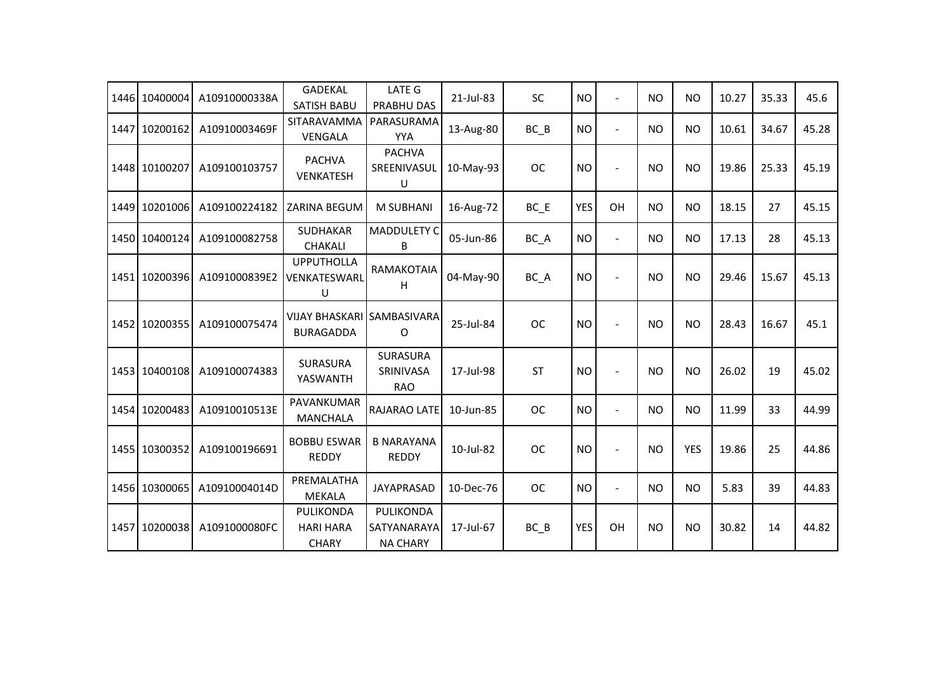| 1446 | 10400004      | A10910000338A | <b>GADEKAL</b><br><b>SATISH BABU</b>           | <b>LATE G</b><br>PRABHU DAS                 | 21-Jul-83 | <b>SC</b> | <b>NO</b>  | $\blacksquare$           | <b>NO</b> | <b>NO</b>  | 10.27 | 35.33 | 45.6  |
|------|---------------|---------------|------------------------------------------------|---------------------------------------------|-----------|-----------|------------|--------------------------|-----------|------------|-------|-------|-------|
| 1447 | 10200162      | A10910003469F | SITARAVAMMA<br>VENGALA                         | PARASURAMA<br><b>YYA</b>                    | 13-Aug-80 | BC B      | <b>NO</b>  | $\overline{\phantom{a}}$ | <b>NO</b> | <b>NO</b>  | 10.61 | 34.67 | 45.28 |
|      | 1448 10100207 | A109100103757 | <b>PACHVA</b><br><b>VENKATESH</b>              | <b>PACHVA</b><br>SREENIVASUL<br>U           | 10-May-93 | <b>OC</b> | <b>NO</b>  | $\overline{a}$           | <b>NO</b> | <b>NO</b>  | 19.86 | 25.33 | 45.19 |
|      | 1449 10201006 | A109100224182 | ZARINA BEGUM                                   | <b>M SUBHANI</b>                            | 16-Aug-72 | BC E      | <b>YES</b> | OH                       | <b>NO</b> | <b>NO</b>  | 18.15 | 27    | 45.15 |
|      | 1450 10400124 | A109100082758 | <b>SUDHAKAR</b><br><b>CHAKALI</b>              | <b>MADDULETY C</b><br>B                     | 05-Jun-86 | BC_A      | <b>NO</b>  | $\blacksquare$           | <b>NO</b> | <b>NO</b>  | 17.13 | 28    | 45.13 |
|      | 1451 10200396 | A1091000839E2 | <b>UPPUTHOLLA</b><br>VENKATESWARL<br>U         | RAMAKOTAIA<br>H                             | 04-May-90 | BC_A      | <b>NO</b>  |                          | <b>NO</b> | <b>NO</b>  | 29.46 | 15.67 | 45.13 |
|      | 1452 10200355 | A109100075474 | VIJAY BHASKARI SAMBASIVARA<br><b>BURAGADDA</b> | O                                           | 25-Jul-84 | <b>OC</b> | <b>NO</b>  | $\overline{a}$           | <b>NO</b> | <b>NO</b>  | 28.43 | 16.67 | 45.1  |
|      | 1453 10400108 | A109100074383 | SURASURA<br>YASWANTH                           | <b>SURASURA</b><br>SRINIVASA<br><b>RAO</b>  | 17-Jul-98 | <b>ST</b> | <b>NO</b>  | $\overline{\phantom{a}}$ | <b>NO</b> | <b>NO</b>  | 26.02 | 19    | 45.02 |
|      | 1454 10200483 | A10910010513E | PAVANKUMAR<br><b>MANCHALA</b>                  | RAJARAO LATE                                | 10-Jun-85 | <b>OC</b> | <b>NO</b>  | $\overline{a}$           | <b>NO</b> | <b>NO</b>  | 11.99 | 33    | 44.99 |
|      | 1455 10300352 | A109100196691 | <b>BOBBU ESWAR</b><br><b>REDDY</b>             | <b>B NARAYANA</b><br><b>REDDY</b>           | 10-Jul-82 | <b>OC</b> | <b>NO</b>  | $\blacksquare$           | <b>NO</b> | <b>YES</b> | 19.86 | 25    | 44.86 |
|      | 1456 10300065 | A10910004014D | PREMALATHA<br><b>MEKALA</b>                    | JAYAPRASAD                                  | 10-Dec-76 | <b>OC</b> | <b>NO</b>  | $\blacksquare$           | <b>NO</b> | <b>NO</b>  | 5.83  | 39    | 44.83 |
|      | 1457 10200038 | A1091000080FC | PULIKONDA<br><b>HARI HARA</b><br><b>CHARY</b>  | PULIKONDA<br>SATYANARAYA<br><b>NA CHARY</b> | 17-Jul-67 | $BC$ $B$  | <b>YES</b> | OH                       | <b>NO</b> | <b>NO</b>  | 30.82 | 14    | 44.82 |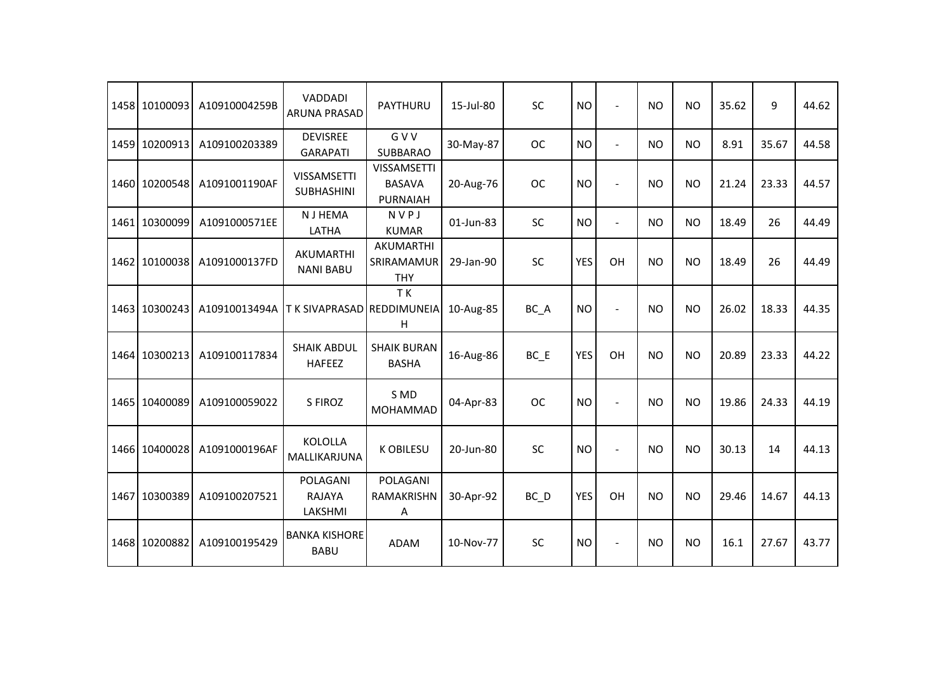|      | 1458 10100093 | A10910004259B | <b>VADDADI</b><br><b>ARUNA PRASAD</b>   | <b>PAYTHURU</b>                                        | 15-Jul-80 | SC        | <b>NO</b>  | $\overline{a}$       | <b>NO</b> | <b>NO</b> | 35.62 | 9     | 44.62 |
|------|---------------|---------------|-----------------------------------------|--------------------------------------------------------|-----------|-----------|------------|----------------------|-----------|-----------|-------|-------|-------|
| 1459 | 10200913      | A109100203389 | <b>DEVISREE</b><br><b>GARAPATI</b>      | <b>GVV</b><br><b>SUBBARAO</b>                          | 30-May-87 | <b>OC</b> | <b>NO</b>  | $\overline{a}$       | NO.       | <b>NO</b> | 8.91  | 35.67 | 44.58 |
|      | 1460 10200548 | A1091001190AF | <b>VISSAMSETTI</b><br><b>SUBHASHINI</b> | <b>VISSAMSETTI</b><br><b>BASAVA</b><br><b>PURNAIAH</b> | 20-Aug-76 | <b>OC</b> | <b>NO</b>  | $\sim$               | <b>NO</b> | <b>NO</b> | 21.24 | 23.33 | 44.57 |
| 1461 | 10300099      | A1091000571EE | <b>NJHEMA</b><br>LATHA                  | NVPJ<br><b>KUMAR</b>                                   | 01-Jun-83 | <b>SC</b> | <b>NO</b>  | $\ddot{\phantom{1}}$ | <b>NO</b> | <b>NO</b> | 18.49 | 26    | 44.49 |
|      | 1462 10100038 | A1091000137FD | AKUMARTHI<br><b>NANI BABU</b>           | AKUMARTHI<br>SRIRAMAMUR<br><b>THY</b>                  | 29-Jan-90 | SC        | <b>YES</b> | OH                   | <b>NO</b> | <b>NO</b> | 18.49 | 26    | 44.49 |
|      | 1463 10300243 | A10910013494A | T K SIVAPRASAD                          | TK<br>REDDIMUNEIA<br>H                                 | 10-Aug-85 | BC_A      | <b>NO</b>  | $\blacksquare$       | <b>NO</b> | <b>NO</b> | 26.02 | 18.33 | 44.35 |
|      | 1464 10300213 | A109100117834 | <b>SHAIK ABDUL</b><br><b>HAFEEZ</b>     | <b>SHAIK BURAN</b><br><b>BASHA</b>                     | 16-Aug-86 | BC E      | <b>YES</b> | OH                   | <b>NO</b> | <b>NO</b> | 20.89 | 23.33 | 44.22 |
|      | 1465 10400089 | A109100059022 | S FIROZ                                 | S MD<br><b>MOHAMMAD</b>                                | 04-Apr-83 | <b>OC</b> | <b>NO</b>  | $\blacksquare$       | NO.       | <b>NO</b> | 19.86 | 24.33 | 44.19 |
|      | 1466 10400028 | A1091000196AF | <b>KOLOLLA</b><br>MALLIKARJUNA          | <b>K OBILESU</b>                                       | 20-Jun-80 | SC        | <b>NO</b>  | $\sim$               | NO.       | <b>NO</b> | 30.13 | 14    | 44.13 |
| 1467 | 10300389      | A109100207521 | POLAGANI<br>RAJAYA<br>LAKSHMI           | POLAGANI<br>RAMAKRISHN<br>A                            | 30-Apr-92 | $BC$ $D$  | <b>YES</b> | OH                   | <b>NO</b> | <b>NO</b> | 29.46 | 14.67 | 44.13 |
|      | 1468 10200882 | A109100195429 | <b>BANKA KISHORE</b><br><b>BABU</b>     | <b>ADAM</b>                                            | 10-Nov-77 | SC        | <b>NO</b>  | $\sim$               | <b>NO</b> | <b>NO</b> | 16.1  | 27.67 | 43.77 |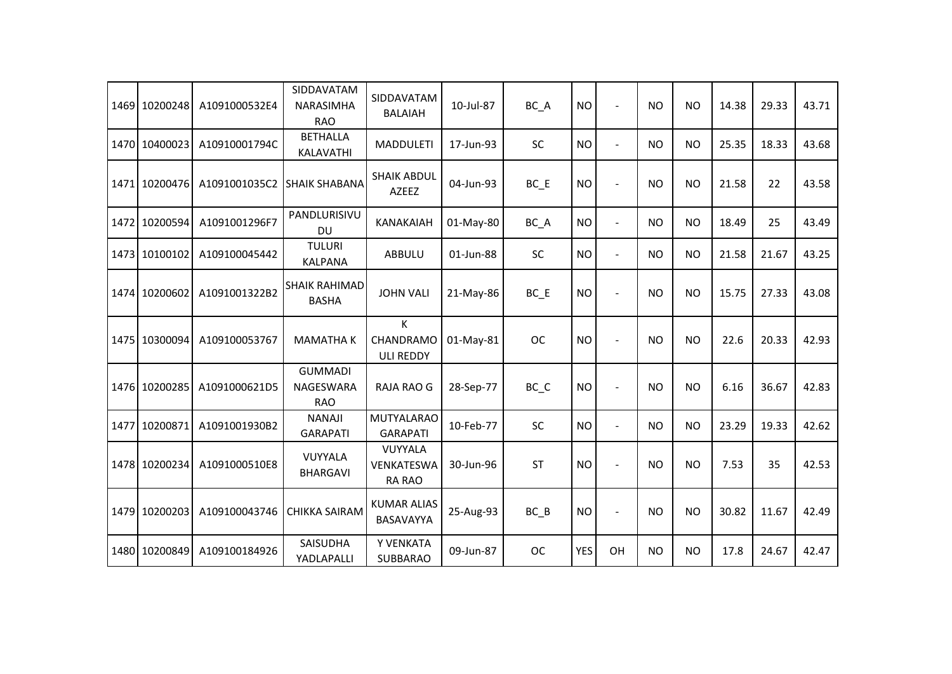|      | 1469 10200248 | A1091000532E4 | SIDDAVATAM<br><b>NARASIMHA</b><br><b>RAO</b> | SIDDAVATAM<br><b>BALAIAH</b>           | 10-Jul-87 | BC_A      | <b>NO</b>  | $\overline{a}$           | <b>NO</b> | <b>NO</b> | 14.38 | 29.33 | 43.71 |
|------|---------------|---------------|----------------------------------------------|----------------------------------------|-----------|-----------|------------|--------------------------|-----------|-----------|-------|-------|-------|
|      | 1470 10400023 | A10910001794C | <b>BETHALLA</b><br>KALAVATHI                 | <b>MADDULETI</b>                       | 17-Jun-93 | <b>SC</b> | <b>NO</b>  | $\overline{a}$           | <b>NO</b> | <b>NO</b> | 25.35 | 18.33 | 43.68 |
|      | 1471 10200476 | A1091001035C2 | <b>SHAIK SHABANA</b>                         | <b>SHAIK ABDUL</b><br>AZEEZ            | 04-Jun-93 | $BC$ $E$  | <b>NO</b>  | $\overline{a}$           | <b>NO</b> | <b>NO</b> | 21.58 | 22    | 43.58 |
|      | 1472 10200594 | A1091001296F7 | PANDLURISIVU<br><b>DU</b>                    | <b>KANAKAIAH</b>                       | 01-May-80 | BC_A      | <b>NO</b>  | $\overline{\phantom{a}}$ | <b>NO</b> | <b>NO</b> | 18.49 | 25    | 43.49 |
| 1473 | 10100102      | A109100045442 | <b>TULURI</b><br><b>KALPANA</b>              | <b>ABBULU</b>                          | 01-Jun-88 | <b>SC</b> | <b>NO</b>  | $\blacksquare$           | <b>NO</b> | <b>NO</b> | 21.58 | 21.67 | 43.25 |
|      | 1474 10200602 | A1091001322B2 | <b>SHAIK RAHIMAD</b><br><b>BASHA</b>         | <b>JOHN VALI</b>                       | 21-May-86 | $BC$ $E$  | <b>NO</b>  | $\overline{a}$           | <b>NO</b> | <b>NO</b> | 15.75 | 27.33 | 43.08 |
|      | 1475 10300094 | A109100053767 | <b>MAMATHAK</b>                              | K<br>CHANDRAMO<br><b>ULI REDDY</b>     | 01-May-81 | <b>OC</b> | <b>NO</b>  |                          | <b>NO</b> | <b>NO</b> | 22.6  | 20.33 | 42.93 |
|      | 1476 10200285 | A1091000621D5 | <b>GUMMADI</b><br>NAGESWARA<br><b>RAO</b>    | RAJA RAO G                             | 28-Sep-77 | BC_C      | <b>NO</b>  |                          | <b>NO</b> | <b>NO</b> | 6.16  | 36.67 | 42.83 |
| 1477 | 10200871      | A1091001930B2 | <b>NANAJI</b><br><b>GARAPATI</b>             | <b>MUTYALARAO</b><br><b>GARAPATI</b>   | 10-Feb-77 | <b>SC</b> | <b>NO</b>  | $\overline{\phantom{a}}$ | <b>NO</b> | <b>NO</b> | 23.29 | 19.33 | 42.62 |
|      | 1478 10200234 | A1091000510E8 | VUYYALA<br><b>BHARGAVI</b>                   | VUYYALA<br><b>VENKATESWA</b><br>RA RAO | 30-Jun-96 | <b>ST</b> | <b>NO</b>  | $\overline{a}$           | <b>NO</b> | <b>NO</b> | 7.53  | 35    | 42.53 |
|      | 1479 10200203 | A109100043746 | <b>CHIKKA SAIRAM</b>                         | <b>KUMAR ALIAS</b><br>BASAVAYYA        | 25-Aug-93 | $BC$ $B$  | <b>NO</b>  | $\overline{a}$           | <b>NO</b> | <b>NO</b> | 30.82 | 11.67 | 42.49 |
|      | 1480 10200849 | A109100184926 | SAISUDHA<br>YADLAPALLI                       | Y VENKATA<br>SUBBARAO                  | 09-Jun-87 | <b>OC</b> | <b>YES</b> | OH                       | <b>NO</b> | <b>NO</b> | 17.8  | 24.67 | 42.47 |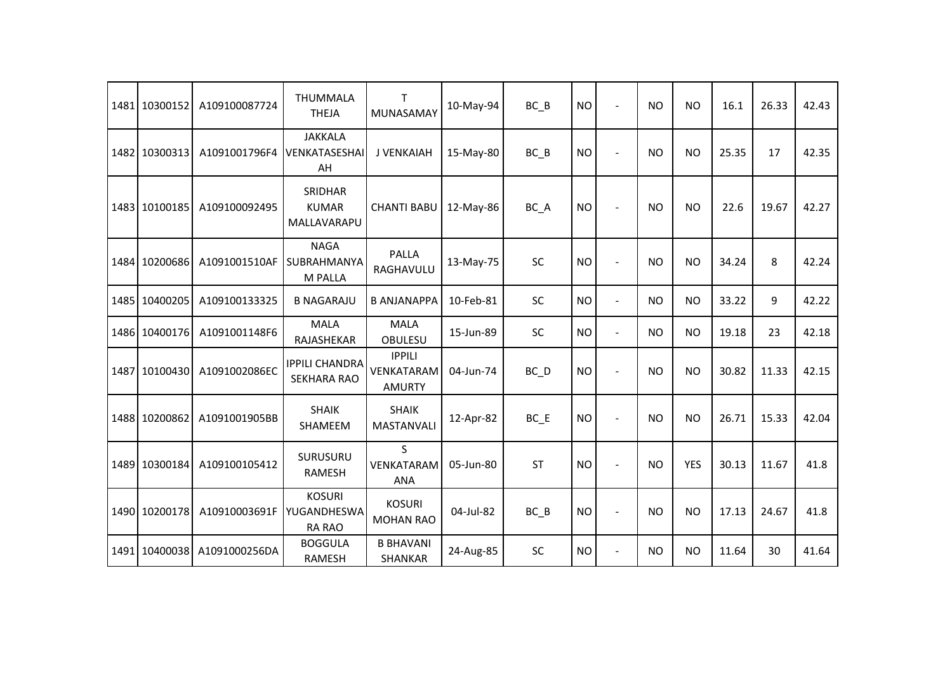| 1481 | 10300152      | A109100087724 | <b>THUMMALA</b><br><b>THEJA</b>               | т<br>MUNASAMAY                               | 10-May-94 | BC B              | <b>NO</b> | $\blacksquare$ | <b>NO</b> | <b>NO</b>  | 16.1  | 26.33 | 42.43 |
|------|---------------|---------------|-----------------------------------------------|----------------------------------------------|-----------|-------------------|-----------|----------------|-----------|------------|-------|-------|-------|
|      | 1482 10300313 | A1091001796F4 | <b>JAKKALA</b><br>VENKATASESHAI<br>AH         | J VENKAIAH                                   | 15-May-80 | $BC$ $B$          | <b>NO</b> |                | <b>NO</b> | <b>NO</b>  | 25.35 | 17    | 42.35 |
|      | 1483 10100185 | A109100092495 | SRIDHAR<br><b>KUMAR</b><br>MALLAVARAPU        | <b>CHANTI BABU</b>                           | 12-May-86 | BC_A              | <b>NO</b> |                | <b>NO</b> | <b>NO</b>  | 22.6  | 19.67 | 42.27 |
|      | 1484 10200686 | A1091001510AF | <b>NAGA</b><br>SUBRAHMANYA<br>M PALLA         | <b>PALLA</b><br>RAGHAVULU                    | 13-May-75 | SC                | <b>NO</b> |                | <b>NO</b> | <b>NO</b>  | 34.24 | 8     | 42.24 |
| 1485 | 10400205      | A109100133325 | <b>B NAGARAJU</b>                             | <b>B ANJANAPPA</b>                           | 10-Feb-81 | <b>SC</b>         | <b>NO</b> | $\blacksquare$ | <b>NO</b> | <b>NO</b>  | 33.22 | 9     | 42.22 |
| 1486 | 10400176      | A1091001148F6 | <b>MALA</b><br>RAJASHEKAR                     | <b>MALA</b><br>OBULESU                       | 15-Jun-89 | <b>SC</b>         | <b>NO</b> | $\blacksquare$ | <b>NO</b> | <b>NO</b>  | 19.18 | 23    | 42.18 |
| 1487 | 10100430      | A1091002086EC | <b>IPPILI CHANDRA</b><br><b>SEKHARA RAO</b>   | <b>IPPILI</b><br>VENKATARAM<br><b>AMURTY</b> | 04-Jun-74 | $BC$ <sub>D</sub> | <b>NO</b> | $\blacksquare$ | <b>NO</b> | <b>NO</b>  | 30.82 | 11.33 | 42.15 |
|      | 1488 10200862 | A1091001905BB | <b>SHAIK</b><br>SHAMEEM                       | <b>SHAIK</b><br><b>MASTANVALI</b>            | 12-Apr-82 | $BC$ $E$          | <b>NO</b> |                | <b>NO</b> | <b>NO</b>  | 26.71 | 15.33 | 42.04 |
|      | 1489 10300184 | A109100105412 | SURUSURU<br><b>RAMESH</b>                     | S<br>VENKATARAM<br><b>ANA</b>                | 05-Jun-80 | <b>ST</b>         | <b>NO</b> | $\sim$         | <b>NO</b> | <b>YES</b> | 30.13 | 11.67 | 41.8  |
|      | 1490 10200178 | A10910003691F | <b>KOSURI</b><br>YUGANDHESWA<br><b>RA RAO</b> | <b>KOSURI</b><br><b>MOHAN RAO</b>            | 04-Jul-82 | $BC$ $B$          | <b>NO</b> | $\blacksquare$ | <b>NO</b> | <b>NO</b>  | 17.13 | 24.67 | 41.8  |
| 1491 | 10400038      | A1091000256DA | <b>BOGGULA</b><br><b>RAMESH</b>               | <b>B BHAVANI</b><br>SHANKAR                  | 24-Aug-85 | SC                | <b>NO</b> | $\blacksquare$ | NO.       | <b>NO</b>  | 11.64 | 30    | 41.64 |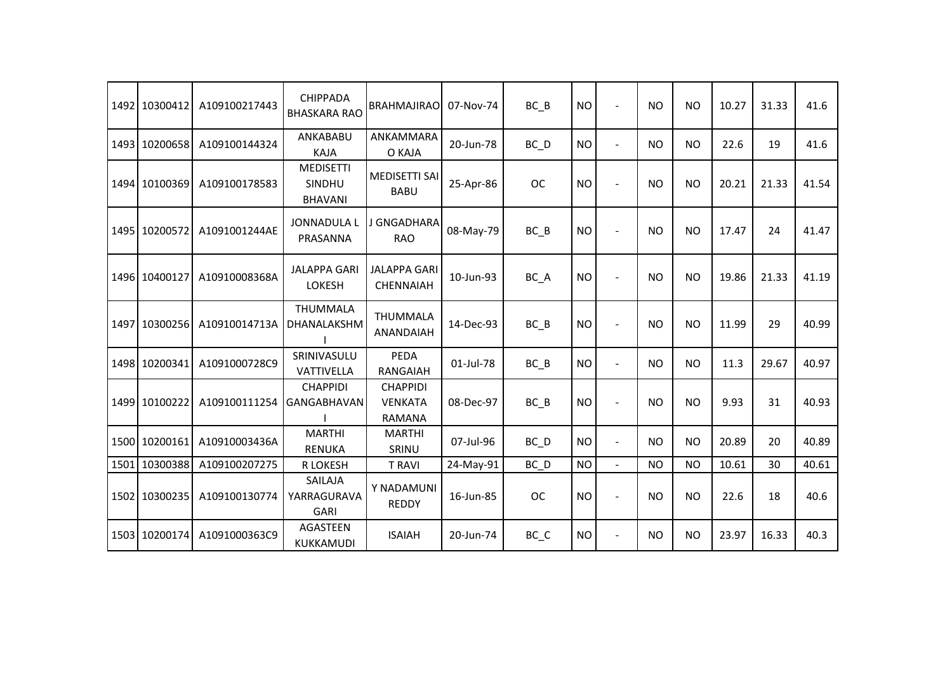|      | 1492 10300412 | A109100217443 | <b>CHIPPADA</b><br><b>BHASKARA RAO</b>       | <b>BRAHMAJIRAO</b>                                 | 07-Nov-74 | $BC$ $B$          | <b>NO</b> | $\overline{\phantom{a}}$ | <b>NO</b> | <b>NO</b> | 10.27 | 31.33 | 41.6  |
|------|---------------|---------------|----------------------------------------------|----------------------------------------------------|-----------|-------------------|-----------|--------------------------|-----------|-----------|-------|-------|-------|
|      | 1493 10200658 | A109100144324 | ANKABABU<br><b>KAJA</b>                      | ANKAMMARA<br>O KAJA                                | 20-Jun-78 | BC D              | <b>NO</b> | $\blacksquare$           | <b>NO</b> | <b>NO</b> | 22.6  | 19    | 41.6  |
|      | 1494 10100369 | A109100178583 | <b>MEDISETTI</b><br>SINDHU<br><b>BHAVANI</b> | <b>MEDISETTI SAI</b><br><b>BABU</b>                | 25-Apr-86 | <b>OC</b>         | <b>NO</b> | $\overline{a}$           | <b>NO</b> | <b>NO</b> | 20.21 | 21.33 | 41.54 |
|      | 1495 10200572 | A1091001244AE | <b>JONNADULA L</b><br>PRASANNA               | J GNGADHARA<br><b>RAO</b>                          | 08-May-79 | BC B              | <b>NO</b> | $\overline{a}$           | <b>NO</b> | <b>NO</b> | 17.47 | 24    | 41.47 |
|      | 1496 10400127 | A10910008368A | <b>JALAPPA GARI</b><br><b>LOKESH</b>         | <b>JALAPPA GARI</b><br><b>CHENNAIAH</b>            | 10-Jun-93 | BC_A              | <b>NO</b> | ÷                        | <b>NO</b> | <b>NO</b> | 19.86 | 21.33 | 41.19 |
| 1497 | 10300256      | A10910014713A | THUMMALA<br>DHANALAKSHM                      | <b>THUMMALA</b><br>ANANDAIAH                       | 14-Dec-93 | BC B              | <b>NO</b> | $\overline{\phantom{a}}$ | <b>NO</b> | <b>NO</b> | 11.99 | 29    | 40.99 |
|      | 1498 10200341 | A1091000728C9 | SRINIVASULU<br>VATTIVELLA                    | PEDA<br>RANGAIAH                                   | 01-Jul-78 | $BC$ $B$          | <b>NO</b> | $\blacksquare$           | <b>NO</b> | <b>NO</b> | 11.3  | 29.67 | 40.97 |
|      | 1499 10100222 | A109100111254 | <b>CHAPPIDI</b><br><b>GANGABHAVAN</b>        | <b>CHAPPIDI</b><br><b>VENKATA</b><br><b>RAMANA</b> | 08-Dec-97 | $BC$ $B$          | <b>NO</b> | $\overline{\phantom{a}}$ | <b>NO</b> | <b>NO</b> | 9.93  | 31    | 40.93 |
|      | 1500 10200161 | A10910003436A | <b>MARTHI</b><br><b>RENUKA</b>               | <b>MARTHI</b><br>SRINU                             | 07-Jul-96 | $BC$ <sub>D</sub> | <b>NO</b> | $\blacksquare$           | <b>NO</b> | <b>NO</b> | 20.89 | 20    | 40.89 |
| 1501 | 10300388      | A109100207275 | R LOKESH                                     | <b>T RAVI</b>                                      | 24-May-91 | BC D              | <b>NO</b> | $\blacksquare$           | <b>NO</b> | <b>NO</b> | 10.61 | 30    | 40.61 |
|      | 1502 10300235 | A109100130774 | SAILAJA<br>YARRAGURAVA<br><b>GARI</b>        | Y NADAMUNI<br><b>REDDY</b>                         | 16-Jun-85 | <b>OC</b>         | <b>NO</b> | $\overline{\phantom{a}}$ | <b>NO</b> | <b>NO</b> | 22.6  | 18    | 40.6  |
|      | 1503 10200174 | A1091000363C9 | AGASTEEN<br>KUKKAMUDI                        | <b>ISAIAH</b>                                      | 20-Jun-74 | BC_C              | <b>NO</b> | $\overline{a}$           | <b>NO</b> | <b>NO</b> | 23.97 | 16.33 | 40.3  |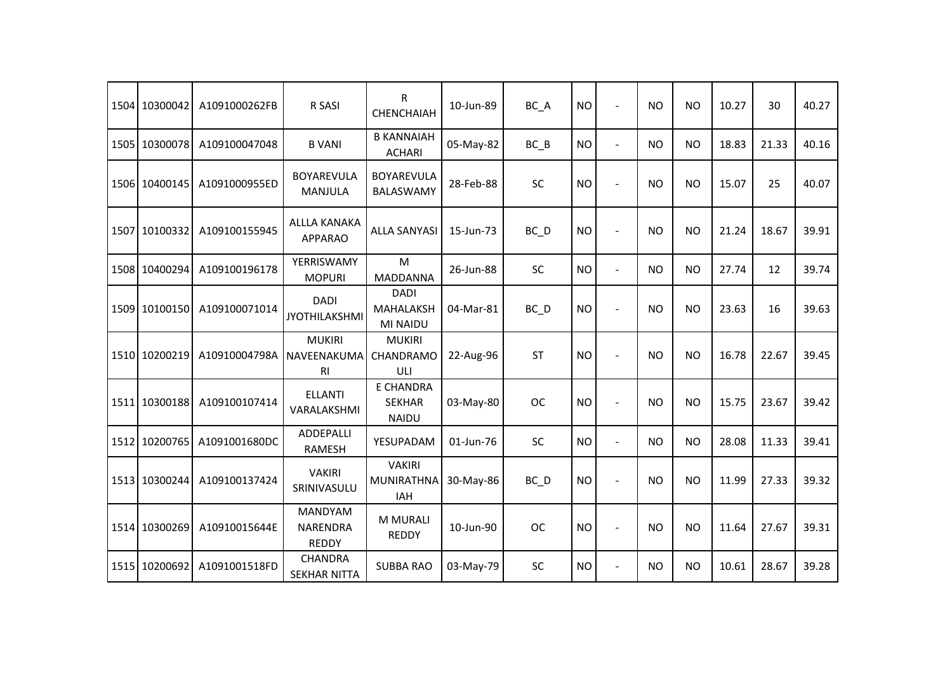| 1504 10300042 | A1091000262FB | R SASI                                            | R<br><b>CHENCHAIAH</b>                            | 10-Jun-89 | BC_A      | <b>NO</b> | $\blacksquare$           | <b>NO</b> | <b>NO</b> | 10.27 | 30    | 40.27 |
|---------------|---------------|---------------------------------------------------|---------------------------------------------------|-----------|-----------|-----------|--------------------------|-----------|-----------|-------|-------|-------|
| 1505 10300078 | A109100047048 | <b>B VANI</b>                                     | <b>B KANNAIAH</b><br><b>ACHARI</b>                | 05-May-82 | $BC$ $B$  | <b>NO</b> | $\overline{\phantom{a}}$ | <b>NO</b> | <b>NO</b> | 18.83 | 21.33 | 40.16 |
| 1506 10400145 | A1091000955ED | <b>BOYAREVULA</b><br><b>MANJULA</b>               | <b>BOYAREVULA</b><br><b>BALASWAMY</b>             | 28-Feb-88 | SC        | <b>NO</b> | $\overline{a}$           | <b>NO</b> | <b>NO</b> | 15.07 | 25    | 40.07 |
| 1507 10100332 | A109100155945 | <b>ALLLA KANAKA</b><br><b>APPARAO</b>             | <b>ALLA SANYASI</b>                               | 15-Jun-73 | BC_D      | <b>NO</b> | $\overline{a}$           | <b>NO</b> | <b>NO</b> | 21.24 | 18.67 | 39.91 |
| 1508 10400294 | A109100196178 | YERRISWAMY<br><b>MOPURI</b>                       | M<br><b>MADDANNA</b>                              | 26-Jun-88 | <b>SC</b> | <b>NO</b> | $\overline{\phantom{a}}$ | <b>NO</b> | <b>NO</b> | 27.74 | 12    | 39.74 |
| 1509 10100150 | A109100071014 | <b>DADI</b><br><b>JYOTHILAKSHMI</b>               | <b>DADI</b><br><b>MAHALAKSH</b><br>MI NAIDU       | 04-Mar-81 | BC_D      | <b>NO</b> | $\overline{\phantom{a}}$ | <b>NO</b> | <b>NO</b> | 23.63 | 16    | 39.63 |
| 1510 10200219 | A10910004798A | <b>MUKIRI</b><br>NAVEENAKUMA<br><b>RI</b>         | <b>MUKIRI</b><br>CHANDRAMO<br>ULI                 | 22-Aug-96 | ST        | <b>NO</b> | $\overline{\phantom{a}}$ | <b>NO</b> | <b>NO</b> | 16.78 | 22.67 | 39.45 |
| 1511 10300188 | A109100107414 | <b>ELLANTI</b><br>VARALAKSHMI                     | <b>E CHANDRA</b><br><b>SEKHAR</b><br><b>NAIDU</b> | 03-May-80 | <b>OC</b> | <b>NO</b> | $\overline{\phantom{a}}$ | <b>NO</b> | <b>NO</b> | 15.75 | 23.67 | 39.42 |
| 1512 10200765 | A1091001680DC | ADDEPALLI<br><b>RAMESH</b>                        | YESUPADAM                                         | 01-Jun-76 | SC        | <b>NO</b> | $\blacksquare$           | <b>NO</b> | <b>NO</b> | 28.08 | 11.33 | 39.41 |
| 1513 10300244 | A109100137424 | <b>VAKIRI</b><br>SRINIVASULU                      | <b>VAKIRI</b><br><b>MUNIRATHNA</b><br>IAH         | 30-May-86 | BC_D      | <b>NO</b> | $\overline{a}$           | <b>NO</b> | <b>NO</b> | 11.99 | 27.33 | 39.32 |
| 1514 10300269 | A10910015644E | <b>MANDYAM</b><br><b>NARENDRA</b><br><b>REDDY</b> | <b>M MURALI</b><br><b>REDDY</b>                   | 10-Jun-90 | <b>OC</b> | <b>NO</b> | $\blacksquare$           | <b>NO</b> | <b>NO</b> | 11.64 | 27.67 | 39.31 |
| 1515 10200692 | A1091001518FD | <b>CHANDRA</b><br><b>SEKHAR NITTA</b>             | <b>SUBBA RAO</b>                                  | 03-May-79 | <b>SC</b> | <b>NO</b> | $\overline{\phantom{a}}$ | <b>NO</b> | <b>NO</b> | 10.61 | 28.67 | 39.28 |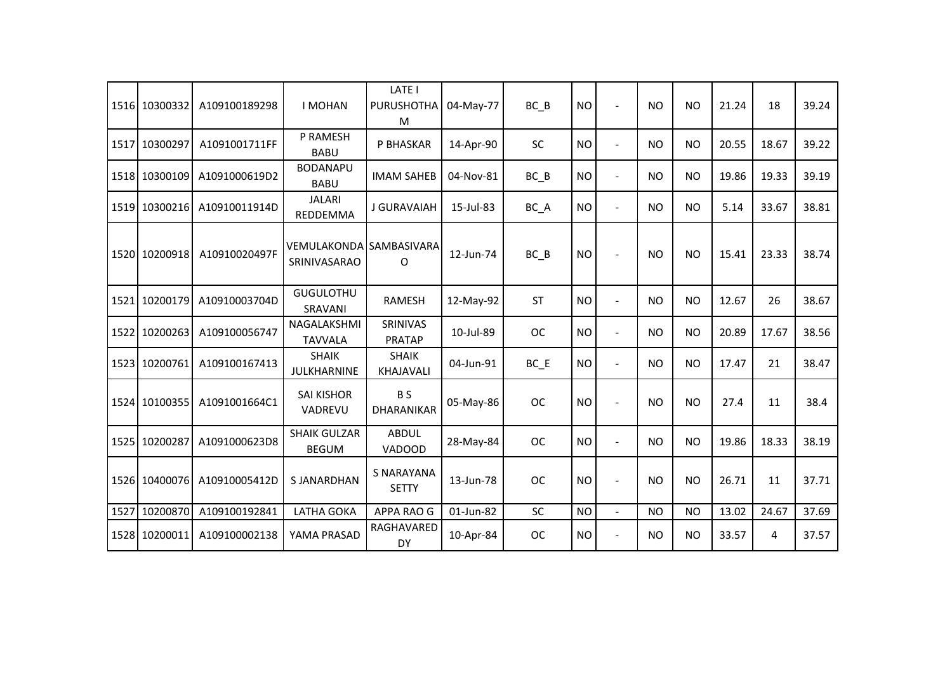|      | 1516 10300332 | A109100189298 | <b>I MOHAN</b>                          | LATE I<br><b>PURUSHOTHA</b><br>M  | 04-May-77 | $BC$ $B$  | <b>NO</b> | $\sim$         | <b>NO</b> | <b>NO</b> | 21.24 | 18    | 39.24 |
|------|---------------|---------------|-----------------------------------------|-----------------------------------|-----------|-----------|-----------|----------------|-----------|-----------|-------|-------|-------|
| 1517 | 10300297      | A1091001711FF | P RAMESH<br><b>BABU</b>                 | P BHASKAR                         | 14-Apr-90 | <b>SC</b> | <b>NO</b> | $\overline{a}$ | <b>NO</b> | <b>NO</b> | 20.55 | 18.67 | 39.22 |
|      | 1518 10300109 | A1091000619D2 | <b>BODANAPU</b><br><b>BABU</b>          | <b>IMAM SAHEB</b>                 | 04-Nov-81 | $BC$ $B$  | <b>NO</b> | $\blacksquare$ | NO        | <b>NO</b> | 19.86 | 19.33 | 39.19 |
|      | 1519 10300216 | A10910011914D | <b>JALARI</b><br>REDDEMMA               | J GURAVAIAH                       | 15-Jul-83 | BC_A      | <b>NO</b> | $\blacksquare$ | <b>NO</b> | <b>NO</b> | 5.14  | 33.67 | 38.81 |
|      | 1520 10200918 | A10910020497F | VEMULAKONDA SAMBASIVARA<br>SRINIVASARAO | O                                 | 12-Jun-74 | BC B      | <b>NO</b> |                | NO.       | <b>NO</b> | 15.41 | 23.33 | 38.74 |
| 1521 | 10200179      | A10910003704D | <b>GUGULOTHU</b><br>SRAVANI             | <b>RAMESH</b>                     | 12-May-92 | <b>ST</b> | <b>NO</b> | $\blacksquare$ | <b>NO</b> | <b>NO</b> | 12.67 | 26    | 38.67 |
| 1522 | 10200263      | A109100056747 | NAGALAKSHMI<br><b>TAVVALA</b>           | <b>SRINIVAS</b><br><b>PRATAP</b>  | 10-Jul-89 | <b>OC</b> | <b>NO</b> | $\blacksquare$ | <b>NO</b> | <b>NO</b> | 20.89 | 17.67 | 38.56 |
|      | 1523 10200761 | A109100167413 | <b>SHAIK</b><br><b>JULKHARNINE</b>      | <b>SHAIK</b><br><b>KHAJAVALI</b>  | 04-Jun-91 | $BC$ $E$  | <b>NO</b> | $\blacksquare$ | <b>NO</b> | <b>NO</b> | 17.47 | 21    | 38.47 |
|      | 1524 10100355 | A1091001664C1 | <b>SAI KISHOR</b><br>VADREVU            | B S<br><b>DHARANIKAR</b>          | 05-May-86 | <b>OC</b> | <b>NO</b> |                | <b>NO</b> | <b>NO</b> | 27.4  | 11    | 38.4  |
|      | 1525 10200287 | A1091000623D8 | <b>SHAIK GULZAR</b><br><b>BEGUM</b>     | <b>ABDUL</b><br>VADOOD            | 28-May-84 | <b>OC</b> | <b>NO</b> | $\blacksquare$ | <b>NO</b> | <b>NO</b> | 19.86 | 18.33 | 38.19 |
|      | 1526 10400076 | A10910005412D | <b>SJANARDHAN</b>                       | <b>S NARAYANA</b><br><b>SETTY</b> | 13-Jun-78 | <b>OC</b> | <b>NO</b> |                | NO.       | <b>NO</b> | 26.71 | 11    | 37.71 |
| 1527 | 10200870      | A109100192841 | <b>LATHA GOKA</b>                       | APPA RAO G                        | 01-Jun-82 | SC        | <b>NO</b> | $\mathbf{r}$   | <b>NO</b> | <b>NO</b> | 13.02 | 24.67 | 37.69 |
|      | 1528 10200011 | A109100002138 | YAMA PRASAD                             | RAGHAVARED<br>DY                  | 10-Apr-84 | <b>OC</b> | <b>NO</b> | $\blacksquare$ | <b>NO</b> | <b>NO</b> | 33.57 | 4     | 37.57 |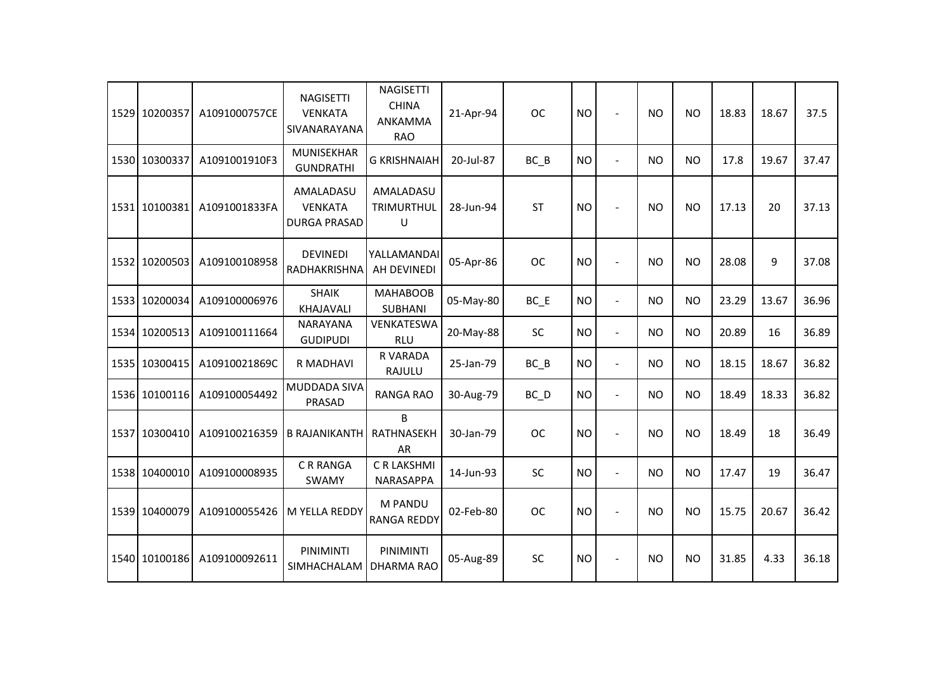| 1529 10200357 | A1091000757CE | <b>NAGISETTI</b><br><b>VENKATA</b><br>SIVANARAYANA | <b>NAGISETTI</b><br><b>CHINA</b><br>ANKAMMA<br><b>RAO</b> | 21-Apr-94 | <b>OC</b>         | <b>NO</b> |                          | <b>NO</b> | <b>NO</b> | 18.83 | 18.67 | 37.5  |
|---------------|---------------|----------------------------------------------------|-----------------------------------------------------------|-----------|-------------------|-----------|--------------------------|-----------|-----------|-------|-------|-------|
| 1530 10300337 | A1091001910F3 | <b>MUNISEKHAR</b><br><b>GUNDRATHI</b>              | <b>G KRISHNAIAH</b>                                       | 20-Jul-87 | $BC$ $B$          | <b>NO</b> | $\overline{a}$           | <b>NO</b> | <b>NO</b> | 17.8  | 19.67 | 37.47 |
| 1531 10100381 | A1091001833FA | AMALADASU<br><b>VENKATA</b><br><b>DURGA PRASAD</b> | AMALADASU<br>TRIMURTHUL<br>U                              | 28-Jun-94 | ST                | <b>NO</b> |                          | <b>NO</b> | <b>NO</b> | 17.13 | 20    | 37.13 |
| 1532 10200503 | A109100108958 | <b>DEVINEDI</b><br>RADHAKRISHNA                    | YALLAMANDAI<br>AH DEVINEDI                                | 05-Apr-86 | <b>OC</b>         | <b>NO</b> |                          | <b>NO</b> | <b>NO</b> | 28.08 | 9     | 37.08 |
| 1533 10200034 | A109100006976 | <b>SHAIK</b><br>KHAJAVALI                          | <b>MAHABOOB</b><br><b>SUBHANI</b>                         | 05-May-80 | $BC$ $E$          | <b>NO</b> | $\blacksquare$           | <b>NO</b> | <b>NO</b> | 23.29 | 13.67 | 36.96 |
| 1534 10200513 | A109100111664 | <b>NARAYANA</b><br><b>GUDIPUDI</b>                 | VENKATESWA<br><b>RLU</b>                                  | 20-May-88 | SC                | <b>NO</b> | $\overline{\phantom{a}}$ | <b>NO</b> | <b>NO</b> | 20.89 | 16    | 36.89 |
| 1535 10300415 | A10910021869C | R MADHAVI                                          | R VARADA<br>RAJULU                                        | 25-Jan-79 | $BC$ $B$          | <b>NO</b> | $\overline{a}$           | <b>NO</b> | <b>NO</b> | 18.15 | 18.67 | 36.82 |
| 1536 10100116 | A109100054492 | MUDDADA SIVA<br>PRASAD                             | <b>RANGA RAO</b>                                          | 30-Aug-79 | $BC$ <sub>D</sub> | <b>NO</b> | $\blacksquare$           | <b>NO</b> | <b>NO</b> | 18.49 | 18.33 | 36.82 |
| 1537 10300410 | A109100216359 | <b>B RAJANIKANTH</b>                               | B<br>RATHNASEKH<br><b>AR</b>                              | 30-Jan-79 | <b>OC</b>         | <b>NO</b> | $\overline{a}$           | <b>NO</b> | <b>NO</b> | 18.49 | 18    | 36.49 |
| 1538 10400010 | A109100008935 | <b>CRRANGA</b><br>SWAMY                            | C R LAKSHMI<br>NARASAPPA                                  | 14-Jun-93 | <b>SC</b>         | <b>NO</b> | $\overline{a}$           | <b>NO</b> | <b>NO</b> | 17.47 | 19    | 36.47 |
| 1539 10400079 | A109100055426 | M YELLA REDDY                                      | M PANDU<br><b>RANGA REDDY</b>                             | 02-Feb-80 | <b>OC</b>         | <b>NO</b> |                          | <b>NO</b> | <b>NO</b> | 15.75 | 20.67 | 36.42 |
| 1540 10100186 | A109100092611 | PINIMINTI<br>SIMHACHALAM                           | PINIMINTI<br><b>DHARMA RAO</b>                            | 05-Aug-89 | SC                | <b>NO</b> | $\overline{a}$           | <b>NO</b> | <b>NO</b> | 31.85 | 4.33  | 36.18 |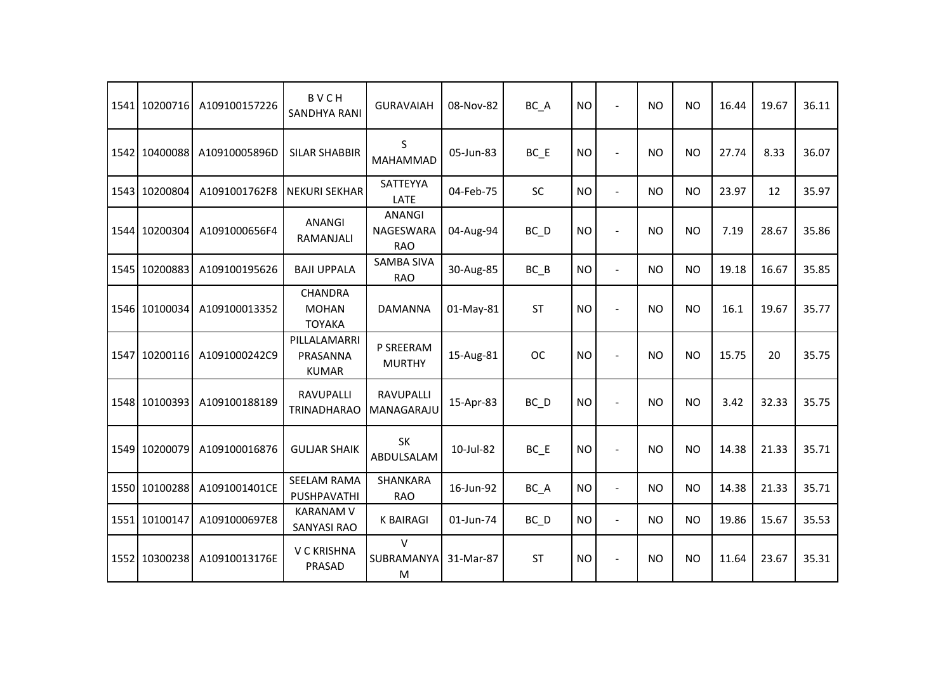| 1541 10200716 | A109100157226 | <b>BVCH</b><br><b>SANDHYA RANI</b>              | <b>GURAVAIAH</b>                                | 08-Nov-82 | BC_A      | <b>NO</b> | $\blacksquare$           | <b>NO</b> | <b>NO</b> | 16.44 | 19.67 | 36.11 |
|---------------|---------------|-------------------------------------------------|-------------------------------------------------|-----------|-----------|-----------|--------------------------|-----------|-----------|-------|-------|-------|
| 1542 10400088 | A10910005896D | <b>SILAR SHABBIR</b>                            | S<br><b>MAHAMMAD</b>                            | 05-Jun-83 | $BC$ $E$  | <b>NO</b> | $\overline{\phantom{a}}$ | <b>NO</b> | <b>NO</b> | 27.74 | 8.33  | 36.07 |
| 1543 10200804 | A1091001762F8 | <b>NEKURI SEKHAR</b>                            | SATTEYYA<br>LATE                                | 04-Feb-75 | <b>SC</b> | <b>NO</b> | $\overline{a}$           | <b>NO</b> | <b>NO</b> | 23.97 | 12    | 35.97 |
| 1544 10200304 | A1091000656F4 | <b>ANANGI</b><br>RAMANJALI                      | <b>ANANGI</b><br><b>NAGESWARA</b><br><b>RAO</b> | 04-Aug-94 | $BC$ $D$  | <b>NO</b> | $\overline{\phantom{a}}$ | <b>NO</b> | <b>NO</b> | 7.19  | 28.67 | 35.86 |
| 1545 10200883 | A109100195626 | <b>BAJI UPPALA</b>                              | <b>SAMBA SIVA</b><br><b>RAO</b>                 | 30-Aug-85 | $BC$ $B$  | <b>NO</b> | $\blacksquare$           | <b>NO</b> | <b>NO</b> | 19.18 | 16.67 | 35.85 |
| 1546 10100034 | A109100013352 | <b>CHANDRA</b><br><b>MOHAN</b><br><b>TOYAKA</b> | <b>DAMANNA</b>                                  | 01-May-81 | <b>ST</b> | <b>NO</b> | $\blacksquare$           | <b>NO</b> | <b>NO</b> | 16.1  | 19.67 | 35.77 |
| 1547 10200116 | A1091000242C9 | PILLALAMARRI<br>PRASANNA<br><b>KUMAR</b>        | P SREERAM<br><b>MURTHY</b>                      | 15-Aug-81 | <b>OC</b> | <b>NO</b> |                          | <b>NO</b> | <b>NO</b> | 15.75 | 20    | 35.75 |
| 1548 10100393 | A109100188189 | <b>RAVUPALLI</b><br><b>TRINADHARAO</b>          | <b>RAVUPALLI</b><br>MANAGARAJU                  | 15-Apr-83 | $BC$ $D$  | <b>NO</b> |                          | <b>NO</b> | <b>NO</b> | 3.42  | 32.33 | 35.75 |
| 1549 10200079 | A109100016876 | <b>GULJAR SHAIK</b>                             | <b>SK</b><br>ABDULSALAM                         | 10-Jul-82 | $BC$ $E$  | <b>NO</b> |                          | <b>NO</b> | <b>NO</b> | 14.38 | 21.33 | 35.71 |
| 1550 10100288 | A1091001401CE | <b>SEELAM RAMA</b><br>PUSHPAVATHI               | SHANKARA<br><b>RAO</b>                          | 16-Jun-92 | BC_A      | <b>NO</b> | $\blacksquare$           | <b>NO</b> | <b>NO</b> | 14.38 | 21.33 | 35.71 |
| 1551 10100147 | A1091000697E8 | <b>KARANAM V</b><br><b>SANYASI RAO</b>          | <b>K BAIRAGI</b>                                | 01-Jun-74 | $BC$ $D$  | <b>NO</b> | $\blacksquare$           | <b>NO</b> | <b>NO</b> | 19.86 | 15.67 | 35.53 |
| 1552 10300238 | A10910013176E | V C KRISHNA<br>PRASAD                           | $\vee$<br>SUBRAMANYA<br>M                       | 31-Mar-87 | <b>ST</b> | <b>NO</b> | $\sim$                   | <b>NO</b> | <b>NO</b> | 11.64 | 23.67 | 35.31 |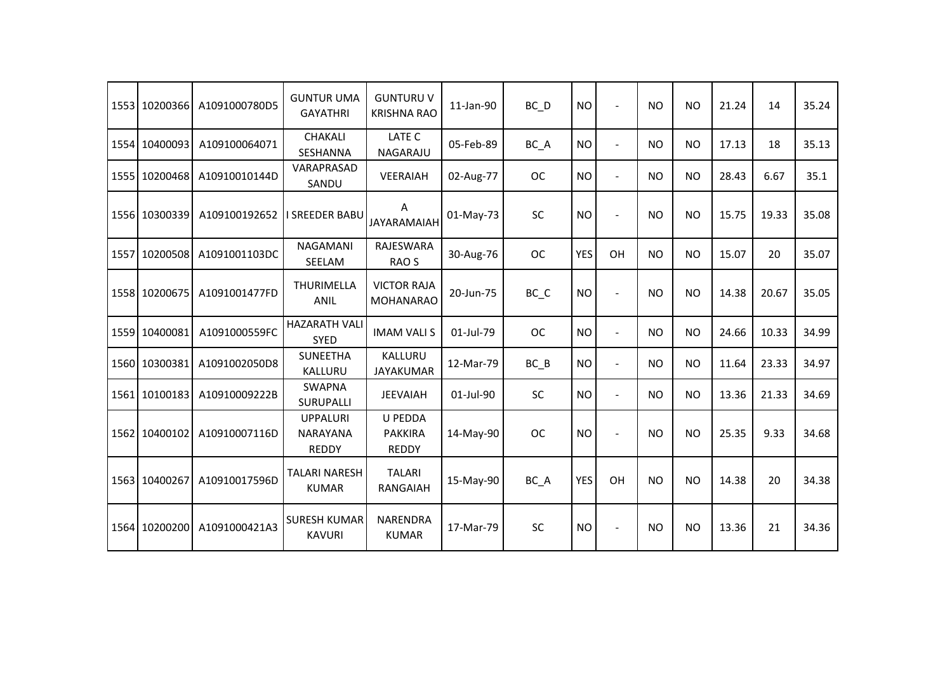|      | 1553 10200366 | A1091000780D5 | <b>GUNTUR UMA</b><br><b>GAYATHRI</b>               | <b>GUNTURU V</b><br><b>KRISHNA RAO</b>    | 11-Jan-90 | BC D      | <b>NO</b>  | $\overline{a}$           | <b>NO</b> | <b>NO</b> | 21.24 | 14    | 35.24 |
|------|---------------|---------------|----------------------------------------------------|-------------------------------------------|-----------|-----------|------------|--------------------------|-----------|-----------|-------|-------|-------|
|      | 1554 10400093 | A109100064071 | <b>CHAKALI</b><br>SESHANNA                         | LATE C<br>NAGARAJU                        | 05-Feb-89 | BC_A      | <b>NO</b>  | $\blacksquare$           | <b>NO</b> | <b>NO</b> | 17.13 | 18    | 35.13 |
|      | 1555 10200468 | A10910010144D | VARAPRASAD<br>SANDU                                | VEERAIAH                                  | 02-Aug-77 | <b>OC</b> | <b>NO</b>  | $\overline{\phantom{a}}$ | <b>NO</b> | <b>NO</b> | 28.43 | 6.67  | 35.1  |
|      | 1556 10300339 | A109100192652 | <b>SREEDER BABU</b>                                | Α<br><b>JAYARAMAIAH</b>                   | 01-May-73 | <b>SC</b> | <b>NO</b>  | $\overline{a}$           | <b>NO</b> | <b>NO</b> | 15.75 | 19.33 | 35.08 |
| 1557 | 10200508      | A1091001103DC | <b>NAGAMANI</b><br>SEELAM                          | RAJESWARA<br>RAO <sub>S</sub>             | 30-Aug-76 | <b>OC</b> | <b>YES</b> | OH                       | <b>NO</b> | <b>NO</b> | 15.07 | 20    | 35.07 |
|      | 1558 10200675 | A1091001477FD | THURIMELLA<br><b>ANIL</b>                          | <b>VICTOR RAJA</b><br><b>MOHANARAO</b>    | 20-Jun-75 | BC_C      | <b>NO</b>  | $\overline{a}$           | <b>NO</b> | <b>NO</b> | 14.38 | 20.67 | 35.05 |
|      | 1559 10400081 | A1091000559FC | <b>HAZARATH VALI</b><br><b>SYED</b>                | <b>IMAM VALI S</b>                        | 01-Jul-79 | <b>OC</b> | <b>NO</b>  | $\blacksquare$           | <b>NO</b> | <b>NO</b> | 24.66 | 10.33 | 34.99 |
|      | 1560 10300381 | A1091002050D8 | SUNEETHA<br>KALLURU                                | KALLURU<br><b>JAYAKUMAR</b>               | 12-Mar-79 | $BC$ $B$  | <b>NO</b>  | $\overline{\phantom{a}}$ | <b>NO</b> | <b>NO</b> | 11.64 | 23.33 | 34.97 |
| 1561 | 10100183      | A10910009222B | <b>SWAPNA</b><br><b>SURUPALLI</b>                  | <b>JEEVAIAH</b>                           | 01-Jul-90 | <b>SC</b> | <b>NO</b>  | $\blacksquare$           | <b>NO</b> | <b>NO</b> | 13.36 | 21.33 | 34.69 |
|      | 1562 10400102 | A10910007116D | <b>UPPALURI</b><br><b>NARAYANA</b><br><b>REDDY</b> | U PEDDA<br><b>PAKKIRA</b><br><b>REDDY</b> | 14-May-90 | <b>OC</b> | <b>NO</b>  | $\overline{\phantom{a}}$ | <b>NO</b> | <b>NO</b> | 25.35 | 9.33  | 34.68 |
|      | 1563 10400267 | A10910017596D | <b>TALARI NARESH</b><br><b>KUMAR</b>               | <b>TALARI</b><br>RANGAIAH                 | 15-May-90 | BC A      | <b>YES</b> | OH                       | <b>NO</b> | <b>NO</b> | 14.38 | 20    | 34.38 |
|      | 1564 10200200 | A1091000421A3 | <b>SURESH KUMAR</b><br><b>KAVURI</b>               | <b>NARENDRA</b><br><b>KUMAR</b>           | 17-Mar-79 | SC        | <b>NO</b>  | $\blacksquare$           | <b>NO</b> | <b>NO</b> | 13.36 | 21    | 34.36 |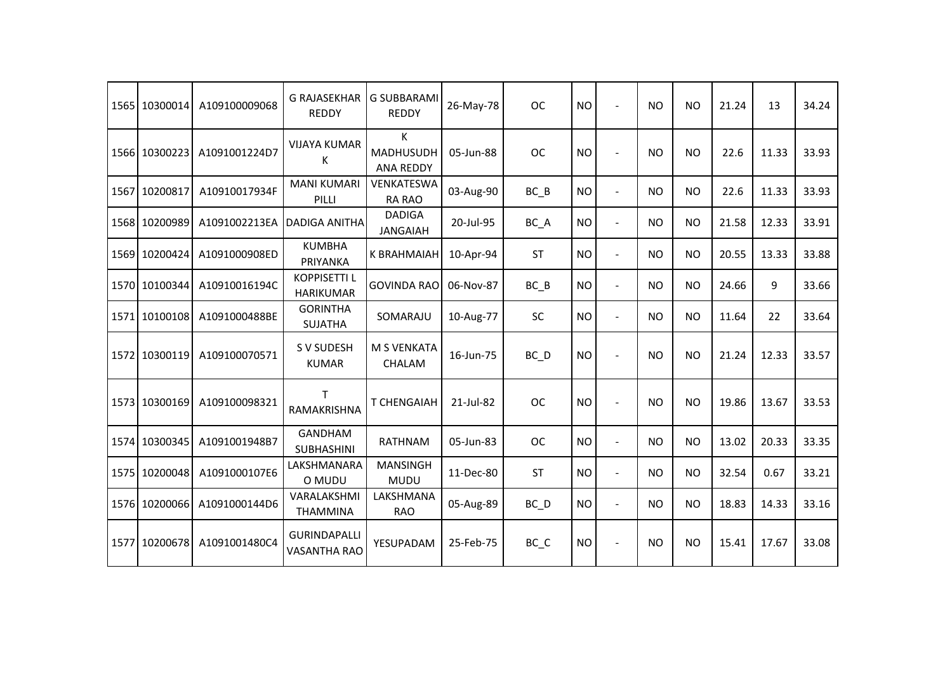| 1565 | 10300014      | A109100009068 | <b>G RAJASEKHAR</b><br><b>REDDY</b>        | <b>G SUBBARAMI</b><br><b>REDDY</b>  | 26-May-78 | <b>OC</b>         | <b>NO</b> |                          | <b>NO</b> | <b>NO</b> | 21.24 | 13    | 34.24 |
|------|---------------|---------------|--------------------------------------------|-------------------------------------|-----------|-------------------|-----------|--------------------------|-----------|-----------|-------|-------|-------|
|      | 1566 10300223 | A1091001224D7 | <b>VIJAYA KUMAR</b><br>К                   | K<br>MADHUSUDH<br><b>ANA REDDY</b>  | 05-Jun-88 | ОC                | <b>NO</b> |                          | <b>NO</b> | NO.       | 22.6  | 11.33 | 33.93 |
|      | 1567 10200817 | A10910017934F | <b>MANI KUMARI</b><br>PILLI                | VENKATESWA<br><b>RA RAO</b>         | 03-Aug-90 | $BC$ $B$          | <b>NO</b> | $\overline{\phantom{a}}$ | <b>NO</b> | <b>NO</b> | 22.6  | 11.33 | 33.93 |
|      | 1568 10200989 | A1091002213EA | <b>DADIGA ANITHA</b>                       | <b>DADIGA</b><br><b>JANGAIAH</b>    | 20-Jul-95 | BC A              | <b>NO</b> | $\blacksquare$           | <b>NO</b> | <b>NO</b> | 21.58 | 12.33 | 33.91 |
|      | 1569 10200424 | A1091000908ED | <b>KUMBHA</b><br>PRIYANKA                  | K BRAHMAIAH                         | 10-Apr-94 | <b>ST</b>         | <b>NO</b> | $\overline{\phantom{a}}$ | <b>NO</b> | <b>NO</b> | 20.55 | 13.33 | 33.88 |
|      | 1570 10100344 | A10910016194C | <b>KOPPISETTI L</b><br><b>HARIKUMAR</b>    | <b>GOVINDA RAO</b>                  | 06-Nov-87 | BC B              | <b>NO</b> | $\blacksquare$           | <b>NO</b> | <b>NO</b> | 24.66 | 9     | 33.66 |
|      | 1571 10100108 | A1091000488BE | <b>GORINTHA</b><br><b>SUJATHA</b>          | SOMARAJU                            | 10-Aug-77 | <b>SC</b>         | <b>NO</b> | $\overline{\phantom{a}}$ | <b>NO</b> | <b>NO</b> | 11.64 | 22    | 33.64 |
|      | 1572 10300119 | A109100070571 | S V SUDESH<br><b>KUMAR</b>                 | <b>M S VENKATA</b><br><b>CHALAM</b> | 16-Jun-75 | $BC$ <sub>D</sub> | <b>NO</b> |                          | <b>NO</b> | <b>NO</b> | 21.24 | 12.33 | 33.57 |
|      | 1573 10300169 | A109100098321 | т<br>RAMAKRISHNA                           | <b>T CHENGAIAH</b>                  | 21-Jul-82 | <b>OC</b>         | <b>NO</b> |                          | <b>NO</b> | <b>NO</b> | 19.86 | 13.67 | 33.53 |
|      | 1574 10300345 | A1091001948B7 | <b>GANDHAM</b><br><b>SUBHASHINI</b>        | <b>RATHNAM</b>                      | 05-Jun-83 | <b>OC</b>         | <b>NO</b> | $\blacksquare$           | <b>NO</b> | <b>NO</b> | 13.02 | 20.33 | 33.35 |
|      | 1575 10200048 | A1091000107E6 | LAKSHMANARA<br>O MUDU                      | <b>MANSINGH</b><br><b>MUDU</b>      | 11-Dec-80 | <b>ST</b>         | <b>NO</b> | $\blacksquare$           | <b>NO</b> | NO.       | 32.54 | 0.67  | 33.21 |
|      | 1576 10200066 | A1091000144D6 | VARALAKSHMI<br><b>THAMMINA</b>             | LAKSHMANA<br><b>RAO</b>             | 05-Aug-89 | $BC$ <sub>D</sub> | <b>NO</b> | $\blacksquare$           | <b>NO</b> | <b>NO</b> | 18.83 | 14.33 | 33.16 |
|      | 1577 10200678 | A1091001480C4 | <b>GURINDAPALLI</b><br><b>VASANTHA RAO</b> | YESUPADAM                           | 25-Feb-75 | BC_C              | <b>NO</b> |                          | <b>NO</b> | <b>NO</b> | 15.41 | 17.67 | 33.08 |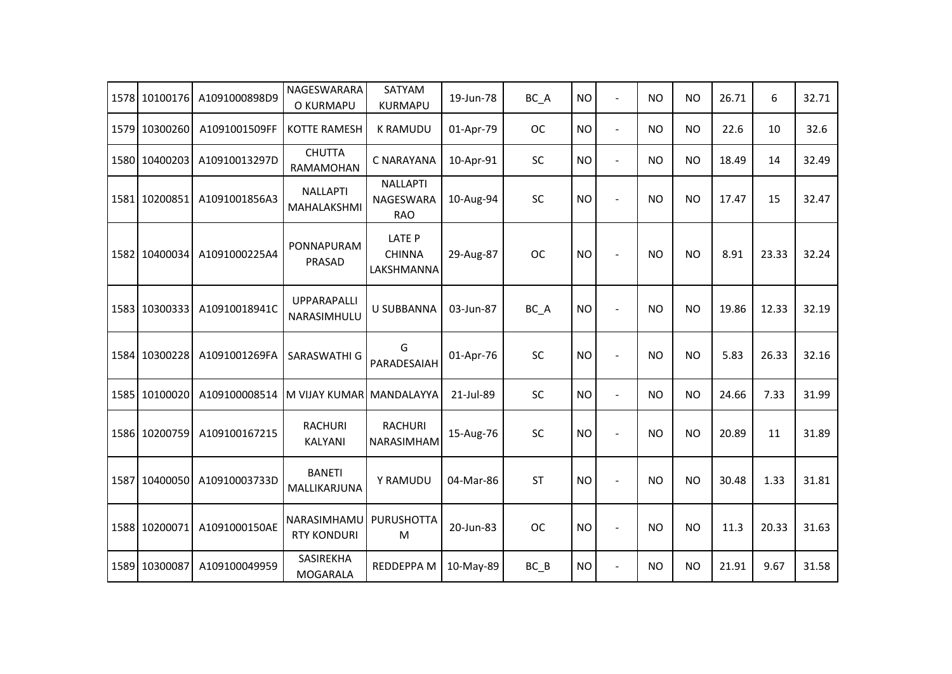| 1578 | 10100176      | A1091000898D9 | NAGESWARARA<br>O KURMAPU          | SATYAM<br><b>KURMAPU</b>                          | 19-Jun-78 | BC_A      | <b>NO</b> | $\blacksquare$           | <b>NO</b> | <b>NO</b> | 26.71 | 6     | 32.71 |
|------|---------------|---------------|-----------------------------------|---------------------------------------------------|-----------|-----------|-----------|--------------------------|-----------|-----------|-------|-------|-------|
| 1579 | 10300260      | A1091001509FF | KOTTE RAMESH                      | <b>K RAMUDU</b>                                   | 01-Apr-79 | <b>OC</b> | <b>NO</b> | $\overline{a}$           | <b>NO</b> | <b>NO</b> | 22.6  | 10    | 32.6  |
|      | 1580 10400203 | A10910013297D | <b>CHUTTA</b><br>RAMAMOHAN        | C NARAYANA                                        | 10-Apr-91 | SC        | <b>NO</b> | $\blacksquare$           | <b>NO</b> | <b>NO</b> | 18.49 | 14    | 32.49 |
| 1581 | 10200851      | A1091001856A3 | <b>NALLAPTI</b><br>MAHALAKSHMI    | <b>NALLAPTI</b><br><b>NAGESWARA</b><br><b>RAO</b> | 10-Aug-94 | SC        | <b>NO</b> | $\blacksquare$           | <b>NO</b> | <b>NO</b> | 17.47 | 15    | 32.47 |
|      | 1582 10400034 | A1091000225A4 | PONNAPURAM<br>PRASAD              | <b>LATE P</b><br><b>CHINNA</b><br>LAKSHMANNA      | 29-Aug-87 | <b>OC</b> | <b>NO</b> | $\overline{\phantom{a}}$ | <b>NO</b> | <b>NO</b> | 8.91  | 23.33 | 32.24 |
|      | 1583 10300333 | A10910018941C | <b>UPPARAPALLI</b><br>NARASIMHULU | <b>U SUBBANNA</b>                                 | 03-Jun-87 | BC_A      | <b>NO</b> | $\overline{\phantom{a}}$ | <b>NO</b> | <b>NO</b> | 19.86 | 12.33 | 32.19 |
|      | 1584 10300228 | A1091001269FA | SARASWATHI G                      | G<br>PARADESAIAH                                  | 01-Apr-76 | SC        | <b>NO</b> | $\blacksquare$           | <b>NO</b> | <b>NO</b> | 5.83  | 26.33 | 32.16 |
| 1585 | 10100020      | A109100008514 | M VIJAY KUMAR                     | MANDALAYYA                                        | 21-Jul-89 | SC        | <b>NO</b> | $\overline{a}$           | <b>NO</b> | <b>NO</b> | 24.66 | 7.33  | 31.99 |
|      | 1586 10200759 | A109100167215 | <b>RACHURI</b><br>KALYANI         | <b>RACHURI</b><br>NARASIMHAM                      | 15-Aug-76 | SC        | <b>NO</b> | $\blacksquare$           | <b>NO</b> | <b>NO</b> | 20.89 | 11    | 31.89 |
| 1587 | 10400050      | A10910003733D | <b>BANETI</b><br>MALLIKARJUNA     | Y RAMUDU                                          | 04-Mar-86 | <b>ST</b> | <b>NO</b> | $\overline{\phantom{a}}$ | <b>NO</b> | <b>NO</b> | 30.48 | 1.33  | 31.81 |
|      | 1588 10200071 | A1091000150AE | NARASIMHAMU<br><b>RTY KONDURI</b> | <b>PURUSHOTTA</b><br>M                            | 20-Jun-83 | <b>OC</b> | <b>NO</b> | $\overline{\phantom{a}}$ | <b>NO</b> | <b>NO</b> | 11.3  | 20.33 | 31.63 |
|      | 1589 10300087 | A109100049959 | <b>SASIREKHA</b><br>MOGARALA      | REDDEPPA M                                        | 10-May-89 | $BC$ $B$  | <b>NO</b> | $\overline{\phantom{a}}$ | <b>NO</b> | <b>NO</b> | 21.91 | 9.67  | 31.58 |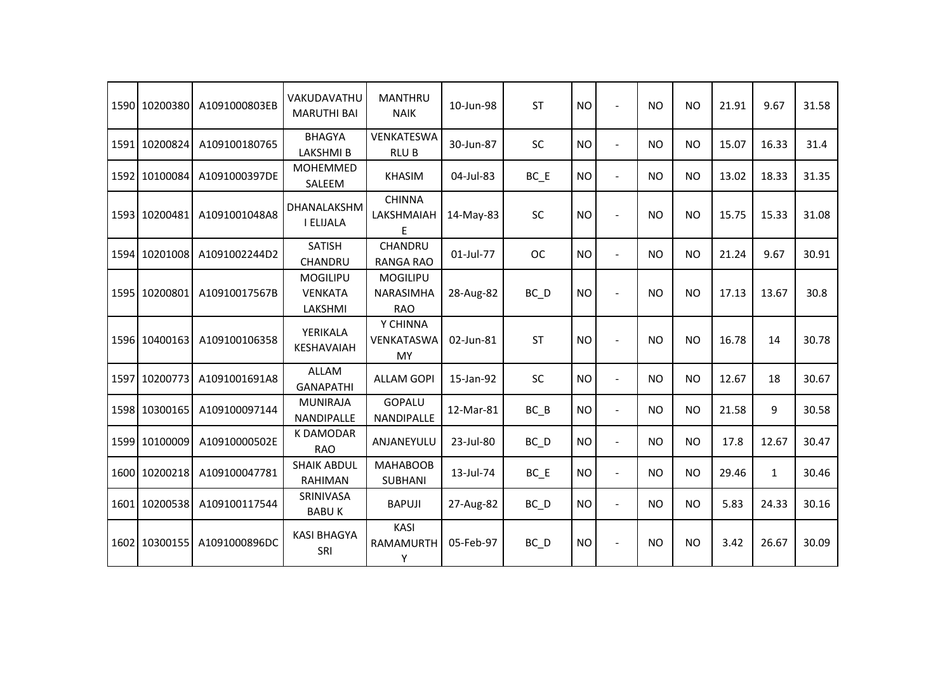|      | 1590 10200380 | A1091000803EB | VAKUDAVATHU<br><b>MARUTHI BAI</b>            | <b>MANTHRU</b><br><b>NAIK</b>                     | 10-Jun-98 | <b>ST</b>         | <b>NO</b> | $\overline{a}$ | <b>NO</b> | <b>NO</b> | 21.91 | 9.67         | 31.58 |
|------|---------------|---------------|----------------------------------------------|---------------------------------------------------|-----------|-------------------|-----------|----------------|-----------|-----------|-------|--------------|-------|
|      | 1591 10200824 | A109100180765 | <b>BHAGYA</b><br>LAKSHMI B                   | VENKATESWA<br><b>RLUB</b>                         | 30-Jun-87 | SC                | <b>NO</b> | $\blacksquare$ | <b>NO</b> | <b>NO</b> | 15.07 | 16.33        | 31.4  |
| 1592 | 10100084      | A1091000397DE | <b>MOHEMMED</b><br>SALEEM                    | <b>KHASIM</b>                                     | 04-Jul-83 | $BC$ $E$          | <b>NO</b> | $\overline{a}$ | <b>NO</b> | <b>NO</b> | 13.02 | 18.33        | 31.35 |
|      | 1593 10200481 | A1091001048A8 | DHANALAKSHM<br>I ELIJALA                     | <b>CHINNA</b><br>LAKSHMAIAH                       | 14-May-83 | <b>SC</b>         | <b>NO</b> | $\overline{a}$ | <b>NO</b> | <b>NO</b> | 15.75 | 15.33        | 31.08 |
|      | 1594 10201008 | A1091002244D2 | <b>SATISH</b><br>CHANDRU                     | CHANDRU<br><b>RANGA RAO</b>                       | 01-Jul-77 | <b>OC</b>         | <b>NO</b> | $\overline{a}$ | <b>NO</b> | <b>NO</b> | 21.24 | 9.67         | 30.91 |
|      | 1595 10200801 | A10910017567B | <b>MOGILIPU</b><br><b>VENKATA</b><br>LAKSHMI | <b>MOGILIPU</b><br><b>NARASIMHA</b><br><b>RAO</b> | 28-Aug-82 | $BC$ $D$          | <b>NO</b> |                | <b>NO</b> | <b>NO</b> | 17.13 | 13.67        | 30.8  |
|      | 1596 10400163 | A109100106358 | YERIKALA<br><b>KESHAVAIAH</b>                | Y CHINNA<br>VENKATASWA<br>MY                      | 02-Jun-81 | <b>ST</b>         | <b>NO</b> |                | <b>NO</b> | <b>NO</b> | 16.78 | 14           | 30.78 |
|      | 1597 10200773 | A1091001691A8 | <b>ALLAM</b><br><b>GANAPATHI</b>             | <b>ALLAM GOPI</b>                                 | 15-Jan-92 | SC                | <b>NO</b> | $\blacksquare$ | <b>NO</b> | <b>NO</b> | 12.67 | 18           | 30.67 |
|      | 1598 10300165 | A109100097144 | <b>MUNIRAJA</b><br>NANDIPALLE                | <b>GOPALU</b><br>NANDIPALLE                       | 12-Mar-81 | $BC$ $B$          | <b>NO</b> | $\blacksquare$ | <b>NO</b> | <b>NO</b> | 21.58 | 9            | 30.58 |
|      | 1599 10100009 | A10910000502E | <b>K DAMODAR</b><br><b>RAO</b>               | ANJANEYULU                                        | 23-Jul-80 | $BC$ $D$          | <b>NO</b> | $\overline{a}$ | <b>NO</b> | <b>NO</b> | 17.8  | 12.67        | 30.47 |
|      | 1600 10200218 | A109100047781 | <b>SHAIK ABDUL</b><br>RAHIMAN                | <b>MAHABOOB</b><br><b>SUBHANI</b>                 | 13-Jul-74 | $BC$ $E$          | <b>NO</b> | $\overline{a}$ | <b>NO</b> | <b>NO</b> | 29.46 | $\mathbf{1}$ | 30.46 |
|      | 1601 10200538 | A109100117544 | SRINIVASA<br><b>BABUK</b>                    | <b>BAPUJI</b>                                     | 27-Aug-82 | $BC$ <sub>D</sub> | <b>NO</b> | $\overline{a}$ | <b>NO</b> | <b>NO</b> | 5.83  | 24.33        | 30.16 |
|      | 1602 10300155 | A1091000896DC | <b>KASI BHAGYA</b><br>SRI                    | KASI<br>RAMAMURTH<br>Υ                            | 05-Feb-97 | $BC$ <sub>D</sub> | <b>NO</b> | $\overline{a}$ | <b>NO</b> | <b>NO</b> | 3.42  | 26.67        | 30.09 |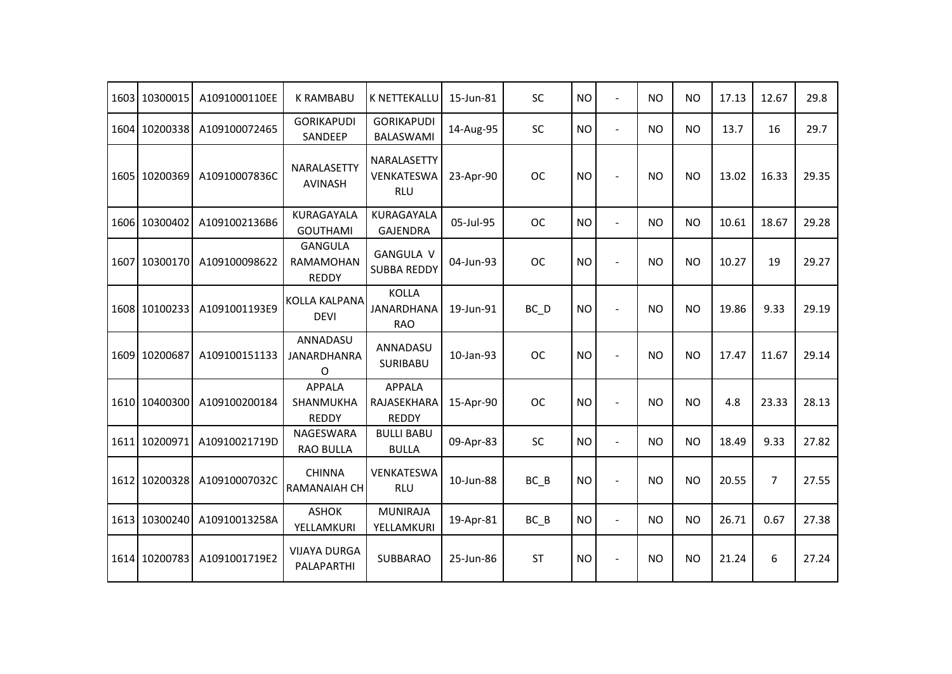|      | 1603 10300015 | A1091000110EE | <b>K RAMBABU</b>                                   | <b>K NETTEKALLU</b>                          | 15-Jun-81 | SC        | <b>NO</b> | $\overline{a}$           | <b>NO</b> | <b>NO</b> | 17.13 | 12.67          | 29.8  |
|------|---------------|---------------|----------------------------------------------------|----------------------------------------------|-----------|-----------|-----------|--------------------------|-----------|-----------|-------|----------------|-------|
|      | 1604 10200338 | A109100072465 | <b>GORIKAPUDI</b><br>SANDEEP                       | <b>GORIKAPUDI</b><br><b>BALASWAMI</b>        | 14-Aug-95 | SC        | <b>NO</b> | $\overline{\phantom{a}}$ | <b>NO</b> | <b>NO</b> | 13.7  | 16             | 29.7  |
|      | 1605 10200369 | A10910007836C | NARALASETTY<br><b>AVINASH</b>                      | NARALASETTY<br>VENKATESWA<br><b>RLU</b>      | 23-Apr-90 | <b>OC</b> | <b>NO</b> | ÷                        | <b>NO</b> | <b>NO</b> | 13.02 | 16.33          | 29.35 |
|      | 1606 10300402 | A1091002136B6 | KURAGAYALA<br><b>GOUTHAMI</b>                      | KURAGAYALA<br><b>GAJENDRA</b>                | 05-Jul-95 | <b>OC</b> | <b>NO</b> | $\blacksquare$           | <b>NO</b> | <b>NO</b> | 10.61 | 18.67          | 29.28 |
|      | 1607 10300170 | A109100098622 | <b>GANGULA</b><br><b>RAMAMOHAN</b><br><b>REDDY</b> | <b>GANGULA V</b><br><b>SUBBA REDDY</b>       | 04-Jun-93 | <b>OC</b> | <b>NO</b> | $\overline{a}$           | <b>NO</b> | <b>NO</b> | 10.27 | 19             | 29.27 |
|      | 1608 10100233 | A1091001193E9 | <b>KOLLA KALPANA</b><br><b>DEVI</b>                | <b>KOLLA</b><br>JANARDHANA<br><b>RAO</b>     | 19-Jun-91 | BC_D      | <b>NO</b> | $\overline{a}$           | <b>NO</b> | <b>NO</b> | 19.86 | 9.33           | 29.19 |
|      | 1609 10200687 | A109100151133 | ANNADASU<br><b>JANARDHANRA</b><br>O                | ANNADASU<br>SURIBABU                         | 10-Jan-93 | <b>OC</b> | <b>NO</b> |                          | <b>NO</b> | <b>NO</b> | 17.47 | 11.67          | 29.14 |
|      | 1610 10400300 | A109100200184 | <b>APPALA</b><br><b>SHANMUKHA</b><br><b>REDDY</b>  | <b>APPALA</b><br>RAJASEKHARA<br><b>REDDY</b> | 15-Apr-90 | <b>OC</b> | <b>NO</b> | $\overline{a}$           | <b>NO</b> | <b>NO</b> | 4.8   | 23.33          | 28.13 |
| 1611 | 10200971      | A10910021719D | <b>NAGESWARA</b><br><b>RAO BULLA</b>               | <b>BULLI BABU</b><br><b>BULLA</b>            | 09-Apr-83 | SC        | <b>NO</b> | $\overline{a}$           | <b>NO</b> | <b>NO</b> | 18.49 | 9.33           | 27.82 |
|      | 1612 10200328 | A10910007032C | <b>CHINNA</b><br><b>RAMANAIAH CH</b>               | VENKATESWA<br><b>RLU</b>                     | 10-Jun-88 | $BC$ $B$  | <b>NO</b> | $\blacksquare$           | <b>NO</b> | <b>NO</b> | 20.55 | $\overline{7}$ | 27.55 |
|      | 1613 10300240 | A10910013258A | <b>ASHOK</b><br>YELLAMKURI                         | <b>MUNIRAJA</b><br>YELLAMKURI                | 19-Apr-81 | BC B      | <b>NO</b> | ÷,                       | <b>NO</b> | <b>NO</b> | 26.71 | 0.67           | 27.38 |
|      | 1614 10200783 | A1091001719E2 | <b>VIJAYA DURGA</b><br>PALAPARTHI                  | <b>SUBBARAO</b>                              | 25-Jun-86 | <b>ST</b> | <b>NO</b> | $\overline{a}$           | <b>NO</b> | <b>NO</b> | 21.24 | 6              | 27.24 |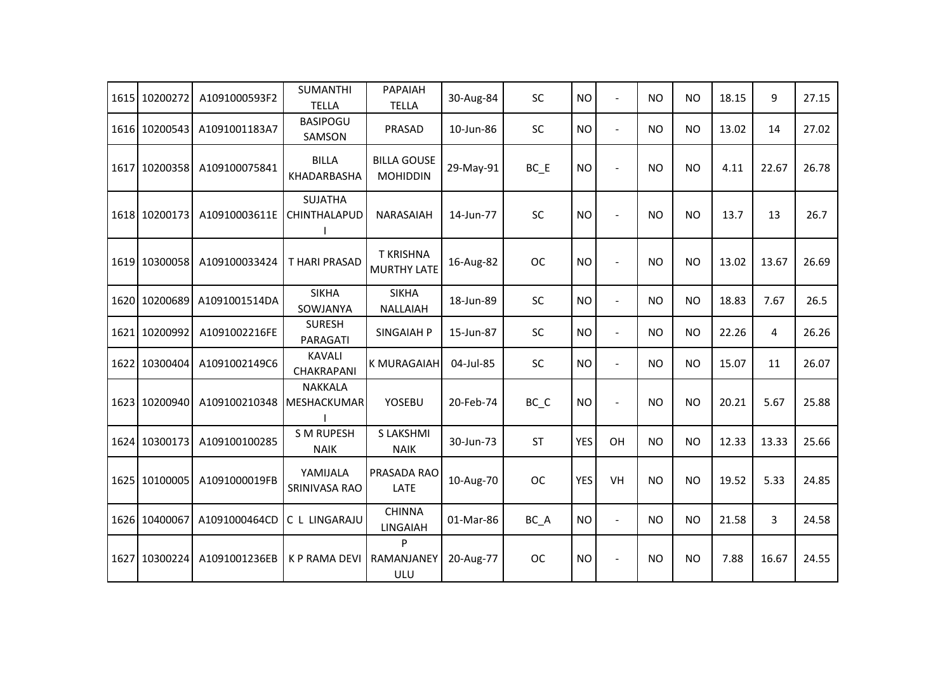| 1615 10200272 | A1091000593F2 | <b>SUMANTHI</b><br><b>TELLA</b>  | PAPAIAH<br><b>TELLA</b>                | 30-Aug-84 | <b>SC</b> | <b>NO</b>  | $\overline{a}$ | <b>NO</b> | <b>NO</b> | 18.15 | 9     | 27.15 |
|---------------|---------------|----------------------------------|----------------------------------------|-----------|-----------|------------|----------------|-----------|-----------|-------|-------|-------|
| 1616 10200543 | A1091001183A7 | <b>BASIPOGU</b><br>SAMSON        | PRASAD                                 | 10-Jun-86 | <b>SC</b> | <b>NO</b>  | $\blacksquare$ | <b>NO</b> | <b>NO</b> | 13.02 | 14    | 27.02 |
| 1617 10200358 | A109100075841 | <b>BILLA</b><br>KHADARBASHA      | <b>BILLA GOUSE</b><br><b>MOHIDDIN</b>  | 29-May-91 | $BC$ $E$  | <b>NO</b>  |                | <b>NO</b> | <b>NO</b> | 4.11  | 22.67 | 26.78 |
| 1618 10200173 | A10910003611E | <b>SUJATHA</b><br>CHINTHALAPUD   | NARASAIAH                              | 14-Jun-77 | SC        | <b>NO</b>  | $\overline{a}$ | <b>NO</b> | <b>NO</b> | 13.7  | 13    | 26.7  |
| 1619 10300058 | A109100033424 | <b>THARI PRASAD</b>              | <b>T KRISHNA</b><br><b>MURTHY LATE</b> | 16-Aug-82 | <b>OC</b> | <b>NO</b>  |                | <b>NO</b> | <b>NO</b> | 13.02 | 13.67 | 26.69 |
| 1620 10200689 | A1091001514DA | <b>SIKHA</b><br>SOWJANYA         | <b>SIKHA</b><br><b>NALLAIAH</b>        | 18-Jun-89 | SC        | <b>NO</b>  | $\blacksquare$ | <b>NO</b> | <b>NO</b> | 18.83 | 7.67  | 26.5  |
| 1621 10200992 | A1091002216FE | <b>SURESH</b><br>PARAGATI        | <b>SINGAIAH P</b>                      | 15-Jun-87 | <b>SC</b> | <b>NO</b>  | $\overline{a}$ | <b>NO</b> | <b>NO</b> | 22.26 | 4     | 26.26 |
| 1622 10300404 | A1091002149C6 | <b>KAVALI</b><br>CHAKRAPANI      | <b>K MURAGAIAH</b>                     | 04-Jul-85 | <b>SC</b> | <b>NO</b>  | $\blacksquare$ | <b>NO</b> | <b>NO</b> | 15.07 | 11    | 26.07 |
| 1623 10200940 | A109100210348 | <b>NAKKALA</b><br>MESHACKUMAR    | YOSEBU                                 | 20-Feb-74 | BC_C      | <b>NO</b>  | $\blacksquare$ | <b>NO</b> | <b>NO</b> | 20.21 | 5.67  | 25.88 |
| 1624 10300173 | A109100100285 | <b>S M RUPESH</b><br><b>NAIK</b> | <b>S LAKSHMI</b><br><b>NAIK</b>        | 30-Jun-73 | <b>ST</b> | <b>YES</b> | OH             | <b>NO</b> | <b>NO</b> | 12.33 | 13.33 | 25.66 |
| 1625 10100005 | A1091000019FB | YAMIJALA<br>SRINIVASA RAO        | PRASADA RAO<br>LATE                    | 10-Aug-70 | <b>OC</b> | <b>YES</b> | VH             | <b>NO</b> | <b>NO</b> | 19.52 | 5.33  | 24.85 |
| 1626 10400067 | A1091000464CD | C L LINGARAJU                    | <b>CHINNA</b><br><b>LINGAIAH</b>       | 01-Mar-86 | BC_A      | <b>NO</b>  | $\blacksquare$ | <b>NO</b> | <b>NO</b> | 21.58 | 3     | 24.58 |
| 1627 10300224 | A1091001236EB | <b>K P RAMA DEVI</b>             | P<br>RAMANJANEY<br>ULU                 | 20-Aug-77 | <b>OC</b> | <b>NO</b>  | $\overline{a}$ | <b>NO</b> | <b>NO</b> | 7.88  | 16.67 | 24.55 |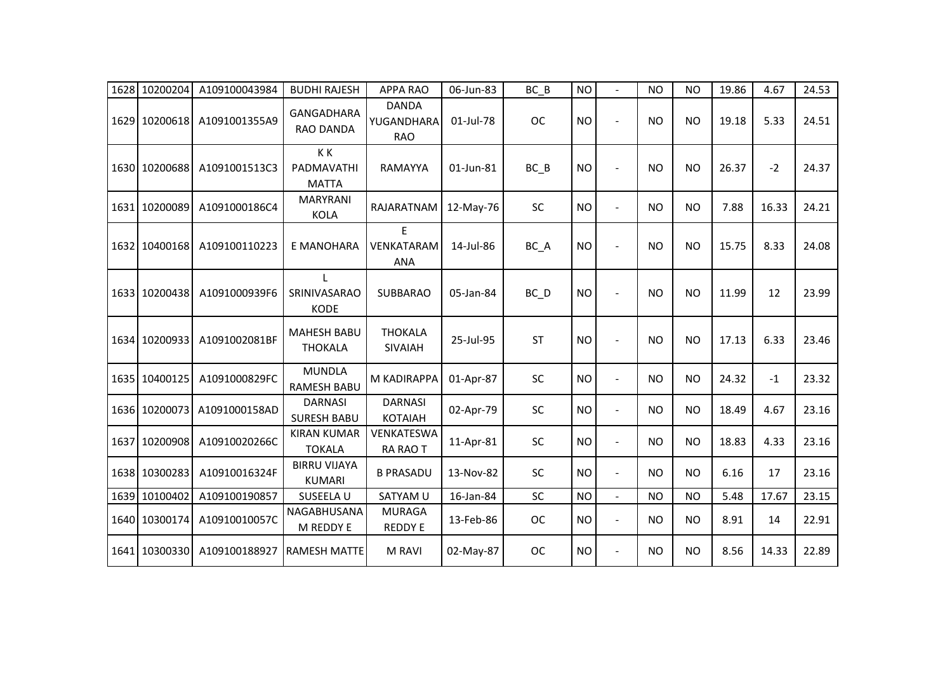|      | 1628 10200204 | A109100043984 | <b>BUDHI RAJESH</b>                  | <b>APPA RAO</b>                          | 06-Jun-83 | $BC$ $B$  | <b>NO</b> |                          | <b>NO</b> | <b>NO</b> | 19.86 | 4.67  | 24.53 |
|------|---------------|---------------|--------------------------------------|------------------------------------------|-----------|-----------|-----------|--------------------------|-----------|-----------|-------|-------|-------|
|      | 1629 10200618 | A1091001355A9 | <b>GANGADHARA</b><br>RAO DANDA       | <b>DANDA</b><br>YUGANDHARA<br><b>RAO</b> | 01-Jul-78 | <b>OC</b> | <b>NO</b> | $\blacksquare$           | <b>NO</b> | <b>NO</b> | 19.18 | 5.33  | 24.51 |
|      | 1630 10200688 | A1091001513C3 | KK<br>PADMAVATHI<br><b>MATTA</b>     | RAMAYYA                                  | 01-Jun-81 | $BC$ $B$  | <b>NO</b> | $\blacksquare$           | <b>NO</b> | <b>NO</b> | 26.37 | $-2$  | 24.37 |
|      | 1631 10200089 | A1091000186C4 | <b>MARYRANI</b><br>KOLA              | RAJARATNAM                               | 12-May-76 | SC        | <b>NO</b> | $\overline{\phantom{a}}$ | <b>NO</b> | <b>NO</b> | 7.88  | 16.33 | 24.21 |
|      | 1632 10400168 | A109100110223 | E MANOHARA                           | F<br>VENKATARAM<br><b>ANA</b>            | 14-Jul-86 | BC_A      | <b>NO</b> | $\overline{a}$           | <b>NO</b> | <b>NO</b> | 15.75 | 8.33  | 24.08 |
|      | 1633 10200438 | A1091000939F6 | L<br>SRINIVASARAO<br><b>KODE</b>     | <b>SUBBARAO</b>                          | 05-Jan-84 | BC_D      | <b>NO</b> | $\overline{a}$           | <b>NO</b> | <b>NO</b> | 11.99 | 12    | 23.99 |
|      | 1634 10200933 | A1091002081BF | <b>MAHESH BABU</b><br><b>THOKALA</b> | <b>THOKALA</b><br><b>SIVAIAH</b>         | 25-Jul-95 | <b>ST</b> | <b>NO</b> | $\blacksquare$           | <b>NO</b> | <b>NO</b> | 17.13 | 6.33  | 23.46 |
|      | 1635 10400125 | A1091000829FC | <b>MUNDLA</b><br><b>RAMESH BABU</b>  | M KADIRAPPA                              | 01-Apr-87 | <b>SC</b> | <b>NO</b> | $\blacksquare$           | <b>NO</b> | <b>NO</b> | 24.32 | $-1$  | 23.32 |
|      | 1636 10200073 | A1091000158AD | <b>DARNASI</b><br><b>SURESH BABU</b> | <b>DARNASI</b><br><b>KOTAIAH</b>         | 02-Apr-79 | SC        | <b>NO</b> | $\blacksquare$           | <b>NO</b> | <b>NO</b> | 18.49 | 4.67  | 23.16 |
|      | 1637 10200908 | A10910020266C | <b>KIRAN KUMAR</b><br><b>TOKALA</b>  | VENKATESWA<br><b>RA RAO T</b>            | 11-Apr-81 | SC        | <b>NO</b> | $\blacksquare$           | <b>NO</b> | <b>NO</b> | 18.83 | 4.33  | 23.16 |
|      | 1638 10300283 | A10910016324F | <b>BIRRU VIJAYA</b><br><b>KUMARI</b> | <b>B PRASADU</b>                         | 13-Nov-82 | <b>SC</b> | <b>NO</b> | $\blacksquare$           | <b>NO</b> | <b>NO</b> | 6.16  | 17    | 23.16 |
| 1639 | 10100402      | A109100190857 | SUSEELA U                            | SATYAM U                                 | 16-Jan-84 | SC        | <b>NO</b> | $\overline{\phantom{0}}$ | <b>NO</b> | <b>NO</b> | 5.48  | 17.67 | 23.15 |
|      | 1640 10300174 | A10910010057C | NAGABHUSANA<br>M REDDY E             | <b>MURAGA</b><br><b>REDDY E</b>          | 13-Feb-86 | <b>OC</b> | <b>NO</b> | $\blacksquare$           | <b>NO</b> | <b>NO</b> | 8.91  | 14    | 22.91 |
|      | 1641 10300330 | A109100188927 | <b>RAMESH MATTE</b>                  | M RAVI                                   | 02-May-87 | <b>OC</b> | <b>NO</b> | $\blacksquare$           | <b>NO</b> | <b>NO</b> | 8.56  | 14.33 | 22.89 |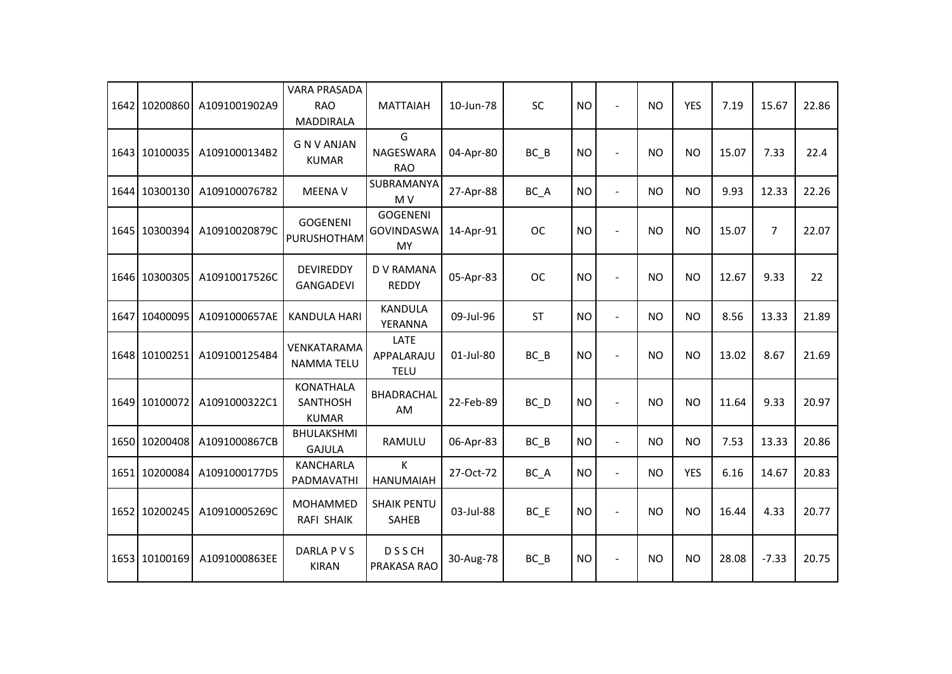|      | 1642 10200860 | A1091001902A9 | <b>VARA PRASADA</b><br><b>RAO</b><br><b>MADDIRALA</b> | <b>MATTAIAH</b>                            | 10-Jun-78 | SC        | <b>NO</b> | $\sim$                   | <b>NO</b> | <b>YES</b> | 7.19  | 15.67          | 22.86 |
|------|---------------|---------------|-------------------------------------------------------|--------------------------------------------|-----------|-----------|-----------|--------------------------|-----------|------------|-------|----------------|-------|
|      | 1643 10100035 | A1091000134B2 | <b>GNVANJAN</b><br><b>KUMAR</b>                       | G<br>NAGESWARA<br><b>RAO</b>               | 04-Apr-80 | BC B      | <b>NO</b> | $\sim$                   | <b>NO</b> | <b>NO</b>  | 15.07 | 7.33           | 22.4  |
|      | 1644 10300130 | A109100076782 | <b>MEENA V</b>                                        | SUBRAMANYA<br>M V                          | 27-Apr-88 | BC_A      | <b>NO</b> | $\blacksquare$           | <b>NO</b> | <b>NO</b>  | 9.93  | 12.33          | 22.26 |
|      | 1645 10300394 | A10910020879C | <b>GOGENENI</b><br>PURUSHOTHAM                        | <b>GOGENENI</b><br><b>GOVINDASWA</b><br>MY | 14-Apr-91 | <b>OC</b> | <b>NO</b> | $\overline{a}$           | <b>NO</b> | <b>NO</b>  | 15.07 | $\overline{7}$ | 22.07 |
|      | 1646 10300305 | A10910017526C | <b>DEVIREDDY</b><br>GANGADEVI                         | D V RAMANA<br><b>REDDY</b>                 | 05-Apr-83 | <b>OC</b> | <b>NO</b> | $\overline{\phantom{a}}$ | <b>NO</b> | <b>NO</b>  | 12.67 | 9.33           | 22    |
|      | 1647 10400095 | A1091000657AE | <b>KANDULA HARI</b>                                   | <b>KANDULA</b><br>YERANNA                  | 09-Jul-96 | <b>ST</b> | <b>NO</b> | $\blacksquare$           | <b>NO</b> | <b>NO</b>  | 8.56  | 13.33          | 21.89 |
|      | 1648 10100251 | A1091001254B4 | VENKATARAMA<br><b>NAMMA TELU</b>                      | LATE<br>APPALARAJU<br><b>TELU</b>          | 01-Jul-80 | $BC$ $B$  | <b>NO</b> |                          | <b>NO</b> | <b>NO</b>  | 13.02 | 8.67           | 21.69 |
|      | 1649 10100072 | A1091000322C1 | <b>KONATHALA</b><br><b>SANTHOSH</b><br><b>KUMAR</b>   | BHADRACHAL<br>AM                           | 22-Feb-89 | $BC$ $D$  | <b>NO</b> |                          | <b>NO</b> | <b>NO</b>  | 11.64 | 9.33           | 20.97 |
|      | 1650 10200408 | A1091000867CB | <b>BHULAKSHMI</b><br><b>GAJULA</b>                    | RAMULU                                     | 06-Apr-83 | BC B      | <b>NO</b> | $\blacksquare$           | <b>NO</b> | <b>NO</b>  | 7.53  | 13.33          | 20.86 |
|      | 1651 10200084 | A1091000177D5 | KANCHARLA<br>PADMAVATHI                               | K<br><b>HANUMAIAH</b>                      | 27-Oct-72 | BC_A      | <b>NO</b> | $\blacksquare$           | <b>NO</b> | <b>YES</b> | 6.16  | 14.67          | 20.83 |
| 1652 | 10200245      | A10910005269C | MOHAMMED<br>RAFI SHAIK                                | <b>SHAIK PENTU</b><br>SAHEB                | 03-Jul-88 | $BC$ $E$  | <b>NO</b> | $\sim$                   | <b>NO</b> | <b>NO</b>  | 16.44 | 4.33           | 20.77 |
|      | 1653 10100169 | A1091000863EE | DARLA P V S<br><b>KIRAN</b>                           | <b>DSSCH</b><br>PRAKASA RAO                | 30-Aug-78 | $BC$ $B$  | <b>NO</b> |                          | <b>NO</b> | <b>NO</b>  | 28.08 | $-7.33$        | 20.75 |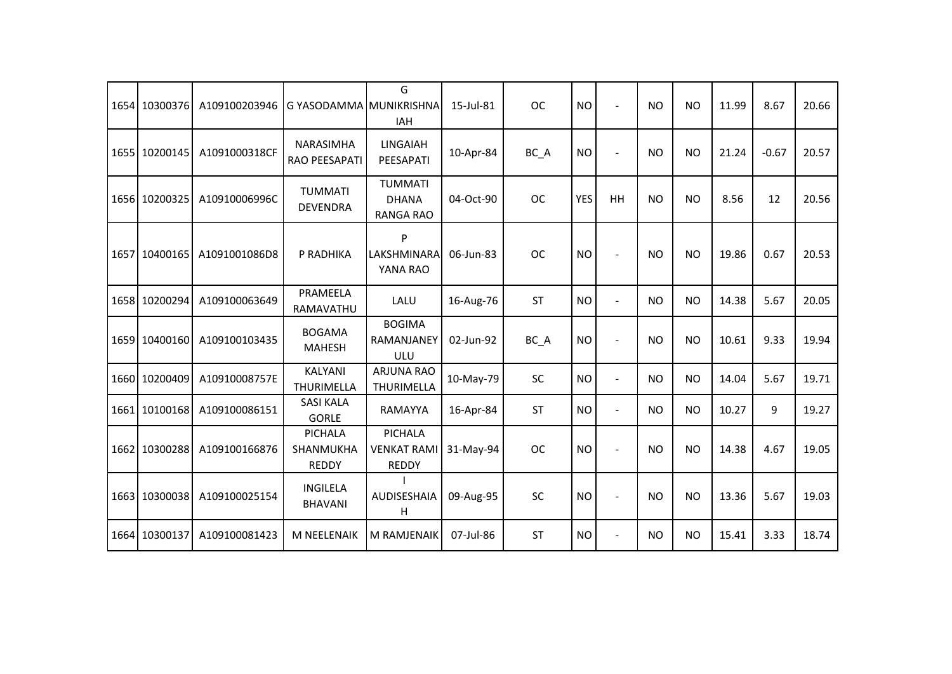|      | 1654 10300376 | A109100203946 | G YASODAMMA MUNIKRISHNA              | G<br><b>IAH</b>                               | 15-Jul-81 | <b>OC</b> | <b>NO</b>  |                          | <b>NO</b>      | <b>NO</b> | 11.99 | 8.67    | 20.66 |
|------|---------------|---------------|--------------------------------------|-----------------------------------------------|-----------|-----------|------------|--------------------------|----------------|-----------|-------|---------|-------|
|      | 1655 10200145 | A1091000318CF | NARASIMHA<br>RAO PEESAPATI           | <b>LINGAIAH</b><br>PEESAPATI                  | 10-Apr-84 | BC_A      | <b>NO</b>  | $\blacksquare$           | <b>NO</b>      | <b>NO</b> | 21.24 | $-0.67$ | 20.57 |
|      | 1656 10200325 | A10910006996C | <b>TUMMATI</b><br><b>DEVENDRA</b>    | <b>TUMMATI</b><br><b>DHANA</b><br>RANGA RAO   | 04-Oct-90 | <b>OC</b> | <b>YES</b> | HH                       | <b>NO</b>      | <b>NO</b> | 8.56  | 12      | 20.56 |
|      | 1657 10400165 | A1091001086D8 | P RADHIKA                            | P<br>LAKSHMINARA<br>YANA RAO                  | 06-Jun-83 | <b>OC</b> | <b>NO</b>  | $\sim$                   | <b>NO</b>      | <b>NO</b> | 19.86 | 0.67    | 20.53 |
|      | 1658 10200294 | A109100063649 | PRAMEELA<br>RAMAVATHU                | LALU                                          | 16-Aug-76 | <b>ST</b> | <b>NO</b>  | $\overline{\phantom{a}}$ | <b>NO</b>      | <b>NO</b> | 14.38 | 5.67    | 20.05 |
|      | 1659 10400160 | A109100103435 | <b>BOGAMA</b><br><b>MAHESH</b>       | <b>BOGIMA</b><br>RAMANJANEY<br>ULU            | 02-Jun-92 | BC_A      | <b>NO</b>  |                          | N <sub>O</sub> | <b>NO</b> | 10.61 | 9.33    | 19.94 |
|      | 1660 10200409 | A10910008757E | <b>KALYANI</b><br><b>THURIMELLA</b>  | <b>ARJUNA RAO</b><br>THURIMELLA               | 10-May-79 | SC        | <b>NO</b>  | $\blacksquare$           | <b>NO</b>      | <b>NO</b> | 14.04 | 5.67    | 19.71 |
|      | 1661 10100168 | A109100086151 | <b>SASI KALA</b><br><b>GORLE</b>     | RAMAYYA                                       | 16-Apr-84 | <b>ST</b> | <b>NO</b>  | $\overline{a}$           | <b>NO</b>      | <b>NO</b> | 10.27 | 9       | 19.27 |
|      | 1662 10300288 | A109100166876 | PICHALA<br>SHANMUKHA<br><b>REDDY</b> | PICHALA<br><b>VENKAT RAMI</b><br><b>REDDY</b> | 31-May-94 | <b>OC</b> | <b>NO</b>  | $\sim$                   | <b>NO</b>      | <b>NO</b> | 14.38 | 4.67    | 19.05 |
|      | 1663 10300038 | A109100025154 | <b>INGILELA</b><br><b>BHAVANI</b>    | <b>AUDISESHAIA</b><br>H                       | 09-Aug-95 | SC        | <b>NO</b>  |                          | <b>NO</b>      | <b>NO</b> | 13.36 | 5.67    | 19.03 |
| 1664 | 10300137      | A109100081423 | M NEELENAIK                          | M RAMJENAIK                                   | 07-Jul-86 | <b>ST</b> | <b>NO</b>  | $\blacksquare$           | <b>NO</b>      | <b>NO</b> | 15.41 | 3.33    | 18.74 |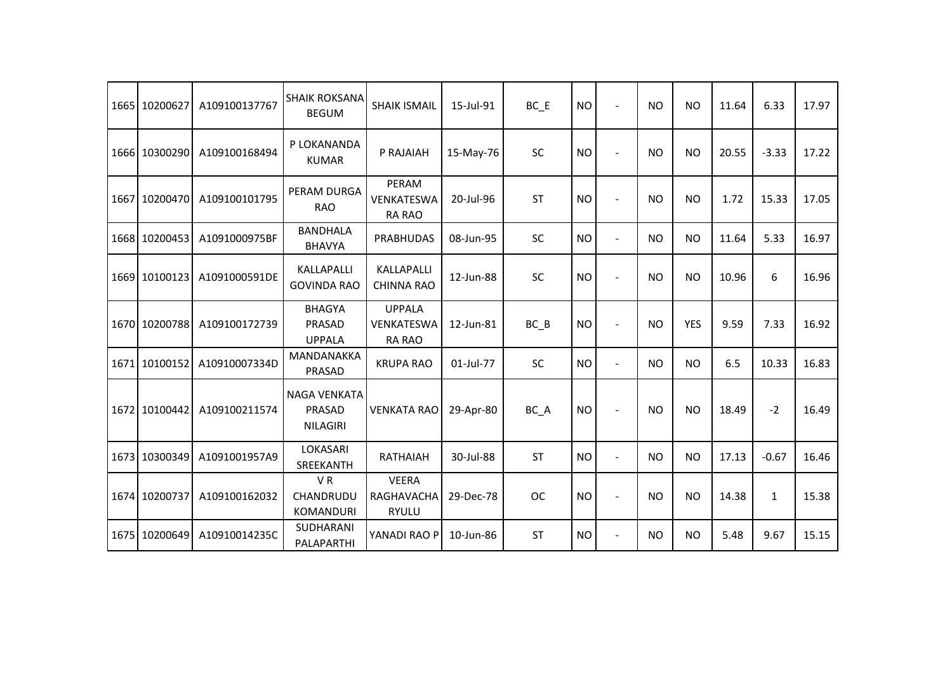| 1665 10200627 | A109100137767 | <b>SHAIK ROKSANA</b><br><b>BEGUM</b>             | <b>SHAIK ISMAIL</b>                          | 15-Jul-91 | $BC$ $E$  | NO        | $\overline{a}$           | <b>NO</b> | <b>NO</b>  | 11.64 | 6.33         | 17.97 |
|---------------|---------------|--------------------------------------------------|----------------------------------------------|-----------|-----------|-----------|--------------------------|-----------|------------|-------|--------------|-------|
| 1666 10300290 | A109100168494 | P LOKANANDA<br><b>KUMAR</b>                      | P RAJAIAH                                    | 15-May-76 | SC        | <b>NO</b> | $\blacksquare$           | <b>NO</b> | <b>NO</b>  | 20.55 | $-3.33$      | 17.22 |
| 1667 10200470 | A109100101795 | PERAM DURGA<br><b>RAO</b>                        | PERAM<br>VENKATESWA<br><b>RA RAO</b>         | 20-Jul-96 | <b>ST</b> | <b>NO</b> | $\overline{\phantom{a}}$ | NO.       | <b>NO</b>  | 1.72  | 15.33        | 17.05 |
| 1668 10200453 | A1091000975BF | <b>BANDHALA</b><br><b>BHAVYA</b>                 | <b>PRABHUDAS</b>                             | 08-Jun-95 | SC        | <b>NO</b> | $\overline{a}$           | <b>NO</b> | <b>NO</b>  | 11.64 | 5.33         | 16.97 |
| 1669 10100123 | A1091000591DE | KALLAPALLI<br><b>GOVINDA RAO</b>                 | KALLAPALLI<br><b>CHINNA RAO</b>              | 12-Jun-88 | SC        | <b>NO</b> |                          | <b>NO</b> | <b>NO</b>  | 10.96 | 6            | 16.96 |
| 1670 10200788 | A109100172739 | <b>BHAGYA</b><br>PRASAD<br><b>UPPALA</b>         | <b>UPPALA</b><br>VENKATESWA<br><b>RA RAO</b> | 12-Jun-81 | $BC$ $B$  | <b>NO</b> | $\overline{\phantom{a}}$ | <b>NO</b> | <b>YES</b> | 9.59  | 7.33         | 16.92 |
| 1671 10100152 | A10910007334D | MANDANAKKA<br>PRASAD                             | <b>KRUPA RAO</b>                             | 01-Jul-77 | <b>SC</b> | <b>NO</b> | $\overline{\phantom{a}}$ | <b>NO</b> | <b>NO</b>  | 6.5   | 10.33        | 16.83 |
| 1672 10100442 | A109100211574 | <b>NAGA VENKATA</b><br>PRASAD<br><b>NILAGIRI</b> | <b>VENKATA RAO</b>                           | 29-Apr-80 | BC_A      | <b>NO</b> | $\blacksquare$           | <b>NO</b> | <b>NO</b>  | 18.49 | $-2$         | 16.49 |
| 1673 10300349 | A1091001957A9 | LOKASARI<br>SREEKANTH                            | RATHAIAH                                     | 30-Jul-88 | <b>ST</b> | <b>NO</b> | $\blacksquare$           | <b>NO</b> | <b>NO</b>  | 17.13 | $-0.67$      | 16.46 |
| 1674 10200737 | A109100162032 | VR<br><b>CHANDRUDU</b><br><b>KOMANDURI</b>       | <b>VEERA</b><br>RAGHAVACHA<br><b>RYULU</b>   | 29-Dec-78 | <b>OC</b> | <b>NO</b> | $\sim$                   | <b>NO</b> | <b>NO</b>  | 14.38 | $\mathbf{1}$ | 15.38 |
| 1675 10200649 | A10910014235C | <b>SUDHARANI</b><br>PALAPARTHI                   | YANADI RAO P                                 | 10-Jun-86 | <b>ST</b> | <b>NO</b> | $\overline{a}$           | <b>NO</b> | <b>NO</b>  | 5.48  | 9.67         | 15.15 |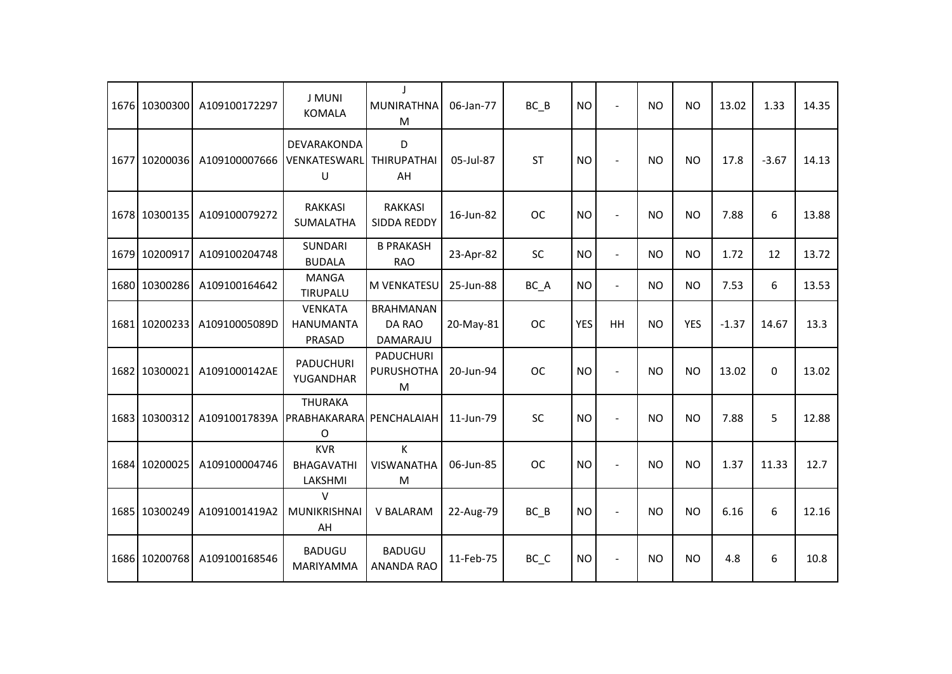| 1676 10300300 | A109100172297 | <b>J MUNI</b><br><b>KOMALA</b>               | $\mathbf{I}$<br>MUNIRATHNA<br>M        | 06-Jan-77 | $BC$ $B$                       | <b>NO</b>  | $\blacksquare$       | <b>NO</b> | <b>NO</b>  | 13.02   | 1.33    | 14.35 |
|---------------|---------------|----------------------------------------------|----------------------------------------|-----------|--------------------------------|------------|----------------------|-----------|------------|---------|---------|-------|
| 1677 10200036 | A109100007666 | DEVARAKONDA<br>VENKATESWARL<br>U             | D<br><b>THIRUPATHAI</b><br>AH          | 05-Jul-87 | <b>ST</b>                      | <b>NO</b>  |                      | <b>NO</b> | <b>NO</b>  | 17.8    | $-3.67$ | 14.13 |
| 1678 10300135 | A109100079272 | <b>RAKKASI</b><br>SUMALATHA                  | <b>RAKKASI</b><br><b>SIDDA REDDY</b>   | 16-Jun-82 | <b>OC</b>                      | <b>NO</b>  | $\sim$               | <b>NO</b> | <b>NO</b>  | 7.88    | 6       | 13.88 |
| 1679 10200917 | A109100204748 | <b>SUNDARI</b><br><b>BUDALA</b>              | <b>B PRAKASH</b><br><b>RAO</b>         | 23-Apr-82 | <b>SC</b>                      | <b>NO</b>  | $\blacksquare$       | <b>NO</b> | <b>NO</b>  | 1.72    | 12      | 13.72 |
| 1680 10300286 | A109100164642 | <b>MANGA</b><br>TIRUPALU                     | <b>M VENKATESU</b>                     | 25-Jun-88 | BC_A                           | <b>NO</b>  | $\blacksquare$       | <b>NO</b> | <b>NO</b>  | 7.53    | 6       | 13.53 |
| 1681 10200233 | A10910005089D | <b>VENKATA</b><br><b>HANUMANTA</b><br>PRASAD | <b>BRAHMANAN</b><br>DA RAO<br>DAMARAJU | 20-May-81 | <b>OC</b>                      | <b>YES</b> | HH                   | <b>NO</b> | <b>YES</b> | $-1.37$ | 14.67   | 13.3  |
| 1682 10300021 | A1091000142AE | <b>PADUCHURI</b><br>YUGANDHAR                | PADUCHURI<br><b>PURUSHOTHA</b><br>M    | 20-Jun-94 | <b>OC</b>                      | <b>NO</b>  | $\ddot{\phantom{1}}$ | <b>NO</b> | <b>NO</b>  | 13.02   | 0       | 13.02 |
| 1683 10300312 | A10910017839A | <b>THURAKA</b><br>PRABHAKARARA<br>O          | PENCHALAIAH                            | 11-Jun-79 | SC                             | <b>NO</b>  | $\blacksquare$       | <b>NO</b> | <b>NO</b>  | 7.88    | 5       | 12.88 |
| 1684 10200025 | A109100004746 | <b>KVR</b><br><b>BHAGAVATHI</b><br>LAKSHMI   | $\mathsf K$<br><b>VISWANATHA</b><br>M  | 06-Jun-85 | <b>OC</b>                      | <b>NO</b>  | $\blacksquare$       | <b>NO</b> | <b>NO</b>  | 1.37    | 11.33   | 12.7  |
| 1685 10300249 | A1091001419A2 | $\vee$<br>MUNIKRISHNAI<br>AH                 | V BALARAM                              | 22-Aug-79 | $BC$ $B$                       | <b>NO</b>  | $\blacksquare$       | <b>NO</b> | <b>NO</b>  | 6.16    | 6       | 12.16 |
| 1686 10200768 | A109100168546 | <b>BADUGU</b><br>MARIYAMMA                   | <b>BADUGU</b><br><b>ANANDA RAO</b>     | 11-Feb-75 | $BC$ <sub><math>C</math></sub> | <b>NO</b>  |                      | <b>NO</b> | <b>NO</b>  | 4.8     | 6       | 10.8  |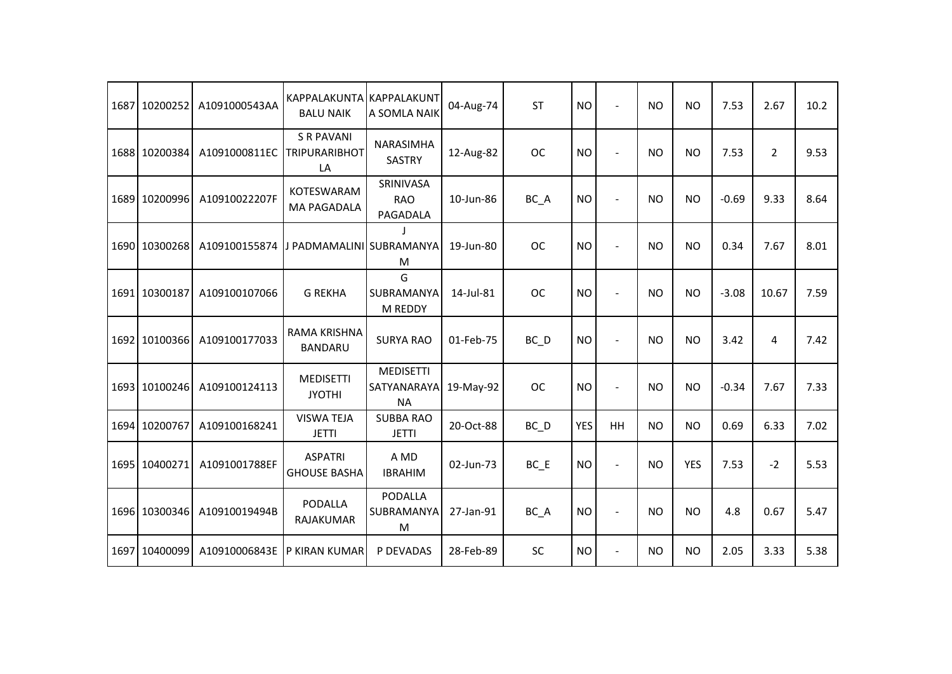| 1687 | 10200252      | A1091000543AA | <b>KAPPALAKUNTA</b><br><b>BALU NAIK</b>         | <b>KAPPALAKUNT</b><br>A SOMLA NAIK           | 04-Aug-74 | <b>ST</b> | <b>NO</b>  | $\overline{a}$           | <b>NO</b> | <b>NO</b>  | 7.53    | 2.67           | 10.2 |
|------|---------------|---------------|-------------------------------------------------|----------------------------------------------|-----------|-----------|------------|--------------------------|-----------|------------|---------|----------------|------|
|      | 1688 10200384 | A1091000811EC | <b>S R PAVANI</b><br><b>TRIPURARIBHOT</b><br>LA | NARASIMHA<br><b>SASTRY</b>                   | 12-Aug-82 | <b>OC</b> | <b>NO</b>  |                          | <b>NO</b> | <b>NO</b>  | 7.53    | $\overline{2}$ | 9.53 |
|      | 1689 10200996 | A10910022207F | KOTESWARAM<br><b>MA PAGADALA</b>                | SRINIVASA<br><b>RAO</b><br>PAGADALA          | 10-Jun-86 | BC A      | <b>NO</b>  | $\overline{a}$           | <b>NO</b> | <b>NO</b>  | $-0.69$ | 9.33           | 8.64 |
|      | 1690 10300268 | A109100155874 | J PADMAMALINI SUBRAMANYA                        | M                                            | 19-Jun-80 | <b>OC</b> | <b>NO</b>  | $\overline{\phantom{a}}$ | <b>NO</b> | <b>NO</b>  | 0.34    | 7.67           | 8.01 |
|      | 1691 10300187 | A109100107066 | <b>G REKHA</b>                                  | G<br>SUBRAMANYA<br>M REDDY                   | 14-Jul-81 | <b>OC</b> | <b>NO</b>  |                          | <b>NO</b> | <b>NO</b>  | $-3.08$ | 10.67          | 7.59 |
|      | 1692 10100366 | A109100177033 | <b>RAMA KRISHNA</b><br><b>BANDARU</b>           | <b>SURYA RAO</b>                             | 01-Feb-75 | $BC$ $D$  | <b>NO</b>  |                          | <b>NO</b> | <b>NO</b>  | 3.42    | 4              | 7.42 |
|      | 1693 10100246 | A109100124113 | <b>MEDISETTI</b><br><b>JYOTHI</b>               | <b>MEDISETTI</b><br>SATYANARAYA<br><b>NA</b> | 19-May-92 | <b>OC</b> | <b>NO</b>  |                          | <b>NO</b> | <b>NO</b>  | $-0.34$ | 7.67           | 7.33 |
|      | 1694 10200767 | A109100168241 | <b>VISWA TEJA</b><br><b>JETTI</b>               | <b>SUBBA RAO</b><br><b>JETTI</b>             | 20-Oct-88 | $BC$ $D$  | <b>YES</b> | HH                       | <b>NO</b> | <b>NO</b>  | 0.69    | 6.33           | 7.02 |
|      | 1695 10400271 | A1091001788EF | <b>ASPATRI</b><br><b>GHOUSE BASHA</b>           | A MD<br><b>IBRAHIM</b>                       | 02-Jun-73 | $BC$ $E$  | <b>NO</b>  | $\blacksquare$           | <b>NO</b> | <b>YES</b> | 7.53    | $-2$           | 5.53 |
|      | 1696 10300346 | A10910019494B | PODALLA<br><b>RAJAKUMAR</b>                     | <b>PODALLA</b><br>SUBRAMANYA<br>M            | 27-Jan-91 | BC_A      | <b>NO</b>  | $\overline{\phantom{a}}$ | <b>NO</b> | <b>NO</b>  | 4.8     | 0.67           | 5.47 |
| 1697 | 10400099      | A10910006843E | P KIRAN KUMAR                                   | P DEVADAS                                    | 28-Feb-89 | <b>SC</b> | <b>NO</b>  | $\blacksquare$           | NO.       | <b>NO</b>  | 2.05    | 3.33           | 5.38 |